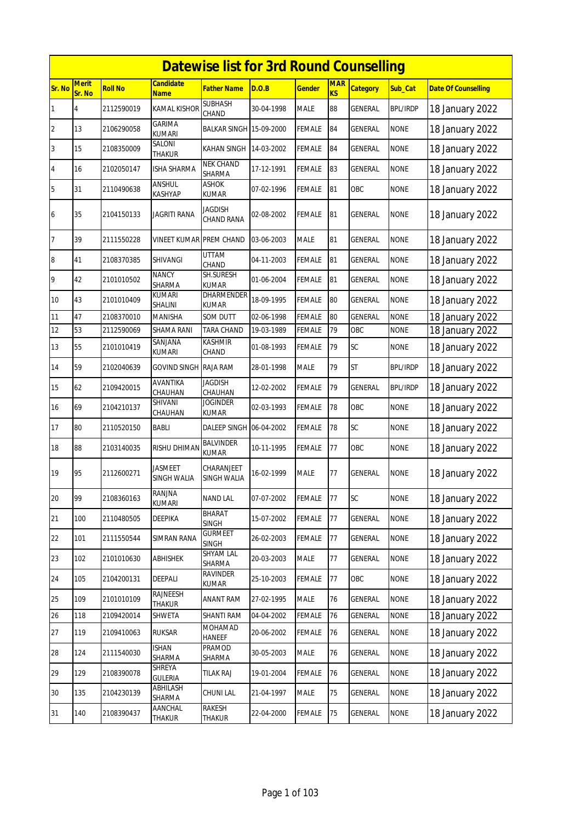|                |                        |                |                                 | <b>Datewise list for 3rd Round Counselling</b> |            |               |                  |                 |                 |                            |
|----------------|------------------------|----------------|---------------------------------|------------------------------------------------|------------|---------------|------------------|-----------------|-----------------|----------------------------|
| Sr. No         | <b>Merit</b><br>Sr. No | <b>Roll No</b> | <b>Candidate</b><br><b>Name</b> | <b>Father Name</b>                             | D.O.B      | <b>Gender</b> | <b>MAR</b><br>KS | <b>Category</b> | Sub Cat         | <b>Date Of Counselling</b> |
| 1              | 4                      | 2112590019     | <b>KAMAL KISHOR</b>             | <b>SUBHASH</b><br>CHAND                        | 30-04-1998 | <b>MALE</b>   | 88               | <b>GENERAL</b>  | <b>BPL/IRDP</b> | 18 January 2022            |
| $\overline{2}$ | 13                     | 2106290058     | GARIMA<br><b>KUMARI</b>         | BALKAR SINGH 15-09-2000                        |            | <b>FEMALE</b> | 84               | GENERAL         | <b>NONE</b>     | 18 January 2022            |
| 3              | 15                     | 2108350009     | SALONI<br>THAKUR                | KAHAN SINGH                                    | 14-03-2002 | FEMALE        | 84               | <b>GENERAL</b>  | <b>NONE</b>     | 18 January 2022            |
| $\overline{4}$ | 16                     | 2102050147     | <b>ISHA SHARMA</b>              | <b>NEK CHAND</b><br>SHARMA                     | 17-12-1991 | <b>FEMALE</b> | 83               | <b>GENERAL</b>  | <b>NONE</b>     | 18 January 2022            |
| 5              | 31                     | 2110490638     | ANSHUL<br>KASHYAP               | <b>ASHOK</b><br>KUMAR                          | 07-02-1996 | FEMALE        | 81               | OBC             | <b>NONE</b>     | 18 January 2022            |
| 6              | 35                     | 2104150133     | <b>JAGRITI RANA</b>             | <b>JAGDISH</b><br>CHAND RANA                   | 02-08-2002 | <b>FEMALE</b> | 81               | <b>GENERAL</b>  | <b>NONE</b>     | 18 January 2022            |
| 7              | 39                     | 2111550228     | VINEET KUMAR PREM CHAND         |                                                | 03-06-2003 | <b>MALE</b>   | 81               | <b>GENERAL</b>  | <b>NONE</b>     | 18 January 2022            |
| 8              | 41                     | 2108370385     | SHIVANGI                        | <b>UTTAM</b><br>CHAND                          | 04-11-2003 | <b>FEMALE</b> | 81               | GENERAL         | <b>NONE</b>     | 18 January 2022            |
| 9              | 42                     | 2101010502     | <b>NANCY</b><br><b>SHARMA</b>   | <b>SH.SURESH</b><br><b>KUMAR</b>               | 01-06-2004 | <b>FEMALE</b> | 81               | GENERAL         | <b>NONE</b>     | 18 January 2022            |
| 10             | 43                     | 2101010409     | <b>KUMARI</b><br>SHALINI        | DHARMENDER<br>KUMAR                            | 18-09-1995 | <b>FEMALE</b> | 80               | GENERAL         | <b>NONE</b>     | 18 January 2022            |
| 11             | 47                     | 2108370010     | <b>MANISHA</b>                  | SOM DUTT                                       | 02-06-1998 | <b>FEMALE</b> | 80               | GENERAL         | <b>NONE</b>     | 18 January 2022            |
| 12             | 53                     | 2112590069     | <b>SHAMA RANI</b>               | <b>TARA CHAND</b>                              | 19-03-1989 | FEMALE        | 79               | OBC             | <b>NONE</b>     | 18 January 2022            |
| 13             | 55                     | 2101010419     | SANJANA<br>KUMARI               | <b>KASHMIR</b><br>CHAND                        | 01-08-1993 | <b>FEMALE</b> | 79               | SC              | <b>NONE</b>     | 18 January 2022            |
| 14             | 59                     | 2102040639     | <b>GOVIND SINGH</b>             | RAJA RAM                                       | 28-01-1998 | <b>MALE</b>   | 79               | <b>ST</b>       | <b>BPL/IRDP</b> | 18 January 2022            |
| 15             | 62                     | 2109420015     | AVANTIKA<br>CHAUHAN             | JAGDISH<br>CHAUHAN                             | 12-02-2002 | <b>FEMALE</b> | 79               | GENERAL         | <b>BPL/IRDP</b> | 18 January 2022            |
| 16             | 69                     | 2104210137     | SHIVANI<br>CHAUHAN              | Joginder<br>KUMAR                              | 02-03-1993 | <b>FEMALE</b> | 78               | OBC             | <b>NONE</b>     | 18 January 2022            |
| 17             | 80                     | 2110520150     | <b>BABLI</b>                    | DALEEP SINGH 06-04-2002                        |            | <b>FEMALE</b> | 78               | SC              | <b>NONE</b>     | 18 January 2022            |
| 18             | 88                     | 2103140035     | RISHU DHIMAN                    | <b>BALVINDER</b><br><b>KUMAR</b>               | 10-11-1995 | <b>FEMALE</b> | 77               | OBC             | <b>NONE</b>     | 18 January 2022            |
| 19             | 95                     | 2112600271     | <b>JASMEET</b><br>SINGH WALIA   | CHARANJEET<br>SINGH WALIA                      | 16-02-1999 | <b>MALE</b>   | 77               | <b>GENERAL</b>  | <b>NONE</b>     | 18 January 2022            |
| 20             | 99                     | 2108360163     | RANJNA<br>KUMARI                | <b>NAND LAL</b>                                | 07-07-2002 | <b>FEMALE</b> | 77               | SC              | <b>NONE</b>     | 18 January 2022            |
| 21             | 100                    | 2110480505     | DEEPIKA                         | BHARAT<br><b>SINGH</b>                         | 15-07-2002 | FEMALE        | 77               | <b>GENERAL</b>  | <b>NONE</b>     | 18 January 2022            |
| 22             | 101                    | 2111550544     | <b>SIMRAN RANA</b>              | <b>GURMEET</b><br>SINGH                        | 26-02-2003 | <b>FEMALE</b> | $77 \,$          | <b>GENERAL</b>  | <b>NONE</b>     | 18 January 2022            |
| 23             | 102                    | 2101010630     | <b>ABHISHEK</b>                 | <b>SHYAM LAL</b><br>SHARMA                     | 20-03-2003 | MALE          | 77               | <b>GENERAL</b>  | <b>NONE</b>     | 18 January 2022            |
| 24             | 105                    | 2104200131     | DEEPALI                         | <b>RAVINDER</b><br>KUMAR                       | 25-10-2003 | <b>FEMALE</b> | 77               | OBC             | <b>NONE</b>     | 18 January 2022            |
| 25             | 109                    | 2101010109     | RAJNEESH<br>THAKUR              | <b>ANANT RAM</b>                               | 27-02-1995 | MALE          | 76               | GENERAL         | <b>NONE</b>     | 18 January 2022            |
| 26             | 118                    | 2109420014     | SHWETA                          | SHANTI RAM                                     | 04-04-2002 | <b>FEMALE</b> | 76               | <b>GENERAL</b>  | <b>NONE</b>     | 18 January 2022            |
| 27             | 119                    | 2109410063     | <b>RUKSAR</b>                   | MOHAMAD<br><b>HANEEF</b>                       | 20-06-2002 | <b>FEMALE</b> | 76               | GENERAL         | <b>NONE</b>     | 18 January 2022            |
| 28             | 124                    | 2111540030     | ISHAN<br>SHARMA                 | PRAMOD<br>SHARMA                               | 30-05-2003 | MALE          | 76               | <b>GENERAL</b>  | <b>NONE</b>     | 18 January 2022            |
| 29             | 129                    | 2108390078     | SHREYA<br><b>GULERIA</b>        | <b>TILAK RAJ</b>                               | 19-01-2004 | <b>FEMALE</b> | 76               | GENERAL         | <b>NONE</b>     | 18 January 2022            |
| 30             | 135                    | 2104230139     | ABHILASH<br>SHARMA              | CHUNI LAL                                      | 21-04-1997 | <b>MALE</b>   | 75               | GENERAL         | <b>NONE</b>     | 18 January 2022            |
| 31             | 140                    | 2108390437     | AANCHAL<br>THAKUR               | <b>RAKESH</b><br>THAKUR                        | 22-04-2000 | <b>FEMALE</b> | $75\,$           | GENERAL         | <b>NONE</b>     | 18 January 2022            |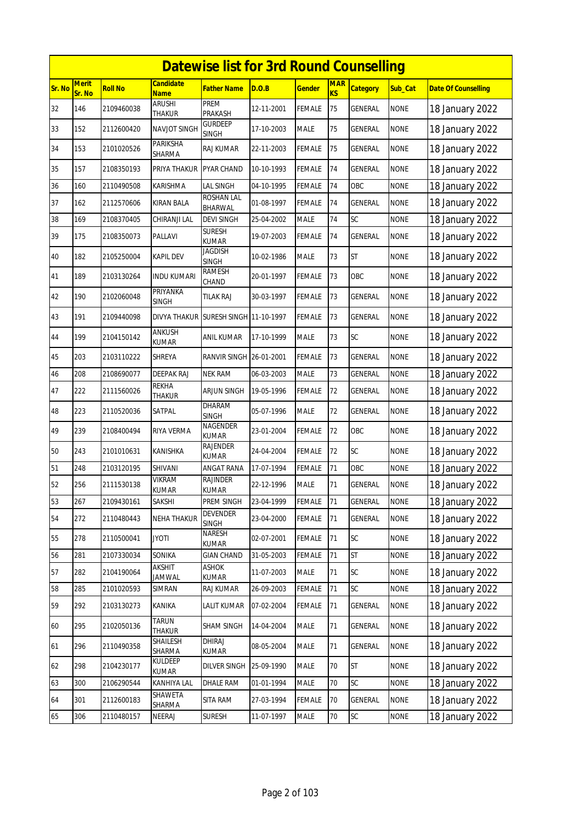|        | <b>Datewise list for 3rd Round Counselling</b><br><b>Merit</b><br>Candidate<br><b>MAR</b> |                |                          |                                 |            |               |           |                 |             |                            |  |  |
|--------|-------------------------------------------------------------------------------------------|----------------|--------------------------|---------------------------------|------------|---------------|-----------|-----------------|-------------|----------------------------|--|--|
| Sr. No | Sr. No                                                                                    | <b>Roll No</b> | <b>Name</b>              | Father Name                     | D.O.B      | <b>Gender</b> | <b>KS</b> | <b>Category</b> | Sub_Cat     | <b>Date Of Counselling</b> |  |  |
| 32     | 146                                                                                       | 2109460038     | ARUSHI<br>THAKUR         | PREM<br>PRAKASH                 | 12-11-2001 | <b>FEMALE</b> | 75        | GENERAL         | <b>NONE</b> | 18 January 2022            |  |  |
| 33     | 152                                                                                       | 2112600420     | NAVJOT SINGH             | gurdeep<br><b>SINGH</b>         | 17-10-2003 | <b>MALE</b>   | 75        | GENERAL         | <b>NONE</b> | 18 January 2022            |  |  |
| 34     | 153                                                                                       | 2101020526     | PARIKSHA<br>SHARMA       | RAJ KUMAR                       | 22-11-2003 | FEMALE        | 75        | GENERAL         | <b>NONE</b> | 18 January 2022            |  |  |
| 35     | 157                                                                                       | 2108350193     | PRIYA THAKUR             | <b>PYAR CHAND</b>               | 10-10-1993 | <b>FEMALE</b> | 74        | <b>GENERAL</b>  | <b>NONE</b> | 18 January 2022            |  |  |
| 36     | 160                                                                                       | 2110490508     | KARISHMA                 | <b>LAL SINGH</b>                | 04-10-1995 | <b>FEMALE</b> | 74        | OBC             | <b>NONE</b> | 18 January 2022            |  |  |
| 37     | 162                                                                                       | 2112570606     | <b>KIRAN BALA</b>        | ROSHAN LAL<br>BHARWAL           | 01-08-1997 | <b>FEMALE</b> | 74        | GENERAL         | <b>NONE</b> | 18 January 2022            |  |  |
| 38     | 169                                                                                       | 2108370405     | CHIRANJI LAL             | <b>DEVI SINGH</b>               | 25-04-2002 | <b>MALE</b>   | 74        | SC              | <b>NONE</b> | 18 January 2022            |  |  |
| 39     | 175                                                                                       | 2108350073     | PALLAVI                  | <b>SURESH</b><br><b>KUMAR</b>   | 19-07-2003 | <b>FEMALE</b> | 74        | GENERAL         | <b>NONE</b> | 18 January 2022            |  |  |
| 40     | 182                                                                                       | 2105250004     | <b>KAPIL DEV</b>         | Jagdish<br><b>SINGH</b>         | 10-02-1986 | <b>MALE</b>   | 73        | <b>ST</b>       | <b>NONE</b> | 18 January 2022            |  |  |
| 41     | 189                                                                                       | 2103130264     | INDU KUMARI              | RAMESH<br>CHAND                 | 20-01-1997 | <b>FEMALE</b> | 73        | OBC             | <b>NONE</b> | 18 January 2022            |  |  |
| 42     | 190                                                                                       | 2102060048     | <b>PRIYANKA</b><br>SINGH | <b>TILAK RAJ</b>                | 30-03-1997 | <b>FEMALE</b> | 73        | GENERAL         | <b>NONE</b> | 18 January 2022            |  |  |
| 43     | 191                                                                                       | 2109440098     | DIVYA THAKUR             | SURESH SINGH 11-10-1997         |            | <b>FEMALE</b> | 73        | GENERAL         | <b>NONE</b> | 18 January 2022            |  |  |
| 44     | 199                                                                                       | 2104150142     | ANKUSH<br>KUMAR          | ANIL KUMAR                      | 17-10-1999 | <b>MALE</b>   | 73        | SC              | <b>NONE</b> | 18 January 2022            |  |  |
| 45     | 203                                                                                       | 2103110222     | SHREYA                   | RANVIR SINGH 26-01-2001         |            | <b>FEMALE</b> | 73        | GENERAL         | <b>NONE</b> | 18 January 2022            |  |  |
| 46     | 208                                                                                       | 2108690077     | DEEPAK RAJ               | <b>NEK RAM</b>                  | 06-03-2003 | <b>MALE</b>   | 73        | GENERAL         | <b>NONE</b> | 18 January 2022            |  |  |
| 47     | 222                                                                                       | 2111560026     | rekha<br>thakur          | ARJUN SINGH                     | 19-05-1996 | <b>FEMALE</b> | 72        | GENERAL         | <b>NONE</b> | 18 January 2022            |  |  |
| 48     | 223                                                                                       | 2110520036     | SATPAL                   | DHARAM<br><b>SINGH</b>          | 05-07-1996 | <b>MALE</b>   | 72        | GENERAL         | <b>NONE</b> | 18 January 2022            |  |  |
| 49     | 239                                                                                       | 2108400494     | RIYA VERMA               | NAGENDER<br><b>KUMAR</b>        | 23-01-2004 | <b>FEMALE</b> | 72        | OBC             | <b>NONE</b> | 18 January 2022            |  |  |
| 50     | 243                                                                                       | 2101010631     | KANISHKA                 | <b>RAJENDER</b><br>KUMAR        | 24-04-2004 | <b>FEMALE</b> | 72        | SC              | <b>NONE</b> | 18 January 2022            |  |  |
| 51     | 248                                                                                       | 2103120195     | SHIVANI                  | ANGAT RANA                      | 17-07-1994 | <b>FEMALE</b> | 71        | OBC             | <b>NONE</b> | 18 January 2022            |  |  |
| 52     | 256                                                                                       | 2111530138     | VIKRAM<br>KUMAR          | <b>RAJINDER</b><br><b>KUMAR</b> | 22-12-1996 | <b>MALE</b>   | 71        | <b>GENERAL</b>  | <b>NONE</b> | 18 January 2022            |  |  |
| 53     | 267                                                                                       | 2109430161     | SAKSHI                   | PREM SINGH                      | 23-04-1999 | <b>FEMALE</b> | 71        | <b>GENERAL</b>  | <b>NONE</b> | 18 January 2022            |  |  |
| 54     | 272                                                                                       | 2110480443     | NEHA THAKUR              | <b>DEVENDER</b><br><b>SINGH</b> | 23-04-2000 | FEMALE        | 71        | <b>GENERAL</b>  | <b>NONE</b> | 18 January 2022            |  |  |
| 55     | 278                                                                                       | 2110500041     | <b>ITOYL</b>             | NARESH<br>KUMAR                 | 02-07-2001 | <b>FEMALE</b> | 71        | SC              | <b>NONE</b> | 18 January 2022            |  |  |
| 56     | 281                                                                                       | 2107330034     | SONIKA                   | GIAN CHAND                      | 31-05-2003 | <b>FEMALE</b> | 71        | <b>ST</b>       | <b>NONE</b> | 18 January 2022            |  |  |
| 57     | 282                                                                                       | 2104190064     | AKSHIT<br>Jamwal         | ASHOK<br>kumar                  | 11-07-2003 | MALE          | 71        | SC              | <b>NONE</b> | 18 January 2022            |  |  |
| 58     | 285                                                                                       | 2101020593     | SIMRAN                   | RAJ KUMAR                       | 26-09-2003 | <b>FEMALE</b> | 71        | SC              | <b>NONE</b> | 18 January 2022            |  |  |
| 59     | 292                                                                                       | 2103130273     | KANIKA                   | <b>LALIT KUMAR</b>              | 07-02-2004 | <b>FEMALE</b> | 71        | GENERAL         | <b>NONE</b> | 18 January 2022            |  |  |
| 60     | 295                                                                                       | 2102050136     | TARUN<br>THAKUR          | SHAM SINGH                      | 14-04-2004 | MALE          | 71        | <b>GENERAL</b>  | <b>NONE</b> | 18 January 2022            |  |  |
| 61     | 296                                                                                       | 2110490358     | SHAILESH<br>SHARMA       | DHIRAJ<br>KUMAR                 | 08-05-2004 | <b>MALE</b>   | 71        | GENERAL         | <b>NONE</b> | 18 January 2022            |  |  |
| 62     | 298                                                                                       | 2104230177     | KULDEEP<br>KUMAR         | <b>DILVER SINGH</b>             | 25-09-1990 | <b>MALE</b>   | 70        | ST              | <b>NONE</b> | 18 January 2022            |  |  |
| 63     | 300                                                                                       | 2106290544     | KANHIYA LAL              | <b>DHALE RAM</b>                | 01-01-1994 | <b>MALE</b>   | 70        | SC              | <b>NONE</b> | 18 January 2022            |  |  |
| 64     | 301                                                                                       | 2112600183     | SHAWETA<br>SHARMA        | SITA RAM                        | 27-03-1994 | <b>FEMALE</b> | 70        | GENERAL         | <b>NONE</b> | 18 January 2022            |  |  |
| 65     | 306                                                                                       | 2110480157     | NEERAJ                   | <b>SURESH</b>                   | 11-07-1997 | <b>MALE</b>   | 70        | SC              | <b>NONE</b> | 18 January 2022            |  |  |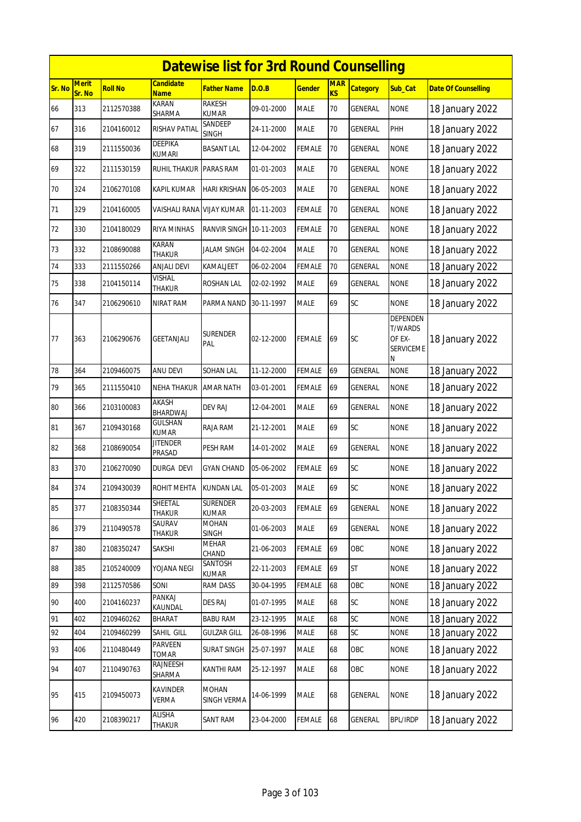|        | <b>Datewise list for 3rd Round Counselling</b> |                |                                 |                                 |            |               |                         |                 |                                                                      |                            |  |  |
|--------|------------------------------------------------|----------------|---------------------------------|---------------------------------|------------|---------------|-------------------------|-----------------|----------------------------------------------------------------------|----------------------------|--|--|
| Sr. No | <b>Merit</b><br>Sr. No                         | <b>Roll No</b> | Candidate<br><b>Name</b>        | <b>Father Name</b>              | D.O.B      | <b>Gender</b> | <b>MAR</b><br><b>KS</b> | <b>Category</b> | Sub Cat                                                              | <b>Date Of Counselling</b> |  |  |
| 66     | 313                                            | 2112570388     | KARAN<br>SHARMA                 | <b>RAKESH</b><br><b>KUMAR</b>   | 09-01-2000 | <b>MALE</b>   | 70                      | GENERAL         | <b>NONE</b>                                                          | 18 January 2022            |  |  |
| 67     | 316                                            | 2104160012     | RISHAV PATIAL                   | SANDEEP<br><b>SINGH</b>         | 24-11-2000 | <b>MALE</b>   | 70                      | GENERAL         | PHH                                                                  | 18 January 2022            |  |  |
| 68     | 319                                            | 2111550036     | DEEPIKA<br>KUMARI               | <b>BASANT LAL</b>               | 12-04-2002 | FEMALE        | 70                      | GENERAL         | <b>NONE</b>                                                          | 18 January 2022            |  |  |
| 69     | 322                                            | 2111530159     | <b>RUHIL THAKUR</b>             | <b>PARAS RAM</b>                | 01-01-2003 | <b>MALE</b>   | 70                      | <b>GENERAL</b>  | <b>NONE</b>                                                          | 18 January 2022            |  |  |
| 70     | 324                                            | 2106270108     | KAPIL KUMAR                     | HARI KRISHAN                    | 06-05-2003 | MALE          | 70                      | GENERAL         | <b>NONE</b>                                                          | 18 January 2022            |  |  |
| 71     | 329                                            | 2104160005     | VAISHALI RANA                   | <b>VIJAY KUMAR</b>              | 01-11-2003 | FEMALE        | 70                      | <b>GENERAL</b>  | <b>NONE</b>                                                          | 18 January 2022            |  |  |
| 72     | 330                                            | 2104180029     | RIYA MINHAS                     | RANVIR SINGH I                  | 10-11-2003 | FEMALE        | 70                      | GENERAL         | <b>NONE</b>                                                          | 18 January 2022            |  |  |
| 73     | 332                                            | 2108690088     | KARAN<br><b>THAKUR</b>          | JALAM SINGH                     | 04-02-2004 | <b>MALE</b>   | 70                      | GENERAL         | <b>NONE</b>                                                          | 18 January 2022            |  |  |
| 74     | 333                                            | 2111550266     | ANJALI DEVI                     | KAMALJEET                       | 06-02-2004 | <b>FEMALE</b> | 70                      | <b>GENERAL</b>  | <b>NONE</b>                                                          | 18 January 2022            |  |  |
| 75     | 338                                            | 2104150114     | <b>VISHAL</b><br><b>THAKUR</b>  | ROSHAN LAL                      | 02-02-1992 | <b>MALE</b>   | 69                      | GENERAL         | <b>NONE</b>                                                          | 18 January 2022            |  |  |
| 76     | 347                                            | 2106290610     | NIRAT RAM                       | PARMA NAND                      | 30-11-1997 | <b>MALE</b>   | 69                      | SC              | <b>NONE</b>                                                          | 18 January 2022            |  |  |
| 77     | 363                                            | 2106290676     | GEETANJALI                      | <b>SURENDER</b><br>PAL          | 02-12-2000 | <b>FEMALE</b> | 69                      | SC              | <b>DEPENDEN</b><br><b>T/WARDS</b><br>OF EX-<br><b>SERVICEME</b><br>Ν | 18 January 2022            |  |  |
| 78     | 364                                            | 2109460075     | ANU DEVI                        | SOHAN LAL                       | 11-12-2000 | FEMALE        | 69                      | GENERAL         | <b>NONE</b>                                                          | 18 January 2022            |  |  |
| 79     | 365                                            | 2111550410     | NEHA THAKUR                     | <b>AMAR NATH</b>                | 03-01-2001 | FEMALE        | 69                      | GENERAL         | <b>NONE</b>                                                          | 18 January 2022            |  |  |
| 80     | 366                                            | 2103100083     | AKASH<br>BHARDWAJ               | <b>DEV RAJ</b>                  | 12-04-2001 | <b>MALE</b>   | 69                      | GENERAL         | <b>NONE</b>                                                          | 18 January 2022            |  |  |
| 81     | 367                                            | 2109430168     | <b>GULSHAN</b><br><b>KUMAR</b>  | RAJA RAM                        | 21-12-2001 | <b>MALE</b>   | 69                      | SC              | <b>NONE</b>                                                          | 18 January 2022            |  |  |
| 82     | 368                                            | 2108690054     | <b>JITENDER</b><br>Prasad       | PESH RAM                        | 14-01-2002 | <b>MALE</b>   | 69                      | GENERAL         | <b>NONE</b>                                                          | 18 January 2022            |  |  |
| 83     | 370                                            | 2106270090     | DURGA DEVI                      | GYAN CHAND                      | 05-06-2002 | <b>FEMALE</b> | 69                      | SC              | <b>NONE</b>                                                          | 18 January 2022            |  |  |
| 84     | 374                                            | 2109430039     | ROHIT MEHTA                     | <b>KUNDAN LAL</b>               | 05-01-2003 | <b>MALE</b>   | 69                      | SC              | <b>NONE</b>                                                          | 18 January 2022            |  |  |
| 85     | 377                                            | 2108350344     | <b>SHEETAL</b><br><b>THAKUR</b> | <b>SURENDER</b><br><b>KUMAR</b> | 20-03-2003 | <b>FEMALE</b> | 69                      | GENERAL         | <b>NONE</b>                                                          | 18 January 2022            |  |  |
| 86     | 379                                            | 2110490578     | SAURAV<br>THAKUR                | <b>MOHAN</b><br><b>SINGH</b>    | 01-06-2003 | MALE          | 69                      | <b>GENERAL</b>  | <b>NONE</b>                                                          | 18 January 2022            |  |  |
| 87     | 380                                            | 2108350247     | SAKSHI                          | MEHAR<br>CHAND                  | 21-06-2003 | FEMALE        | 69                      | OBC             | <b>NONE</b>                                                          | 18 January 2022            |  |  |
| 88     | 385                                            | 2105240009     | YOJANA NEGI                     | SANTOSH<br>KUMAR                | 22-11-2003 | <b>FEMALE</b> | 69                      | <b>ST</b>       | <b>NONE</b>                                                          | 18 January 2022            |  |  |
| 89     | 398                                            | 2112570586     | SONI                            | RAM DASS                        | 30-04-1995 | FEMALE        | 68                      | OBC             | <b>NONE</b>                                                          | 18 January 2022            |  |  |
| 90     | 400                                            | 2104160237     | PANKAJ<br>KAUNDAL               | <b>DES RAJ</b>                  | 01-07-1995 | <b>MALE</b>   | 68                      | SC              | <b>NONE</b>                                                          | 18 January 2022            |  |  |
| 91     | 402                                            | 2109460262     | BHARAT                          | <b>BABU RAM</b>                 | 23-12-1995 | <b>MALE</b>   | 68                      | SC              | <b>NONE</b>                                                          | 18 January 2022            |  |  |
| 92     | 404                                            | 2109460299     | SAHIL GILL                      | <b>GULZAR GILL</b>              | 26-08-1996 | <b>MALE</b>   | 68                      | SC              | <b>NONE</b>                                                          | 18 January 2022            |  |  |
| 93     | 406                                            | 2110480449     | PARVEEN<br>TOMAR                | <b>SURAT SINGH</b>              | 25-07-1997 | <b>MALE</b>   | 68                      | OBC             | <b>NONE</b>                                                          | 18 January 2022            |  |  |
| 94     | 407                                            | 2110490763     | RAJNEESH<br>SHARMA              | KANTHI RAM                      | 25-12-1997 | <b>MALE</b>   | 68                      | OBC             | <b>NONE</b>                                                          | 18 January 2022            |  |  |
| 95     | 415                                            | 2109450073     | KAVINDER<br>VERMA               | MOHAN<br>SINGH VERMA            | 14-06-1999 | <b>MALE</b>   | 68                      | GENERAL         | <b>NONE</b>                                                          | 18 January 2022            |  |  |
| 96     | 420                                            | 2108390217     | ALISHA<br>THAKUR                | SANT RAM                        | 23-04-2000 | <b>FEMALE</b> | 68                      | GENERAL         | <b>BPL/IRDP</b>                                                      | 18 January 2022            |  |  |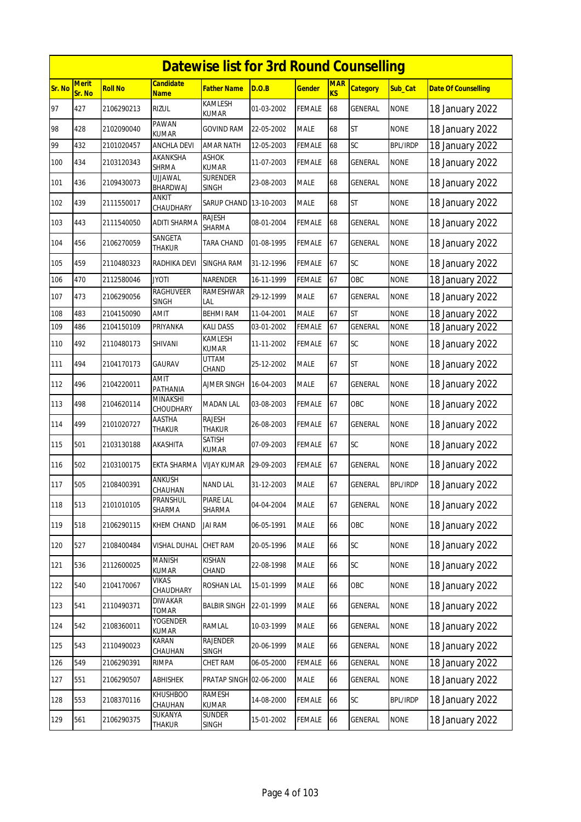|        | <b>Datewise list for 3rd Round Counselling</b><br><b>Merit</b><br><b>MAR</b><br>Candidate |                |                            |                                |            |               |           |                 |                 |                            |  |  |  |
|--------|-------------------------------------------------------------------------------------------|----------------|----------------------------|--------------------------------|------------|---------------|-----------|-----------------|-----------------|----------------------------|--|--|--|
| Sr. No | Sr. No                                                                                    | <b>Roll No</b> | <u>Name</u>                | Father Name                    | D.O.B      | <u>Gender</u> | <b>KS</b> | <b>Category</b> | Sub_Cat         | <b>Date Of Counselling</b> |  |  |  |
| 97     | 427                                                                                       | 2106290213     | <b>RIZUL</b>               | KAMLESH<br><b>KUMAR</b>        | 01-03-2002 | FEMALE        | 68        | <b>GENERAL</b>  | <b>NONE</b>     | 18 January 2022            |  |  |  |
| 98     | 428                                                                                       | 2102090040     | <b>PAWAN</b><br>KUMAR      | <b>GOVIND RAM</b>              | 22-05-2002 | MALE          | 68        | <b>ST</b>       | <b>NONE</b>     | 18 January 2022            |  |  |  |
| 99     | 432                                                                                       | 2101020457     | <b>ANCHLA DEVI</b>         | <b>AMAR NATH</b>               | 12-05-2003 | <b>FEMALE</b> | 68        | SC              | <b>BPL/IRDP</b> | 18 January 2022            |  |  |  |
| 100    | 434                                                                                       | 2103120343     | AKANKSHA<br><b>SHRMA</b>   | <b>ASHOK</b><br><b>KUMAR</b>   | 11-07-2003 | FEMALE        | 68        | <b>GENERAL</b>  | <b>NONE</b>     | 18 January 2022            |  |  |  |
| 101    | 436                                                                                       | 2109430073     | UJJAWAL<br>BHARDWAJ        | <b>SURENDER</b><br>SINGH       | 23-08-2003 | MALE          | 68        | GENERAL         | <b>NONE</b>     | 18 January 2022            |  |  |  |
| 102    | 439                                                                                       | 2111550017     | ANKIT<br>CHAUDHARY         | SARUP CHAND                    | 13-10-2003 | MALE          | 68        | <b>ST</b>       | <b>NONE</b>     | 18 January 2022            |  |  |  |
| 103    | 443                                                                                       | 2111540050     | ADITI SHARMA               | RAJESH<br>SHARMA               | 08-01-2004 | FEMALE        | 68        | GENERAL         | <b>NONE</b>     | 18 January 2022            |  |  |  |
| 104    | 456                                                                                       | 2106270059     | SANGETA<br>thakur          | <b>TARA CHAND</b>              | 01-08-1995 | FEMALE        | 67        | <b>GENERAL</b>  | <b>NONE</b>     | 18 January 2022            |  |  |  |
| 105    | 459                                                                                       | 2110480323     | RADHIKA DEVI               | SINGHA RAM                     | 31-12-1996 | <b>FEMALE</b> | 67        | SC              | <b>NONE</b>     | 18 January 2022            |  |  |  |
| 106    | 470                                                                                       | 2112580046     | Jyoti                      | NARENDER                       | 16-11-1999 | <b>FEMALE</b> | 67        | OBC             | <b>NONE</b>     | 18 January 2022            |  |  |  |
| 107    | 473                                                                                       | 2106290056     | RAGHUVEER<br><b>SINGH</b>  | <b>RAMESHWAR</b><br>LAL        | 29-12-1999 | <b>MALE</b>   | 67        | <b>GENERAL</b>  | <b>NONE</b>     | 18 January 2022            |  |  |  |
| 108    | 483                                                                                       | 2104150090     | AMIT                       | <b>BEHMI RAM</b>               | 11-04-2001 | <b>MALE</b>   | 67        | <b>ST</b>       | <b>NONE</b>     | 18 January 2022            |  |  |  |
| 109    | 486                                                                                       | 2104150109     | PRIYANKA                   | <b>KALI DASS</b>               | 03-01-2002 | FEMALE        | 67        | <b>GENERAL</b>  | <b>NONE</b>     | 18 January 2022            |  |  |  |
| 110    | 492                                                                                       | 2110480173     | SHIVANI                    | KAMLESH<br><b>KUMAR</b>        | 11-11-2002 | FEMALE        | 67        | SC              | <b>NONE</b>     | 18 January 2022            |  |  |  |
| 111    | 494                                                                                       | 2104170173     | GAURAV                     | UTTAM<br>CHAND                 | 25-12-2002 | MALE          | 67        | <b>ST</b>       | <b>NONE</b>     | 18 January 2022            |  |  |  |
| 112    | 496                                                                                       | 2104220011     | <b>AMIT</b><br>PATHANIA    | AJMER SINGH                    | 16-04-2003 | MALE          | 67        | <b>GENERAL</b>  | <b>NONE</b>     | 18 January 2022            |  |  |  |
| 113    | 498                                                                                       | 2104620114     | MINAKSHI<br>CHOUDHARY      | <b>MADAN LAL</b>               | 03-08-2003 | FEMALE        | 67        | OBC             | <b>NONE</b>     | 18 January 2022            |  |  |  |
| 114    | 499                                                                                       | 2101020727     | AASTHA<br>thakur           | <b>RAJESH</b><br><b>THAKUR</b> | 26-08-2003 | <b>FEMALE</b> | 67        | <b>GENERAL</b>  | <b>NONE</b>     | 18 January 2022            |  |  |  |
| 115    | 501                                                                                       | 2103130188     | AKASHITA                   | SATISH<br>KUMAR                | 07-09-2003 | FEMALE        | 67        | SC              | <b>NONE</b>     | 18 January 2022            |  |  |  |
| 116    | 502                                                                                       | 2103100175     | EKTA SHARMA                | VIJAY KUMAR                    | 29-09-2003 | FEMALE        | 67        | <b>GENERAL</b>  | <b>NONE</b>     | 18 January 2022            |  |  |  |
| 117    | 505                                                                                       | 2108400391     | ANKUSH<br>CHAUHAN          | NAND LAL                       | 31-12-2003 | MALE          | 67        | GENERAL         | <b>BPL/IRDP</b> | 18 January 2022            |  |  |  |
| 118    | 513                                                                                       | 2101010105     | PRANSHUL<br>SHARMA         | PIARE LAL<br>SHARMA            | 04-04-2004 | MALE          | 67        | GENERAL         | <b>NONE</b>     | 18 January 2022            |  |  |  |
| 119    | 518                                                                                       | 2106290115     | KHEM CHAND                 | <b>JAI RAM</b>                 | 06-05-1991 | MALE          | 66        | OBC             | <b>NONE</b>     | 18 January 2022            |  |  |  |
| 120    | 527                                                                                       | 2108400484     | VISHAL DUHAL               | <b>CHET RAM</b>                | 20-05-1996 | MALE          | 66        | SC              | <b>NONE</b>     | 18 January 2022            |  |  |  |
| 121    | 536                                                                                       | 2112600025     | MANISH<br>KUMAR            | KISHAN<br>CHAND                | 22-08-1998 | MALE          | 66        | SC              | <b>NONE</b>     | 18 January 2022            |  |  |  |
| 122    | 540                                                                                       | 2104170067     | VIKAS<br>CHAUDHARY         | ROSHAN LAL                     | 15-01-1999 | MALE          | 66        | OBC             | <b>NONE</b>     | 18 January 2022            |  |  |  |
| 123    | 541                                                                                       | 2110490371     | <b>DIWAKAR</b><br>TOMAR    | <b>BALBIR SINGH</b>            | 22-01-1999 | MALE          | 66        | GENERAL         | <b>NONE</b>     | 18 January 2022            |  |  |  |
| 124    | 542                                                                                       | 2108360011     | <b>YOGENDER</b><br>KUMAR   | RAMLAL                         | 10-03-1999 | MALE          | 66        | GENERAL         | <b>NONE</b>     | 18 January 2022            |  |  |  |
| 125    | 543                                                                                       | 2110490023     | KARAN<br>CHAUHAN           | <b>RAJENDER</b><br>SINGH       | 20-06-1999 | MALE          | 66        | <b>GENERAL</b>  | <b>NONE</b>     | 18 January 2022            |  |  |  |
| 126    | 549                                                                                       | 2106290391     | rimpa                      | CHET RAM                       | 06-05-2000 | FEMALE        | 66        | GENERAL         | <b>NONE</b>     | 18 January 2022            |  |  |  |
| 127    | 551                                                                                       | 2106290507     | ABHISHEK                   | PRATAP SINGH 02-06-2000        |            | MALE          | 66        | GENERAL         | <b>NONE</b>     | 18 January 2022            |  |  |  |
| 128    | 553                                                                                       | 2108370116     | <b>KHUSHBOO</b><br>CHAUHAN | <b>RAMESH</b><br><b>KUMAR</b>  | 14-08-2000 | FEMALE        | 66        | SC              | <b>BPL/IRDP</b> | 18 January 2022            |  |  |  |
| 129    | 561                                                                                       | 2106290375     | SUKANYA<br>thakur          | <b>SUNDER</b><br>SINGH         | 15-01-2002 | FEMALE        | 66        | GENERAL         | <b>NONE</b>     | 18 January 2022            |  |  |  |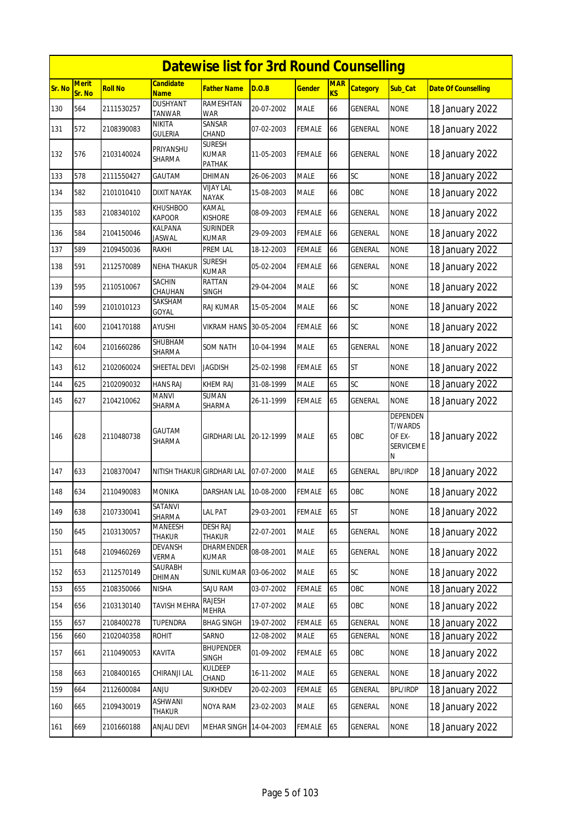|        | <b>Datewise list for 3rd Round Counselling</b> |                |                                 |                                         |            |               |                              |                 |                                                        |                            |  |  |  |
|--------|------------------------------------------------|----------------|---------------------------------|-----------------------------------------|------------|---------------|------------------------------|-----------------|--------------------------------------------------------|----------------------------|--|--|--|
| Sr. No | Merit<br>Sr. No                                | <b>Roll No</b> | <b>Candidate</b><br><b>Name</b> | Father Name                             | D.O.B      | <b>Gender</b> | <b>MAR</b><br>K <sub>S</sub> | <b>Category</b> | Sub_Cat                                                | <b>Date Of Counselling</b> |  |  |  |
| 130    | 564                                            | 2111530257     | <b>DUSHYANT</b><br>TANWAR       | RAMESHTAN<br><b>WAR</b>                 | 20-07-2002 | <b>MALE</b>   | 66                           | <b>GENERAL</b>  | <b>NONE</b>                                            | 18 January 2022            |  |  |  |
| 131    | 572                                            | 2108390083     | NIKITA<br>GULERIA               | SANSAR<br>CHAND                         | 07-02-2003 | <b>FEMALE</b> | 66                           | GENERAL         | <b>NONE</b>                                            | 18 January 2022            |  |  |  |
| 132    | 576                                            | 2103140024     | PRIYANSHU<br>SHARMA             | <b>SURESH</b><br><b>KUMAR</b><br>PATHAK | 11-05-2003 | <b>FEMALE</b> | 66                           | GENERAL         | <b>NONE</b>                                            | 18 January 2022            |  |  |  |
| 133    | 578                                            | 2111550427     | GAUTAM                          | DHIMAN                                  | 26-06-2003 | <b>MALE</b>   | 66                           | SC              | <b>NONE</b>                                            | 18 January 2022            |  |  |  |
| 134    | 582                                            | 2101010410     | DIXIT NAYAK                     | <b>VIJAY LAL</b><br><b>NAYAK</b>        | 15-08-2003 | <b>MALE</b>   | 66                           | OBC             | <b>NONE</b>                                            | 18 January 2022            |  |  |  |
| 135    | 583                                            | 2108340102     | KHUSHBOO<br><b>KAPOOR</b>       | KAMAL<br><b>KISHORE</b>                 | 08-09-2003 | <b>FEMALE</b> | 66                           | <b>GENERAL</b>  | <b>NONE</b>                                            | 18 January 2022            |  |  |  |
| 136    | 584                                            | 2104150046     | KALPANA<br><b>JASWAL</b>        | <b>SURINDER</b><br><b>KUMAR</b>         | 29-09-2003 | <b>FEMALE</b> | 66                           | GENERAL         | <b>NONE</b>                                            | 18 January 2022            |  |  |  |
| 137    | 589                                            | 2109450036     | RAKHI                           | PREM LAL                                | 18-12-2003 | <b>FEMALE</b> | 66                           | <b>GENERAL</b>  | <b>NONE</b>                                            | 18 January 2022            |  |  |  |
| 138    | 591                                            | 2112570089     | <b>NEHA THAKUR</b>              | <b>SURESH</b><br><b>KUMAR</b>           | 05-02-2004 | <b>FEMALE</b> | 66                           | GENERAL         | <b>NONE</b>                                            | 18 January 2022            |  |  |  |
| 139    | 595                                            | 2110510067     | SACHIN<br>CHAUHAN               | RATTAN<br><b>SINGH</b>                  | 29-04-2004 | <b>MALE</b>   | 66                           | SC              | <b>NONE</b>                                            | 18 January 2022            |  |  |  |
| 140    | 599                                            | 2101010123     | SAKSHAM<br>GOYAL                | <b>RAJ KUMAR</b>                        | 15-05-2004 | <b>MALE</b>   | 66                           | SC              | <b>NONE</b>                                            | 18 January 2022            |  |  |  |
| 141    | 600                                            | 2104170188     | AYUSHI                          | <b>VIKRAM HANS</b>                      | 30-05-2004 | <b>FEMALE</b> | 66                           | SC              | <b>NONE</b>                                            | 18 January 2022            |  |  |  |
| 142    | 604                                            | 2101660286     | SHUBHAM<br>SHARMA               | SOM NATH                                | 10-04-1994 | <b>MALE</b>   | 65                           | GENERAL         | <b>NONE</b>                                            | 18 January 2022            |  |  |  |
| 143    | 612                                            | 2102060024     | SHEETAL DEVI                    | <b>JAGDISH</b>                          | 25-02-1998 | <b>FEMALE</b> | 65                           | <b>ST</b>       | <b>NONE</b>                                            | 18 January 2022            |  |  |  |
| 144    | 625                                            | 2102090032     | <b>HANS RAJ</b>                 | <b>KHEM RAJ</b>                         | 31-08-1999 | <b>MALE</b>   | 65                           | SC              | <b>NONE</b>                                            | 18 January 2022            |  |  |  |
| 145    | 627                                            | 2104210062     | MANVI<br>SHARMA                 | <b>SUMAN</b><br>SHARMA                  | 26-11-1999 | <b>FEMALE</b> | 65                           | <b>GENERAL</b>  | <b>NONE</b>                                            | 18 January 2022            |  |  |  |
| 146    | 628                                            | 2110480738     | GAUTAM<br>SHARMA                | GIRDHARI LAL                            | 20-12-1999 | <b>MALE</b>   | 65                           | OBC             | DEPENDEN<br><b>T/WARDS</b><br>OF EX-<br>SERVICEME<br>Ν | 18 January 2022            |  |  |  |
| 147    | 633                                            | 2108370047     | NITISH THAKUR                   | <b>GIRDHARI LAL</b>                     | 07-07-2000 | <b>MALE</b>   | 65                           | <b>GENERAL</b>  | <b>BPL/IRDP</b>                                        | 18 January 2022            |  |  |  |
| 148    | 634                                            | 2110490083     | MONIKA                          | <b>DARSHAN LAL</b>                      | 10-08-2000 | <b>FEMALE</b> | 65                           | OBC             | <b>NONE</b>                                            | 18 January 2022            |  |  |  |
| 149    | 638                                            | 2107330041     | SATANVI<br>SHARMA               | <b>LAL PAT</b>                          | 29-03-2001 | <b>FEMALE</b> | 65                           | ST              | <b>NONE</b>                                            | 18 January 2022            |  |  |  |
| 150    | 645                                            | 2103130057     | MANEESH<br>THAKUR               | <b>DESH RAJ</b><br><b>THAKUR</b>        | 22-07-2001 | <b>MALE</b>   | 65                           | GENERAL         | <b>NONE</b>                                            | 18 January 2022            |  |  |  |
| 151    | 648                                            | 2109460269     | DEVANSH<br>VERMA                | <b>DHARMENDER</b><br>KUMAR              | 08-08-2001 | <b>MALE</b>   | 65                           | GENERAL         | <b>NONE</b>                                            | 18 January 2022            |  |  |  |
| 152    | 653                                            | 2112570149     | SAURABH<br>DHIMAN               | <b>SUNIL KUMAR 03-06-2002</b>           |            | MALE          | 65                           | SC              | <b>NONE</b>                                            | 18 January 2022            |  |  |  |
| 153    | 655                                            | 2108350066     | <b>NISHA</b>                    | SAJU RAM                                | 03-07-2002 | FEMALE        | 65                           | OBC             | <b>NONE</b>                                            | 18 January 2022            |  |  |  |
| 154    | 656                                            | 2103130140     | TAVISH MEHRA                    | <b>RAJESH</b><br><b>MEHRA</b>           | 17-07-2002 | MALE          | 65                           | OBC             | <b>NONE</b>                                            | 18 January 2022            |  |  |  |
| 155    | 657                                            | 2108400278     | <b>TUPENDRA</b>                 | <b>BHAG SINGH</b>                       | 19-07-2002 | <b>FEMALE</b> | 65                           | <b>GENERAL</b>  | <b>NONE</b>                                            | 18 January 2022            |  |  |  |
| 156    | 660                                            | 2102040358     | <b>ROHIT</b>                    | SARNO                                   | 12-08-2002 | <b>MALE</b>   | 65                           | <b>GENERAL</b>  | <b>NONE</b>                                            | 18 January 2022            |  |  |  |
| 157    | 661                                            | 2110490053     | KAVITA                          | <b>BHUPENDER</b><br><b>SINGH</b>        | 01-09-2002 | FEMALE        | 65                           | OBC             | <b>NONE</b>                                            | 18 January 2022            |  |  |  |
| 158    | 663                                            | 2108400165     | CHIRANJI LAL                    | <b>KULDEEP</b><br>CHAND                 | 16-11-2002 | MALE          | 65                           | GENERAL         | <b>NONE</b>                                            | 18 January 2022            |  |  |  |
| 159    | 664                                            | 2112600084     | <b>ANJU</b>                     | <b>SUKHDEV</b>                          | 20-02-2003 | FEMALE        | 65                           | GENERAL         | <b>BPL/IRDP</b>                                        | 18 January 2022            |  |  |  |
| 160    | 665                                            | 2109430019     | ASHWANI<br>THAKUR               | NOYA RAM                                | 23-02-2003 | <b>MALE</b>   | 65                           | GENERAL         | <b>NONE</b>                                            | 18 January 2022            |  |  |  |
| 161    | 669                                            | 2101660188     | <b>ANJALI DEVI</b>              | MEHAR SINGH 14-04-2003                  |            | FEMALE        | 65                           | GENERAL         | <b>NONE</b>                                            | 18 January 2022            |  |  |  |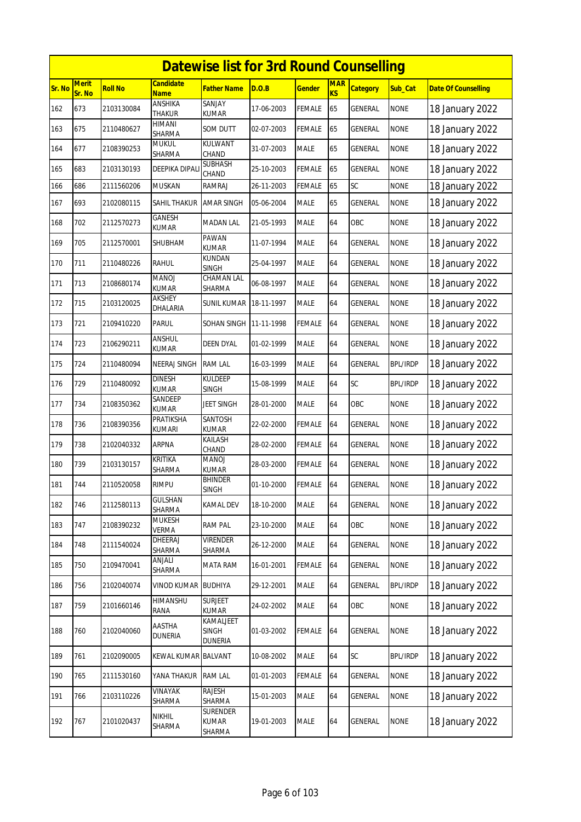|        | <b>Datewise list for 3rd Round Counselling</b><br><b>Merit</b><br>Candidate<br><b>MAR</b> |                |                               |                                      |            |               |    |                 |                 |                            |  |  |  |
|--------|-------------------------------------------------------------------------------------------|----------------|-------------------------------|--------------------------------------|------------|---------------|----|-----------------|-----------------|----------------------------|--|--|--|
| Sr. No | Sr. No                                                                                    | <b>Roll No</b> | <b>Name</b>                   | <b>Father Name</b>                   | D.O.B      | <u>Gender</u> | KS | <b>Category</b> | Sub_Cat         | <b>Date Of Counselling</b> |  |  |  |
| 162    | 673                                                                                       | 2103130084     | ANSHIKA<br><b>THAKUR</b>      | <b>SANJAY</b><br><b>KUMAR</b>        | 17-06-2003 | FEMALE        | 65 | GENERAL         | <b>NONE</b>     | 18 January 2022            |  |  |  |
| 163    | 675                                                                                       | 2110480627     | HIMANI<br>SHARMA              | SOM DUTT                             | 02-07-2003 | <b>FEMALE</b> | 65 | GENERAL         | <b>NONE</b>     | 18 January 2022            |  |  |  |
| 164    | 677                                                                                       | 2108390253     | <b>MUKUL</b><br>SHARMA        | KULWANT<br>CHAND                     | 31-07-2003 | <b>MALE</b>   | 65 | GENERAL         | <b>NONE</b>     | 18 January 2022            |  |  |  |
| 165    | 683                                                                                       | 2103130193     | DEEPIKA DIPAL                 | SUBHASH<br>CHAND                     | 25-10-2003 | FEMALE        | 65 | GENERAL         | <b>NONE</b>     | 18 January 2022            |  |  |  |
| 166    | 686                                                                                       | 2111560206     | MUSKAN                        | <b>RAMRAJ</b>                        | 26-11-2003 | <b>FEMALE</b> | 65 | SC              | <b>NONE</b>     | 18 January 2022            |  |  |  |
| 167    | 693                                                                                       | 2102080115     | SAHIL THAKUR                  | <b>AMAR SINGH</b>                    | 05-06-2004 | <b>MALE</b>   | 65 | <b>GENERAL</b>  | <b>NONE</b>     | 18 January 2022            |  |  |  |
| 168    | 702                                                                                       | 2112570273     | GANESH<br>kumar               | <b>MADAN LAL</b>                     | 21-05-1993 | MALE          | 64 | OBC             | <b>NONE</b>     | 18 January 2022            |  |  |  |
| 169    | 705                                                                                       | 2112570001     | SHUBHAM                       | PAWAN<br><b>KUMAR</b>                | 11-07-1994 | <b>MALE</b>   | 64 | GENERAL         | <b>NONE</b>     | 18 January 2022            |  |  |  |
| 170    | 711                                                                                       | 2110480226     | <b>RAHUL</b>                  | <b>KUNDAN</b><br><b>SINGH</b>        | 25-04-1997 | MALE          | 64 | GENERAL         | <b>NONE</b>     | 18 January 2022            |  |  |  |
| 171    | 713                                                                                       | 2108680174     | <b>LOVAM</b><br>KUMAR         | CHAMAN LAL<br>SHARMA                 | 06-08-1997 | MALE          | 64 | <b>GENERAL</b>  | <b>NONE</b>     | 18 January 2022            |  |  |  |
| 172    | 715                                                                                       | 2103120025     | AKSHEY<br>DHALARIA            | SUNIL KUMAR                          | 18-11-1997 | MALE          | 64 | GENERAL         | <b>NONE</b>     | 18 January 2022            |  |  |  |
| 173    | 721                                                                                       | 2109410220     | PARUL                         | SOHAN SINGH                          | 11-11-1998 | FEMALE        | 64 | GENERAL         | <b>NONE</b>     | 18 January 2022            |  |  |  |
| 174    | 723                                                                                       | 2106290211     | ANSHUL<br><b>KUMAR</b>        | <b>DEEN DYAL</b>                     | 01-02-1999 | <b>MALE</b>   | 64 | <b>GENERAL</b>  | <b>NONE</b>     | 18 January 2022            |  |  |  |
| 175    | 724                                                                                       | 2110480094     | NEERAJ SINGH                  | <b>RAM LAL</b>                       | 16-03-1999 | MALE          | 64 | GENERAL         | <b>BPL/IRDP</b> | 18 January 2022            |  |  |  |
| 176    | 729                                                                                       | 2110480092     | <b>DINESH</b><br><b>KUMAR</b> | KULDEEP<br><b>SINGH</b>              | 15-08-1999 | MALE          | 64 | SC              | <b>BPL/IRDP</b> | 18 January 2022            |  |  |  |
| 177    | 734                                                                                       | 2108350362     | SANDEEP<br><b>KUMAR</b>       | <b>JEET SINGH</b>                    | 28-01-2000 | MALE          | 64 | OBC             | <b>NONE</b>     | 18 January 2022            |  |  |  |
| 178    | 736                                                                                       | 2108390356     | PRATIKSHA<br>kumari           | SANTOSH<br><b>KUMAR</b>              | 22-02-2000 | <b>FEMALE</b> | 64 | <b>GENERAL</b>  | <b>NONE</b>     | 18 January 2022            |  |  |  |
| 179    | 738                                                                                       | 2102040332     | <b>ARPNA</b>                  | KAILASH<br>CHAND                     | 28-02-2000 | <b>FEMALE</b> | 64 | GENERAL         | <b>NONE</b>     | 18 January 2022            |  |  |  |
| 180    | 739                                                                                       | 2103130157     | KRITIKA<br>SHARMA             | <b>MANOJ</b><br>KUMAR                | 28-03-2000 | FEMALE        | 64 | GENERAL         | <b>NONE</b>     | 18 January 2022            |  |  |  |
| 181    | 744                                                                                       | 2110520058     | <b>RIMPU</b>                  | <b>BHINDER</b><br><b>SINGH</b>       | 01-10-2000 | <b>FEMALE</b> | 64 | GENERAL         | <b>NONE</b>     | 18 January 2022            |  |  |  |
| 182    | 746                                                                                       | 2112580113     | <b>GULSHAN</b><br>SHARMA      | KAMAL DEV                            | 18-10-2000 | <b>MALE</b>   | 64 | <b>GENERAL</b>  | <b>NONE</b>     | 18 January 2022            |  |  |  |
| 183    | 747                                                                                       | 2108390232     | <b>MUKESH</b><br>VERMA        | <b>RAM PAL</b>                       | 23-10-2000 | MALE          | 64 | OBC             | <b>NONE</b>     | 18 January 2022            |  |  |  |
| 184    | 748                                                                                       | 2111540024     | DHEERAJ<br>SHARMA             | <b>VIRENDER</b><br>SHARMA            | 26-12-2000 | MALE          | 64 | GENERAL         | <b>NONE</b>     | 18 January 2022            |  |  |  |
| 185    | 750                                                                                       | 2109470041     | ANJALI<br>SHARMA              | MATA RAM                             | 16-01-2001 | <b>FEMALE</b> | 64 | <b>GENERAL</b>  | <b>NONE</b>     | 18 January 2022            |  |  |  |
| 186    | 756                                                                                       | 2102040074     | <b>VINOD KUMAR</b>            | <b>BUDHIYA</b>                       | 29-12-2001 | MALE          | 64 | <b>GENERAL</b>  | <b>BPL/IRDP</b> | 18 January 2022            |  |  |  |
| 187    | 759                                                                                       | 2101660146     | HIMANSHU<br>RANA              | <b>SURJEET</b><br><b>KUMAR</b>       | 24-02-2002 | MALE          | 64 | OBC             | <b>NONE</b>     | 18 January 2022            |  |  |  |
| 188    | 760                                                                                       | 2102040060     | AASTHA<br><b>DUNERIA</b>      | KAMALJEET<br><b>SINGH</b><br>DUNERIA | 01-03-2002 | <b>FEMALE</b> | 64 | <b>GENERAL</b>  | <b>NONE</b>     | 18 January 2022            |  |  |  |
| 189    | 761                                                                                       | 2102090005     | KEWAL KUMAR BALVANT           |                                      | 10-08-2002 | MALE          | 64 | SC              | <b>BPL/IRDP</b> | 18 January 2022            |  |  |  |
| 190    | 765                                                                                       | 2111530160     | YANA THAKUR                   | <b>RAM LAL</b>                       | 01-01-2003 | <b>FEMALE</b> | 64 | GENERAL         | <b>NONE</b>     | 18 January 2022            |  |  |  |
| 191    | 766                                                                                       | 2103110226     | VINAYAK<br>SHARMA             | RAJESH<br>SHARMA                     | 15-01-2003 | <b>MALE</b>   | 64 | GENERAL         | <b>NONE</b>     | 18 January 2022            |  |  |  |
| 192    | 767                                                                                       | 2101020437     | nikhil<br>SHARMA              | <b>SURENDER</b><br>KUMAR<br>SHARMA   | 19-01-2003 | MALE          | 64 | GENERAL         | <b>NONE</b>     | 18 January 2022            |  |  |  |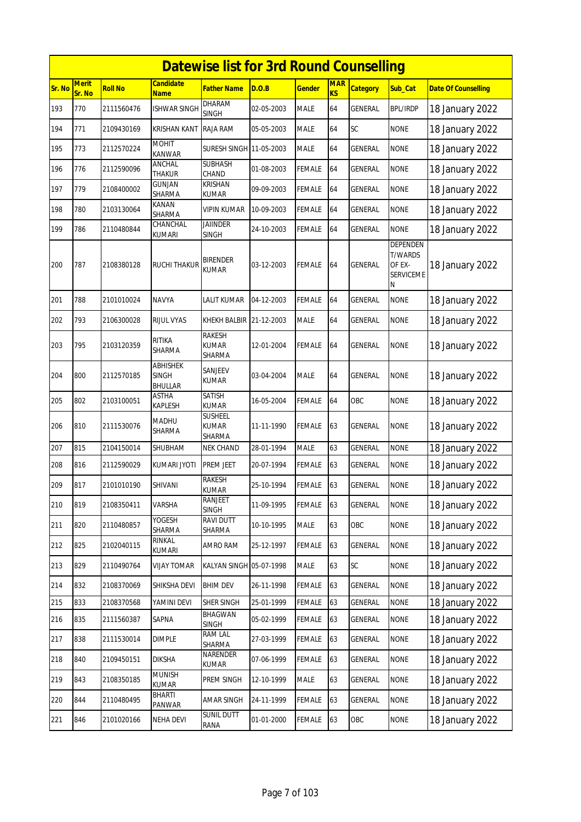|        | <b>Datewise list for 3rd Round Counselling</b> |                |                              |                                   |            |               |                  |                 |                                                                      |                            |  |  |
|--------|------------------------------------------------|----------------|------------------------------|-----------------------------------|------------|---------------|------------------|-----------------|----------------------------------------------------------------------|----------------------------|--|--|
| Sr. No | <b>Merit</b><br>Sr. No                         | <b>Roll No</b> | Candidate<br><b>Name</b>     | Father Name                       | D.O.B      | <b>Gender</b> | <b>MAR</b><br>KS | <b>Category</b> | Sub_Cat                                                              | <b>Date Of Counselling</b> |  |  |
| 193    | 770                                            | 2111560476     | <b>ISHWAR SINGH</b>          | DHARAM<br><b>SINGH</b>            | 02-05-2003 | <b>MALE</b>   | 64               | <b>GENERAL</b>  | <b>BPL/IRDP</b>                                                      | 18 January 2022            |  |  |
| 194    | 771                                            | 2109430169     | KRISHAN KANT                 | RAJA RAM                          | 05-05-2003 | <b>MALE</b>   | 64               | SC              | <b>NONE</b>                                                          | 18 January 2022            |  |  |
| 195    | 773                                            | 2112570224     | MOHIT<br>KANWAR              | SURESH SINGH 11-05-2003           |            | <b>MALE</b>   | 64               | GENERAL         | <b>NONE</b>                                                          | 18 January 2022            |  |  |
| 196    | 776                                            | 2112590096     | ANCHAL<br><b>THAKUR</b>      | <b>SUBHASH</b><br>CHAND           | 01-08-2003 | <b>FEMALE</b> | 64               | <b>GENERAL</b>  | <b>NONE</b>                                                          | 18 January 2022            |  |  |
| 197    | 779                                            | 2108400002     | <b>GUNJAN</b><br>SHARMA      | KRISHAN<br>KUMAR                  | 09-09-2003 | <b>FEMALE</b> | 64               | <b>GENERAL</b>  | <b>NONE</b>                                                          | 18 January 2022            |  |  |
| 198    | 780                                            | 2103130064     | KANAN<br>SHARMA              | VIPIN KUMAR                       | 10-09-2003 | <b>FEMALE</b> | 64               | <b>GENERAL</b>  | <b>NONE</b>                                                          | 18 January 2022            |  |  |
| 199    | 786                                            | 2110480844     | CHANCHAL<br>kumari           | <b>JAIINDER</b><br><b>SINGH</b>   | 24-10-2003 | <b>FEMALE</b> | 64               | GENERAL         | <b>NONE</b>                                                          | 18 January 2022            |  |  |
| 200    | 787                                            | 2108380128     | RUCHI THAKUR                 | <b>BIRENDER</b><br><b>KUMAR</b>   | 03-12-2003 | <b>FEMALE</b> | 64               | <b>GENERAL</b>  | <b>DEPENDEN</b><br><b>T/WARDS</b><br>OF EX-<br><b>SERVICEME</b><br>Ν | 18 January 2022            |  |  |
| 201    | 788                                            | 2101010024     | NAVYA                        | LALIT KUMAR                       | 04-12-2003 | <b>FEMALE</b> | 64               | GENERAL         | <b>NONE</b>                                                          | 18 January 2022            |  |  |
| 202    | 793                                            | 2106300028     | <b>RIJUL VYAS</b>            | KHEKH BALBIR 21-12-2003           |            | <b>MALE</b>   | 64               | GENERAL         | <b>NONE</b>                                                          | 18 January 2022            |  |  |
| 203    | 795                                            | 2103120359     | RITIKA<br>SHARMA             | <b>RAKESH</b><br>KUMAR<br>SHARMA  | 12-01-2004 | <b>FEMALE</b> | 64               | <b>GENERAL</b>  | <b>NONE</b>                                                          | 18 January 2022            |  |  |
| 204    | 800                                            | 2112570185     | ABHISHEK<br>SINGH<br>BHULLAR | SANJEEV<br><b>KUMAR</b>           | 03-04-2004 | <b>MALE</b>   | 64               | GENERAL         | <b>NONE</b>                                                          | 18 January 2022            |  |  |
| 205    | 802                                            | 2103100051     | <b>ASTHA</b><br>KAPLESH      | SATISH<br><b>KUMAR</b>            | 16-05-2004 | <b>FEMALE</b> | 64               | OBC             | <b>NONE</b>                                                          | 18 January 2022            |  |  |
| 206    | 810                                            | 2111530076     | MADHU<br>SHARMA              | <b>SUSHEEL</b><br>KUMAR<br>SHARMA | 11-11-1990 | <b>FEMALE</b> | 63               | GENERAL         | <b>NONE</b>                                                          | 18 January 2022            |  |  |
| 207    | 815                                            | 2104150014     | SHUBHAM                      | <b>NEK CHAND</b>                  | 28-01-1994 | <b>MALE</b>   | 63               | <b>GENERAL</b>  | <b>NONE</b>                                                          | 18 January 2022            |  |  |
| 208    | 816                                            | 2112590029     | KUMARI JYOTI                 | PREM JEET                         | 20-07-1994 | FEMALE        | 63               | GENERAL         | <b>NONE</b>                                                          | 18 January 2022            |  |  |
| 209    | 817                                            | 2101010190     | SHIVANI                      | <b>RAKESH</b><br><b>KUMAR</b>     | 25-10-1994 | <b>FEMALE</b> | 63               | <b>GENERAL</b>  | <b>NONE</b>                                                          | 18 January 2022            |  |  |
| 210    | 819                                            | 2108350411     | VARSHA                       | RANJEET<br><b>SINGH</b>           | 11-09-1995 | <b>FEMALE</b> | 63               | <b>GENERAL</b>  | <b>NONE</b>                                                          | 18 January 2022            |  |  |
| 211    | 820                                            | 2110480857     | <b>YOGESH</b><br>SHARMA      | RAVI DUTT<br>SHARMA               | 10-10-1995 | MALE          | 63               | OBC             | <b>NONE</b>                                                          | 18 January 2022            |  |  |
| 212    | 825                                            | 2102040115     | RINKAL<br>KUMARI             | AMRO RAM                          | 25-12-1997 | <b>FEMALE</b> | 63               | GENERAL         | <b>NONE</b>                                                          | 18 January 2022            |  |  |
| 213    | 829                                            | 2110490764     | <b>VIJAY TOMAR</b>           | KALYAN SINGH 05-07-1998           |            | <b>MALE</b>   | 63               | SC              | <b>NONE</b>                                                          | 18 January 2022            |  |  |
| 214    | 832                                            | 2108370069     | SHIKSHA DEVI                 | <b>BHIM DEV</b>                   | 26-11-1998 | <b>FEMALE</b> | 63               | <b>GENERAL</b>  | <b>NONE</b>                                                          | 18 January 2022            |  |  |
| 215    | 833                                            | 2108370568     | YAMINI DEVI                  | SHER SINGH                        | 25-01-1999 | <b>FEMALE</b> | 63               | <b>GENERAL</b>  | <b>NONE</b>                                                          | 18 January 2022            |  |  |
| 216    | 835                                            | 2111560387     | SAPNA                        | <b>BHAGWAN</b><br><b>SINGH</b>    | 05-02-1999 | <b>FEMALE</b> | 63               | GENERAL         | <b>NONE</b>                                                          | 18 January 2022            |  |  |
| 217    | 838                                            | 2111530014     | <b>DIMPLE</b>                | RAM LAL<br>SHARMA                 | 27-03-1999 | <b>FEMALE</b> | 63               | GENERAL         | <b>NONE</b>                                                          | 18 January 2022            |  |  |
| 218    | 840                                            | 2109450151     | <b>DIKSHA</b>                | NARENDER<br>kumar                 | 07-06-1999 | <b>FEMALE</b> | 63               | GENERAL         | <b>NONE</b>                                                          | 18 January 2022            |  |  |
| 219    | 843                                            | 2108350185     | <b>MUNISH</b><br>KUMAR       | PREM SINGH                        | 12-10-1999 | <b>MALE</b>   | 63               | GENERAL         | <b>NONE</b>                                                          | 18 January 2022            |  |  |
| 220    | 844                                            | 2110480495     | BHARTI<br>PANWAR             | AMAR SINGH                        | 24-11-1999 | <b>FEMALE</b> | 63               | <b>GENERAL</b>  | <b>NONE</b>                                                          | 18 January 2022            |  |  |
| 221    | 846                                            | 2101020166     | <b>NEHA DEVI</b>             | <b>SUNIL DUTT</b><br>RANA         | 01-01-2000 | <b>FEMALE</b> | 63               | OBC             | <b>NONE</b>                                                          | 18 January 2022            |  |  |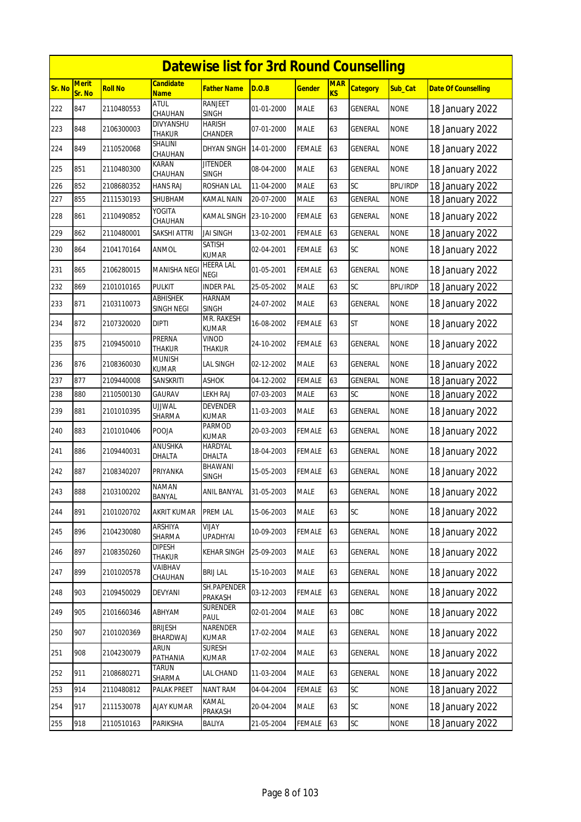|        | <b>Datewise list for 3rd Round Counselling</b> |                |                               |                                 |            |               |                  |                 |                 |                            |  |  |
|--------|------------------------------------------------|----------------|-------------------------------|---------------------------------|------------|---------------|------------------|-----------------|-----------------|----------------------------|--|--|
| Sr. No | <b>Merit</b><br>Sr. No                         | <b>Roll No</b> | Candidate<br><b>Name</b>      | Father Name                     | D.O.B      | <u>Gender</u> | <b>MAR</b><br>KS | <b>Category</b> | Sub_Cat         | <b>Date Of Counselling</b> |  |  |
| 222    | 847                                            | 2110480553     | <b>ATUL</b><br>CHAUHAN        | RANJEET<br><b>SINGH</b>         | 01-01-2000 | <b>MALE</b>   | 63               | GENERAL         | <b>NONE</b>     | 18 January 2022            |  |  |
| 223    | 848                                            | 2106300003     | DIVYANSHU<br>THAKUR           | <b>HARISH</b><br>CHANDER        | 07-01-2000 | <b>MALE</b>   | 63               | GENERAL         | <b>NONE</b>     | 18 January 2022            |  |  |
| 224    | 849                                            | 2110520068     | SHALINI<br>CHAUHAN            | DHYAN SINGH                     | 14-01-2000 | FEMALE        | 63               | GENERAL         | <b>NONE</b>     | 18 January 2022            |  |  |
| 225    | 851                                            | 2110480300     | KARAN<br>CHAUHAN              | <b>JITENDER</b><br><b>SINGH</b> | 08-04-2000 | <b>MALE</b>   | 63               | <b>GENERAL</b>  | <b>NONE</b>     | 18 January 2022            |  |  |
| 226    | 852                                            | 2108680352     | HANS RAJ                      | ROSHAN LAL                      | 11-04-2000 | <b>MALE</b>   | 63               | SC              | <b>BPL/IRDP</b> | 18 January 2022            |  |  |
| 227    | 855                                            | 2111530193     | SHUBHAM                       | KAMAL NAIN                      | 20-07-2000 | <b>MALE</b>   | 63               | <b>GENERAL</b>  | <b>NONE</b>     | 18 January 2022            |  |  |
| 228    | 861                                            | 2110490852     | YOGITA<br>CHAUHAN             | KAMAL SINGH                     | 23-10-2000 | FEMALE        | 63               | GENERAL         | <b>NONE</b>     | 18 January 2022            |  |  |
| 229    | 862                                            | 2110480001     | SAKSHI ATTRI                  | <b>JAI SINGH</b>                | 13-02-2001 | <b>FEMALE</b> | 63               | <b>GENERAL</b>  | <b>NONE</b>     | 18 January 2022            |  |  |
| 230    | 864                                            | 2104170164     | ANMOL                         | SATISH<br>KUMAR                 | 02-04-2001 | <b>FEMALE</b> | 63               | SC              | <b>NONE</b>     | 18 January 2022            |  |  |
| 231    | 865                                            | 2106280015     | MANISHA NEGI                  | HEERA LAL<br><b>NEGI</b>        | 01-05-2001 | <b>FEMALE</b> | 63               | GENERAL         | <b>NONE</b>     | 18 January 2022            |  |  |
| 232    | 869                                            | 2101010165     | Pulkit                        | <b>INDER PAL</b>                | 25-05-2002 | <b>MALE</b>   | 63               | SC              | <b>BPL/IRDP</b> | 18 January 2022            |  |  |
| 233    | 871                                            | 2103110073     | <b>ABHISHEK</b><br>SINGH NEGI | <b>HARNAM</b><br><b>SINGH</b>   | 24-07-2002 | <b>MALE</b>   | 63               | GENERAL         | <b>NONE</b>     | 18 January 2022            |  |  |
| 234    | 872                                            | 2107320020     | <b>DIPTI</b>                  | MR. RAKESH<br>KUMAR             | 16-08-2002 | FEMALE        | 63               | <b>ST</b>       | <b>NONE</b>     | 18 January 2022            |  |  |
| 235    | 875                                            | 2109450010     | PRERNA<br><b>THAKUR</b>       | Vinod<br>THAKUR                 | 24-10-2002 | <b>FEMALE</b> | 63               | <b>GENERAL</b>  | <b>NONE</b>     | 18 January 2022            |  |  |
| 236    | 876                                            | 2108360030     | munish<br>KUMAR               | LAL SINGH                       | 02-12-2002 | <b>MALE</b>   | 63               | GENERAL         | <b>NONE</b>     | 18 January 2022            |  |  |
| 237    | 877                                            | 2109440008     | SANSKRITI                     | <b>ASHOK</b>                    | 04-12-2002 | <b>FEMALE</b> | 63               | <b>GENERAL</b>  | <b>NONE</b>     | 18 January 2022            |  |  |
| 238    | 880                                            | 2110500130     | GAURAV                        | LEKH RAJ                        | 07-03-2003 | MALE          | 63               | SC              | <b>NONE</b>     | 18 January 2022            |  |  |
| 239    | 881                                            | 2101010395     | ujjwal<br>SHARMA              | DEVENDER<br>KUMAR               | 11-03-2003 | <b>MALE</b>   | 63               | GENERAL         | <b>NONE</b>     | 18 January 2022            |  |  |
| 240    | 883                                            | 2101010406     | POOJA                         | Parmod<br>KUMAR                 | 20-03-2003 | FEMALE        | 63               | <b>GENERAL</b>  | <b>NONE</b>     | 18 January 2022            |  |  |
| 241    | 886                                            | 2109440031     | ANUSHKA<br>DHALTA             | HARDYAL<br>DHALTA               | 18-04-2003 | <b>FEMALE</b> | 63               | GENERAL         | <b>NONE</b>     | 18 January 2022            |  |  |
| 242    | 887                                            | 2108340207     | PRIYANKA                      | BHAWANI<br>SINGH                | 15-05-2003 | FEMALE        | 63               | GENERAL         | <b>NONE</b>     | 18 January 2022            |  |  |
| 243    | 888                                            | 2103100202     | NAMAN<br>BANYAL               | ANIL BANYAL                     | 31-05-2003 | MALE          | 63               | GENERAL         | <b>NONE</b>     | 18 January 2022            |  |  |
| 244    | 891                                            | 2101020702     | <b>AKRIT KUMAR</b>            | PREM LAL<br>VIJAY               | 15-06-2003 | MALE          | 63               | SC              | <b>NONE</b>     | 18 January 2022            |  |  |
| 245    | 896                                            | 2104230080     | ARSHIYA<br>SHARMA             | <b>UPADHYAI</b>                 | 10-09-2003 | FEMALE        | 63               | GENERAL         | <b>NONE</b>     | 18 January 2022            |  |  |
| 246    | 897                                            | 2108350260     | <b>DIPESH</b><br>THAKUR       | KEHAR SINGH                     | 25-09-2003 | MALE          | 63               | GENERAL         | <b>NONE</b>     | 18 January 2022            |  |  |
| 247    | 899                                            | 2101020578     | VAIBHAV<br><b>CHAUHAN</b>     | <b>BRIJ LAL</b>                 | 15-10-2003 | MALE          | 63               | <b>GENERAL</b>  | <b>NONE</b>     | 18 January 2022            |  |  |
| 248    | 903                                            | 2109450029     | DEVYANI                       | SH.PAPENDER<br>PRAKASH          | 03-12-2003 | <b>FEMALE</b> | 63               | GENERAL         | <b>NONE</b>     | 18 January 2022            |  |  |
| 249    | 905                                            | 2101660346     | <b>ABHYAM</b>                 | <b>SURENDER</b><br>PAUL         | 02-01-2004 | MALE          | 63               | OBC             | <b>NONE</b>     | 18 January 2022            |  |  |
| 250    | 907                                            | 2101020369     | <b>BRIJESH</b><br>BHARDWAJ    | NARENDER<br>KUMAR               | 17-02-2004 | <b>MALE</b>   | 63               | GENERAL         | <b>NONE</b>     | 18 January 2022            |  |  |
| 251    | 908                                            | 2104230079     | ARUN<br>PATHANIA              | <b>SURESH</b><br>kumar          | 17-02-2004 | MALE          | 63               | GENERAL         | <b>NONE</b>     | 18 January 2022            |  |  |
| 252    | 911                                            | 2108680271     | TARUN<br>SHARMA               | LAL CHAND                       | 11-03-2004 | <b>MALE</b>   | 63               | GENERAL         | <b>NONE</b>     | 18 January 2022            |  |  |
| 253    | 914                                            | 2110480812     | PALAK PREET                   | NANT RAM                        | 04-04-2004 | <b>FEMALE</b> | 63               | SC              | <b>NONE</b>     | 18 January 2022            |  |  |
| 254    | 917                                            | 2111530078     | <b>AJAY KUMAR</b>             | KAMAL<br>PRAKASH                | 20-04-2004 | <b>MALE</b>   | 63               | SC              | <b>NONE</b>     | 18 January 2022            |  |  |
| 255    | 918                                            | 2110510163     | PARIKSHA                      | BALIYA                          | 21-05-2004 | FEMALE        | 63               | SC              | <b>NONE</b>     | 18 January 2022            |  |  |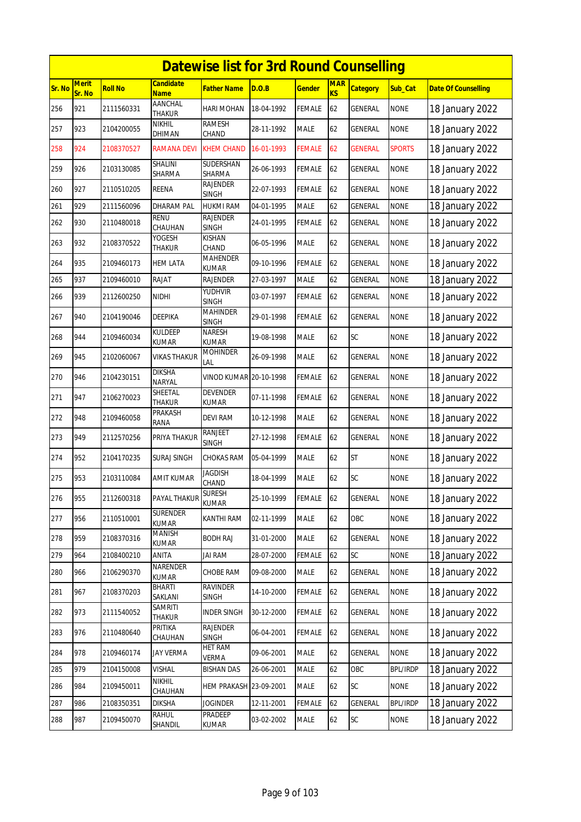|        | <b>Datewise list for 3rd Round Counselling</b><br><b>Merit</b><br><b>Candidate</b><br><b>MAR</b> |                |                                 |                                 |            |               |                |                 |                 |                            |  |  |  |
|--------|--------------------------------------------------------------------------------------------------|----------------|---------------------------------|---------------------------------|------------|---------------|----------------|-----------------|-----------------|----------------------------|--|--|--|
| Sr. No | Sr. No                                                                                           | <b>Roll No</b> | <b>Name</b>                     | <b>Father Name</b>              | D.O.B      | <b>Gender</b> | K <sub>S</sub> | <b>Category</b> | Sub Cat         | <b>Date Of Counselling</b> |  |  |  |
| 256    | 921                                                                                              | 2111560331     | <b>AANCHAL</b><br><b>THAKUR</b> | <b>HARI MOHAN</b>               | 18-04-1992 | <b>FEMALE</b> | 62             | GENERAL         | <b>NONE</b>     | 18 January 2022            |  |  |  |
| 257    | 923                                                                                              | 2104200055     | nikhil<br>DHIMAN                | RAMESH<br>CHAND                 | 28-11-1992 | <b>MALE</b>   | 62             | GENERAL         | <b>NONE</b>     | 18 January 2022            |  |  |  |
| 258    | 924                                                                                              | 2108370527     | <b>RAMANA DEVI</b>              | <b>KHEM CHAND</b>               | 16-01-1993 | <b>FEMALE</b> | 62             | <b>GENERAL</b>  | <b>SPORTS</b>   | 18 January 2022            |  |  |  |
| 259    | 926                                                                                              | 2103130085     | SHALINI<br>SHARMA               | SUDERSHAN<br>SHARMA             | 26-06-1993 | <b>FEMALE</b> | 62             | <b>GENERAL</b>  | <b>NONE</b>     | 18 January 2022            |  |  |  |
| 260    | 927                                                                                              | 2110510205     | REENA                           | <b>RAJENDER</b><br><b>SINGH</b> | 22-07-1993 | <b>FEMALE</b> | 62             | GENERAL         | <b>NONE</b>     | 18 January 2022            |  |  |  |
| 261    | 929                                                                                              | 2111560096     | <b>DHARAM PAL</b>               | <b>HUKMI RAM</b>                | 04-01-1995 | <b>MALE</b>   | 62             | <b>GENERAL</b>  | <b>NONE</b>     | 18 January 2022            |  |  |  |
| 262    | 930                                                                                              | 2110480018     | <b>RENU</b><br>CHAUHAN          | <b>RAJENDER</b><br><b>SINGH</b> | 24-01-1995 | <b>FEMALE</b> | 62             | GENERAL         | <b>NONE</b>     | 18 January 2022            |  |  |  |
| 263    | 932                                                                                              | 2108370522     | YOGESH<br>THAKUR                | <b>KISHAN</b><br>CHAND          | 06-05-1996 | <b>MALE</b>   | 62             | <b>GENERAL</b>  | <b>NONE</b>     | 18 January 2022            |  |  |  |
| 264    | 935                                                                                              | 2109460173     | <b>HEM LATA</b>                 | <b>MAHENDER</b><br><b>KUMAR</b> | 09-10-1996 | <b>FEMALE</b> | 62             | GENERAL         | <b>NONE</b>     | 18 January 2022            |  |  |  |
| 265    | 937                                                                                              | 2109460010     | RAJAT                           | <b>RAJENDER</b>                 | 27-03-1997 | <b>MALE</b>   | 62             | GENERAL         | <b>NONE</b>     | 18 January 2022            |  |  |  |
| 266    | 939                                                                                              | 2112600250     | <b>NIDHI</b>                    | YUDHVIR<br><b>SINGH</b>         | 03-07-1997 | <b>FEMALE</b> | 62             | <b>GENERAL</b>  | <b>NONE</b>     | 18 January 2022            |  |  |  |
| 267    | 940                                                                                              | 2104190046     | <b>DEEPIKA</b>                  | <b>MAHINDER</b><br><b>SINGH</b> | 29-01-1998 | <b>FEMALE</b> | 62             | GENERAL         | <b>NONE</b>     | 18 January 2022            |  |  |  |
| 268    | 944                                                                                              | 2109460034     | KULDEEP<br>KUMAR                | <b>NARESH</b><br><b>KUMAR</b>   | 19-08-1998 | <b>MALE</b>   | 62             | SC              | <b>NONE</b>     | 18 January 2022            |  |  |  |
| 269    | 945                                                                                              | 2102060067     | <b>VIKAS THAKUR</b>             | <b>MOHINDER</b><br>LAL          | 26-09-1998 | <b>MALE</b>   | 62             | GENERAL         | <b>NONE</b>     | 18 January 2022            |  |  |  |
| 270    | 946                                                                                              | 2104230151     | <b>DIKSHA</b><br><b>NARYAL</b>  | <b>VINOD KUMAR 20-10-1998</b>   |            | <b>FEMALE</b> | 62             | GENERAL         | <b>NONE</b>     | 18 January 2022            |  |  |  |
| 271    | 947                                                                                              | 2106270023     | SHEETAL<br><b>THAKUR</b>        | <b>DEVENDER</b><br><b>KUMAR</b> | 07-11-1998 | <b>FEMALE</b> | 62             | GENERAL         | <b>NONE</b>     | 18 January 2022            |  |  |  |
| 272    | 948                                                                                              | 2109460058     | PRAKASH<br>RANA                 | <b>DEVI RAM</b>                 | 10-12-1998 | <b>MALE</b>   | 62             | GENERAL         | <b>NONE</b>     | 18 January 2022            |  |  |  |
| 273    | 949                                                                                              | 2112570256     | PRIYA THAKUR                    | <b>RANJEET</b><br><b>SINGH</b>  | 27-12-1998 | <b>FEMALE</b> | 62             | <b>GENERAL</b>  | <b>NONE</b>     | 18 January 2022            |  |  |  |
| 274    | 952                                                                                              | 2104170235     | SURAJ SINGH                     | <b>CHOKAS RAM</b>               | 05-04-1999 | <b>MALE</b>   | 62             | <b>ST</b>       | <b>NONE</b>     | 18 January 2022            |  |  |  |
| 275    | 953                                                                                              | 2103110084     | <b>AMIT KUMAR</b>               | <b>JAGDISH</b><br>CHAND         | 18-04-1999 | <b>MALE</b>   | 62             | <b>SC</b>       | <b>NONE</b>     | 18 January 2022            |  |  |  |
| 276    | 955                                                                                              | 2112600318     | PAYAL THAKUR                    | SURESH<br><b>KUMAR</b>          | 25-10-1999 | <b>FEMALE</b> | 62             | GENERAL         | <b>NONE</b>     | 18 January 2022            |  |  |  |
| 277    | 956                                                                                              | 2110510001     | <b>SURENDER</b><br><b>KUMAR</b> | KANTHI RAM                      | 02-11-1999 | <b>MALE</b>   | 62             | OBC             | <b>NONE</b>     | 18 January 2022            |  |  |  |
| 278    | 959                                                                                              | 2108370316     | MANISH<br>KUMAR                 | <b>BODH RAJ</b>                 | 31-01-2000 | <b>MALE</b>   | 62             | GENERAL         | <b>NONE</b>     | 18 January 2022            |  |  |  |
| 279    | 964                                                                                              | 2108400210     | ANITA                           | <b>JAI RAM</b>                  | 28-07-2000 | <b>FEMALE</b> | 62             | SC              | <b>NONE</b>     | 18 January 2022            |  |  |  |
| 280    | 966                                                                                              | 2106290370     | NARENDER<br><b>KUMAR</b>        | <b>CHOBE RAM</b>                | 09-08-2000 | MALE          | 62             | GENERAL         | <b>NONE</b>     | 18 January 2022            |  |  |  |
| 281    | 967                                                                                              | 2108370203     | BHARTI<br>SAKLANI               | <b>RAVINDER</b><br>SINGH        | 14-10-2000 | FEMALE        | 62             | GENERAL         | <b>NONE</b>     | 18 January 2022            |  |  |  |
| 282    | 973                                                                                              | 2111540052     | <b>SAMRITI</b><br>THAKUR        | <b>INDER SINGH</b>              | 30-12-2000 | <b>FEMALE</b> | 62             | GENERAL         | <b>NONE</b>     | 18 January 2022            |  |  |  |
| 283    | 976                                                                                              | 2110480640     | PRITIKA<br>CHAUHAN              | <b>RAJENDER</b><br>SINGH        | 06-04-2001 | <b>FEMALE</b> | 62             | GENERAL         | <b>NONE</b>     | 18 January 2022            |  |  |  |
| 284    | 978                                                                                              | 2109460174     | <b>JAY VERMA</b>                | <b>HET RAM</b><br>VERMA         | 09-06-2001 | MALE          | 62             | <b>GENERAL</b>  | <b>NONE</b>     | 18 January 2022            |  |  |  |
| 285    | 979                                                                                              | 2104150008     | Vishal                          | <b>BISHAN DAS</b>               | 26-06-2001 | MALE          | 62             | OBC             | <b>BPL/IRDP</b> | 18 January 2022            |  |  |  |
| 286    | 984                                                                                              | 2109450011     | <b>NIKHIL</b><br>CHAUHAN        | <b>HEM PRAKASH 23-09-2001</b>   |            | MALE          | 62             | SC              | <b>NONE</b>     | 18 January 2022            |  |  |  |
| 287    | 986                                                                                              | 2108350351     | DIKSHA                          | Joginder                        | 12-11-2001 | <b>FEMALE</b> | 62             | GENERAL         | <b>BPL/IRDP</b> | 18 January 2022            |  |  |  |
| 288    | 987                                                                                              | 2109450070     | RAHUL<br>SHANDIL                | PRADEEP<br>KUMAR                | 03-02-2002 | <b>MALE</b>   | 62             | SC              | <b>NONE</b>     | 18 January 2022            |  |  |  |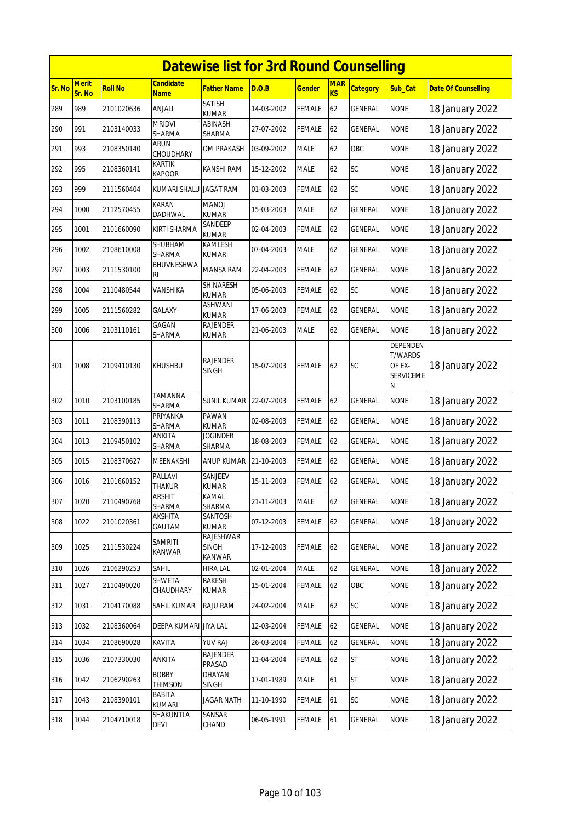|        | <b>Datewise list for 3rd Round Counselling</b> |                |                                 |                                     |            |               |                  |                 |                                                                      |                            |  |  |  |
|--------|------------------------------------------------|----------------|---------------------------------|-------------------------------------|------------|---------------|------------------|-----------------|----------------------------------------------------------------------|----------------------------|--|--|--|
| Sr. No | <b>Merit</b><br>Sr. No                         | <b>Roll No</b> | <b>Candidate</b><br><b>Name</b> | Father Name                         | D.O.B      | <u>Gender</u> | <b>MAR</b><br>KS | <b>Category</b> | Sub_Cat                                                              | <b>Date Of Counselling</b> |  |  |  |
| 289    | 989                                            | 2101020636     | ANJALI                          | SATISH<br><b>KUMAR</b>              | 14-03-2002 | <b>FEMALE</b> | 62               | GENERAL         | <b>NONE</b>                                                          | 18 January 2022            |  |  |  |
| 290    | 991                                            | 2103140033     | <b>MRIDVI</b><br>SHARMA         | ABINASH<br>SHARMA                   | 27-07-2002 | FEMALE        | 62               | GENERAL         | <b>NONE</b>                                                          | 18 January 2022            |  |  |  |
| 291    | 993                                            | 2108350140     | ARUN<br>CHOUDHARY               | OM PRAKASH                          | 03-09-2002 | MALE          | 62               | OBC             | <b>NONE</b>                                                          | 18 January 2022            |  |  |  |
| 292    | 995                                            | 2108360141     | KARTIK<br><b>KAPOOR</b>         | KANSHI RAM                          | 15-12-2002 | <b>MALE</b>   | 62               | <b>SC</b>       | <b>NONE</b>                                                          | 18 January 2022            |  |  |  |
| 293    | 999                                            | 2111560404     | <b>KUMARI SHALU</b>             | <b>JAGAT RAM</b>                    | 01-03-2003 | FEMALE        | 62               | SC              | <b>NONE</b>                                                          | 18 January 2022            |  |  |  |
| 294    | 1000                                           | 2112570455     | <b>KARAN</b><br><b>DADHWAL</b>  | <b>MANOJ</b><br><b>KUMAR</b>        | 15-03-2003 | <b>MALE</b>   | 62               | GENERAL         | <b>NONE</b>                                                          | 18 January 2022            |  |  |  |
| 295    | 1001                                           | 2101660090     | KIRTI SHARMA                    | SANDEEP<br>KUMAR                    | 02-04-2003 | FEMALE        | 62               | GENERAL         | <b>NONE</b>                                                          | 18 January 2022            |  |  |  |
| 296    | 1002                                           | 2108610008     | SHUBHAM<br>SHARMA               | KAMLESH<br><b>KUMAR</b>             | 07-04-2003 | <b>MALE</b>   | 62               | GENERAL         | <b>NONE</b>                                                          | 18 January 2022            |  |  |  |
| 297    | 1003                                           | 2111530100     | <b>BHUVNESHWA</b><br>RI         | MANSA RAM                           | 22-04-2003 | FEMALE        | 62               | GENERAL         | <b>NONE</b>                                                          | 18 January 2022            |  |  |  |
| 298    | 1004                                           | 2110480544     | VANSHIKA                        | SH.NARESH<br>KUMAR                  | 05-06-2003 | FEMALE        | 62               | SC              | <b>NONE</b>                                                          | 18 January 2022            |  |  |  |
| 299    | 1005                                           | 2111560282     | <b>GALAXY</b>                   | ASHWANI<br>KUMAR                    | 17-06-2003 | <b>FEMALE</b> | 62               | <b>GENERAL</b>  | <b>NONE</b>                                                          | 18 January 2022            |  |  |  |
| 300    | 1006                                           | 2103110161     | GAGAN<br>SHARMA                 | RAJENDER<br>kumar                   | 21-06-2003 | MALE          | 62               | GENERAL         | <b>NONE</b>                                                          | 18 January 2022            |  |  |  |
| 301    | 1008                                           | 2109410130     | <b>KHUSHBU</b>                  | <b>RAJENDER</b><br>SINGH            | 15-07-2003 | FEMALE        | 62               | <b>SC</b>       | <b>DEPENDEN</b><br><b>T/WARDS</b><br>OF EX-<br><b>SERVICEME</b><br>Ν | 18 January 2022            |  |  |  |
| 302    | 1010                                           | 2103100185     | TAMANNA<br>SHARMA               | <b>SUNIL KUMAR</b>                  | 22-07-2003 | FEMALE        | 62               | GENERAL         | <b>NONE</b>                                                          | 18 January 2022            |  |  |  |
| 303    | 1011                                           | 2108390113     | PRIYANKA<br>SHARMA              | PAWAN<br><b>KUMAR</b>               | 02-08-2003 | FEMALE        | 62               | GENERAL         | <b>NONE</b>                                                          | 18 January 2022            |  |  |  |
| 304    | 1013                                           | 2109450102     | ANKITA<br>SHARMA                | Joginder<br>SHARMA                  | 18-08-2003 | FEMALE        | 62               | GENERAL         | <b>NONE</b>                                                          | 18 January 2022            |  |  |  |
| 305    | 1015                                           | 2108370627     | MEENAKSHI                       | ANUP KUMAR                          | 21-10-2003 | <b>FEMALE</b> | 62               | GENERAL         | <b>NONE</b>                                                          | 18 January 2022            |  |  |  |
| 306    | 1016                                           | 2101660152     | PALLAVI<br><b>THAKUR</b>        | SANJEEV<br><b>KUMAR</b>             | 15-11-2003 | <b>FEMALE</b> | 62               | <b>GENERAL</b>  | <b>NONE</b>                                                          | 18 January 2022            |  |  |  |
| 307    | 1020                                           | 2110490768     | <b>ARSHIT</b><br>SHARMA         | KAMAL<br>SHARMA                     | 21-11-2003 | <b>MALE</b>   | 62               | GENERAL         | <b>NONE</b>                                                          | 18 January 2022            |  |  |  |
| 308    | 1022                                           | 2101020361     | AKSHITA<br>GAUTAM               | SANTOSH<br><b>KUMAR</b>             | 07-12-2003 | <b>FEMALE</b> | 62               | GENERAL         | <b>NONE</b>                                                          | 18 January 2022            |  |  |  |
| 309    | 1025                                           | 2111530224     | <b>SAMRITI</b><br>KANWAR        | RAJESHWAR<br>SINGH<br><b>KANWAR</b> | 17-12-2003 | <b>FEMALE</b> | 62               | GENERAL         | <b>NONE</b>                                                          | 18 January 2022            |  |  |  |
| 310    | 1026                                           | 2106290253     | SAHIL                           | HIRA LAL                            | 02-01-2004 | MALE          | 62               | GENERAL         | <b>NONE</b>                                                          | 18 January 2022            |  |  |  |
| 311    | 1027                                           | 2110490020     | SHWETA<br>CHAUDHARY             | <b>RAKESH</b><br>KUMAR              | 15-01-2004 | FEMALE        | 62               | OBC             | <b>NONE</b>                                                          | 18 January 2022            |  |  |  |
| 312    | 1031                                           | 2104170088     | SAHIL KUMAR                     | RAJU RAM                            | 24-02-2004 | MALE          | 62               | SC              | <b>NONE</b>                                                          | 18 January 2022            |  |  |  |
| 313    | 1032                                           | 2108360064     | DEEPA KUMARI JIYA LAL           |                                     | 12-03-2004 | <b>FEMALE</b> | 62               | GENERAL         | <b>NONE</b>                                                          | 18 January 2022            |  |  |  |
| 314    | 1034                                           | 2108690028     | KAVITA                          | YUV RAJ                             | 26-03-2004 | FEMALE        | 62               | GENERAL         | <b>NONE</b>                                                          | 18 January 2022            |  |  |  |
| 315    | 1036                                           | 2107330030     | ANKITA                          | <b>RAJENDER</b><br>PRASAD           | 11-04-2004 | <b>FEMALE</b> | 62               | <b>ST</b>       | <b>NONE</b>                                                          | 18 January 2022            |  |  |  |
| 316    | 1042                                           | 2106290263     | <b>BOBBY</b><br><b>THIMSON</b>  | DHAYAN<br>SINGH                     | 17-01-1989 | MALE          | 61               | <b>ST</b>       | <b>NONE</b>                                                          | 18 January 2022            |  |  |  |
| 317    | 1043                                           | 2108390101     | BABITA<br>KUMARI                | <b>JAGAR NATH</b>                   | 11-10-1990 | <b>FEMALE</b> | 61               | SC              | <b>NONE</b>                                                          | 18 January 2022            |  |  |  |
| 318    | 1044                                           | 2104710018     | SHAKUNTLA<br>DEVI               | <b>SANSAR</b><br>CHAND              | 06-05-1991 | FEMALE        | 61               | GENERAL         | <b>NONE</b>                                                          | 18 January 2022            |  |  |  |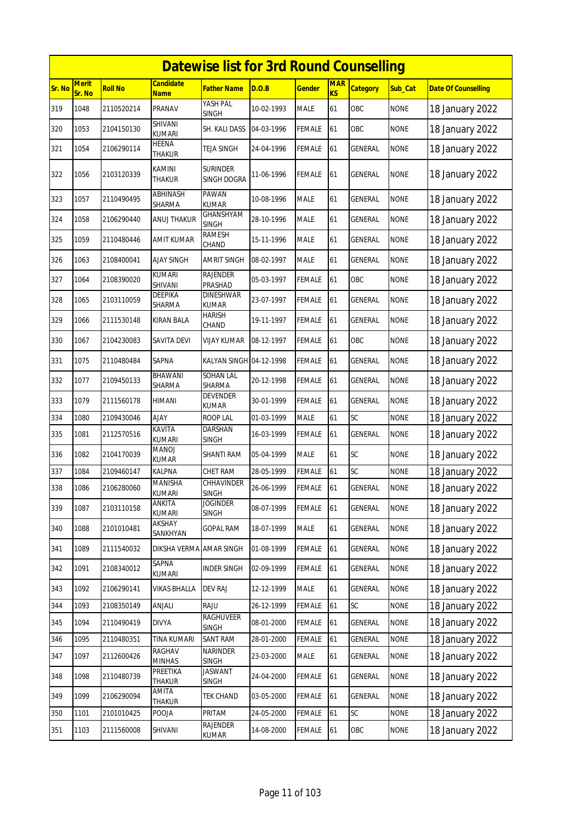|        | <b>Datewise list for 3rd Round Counselling</b><br><b>Merit</b><br>Candidate<br><b>MAR</b> |                |                               |                                  |            |               |    |                 |             |                            |  |  |  |
|--------|-------------------------------------------------------------------------------------------|----------------|-------------------------------|----------------------------------|------------|---------------|----|-----------------|-------------|----------------------------|--|--|--|
| Sr. No | Sr. No                                                                                    | <b>Roll No</b> | <b>Name</b>                   | <b>Father Name</b>               | D.O.B      | <u>Gender</u> | KS | <b>Category</b> | Sub_Cat     | <b>Date Of Counselling</b> |  |  |  |
| 319    | 1048                                                                                      | 2110520214     | PRANAV                        | YASH PAL<br><b>SINGH</b>         | 10-02-1993 | <b>MALE</b>   | 61 | OBC             | <b>NONE</b> | 18 January 2022            |  |  |  |
| 320    | 1053                                                                                      | 2104150130     | SHIVANI<br>kumari             | SH. KALI DASS                    | 04-03-1996 | <b>FEMALE</b> | 61 | OBC             | <b>NONE</b> | 18 January 2022            |  |  |  |
| 321    | 1054                                                                                      | 2106290114     | <b>HEENA</b><br><b>THAKUR</b> | TEJA SINGH                       | 24-04-1996 | FEMALE        | 61 | GENERAL         | <b>NONE</b> | 18 January 2022            |  |  |  |
| 322    | 1056                                                                                      | 2103120339     | KAMINI<br><b>THAKUR</b>       | <b>SURINDER</b><br>SINGH DOGRA   | 11-06-1996 | <b>FEMALE</b> | 61 | <b>GENERAL</b>  | <b>NONE</b> | 18 January 2022            |  |  |  |
| 323    | 1057                                                                                      | 2110490495     | ABHINASH<br>SHARMA            | <b>PAWAN</b><br><b>KUMAR</b>     | 10-08-1996 | <b>MALE</b>   | 61 | GENERAL         | <b>NONE</b> | 18 January 2022            |  |  |  |
| 324    | 1058                                                                                      | 2106290440     | ANUJ THAKUR                   | <b>GHANSHYAM</b><br>SINGH        | 28-10-1996 | <b>MALE</b>   | 61 | <b>GENERAL</b>  | <b>NONE</b> | 18 January 2022            |  |  |  |
| 325    | 1059                                                                                      | 2110480446     | AMIT KUMAR                    | RAMESH<br>CHAND                  | 15-11-1996 | <b>MALE</b>   | 61 | GENERAL         | <b>NONE</b> | 18 January 2022            |  |  |  |
| 326    | 1063                                                                                      | 2108400041     | AJAY SINGH                    | AMRIT SINGH                      | 08-02-1997 | <b>MALE</b>   | 61 | GENERAL         | <b>NONE</b> | 18 January 2022            |  |  |  |
| 327    | 1064                                                                                      | 2108390020     | <b>KUMARI</b><br>SHIVANI      | <b>RAJENDER</b><br>PRASHAD       | 05-03-1997 | <b>FEMALE</b> | 61 | OBC             | <b>NONE</b> | 18 January 2022            |  |  |  |
| 328    | 1065                                                                                      | 2103110059     | DEEPIKA<br>SHARMA             | <b>DINESHWAR</b><br><b>KUMAR</b> | 23-07-1997 | <b>FEMALE</b> | 61 | <b>GENERAL</b>  | <b>NONE</b> | 18 January 2022            |  |  |  |
| 329    | 1066                                                                                      | 2111530148     | <b>KIRAN BALA</b>             | HARISH<br>CHAND                  | 19-11-1997 | <b>FEMALE</b> | 61 | <b>GENERAL</b>  | <b>NONE</b> | 18 January 2022            |  |  |  |
| 330    | 1067                                                                                      | 2104230083     | SAVITA DEVI                   | VIJAY KUMAR                      | 08-12-1997 | <b>FEMALE</b> | 61 | OBC             | <b>NONE</b> | 18 January 2022            |  |  |  |
| 331    | 1075                                                                                      | 2110480484     | SAPNA                         | KALYAN SINGH 04-12-1998          |            | <b>FEMALE</b> | 61 | <b>GENERAL</b>  | <b>NONE</b> | 18 January 2022            |  |  |  |
| 332    | 1077                                                                                      | 2109450133     | BHAWANI<br>SHARMA             | SOHAN LAL<br>SHARMA              | 20-12-1998 | <b>FEMALE</b> | 61 | GENERAL         | <b>NONE</b> | 18 January 2022            |  |  |  |
| 333    | 1079                                                                                      | 2111560178     | HIMANI                        | DEVENDER<br>kumar                | 30-01-1999 | <b>FEMALE</b> | 61 | <b>GENERAL</b>  | <b>NONE</b> | 18 January 2022            |  |  |  |
| 334    | 1080                                                                                      | 2109430046     | AJAY                          | ROOP LAL                         | 01-03-1999 | <b>MALE</b>   | 61 | SC              | <b>NONE</b> | 18 January 2022            |  |  |  |
| 335    | 1081                                                                                      | 2112570516     | KAVITA<br><b>KUMARI</b>       | DARSHAN<br><b>SINGH</b>          | 16-03-1999 | <b>FEMALE</b> | 61 | <b>GENERAL</b>  | <b>NONE</b> | 18 January 2022            |  |  |  |
| 336    | 1082                                                                                      | 2104170039     | MANOJ<br>KUMAR                | SHANTI RAM                       | 05-04-1999 | <b>MALE</b>   | 61 | <b>SC</b>       | <b>NONE</b> | 18 January 2022            |  |  |  |
| 337    | 1084                                                                                      | 2109460147     | KALPNA                        | CHET RAM                         | 28-05-1999 | <b>FEMALE</b> | 61 | SC              | <b>NONE</b> | 18 January 2022            |  |  |  |
| 338    | 1086                                                                                      | 2106280060     | MANISHA<br>KUMARI             | CHHAVINDER<br>SINGH              | 26-06-1999 | <b>FEMALE</b> | 61 | <b>GENERAL</b>  | <b>NONE</b> | 18 January 2022            |  |  |  |
| 339    | 1087                                                                                      | 2103110158     | ANKITA<br><b>KUMARI</b>       | <b>JOGINDER</b><br><b>SINGH</b>  | 08-07-1999 | <b>FEMALE</b> | 61 | <b>GENERAL</b>  | <b>NONE</b> | 18 January 2022            |  |  |  |
| 340    | 1088                                                                                      | 2101010481     | AKSHAY<br>SANKHYAN            | <b>GOPAL RAM</b>                 | 18-07-1999 | MALE          | 61 | <b>GENERAL</b>  | <b>NONE</b> | 18 January 2022            |  |  |  |
| 341    | 1089                                                                                      | 2111540032     | DIKSHA VERMA                  | <b>AMAR SINGH</b>                | 01-08-1999 | <b>FEMALE</b> | 61 | GENERAL         | <b>NONE</b> | 18 January 2022            |  |  |  |
| 342    | 1091                                                                                      | 2108340012     | SAPNA<br>KUMARI               | <b>INDER SINGH</b>               | 02-09-1999 | <b>FEMALE</b> | 61 | GENERAL         | <b>NONE</b> | 18 January 2022            |  |  |  |
| 343    | 1092                                                                                      | 2106290141     | <b>VIKAS BHALLA</b>           | DEV RAJ                          | 12-12-1999 | <b>MALE</b>   | 61 | GENERAL         | <b>NONE</b> | 18 January 2022            |  |  |  |
| 344    | 1093                                                                                      | 2108350149     | ANJALI                        | RAJU                             | 26-12-1999 | FEMALE        | 61 | <b>SC</b>       | <b>NONE</b> | 18 January 2022            |  |  |  |
| 345    | 1094                                                                                      | 2110490419     | <b>DIVYA</b>                  | <b>RAGHUVEER</b><br><b>SINGH</b> | 08-01-2000 | <b>FEMALE</b> | 61 | <b>GENERAL</b>  | <b>NONE</b> | 18 January 2022            |  |  |  |
| 346    | 1095                                                                                      | 2110480351     | <b>TINA KUMARI</b>            | <b>SANT RAM</b>                  | 28-01-2000 | FEMALE        | 61 | GENERAL         | <b>NONE</b> | 18 January 2022            |  |  |  |
| 347    | 1097                                                                                      | 2112600426     | RAGHAV<br><b>MINHAS</b>       | NARINDER<br><b>SINGH</b>         | 23-03-2000 | <b>MALE</b>   | 61 | GENERAL         | <b>NONE</b> | 18 January 2022            |  |  |  |
| 348    | 1098                                                                                      | 2110480739     | PREETIKA<br>Thakur            | <b>JASWANT</b><br>SINGH          | 24-04-2000 | <b>FEMALE</b> | 61 | <b>GENERAL</b>  | <b>NONE</b> | 18 January 2022            |  |  |  |
| 349    | 1099                                                                                      | 2106290094     | AMITA<br>THAKUR               | <b>TEK CHAND</b>                 | 03-05-2000 | <b>FEMALE</b> | 61 | GENERAL         | <b>NONE</b> | 18 January 2022            |  |  |  |
| 350    | 1101                                                                                      | 2101010425     | POOJA                         | PRITAM                           | 24-05-2000 | FEMALE        | 61 | SC              | <b>NONE</b> | 18 January 2022            |  |  |  |
| 351    | 1103                                                                                      | 2111560008     | SHIVANI                       | RAJENDER<br><b>KUMAR</b>         | 14-08-2000 | <b>FEMALE</b> | 61 | OBC             | <b>NONE</b> | 18 January 2022            |  |  |  |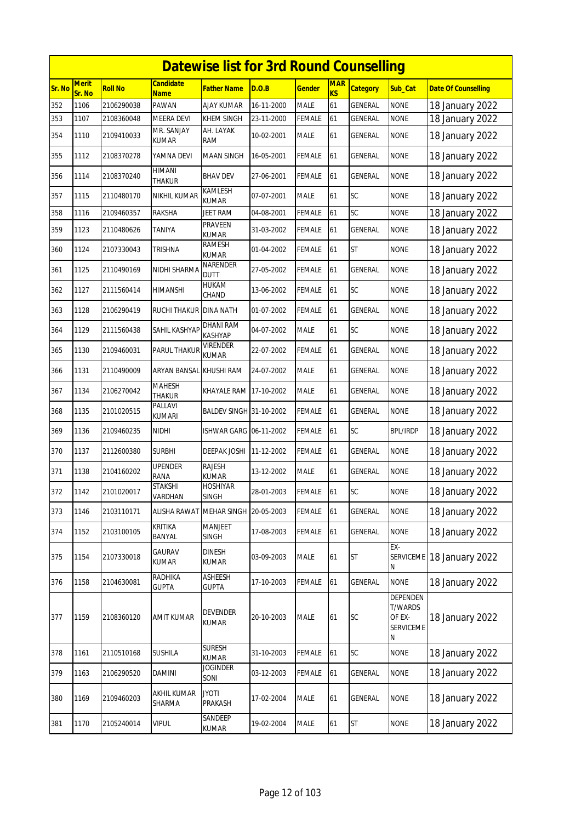|        | <b>Datewise list for 3rd Round Counselling</b> |                |                         |                                 |            |               |                  |                 |                                                        |                            |  |  |  |
|--------|------------------------------------------------|----------------|-------------------------|---------------------------------|------------|---------------|------------------|-----------------|--------------------------------------------------------|----------------------------|--|--|--|
| Sr. No | <b>Merit</b><br>Sr. No                         | <b>Roll No</b> | Candidate<br>Name       | <b>Father Name</b>              | D.O.B      | <b>Gender</b> | <b>MAR</b><br>KS | <b>Category</b> | Sub_Cat                                                | <b>Date Of Counselling</b> |  |  |  |
| 352    | 1106                                           | 2106290038     | PAWAN                   | <b>AJAY KUMAR</b>               | 16-11-2000 | <b>MALE</b>   | 61               | <b>GENERAL</b>  | <b>NONE</b>                                            | 18 January 2022            |  |  |  |
| 353    | 1107                                           | 2108360048     | MEERA DEVI              | KHEM SINGH                      | 23-11-2000 | <b>FEMALE</b> | 61               | GENERAL         | none                                                   | 18 January 2022            |  |  |  |
| 354    | 1110                                           | 2109410033     | mr. Sanjay<br>kumar     | AH. LAYAK<br>ram                | 10-02-2001 | <b>MALE</b>   | 61               | GENERAL         | <b>NONE</b>                                            | 18 January 2022            |  |  |  |
| 355    | 1112                                           | 2108370278     | YAMNA DEVI              | <b>MAAN SINGH</b>               | 16-05-2001 | <b>FEMALE</b> | 61               | GENERAL         | <b>NONE</b>                                            | 18 January 2022            |  |  |  |
| 356    | 1114                                           | 2108370240     | HIMANI<br>Thakur        | BHAV DEV                        | 27-06-2001 | <b>FEMALE</b> | 61               | GENERAL         | <b>NONE</b>                                            | 18 January 2022            |  |  |  |
| 357    | 1115                                           | 2110480170     | nikhil kumar            | KAMLESH<br><b>KUMAR</b>         | 07-07-2001 | <b>MALE</b>   | 61               | SC              | <b>NONE</b>                                            | 18 January 2022            |  |  |  |
| 358    | 1116                                           | 2109460357     | RAKSHA                  | JEET RAM                        | 04-08-2001 | FEMALE        | 61               | SC              | <b>NONE</b>                                            | 18 January 2022            |  |  |  |
| 359    | 1123                                           | 2110480626     | TANIYA                  | PRAVEEN<br>KUMAR                | 31-03-2002 | <b>FEMALE</b> | 61               | GENERAL         | <b>NONE</b>                                            | 18 January 2022            |  |  |  |
| 360    | 1124                                           | 2107330043     | trishna                 | <b>RAMESH</b><br>KUMAR          | 01-04-2002 | <b>FEMALE</b> | 61               | <b>ST</b>       | <b>NONE</b>                                            | 18 January 2022            |  |  |  |
| 361    | 1125                                           | 2110490169     | NIDHI SHARMA            | NARENDER<br>dutt                | 27-05-2002 | <b>FEMALE</b> | 61               | GENERAL         | <b>NONE</b>                                            | 18 January 2022            |  |  |  |
| 362    | 1127                                           | 2111560414     | HIMANSHI                | HUKAM<br>CHAND                  | 13-06-2002 | <b>FEMALE</b> | 61               | SC              | <b>NONE</b>                                            | 18 January 2022            |  |  |  |
| 363    | 1128                                           | 2106290419     | RUCHI THAKUR            | <b>DINA NATH</b>                | 01-07-2002 | <b>FEMALE</b> | 61               | <b>GENERAL</b>  | <b>NONE</b>                                            | 18 January 2022            |  |  |  |
| 364    | 1129                                           | 2111560438     | SAHIL KASHYAP           | DHANI RAM<br>KASHYAP            | 04-07-2002 | <b>MALE</b>   | 61               | SC              | <b>NONE</b>                                            | 18 January 2022            |  |  |  |
| 365    | 1130                                           | 2109460031     | PARUL THAKUF            | Virender<br><b>KUMAR</b>        | 22-07-2002 | <b>FEMALE</b> | 61               | <b>GENERAL</b>  | <b>NONE</b>                                            | 18 January 2022            |  |  |  |
| 366    | 1131                                           | 2110490009     | ARYAN BANSAL            | KHUSHI RAM                      | 24-07-2002 | <b>MALE</b>   | 61               | GENERAL         | <b>NONE</b>                                            | 18 January 2022            |  |  |  |
| 367    | 1134                                           | 2106270042     | <b>MAHESH</b><br>THAKUR | KHAYALE RAM 17-10-2002          |            | <b>MALE</b>   | 61               | <b>GENERAL</b>  | <b>NONE</b>                                            | 18 January 2022            |  |  |  |
| 368    | 1135                                           | 2101020515     | PALLAVI<br>kumari       | BALDEV SINGH 31-10-2002         |            | <b>FEMALE</b> | 61               | GENERAL         | <b>NONE</b>                                            | 18 January 2022            |  |  |  |
| 369    | 1136                                           | 2109460235     | NIDHI                   | ISHWAR GARG 06-11-2002          |            | <b>FEMALE</b> | 61               | <b>SC</b>       | <b>BPL/IRDP</b>                                        | 18 January 2022            |  |  |  |
| 370    | 1137                                           | 2112600380     | Surbhi                  | DEEPAK JOSHI                    | 11-12-2002 | FEMALE        | 61               | GENERAL         | <b>NONE</b>                                            | 18 January 2022            |  |  |  |
| 371    | 1138                                           | 2104160202     | UPENDER<br>rana         | <b>RAJESH</b><br>kumar          | 13-12-2002 | MALE          | 61               | GENERAL         | <b>NONE</b>                                            | 18 January 2022            |  |  |  |
| 372    | 1142                                           | 2101020017     | STAKSHI<br>VARDHAN      | HOSHIYAR<br><b>SINGH</b>        | 28-01-2003 | <b>FEMALE</b> | 61               | SC              | <b>NONE</b>                                            | 18 January 2022            |  |  |  |
| 373    | 1146                                           | 2103110171     | <b>ALISHA RAWAT</b>     | MEHAR SINGH 20-05-2003          |            | <b>FEMALE</b> | 61               | GENERAL         | <b>NONE</b>                                            | 18 January 2022            |  |  |  |
| 374    | 1152                                           | 2103100105     | KRITIKA<br>BANYAL       | MANJEET<br><b>SINGH</b>         | 17-08-2003 | <b>FEMALE</b> | 61               | <b>GENERAL</b>  | <b>NONE</b>                                            | 18 January 2022            |  |  |  |
| 375    | 1154                                           | 2107330018     | GAURAV<br>KUMAR         | <b>DINESH</b><br>KUMAR          | 03-09-2003 | <b>MALE</b>   | 61               | <b>ST</b>       | EX-<br>Ν                                               | SERVICEME 18 January 2022  |  |  |  |
| 376    | 1158                                           | 2104630081     | RADHIKA<br><b>GUPTA</b> | <b>ASHEESH</b><br><b>GUPTA</b>  | 17-10-2003 | <b>FEMALE</b> | 61               | GENERAL         | <b>NONE</b>                                            | 18 January 2022            |  |  |  |
| 377    | 1159                                           | 2108360120     | <b>AMIT KUMAR</b>       | <b>DEVENDER</b><br><b>KUMAR</b> | 20-10-2003 | <b>MALE</b>   | 61               | SC              | DEPENDEN<br><b>T/WARDS</b><br>OF EX-<br>SERVICEME<br>Ν | 18 January 2022            |  |  |  |
| 378    | 1161                                           | 2110510168     | <b>SUSHILA</b>          | <b>SURESH</b><br><b>KUMAR</b>   | 31-10-2003 | FEMALE        | 61               | SC              | <b>NONE</b>                                            | 18 January 2022            |  |  |  |
| 379    | 1163                                           | 2106290520     | DAMINI                  | <b>JOGINDER</b><br>SONI         | 03-12-2003 | <b>FEMALE</b> | 61               | <b>GENERAL</b>  | <b>NONE</b>                                            | 18 January 2022            |  |  |  |
| 380    | 1169                                           | 2109460203     | AKHIL KUMAR<br>SHARMA   | <b>JYOTI</b><br><b>PRAKASH</b>  | 17-02-2004 | <b>MALE</b>   | 61               | <b>GENERAL</b>  | <b>NONE</b>                                            | 18 January 2022            |  |  |  |
| 381    | 1170                                           | 2105240014     | <b>VIPUL</b>            | SANDEEP<br>KUMAR                | 19-02-2004 | <b>MALE</b>   | 61               | <b>ST</b>       | <b>NONE</b>                                            | 18 January 2022            |  |  |  |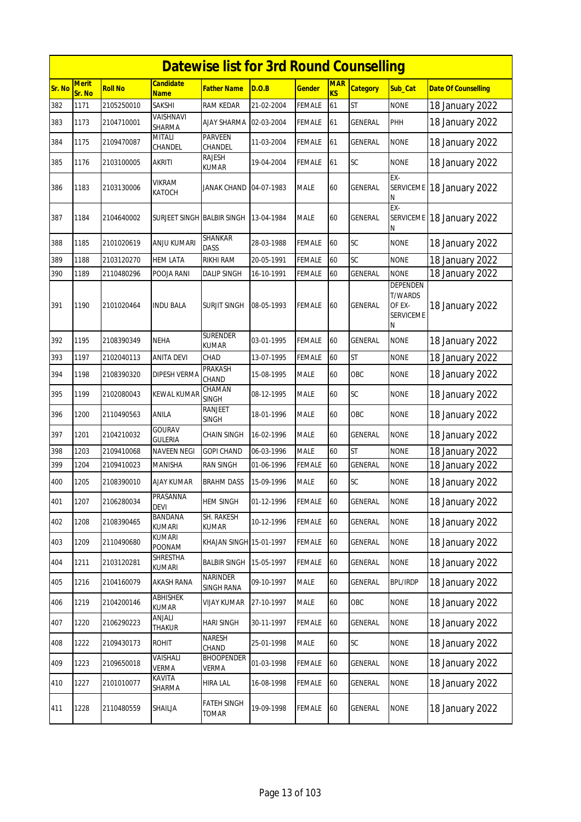|        |                        |                |                                 | <b>Datewise list for 3rd Round Counselling</b> |            |               |                  |                 |                                                               |                            |
|--------|------------------------|----------------|---------------------------------|------------------------------------------------|------------|---------------|------------------|-----------------|---------------------------------------------------------------|----------------------------|
| Sr. No | <b>Merit</b><br>Sr. No | <b>Roll No</b> | <b>Candidate</b><br><b>Name</b> | Father Name                                    | D.O.B      | <u>Gender</u> | <b>MAR</b><br>KS | <b>Category</b> | Sub Cat                                                       | <b>Date Of Counselling</b> |
| 382    | 1171                   | 2105250010     | <b>SAKSHI</b>                   | RAM KEDAR                                      | 21-02-2004 | FEMALE        | 61               | <b>ST</b>       | <b>NONE</b>                                                   | 18 January 2022            |
| 383    | 1173                   | 2104710001     | VAISHNAVI<br><b>SHARMA</b>      | <b>AJAY SHARMA</b>                             | 02-03-2004 | FEMALE        | 61               | GENERAL         | PHH                                                           | 18 January 2022            |
| 384    | 1175                   | 2109470087     | <b>MITALI</b><br>CHANDEL        | <b>PARVEEN</b><br>CHANDEL                      | 11-03-2004 | FEMALE        | 61               | GENERAL         | <b>NONE</b>                                                   | 18 January 2022            |
| 385    | 1176                   | 2103100005     | <b>AKRITI</b>                   | RAJESH<br>KUMAR                                | 19-04-2004 | <b>FEMALE</b> | 61               | <b>SC</b>       | <b>NONE</b>                                                   | 18 January 2022            |
| 386    | 1183                   | 2103130006     | <b>VIKRAM</b><br><b>KATOCH</b>  | JANAK CHAND 04-07-1983                         |            | MALE          | 60               | GENERAL         | EX-<br>Ν                                                      | SERVICEME 18 January 2022  |
| 387    | 1184                   | 2104640002     | SURJEET SINGH BALBIR SINGH      |                                                | 13-04-1984 | MALE          | 60               | <b>GENERAL</b>  | EX-<br><b>SERVICEME</b><br>Ν                                  | 18 January 2022            |
| 388    | 1185                   | 2101020619     | ANJU KUMARI                     | SHANKAR<br><b>DASS</b>                         | 28-03-1988 | FEMALE        | 60               | SC              | <b>NONE</b>                                                   | 18 January 2022            |
| 389    | 1188                   | 2103120270     | <b>HEM LATA</b>                 | RIKHI RAM                                      | 20-05-1991 | FEMALE        | 60               | SC              | <b>NONE</b>                                                   | 18 January 2022            |
| 390    | 1189                   | 2110480296     | POOJA RANI                      | <b>DALIP SINGH</b>                             | 16-10-1991 | FEMALE        | 60               | <b>GENERAL</b>  | <b>NONE</b>                                                   | 18 January 2022            |
| 391    | 1190                   | 2101020464     | <b>INDU BALA</b>                | <b>SURJIT SINGH</b>                            | 08-05-1993 | FEMALE        | 60               | GENERAL         | DEPENDEN<br><b>T/WARDS</b><br>OF EX-<br><b>SERVICEME</b><br>Ν | 18 January 2022            |
| 392    | 1195                   | 2108390349     | <b>NEHA</b>                     | <b>SURENDER</b><br><b>KUMAR</b>                | 03-01-1995 | FEMALE        | 60               | GENERAL         | <b>NONE</b>                                                   | 18 January 2022            |
| 393    | 1197                   | 2102040113     | <b>ANITA DEVI</b>               | CHAD                                           | 13-07-1995 | FEMALE        | 60               | <b>ST</b>       | <b>NONE</b>                                                   | 18 January 2022            |
| 394    | 1198                   | 2108390320     | <b>DIPESH VERMA</b>             | PRAKASH<br>CHAND                               | 15-08-1995 | <b>MALE</b>   | 60               | OBC             | <b>NONE</b>                                                   | 18 January 2022            |
| 395    | 1199                   | 2102080043     | KEWAL KUMAR                     | CHAMAN<br><b>SINGH</b>                         | 08-12-1995 | MALE          | 60               | SC              | <b>NONE</b>                                                   | 18 January 2022            |
| 396    | 1200                   | 2110490563     | <b>ANILA</b>                    | RANJEET<br><b>SINGH</b>                        | 18-01-1996 | <b>MALE</b>   | 60               | OBC             | <b>NONE</b>                                                   | 18 January 2022            |
| 397    | 1201                   | 2104210032     | <b>GOURAV</b><br><b>GULERIA</b> | <b>CHAIN SINGH</b>                             | 16-02-1996 | MALE          | 60               | GENERAL         | <b>NONE</b>                                                   | 18 January 2022            |
| 398    | 1203                   | 2109410068     | NAVEEN NEGI                     | <b>GOPI CHAND</b>                              | 06-03-1996 | <b>MALE</b>   | 60               | <b>ST</b>       | <b>NONE</b>                                                   | 18 January 2022            |
| 399    | 1204                   | 2109410023     | <b>MANISHA</b>                  | RAN SINGH                                      | 01-06-1996 | FEMALE        | 60               | GENERAL         | <b>NONE</b>                                                   | 18 January 2022            |
| 400    | 1205                   | 2108390010     | AJAY KUMAR                      | <b>BRAHM DASS</b>                              | 15-09-1996 | MALE          | 60               | SC              | <b>NONE</b>                                                   | 18 January 2022            |
| 401    | 1207                   | 2106280034     | PRASANNA<br><b>DEVI</b>         | <b>HEM SINGH</b>                               | 01-12-1996 | <b>FEMALE</b> | 60               | <b>GENERAL</b>  | <b>NONE</b>                                                   | 18 January 2022            |
| 402    | 1208                   | 2108390465     | BANDANA<br><b>KUMARI</b>        | SH. RAKESH<br>KUMAR                            | 10-12-1996 | <b>FEMALE</b> | 60               | GENERAL         | <b>NONE</b>                                                   | 18 January 2022            |
| 403    | 1209                   | 2110490680     | <b>KUMARI</b><br>POONAM         | KHAJAN SINGH 15-01-1997                        |            | FEMALE        | 60               | GENERAL         | <b>NONE</b>                                                   | 18 January 2022            |
| 404    | 1211                   | 2103120281     | SHRESTHA<br>KUMARI              | <b>BALBIR SINGH</b>                            | 15-05-1997 | FEMALE        | 60               | <b>GENERAL</b>  | <b>NONE</b>                                                   | 18 January 2022            |
| 405    | 1216                   | 2104160079     | <b>AKASH RANA</b>               | NARINDER<br>SINGH RANA                         | 09-10-1997 | MALE          | 60               | GENERAL         | <b>BPL/IRDP</b>                                               | 18 January 2022            |
| 406    | 1219                   | 2104200146     | <b>ABHISHEK</b><br>KUMAR        | <b>VIJAY KUMAR</b>                             | 27-10-1997 | MALE          | 60               | OBC             | <b>NONE</b>                                                   | 18 January 2022            |
| 407    | 1220                   | 2106290223     | ANJALI<br>Thakur                | HARI SINGH                                     | 30-11-1997 | FEMALE        | 60               | GENERAL         | <b>NONE</b>                                                   | 18 January 2022            |
| 408    | 1222                   | 2109430173     | <b>ROHIT</b>                    | NARESH<br>CHAND                                | 25-01-1998 | MALE          | 60               | SC              | <b>NONE</b>                                                   | 18 January 2022            |
| 409    | 1223                   | 2109650018     | VAISHALI<br>VERMA               | <b>BHOOPENDER</b><br>verma                     | 01-03-1998 | FEMALE        | 60               | GENERAL         | <b>NONE</b>                                                   | 18 January 2022            |
| 410    | 1227                   | 2101010077     | KAVITA<br>SHARMA                | <b>HIRA LAL</b>                                | 16-08-1998 | <b>FEMALE</b> | 60               | GENERAL         | <b>NONE</b>                                                   | 18 January 2022            |
| 411    | 1228                   | 2110480559     | SHAILJA                         | FATEH SINGH<br>TOMAR                           | 19-09-1998 | FEMALE        | 60               | <b>GENERAL</b>  | <b>NONE</b>                                                   | 18 January 2022            |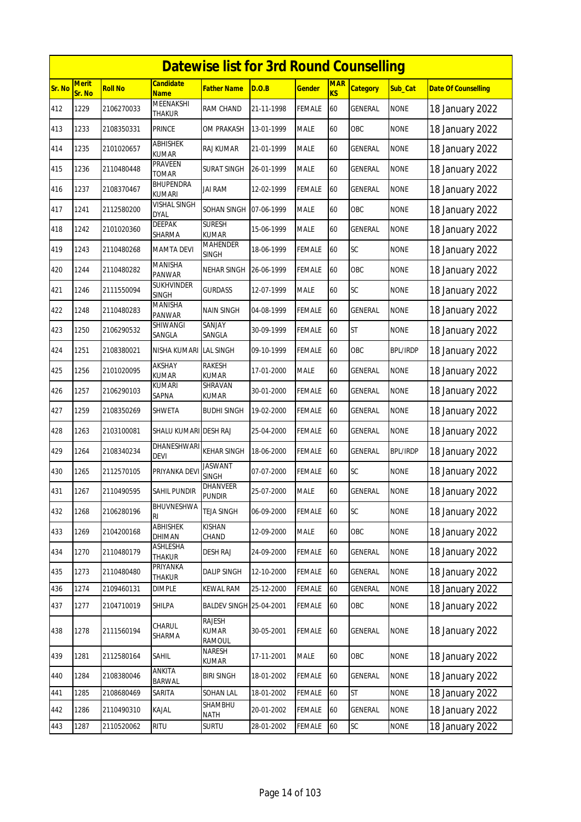|        | <b>Datewise list for 3rd Round Counselling</b> |                |                                    |                                         |            |               |                         |                 |                 |                            |  |  |
|--------|------------------------------------------------|----------------|------------------------------------|-----------------------------------------|------------|---------------|-------------------------|-----------------|-----------------|----------------------------|--|--|
| Sr. No | Merit<br>Sr. No                                | <b>Roll No</b> | <b>Candidate</b><br><b>Name</b>    | Father Name                             | D.O.B      | <b>Gender</b> | <b>MAR</b><br><b>KS</b> | <b>Category</b> | Sub_Cat         | <b>Date Of Counselling</b> |  |  |
| 412    | 1229                                           | 2106270033     | MEENAKSHI<br><b>THAKUR</b>         | RAM CHAND                               | 21-11-1998 | <b>FEMALE</b> | 60                      | <b>GENERAL</b>  | <b>NONE</b>     | 18 January 2022            |  |  |
| 413    | 1233                                           | 2108350331     | PRINCE                             | OM PRAKASH                              | 13-01-1999 | <b>MALE</b>   | 60                      | OBC             | NONE            | 18 January 2022            |  |  |
| 414    | 1235                                           | 2101020657     | ABHISHEK<br><b>KUMAR</b>           | <b>RAJ KUMAR</b>                        | 21-01-1999 | <b>MALE</b>   | 60                      | GENERAL         | <b>NONE</b>     | 18 January 2022            |  |  |
| 415    | 1236                                           | 2110480448     | PRAVEEN<br><b>TOMAR</b>            | <b>SURAT SINGH</b>                      | 26-01-1999 | MALE          | 60                      | GENERAL         | <b>NONE</b>     | 18 January 2022            |  |  |
| 416    | 1237                                           | 2108370467     | BHUPENDRA<br><b>KUMARI</b>         | jai ram                                 | 12-02-1999 | FEMALE        | 60                      | GENERAL         | <b>NONE</b>     | 18 January 2022            |  |  |
| 417    | 1241                                           | 2112580200     | <b>VISHAL SINGH</b><br><b>DYAL</b> | SOHAN SINGH                             | 07-06-1999 | <b>MALE</b>   | 60                      | OBC             | <b>NONE</b>     | 18 January 2022            |  |  |
| 418    | 1242                                           | 2101020360     | DEEPAK<br>SHARMA                   | <b>SURESH</b><br><b>KUMAR</b>           | 15-06-1999 | <b>MALE</b>   | 60                      | GENERAL         | <b>NONE</b>     | 18 January 2022            |  |  |
| 419    | 1243                                           | 2110480268     | <b>MAMTA DEVI</b>                  | <b>MAHENDER</b><br><b>SINGH</b>         | 18-06-1999 | <b>FEMALE</b> | 60                      | <b>SC</b>       | <b>NONE</b>     | 18 January 2022            |  |  |
| 420    | 1244                                           | 2110480282     | <b>MANISHA</b><br>PANWAR           | NEHAR SINGH                             | 26-06-1999 | <b>FEMALE</b> | 60                      | OBC             | <b>NONE</b>     | 18 January 2022            |  |  |
| 421    | 1246                                           | 2111550094     | SUKHVINDER<br><b>SINGH</b>         | <b>GURDASS</b>                          | 12-07-1999 | <b>MALE</b>   | 60                      | SC              | <b>NONE</b>     | 18 January 2022            |  |  |
| 422    | 1248                                           | 2110480283     | MANISHA<br>PANWAR                  | NAIN SINGH                              | 04-08-1999 | <b>FEMALE</b> | 60                      | GENERAL         | <b>NONE</b>     | 18 January 2022            |  |  |
| 423    | 1250                                           | 2106290532     | SHIWANGI<br>SANGLA                 | SANJAY<br>SANGLA                        | 30-09-1999 | <b>FEMALE</b> | 60                      | <b>ST</b>       | <b>NONE</b>     | 18 January 2022            |  |  |
| 424    | 1251                                           | 2108380021     | NISHA KUMARI LAL SINGH             |                                         | 09-10-1999 | <b>FEMALE</b> | 60                      | OBC             | <b>BPL/IRDP</b> | 18 January 2022            |  |  |
| 425    | 1256                                           | 2101020095     | AKSHAY<br><b>KUMAR</b>             | RAKESH<br>KUMAR                         | 17-01-2000 | <b>MALE</b>   | 60                      | GENERAL         | <b>NONE</b>     | 18 January 2022            |  |  |
| 426    | 1257                                           | 2106290103     | <b>KUMARI</b><br>SAPNA             | SHRAVAN<br><b>KUMAR</b>                 | 30-01-2000 | <b>FEMALE</b> | 60                      | GENERAL         | <b>NONE</b>     | 18 January 2022            |  |  |
| 427    | 1259                                           | 2108350269     | SHWETA                             | <b>BUDHI SINGH</b>                      | 19-02-2000 | FEMALE        | 60                      | GENERAL         | <b>NONE</b>     | 18 January 2022            |  |  |
| 428    | 1263                                           | 2103100081     | SHALU KUMARI DESH RAJ              |                                         | 25-04-2000 | <b>FEMALE</b> | 60                      | <b>GENERAL</b>  | <b>NONE</b>     | 18 January 2022            |  |  |
| 429    | 1264                                           | 2108340234     | DHANESHWARI<br><b>DEVI</b>         | <b>KEHAR SINGH</b>                      | 18-06-2000 | <b>FEMALE</b> | 60                      | GENERAL         | BPL/IRDP        | 18 January 2022            |  |  |
| 430    | 1265                                           | 2112570105     | PRIYANKA DEV                       | <b>JASWANT</b><br><b>SINGH</b>          | 07-07-2000 | FEMALE        | 60                      | SC              | <b>NONE</b>     | 18 January 2022            |  |  |
| 431    | 1267                                           | 2110490595     | SAHIL PUNDIR                       | <b>DHANVEER</b><br><b>PUNDIR</b>        | 25-07-2000 | <b>MALE</b>   | 60                      | GENERAL         | <b>NONE</b>     | 18 January 2022            |  |  |
| 432    | 1268                                           | 2106280196     | BHUVNESHWA<br>RI                   | <b>TEJA SINGH</b>                       | 06-09-2000 | <b>FEMALE</b> | 60                      | SC              | <b>NONE</b>     | 18 January 2022            |  |  |
| 433    | 1269                                           | 2104200168     | <b>ABHISHEK</b><br>DHIMAN          | KISHAN<br>CHAND                         | 12-09-2000 | <b>MALE</b>   | 60                      | OBC             | <b>NONE</b>     | 18 January 2022            |  |  |
| 434    | 1270                                           | 2110480179     | ASHLESHA<br>THAKUR                 | <b>DESH RAJ</b>                         | 24-09-2000 | <b>FEMALE</b> | 60                      | GENERAL         | <b>NONE</b>     | 18 January 2022            |  |  |
| 435    | 1273                                           | 2110480480     | PRIYANKA<br>THAKUR                 | DALIP SINGH                             | 12-10-2000 | <b>FEMALE</b> | 60                      | GENERAL         | <b>NONE</b>     | 18 January 2022            |  |  |
| 436    | 1274                                           | 2109460131     | <b>DIMPLE</b>                      | <b>KEWAL RAM</b>                        | 25-12-2000 | FEMALE        | 60                      | GENERAL         | <b>NONE</b>     | 18 January 2022            |  |  |
| 437    | 1277                                           | 2104710019     | SHILPA                             | <b>BALDEV SINGH 25-04-2001</b>          |            | FEMALE        | 60                      | OBC             | <b>NONE</b>     | 18 January 2022            |  |  |
| 438    | 1278                                           | 2111560194     | CHARUL<br>SHARMA                   | RAJESH<br><b>KUMAR</b><br><b>RAMOUL</b> | 30-05-2001 | <b>FEMALE</b> | 60                      | GENERAL         | <b>NONE</b>     | 18 January 2022            |  |  |
| 439    | 1281                                           | 2112580164     | <b>SAHIL</b>                       | NARESH<br>KUMAR                         | 17-11-2001 | <b>MALE</b>   | 60                      | OBC             | <b>NONE</b>     | 18 January 2022            |  |  |
| 440    | 1284                                           | 2108380046     | ANKITA<br><b>BARWAL</b>            | <b>BIRI SINGH</b>                       | 18-01-2002 | <b>FEMALE</b> | 60                      | <b>GENERAL</b>  | <b>NONE</b>     | 18 January 2022            |  |  |
| 441    | 1285                                           | 2108680469     | SARITA                             | <b>SOHAN LAL</b>                        | 18-01-2002 | <b>FEMALE</b> | 60                      | <b>ST</b>       | <b>NONE</b>     | 18 January 2022            |  |  |
| 442    | 1286                                           | 2110490310     | KAJAL                              | SHAMBHU<br>NATH                         | 20-01-2002 | <b>FEMALE</b> | 60                      | GENERAL         | <b>NONE</b>     | 18 January 2022            |  |  |
| 443    | 1287                                           | 2110520062     | <b>RITU</b>                        | SURTU                                   | 28-01-2002 | FEMALE        | 60                      | SC              | <b>NONE</b>     | 18 January 2022            |  |  |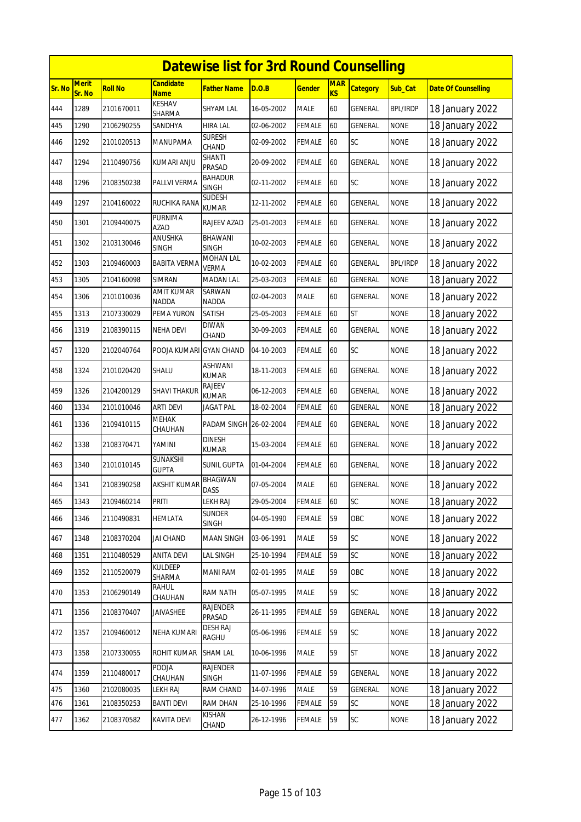|        | <b>Datewise list for 3rd Round Counselling</b><br><b>Merit</b><br>Candidate |            |                            |                                 |            |               |                         |                 |                 |                            |  |  |
|--------|-----------------------------------------------------------------------------|------------|----------------------------|---------------------------------|------------|---------------|-------------------------|-----------------|-----------------|----------------------------|--|--|
| Sr. No | Sr. No                                                                      | Roll No    | <b>Name</b>                | <b>Father Name</b>              | D.O.B      | <b>Gender</b> | <b>MAR</b><br><b>KS</b> | <b>Category</b> | Sub_Cat         | <b>Date Of Counselling</b> |  |  |
| 444    | 1289                                                                        | 2101670011 | <b>KESHAV</b><br>SHARMA    | SHYAM LAL                       | 16-05-2002 | <b>MALE</b>   | 60                      | GENERAL         | <b>BPL/IRDP</b> | 18 January 2022            |  |  |
| 445    | 1290                                                                        | 2106290255 | SANDHYA                    | <b>HIRA LAL</b>                 | 02-06-2002 | FEMALE        | 60                      | GENERAL         | <b>NONE</b>     | 18 January 2022            |  |  |
| 446    | 1292                                                                        | 2101020513 | MANUPAMA                   | <b>SURESH</b><br>CHAND          | 02-09-2002 | FEMALE        | 60                      | SC              | <b>NONE</b>     | 18 January 2022            |  |  |
| 447    | 1294                                                                        | 2110490756 | KUMARI ANJU                | SHANTI<br>PRASAD                | 20-09-2002 | <b>FEMALE</b> | 60                      | GENERAL         | <b>NONE</b>     | 18 January 2022            |  |  |
| 448    | 1296                                                                        | 2108350238 | PALLVI VERMA               | BAHADUR<br><b>SINGH</b>         | 02-11-2002 | FEMALE        | 60                      | SC              | <b>NONE</b>     | 18 January 2022            |  |  |
| 449    | 1297                                                                        | 2104160022 | RUCHIKA RANA               | Sudesh<br><b>KUMAR</b>          | 12-11-2002 | FEMALE        | 60                      | <b>GENERAL</b>  | <b>NONE</b>     | 18 January 2022            |  |  |
| 450    | 1301                                                                        | 2109440075 | PURNIMA<br>AZAD            | RAJEEV AZAD                     | 25-01-2003 | <b>FEMALE</b> | 60                      | GENERAL         | <b>NONE</b>     | 18 January 2022            |  |  |
| 451    | 1302                                                                        | 2103130046 | ANUSHKA<br>SINGH           | BHAWANI<br><b>SINGH</b>         | 10-02-2003 | FEMALE        | 60                      | <b>GENERAL</b>  | <b>NONE</b>     | 18 January 2022            |  |  |
| 452    | 1303                                                                        | 2109460003 | <b>BABITA VERMA</b>        | MOHAN LAL<br>VERMA              | 10-02-2003 | <b>FEMALE</b> | 60                      | GENERAL         | <b>BPL/IRDP</b> | 18 January 2022            |  |  |
| 453    | 1305                                                                        | 2104160098 | <b>SIMRAN</b>              | <b>MADAN LAL</b>                | 25-03-2003 | <b>FEMALE</b> | 60                      | GENERAL         | <b>NONE</b>     | 18 January 2022            |  |  |
| 454    | 1306                                                                        | 2101010036 | AMIT KUMAR<br><b>NADDA</b> | SARWAN<br><b>NADDA</b>          | 02-04-2003 | <b>MALE</b>   | 60                      | <b>GENERAL</b>  | <b>NONE</b>     | 18 January 2022            |  |  |
| 455    | 1313                                                                        | 2107330029 | PEMA YURON                 | SATISH                          | 25-05-2003 | <b>FEMALE</b> | 60                      | <b>ST</b>       | <b>NONE</b>     | 18 January 2022            |  |  |
| 456    | 1319                                                                        | 2108390115 | <b>NEHA DEVI</b>           | DIWAN<br>CHAND                  | 30-09-2003 | FEMALE        | 60                      | GENERAL         | <b>NONE</b>     | 18 January 2022            |  |  |
| 457    | 1320                                                                        | 2102040764 | POOJA KUMARI GYAN CHAND    |                                 | 04-10-2003 | FEMALE        | 60                      | SC              | <b>NONE</b>     | 18 January 2022            |  |  |
| 458    | 1324                                                                        | 2101020420 | SHALU                      | ASHWANI<br><b>KUMAR</b>         | 18-11-2003 | FEMALE        | 60                      | GENERAL         | <b>NONE</b>     | 18 January 2022            |  |  |
| 459    | 1326                                                                        | 2104200129 | <b>SHAVI THAKUR</b>        | RAJEEV<br><b>KUMAR</b>          | 06-12-2003 | FEMALE        | 60                      | GENERAL         | <b>NONE</b>     | 18 January 2022            |  |  |
| 460    | 1334                                                                        | 2101010046 | <b>ARTI DEVI</b>           | <b>JAGAT PAL</b>                | 18-02-2004 | FEMALE        | 60                      | <b>GENERAL</b>  | <b>NONE</b>     | 18 January 2022            |  |  |
| 461    | 1336                                                                        | 2109410115 | <b>MEHAK</b><br>CHAUHAN    | PADAM SINGH 26-02-2004          |            | FEMALE        | 60                      | GENERAL         | <b>NONE</b>     | 18 January 2022            |  |  |
| 462    | 1338                                                                        | 2108370471 | YAMINI                     | <b>DINESH</b><br><b>KUMAR</b>   | 15-03-2004 | <b>FEMALE</b> | 60                      | <b>GENERAL</b>  | <b>NONE</b>     | 18 January 2022            |  |  |
| 463    | 1340                                                                        | 2101010145 | SUNAKSHI<br><b>GUPTA</b>   | SUNIL GUPTA                     | 01-04-2004 | FEMALE        | 60                      | GENERAL         | <b>NONE</b>     | 18 January 2022            |  |  |
| 464    | 1341                                                                        | 2108390258 | AKSHIT KUMAR               | BHAGWAN<br>DASS                 | 07-05-2004 | <b>MALE</b>   | 60                      | GENERAL         | <b>NONE</b>     | 18 January 2022            |  |  |
| 465    | 1343                                                                        | 2109460214 | <b>PRITI</b>               | LEKH RAJ                        | 29-05-2004 | <b>FEMALE</b> | 60                      | SC              | <b>NONE</b>     | 18 January 2022            |  |  |
| 466    | 1346                                                                        | 2110490831 | <b>HEMLATA</b>             | <b>SUNDER</b><br>SINGH          | 04-05-1990 | <b>FEMALE</b> | 59                      | OBC             | <b>NONE</b>     | 18 January 2022            |  |  |
| 467    | 1348                                                                        | 2108370204 | <b>JAI CHAND</b>           | <b>MAAN SINGH</b>               | 03-06-1991 | <b>MALE</b>   | 59                      | SC              | <b>NONE</b>     | 18 January 2022            |  |  |
| 468    | 1351                                                                        | 2110480529 | <b>ANITA DEVI</b>          | LAL SINGH                       | 25-10-1994 | <b>FEMALE</b> | 59                      | SC              | <b>NONE</b>     | 18 January 2022            |  |  |
| 469    | 1352                                                                        | 2110520079 | KULDEEP<br>SHARMA          | MANI RAM                        | 02-01-1995 | <b>MALE</b>   | 59                      | OBC             | <b>NONE</b>     | 18 January 2022            |  |  |
| 470    | 1353                                                                        | 2106290149 | rahul<br>CHAUHAN           | RAM NATH                        | 05-07-1995 | MALE          | 59                      | SC              | <b>NONE</b>     | 18 January 2022            |  |  |
| 471    | 1356                                                                        | 2108370407 | JAIVASHEE                  | RAJENDER<br>PRASAD              | 26-11-1995 | FEMALE        | 59                      | GENERAL         | <b>NONE</b>     | 18 January 2022            |  |  |
| 472    | 1357                                                                        | 2109460012 | NEHA KUMARI                | DESH RAJ<br>RAGHU               | 05-06-1996 | <b>FEMALE</b> | 59                      | <b>SC</b>       | <b>NONE</b>     | 18 January 2022            |  |  |
| 473    | 1358                                                                        | 2107330055 | ROHIT KUMAR                | SHAM LAL                        | 10-06-1996 | MALE          | 59                      | <b>ST</b>       | <b>NONE</b>     | 18 January 2022            |  |  |
| 474    | 1359                                                                        | 2110480017 | <b>POOJA</b><br>CHAUHAN    | <b>RAJENDER</b><br><b>SINGH</b> | 11-07-1996 | <b>FEMALE</b> | 59                      | GENERAL         | <b>NONE</b>     | 18 January 2022            |  |  |
| 475    | 1360                                                                        | 2102080035 | LEKH RAJ                   | RAM CHAND                       | 14-07-1996 | <b>MALE</b>   | 59                      | GENERAL         | <b>NONE</b>     | 18 January 2022            |  |  |
| 476    | 1361                                                                        | 2108350253 | <b>BANTI DEVI</b>          | <b>RAM DHAN</b>                 | 25-10-1996 | FEMALE        | 59                      | SC              | <b>NONE</b>     | 18 January 2022            |  |  |
| 477    | 1362                                                                        | 2108370582 | KAVITA DEVI                | KISHAN<br>CHAND                 | 26-12-1996 | <b>FEMALE</b> | 59                      | SC              | <b>NONE</b>     | 18 January 2022            |  |  |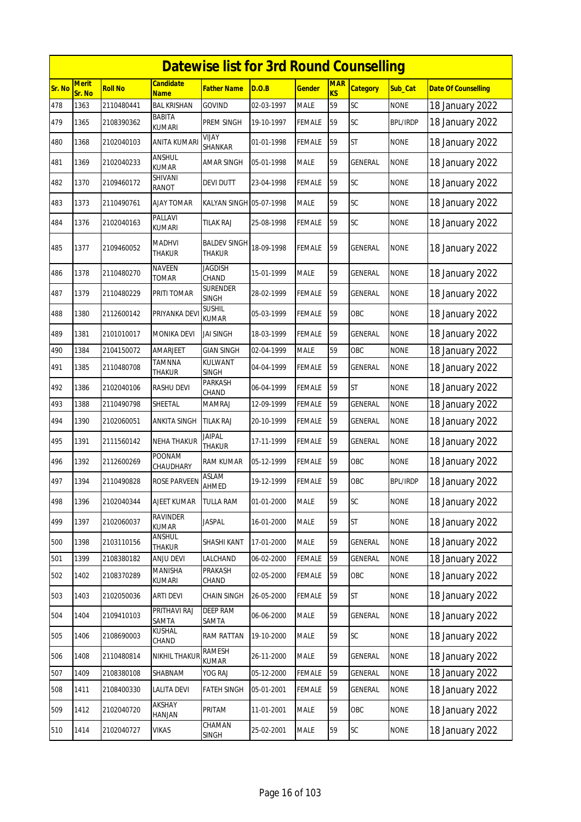|        | <b>Datewise list for 3rd Round Counselling</b> |                |                                |                                 |            |               |                  |                 |                 |                            |  |  |
|--------|------------------------------------------------|----------------|--------------------------------|---------------------------------|------------|---------------|------------------|-----------------|-----------------|----------------------------|--|--|
| Sr. No | Merit<br>Sr. No                                | <b>Roll No</b> | Candidate<br><b>Name</b>       | <b>Father Name</b>              | D.O.B      | <b>Gender</b> | <b>MAR</b><br>KS | <b>Category</b> | Sub Cat         | <b>Date Of Counselling</b> |  |  |
| 478    | 1363                                           | 2110480441     | <b>BAL KRISHAN</b>             | <b>GOVIND</b>                   | 02-03-1997 | <b>MALE</b>   | 59               | SC              | <b>NONE</b>     | 18 January 2022            |  |  |
| 479    | 1365                                           | 2108390362     | BABITA<br><b>KUMARI</b>        | PREM SINGH                      | 19-10-1997 | FEMALE        | 59               | SC              | <b>BPL/IRDP</b> | 18 January 2022            |  |  |
| 480    | 1368                                           | 2102040103     | <b>ANITA KUMARI</b>            | YIJAY<br>SHANKAR                | 01-01-1998 | FEMALE        | 59               | <b>ST</b>       | <b>NONE</b>     | 18 January 2022            |  |  |
| 481    | 1369                                           | 2102040233     | <b>ANSHUL</b><br><b>KUMAR</b>  | <b>AMAR SINGH</b>               | 05-01-1998 | <b>MALE</b>   | 59               | <b>GENERAL</b>  | <b>NONE</b>     | 18 January 2022            |  |  |
| 482    | 1370                                           | 2109460172     | SHIVANI<br>RANOT               | DEVI DUTT                       | 23-04-1998 | <b>FEMALE</b> | 59               | SC              | <b>NONE</b>     | 18 January 2022            |  |  |
| 483    | 1373                                           | 2110490761     | <b>AJAY TOMAR</b>              | KALYAN SINGH 05-07-1998         |            | <b>MALE</b>   | 59               | SC              | <b>NONE</b>     | 18 January 2022            |  |  |
| 484    | 1376                                           | 2102040163     | PALLAVI<br>kumari              | tilak Raj                       | 25-08-1998 | <b>FEMALE</b> | 59               | SC              | <b>NONE</b>     | 18 January 2022            |  |  |
| 485    | 1377                                           | 2109460052     | <b>MADHVI</b><br><b>THAKUR</b> | <b>BALDEV SINGH</b><br>THAKUR   | 18-09-1998 | FEMALE        | 59               | <b>GENERAL</b>  | <b>NONE</b>     | 18 January 2022            |  |  |
| 486    | 1378                                           | 2110480270     | <b>NAVEEN</b><br>TOMAR         | <b>JAGDISH</b><br>CHAND         | 15-01-1999 | <b>MALE</b>   | 59               | GENERAL         | <b>NONE</b>     | 18 January 2022            |  |  |
| 487    | 1379                                           | 2110480229     | PRITI TOMAR                    | <b>SURENDER</b><br><b>SINGH</b> | 28-02-1999 | <b>FEMALE</b> | 59               | GENERAL         | <b>NONE</b>     | 18 January 2022            |  |  |
| 488    | 1380                                           | 2112600142     | PRIYANKA DEVI                  | <b>SUSHIL</b><br><b>KUMAR</b>   | 05-03-1999 | <b>FEMALE</b> | 59               | OBC             | <b>NONE</b>     | 18 January 2022            |  |  |
| 489    | 1381                                           | 2101010017     | <b>MONIKA DEVI</b>             | JAI SINGH                       | 18-03-1999 | <b>FEMALE</b> | 59               | GENERAL         | <b>NONE</b>     | 18 January 2022            |  |  |
| 490    | 1384                                           | 2104150072     | AMARJEET                       | <b>GIAN SINGH</b>               | 02-04-1999 | <b>MALE</b>   | 59               | OBC             | <b>NONE</b>     | 18 January 2022            |  |  |
| 491    | 1385                                           | 2110480708     | TAMNNA<br>THAKUR               | KULWANT<br><b>SINGH</b>         | 04-04-1999 | <b>FEMALE</b> | 59               | <b>GENERAL</b>  | <b>NONE</b>     | 18 January 2022            |  |  |
| 492    | 1386                                           | 2102040106     | <b>RASHU DEVI</b>              | PARKASH<br>CHAND                | 06-04-1999 | FEMALE        | 59               | <b>ST</b>       | <b>NONE</b>     | 18 January 2022            |  |  |
| 493    | 1388                                           | 2110490798     | SHEETAL                        | <b>MAMRAJ</b>                   | 12-09-1999 | <b>FEMALE</b> | 59               | GENERAL         | <b>NONE</b>     | 18 January 2022            |  |  |
| 494    | 1390                                           | 2102060051     | <b>ANKITA SINGH</b>            | <b>TILAK RAJ</b>                | 20-10-1999 | FEMALE        | 59               | GENERAL         | <b>NONE</b>     | 18 January 2022            |  |  |
| 495    | 1391                                           | 2111560142     | NEHA THAKUR                    | <b>JAIPAL</b><br>THAKUR         | 17-11-1999 | FEMALE        | 59               | GENERAL         | <b>NONE</b>     | 18 January 2022            |  |  |
| 496    | 1392                                           | 2112600269     | POONAM<br>CHAUDHARY            | RAM KUMAR                       | 05-12-1999 | <b>FEMALE</b> | 59               | OBC             | <b>NONE</b>     | 18 January 2022            |  |  |
| 497    | 1394                                           | 2110490828     | <b>ROSE PARVEEN</b>            | ASLAM<br>AHMED                  | 19-12-1999 | <b>FEMALE</b> | 59               | OBC             | <b>BPL/IRDP</b> | 18 January 2022            |  |  |
| 498    | 1396                                           | 2102040344     | AJEET KUMAR                    | <b>TULLA RAM</b>                | 01-01-2000 | <b>MALE</b>   | 59               | SC              | <b>NONE</b>     | 18 January 2022            |  |  |
| 499    | 1397                                           | 2102060037     | <b>RAVINDER</b><br>KUMAR       | <b>JASPAL</b>                   | 16-01-2000 | <b>MALE</b>   | 59               | <b>ST</b>       | <b>NONE</b>     | 18 January 2022            |  |  |
| 500    | 1398                                           | 2103110156     | <b>ANSHUL</b><br>Thakur        | SHASHI KANT                     | 17-01-2000 | MALE          | 59               | GENERAL         | <b>NONE</b>     | 18 January 2022            |  |  |
| 501    | 1399                                           | 2108380182     | <b>ANJU DEVI</b>               | LALCHAND                        | 06-02-2000 | FEMALE        | 59               | <b>GENERAL</b>  | <b>NONE</b>     | 18 January 2022            |  |  |
| 502    | 1402                                           | 2108370289     | MANISHA<br>kumari              | PRAKASH<br>CHAND                | 02-05-2000 | FEMALE        | 59               | OBC             | <b>NONE</b>     | 18 January 2022            |  |  |
| 503    | 1403                                           | 2102050036     | <b>ARTI DEVI</b>               | <b>CHAIN SINGH</b>              | 26-05-2000 | <b>FEMALE</b> | 59               | ST              | <b>NONE</b>     | 18 January 2022            |  |  |
| 504    | 1404                                           | 2109410103     | PRITHAVI RAJ<br>SAMTA          | <b>DEEP RAM</b><br>SAMTA        | 06-06-2000 | <b>MALE</b>   | 59               | <b>GENERAL</b>  | <b>NONE</b>     | 18 January 2022            |  |  |
| 505    | 1406                                           | 2108690003     | KUSHAL<br>CHAND                | RAM RATTAN                      | 19-10-2000 | MALE          | 59               | SC              | <b>NONE</b>     | 18 January 2022            |  |  |
| 506    | 1408                                           | 2110480814     | <b>NIKHIL THAKUF</b>           | <b>RAMESH</b><br>KUMAR          | 26-11-2000 | MALE          | 59               | GENERAL         | <b>NONE</b>     | 18 January 2022            |  |  |
| 507    | 1409                                           | 2108380108     | SHABNAM                        | YOG RAJ                         | 05-12-2000 | FEMALE        | 59               | GENERAL         | <b>NONE</b>     | 18 January 2022            |  |  |
| 508    | 1411                                           | 2108400330     | <b>LALITA DEVI</b>             | <b>FATEH SINGH</b>              | 05-01-2001 | FEMALE        | 59               | GENERAL         | <b>NONE</b>     | 18 January 2022            |  |  |
| 509    | 1412                                           | 2102040720     | AKSHAY<br>HANJAN               | PRITAM                          | 11-01-2001 | MALE          | 59               | OBC             | <b>NONE</b>     | 18 January 2022            |  |  |
| 510    | 1414                                           | 2102040727     | <b>VIKAS</b>                   | CHAMAN<br>SINGH                 | 25-02-2001 | <b>MALE</b>   | 59               | SC              | <b>NONE</b>     | 18 January 2022            |  |  |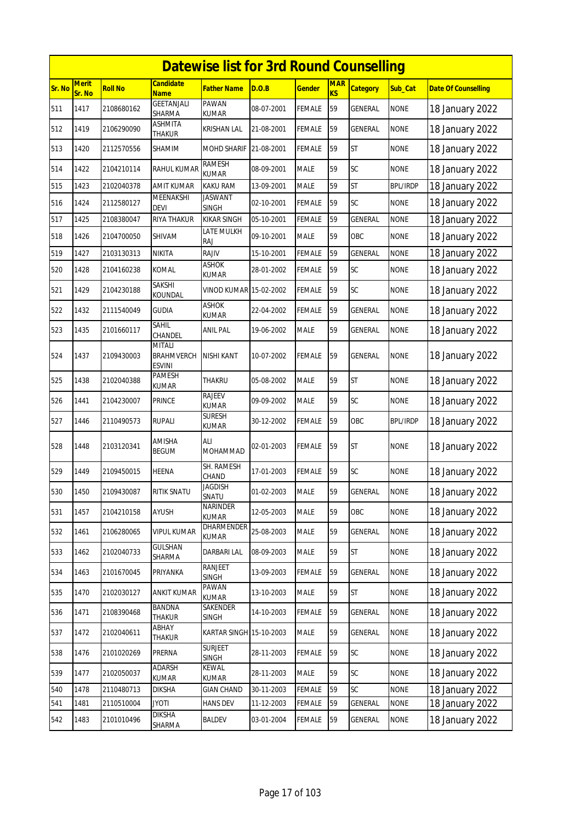|        |                        |                |                                       | <b>Datewise list for 3rd Round Counselling</b> |            |               |                              |                 |                 |                            |
|--------|------------------------|----------------|---------------------------------------|------------------------------------------------|------------|---------------|------------------------------|-----------------|-----------------|----------------------------|
| Sr. No | <b>Merit</b><br>Sr. No | <b>Roll No</b> | <b>Candidate</b><br><b>Name</b>       | <b>Father Name</b>                             | D.O.B      | <b>Gender</b> | <b>MAR</b><br>K <sub>S</sub> | <b>Category</b> | Sub_Cat         | <b>Date Of Counselling</b> |
| 511    | 1417                   | 2108680162     | <b>GEETANJALI</b><br>SHARMA           | PAWAN<br>KUMAR                                 | 08-07-2001 | <b>FEMALE</b> | 59                           | <b>GENERAL</b>  | <b>NONE</b>     | 18 January 2022            |
| 512    | 1419                   | 2106290090     | ASHMITA<br>THAKUR                     | KRISHAN LAL                                    | 21-08-2001 | <b>FEMALE</b> | 59                           | GENERAL         | <b>NONE</b>     | 18 January 2022            |
| 513    | 1420                   | 2112570556     | SHAMIM                                | <b>MOHD SHARIF</b>                             | 21-08-2001 | <b>FEMALE</b> | 59                           | <b>ST</b>       | <b>NONE</b>     | 18 January 2022            |
| 514    | 1422                   | 2104210114     | RAHUL KUMAR                           | RAMESH<br><b>KUMAR</b>                         | 08-09-2001 | <b>MALE</b>   | 59                           | SC              | <b>NONE</b>     | 18 January 2022            |
| 515    | 1423                   | 2102040378     | AMIT KUMAR                            | KAKU RAM                                       | 13-09-2001 | <b>MALE</b>   | 59                           | <b>ST</b>       | <b>BPL/IRDP</b> | 18 January 2022            |
| 516    | 1424                   | 2112580127     | MEENAKSHI<br>DEVI                     | <b>JASWANT</b><br><b>SINGH</b>                 | 02-10-2001 | <b>FEMALE</b> | 59                           | <b>SC</b>       | <b>NONE</b>     | 18 January 2022            |
| 517    | 1425                   | 2108380047     | RIYA THAKUR                           | <b>KIKAR SINGH</b>                             | 05-10-2001 | <b>FEMALE</b> | 59                           | <b>GENERAL</b>  | <b>NONE</b>     | 18 January 2022            |
| 518    | 1426                   | 2104700050     | SHIVAM                                | LATE MULKH<br><b>RAJ</b>                       | 09-10-2001 | <b>MALE</b>   | 59                           | OBC             | <b>NONE</b>     | 18 January 2022            |
| 519    | 1427                   | 2103130313     | NIKITA                                | RAJIV                                          | 15-10-2001 | <b>FEMALE</b> | 59                           | GENERAL         | <b>NONE</b>     | 18 January 2022            |
| 520    | 1428                   | 2104160238     | KOMAL                                 | ASHOK<br>KUMAR                                 | 28-01-2002 | <b>FEMALE</b> | 59                           | <b>SC</b>       | NONE            | 18 January 2022            |
| 521    | 1429                   | 2104230188     | SAKSHI<br>KOUNDAL                     | VINOD KUMAR 15-02-2002                         |            | <b>FEMALE</b> | 59                           | SC              | <b>NONE</b>     | 18 January 2022            |
| 522    | 1432                   | 2111540049     | <b>GUDIA</b>                          | <b>ASHOK</b><br>KUMAR                          | 22-04-2002 | <b>FEMALE</b> | 59                           | GENERAL         | <b>NONE</b>     | 18 January 2022            |
| 523    | 1435                   | 2101660117     | Sahil<br>CHANDEL                      | <b>ANIL PAL</b>                                | 19-06-2002 | <b>MALE</b>   | 59                           | <b>GENERAL</b>  | <b>NONE</b>     | 18 January 2022            |
| 524    | 1437                   | 2109430003     | mitali<br>BRAHMVERCH<br><b>ESVINI</b> | <b>NISHI KANT</b>                              | 10-07-2002 | <b>FEMALE</b> | 59                           | <b>GENERAL</b>  | <b>NONE</b>     | 18 January 2022            |
| 525    | 1438                   | 2102040388     | <b>PAMESH</b><br><b>KUMAR</b>         | THAKRU                                         | 05-08-2002 | <b>MALE</b>   | 59                           | <b>ST</b>       | <b>NONE</b>     | 18 January 2022            |
| 526    | 1441                   | 2104230007     | PRINCE                                | RAJEEV<br><b>KUMAR</b>                         | 09-09-2002 | <b>MALE</b>   | 59                           | SC              | <b>NONE</b>     | 18 January 2022            |
| 527    | 1446                   | 2110490573     | <b>RUPALI</b>                         | Suresh<br><b>KUMAR</b>                         | 30-12-2002 | <b>FEMALE</b> | 59                           | OBC             | <b>BPL/IRDP</b> | 18 January 2022            |
| 528    | 1448                   | 2103120341     | AMISHA<br>BEGUM                       | ALI<br>MOHAMMAD                                | 02-01-2003 | <b>FEMALE</b> | 59                           | <b>ST</b>       | <b>NONE</b>     | 18 January 2022            |
| 529    | 1449                   | 2109450015     | <b>HEENA</b>                          | SH. RAMESH<br>CHAND                            | 17-01-2003 | FEMALE        | 59                           | SC              | <b>NONE</b>     | 18 January 2022            |
| 530    | 1450                   | 2109430087     | <b>RITIK SNATU</b>                    | JAGDISH<br>SNATU                               | 01-02-2003 | MALE          | 59                           | GENERAL         | <b>NONE</b>     | 18 January 2022            |
| 531    | 1457                   | 2104210158     | AYUSH                                 | NARINDER<br><b>KUMAR</b>                       | 12-05-2003 | MALE          | 59                           | OBC             | <b>NONE</b>     | 18 January 2022            |
| 532    | 1461                   | 2106280065     | <b>VIPUL KUMAR</b>                    | DHARMENDER<br><b>KUMAR</b>                     | 25-08-2003 | <b>MALE</b>   | 59                           | GENERAL         | <b>NONE</b>     | 18 January 2022            |
| 533    | 1462                   | 2102040733     | GULSHAN<br>SHARMA                     | <b>DARBARI LAL</b>                             | 08-09-2003 | MALE          | 59                           | ST              | <b>NONE</b>     | 18 January 2022            |
| 534    | 1463                   | 2101670045     | PRIYANKA                              | RANJEET<br><b>SINGH</b>                        | 13-09-2003 | FEMALE        | 59                           | GENERAL         | <b>NONE</b>     | 18 January 2022            |
| 535    | 1470                   | 2102030127     | <b>ANKIT KUMAR</b>                    | PAWAN<br>KUMAR                                 | 13-10-2003 | <b>MALE</b>   | 59                           | <b>ST</b>       | <b>NONE</b>     | 18 January 2022            |
| 536    | 1471                   | 2108390468     | BANDNA<br>THAKUR                      | SAKENDER<br>SINGH                              | 14-10-2003 | <b>FEMALE</b> | 59                           | GENERAL         | <b>NONE</b>     | 18 January 2022            |
| 537    | 1472                   | 2102040611     | ABHAY<br>THAKUR                       | KARTAR SINGH 15-10-2003                        |            | <b>MALE</b>   | 59                           | GENERAL         | <b>NONE</b>     | 18 January 2022            |
| 538    | 1476                   | 2101020269     | PRERNA                                | <b>SURJEET</b><br><b>SINGH</b>                 | 28-11-2003 | <b>FEMALE</b> | 59                           | SC              | <b>NONE</b>     | 18 January 2022            |
| 539    | 1477                   | 2102050037     | <b>ADARSH</b><br>KUMAR                | <b>KEWAL</b><br><b>KUMAR</b>                   | 28-11-2003 | MALE          | 59                           | <b>SC</b>       | <b>NONE</b>     | 18 January 2022            |
| 540    | 1478                   | 2110480713     | DIKSHA                                | <b>GIAN CHAND</b>                              | 30-11-2003 | <b>FEMALE</b> | 59                           | SC              | <b>NONE</b>     | 18 January 2022            |
| 541    | 1481                   | 2110510004     | <b>JYOTI</b>                          | <b>HANS DEV</b>                                | 11-12-2003 | FEMALE        | 59                           | GENERAL         | <b>NONE</b>     | 18 January 2022            |
| 542    | 1483                   | 2101010496     | <b>DIKSHA</b><br>SHARMA               | <b>BALDEV</b>                                  | 03-01-2004 | <b>FEMALE</b> | 59                           | GENERAL         | <b>NONE</b>     | 18 January 2022            |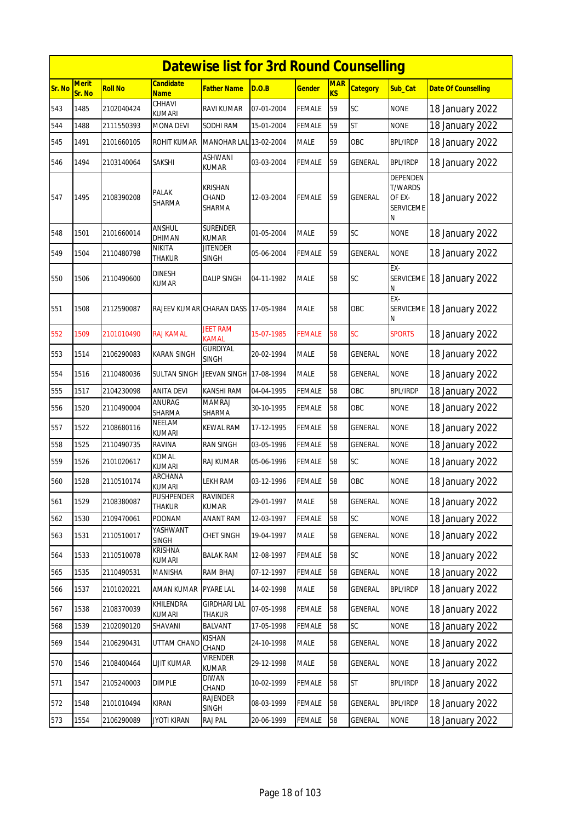|        | <b>Datewise list for 3rd Round Counselling</b> |                |                                 |                                      |            |               |                         |                 |                                                               |                            |  |  |
|--------|------------------------------------------------|----------------|---------------------------------|--------------------------------------|------------|---------------|-------------------------|-----------------|---------------------------------------------------------------|----------------------------|--|--|
| Sr. No | <b>Merit</b><br>Sr. No                         | <b>Roll No</b> | <b>Candidate</b><br><b>Name</b> | Father Name                          | D.O.B      | <b>Gender</b> | <b>MAR</b><br><b>KS</b> | <b>Category</b> | Sub_Cat                                                       | <b>Date Of Counselling</b> |  |  |
| 543    | 1485                                           | 2102040424     | CHHAVI<br>kumari                | <b>RAVI KUMAR</b>                    | 07-01-2004 | <b>FEMALE</b> | 59                      | SC              | <b>NONE</b>                                                   | 18 January 2022            |  |  |
| 544    | 1488                                           | 2111550393     | MONA DEVI                       | SODHI RAM                            | 15-01-2004 | <b>FEMALE</b> | 59                      | <b>ST</b>       | <b>NONE</b>                                                   | 18 January 2022            |  |  |
| 545    | 1491                                           | 2101660105     | ROHIT KUMAR                     | MANOHAR LAL 13-02-2004               |            | <b>MALE</b>   | 59                      | OBC             | <b>BPL/IRDP</b>                                               | 18 January 2022            |  |  |
| 546    | 1494                                           | 2103140064     | SAKSHI                          | <b>ASHWANI</b><br><b>KUMAR</b>       | 03-03-2004 | <b>FEMALE</b> | 59                      | <b>GENERAL</b>  | <b>BPL/IRDP</b>                                               | 18 January 2022            |  |  |
| 547    | 1495                                           | 2108390208     | PALAK<br>SHARMA                 | <b>KRISHAN</b><br>CHAND<br>SHARMA    | 12-03-2004 | <b>FEMALE</b> | 59                      | GENERAL         | <b>DEPENDEN</b><br>T/WARDS<br>OF EX-<br><b>SERVICEME</b><br>Ν | 18 January 2022            |  |  |
| 548    | 1501                                           | 2101660014     | <b>ANSHUL</b><br><b>DHIMAN</b>  | <b>SURENDER</b><br><b>KUMAR</b>      | 01-05-2004 | <b>MALE</b>   | 59                      | SC              | <b>NONE</b>                                                   | 18 January 2022            |  |  |
| 549    | 1504                                           | 2110480798     | NIKITA<br>THAKUR                | <b>JITENDER</b><br><b>SINGH</b>      | 05-06-2004 | <b>FEMALE</b> | 59                      | GENERAL         | <b>NONE</b>                                                   | 18 January 2022            |  |  |
| 550    | 1506                                           | 2110490600     | <b>DINESH</b><br><b>KUMAR</b>   | <b>DALIP SINGH</b>                   | 04-11-1982 | <b>MALE</b>   | 58                      | SC              | EX-<br><b>SERVICEME</b><br>N                                  | 18 January 2022            |  |  |
| 551    | 1508                                           | 2112590087     | RAJEEV KUMAR CHARAN DASS        |                                      | 17-05-1984 | <b>MALE</b>   | 58                      | OBC             | EX-<br><b>SERVICEME</b><br>N                                  | 18 January 2022            |  |  |
| 552    | 1509                                           | 2101010490     | RAJ KAMAL                       | <b>JEET RAM</b><br><b>KAMAL</b>      | 15-07-1985 | <b>FEMALE</b> | 58                      | SC              | <b>SPORTS</b>                                                 | 18 January 2022            |  |  |
| 553    | 1514                                           | 2106290083     | KARAN SINGH                     | <b>GURDIYAL</b><br><b>SINGH</b>      | 20-02-1994 | <b>MALE</b>   | 58                      | <b>GENERAL</b>  | <b>NONE</b>                                                   | 18 January 2022            |  |  |
| 554    | 1516                                           | 2110480036     | <b>SULTAN SINGH</b>             | JEEVAN SINGH 17-08-1994              |            | <b>MALE</b>   | 58                      | <b>GENERAL</b>  | <b>NONE</b>                                                   | 18 January 2022            |  |  |
| 555    | 1517                                           | 2104230098     | <b>ANITA DEVI</b>               | KANSHI RAM                           | 04-04-1995 | <b>FEMALE</b> | 58                      | OBC             | <b>BPL/IRDP</b>                                               | 18 January 2022            |  |  |
| 556    | 1520                                           | 2110490004     | <b>ANURAG</b><br>SHARMA         | <b>MAMRAJ</b><br>SHARMA              | 30-10-1995 | <b>FEMALE</b> | 58                      | OBC             | <b>NONE</b>                                                   | 18 January 2022            |  |  |
| 557    | 1522                                           | 2108680116     | NEELAM<br><b>KUMARI</b>         | KEWAL RAM                            | 17-12-1995 | <b>FEMALE</b> | 58                      | GENERAL         | <b>NONE</b>                                                   | 18 January 2022            |  |  |
| 558    | 1525                                           | 2110490735     | <b>RAVINA</b>                   | <b>RAN SINGH</b>                     | 03-05-1996 | <b>FEMALE</b> | 58                      | <b>GENERAL</b>  | <b>NONE</b>                                                   | 18 January 2022            |  |  |
| 559    | 1526                                           | 2101020617     | KOMAL<br>KUMARI                 | <b>RAJ KUMAR</b>                     | 05-06-1996 | <b>FEMALE</b> | 58                      | SC              | <b>NONE</b>                                                   | 18 January 2022            |  |  |
| 560    | 1528                                           | 2110510174     | <b>ARCHANA</b><br>KUMARI        | LEKH RAM                             | 03-12-1996 | <b>FEMALE</b> | 58                      | OBC             | <b>NONE</b>                                                   | 18 January 2022            |  |  |
| 561    | 1529                                           | 2108380087     | PUSHPENDER<br>THAKUR            | <b>RAVINDER</b><br><b>KUMAR</b>      | 29-01-1997 | <b>MALE</b>   | 58                      | <b>GENERAL</b>  | <b>NONE</b>                                                   | 18 January 2022            |  |  |
| 562    | 1530                                           | 2109470061     | <b>POONAM</b>                   | <b>ANANT RAM</b>                     | 12-03-1997 | <b>FEMALE</b> | 58                      | SC              | <b>NONE</b>                                                   | 18 January 2022            |  |  |
| 563    | 1531                                           | 2110510017     | YASHWANT<br><b>SINGH</b>        | <b>CHET SINGH</b>                    | 19-04-1997 | <b>MALE</b>   | 58                      | <b>GENERAL</b>  | <b>NONE</b>                                                   | 18 January 2022            |  |  |
| 564    | 1533                                           | 2110510078     | KRISHNA<br>KUMARI               | <b>BALAK RAM</b>                     | 12-08-1997 | <b>FEMALE</b> | 58                      | SC              | <b>NONE</b>                                                   | 18 January 2022            |  |  |
| 565    | 1535                                           | 2110490531     | MANISHA                         | RAM BHAJ                             | 07-12-1997 | <b>FEMALE</b> | 58                      | GENERAL         | <b>NONE</b>                                                   | 18 January 2022            |  |  |
| 566    | 1537                                           | 2101020221     | AMAN KUMAR                      | <b>PYARE LAL</b>                     | 14-02-1998 | <b>MALE</b>   | 58                      | GENERAL         | <b>BPL/IRDP</b>                                               | 18 January 2022            |  |  |
| 567    | 1538                                           | 2108370039     | KHILENDRA<br>KUMARI             | <b>GIRDHARI LAL</b><br><b>THAKUR</b> | 07-05-1998 | <b>FEMALE</b> | 58                      | GENERAL         | <b>NONE</b>                                                   | 18 January 2022            |  |  |
| 568    | 1539                                           | 2102090120     | SHAVANI                         | <b>BALVANT</b>                       | 17-05-1998 | <b>FEMALE</b> | 58                      | SC              | <b>NONE</b>                                                   | 18 January 2022            |  |  |
| 569    | 1544                                           | 2106290431     | UTTAM CHAND                     | <b>KISHAN</b><br>CHAND               | 24-10-1998 | <b>MALE</b>   | 58                      | GENERAL         | <b>NONE</b>                                                   | 18 January 2022            |  |  |
| 570    | 1546                                           | 2108400464     | LIJIT KUMAR                     | <b>VIRENDER</b><br>KUMAR             | 29-12-1998 | <b>MALE</b>   | 58                      | GENERAL         | <b>NONE</b>                                                   | 18 January 2022            |  |  |
| 571    | 1547                                           | 2105240003     | <b>DIMPLE</b>                   | <b>DIWAN</b><br>CHAND                | 10-02-1999 | <b>FEMALE</b> | 58                      | <b>ST</b>       | <b>BPL/IRDP</b>                                               | 18 January 2022            |  |  |
| 572    | 1548                                           | 2101010494     | KIRAN                           | <b>RAJENDER</b><br><b>SINGH</b>      | 08-03-1999 | <b>FEMALE</b> | 58                      | GENERAL         | <b>BPL/IRDP</b>                                               | 18 January 2022            |  |  |
| 573    | 1554                                           | 2106290089     | <b>JYOTI KIRAN</b>              | RAJ PAL                              | 20-06-1999 | <b>FEMALE</b> | 58                      | GENERAL         | <b>NONE</b>                                                   | 18 January 2022            |  |  |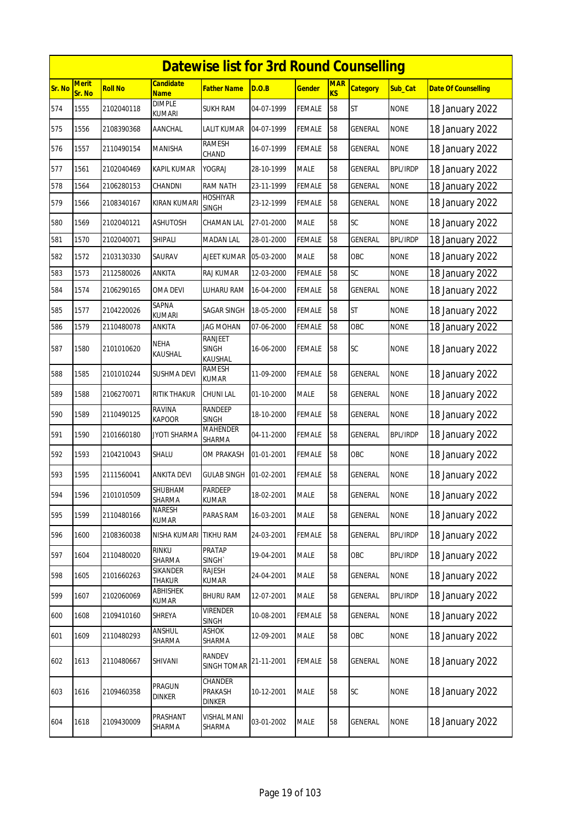|        | <b>Datewise list for 3rd Round Counselling</b> |                |                                 |                                           |            |               |                         |                 |                 |                            |  |  |
|--------|------------------------------------------------|----------------|---------------------------------|-------------------------------------------|------------|---------------|-------------------------|-----------------|-----------------|----------------------------|--|--|
| Sr. No | <b>Merit</b><br>Sr. No                         | <b>Roll No</b> | <b>Candidate</b><br><b>Name</b> | <b>Father Name</b>                        | D.O.B      | <b>Gender</b> | <b>MAR</b><br><b>KS</b> | <b>Category</b> | Sub_Cat         | <b>Date Of Counselling</b> |  |  |
| 574    | 1555                                           | 2102040118     | <b>DIMPLE</b><br>kumari         | <b>SUKH RAM</b>                           | 04-07-1999 | FEMALE        | 58                      | <b>ST</b>       | <b>NONE</b>     | 18 January 2022            |  |  |
| 575    | 1556                                           | 2108390368     | AANCHAL                         | LALIT KUMAR                               | 04-07-1999 | <b>FEMALE</b> | 58                      | GENERAL         | <b>NONE</b>     | 18 January 2022            |  |  |
| 576    | 1557                                           | 2110490154     | MANISHA                         | RAMESH<br>CHAND                           | 16-07-1999 | FEMALE        | 58                      | GENERAL         | <b>NONE</b>     | 18 January 2022            |  |  |
| 577    | 1561                                           | 2102040469     | <b>KAPIL KUMAR</b>              | YOGRAJ                                    | 28-10-1999 | <b>MALE</b>   | 58                      | <b>GENERAL</b>  | <b>BPL/IRDP</b> | 18 January 2022            |  |  |
| 578    | 1564                                           | 2106280153     | CHANDNI                         | <b>RAM NATH</b>                           | 23-11-1999 | <b>FEMALE</b> | 58                      | <b>GENERAL</b>  | <b>NONE</b>     | 18 January 2022            |  |  |
| 579    | 1566                                           | 2108340167     | KIRAN KUMARI                    | <b>HOSHIYAR</b><br><b>SINGH</b>           | 23-12-1999 | <b>FEMALE</b> | 58                      | GENERAL         | <b>NONE</b>     | 18 January 2022            |  |  |
| 580    | 1569                                           | 2102040121     | ASHUTOSH                        | CHAMAN LAL                                | 27-01-2000 | <b>MALE</b>   | 58                      | SC              | <b>NONE</b>     | 18 January 2022            |  |  |
| 581    | 1570                                           | 2102040071     | Shipali                         | <b>MADAN LAL</b>                          | 28-01-2000 | <b>FEMALE</b> | 58                      | <b>GENERAL</b>  | <b>BPL/IRDP</b> | 18 January 2022            |  |  |
| 582    | 1572                                           | 2103130330     | SAURAV                          | AJEET KUMAR                               | 05-03-2000 | <b>MALE</b>   | 58                      | OBC             | <b>NONE</b>     | 18 January 2022            |  |  |
| 583    | 1573                                           | 2112580026     | ANKITA                          | RAJ KUMAR                                 | 12-03-2000 | <b>FEMALE</b> | 58                      | SC              | <b>NONE</b>     | 18 January 2022            |  |  |
| 584    | 1574                                           | 2106290165     | OMA DEVI                        | LUHARU RAM                                | 16-04-2000 | FEMALE        | 58                      | GENERAL         | <b>NONE</b>     | 18 January 2022            |  |  |
| 585    | 1577                                           | 2104220026     | SAPNA<br><b>KUMARI</b>          | SAGAR SINGH                               | 18-05-2000 | FEMALE        | 58                      | <b>ST</b>       | <b>NONE</b>     | 18 January 2022            |  |  |
| 586    | 1579                                           | 2110480078     | ANKITA                          | <b>JAG MOHAN</b>                          | 07-06-2000 | <b>FEMALE</b> | 58                      | OBC             | <b>NONE</b>     | 18 January 2022            |  |  |
| 587    | 1580                                           | 2101010620     | <b>NEHA</b><br>KAUSHAL          | <b>RANJEET</b><br><b>SINGH</b><br>KAUSHAL | 16-06-2000 | FEMALE        | 58                      | SC              | <b>NONE</b>     | 18 January 2022            |  |  |
| 588    | 1585                                           | 2101010244     | <b>SUSHMA DEVI</b>              | <b>RAMESH</b><br><b>KUMAR</b>             | 11-09-2000 | <b>FEMALE</b> | 58                      | <b>GENERAL</b>  | <b>NONE</b>     | 18 January 2022            |  |  |
| 589    | 1588                                           | 2106270071     | RITIK THAKUR                    | CHUNI LAL                                 | 01-10-2000 | <b>MALE</b>   | 58                      | GENERAL         | <b>NONE</b>     | 18 January 2022            |  |  |
| 590    | 1589                                           | 2110490125     | <b>RAVINA</b><br><b>KAPOOR</b>  | RANDEEP<br><b>SINGH</b>                   | 18-10-2000 | <b>FEMALE</b> | 58                      | <b>GENERAL</b>  | <b>NONE</b>     | 18 January 2022            |  |  |
| 591    | 1590                                           | 2101660180     | JYOTI SHARMA                    | <b>MAHENDER</b><br>SHARMA                 | 04-11-2000 | <b>FEMALE</b> | 58                      | GENERAL         | <b>BPL/IRDP</b> | 18 January 2022            |  |  |
| 592    | 1593                                           | 2104210043     | SHALU                           | OM PRAKASH                                | 01-01-2001 | <b>FEMALE</b> | 58                      | OBC             | <b>NONE</b>     | 18 January 2022            |  |  |
| 593    | 1595                                           | 2111560041     | ANKITA DEVI                     | <b>GULAB SINGH</b>                        | 01-02-2001 | <b>FEMALE</b> | 58                      | GENERAL         | <b>NONE</b>     | 18 January 2022            |  |  |
| 594    | 1596                                           | 2101010509     | <b>SHUBHAM</b><br>SHARMA        | <b>PARDEEP</b><br>KUMAR                   | 18-02-2001 | <b>MALE</b>   | 58                      | <b>GENERAL</b>  | <b>NONE</b>     | 18 January 2022            |  |  |
| 595    | 1599                                           | 2110480166     | NARESH<br>KUMAR                 | PARAS RAM                                 | 16-03-2001 | <b>MALE</b>   | 58                      | GENERAL         | <b>NONE</b>     | 18 January 2022            |  |  |
| 596    | 1600                                           | 2108360038     | NISHA KUMARI                    | TIKHU RAM                                 | 24-03-2001 | FEMALE        | 58                      | GENERAL         | <b>BPL/IRDP</b> | 18 January 2022            |  |  |
| 597    | 1604                                           | 2110480020     | RINKU<br>SHARMA                 | PRATAP<br>SINGH <sup>®</sup>              | 19-04-2001 | <b>MALE</b>   | 58                      | OBC             | <b>BPL/IRDP</b> | 18 January 2022            |  |  |
| 598    | 1605                                           | 2101660263     | SIKANDER<br>Thakur              | RAJESH<br>kumar                           | 24-04-2001 | <b>MALE</b>   | 58                      | GENERAL         | <b>NONE</b>     | 18 January 2022            |  |  |
| 599    | 1607                                           | 2102060069     | ABHISHEK<br>KUMAR               | <b>BHURU RAM</b>                          | 12-07-2001 | <b>MALE</b>   | 58                      | GENERAL         | <b>BPL/IRDP</b> | 18 January 2022            |  |  |
| 600    | 1608                                           | 2109410160     | SHREYA                          | Virender<br><b>SINGH</b>                  | 10-08-2001 | <b>FEMALE</b> | 58                      | GENERAL         | <b>NONE</b>     | 18 January 2022            |  |  |
| 601    | 1609                                           | 2110480293     | ANSHUL<br>SHARMA                | <b>ASHOK</b><br>SHARMA                    | 12-09-2001 | MALE          | 58                      | OBC             | <b>NONE</b>     | 18 January 2022            |  |  |
| 602    | 1613                                           | 2110480667     | SHIVANI                         | RANDEV<br>SINGH TOMAR                     | 21-11-2001 | <b>FEMALE</b> | 58                      | GENERAL         | <b>NONE</b>     | 18 January 2022            |  |  |
| 603    | 1616                                           | 2109460358     | PRAGUN<br><b>DINKER</b>         | CHANDER<br>PRAKASH<br><b>DINKER</b>       | 10-12-2001 | <b>MALE</b>   | 58                      | SC              | <b>NONE</b>     | 18 January 2022            |  |  |
| 604    | 1618                                           | 2109430009     | PRASHANT<br>SHARMA              | VISHAL MANI<br>SHARMA                     | 03-01-2002 | <b>MALE</b>   | 58                      | GENERAL         | <b>NONE</b>     | 18 January 2022            |  |  |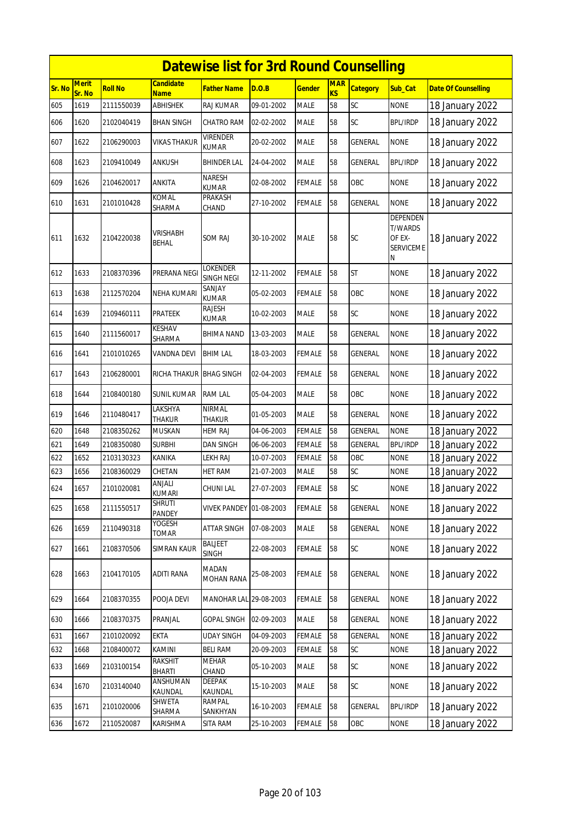|        |                        |                |                                 | <b>Datewise list for 3rd Round Counselling</b> |            |               |                              |                 |                                                        |                            |
|--------|------------------------|----------------|---------------------------------|------------------------------------------------|------------|---------------|------------------------------|-----------------|--------------------------------------------------------|----------------------------|
| Sr. No | <b>Merit</b><br>Sr. No | <b>Roll No</b> | <b>Candidate</b><br><b>Name</b> | <b>Father Name</b>                             | D.O.B      | <b>Gender</b> | <b>MAR</b><br>K <sub>S</sub> | <b>Category</b> | Sub_Cat                                                | <b>Date Of Counselling</b> |
| 605    | 1619                   | 2111550039     | <b>ABHISHEK</b>                 | <b>RAJ KUMAR</b>                               | 09-01-2002 | <b>MALE</b>   | 58                           | SC              | <b>NONE</b>                                            | 18 January 2022            |
| 606    | 1620                   | 2102040419     | <b>BHAN SINGH</b>               | CHATRO RAM                                     | 02-02-2002 | <b>MALE</b>   | 58                           | SC              | <b>BPL/IRDP</b>                                        | 18 January 2022            |
| 607    | 1622                   | 2106290003     | VIKAS THAKUR                    | <b>VIRENDER</b><br>KUMAR                       | 20-02-2002 | <b>MALE</b>   | 58                           | GENERAL         | <b>NONE</b>                                            | 18 January 2022            |
| 608    | 1623                   | 2109410049     | <b>ANKUSH</b>                   | <b>BHINDER LAL</b>                             | 24-04-2002 | <b>MALE</b>   | 58                           | GENERAL         | <b>BPL/IRDP</b>                                        | 18 January 2022            |
| 609    | 1626                   | 2104620017     | ANKITA                          | <b>NARESH</b><br><b>KUMAR</b>                  | 02-08-2002 | <b>FEMALE</b> | 58                           | OBC             | <b>NONE</b>                                            | 18 January 2022            |
| 610    | 1631                   | 2101010428     | KOMAL<br>SHARMA                 | PRAKASH<br>CHAND                               | 27-10-2002 | <b>FEMALE</b> | 58                           | <b>GENERAL</b>  | <b>NONE</b>                                            | 18 January 2022            |
| 611    | 1632                   | 2104220038     | VRISHABH<br>BEHAL               | <b>SOM RAJ</b>                                 | 30-10-2002 | <b>MALE</b>   | 58                           | SC              | DEPENDEN<br><b>T/WARDS</b><br>OF EX-<br>SERVICEME<br>Ν | 18 January 2022            |
| 612    | 1633                   | 2108370396     | PRERANA NEGI                    | <b>LOKENDER</b><br><b>SINGH NEGI</b>           | 12-11-2002 | <b>FEMALE</b> | 58                           | <b>ST</b>       | <b>NONE</b>                                            | 18 January 2022            |
| 613    | 1638                   | 2112570204     | NEHA KUMARI                     | SANJAY<br><b>KUMAR</b>                         | 05-02-2003 | <b>FEMALE</b> | 58                           | OBC             | NONE                                                   | 18 January 2022            |
| 614    | 1639                   | 2109460111     | <b>PRATEEK</b>                  | RAJESH<br>KUMAR                                | 10-02-2003 | <b>MALE</b>   | 58                           | SC              | <b>NONE</b>                                            | 18 January 2022            |
| 615    | 1640                   | 2111560017     | <b>KESHAV</b><br>SHARMA         | BHIMA NAND                                     | 13-03-2003 | MALE          | 58                           | GENERAL         | <b>NONE</b>                                            | 18 January 2022            |
| 616    | 1641                   | 2101010265     | <b>VANDNA DEVI</b>              | <b>BHIM LAL</b>                                | 18-03-2003 | <b>FEMALE</b> | 58                           | <b>GENERAL</b>  | <b>NONE</b>                                            | 18 January 2022            |
| 617    | 1643                   | 2106280001     | RICHA THAKUR                    | <b>BHAG SINGH</b>                              | 02-04-2003 | <b>FEMALE</b> | 58                           | GENERAL         | <b>NONE</b>                                            | 18 January 2022            |
| 618    | 1644                   | 2108400180     | SUNIL KUMAR                     | <b>RAM LAL</b>                                 | 05-04-2003 | <b>MALE</b>   | 58                           | OBC             | <b>NONE</b>                                            | 18 January 2022            |
| 619    | 1646                   | 2110480417     | LAKSHYA<br><b>THAKUR</b>        | <b>NIRMAL</b><br><b>THAKUR</b>                 | 01-05-2003 | <b>MALE</b>   | 58                           | <b>GENERAL</b>  | <b>NONE</b>                                            | 18 January 2022            |
| 620    | 1648                   | 2108350262     | <b>MUSKAN</b>                   | <b>HEM RAJ</b>                                 | 04-06-2003 | <b>FEMALE</b> | 58                           | <b>GENERAL</b>  | <b>NONE</b>                                            | 18 January 2022            |
| 621    | 1649                   | 2108350080     | <b>SURBHI</b>                   | <b>DAN SINGH</b>                               | 06-06-2003 | <b>FEMALE</b> | 58                           | <b>GENERAL</b>  | <b>BPL/IRDP</b>                                        | 18 January 2022            |
| 622    | 1652                   | 2103130323     | KANIKA                          | LEKH RAJ                                       | 10-07-2003 | <b>FEMALE</b> | 58                           | OBC             | <b>NONE</b>                                            | 18 January 2022            |
| 623    | 1656                   | 2108360029     | CHETAN                          | HET RAM                                        | 21-07-2003 | <b>MALE</b>   | 58                           | SC              | <b>NONE</b>                                            | 18 January 2022            |
| 624    | 1657                   | 2101020081     | ANJALI<br>KUMARI                | <b>CHUNI LAL</b>                               | 27-07-2003 | <b>FEMALE</b> | 58                           | <b>SC</b>       | <b>NONE</b>                                            | 18 January 2022            |
| 625    | 1658                   | 2111550517     | <b>SHRUTI</b><br>PANDEY         | <b>VIVEK PANDEY 01-08-2003</b>                 |            | <b>FEMALE</b> | 58                           | GENERAL         | <b>NONE</b>                                            | 18 January 2022            |
| 626    | 1659                   | 2110490318     | YOGESH<br>TOMAR                 | ATTAR SINGH                                    | 07-08-2003 | <b>MALE</b>   | 58                           | GENERAL         | <b>NONE</b>                                            | 18 January 2022            |
| 627    | 1661                   | 2108370506     | <b>SIMRAN KAUR</b>              | <b>BALJEET</b><br><b>SINGH</b>                 | 22-08-2003 | <b>FEMALE</b> | 58                           | <b>SC</b>       | <b>NONE</b>                                            | 18 January 2022            |
| 628    | 1663                   | 2104170105     | ADITI RANA                      | MADAN<br><b>MOHAN RANA</b>                     | 25-08-2003 | <b>FEMALE</b> | 58                           | GENERAL         | <b>NONE</b>                                            | 18 January 2022            |
| 629    | 1664                   | 2108370355     | POOJA DEVI                      | MANOHAR LAL 29-08-2003                         |            | <b>FEMALE</b> | 58                           | GENERAL         | <b>NONE</b>                                            | 18 January 2022            |
| 630    | 1666                   | 2108370375     | PRANJAL                         | <b>GOPAL SINGH</b>                             | 02-09-2003 | <b>MALE</b>   | 58                           | GENERAL         | <b>NONE</b>                                            | 18 January 2022            |
| 631    | 1667                   | 2101020092     | <b>EKTA</b>                     | <b>UDAY SINGH</b>                              | 04-09-2003 | <b>FEMALE</b> | 58                           | <b>GENERAL</b>  | <b>NONE</b>                                            | 18 January 2022            |
| 632    | 1668                   | 2108400072     | KAMINI                          | <b>BELI RAM</b>                                | 20-09-2003 | <b>FEMALE</b> | 58                           | SC              | <b>NONE</b>                                            | 18 January 2022            |
| 633    | 1669                   | 2103100154     | <b>RAKSHIT</b><br><b>BHARTI</b> | <b>MEHAR</b><br>CHAND                          | 05-10-2003 | MALE          | 58                           | SC              | <b>NONE</b>                                            | 18 January 2022            |
| 634    | 1670                   | 2103140040     | ANSHUMAN<br>KAUNDAL             | <b>DEEPAK</b><br>KAUNDAL                       | 15-10-2003 | MALE          | 58                           | SC              | <b>NONE</b>                                            | 18 January 2022            |
| 635    | 1671                   | 2101020006     | SHWETA<br>SHARMA                | RAMPAL<br>SANKHYAN                             | 16-10-2003 | <b>FEMALE</b> | 58                           | <b>GENERAL</b>  | <b>BPL/IRDP</b>                                        | 18 January 2022            |
| 636    | 1672                   | 2110520087     | KARISHMA                        | SITA RAM                                       | 25-10-2003 | <b>FEMALE</b> | 58                           | OBC             | <b>NONE</b>                                            | 18 January 2022            |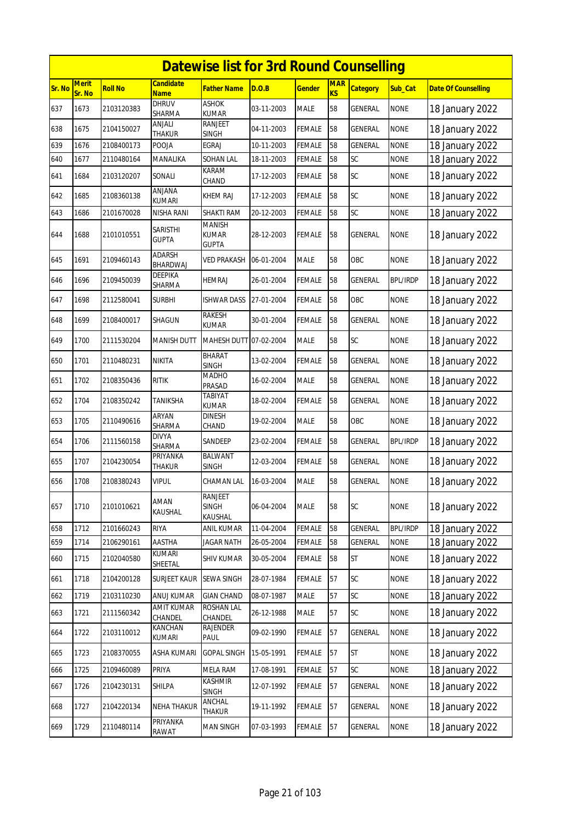|        |                        |                |                                 | <b>Datewise list for 3rd Round Counselling</b> |            |               |                  |                 |                 |                            |
|--------|------------------------|----------------|---------------------------------|------------------------------------------------|------------|---------------|------------------|-----------------|-----------------|----------------------------|
| Sr. No | <b>Merit</b><br>Sr. No | <b>Roll No</b> | Candidate<br><b>Name</b>        | <b>Father Name</b>                             | D.O.B      | <u>Gender</u> | <b>MAR</b><br>KS | <b>Category</b> | Sub_Cat         | <b>Date Of Counselling</b> |
| 637    | 1673                   | 2103120383     | <b>DHRUV</b><br>SHARMA          | <b>ASHOK</b><br><b>KUMAR</b>                   | 03-11-2003 | <b>MALE</b>   | 58               | <b>GENERAL</b>  | <b>NONE</b>     | 18 January 2022            |
| 638    | 1675                   | 2104150027     | anjali<br>THAKUR                | RANJEET<br><b>SINGH</b>                        | 04-11-2003 | FEMALE        | 58               | GENERAL         | <b>NONE</b>     | 18 January 2022            |
| 639    | 1676                   | 2108400173     | POOJA                           | <b>EGRAJ</b>                                   | 10-11-2003 | <b>FEMALE</b> | 58               | GENERAL         | <b>NONE</b>     | 18 January 2022            |
| 640    | 1677                   | 2110480164     | MANALIKA                        | SOHAN LAL                                      | 18-11-2003 | <b>FEMALE</b> | 58               | SC              | <b>NONE</b>     | 18 January 2022            |
| 641    | 1684                   | 2103120207     | Sonali                          | KARAM<br>CHAND                                 | 17-12-2003 | FEMALE        | 58               | SC              | <b>NONE</b>     | 18 January 2022            |
| 642    | 1685                   | 2108360138     | ANJANA<br>kumari                | <b>KHEM RAJ</b>                                | 17-12-2003 | FEMALE        | 58               | SC              | <b>NONE</b>     | 18 January 2022            |
| 643    | 1686                   | 2101670028     | NISHA RANI                      | SHAKTI RAM                                     | 20-12-2003 | FEMALE        | 58               | SC              | <b>NONE</b>     | 18 January 2022            |
| 644    | 1688                   | 2101010551     | <b>SARISTHI</b><br><b>GUPTA</b> | <b>MANISH</b><br><b>KUMAR</b><br><b>GUPTA</b>  | 28-12-2003 | FEMALE        | 58               | <b>GENERAL</b>  | <b>NONE</b>     | 18 January 2022            |
| 645    | 1691                   | 2109460143     | ADARSH<br>BHARDWAJ              | <b>VED PRAKASH</b>                             | 06-01-2004 | <b>MALE</b>   | 58               | OBC             | <b>NONE</b>     | 18 January 2022            |
| 646    | 1696                   | 2109450039     | DEEPIKA<br>SHARMA               | <b>HEMRAJ</b>                                  | 26-01-2004 | FEMALE        | 58               | <b>GENERAL</b>  | <b>BPL/IRDP</b> | 18 January 2022            |
| 647    | 1698                   | 2112580041     | Surbhi                          | <b>ISHWAR DASS</b>                             | 27-01-2004 | FEMALE        | 58               | OBC             | <b>NONE</b>     | 18 January 2022            |
| 648    | 1699                   | 2108400017     | SHAGUN                          | <b>RAKESH</b><br><b>KUMAR</b>                  | 30-01-2004 | FEMALE        | 58               | <b>GENERAL</b>  | <b>NONE</b>     | 18 January 2022            |
| 649    | 1700                   | 2111530204     | MANISH DUTT                     | MAHESH DUTT 07-02-2004                         |            | <b>MALE</b>   | 58               | SC              | <b>NONE</b>     | 18 January 2022            |
| 650    | 1701                   | 2110480231     | NIKITA                          | <b>BHARAT</b><br><b>SINGH</b>                  | 13-02-2004 | FEMALE        | 58               | <b>GENERAL</b>  | <b>NONE</b>     | 18 January 2022            |
| 651    | 1702                   | 2108350436     | ritik                           | <b>MADHO</b><br>PRASAD                         | 16-02-2004 | MALE          | 58               | GENERAL         | <b>NONE</b>     | 18 January 2022            |
| 652    | 1704                   | 2108350242     | TANIKSHA                        | <b>TABIYAT</b><br><b>KUMAR</b>                 | 18-02-2004 | <b>FEMALE</b> | 58               | <b>GENERAL</b>  | <b>NONE</b>     | 18 January 2022            |
| 653    | 1705                   | 2110490616     | ARYAN<br>SHARMA                 | <b>DINESH</b><br>CHAND                         | 19-02-2004 | <b>MALE</b>   | 58               | OBC             | <b>NONE</b>     | 18 January 2022            |
| 654    | 1706                   | 2111560158     | DIVYA<br>SHARMA                 | SANDEEP                                        | 23-02-2004 | FEMALE        | 58               | GENERAL         | <b>BPL/IRDP</b> | 18 January 2022            |
| 655    | 1707                   | 2104230054     | PRIYANKA<br><b>THAKUR</b>       | <b>BALWANT</b><br><b>SINGH</b>                 | 12-03-2004 | FEMALE        | 58               | GENERAL         | <b>NONE</b>     | 18 January 2022            |
| 656    | 1708                   | 2108380243     | <b>VIPUL</b>                    | CHAMAN LAL                                     | 16-03-2004 | MALE          | 58               | <b>GENERAL</b>  | <b>NONE</b>     | 18 January 2022            |
| 657    | 1710                   | 2101010621     | AMAN<br>KAUSHAL                 | RANJEET<br><b>SINGH</b><br>KAUSHAL             | 06-04-2004 | MALE          | 58               | SC              | <b>NONE</b>     | 18 January 2022            |
| 658    | 1712                   | 2101660243     | riya                            | ANIL KUMAR                                     | 11-04-2004 | FEMALE        | 58               | GENERAL         | <b>BPL/IRDP</b> | 18 January 2022            |
| 659    | 1714                   | 2106290161     | AASTHA                          | <b>JAGAR NATH</b>                              | 26-05-2004 | FEMALE        | 58               | <b>GENERAL</b>  | <b>NONE</b>     | 18 January 2022            |
| 660    | 1715                   | 2102040580     | KUMARI<br>SHEETAL               | <b>SHIV KUMAR</b>                              | 30-05-2004 | <b>FEMALE</b> | 58               | <b>ST</b>       | <b>NONE</b>     | 18 January 2022            |
| 661    | 1718                   | 2104200128     | <b>SURJEET KAUR</b>             | <b>SEWA SINGH</b>                              | 28-07-1984 | <b>FEMALE</b> | 57               | SC              | <b>NONE</b>     | 18 January 2022            |
| 662    | 1719                   | 2103110230     | ANUJ KUMAR                      | <b>GIAN CHAND</b>                              | 08-07-1987 | MALE          | 57               | SC              | <b>NONE</b>     | 18 January 2022            |
| 663    | 1721                   | 2111560342     | <b>AMIT KUMAR</b><br>CHANDEL    | <b>ROSHAN LAL</b><br>CHANDEL                   | 26-12-1988 | <b>MALE</b>   | 57               | SC              | <b>NONE</b>     | 18 January 2022            |
| 664    | 1722                   | 2103110012     | KANCHAN<br>kumari               | RAJENDER<br>PAUL                               | 09-02-1990 | <b>FEMALE</b> | 57               | GENERAL         | <b>NONE</b>     | 18 January 2022            |
| 665    | 1723                   | 2108370055     | ASHA KUMARI                     | <b>GOPAL SINGH</b>                             | 15-05-1991 | <b>FEMALE</b> | 57               | <b>ST</b>       | <b>NONE</b>     | 18 January 2022            |
| 666    | 1725                   | 2109460089     | PRIYA                           | <b>MELA RAM</b>                                | 17-08-1991 | FEMALE        | 57               | SC              | <b>NONE</b>     | 18 January 2022            |
| 667    | 1726                   | 2104230131     | SHILPA                          | KASHMIR<br><b>SINGH</b>                        | 12-07-1992 | <b>FEMALE</b> | 57               | GENERAL         | <b>NONE</b>     | 18 January 2022            |
| 668    | 1727                   | 2104220134     | <b>NEHA THAKUR</b>              | ANCHAL<br>THAKUR                               | 19-11-1992 | <b>FEMALE</b> | 57               | <b>GENERAL</b>  | <b>NONE</b>     | 18 January 2022            |
| 669    | 1729                   | 2110480114     | PRIYANKA<br>RAWAT               | <b>MAN SINGH</b>                               | 07-03-1993 | FEMALE        | 57               | GENERAL         | <b>NONE</b>     | 18 January 2022            |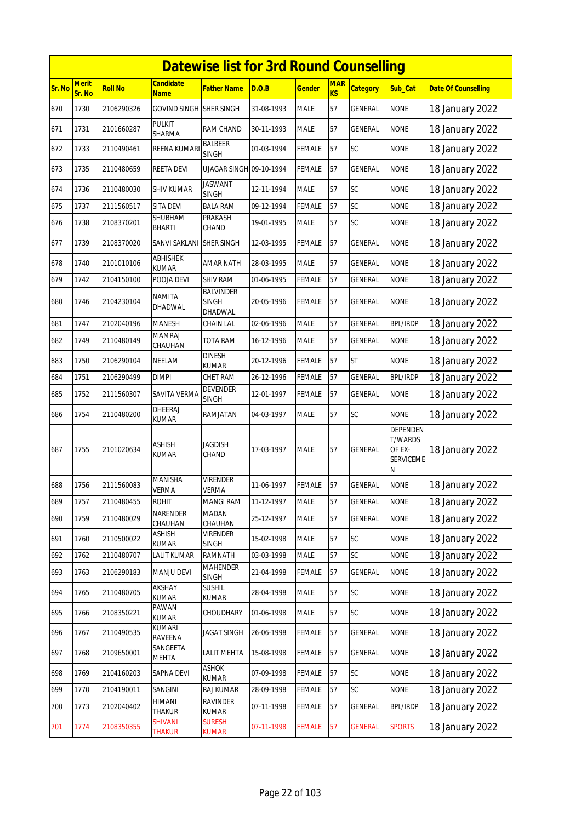|        |                        |                |                                 | <b>Datewise list for 3rd Round Counselling</b> |            |               |                              |                 |                                                               |                            |
|--------|------------------------|----------------|---------------------------------|------------------------------------------------|------------|---------------|------------------------------|-----------------|---------------------------------------------------------------|----------------------------|
| Sr. No | <b>Merit</b><br>Sr. No | <b>Roll No</b> | <b>Candidate</b><br><b>Name</b> | <b>Father Name</b>                             | D.O.B      | <b>Gender</b> | <b>MAR</b><br>K <sub>S</sub> | <b>Category</b> | Sub_Cat                                                       | <b>Date Of Counselling</b> |
| 670    | 1730                   | 2106290326     | <b>GOVIND SINGH</b>             | <b>SHER SINGH</b>                              | 31-08-1993 | <b>MALE</b>   | 57                           | <b>GENERAL</b>  | <b>NONE</b>                                                   | 18 January 2022            |
| 671    | 1731                   | 2101660287     | <b>PULKIT</b><br>SHARMA         | RAM CHAND                                      | 30-11-1993 | <b>MALE</b>   | 57                           | GENERAL         | <b>NONE</b>                                                   | 18 January 2022            |
| 672    | 1733                   | 2110490461     | REENA KUMARI                    | BALBEER<br><b>SINGH</b>                        | 01-03-1994 | <b>FEMALE</b> | 57                           | <b>SC</b>       | <b>NONE</b>                                                   | 18 January 2022            |
| 673    | 1735                   | 2110480659     | <b>REETA DEVI</b>               | UJAGAR SINGH 09-10-1994                        |            | <b>FEMALE</b> | 57                           | <b>GENERAL</b>  | <b>NONE</b>                                                   | 18 January 2022            |
| 674    | 1736                   | 2110480030     | SHIV KUMAR                      | <b>JASWANT</b><br><b>SINGH</b>                 | 12-11-1994 | <b>MALE</b>   | 57                           | SC              | <b>NONE</b>                                                   | 18 January 2022            |
| 675    | 1737                   | 2111560517     | SITA DEVI                       | <b>BALA RAM</b>                                | 09-12-1994 | <b>FEMALE</b> | 57                           | SC              | <b>NONE</b>                                                   | 18 January 2022            |
| 676    | 1738                   | 2108370201     | SHUBHAM<br><b>BHARTI</b>        | PRAKASH<br>CHAND                               | 19-01-1995 | <b>MALE</b>   | 57                           | SC              | <b>NONE</b>                                                   | 18 January 2022            |
| 677    | 1739                   | 2108370020     | SANVI SAKLANI                   | <b>SHER SINGH</b>                              | 12-03-1995 | <b>FEMALE</b> | 57                           | <b>GENERAL</b>  | <b>NONE</b>                                                   | 18 January 2022            |
| 678    | 1740                   | 2101010106     | ABHISHEK<br><b>KUMAR</b>        | <b>AMAR NATH</b>                               | 28-03-1995 | <b>MALE</b>   | 57                           | <b>GENERAL</b>  | <b>NONE</b>                                                   | 18 January 2022            |
| 679    | 1742                   | 2104150100     | POOJA DEVI                      | <b>SHIV RAM</b>                                | 01-06-1995 | <b>FEMALE</b> | 57                           | <b>GENERAL</b>  | <b>NONE</b>                                                   | 18 January 2022            |
| 680    | 1746                   | 2104230104     | <b>NAMITA</b><br>DHADWAL        | <b>BALVINDER</b><br><b>SINGH</b><br>DHADWAL    | 20-05-1996 | <b>FEMALE</b> | 57                           | <b>GENERAL</b>  | <b>NONE</b>                                                   | 18 January 2022            |
| 681    | 1747                   | 2102040196     | <b>MANESH</b>                   | CHAIN LAL                                      | 02-06-1996 | <b>MALE</b>   | 57                           | <b>GENERAL</b>  | BPL/IRDP                                                      | 18 January 2022            |
| 682    | 1749                   | 2110480149     | <b>MAMRAJ</b><br>CHAUHAN        | TOTA RAM                                       | 16-12-1996 | <b>MALE</b>   | 57                           | GENERAL         | <b>NONE</b>                                                   | 18 January 2022            |
| 683    | 1750                   | 2106290104     | NEELAM                          | <b>DINESH</b><br><b>KUMAR</b>                  | 20-12-1996 | <b>FEMALE</b> | 57                           | <b>ST</b>       | <b>NONE</b>                                                   | 18 January 2022            |
| 684    | 1751                   | 2106290499     | <b>DIMPI</b>                    | CHET RAM                                       | 26-12-1996 | <b>FEMALE</b> | 57                           | <b>GENERAL</b>  | <b>BPL/IRDP</b>                                               | 18 January 2022            |
| 685    | 1752                   | 2111560307     | SAVITA VERMA                    | <b>DEVENDER</b><br>SINGH                       | 12-01-1997 | <b>FEMALE</b> | 57                           | GENERAL         | <b>NONE</b>                                                   | 18 January 2022            |
| 686    | 1754                   | 2110480200     | DHEERAJ<br><b>KUMAR</b>         | RAMJATAN                                       | 04-03-1997 | <b>MALE</b>   | 57                           | <b>SC</b>       | <b>NONE</b>                                                   | 18 January 2022            |
| 687    | 1755                   | 2101020634     | <b>ASHISH</b><br><b>KUMAR</b>   | <b>JAGDISH</b><br>CHAND                        | 17-03-1997 | <b>MALE</b>   | 57                           | <b>GENERAL</b>  | DEPENDEN<br><b>T/WARDS</b><br>OF EX-<br><b>SERVICEME</b><br>Ν | 18 January 2022            |
| 688    | 1756                   | 2111560083     | <b>MANISHA</b><br><b>VERMA</b>  | <b>VIRENDER</b><br><b>VERMA</b>                | 11-06-1997 | <b>FEMALE</b> | 57                           | <b>GENERAL</b>  | <b>NONE</b>                                                   | 18 January 2022            |
| 689    | 1757                   | 2110480455     | <b>ROHIT</b>                    | <b>MANGI RAM</b>                               | 11-12-1997 | <b>MALE</b>   | 57                           | <b>GENERAL</b>  | <b>NONE</b>                                                   | 18 January 2022            |
| 690    | 1759                   | 2110480029     | NARENDER<br>CHAUHAN             | <b>MADAN</b><br>CHAUHAN                        | 25-12-1997 | <b>MALE</b>   | 57                           | GENERAL         | <b>NONE</b>                                                   | 18 January 2022            |
| 691    | 1760                   | 2110500022     | ASHISH<br>KUMAR                 | <b>VIRENDER</b><br>SINGH                       | 15-02-1998 | <b>MALE</b>   | 57                           | SC              | <b>NONE</b>                                                   | 18 January 2022            |
| 692    | 1762                   | 2110480707     | <b>LALIT KUMAR</b>              | RAMNATH                                        | 03-03-1998 | MALE          | 57                           | SC              | <b>NONE</b>                                                   | 18 January 2022            |
| 693    | 1763                   | 2106290183     | <b>MANJU DEVI</b>               | <b>MAHENDER</b><br><b>SINGH</b>                | 21-04-1998 | FEMALE        | 57                           | GENERAL         | <b>NONE</b>                                                   | 18 January 2022            |
| 694    | 1765                   | 2110480705     | AKSHAY<br>KUMAR                 | <b>SUSHIL</b><br><b>KUMAR</b>                  | 28-04-1998 | MALE          | 57                           | SC              | <b>NONE</b>                                                   | 18 January 2022            |
| 695    | 1766                   | 2108350221     | PAWAN<br>KUMAR                  | CHOUDHARY                                      | 01-06-1998 | MALE          | 57                           | SC              | <b>NONE</b>                                                   | 18 January 2022            |
| 696    | 1767                   | 2110490535     | KUMARI<br>RAVEENA               | <b>JAGAT SINGH</b>                             | 26-06-1998 | <b>FEMALE</b> | 57                           | GENERAL         | <b>NONE</b>                                                   | 18 January 2022            |
| 697    | 1768                   | 2109650001     | SANGEETA<br>MEHTA               | <b>LALIT MEHTA</b>                             | 15-08-1998 | FEMALE        | 57                           | GENERAL         | <b>NONE</b>                                                   | 18 January 2022            |
| 698    | 1769                   | 2104160203     | SAPNA DEVI                      | <b>ASHOK</b><br>KUMAR                          | 07-09-1998 | <b>FEMALE</b> | 57                           | SC              | <b>NONE</b>                                                   | 18 January 2022            |
| 699    | 1770                   | 2104190011     | SANGINI                         | RAJ KUMAR                                      | 28-09-1998 | FEMALE        | 57                           | SC              | <b>NONE</b>                                                   | 18 January 2022            |
| 700    | 1773                   | 2102040402     | HIMANI<br>THAKUR                | RAVINDER<br><b>KUMAR</b>                       | 07-11-1998 | <b>FEMALE</b> | 57                           | GENERAL         | <b>BPL/IRDP</b>                                               | 18 January 2022            |
| 701    | 1774                   | 2108350355     | <b>SHIVANI</b><br>Thakur        | <b>SURESH</b><br>Kumar                         | 07-11-1998 | <b>FEMALE</b> | 57                           | <b>GENERAL</b>  | <b>SPORTS</b>                                                 | 18 January 2022            |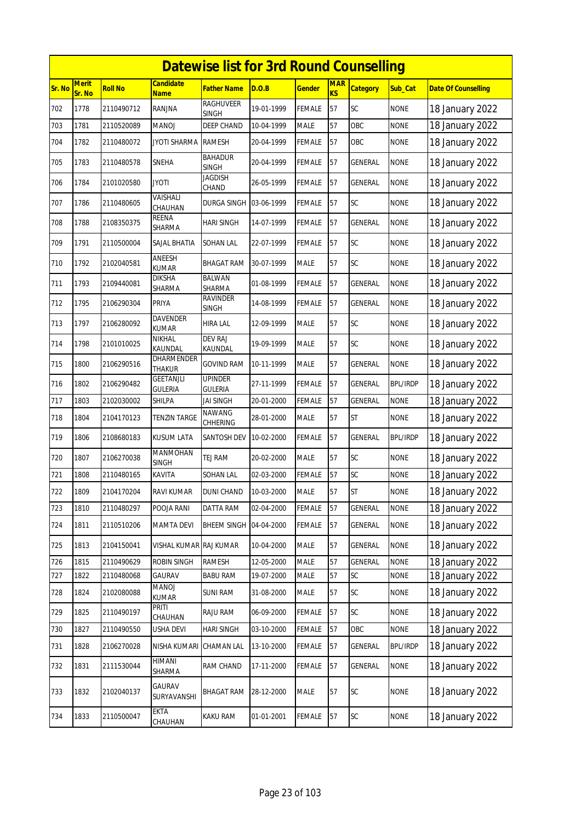|        |                        |            |                                 | <b>Datewise list for 3rd Round Counselling</b> |            |               |                         |                 |                 |                            |
|--------|------------------------|------------|---------------------------------|------------------------------------------------|------------|---------------|-------------------------|-----------------|-----------------|----------------------------|
| Sr. No | <b>Merit</b><br>Sr. No | Roll No    | Candidate<br><b>Name</b>        | Father Name                                    | D.O.B      | <b>Gender</b> | <b>MAR</b><br><b>KS</b> | <b>Category</b> | Sub_Cat         | <b>Date Of Counselling</b> |
| 702    | 1778                   | 2110490712 | RANJNA                          | <b>RAGHUVEER</b><br>SINGH                      | 19-01-1999 | FEMALE        | 57                      | SC              | <b>NONE</b>     | 18 January 2022            |
| 703    | 1781                   | 2110520089 | MANOJ                           | <b>DEEP CHAND</b>                              | 10-04-1999 | <b>MALE</b>   | 57                      | OBC             | <b>NONE</b>     | 18 January 2022            |
| 704    | 1782                   | 2110480072 | JYOTI SHARMA                    | <b>RAMESH</b>                                  | 20-04-1999 | FEMALE        | 57                      | OBC             | <b>NONE</b>     | 18 January 2022            |
| 705    | 1783                   | 2110480578 | <b>SNEHA</b>                    | <b>BAHADUR</b><br><b>SINGH</b>                 | 20-04-1999 | <b>FEMALE</b> | 57                      | GENERAL         | <b>NONE</b>     | 18 January 2022            |
| 706    | 1784                   | 2101020580 | JYOTI                           | Jagdish<br>CHAND                               | 26-05-1999 | FEMALE        | 57                      | GENERAL         | <b>NONE</b>     | 18 January 2022            |
| 707    | 1786                   | 2110480605 | VAISHALI<br>CHAUHAN             | DURGA SINGH                                    | 03-06-1999 | <b>FEMALE</b> | 57                      | SC              | <b>NONE</b>     | 18 January 2022            |
| 708    | 1788                   | 2108350375 | REENA<br>SHARMA                 | HARI SINGH                                     | 14-07-1999 | <b>FEMALE</b> | 57                      | GENERAL         | <b>NONE</b>     | 18 January 2022            |
| 709    | 1791                   | 2110500004 | SAJAL BHATIA                    | SOHAN LAL                                      | 22-07-1999 | FEMALE        | 57                      | SC              | <b>NONE</b>     | 18 January 2022            |
| 710    | 1792                   | 2102040581 | ANEESH<br>KUMAR                 | BHAGAT RAM                                     | 30-07-1999 | <b>MALE</b>   | 57                      | SC              | <b>NONE</b>     | 18 January 2022            |
| 711    | 1793                   | 2109440081 | DIKSHA<br>SHARMA                | BALWAN<br>SHARMA                               | 01-08-1999 | <b>FEMALE</b> | 57                      | GENERAL         | <b>NONE</b>     | 18 January 2022            |
| 712    | 1795                   | 2106290304 | <b>PRIYA</b>                    | <b>RAVINDER</b><br><b>SINGH</b>                | 14-08-1999 | <b>FEMALE</b> | 57                      | <b>GENERAL</b>  | <b>NONE</b>     | 18 January 2022            |
| 713    | 1797                   | 2106280092 | <b>DAVENDER</b><br><b>KUMAR</b> | HIRA LAL                                       | 12-09-1999 | <b>MALE</b>   | 57                      | SC              | <b>NONE</b>     | 18 January 2022            |
| 714    | 1798                   | 2101010025 | NIKHAL<br>KAUNDAL               | <b>DEV RAJ</b><br>KAUNDAL                      | 19-09-1999 | <b>MALE</b>   | 57                      | SC              | <b>NONE</b>     | 18 January 2022            |
| 715    | 1800                   | 2106290516 | dharmender<br>THAKUR            | <b>GOVIND RAM</b>                              | 10-11-1999 | <b>MALE</b>   | 57                      | GENERAL         | <b>NONE</b>     | 18 January 2022            |
| 716    | 1802                   | 2106290482 | GEETANJLI<br><b>GULERIA</b>     | <b>UPINDER</b><br><b>GULERIA</b>               | 27-11-1999 | FEMALE        | 57                      | GENERAL         | <b>BPL/IRDP</b> | 18 January 2022            |
| 717    | 1803                   | 2102030002 | SHILPA                          | <b>JAI SINGH</b>                               | 20-01-2000 | FEMALE        | 57                      | <b>GENERAL</b>  | <b>NONE</b>     | 18 January 2022            |
| 718    | 1804                   | 2104170123 | <b>TENZIN TARGE</b>             | NAWANG<br>CHHERING                             | 28-01-2000 | <b>MALE</b>   | 57                      | <b>ST</b>       | <b>NONE</b>     | 18 January 2022            |
| 719    | 1806                   | 2108680183 | <b>KUSUM LATA</b>               | SANTOSH DEV                                    | 10-02-2000 | <b>FEMALE</b> | 57                      | <b>GENERAL</b>  | <b>BPL/IRDP</b> | 18 January 2022            |
| 720    | 1807                   | 2106270038 | MANMOHAN<br><b>SINGH</b>        | TEJ RAM                                        | 20-02-2000 | <b>MALE</b>   | 57                      | SC              | <b>NONE</b>     | 18 January 2022            |
| 721    | 1808                   | 2110480165 | KAVITA                          | <b>SOHAN LAL</b>                               | 02-03-2000 | FEMALE        | 57                      | SC              | <b>NONE</b>     | 18 January 2022            |
| 722    | 1809                   | 2104170204 | RAVI KUMAR                      | <b>DUNI CHAND</b>                              | 10-03-2000 | <b>MALE</b>   | 57                      | <b>ST</b>       | <b>NONE</b>     | 18 January 2022            |
| 723    | 1810                   | 2110480297 | POOJA RANI                      | DATTA RAM                                      | 02-04-2000 | FEMALE        | 57                      | GENERAL         | <b>NONE</b>     | 18 January 2022            |
| 724    | 1811                   | 2110510206 | <b>MAMTA DEVI</b>               | <b>BHEEM SINGH</b>                             | 04-04-2000 | <b>FEMALE</b> | 57                      | GENERAL         | <b>NONE</b>     | 18 January 2022            |
| 725    | 1813                   | 2104150041 | VISHAL KUMAR RAJ KUMAR          |                                                | 10-04-2000 | <b>MALE</b>   | 57                      | GENERAL         | <b>NONE</b>     | 18 January 2022            |
| 726    | 1815                   | 2110490629 | ROBIN SINGH                     | <b>RAMESH</b>                                  | 12-05-2000 | <b>MALE</b>   | 57                      | GENERAL         | <b>NONE</b>     | 18 January 2022            |
| 727    | 1822                   | 2110480068 | GAURAV                          | <b>BABU RAM</b>                                | 19-07-2000 | <b>MALE</b>   | 57                      | SC              | <b>NONE</b>     | 18 January 2022            |
| 728    | 1824                   | 2102080088 | MANOJ<br>KUMAR                  | <b>SUNI RAM</b>                                | 31-08-2000 | MALE          | 57                      | SC              | <b>NONE</b>     | 18 January 2022            |
| 729    | 1825                   | 2110490197 | PRITI<br>CHAUHAN                | RAJU RAM                                       | 06-09-2000 | FEMALE        | 57                      | SC              | <b>NONE</b>     | 18 January 2022            |
| 730    | 1827                   | 2110490550 | USHA DEVI                       | <b>HARI SINGH</b>                              | 03-10-2000 | FEMALE        | 57                      | OBC             | <b>NONE</b>     | 18 January 2022            |
| 731    | 1828                   | 2106270028 | NISHA KUMARI                    | CHAMAN LAL                                     | 13-10-2000 | FEMALE        | 57                      | GENERAL         | <b>BPL/IRDP</b> | 18 January 2022            |
| 732    | 1831                   | 2111530044 | HIMANI<br>SHARMA                | RAM CHAND                                      | 17-11-2000 | <b>FEMALE</b> | 57                      | <b>GENERAL</b>  | <b>NONE</b>     | 18 January 2022            |
| 733    | 1832                   | 2102040137 | GAURAV<br>SURYAVANSHI           | BHAGAT RAM                                     | 28-12-2000 | <b>MALE</b>   | 57                      | <b>SC</b>       | <b>NONE</b>     | 18 January 2022            |
| 734    | 1833                   | 2110500047 | <b>EKTA</b><br>CHAUHAN          | KAKU RAM                                       | 01-01-2001 | <b>FEMALE</b> | 57                      | SC              | <b>NONE</b>     | 18 January 2022            |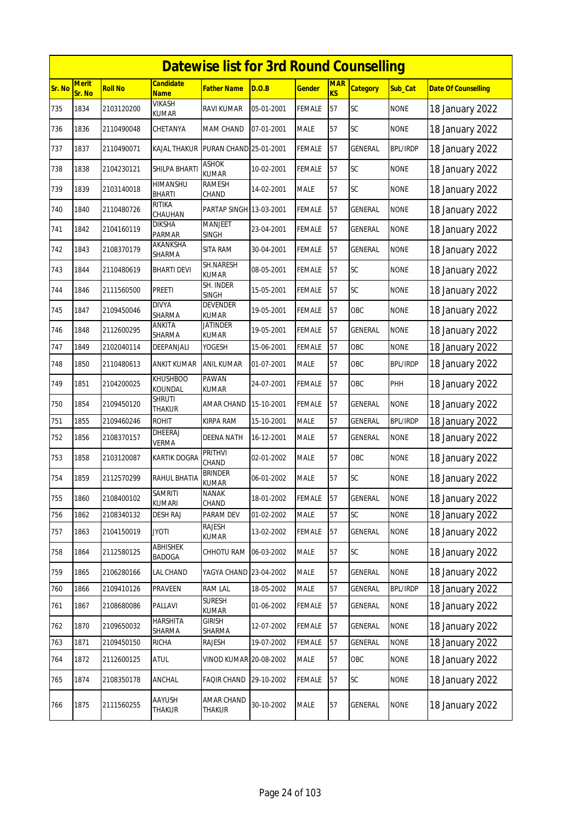|        | <b>Datewise list for 3rd Round Counselling</b> |                |                                 |                                 |            |               |                              |                 |                 |                            |  |  |  |
|--------|------------------------------------------------|----------------|---------------------------------|---------------------------------|------------|---------------|------------------------------|-----------------|-----------------|----------------------------|--|--|--|
| Sr. No | <b>Merit</b><br>Sr. No                         | <b>Roll No</b> | <b>Candidate</b><br><b>Name</b> | <b>Father Name</b>              | D.O.B      | <b>Gender</b> | <b>MAR</b><br>K <sub>S</sub> | <b>Category</b> | Sub_Cat         | <b>Date Of Counselling</b> |  |  |  |
| 735    | 1834                                           | 2103120200     | <b>VIKASH</b><br><b>KUMAR</b>   | <b>RAVI KUMAR</b>               | 05-01-2001 | <b>FEMALE</b> | 57                           | <b>SC</b>       | <b>NONE</b>     | 18 January 2022            |  |  |  |
| 736    | 1836                                           | 2110490048     | CHETANYA                        | MAM CHAND                       | 07-01-2001 | <b>MALE</b>   | 57                           | SC              | <b>NONE</b>     | 18 January 2022            |  |  |  |
| 737    | 1837                                           | 2110490071     | <b>KAJAL THAKUR</b>             | PURAN CHAND 25-01-2001          |            | <b>FEMALE</b> | 57                           | <b>GENERAL</b>  | <b>BPL/IRDP</b> | 18 January 2022            |  |  |  |
| 738    | 1838                                           | 2104230121     | SHILPA BHARTI                   | <b>ASHOK</b><br><b>KUMAR</b>    | 10-02-2001 | <b>FEMALE</b> | 57                           | SC              | <b>NONE</b>     | 18 January 2022            |  |  |  |
| 739    | 1839                                           | 2103140018     | HIMANSHU<br><b>BHARTI</b>       | RAMESH<br>CHAND                 | 14-02-2001 | <b>MALE</b>   | 57                           | SC              | <b>NONE</b>     | 18 January 2022            |  |  |  |
| 740    | 1840                                           | 2110480726     | <b>RITIKA</b><br>CHAUHAN        | PARTAP SINGH 13-03-2001         |            | <b>FEMALE</b> | 57                           | <b>GENERAL</b>  | <b>NONE</b>     | 18 January 2022            |  |  |  |
| 741    | 1842                                           | 2104160119     | <b>DIKSHA</b><br>PARMAR         | <b>MANJEET</b><br><b>SINGH</b>  | 23-04-2001 | <b>FEMALE</b> | 57                           | GENERAL         | <b>NONE</b>     | 18 January 2022            |  |  |  |
| 742    | 1843                                           | 2108370179     | AKANKSHA<br>SHARMA              | <b>SITA RAM</b>                 | 30-04-2001 | <b>FEMALE</b> | 57                           | <b>GENERAL</b>  | <b>NONE</b>     | 18 January 2022            |  |  |  |
| 743    | 1844                                           | 2110480619     | <b>BHARTI DEVI</b>              | SH.NARESH<br><b>KUMAR</b>       | 08-05-2001 | <b>FEMALE</b> | 57                           | SC              | <b>NONE</b>     | 18 January 2022            |  |  |  |
| 744    | 1846                                           | 2111560500     | PREETI                          | SH. INDER<br><b>SINGH</b>       | 15-05-2001 | <b>FEMALE</b> | 57                           | SC              | <b>NONE</b>     | 18 January 2022            |  |  |  |
| 745    | 1847                                           | 2109450046     | <b>DIVYA</b><br><b>SHARMA</b>   | <b>DEVENDER</b><br><b>KUMAR</b> | 19-05-2001 | <b>FEMALE</b> | 57                           | OBC             | <b>NONE</b>     | 18 January 2022            |  |  |  |
| 746    | 1848                                           | 2112600295     | ANKITA<br>SHARMA                | <b>JATINDER</b><br><b>KUMAR</b> | 19-05-2001 | <b>FEMALE</b> | 57                           | <b>GENERAL</b>  | <b>NONE</b>     | 18 January 2022            |  |  |  |
| 747    | 1849                                           | 2102040114     | DEEPANJALI                      | YOGESH                          | 15-06-2001 | <b>FEMALE</b> | 57                           | OBC             | <b>NONE</b>     | 18 January 2022            |  |  |  |
| 748    | 1850                                           | 2110480613     | ANKIT KUMAR                     | ANIL KUMAR                      | 01-07-2001 | <b>MALE</b>   | 57                           | OBC             | <b>BPL/IRDP</b> | 18 January 2022            |  |  |  |
| 749    | 1851                                           | 2104200025     | <b>KHUSHBOO</b><br>KOUNDAL      | PAWAN<br><b>KUMAR</b>           | 24-07-2001 | <b>FEMALE</b> | 57                           | OBC             | PHH             | 18 January 2022            |  |  |  |
| 750    | 1854                                           | 2109450120     | <b>SHRUTI</b><br>THAKUR         | AMAR CHAND                      | 15-10-2001 | <b>FEMALE</b> | 57                           | GENERAL         | <b>NONE</b>     | 18 January 2022            |  |  |  |
| 751    | 1855                                           | 2109460246     | <b>ROHIT</b>                    | <b>KIRPA RAM</b>                | 15-10-2001 | <b>MALE</b>   | 57                           | <b>GENERAL</b>  | <b>BPL/IRDP</b> | 18 January 2022            |  |  |  |
| 752    | 1856                                           | 2108370157     | <b>DHEERAJ</b><br><b>VERMA</b>  | <b>DEENA NATH</b>               | 16-12-2001 | <b>MALE</b>   | 57                           | GENERAL         | <b>NONE</b>     | 18 January 2022            |  |  |  |
| 753    | 1858                                           | 2103120087     | <b>KARTIK DOGRA</b>             | PRITHVI<br>CHAND                | 02-01-2002 | <b>MALE</b>   | 57                           | OBC             | <b>NONE</b>     | 18 January 2022            |  |  |  |
| 754    | 1859                                           | 2112570299     | RAHUL BHATIA                    | <b>BRINDER</b><br><b>KUMAR</b>  | 06-01-2002 | <b>MALE</b>   | 57                           | <b>SC</b>       | <b>NONE</b>     | 18 January 2022            |  |  |  |
| 755    | 1860                                           | 2108400102     | samriti<br><b>KUMARI</b>        | NANAK<br>CHAND                  | 18-01-2002 | <b>FEMALE</b> | 57                           | GENERAL         | <b>NONE</b>     | 18 January 2022            |  |  |  |
| 756    | 1862                                           | 2108340132     | DESH RAJ                        | PARAM DEV                       | 01-02-2002 | MALE          | 57                           | SC              | <b>NONE</b>     | 18 January 2022            |  |  |  |
| 757    | 1863                                           | 2104150019     | <b>JYOTI</b>                    | RAJESH<br>KUMAR                 | 13-02-2002 | <b>FEMALE</b> | 57                           | <b>GENERAL</b>  | <b>NONE</b>     | 18 January 2022            |  |  |  |
| 758    | 1864                                           | 2112580125     | ABHISHEK<br>BADOGA              | CHHOTU RAM                      | 06-03-2002 | <b>MALE</b>   | 57                           | SC              | <b>NONE</b>     | 18 January 2022            |  |  |  |
| 759    | 1865                                           | 2106280166     | LAL CHAND                       | YAGYA CHAND 23-04-2002          |            | <b>MALE</b>   | 57                           | GENERAL         | <b>NONE</b>     | 18 January 2022            |  |  |  |
| 760    | 1866                                           | 2109410126     | PRAVEEN                         | <b>RAM LAL</b>                  | 18-05-2002 | <b>MALE</b>   | 57                           | GENERAL         | <b>BPL/IRDP</b> | 18 January 2022            |  |  |  |
| 761    | 1867                                           | 2108680086     | PALLAVI                         | <b>SURESH</b><br><b>KUMAR</b>   | 01-06-2002 | <b>FEMALE</b> | 57                           | GENERAL         | <b>NONE</b>     | 18 January 2022            |  |  |  |
| 762    | 1870                                           | 2109650032     | <b>HARSHITA</b><br>SHARMA       | girish<br>SHARMA                | 12-07-2002 | <b>FEMALE</b> | 57                           | GENERAL         | <b>NONE</b>     | 18 January 2022            |  |  |  |
| 763    | 1871                                           | 2109450150     | RICHA                           | RAJESH                          | 19-07-2002 | FEMALE        | 57                           | GENERAL         | <b>NONE</b>     | 18 January 2022            |  |  |  |
| 764    | 1872                                           | 2112600125     | <b>ATUL</b>                     | <b>VINOD KUMAR 20-08-2002</b>   |            | <b>MALE</b>   | 57                           | OBC             | <b>NONE</b>     | 18 January 2022            |  |  |  |
| 765    | 1874                                           | 2108350178     | ANCHAL                          | <b>FAQIR CHAND</b>              | 29-10-2002 | <b>FEMALE</b> | 57                           | <b>SC</b>       | <b>NONE</b>     | 18 January 2022            |  |  |  |
| 766    | 1875                                           | 2111560255     | AAYUSH<br>THAKUR                | AMAR CHAND<br>THAKUR            | 30-10-2002 | MALE          | 57                           | GENERAL         | <b>NONE</b>     | 18 January 2022            |  |  |  |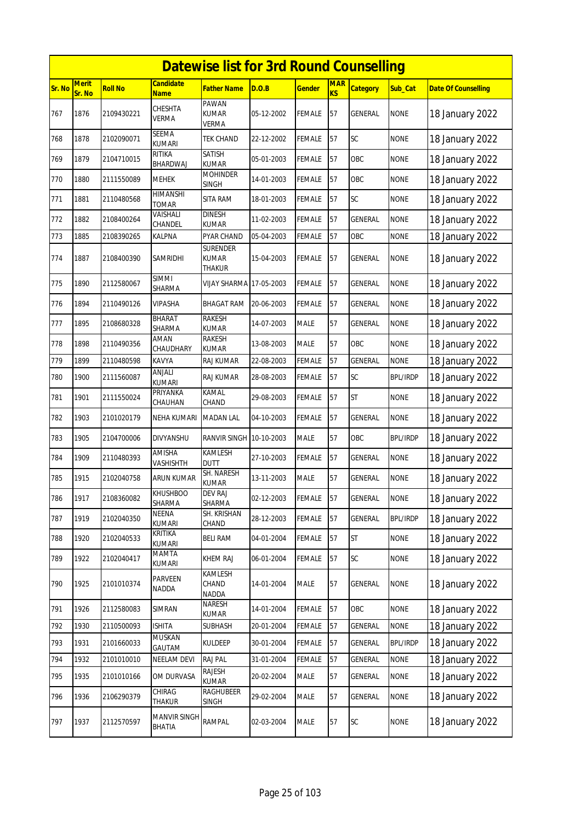|        | <b>Datewise list for 3rd Round Counselling</b><br><b>Merit</b><br><b>Candidate</b><br><b>MAR</b> |                |                               |                                    |            |               |    |                 |                 |                            |  |  |  |
|--------|--------------------------------------------------------------------------------------------------|----------------|-------------------------------|------------------------------------|------------|---------------|----|-----------------|-----------------|----------------------------|--|--|--|
| Sr. No | Sr. No                                                                                           | <b>Roll No</b> | <b>Name</b>                   | <b>Father Name</b>                 | D.O.B      | <u>Gender</u> | KS | <b>Category</b> | Sub Cat         | <b>Date Of Counselling</b> |  |  |  |
| 767    | 1876                                                                                             | 2109430221     | CHESHTA<br>VERMA              | PAWAN<br><b>KUMAR</b><br>VERMA     | 05-12-2002 | FEMALE        | 57 | GENERAL         | <b>NONE</b>     | 18 January 2022            |  |  |  |
| 768    | 1878                                                                                             | 2102090071     | <b>SEEMA</b><br><b>KUMARI</b> | <b>TEK CHAND</b>                   | 22-12-2002 | FEMALE        | 57 | <b>SC</b>       | <b>NONE</b>     | 18 January 2022            |  |  |  |
| 769    | 1879                                                                                             | 2104710015     | RITIKA<br>BHARDWAJ            | SATISH<br><b>KUMAR</b>             | 05-01-2003 | <b>FEMALE</b> | 57 | OBC             | <b>NONE</b>     | 18 January 2022            |  |  |  |
| 770    | 1880                                                                                             | 2111550089     | <b>MEHEK</b>                  | <b>MOHINDER</b><br><b>SINGH</b>    | 14-01-2003 | FEMALE        | 57 | OBC             | <b>NONE</b>     | 18 January 2022            |  |  |  |
| 771    | 1881                                                                                             | 2110480568     | <b>HIMANSHI</b><br>TOMAR      | SITA RAM                           | 18-01-2003 | <b>FEMALE</b> | 57 | SC              | <b>NONE</b>     | 18 January 2022            |  |  |  |
| 772    | 1882                                                                                             | 2108400264     | VAISHALI<br>CHANDEL           | <b>DINESH</b><br>KUMAR             | 11-02-2003 | FEMALE        | 57 | GENERAL         | <b>NONE</b>     | 18 January 2022            |  |  |  |
| 773    | 1885                                                                                             | 2108390265     | KALPNA                        | PYAR CHAND                         | 05-04-2003 | FEMALE        | 57 | OBC             | <b>NONE</b>     | 18 January 2022            |  |  |  |
| 774    | 1887                                                                                             | 2108400390     | SAMRIDHI                      | SURENDER<br><b>KUMAR</b><br>THAKUR | 15-04-2003 | <b>FEMALE</b> | 57 | GENERAL         | <b>NONE</b>     | 18 January 2022            |  |  |  |
| 775    | 1890                                                                                             | 2112580067     | <b>SIMMI</b><br>SHARMA        | VIJAY SHARMA 17-05-2003            |            | FEMALE        | 57 | GENERAL         | <b>NONE</b>     | 18 January 2022            |  |  |  |
| 776    | 1894                                                                                             | 2110490126     | <b>VIPASHA</b>                | <b>BHAGAT RAM</b>                  | 20-06-2003 | <b>FEMALE</b> | 57 | <b>GENERAL</b>  | <b>NONE</b>     | 18 January 2022            |  |  |  |
| 777    | 1895                                                                                             | 2108680328     | BHARAT<br>SHARMA              | RAKESH<br><b>KUMAR</b>             | 14-07-2003 | <b>MALE</b>   | 57 | GENERAL         | <b>NONE</b>     | 18 January 2022            |  |  |  |
| 778    | 1898                                                                                             | 2110490356     | AMAN<br>CHAUDHARY             | RAKESH<br><b>KUMAR</b>             | 13-08-2003 | <b>MALE</b>   | 57 | OBC             | <b>NONE</b>     | 18 January 2022            |  |  |  |
| 779    | 1899                                                                                             | 2110480598     | KAVYA                         | RAJ KUMAR                          | 22-08-2003 | <b>FEMALE</b> | 57 | <b>GENERAL</b>  | <b>NONE</b>     | 18 January 2022            |  |  |  |
| 780    | 1900                                                                                             | 2111560087     | ANJALI<br><b>KUMARI</b>       | RAJ KUMAR                          | 28-08-2003 | FEMALE        | 57 | SC              | <b>BPL/IRDP</b> | 18 January 2022            |  |  |  |
| 781    | 1901                                                                                             | 2111550024     | PRIYANKA<br>CHAUHAN           | <b>KAMAL</b><br>CHAND              | 29-08-2003 | FEMALE        | 57 | <b>ST</b>       | <b>NONE</b>     | 18 January 2022            |  |  |  |
| 782    | 1903                                                                                             | 2101020179     | NEHA KUMARI                   | <b>MADAN LAL</b>                   | 04-10-2003 | FEMALE        | 57 | GENERAL         | <b>NONE</b>     | 18 January 2022            |  |  |  |
| 783    | 1905                                                                                             | 2104700006     | DIVYANSHU                     | <b>RANVIR SINGH</b>                | 10-10-2003 | <b>MALE</b>   | 57 | OBC             | <b>BPL/IRDP</b> | 18 January 2022            |  |  |  |
| 784    | 1909                                                                                             | 2110480393     | AMISHA<br>VASHISHTH           | KAMLESH<br><b>DUTT</b>             | 27-10-2003 | FEMALE        | 57 | GENERAL         | <b>NONE</b>     | 18 January 2022            |  |  |  |
| 785    | 1915                                                                                             | 2102040758     | <b>ARUN KUMAR</b>             | SH. NARESH<br>KUMAR                | 13-11-2003 | MALE          | 57 | GENERAL         | <b>NONE</b>     | 18 January 2022            |  |  |  |
| 786    | 1917                                                                                             | 2108360082     | <b>KHUSHBOO</b><br>SHARMA     | DEV RAJ<br>SHARMA                  | 02-12-2003 | <b>FEMALE</b> | 57 | <b>GENERAL</b>  | <b>NONE</b>     | 18 January 2022            |  |  |  |
| 787    | 1919                                                                                             | 2102040350     | NEENA<br><b>KUMARI</b>        | SH. KRISHAN<br>CHAND               | 28-12-2003 | FEMALE        | 57 | GENERAL         | <b>BPL/IRDP</b> | 18 January 2022            |  |  |  |
| 788    | 1920                                                                                             | 2102040533     | KRITIKA<br>KUMARI             | <b>BELI RAM</b>                    | 04-01-2004 | <b>FEMALE</b> | 57 | <b>ST</b>       | <b>NONE</b>     | 18 January 2022            |  |  |  |
| 789    | 1922                                                                                             | 2102040417     | MAMTA<br>KUMARI               | KHEM RAJ                           | 06-01-2004 | <b>FEMALE</b> | 57 | SC              | <b>NONE</b>     | 18 January 2022            |  |  |  |
| 790    | 1925                                                                                             | 2101010374     | PARVEEN<br><b>NADDA</b>       | KAMLESH<br>CHAND<br>NADDA          | 14-01-2004 | MALE          | 57 | GENERAL         | <b>NONE</b>     | 18 January 2022            |  |  |  |
| 791    | 1926                                                                                             | 2112580083     | SIMRAN                        | NARESH<br>KUMAR                    | 14-01-2004 | FEMALE        | 57 | OBC             | <b>NONE</b>     | 18 January 2022            |  |  |  |
| 792    | 1930                                                                                             | 2110500093     | <b>ISHITA</b>                 | SUBHASH                            | 20-01-2004 | <b>FEMALE</b> | 57 | GENERAL         | <b>NONE</b>     | 18 January 2022            |  |  |  |
| 793    | 1931                                                                                             | 2101660033     | MUSKAN<br>GAUTAM              | KULDEEP                            | 30-01-2004 | <b>FEMALE</b> | 57 | GENERAL         | <b>BPL/IRDP</b> | 18 January 2022            |  |  |  |
| 794    | 1932                                                                                             | 2101010010     | <b>NEELAM DEVI</b>            | RAJ PAL                            | 31-01-2004 | FEMALE        | 57 | GENERAL         | <b>NONE</b>     | 18 January 2022            |  |  |  |
| 795    | 1935                                                                                             | 2101010166     | OM DURVASA                    | RAJESH<br>KUMAR                    | 20-02-2004 | MALE          | 57 | GENERAL         | <b>NONE</b>     | 18 January 2022            |  |  |  |
| 796    | 1936                                                                                             | 2106290379     | CHIRAG<br>THAKUR              | <b>RAGHUBEER</b><br>SINGH          | 29-02-2004 | <b>MALE</b>   | 57 | GENERAL         | <b>NONE</b>     | 18 January 2022            |  |  |  |
| 797    | 1937                                                                                             | 2112570597     | <b>MANVIR SINGH</b><br>BHATIA | RAMPAL                             | 02-03-2004 | MALE          | 57 | SC              | <b>NONE</b>     | 18 January 2022            |  |  |  |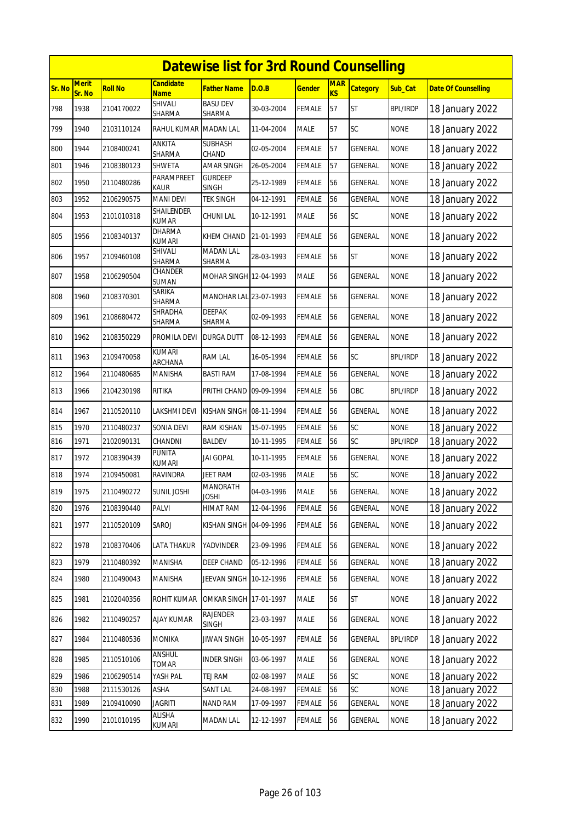|        | <b>Datewise list for 3rd Round Counselling</b> |                |                                |                                |            |               |                         |                 |                 |                            |  |  |
|--------|------------------------------------------------|----------------|--------------------------------|--------------------------------|------------|---------------|-------------------------|-----------------|-----------------|----------------------------|--|--|
| Sr. No | <b>Merit</b><br>Sr. No                         | <b>Roll No</b> | Candidate<br><b>Name</b>       | Father Name                    | D.O.B      | <u>Gender</u> | <b>MAR</b><br><b>KS</b> | <b>Category</b> | Sub_Cat         | <b>Date Of Counselling</b> |  |  |
| 798    | 1938                                           | 2104170022     | SHIVALI<br>SHARMA              | <b>BASU DEV</b><br>SHARMA      | 30-03-2004 | <b>FEMALE</b> | 57                      | <b>ST</b>       | <b>BPL/IRDP</b> | 18 January 2022            |  |  |
| 799    | 1940                                           | 2103110124     | RAHUL KUMAR                    | <b>MADAN LAL</b>               | 11-04-2004 | MALE          | 57                      | SC              | <b>NONE</b>     | 18 January 2022            |  |  |
| 800    | 1944                                           | 2108400241     | ANKITA<br>SHARMA               | SUBHASH<br>CHAND               | 02-05-2004 | FEMALE        | 57                      | GENERAL         | <b>NONE</b>     | 18 January 2022            |  |  |
| 801    | 1946                                           | 2108380123     | SHWETA                         | AMAR SINGH                     | 26-05-2004 | FEMALE        | 57                      | GENERAL         | <b>NONE</b>     | 18 January 2022            |  |  |
| 802    | 1950                                           | 2110480286     | <b>PARAMPREET</b><br>Kaur      | <b>GURDEEP</b><br><b>SINGH</b> | 25-12-1989 | FEMALE        | 56                      | GENERAL         | <b>NONE</b>     | 18 January 2022            |  |  |
| 803    | 1952                                           | 2106290575     | <b>MANI DEVI</b>               | TEK SINGH                      | 04-12-1991 | FEMALE        | 56                      | GENERAL         | <b>NONE</b>     | 18 January 2022            |  |  |
| 804    | 1953                                           | 2101010318     | SHAILENDER<br><b>KUMAR</b>     | <b>CHUNI LAL</b>               | 10-12-1991 | MALE          | 56                      | <b>SC</b>       | <b>NONE</b>     | 18 January 2022            |  |  |
| 805    | 1956                                           | 2108340137     | <b>DHARMA</b><br><b>KUMARI</b> | KHEM CHAND                     | 21-01-1993 | FEMALE        | 56                      | GENERAL         | <b>NONE</b>     | 18 January 2022            |  |  |
| 806    | 1957                                           | 2109460108     | SHIVALI<br>SHARMA              | <b>MADAN LAL</b><br>SHARMA     | 28-03-1993 | FEMALE        | 56                      | <b>ST</b>       | <b>NONE</b>     | 18 January 2022            |  |  |
| 807    | 1958                                           | 2106290504     | CHANDER<br>SUMAN               | MOHAR SINGH 12-04-1993         |            | MALE          | 56                      | GENERAL         | <b>NONE</b>     | 18 January 2022            |  |  |
| 808    | 1960                                           | 2108370301     | SARIKA<br>SHARMA               | MANOHAR LAL 23-07-1993         |            | <b>FEMALE</b> | 56                      | <b>GENERAL</b>  | <b>NONE</b>     | 18 January 2022            |  |  |
| 809    | 1961                                           | 2108680472     | SHRADHA<br>SHARMA              | <b>DEEPAK</b><br>SHARMA        | 02-09-1993 | <b>FEMALE</b> | 56                      | GENERAL         | <b>NONE</b>     | 18 January 2022            |  |  |
| 810    | 1962                                           | 2108350229     | PROMILA DEVI                   | DURGA DUTT                     | 08-12-1993 | FEMALE        | 56                      | GENERAL         | <b>NONE</b>     | 18 January 2022            |  |  |
| 811    | 1963                                           | 2109470058     | KUMARI<br>ARCHANA              | RAM LAL                        | 16-05-1994 | FEMALE        | 56                      | SC              | <b>BPL/IRDP</b> | 18 January 2022            |  |  |
| 812    | 1964                                           | 2110480685     | MANISHA                        | <b>BASTI RAM</b>               | 17-08-1994 | FEMALE        | 56                      | <b>GENERAL</b>  | <b>NONE</b>     | 18 January 2022            |  |  |
| 813    | 1966                                           | 2104230198     | <b>RITIKA</b>                  | PRITHI CHAND 09-09-1994        |            | <b>FEMALE</b> | 56                      | OBC             | <b>BPL/IRDP</b> | 18 January 2022            |  |  |
| 814    | 1967                                           | 2110520110     | LAKSHMI DEVI                   | KISHAN SINGH 08-11-1994        |            | FEMALE        | 56                      | <b>GENERAL</b>  | <b>NONE</b>     | 18 January 2022            |  |  |
| 815    | 1970                                           | 2110480237     | SONIA DEVI                     | RAM KISHAN                     | 15-07-1995 | <b>FEMALE</b> | 56                      | SC              | <b>NONE</b>     | 18 January 2022            |  |  |
| 816    | 1971                                           | 2102090131     | CHANDNI                        | BALDEV                         | 10-11-1995 | FEMALE        | 56                      | SC              | BPL/IRDP        | 18 January 2022            |  |  |
| 817    | 1972                                           | 2108390439     | <b>PUNITA</b><br>KUMARI        | jai gopal                      | 10-11-1995 | FEMALE        | 56                      | <b>GENERAL</b>  | <b>NONE</b>     | 18 January 2022            |  |  |
| 818    | 1974                                           | 2109450081     | RAVINDRA                       | JEET RAM                       | 02-03-1996 | MALE          | 56                      | SC              | <b>NONE</b>     | 18 January 2022            |  |  |
| 819    | 1975                                           | 2110490272     | <b>SUNIL JOSHI</b>             | MANORATH<br><b>JOSHI</b>       | 04-03-1996 | <b>MALE</b>   | 56                      | <b>GENERAL</b>  | <b>NONE</b>     | 18 January 2022            |  |  |
| 820    | 1976                                           | 2108390440     | PALVI                          | HIMAT RAM                      | 12-04-1996 | <b>FEMALE</b> | 56                      | GENERAL         | <b>NONE</b>     | 18 January 2022            |  |  |
| 821    | 1977                                           | 2110520109     | SAROJ                          | KISHAN SINGH 04-09-1996        |            | <b>FEMALE</b> | 56                      | GENERAL         | <b>NONE</b>     | 18 January 2022            |  |  |
| 822    | 1978                                           | 2108370406     | LATA THAKUR                    | YADVINDER                      | 23-09-1996 | FEMALE        | 56                      | GENERAL         | <b>NONE</b>     | 18 January 2022            |  |  |
| 823    | 1979                                           | 2110480392     | MANISHA                        | DEEP CHAND                     | 05-12-1996 | FEMALE        | 56                      | GENERAL         | <b>NONE</b>     | 18 January 2022            |  |  |
| 824    | 1980                                           | 2110490043     | MANISHA                        | JEEVAN SINGH 10-12-1996        |            | <b>FEMALE</b> | 56                      | GENERAL         | <b>NONE</b>     | 18 January 2022            |  |  |
| 825    | 1981                                           | 2102040356     | ROHIT KUMAR                    | <b>OMKAR SINGH 17-01-1997</b>  |            | MALE          | 56                      | ST              | <b>NONE</b>     | 18 January 2022            |  |  |
| 826    | 1982                                           | 2110490257     | <b>AJAY KUMAR</b>              | <b>RAJENDER</b><br>SINGH       | 23-03-1997 | MALE          | 56                      | GENERAL         | <b>NONE</b>     | 18 January 2022            |  |  |
| 827    | 1984                                           | 2110480536     | <b>MONIKA</b>                  | <b>JIWAN SINGH</b>             | 10-05-1997 | <b>FEMALE</b> | 56                      | GENERAL         | <b>BPL/IRDP</b> | 18 January 2022            |  |  |
| 828    | 1985                                           | 2110510106     | ANSHUL<br>TOMAR                | <b>INDER SINGH</b>             | 03-06-1997 | MALE          | 56                      | <b>GENERAL</b>  | <b>NONE</b>     | 18 January 2022            |  |  |
| 829    | 1986                                           | 2106290514     | YASH PAL                       | TEJ RAM                        | 02-08-1997 | MALE          | 56                      | SC              | <b>NONE</b>     | 18 January 2022            |  |  |
| 830    | 1988                                           | 2111530126     | ASHA                           | <b>SANT LAL</b>                | 24-08-1997 | <b>FEMALE</b> | 56                      | SC              | <b>NONE</b>     | 18 January 2022            |  |  |
| 831    | 1989                                           | 2109410090     | JAGRITI                        | <b>NAND RAM</b>                | 17-09-1997 | FEMALE        | 56                      | GENERAL         | <b>NONE</b>     | 18 January 2022            |  |  |
| 832    | 1990                                           | 2101010195     | ALISHA<br>KUMARI               | <b>MADAN LAL</b>               | 12-12-1997 | <b>FEMALE</b> | 56                      | GENERAL         | <b>NONE</b>     | 18 January 2022            |  |  |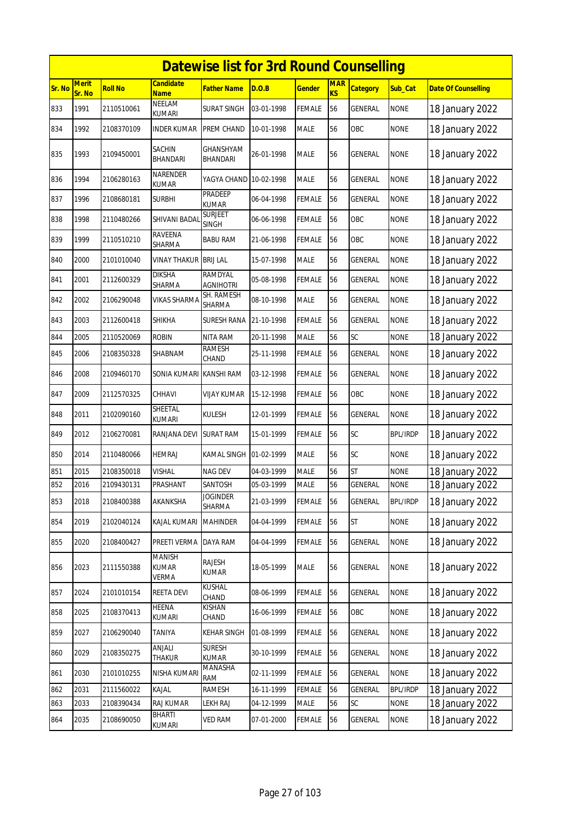|        | <b>Datewise list for 3rd Round Counselling</b> |                |                                        |                             |            |               |                         |                 |                 |                            |  |  |  |
|--------|------------------------------------------------|----------------|----------------------------------------|-----------------------------|------------|---------------|-------------------------|-----------------|-----------------|----------------------------|--|--|--|
| Sr. No | <b>Merit</b><br>Sr. No                         | <b>Roll No</b> | <b>Candidate</b><br><b>Name</b>        | Father Name                 | D.O.B      | <u>Gender</u> | <b>MAR</b><br><b>KS</b> | <b>Category</b> | Sub_Cat         | <b>Date Of Counselling</b> |  |  |  |
| 833    | 1991                                           | 2110510061     | NEELAM<br><b>KUMARI</b>                | <b>SURAT SINGH</b>          | 03-01-1998 | FEMALE        | 56                      | GENERAL         | <b>NONE</b>     | 18 January 2022            |  |  |  |
| 834    | 1992                                           | 2108370109     | <b>INDER KUMAR</b>                     | PREM CHAND                  | 10-01-1998 | MALE          | 56                      | OBC             | <b>NONE</b>     | 18 January 2022            |  |  |  |
| 835    | 1993                                           | 2109450001     | SACHIN<br>BHANDARI                     | GHANSHYAM<br>BHANDARI       | 26-01-1998 | MALE          | 56                      | GENERAL         | <b>NONE</b>     | 18 January 2022            |  |  |  |
| 836    | 1994                                           | 2106280163     | NARENDER<br><b>KUMAR</b>               | YAGYA CHAND                 | 10-02-1998 | MALE          | 56                      | GENERAL         | <b>NONE</b>     | 18 January 2022            |  |  |  |
| 837    | 1996                                           | 2108680181     | <b>SURBHI</b>                          | PRADEEP<br><b>KUMAR</b>     | 06-04-1998 | FEMALE        | 56                      | GENERAL         | <b>NONE</b>     | 18 January 2022            |  |  |  |
| 838    | 1998                                           | 2110480266     | SHIVANI BADAI                          | <b>SURJEET</b><br>SINGH     | 06-06-1998 | FEMALE        | 56                      | OBC             | <b>NONE</b>     | 18 January 2022            |  |  |  |
| 839    | 1999                                           | 2110510210     | RAVEENA<br><b>SHARMA</b>               | <b>BABU RAM</b>             | 21-06-1998 | <b>FEMALE</b> | 56                      | OBC             | <b>NONE</b>     | 18 January 2022            |  |  |  |
| 840    | 2000                                           | 2101010040     | <b>VINAY THAKUR</b>                    | <b>BRIJ LAL</b>             | 15-07-1998 | MALE          | 56                      | GENERAL         | <b>NONE</b>     | 18 January 2022            |  |  |  |
| 841    | 2001                                           | 2112600329     | <b>DIKSHA</b><br>SHARMA                | RAMDYAL<br><b>AGNIHOTRI</b> | 05-08-1998 | FEMALE        | 56                      | GENERAL         | <b>NONE</b>     | 18 January 2022            |  |  |  |
| 842    | 2002                                           | 2106290048     | VIKAS SHARMA                           | SH. RAMESH<br>SHARMA        | 08-10-1998 | MALE          | 56                      | GENERAL         | <b>NONE</b>     | 18 January 2022            |  |  |  |
| 843    | 2003                                           | 2112600418     | SHIKHA                                 | <b>SURESH RANA</b>          | 21-10-1998 | FEMALE        | 56                      | <b>GENERAL</b>  | <b>NONE</b>     | 18 January 2022            |  |  |  |
| 844    | 2005                                           | 2110520069     | <b>ROBIN</b>                           | NITA RAM                    | 20-11-1998 | <b>MALE</b>   | 56                      | SC              | <b>NONE</b>     | 18 January 2022            |  |  |  |
| 845    | 2006                                           | 2108350328     | SHABNAM                                | RAMESH<br>CHAND             | 25-11-1998 | FEMALE        | 56                      | GENERAL         | <b>NONE</b>     | 18 January 2022            |  |  |  |
| 846    | 2008                                           | 2109460170     | SONIA KUMARI                           | <b>KANSHI RAM</b>           | 03-12-1998 | FEMALE        | 56                      | GENERAL         | <b>NONE</b>     | 18 January 2022            |  |  |  |
| 847    | 2009                                           | 2112570325     | CHHAVI                                 | VIJAY KUMAR                 | 15-12-1998 | FEMALE        | 56                      | OBC             | <b>NONE</b>     | 18 January 2022            |  |  |  |
| 848    | 2011                                           | 2102090160     | SHEETAL<br><b>KUMARI</b>               | KULESH                      | 12-01-1999 | <b>FEMALE</b> | 56                      | GENERAL         | <b>NONE</b>     | 18 January 2022            |  |  |  |
| 849    | 2012                                           | 2106270081     | RANJANA DEVI                           | SURAT RAM                   | 15-01-1999 | <b>FEMALE</b> | 56                      | SC              | <b>BPL/IRDP</b> | 18 January 2022            |  |  |  |
| 850    | 2014                                           | 2110480066     | <b>HEMRAJ</b>                          | KAMAL SINGH                 | 01-02-1999 | MALE          | 56                      | <b>SC</b>       | <b>NONE</b>     | 18 January 2022            |  |  |  |
| 851    | 2015                                           | 2108350018     | <b>VISHAL</b>                          | NAG DEV                     | 04-03-1999 | MALE          | 56                      | <b>ST</b>       | <b>NONE</b>     | 18 January 2022            |  |  |  |
| 852    | 2016                                           | 2109430131     | PRASHANT                               | SANTOSH                     | 05-03-1999 | MALE          | 56                      | <b>GENERAL</b>  | <b>NONE</b>     | 18 January 2022            |  |  |  |
| 853    | 2018                                           | 2108400388     | AKANKSHA                               | <b>JOGINDER</b><br>SHARMA   | 21-03-1999 | <b>FEMALE</b> | 56                      | GENERAL         | <b>BPL/IRDP</b> | 18 January 2022            |  |  |  |
| 854    | 2019                                           | 2102040124     | KAJAL KUMARI                           | <b>MAHINDER</b>             | 04-04-1999 | <b>FEMALE</b> | 56                      | <b>ST</b>       | <b>NONE</b>     | 18 January 2022            |  |  |  |
| 855    | 2020                                           | 2108400427     | PREETI VERMA                           | DAYA RAM                    | 04-04-1999 | FEMALE        | 56                      | GENERAL         | <b>NONE</b>     | 18 January 2022            |  |  |  |
| 856    | 2023                                           | 2111550388     | <b>MANISH</b><br><b>KUMAR</b><br>VERMA | RAJESH<br>KUMAR             | 18-05-1999 | MALE          | 56                      | GENERAL         | <b>NONE</b>     | 18 January 2022            |  |  |  |
| 857    | 2024                                           | 2101010154     | REETA DEVI                             | KUSHAL<br>CHAND             | 08-06-1999 | <b>FEMALE</b> | 56                      | GENERAL         | <b>NONE</b>     | 18 January 2022            |  |  |  |
| 858    | 2025                                           | 2108370413     | HEENA<br>KUMARI                        | KISHAN<br>CHAND             | 16-06-1999 | FEMALE        | 56                      | OBC             | <b>NONE</b>     | 18 January 2022            |  |  |  |
| 859    | 2027                                           | 2106290040     | TANIYA                                 | <b>KEHAR SINGH</b>          | 01-08-1999 | <b>FEMALE</b> | 56                      | GENERAL         | <b>NONE</b>     | 18 January 2022            |  |  |  |
| 860    | 2029                                           | 2108350275     | ANJALI<br>Thakur                       | SURESH<br>kumar             | 30-10-1999 | <b>FEMALE</b> | 56                      | GENERAL         | <b>NONE</b>     | 18 January 2022            |  |  |  |
| 861    | 2030                                           | 2101010255     | NISHA KUMARI                           | MANASHA<br>RAM              | 02-11-1999 | <b>FEMALE</b> | 56                      | GENERAL         | <b>NONE</b>     | 18 January 2022            |  |  |  |
| 862    | 2031                                           | 2111560022     | KAJAL                                  | RAMESH                      | 16-11-1999 | FEMALE        | 56                      | GENERAL         | <b>BPL/IRDP</b> | 18 January 2022            |  |  |  |
| 863    | 2033                                           | 2108390434     | RAJ KUMAR                              | LEKH RAJ                    | 04-12-1999 | MALE          | 56                      | SC              | <b>NONE</b>     | 18 January 2022            |  |  |  |
| 864    | 2035                                           | 2108690050     | BHARTI<br>KUMARI                       | <b>VED RAM</b>              | 07-01-2000 | <b>FEMALE</b> | 56                      | GENERAL         | <b>NONE</b>     | 18 January 2022            |  |  |  |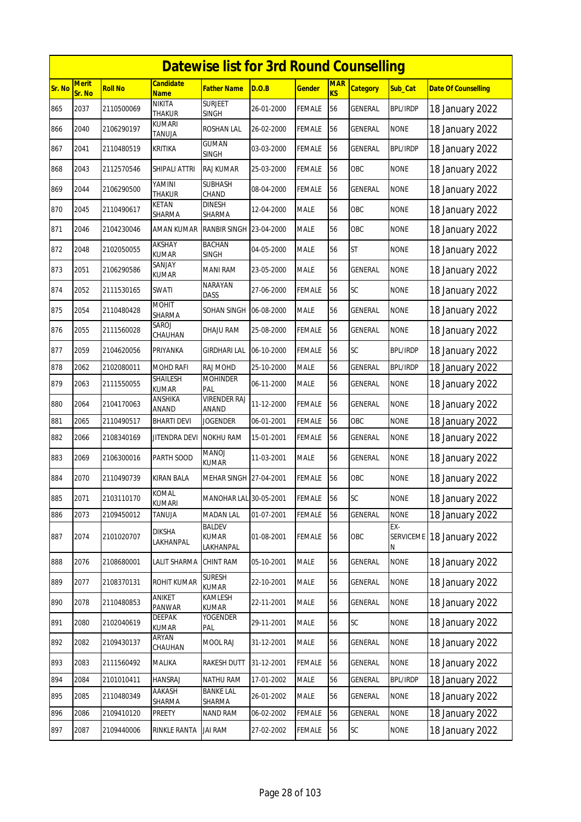|        | <b>Datewise list for 3rd Round Counselling</b> |                |                                |                                     |            |               |                         |                 |                              |                            |  |  |
|--------|------------------------------------------------|----------------|--------------------------------|-------------------------------------|------------|---------------|-------------------------|-----------------|------------------------------|----------------------------|--|--|
| Sr. No | <b>Merit</b><br>Sr. No                         | <b>Roll No</b> | Candidate<br><b>Name</b>       | Father Name                         | D.O.B      | <b>Gender</b> | <b>MAR</b><br><b>KS</b> | <b>Category</b> | Sub_Cat                      | <b>Date Of Counselling</b> |  |  |
| 865    | 2037                                           | 2110500069     | <b>NIKITA</b><br><b>THAKUR</b> | <b>SURJEET</b><br><b>SINGH</b>      | 26-01-2000 | <b>FEMALE</b> | 56                      | <b>GENERAL</b>  | <b>BPL/IRDP</b>              | 18 January 2022            |  |  |
| 866    | 2040                                           | 2106290197     | kumari<br>TANUJA               | ROSHAN LAL                          | 26-02-2000 | FEMALE        | 56                      | GENERAL         | <b>NONE</b>                  | 18 January 2022            |  |  |
| 867    | 2041                                           | 2110480519     | <b>KRITIKA</b>                 | <b>GUMAN</b><br>SINGH               | 03-03-2000 | FEMALE        | 56                      | GENERAL         | <b>BPL/IRDP</b>              | 18 January 2022            |  |  |
| 868    | 2043                                           | 2112570546     | SHIPALI ATTRI                  | RAJ KUMAR                           | 25-03-2000 | <b>FEMALE</b> | 56                      | OBC             | <b>NONE</b>                  | 18 January 2022            |  |  |
| 869    | 2044                                           | 2106290500     | YAMINI<br><b>THAKUR</b>        | <b>SUBHASH</b><br>CHAND             | 08-04-2000 | FEMALE        | 56                      | GENERAL         | <b>NONE</b>                  | 18 January 2022            |  |  |
| 870    | 2045                                           | 2110490617     | KETAN<br>SHARMA                | <b>DINESH</b><br>SHARMA             | 12-04-2000 | <b>MALE</b>   | 56                      | OBC             | <b>NONE</b>                  | 18 January 2022            |  |  |
| 871    | 2046                                           | 2104230046     | AMAN KUMAR                     | RANBIR SINGH 23-04-2000             |            | MALE          | 56                      | OBC             | <b>NONE</b>                  | 18 January 2022            |  |  |
| 872    | 2048                                           | 2102050055     | <b>AKSHAY</b><br><b>KUMAR</b>  | <b>BACHAN</b><br><b>SINGH</b>       | 04-05-2000 | <b>MALE</b>   | 56                      | <b>ST</b>       | <b>NONE</b>                  | 18 January 2022            |  |  |
| 873    | 2051                                           | 2106290586     | SANJAY<br>KUMAR                | <b>MANI RAM</b>                     | 23-05-2000 | MALE          | 56                      | GENERAL         | <b>NONE</b>                  | 18 January 2022            |  |  |
| 874    | 2052                                           | 2111530165     | SWATI                          | <b>NARAYAN</b><br><b>DASS</b>       | 27-06-2000 | FEMALE        | 56                      | SC              | <b>NONE</b>                  | 18 January 2022            |  |  |
| 875    | 2054                                           | 2110480428     | <b>MOHIT</b><br>SHARMA         | SOHAN SINGH 06-08-2000              |            | <b>MALE</b>   | 56                      | GENERAL         | <b>NONE</b>                  | 18 January 2022            |  |  |
| 876    | 2055                                           | 2111560028     | SAROJ<br>CHAUHAN               | DHAJU RAM                           | 25-08-2000 | FEMALE        | 56                      | <b>GENERAL</b>  | <b>NONE</b>                  | 18 January 2022            |  |  |
| 877    | 2059                                           | 2104620056     | PRIYANKA                       | <b>GIRDHARI LAL</b>                 | 06-10-2000 | FEMALE        | 56                      | SC              | <b>BPL/IRDP</b>              | 18 January 2022            |  |  |
| 878    | 2062                                           | 2102080011     | MOHD RAFI                      | RAJ MOHD                            | 25-10-2000 | <b>MALE</b>   | 56                      | GENERAL         | <b>BPL/IRDP</b>              | 18 January 2022            |  |  |
| 879    | 2063                                           | 2111550055     | SHAILESH<br><b>KUMAR</b>       | <b>MOHINDER</b><br>PAL              | 06-11-2000 | MALE          | 56                      | GENERAL         | <b>NONE</b>                  | 18 January 2022            |  |  |
| 880    | 2064                                           | 2104170063     | ANSHIKA<br>ANAND               | <b>VIRENDER RAJ</b><br>ANAND        | 11-12-2000 | FEMALE        | 56                      | GENERAL         | <b>NONE</b>                  | 18 January 2022            |  |  |
| 881    | 2065                                           | 2110490517     | <b>BHARTI DEVI</b>             | <b>JOGENDER</b>                     | 06-01-2001 | <b>FEMALE</b> | 56                      | OBC             | <b>NONE</b>                  | 18 January 2022            |  |  |
| 882    | 2066                                           | 2108340169     | <b>JITENDRA DEVI</b>           | <b>NOKHU RAM</b>                    | 15-01-2001 | FEMALE        | 56                      | <b>GENERAL</b>  | <b>NONE</b>                  | 18 January 2022            |  |  |
| 883    | 2069                                           | 2106300016     | PARTH SOOD                     | MANOJ<br><b>KUMAR</b>               | 11-03-2001 | MALE          | 56                      | GENERAL         | <b>NONE</b>                  | 18 January 2022            |  |  |
| 884    | 2070                                           | 2110490739     | <b>KIRAN BALA</b>              | MEHAR SINGH 27-04-2001              |            | <b>FEMALE</b> | 56                      | OBC             | <b>NONE</b>                  | 18 January 2022            |  |  |
| 885    | 2071                                           | 2103110170     | KOMAL<br><b>KUMARI</b>         | MANOHAR LAL 30-05-2001              |            | <b>FEMALE</b> | 56                      | SC              | <b>NONE</b>                  | 18 January 2022            |  |  |
| 886    | 2073                                           | 2109450012     | Tanuja                         | <b>MADAN LAL</b>                    | 01-07-2001 | FEMALE        | 56                      | GENERAL         | <b>NONE</b>                  | 18 January 2022            |  |  |
| 887    | 2074                                           | 2101020707     | <b>DIKSHA</b><br>LAKHANPAL     | BALDEV<br><b>KUMAR</b><br>LAKHANPAL | 01-08-2001 | <b>FEMALE</b> | 56                      | OBC             | EX-<br><b>SERVICEME</b><br>N | 18 January 2022            |  |  |
| 888    | 2076                                           | 2108680001     | LALIT SHARMA                   | CHINT RAM                           | 05-10-2001 | MALE          | 56                      | GENERAL         | <b>NONE</b>                  | 18 January 2022            |  |  |
| 889    | 2077                                           | 2108370131     | ROHIT KUMAR                    | <b>SURESH</b><br><b>KUMAR</b>       | 22-10-2001 | MALE          | 56                      | GENERAL         | <b>NONE</b>                  | 18 January 2022            |  |  |
| 890    | 2078                                           | 2110480853     | ANIKET<br>PANWAR               | KAMLESH<br>KUMAR                    | 22-11-2001 | <b>MALE</b>   | 56                      | GENERAL         | <b>NONE</b>                  | 18 January 2022            |  |  |
| 891    | 2080                                           | 2102040619     | <b>DEEPAK</b><br>KUMAR         | YOGENDER<br>PAL                     | 29-11-2001 | MALE          | 56                      | SC              | <b>NONE</b>                  | 18 January 2022            |  |  |
| 892    | 2082                                           | 2109430137     | ARYAN<br>CHAUHAN               | MOOL RAJ                            | 31-12-2001 | MALE          | 56                      | GENERAL         | <b>NONE</b>                  | 18 January 2022            |  |  |
| 893    | 2083                                           | 2111560492     | MALIKA                         | RAKESH DUTT                         | 31-12-2001 | FEMALE        | 56                      | GENERAL         | <b>NONE</b>                  | 18 January 2022            |  |  |
| 894    | 2084                                           | 2101010411     | <b>HANSRAJ</b>                 | NATHU RAM                           | 17-01-2002 | MALE          | 56                      | GENERAL         | <b>BPL/IRDP</b>              | 18 January 2022            |  |  |
| 895    | 2085                                           | 2110480349     | AAKASH<br>SHARMA               | <b>BANKE LAL</b><br>SHARMA          | 26-01-2002 | MALE          | 56                      | GENERAL         | <b>NONE</b>                  | 18 January 2022            |  |  |
| 896    | 2086                                           | 2109410120     | PREETY                         | <b>NAND RAM</b>                     | 06-02-2002 | <b>FEMALE</b> | 56                      | GENERAL         | <b>NONE</b>                  | 18 January 2022            |  |  |
| 897    | 2087                                           | 2109440006     | <b>RINKLE RANTA</b>            | <b>JAI RAM</b>                      | 27-02-2002 | <b>FEMALE</b> | 56                      | SC              | <b>NONE</b>                  | 18 January 2022            |  |  |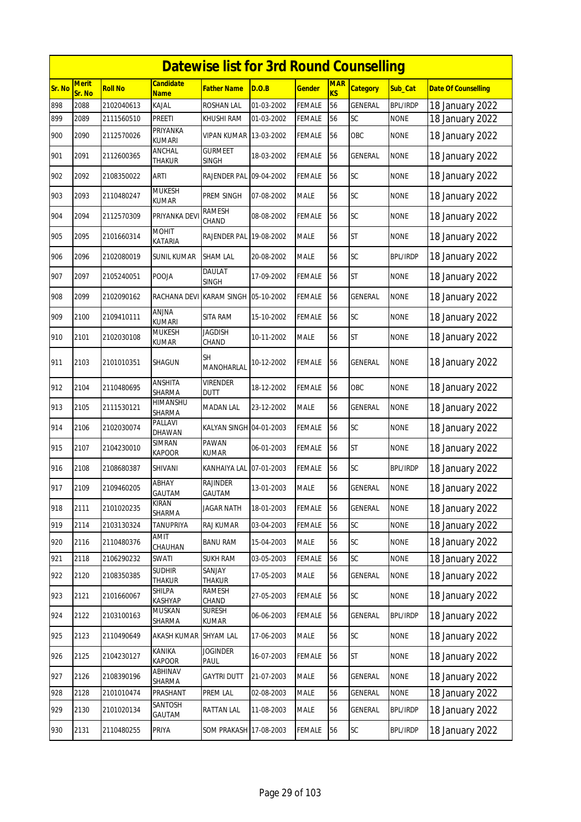|        | <b>Datewise list for 3rd Round Counselling</b> |                |                                 |                                |            |               |                  |                 |                 |                            |  |  |  |
|--------|------------------------------------------------|----------------|---------------------------------|--------------------------------|------------|---------------|------------------|-----------------|-----------------|----------------------------|--|--|--|
| Sr. No | <b>Merit</b><br>Sr. No                         | <b>Roll No</b> | <b>Candidate</b><br><b>Name</b> | Father Name                    | D.O.B      | <u>Gender</u> | <b>MAR</b><br>KS | <b>Category</b> | Sub_Cat         | <b>Date Of Counselling</b> |  |  |  |
| 898    | 2088                                           | 2102040613     | KAJAL                           | ROSHAN LAL                     | 01-03-2002 | <b>FEMALE</b> | 56               | <b>GENERAL</b>  | <b>BPL/IRDP</b> | 18 January 2022            |  |  |  |
| 899    | 2089                                           | 2111560510     | Preeti                          | KHUSHI RAM                     | 01-03-2002 | FEMALE        | 56               | SC              | <b>NONE</b>     | 18 January 2022            |  |  |  |
| 900    | 2090                                           | 2112570026     | PRIYANKA<br><b>KUMARI</b>       | VIPAN KUMAR   13-03-2002       |            | FEMALE        | 56               | OBC             | <b>NONE</b>     | 18 January 2022            |  |  |  |
| 901    | 2091                                           | 2112600365     | <b>ANCHAL</b><br><b>THAKUR</b>  | <b>GURMEET</b><br><b>SINGH</b> | 18-03-2002 | FEMALE        | 56               | GENERAL         | <b>NONE</b>     | 18 January 2022            |  |  |  |
| 902    | 2092                                           | 2108350022     | <b>ARTI</b>                     | RAJENDER PAL 09-04-2002        |            | <b>FEMALE</b> | 56               | SC              | <b>NONE</b>     | 18 January 2022            |  |  |  |
| 903    | 2093                                           | 2110480247     | <b>MUKESH</b><br>KUMAR          | PREM SINGH                     | 07-08-2002 | <b>MALE</b>   | 56               | SC              | <b>NONE</b>     | 18 January 2022            |  |  |  |
| 904    | 2094                                           | 2112570309     | PRIYANKA DEV                    | RAMESH<br>CHAND                | 08-08-2002 | FEMALE        | 56               | <b>SC</b>       | <b>NONE</b>     | 18 January 2022            |  |  |  |
| 905    | 2095                                           | 2101660314     | <b>MOHIT</b><br>KATARIA         | RAJENDER PAL                   | 19-08-2002 | MALE          | 56               | <b>ST</b>       | <b>NONE</b>     | 18 January 2022            |  |  |  |
| 906    | 2096                                           | 2102080019     | SUNIL KUMAR                     | <b>SHAM LAL</b>                | 20-08-2002 | MALE          | 56               | SC              | <b>BPL/IRDP</b> | 18 January 2022            |  |  |  |
| 907    | 2097                                           | 2105240051     | POOJA                           | <b>DAULAT</b><br>SINGH         | 17-09-2002 | FEMALE        | 56               | <b>ST</b>       | <b>NONE</b>     | 18 January 2022            |  |  |  |
| 908    | 2099                                           | 2102090162     | RACHANA DEVI                    | <b>KARAM SINGH</b>             | 05-10-2002 | FEMALE        | 56               | <b>GENERAL</b>  | <b>NONE</b>     | 18 January 2022            |  |  |  |
| 909    | 2100                                           | 2109410111     | anjna<br><b>KUMARI</b>          | SITA RAM                       | 15-10-2002 | FEMALE        | 56               | <b>SC</b>       | <b>NONE</b>     | 18 January 2022            |  |  |  |
| 910    | 2101                                           | 2102030108     | <b>MUKESH</b><br><b>KUMAR</b>   | <b>JAGDISH</b><br>CHAND        | 10-11-2002 | MALE          | 56               | <b>ST</b>       | <b>NONE</b>     | 18 January 2022            |  |  |  |
| 911    | 2103                                           | 2101010351     | SHAGUN                          | <b>SH</b><br>MANOHARLAL        | 10-12-2002 | FEMALE        | 56               | GENERAL         | <b>NONE</b>     | 18 January 2022            |  |  |  |
| 912    | 2104                                           | 2110480695     | ANSHITA<br>SHARMA               | Virender<br><b>DUTT</b>        | 18-12-2002 | FEMALE        | 56               | OBC             | <b>NONE</b>     | 18 January 2022            |  |  |  |
| 913    | 2105                                           | 2111530121     | HIMANSHU<br>SHARMA              | MADAN LAL                      | 23-12-2002 | MALE          | 56               | GENERAL         | <b>NONE</b>     | 18 January 2022            |  |  |  |
| 914    | 2106                                           | 2102030074     | PALLAVI<br>DHAWAN               | KALYAN SINGH 04-01-2003        |            | <b>FEMALE</b> | 56               | SC              | <b>NONE</b>     | 18 January 2022            |  |  |  |
| 915    | 2107                                           | 2104230010     | SIMRAN<br>KAPOOR                | PAWAN<br>KUMAR                 | 06-01-2003 | <b>FEMALE</b> | 56               | <b>ST</b>       | <b>NONE</b>     | 18 January 2022            |  |  |  |
| 916    | 2108                                           | 2108680387     | SHIVANI                         | KANHAIYA LAL 07-01-2003        |            | FEMALE        | 56               | SC              | <b>BPL/IRDP</b> | 18 January 2022            |  |  |  |
| 917    | 2109                                           | 2109460205     | ABHAY<br>GAUTAM                 | RAJINDER<br>GAUTAM             | 13-01-2003 | <b>MALE</b>   | 56               | <b>GENERAL</b>  | <b>NONE</b>     | 18 January 2022            |  |  |  |
| 918    | 2111                                           | 2101020235     | <b>KIRAN</b><br>SHARMA          | <b>JAGAR NATH</b>              | 18-01-2003 | <b>FEMALE</b> | 56               | GENERAL         | <b>NONE</b>     | 18 January 2022            |  |  |  |
| 919    | 2114                                           | 2103130324     | <b>TANUPRIYA</b>                | RAJ KUMAR                      | 03-04-2003 | FEMALE        | 56               | SC              | <b>NONE</b>     | 18 January 2022            |  |  |  |
| 920    | 2116                                           | 2110480376     | <b>AMIT</b><br>CHAUHAN          | <b>BANU RAM</b>                | 15-04-2003 | MALE          | 56               | SC              | <b>NONE</b>     | 18 January 2022            |  |  |  |
| 921    | 2118                                           | 2106290232     | SWATI                           | <b>SUKH RAM</b>                | 03-05-2003 | <b>FEMALE</b> | 56               | SC              | <b>NONE</b>     | 18 January 2022            |  |  |  |
| 922    | 2120                                           | 2108350385     | <b>SUDHIR</b><br><b>THAKUR</b>  | SANJAY                         | 17-05-2003 | MALE          | 56               | GENERAL         | <b>NONE</b>     | 18 January 2022            |  |  |  |
| 923    | 2121                                           | 2101660067     | SHILPA<br>KASHYAP               | THAKUR<br>RAMESH<br>CHAND      | 27-05-2003 | FEMALE        | 56               | SC              | <b>NONE</b>     | 18 January 2022            |  |  |  |
| 924    | 2122                                           | 2103100163     | MUSKAN<br>SHARMA                | Suresh<br>KUMAR                | 06-06-2003 | FEMALE        | 56               | GENERAL         | <b>BPL/IRDP</b> | 18 January 2022            |  |  |  |
| 925    | 2123                                           | 2110490649     | AKASH KUMAR                     | SHYAM LAL                      | 17-06-2003 | <b>MALE</b>   | 56               | SC              | <b>NONE</b>     | 18 January 2022            |  |  |  |
| 926    | 2125                                           | 2104230127     | KANIKA<br><b>KAPOOR</b>         | <b>JOGINDER</b><br>PAUL        | 16-07-2003 | <b>FEMALE</b> | 56               | <b>ST</b>       | <b>NONE</b>     | 18 January 2022            |  |  |  |
| 927    | 2126                                           | 2108390196     | ABHINAV<br>SHARMA               | <b>GAYTRI DUTT</b>             | 21-07-2003 | MALE          | 56               | GENERAL         | <b>NONE</b>     | 18 January 2022            |  |  |  |
| 928    | 2128                                           | 2101010474     | PRASHANT                        | PREM LAL                       | 02-08-2003 | MALE          | 56               | GENERAL         | <b>NONE</b>     | 18 January 2022            |  |  |  |
| 929    | 2130                                           | 2101020134     | SANTOSH<br>GAUTAM               | RATTAN LAL                     | 11-08-2003 | MALE          | 56               | GENERAL         | <b>BPL/IRDP</b> | 18 January 2022            |  |  |  |
| 930    | 2131                                           | 2110480255     | PRIYA                           | SOM PRAKASH 17-08-2003         |            | FEMALE        | 56               | SC              | <b>BPL/IRDP</b> | 18 January 2022            |  |  |  |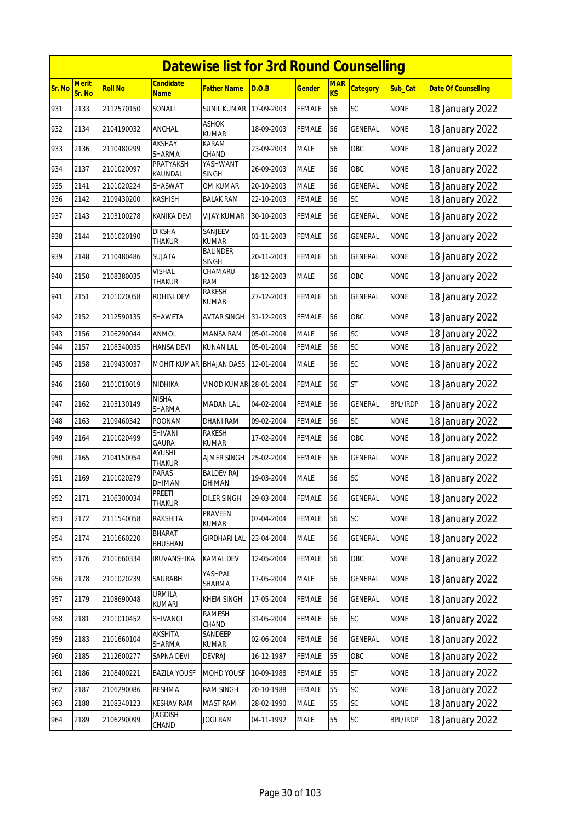|        | <b>Datewise list for 3rd Round Counselling</b> |                |                                 |                                 |            |               |                  |                 |                 |                            |  |  |  |
|--------|------------------------------------------------|----------------|---------------------------------|---------------------------------|------------|---------------|------------------|-----------------|-----------------|----------------------------|--|--|--|
| Sr. No | <b>Merit</b><br>Sr. No                         | <b>Roll No</b> | <b>Candidate</b><br><b>Name</b> | Father Name                     | D.O.B      | <u>Gender</u> | <b>MAR</b><br>KS | <b>Category</b> | Sub Cat         | <b>Date Of Counselling</b> |  |  |  |
| 931    | 2133                                           | 2112570150     | SONALI                          | <b>SUNIL KUMAR</b>              | 17-09-2003 | <b>FEMALE</b> | 56               | SC              | <b>NONE</b>     | 18 January 2022            |  |  |  |
| 932    | 2134                                           | 2104190032     | <b>ANCHAL</b>                   | <b>ASHOK</b><br><b>KUMAR</b>    | 18-09-2003 | <b>FEMALE</b> | 56               | GENERAL         | <b>NONE</b>     | 18 January 2022            |  |  |  |
| 933    | 2136                                           | 2110480299     | AKSHAY<br>SHARMA                | KARAM<br>CHAND                  | 23-09-2003 | <b>MALE</b>   | 56               | OBC             | <b>NONE</b>     | 18 January 2022            |  |  |  |
| 934    | 2137                                           | 2101020097     | PRATYAKSH<br>KAUNDAL            | YASHWANT<br><b>SINGH</b>        | 26-09-2003 | <b>MALE</b>   | 56               | OBC             | <b>NONE</b>     | 18 January 2022            |  |  |  |
| 935    | 2141                                           | 2101020224     | SHASWAT                         | OM KUMAR                        | 20-10-2003 | <b>MALE</b>   | 56               | <b>GENERAL</b>  | <b>NONE</b>     | 18 January 2022            |  |  |  |
| 936    | 2142                                           | 2109430200     | KASHISH                         | <b>BALAK RAM</b>                | 22-10-2003 | FEMALE        | 56               | SC              | <b>NONE</b>     | 18 January 2022            |  |  |  |
| 937    | 2143                                           | 2103100278     | <b>KANIKA DEVI</b>              | VIJAY KUMAR                     | 30-10-2003 | FEMALE        | 56               | <b>GENERAL</b>  | <b>NONE</b>     | 18 January 2022            |  |  |  |
| 938    | 2144                                           | 2101020190     | <b>DIKSHA</b><br><b>THAKUR</b>  | SANJEEV<br><b>KUMAR</b>         | 01-11-2003 | FEMALE        | 56               | GENERAL         | <b>NONE</b>     | 18 January 2022            |  |  |  |
| 939    | 2148                                           | 2110480486     | <b>SUJATA</b>                   | <b>BALINDER</b><br><b>SINGH</b> | 20-11-2003 | FEMALE        | 56               | GENERAL         | <b>NONE</b>     | 18 January 2022            |  |  |  |
| 940    | 2150                                           | 2108380035     | <b>VISHAL</b><br><b>THAKUR</b>  | CHAMARU<br>RAM                  | 18-12-2003 | <b>MALE</b>   | 56               | OBC             | <b>NONE</b>     | 18 January 2022            |  |  |  |
| 941    | 2151                                           | 2101020058     | ROHINI DEVI                     | RAKESH<br><b>KUMAR</b>          | 27-12-2003 | <b>FEMALE</b> | 56               | <b>GENERAL</b>  | <b>NONE</b>     | 18 January 2022            |  |  |  |
| 942    | 2152                                           | 2112590135     | SHAWETA                         | AVTAR SINGH                     | 31-12-2003 | FEMALE        | 56               | OBC             | <b>NONE</b>     | 18 January 2022            |  |  |  |
| 943    | 2156                                           | 2106290044     | ANMOL                           | <b>MANSA RAM</b>                | 05-01-2004 | <b>MALE</b>   | 56               | SC              | <b>NONE</b>     | 18 January 2022            |  |  |  |
| 944    | 2157                                           | 2108340035     | <b>HANSA DEVI</b>               | KUNAN LAL                       | 05-01-2004 | FEMALE        | 56               | SC              | <b>NONE</b>     | 18 January 2022            |  |  |  |
| 945    | 2158                                           | 2109430037     | MOHIT KUMAR BHAJAN DASS         |                                 | 12-01-2004 | <b>MALE</b>   | 56               | <b>SC</b>       | <b>NONE</b>     | 18 January 2022            |  |  |  |
| 946    | 2160                                           | 2101010019     | NIDHIKA                         | VINOD KUMAR 28-01-2004          |            | FEMALE        | 56               | <b>ST</b>       | <b>NONE</b>     | 18 January 2022            |  |  |  |
| 947    | 2162                                           | 2103130149     | <b>NISHA</b><br>SHARMA          | <b>MADAN LAL</b>                | 04-02-2004 | <b>FEMALE</b> | 56               | <b>GENERAL</b>  | <b>BPL/IRDP</b> | 18 January 2022            |  |  |  |
| 948    | 2163                                           | 2109460342     | <b>POONAM</b>                   | DHANI RAM                       | 09-02-2004 | FEMALE        | 56               | SC              | <b>NONE</b>     | 18 January 2022            |  |  |  |
| 949    | 2164                                           | 2101020499     | SHIVANI<br><b>GAURA</b>         | <b>RAKESH</b><br><b>KUMAR</b>   | 17-02-2004 | <b>FEMALE</b> | 56               | OBC             | <b>NONE</b>     | 18 January 2022            |  |  |  |
| 950    | 2165                                           | 2104150054     | AYUSHI<br><b>THAKUR</b>         | AJMER SINGH                     | 25-02-2004 | FEMALE        | 56               | <b>GENERAL</b>  | <b>NONE</b>     | 18 January 2022            |  |  |  |
| 951    | 2169                                           | 2101020279     | PARAS<br>DHIMAN                 | <b>BALDEV RAJ</b><br>DHIMAN     | 19-03-2004 | <b>MALE</b>   | 56               | SC              | <b>NONE</b>     | 18 January 2022            |  |  |  |
| 952    | 2171                                           | 2106300034     | PREETI<br>THAKUR                | <b>DILER SINGH</b>              | 29-03-2004 | <b>FEMALE</b> | 56               | GENERAL         | <b>NONE</b>     | 18 January 2022            |  |  |  |
| 953    | 2172                                           | 2111540058     | RAKSHITA                        | <b>PRAVEEN</b><br>KUMAR         | 07-04-2004 | <b>FEMALE</b> | 56               | SC              | <b>NONE</b>     | 18 January 2022            |  |  |  |
| 954    | 2174                                           | 2101660220     | BHARAT<br>BHUSHAN               | <b>GIRDHARI LAL</b>             | 23-04-2004 | MALE          | 56               | <b>GENERAL</b>  | <b>NONE</b>     | 18 January 2022            |  |  |  |
| 955    | 2176                                           | 2101660334     | IRUVANSHIKA                     | KAMAL DEV                       | 12-05-2004 | <b>FEMALE</b> | 56               | OBC             | <b>NONE</b>     | 18 January 2022            |  |  |  |
| 956    | 2178                                           | 2101020239     | SAURABH                         | YASHPAL<br>SHARMA               | 17-05-2004 | <b>MALE</b>   | 56               | GENERAL         | <b>NONE</b>     | 18 January 2022            |  |  |  |
| 957    | 2179                                           | 2108690048     | <b>URMILA</b><br>KUMARI         | KHEM SINGH                      | 17-05-2004 | FEMALE        | 56               | GENERAL         | <b>NONE</b>     | 18 January 2022            |  |  |  |
| 958    | 2181                                           | 2101010452     | SHIVANGI                        | RAMESH<br>CHAND                 | 31-05-2004 | <b>FEMALE</b> | 56               | SC              | <b>NONE</b>     | 18 January 2022            |  |  |  |
| 959    | 2183                                           | 2101660104     | AKSHITA<br>SHARMA               | SANDEEP<br>KUMAR                | 02-06-2004 | FEMALE        | 56               | GENERAL         | <b>NONE</b>     | 18 January 2022            |  |  |  |
| 960    | 2185                                           | 2112600277     | SAPNA DEVI                      | DEVRAJ                          | 16-12-1987 | FEMALE        | 55               | OBC             | <b>NONE</b>     | 18 January 2022            |  |  |  |
| 961    | 2186                                           | 2108400221     | <b>BAZILA YOUSF</b>             | MOHD YOUSF                      | 10-09-1988 | <b>FEMALE</b> | 55               | <b>ST</b>       | <b>NONE</b>     | 18 January 2022            |  |  |  |
| 962    | 2187                                           | 2106290086     | <b>RESHMA</b>                   | <b>RAM SINGH</b>                | 20-10-1988 | FEMALE        | 55               | SC              | <b>NONE</b>     | 18 January 2022            |  |  |  |
| 963    | 2188                                           | 2108340123     | <b>KESHAV RAM</b>               | <b>MAST RAM</b>                 | 28-02-1990 | MALE          | 55               | SC              | <b>NONE</b>     | 18 January 2022            |  |  |  |
| 964    | 2189                                           | 2106290099     | JAGDISH<br>CHAND                | JOGI RAM                        | 04-11-1992 | MALE          | 55               | SC              | <b>BPL/IRDP</b> | 18 January 2022            |  |  |  |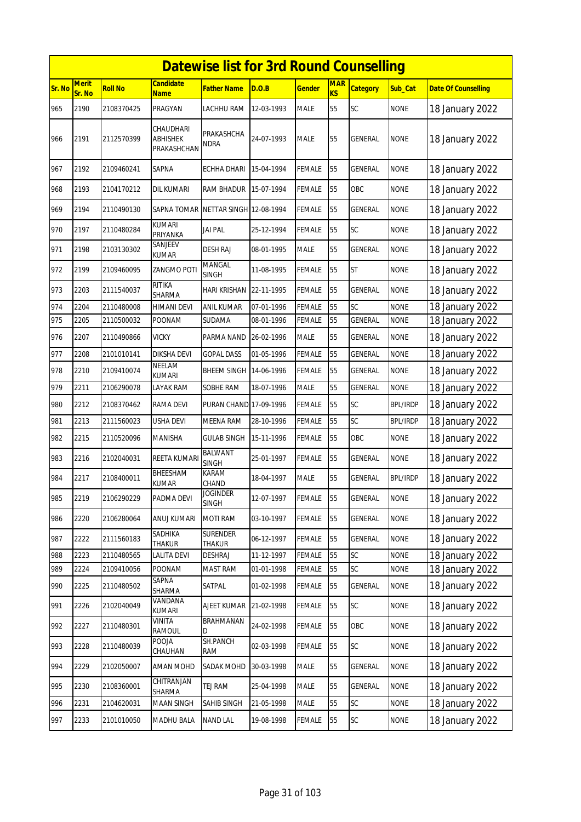|        | <b>Datewise list for 3rd Round Counselling</b><br><b>Merit</b><br><b>Candidate</b><br><b>MAR</b> |                |                                             |                                |            |               |                |                 |                 |                            |  |  |  |
|--------|--------------------------------------------------------------------------------------------------|----------------|---------------------------------------------|--------------------------------|------------|---------------|----------------|-----------------|-----------------|----------------------------|--|--|--|
| Sr. No | Sr. No                                                                                           | <b>Roll No</b> | <b>Name</b>                                 | Father Name                    | D.O.B      | <b>Gender</b> | K <sub>S</sub> | <b>Category</b> | Sub Cat         | <b>Date Of Counselling</b> |  |  |  |
| 965    | 2190                                                                                             | 2108370425     | PRAGYAN                                     | LACHHU RAM                     | 12-03-1993 | <b>MALE</b>   | 55             | SC              | <b>NONE</b>     | 18 January 2022            |  |  |  |
| 966    | 2191                                                                                             | 2112570399     | CHAUDHARI<br><b>ABHISHEK</b><br>PRAKASHCHAN | PRAKASHCHA<br><b>NDRA</b>      | 24-07-1993 | <b>MALE</b>   | 55             | <b>GENERAL</b>  | <b>NONE</b>     | 18 January 2022            |  |  |  |
| 967    | 2192                                                                                             | 2109460241     | SAPNA                                       | <b>ECHHA DHARI</b>             | 15-04-1994 | <b>FEMALE</b> | 55             | GENERAL         | <b>NONE</b>     | 18 January 2022            |  |  |  |
| 968    | 2193                                                                                             | 2104170212     | dil kumari                                  | RAM BHADUR                     | 15-07-1994 | <b>FEMALE</b> | 55             | OBC             | <b>NONE</b>     | 18 January 2022            |  |  |  |
| 969    | 2194                                                                                             | 2110490130     | <b>SAPNA TOMAR</b>                          | <b>NETTAR SINGH 12-08-1994</b> |            | <b>FEMALE</b> | 55             | <b>GENERAL</b>  | <b>NONE</b>     | 18 January 2022            |  |  |  |
| 970    | 2197                                                                                             | 2110480284     | <b>KUMARI</b><br>PRIYANKA                   | <b>JAI PAL</b>                 | 25-12-1994 | <b>FEMALE</b> | 55             | SC              | <b>NONE</b>     | 18 January 2022            |  |  |  |
| 971    | 2198                                                                                             | 2103130302     | SANJEEV<br><b>KUMAR</b>                     | <b>DESH RAJ</b>                | 08-01-1995 | <b>MALE</b>   | 55             | GENERAL         | <b>NONE</b>     | 18 January 2022            |  |  |  |
| 972    | 2199                                                                                             | 2109460095     | ZANGMO POTI                                 | MANGAL<br><b>SINGH</b>         | 11-08-1995 | <b>FEMALE</b> | 55             | <b>ST</b>       | <b>NONE</b>     | 18 January 2022            |  |  |  |
| 973    | 2203                                                                                             | 2111540037     | <b>RITIKA</b><br>SHARMA                     | <b>HARI KRISHAN</b>            | 22-11-1995 | <b>FEMALE</b> | 55             | <b>GENERAL</b>  | <b>NONE</b>     | 18 January 2022            |  |  |  |
| 974    | 2204                                                                                             | 2110480008     | HIMANI DEVI                                 | <b>ANIL KUMAR</b>              | 07-01-1996 | <b>FEMALE</b> | 55             | SC              | <b>NONE</b>     | 18 January 2022            |  |  |  |
| 975    | 2205                                                                                             | 2110500032     | <b>POONAM</b>                               | <b>SUDAMA</b>                  | 08-01-1996 | <b>FEMALE</b> | 55             | GENERAL         | <b>NONE</b>     | 18 January 2022            |  |  |  |
| 976    | 2207                                                                                             | 2110490866     | <b>VICKY</b>                                | PARMA NAND                     | 26-02-1996 | <b>MALE</b>   | 55             | <b>GENERAL</b>  | <b>NONE</b>     | 18 January 2022            |  |  |  |
| 977    | 2208                                                                                             | 2101010141     | DIKSHA DEVI                                 | <b>GOPAL DASS</b>              | 01-05-1996 | <b>FEMALE</b> | 55             | GENERAL         | <b>NONE</b>     | 18 January 2022            |  |  |  |
| 978    | 2210                                                                                             | 2109410074     | <b>NEELAM</b><br><b>KUMARI</b>              | <b>BHEEM SINGH</b>             | 14-06-1996 | <b>FEMALE</b> | 55             | GENERAL         | <b>NONE</b>     | 18 January 2022            |  |  |  |
| 979    | 2211                                                                                             | 2106290078     | LAYAK RAM                                   | SOBHE RAM                      | 18-07-1996 | <b>MALE</b>   | 55             | GENERAL         | <b>NONE</b>     | 18 January 2022            |  |  |  |
| 980    | 2212                                                                                             | 2108370462     | RAMA DEVI                                   | PURAN CHAND 17-09-1996         |            | <b>FEMALE</b> | 55             | SC              | <b>BPL/IRDP</b> | 18 January 2022            |  |  |  |
| 981    | 2213                                                                                             | 2111560023     | USHA DEVI                                   | MEENA RAM                      | 28-10-1996 | <b>FEMALE</b> | 55             | SC              | <b>BPL/IRDP</b> | 18 January 2022            |  |  |  |
| 982    | 2215                                                                                             | 2110520096     | <b>MANISHA</b>                              | <b>GULAB SINGH</b>             | 15-11-1996 | <b>FEMALE</b> | 55             | OBC             | <b>NONE</b>     | 18 January 2022            |  |  |  |
| 983    | 2216                                                                                             | 2102040031     | <b>REETA KUMARI</b>                         | <b>BALWANT</b><br><b>SINGH</b> | 25-01-1997 | <b>FEMALE</b> | 55             | GENERAL         | <b>NONE</b>     | 18 January 2022            |  |  |  |
| 984    | 2217                                                                                             | 2108400011     | BHEESHAM<br>KUMAR                           | KARAM<br>CHAND                 | 18-04-1997 | <b>MALE</b>   | 55             | GENERAL         | <b>BPL/IRDP</b> | 18 January 2022            |  |  |  |
| 985    | 2219                                                                                             | 2106290229     | PADMA DEVI                                  | JOGINDER<br>SINGH              | 12-07-1997 | <b>FEMALE</b> | 55             | GENERAL         | <b>NONE</b>     | 18 January 2022            |  |  |  |
| 986    | 2220                                                                                             | 2106280064     | ANUJ KUMARI                                 | MOTI RAM                       | 03-10-1997 | <b>FEMALE</b> | 55             | GENERAL         | <b>NONE</b>     | 18 January 2022            |  |  |  |
| 987    | 2222                                                                                             | 2111560183     | SADHIKA<br>THAKUR                           | <b>SURENDER</b><br>THAKUR      | 06-12-1997 | <b>FEMALE</b> | 55             | GENERAL         | <b>NONE</b>     | 18 January 2022            |  |  |  |
| 988    | 2223                                                                                             | 2110480565     | LALITA DEVI                                 | <b>DESHRAJ</b>                 | 11-12-1997 | <b>FEMALE</b> | 55             | SC              | <b>NONE</b>     | 18 January 2022            |  |  |  |
| 989    | 2224                                                                                             | 2109410056     | POONAM                                      | MAST RAM                       | 01-01-1998 | <b>FEMALE</b> | 55             | SC              | <b>NONE</b>     | 18 January 2022            |  |  |  |
| 990    | 2225                                                                                             | 2110480502     | SAPNA<br>SHARMA                             | SATPAL                         | 01-02-1998 | <b>FEMALE</b> | 55             | GENERAL         | <b>NONE</b>     | 18 January 2022            |  |  |  |
| 991    | 2226                                                                                             | 2102040049     | VANDANA<br>KUMARI                           | AJEET KUMAR                    | 21-02-1998 | <b>FEMALE</b> | 55             | SC              | <b>NONE</b>     | 18 January 2022            |  |  |  |
| 992    | 2227                                                                                             | 2110480301     | VINITA<br>RAMOUL                            | BRAHMANAN<br>D                 | 24-02-1998 | <b>FEMALE</b> | 55             | OBC             | <b>NONE</b>     | 18 January 2022            |  |  |  |
| 993    | 2228                                                                                             | 2110480039     | <b>POOJA</b><br>CHAUHAN                     | SH.PANCH<br>RAM                | 02-03-1998 | <b>FEMALE</b> | 55             | SC              | <b>NONE</b>     | 18 January 2022            |  |  |  |
| 994    | 2229                                                                                             | 2102050007     | AMAN MOHD                                   | SADAK MOHD                     | 30-03-1998 | <b>MALE</b>   | 55             | GENERAL         | <b>NONE</b>     | 18 January 2022            |  |  |  |
| 995    | 2230                                                                                             | 2108360001     | CHITRANJAN<br>SHARMA                        | TEJ RAM                        | 25-04-1998 | <b>MALE</b>   | 55             | GENERAL         | <b>NONE</b>     | 18 January 2022            |  |  |  |
| 996    | 2231                                                                                             | 2104620031     | MAAN SINGH                                  | SAHIB SINGH                    | 21-05-1998 | MALE          | 55             | SC              | <b>NONE</b>     | 18 January 2022            |  |  |  |
| 997    | 2233                                                                                             | 2101010050     | MADHU BALA                                  | <b>NAND LAL</b>                | 19-08-1998 | <b>FEMALE</b> | 55             | SC              | <b>NONE</b>     | 18 January 2022            |  |  |  |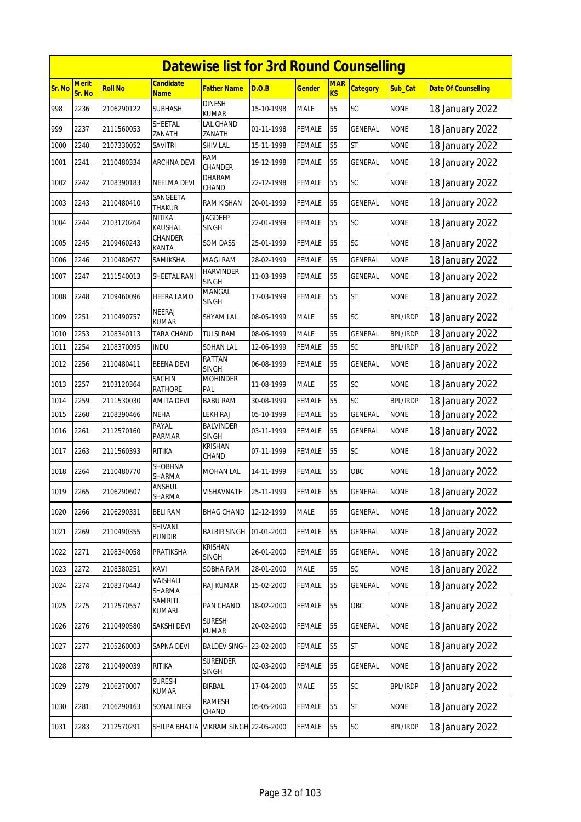|        | <b>Datewise list for 3rd Round Counselling</b><br>Merit<br>Candidate<br><b>MAR</b> |                |                                 |                                  |            |               |           |                 |                 |                            |  |  |  |
|--------|------------------------------------------------------------------------------------|----------------|---------------------------------|----------------------------------|------------|---------------|-----------|-----------------|-----------------|----------------------------|--|--|--|
| Sr. No | Sr. No                                                                             | <b>Roll No</b> | <u>Name</u>                     | Father Name                      | D.O.B      | <b>Gender</b> | <b>KS</b> | <b>Category</b> | Sub_Cat         | <b>Date Of Counselling</b> |  |  |  |
| 998    | 2236                                                                               | 2106290122     | <b>SUBHASH</b>                  | <b>DINESH</b><br>KUMAR           | 15-10-1998 | MALE          | 55        | <b>SC</b>       | <b>NONE</b>     | 18 January 2022            |  |  |  |
| 999    | 2237                                                                               | 2111560053     | SHEETAL<br>ZANATH               | LAL CHAND<br>ZANATH              | 01-11-1998 | FEMALE        | 55        | GENERAL         | <b>NONE</b>     | 18 January 2022            |  |  |  |
| 1000   | 2240                                                                               | 2107330052     | <b>SAVITRI</b>                  | <b>SHIV LAL</b>                  | 15-11-1998 | <b>FEMALE</b> | 55        | <b>ST</b>       | <b>NONE</b>     | 18 January 2022            |  |  |  |
| 1001   | 2241                                                                               | 2110480334     | <b>ARCHNA DEVI</b>              | RAM<br><b>CHANDER</b>            | 19-12-1998 | FEMALE        | 55        | <b>GENERAL</b>  | <b>NONE</b>     | 18 January 2022            |  |  |  |
| 1002   | 2242                                                                               | 2108390183     | NEELMA DEVI                     | <b>DHARAM</b><br>CHAND           | 22-12-1998 | FEMALE        | 55        | SC              | <b>NONE</b>     | 18 January 2022            |  |  |  |
| 1003   | 2243                                                                               | 2110480410     | SANGEETA<br>THAKUR              | RAM KISHAN                       | 20-01-1999 | <b>FEMALE</b> | 55        | <b>GENERAL</b>  | <b>NONE</b>     | 18 January 2022            |  |  |  |
| 1004   | 2244                                                                               | 2103120264     | <b>NITIKA</b><br>KAUSHAL        | <b>JAGDEEP</b><br><b>SINGH</b>   | 22-01-1999 | FEMALE        | 55        | SC              | <b>NONE</b>     | 18 January 2022            |  |  |  |
| 1005   | 2245                                                                               | 2109460243     | CHANDER<br>KANTA                | SOM DASS                         | 25-01-1999 | FEMALE        | 55        | SC              | <b>NONE</b>     | 18 January 2022            |  |  |  |
| 1006   | 2246                                                                               | 2110480677     | SAMIKSHA                        | <b>MAGI RAM</b>                  | 28-02-1999 | <b>FEMALE</b> | 55        | <b>GENERAL</b>  | <b>NONE</b>     | 18 January 2022            |  |  |  |
| 1007   | 2247                                                                               | 2111540013     | SHEETAL RANI                    | <b>HARVINDER</b><br><b>SINGH</b> | 11-03-1999 | FEMALE        | 55        | GENERAL         | <b>NONE</b>     | 18 January 2022            |  |  |  |
| 1008   | 2248                                                                               | 2109460096     | HEERA LAMO                      | MANGAL<br><b>SINGH</b>           | 17-03-1999 | FEMALE        | 55        | <b>ST</b>       | <b>NONE</b>     | 18 January 2022            |  |  |  |
| 1009   | 2251                                                                               | 2110490757     | NEERAJ<br>KUMAR                 | SHYAM LAL                        | 08-05-1999 | <b>MALE</b>   | 55        | <b>SC</b>       | <b>BPL/IRDP</b> | 18 January 2022            |  |  |  |
| 1010   | 2253                                                                               | 2108340113     | TARA CHAND                      | <b>TULSI RAM</b>                 | 08-06-1999 | <b>MALE</b>   | 55        | GENERAL         | <b>BPL/IRDP</b> | 18 January 2022            |  |  |  |
| 1011   | 2254                                                                               | 2108370095     | indu                            | SOHAN LAL                        | 12-06-1999 | FEMALE        | 55        | SC              | <b>BPL/IRDP</b> | 18 January 2022            |  |  |  |
| 1012   | 2256                                                                               | 2110480411     | <b>BEENA DEVI</b>               | RATTAN<br>SINGH                  | 06-08-1999 | FEMALE        | 55        | GENERAL         | <b>NONE</b>     | 18 January 2022            |  |  |  |
| 1013   | 2257                                                                               | 2103120364     | <b>SACHIN</b><br><b>RATHORE</b> | <b>MOHINDER</b><br>PAL           | 11-08-1999 | MALE          | 55        | <b>SC</b>       | <b>NONE</b>     | 18 January 2022            |  |  |  |
| 1014   | 2259                                                                               | 2111530030     | AMITA DEVI                      | <b>BABU RAM</b>                  | 30-08-1999 | <b>FEMALE</b> | 55        | SC              | <b>BPL/IRDP</b> | 18 January 2022            |  |  |  |
| 1015   | 2260                                                                               | 2108390466     | NEHA                            | LEKH RAJ                         | 05-10-1999 | FEMALE        | 55        | GENERAL         | <b>NONE</b>     | 18 January 2022            |  |  |  |
| 1016   | 2261                                                                               | 2112570160     | PAYAL<br>PARMAR                 | <b>BALVINDER</b><br>SINGH        | 03-11-1999 | FEMALE        | 55        | <b>GENERAL</b>  | <b>NONE</b>     | 18 January 2022            |  |  |  |
| 1017   | 2263                                                                               | 2111560393     | RITIKA                          | KRISHAN<br>CHAND                 | 07-11-1999 | FEMALE        | 55        | <b>SC</b>       | <b>NONE</b>     | 18 January 2022            |  |  |  |
| 1018   | 2264                                                                               | 2110480770     | SHOBHNA<br>SHARMA               | MOHAN LAL                        | 14-11-1999 | FEMALE        | 55        | OBC             | <b>NONE</b>     | 18 January 2022            |  |  |  |
| 1019   | 2265                                                                               | 2106290607     | ANSHUL<br>SHARMA                | VISHAVNATH                       | 25-11-1999 | <b>FEMALE</b> | 55        | GENERAL         | <b>NONE</b>     | 18 January 2022            |  |  |  |
| 1020   | 2266                                                                               | 2106290331     | <b>BELI RAM</b>                 | <b>BHAG CHAND</b>                | 12-12-1999 | MALE          | 55        | GENERAL         | <b>NONE</b>     | 18 January 2022            |  |  |  |
| 1021   | 2269                                                                               | 2110490355     | SHIVANI<br><b>PUNDIR</b>        | <b>BALBIR SINGH</b>              | 01-01-2000 | <b>FEMALE</b> | 55        | GENERAL         | <b>NONE</b>     | 18 January 2022            |  |  |  |
| 1022   | 2271                                                                               | 2108340058     | PRATIKSHA                       | KRISHAN<br><b>SINGH</b>          | 26-01-2000 | FEMALE        | 55        | GENERAL         | <b>NONE</b>     | 18 January 2022            |  |  |  |
| 1023   | 2272                                                                               | 2108380251     | KAVI                            | SOBHA RAM                        | 28-01-2000 | MALE          | 55        | SC              | <b>NONE</b>     | 18 January 2022            |  |  |  |
| 1024   | 2274                                                                               | 2108370443     | VAISHALI<br>SHARMA              | RAJ KUMAR                        | 15-02-2000 | <b>FEMALE</b> | 55        | GENERAL         | <b>NONE</b>     | 18 January 2022            |  |  |  |
| 1025   | 2275                                                                               | 2112570557     | <b>SAMRITI</b><br>KUMARI        | PAN CHAND                        | 18-02-2000 | <b>FEMALE</b> | 55        | OBC             | <b>NONE</b>     | 18 January 2022            |  |  |  |
| 1026   | 2276                                                                               | 2110490580     | SAKSHI DEVI                     | <b>SURESH</b><br>KUMAR           | 20-02-2000 | <b>FEMALE</b> | 55        | GENERAL         | <b>NONE</b>     | 18 January 2022            |  |  |  |
| 1027   | 2277                                                                               | 2105260003     | SAPNA DEVI                      | BALDEV SINGH 23-02-2000          |            | FEMALE        | 55        | ST              | <b>NONE</b>     | 18 January 2022            |  |  |  |
| 1028   | 2278                                                                               | 2110490039     | RITIKA                          | <b>SURENDER</b><br>SINGH         | 02-03-2000 | <b>FEMALE</b> | 55        | GENERAL         | <b>NONE</b>     | 18 January 2022            |  |  |  |
| 1029   | 2279                                                                               | 2106270007     | <b>SURESH</b><br>KUMAR          | <b>BIRBAL</b>                    | 17-04-2000 | MALE          | 55        | SC              | <b>BPL/IRDP</b> | 18 January 2022            |  |  |  |
| 1030   | 2281                                                                               | 2106290163     | SONALI NEGI                     | RAMESH<br>CHAND                  | 05-05-2000 | <b>FEMALE</b> | 55        | <b>ST</b>       | <b>NONE</b>     | 18 January 2022            |  |  |  |
| 1031   | 2283                                                                               | 2112570291     | SHILPA BHATIA                   | <b>VIKRAM SINGH 22-05-2000</b>   |            | FEMALE        | 55        | SC              | <b>BPL/IRDP</b> | 18 January 2022            |  |  |  |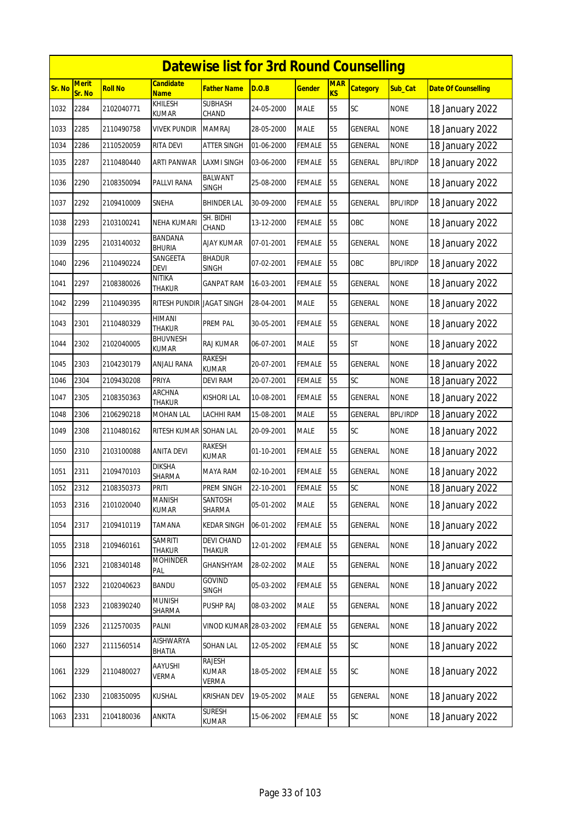|        | <b>Datewise list for 3rd Round Counselling</b><br><b>Merit</b><br><b>Candidate</b><br><b>MAR</b> |                |                                 |                                 |            |               |           |                 |                 |                            |  |  |  |
|--------|--------------------------------------------------------------------------------------------------|----------------|---------------------------------|---------------------------------|------------|---------------|-----------|-----------------|-----------------|----------------------------|--|--|--|
| Sr. No | Sr. No                                                                                           | <b>Roll No</b> | <b>Name</b>                     | <b>Father Name</b>              | D.O.B      | <u>Gender</u> | <b>KS</b> | <b>Category</b> | Sub_Cat         | <b>Date Of Counselling</b> |  |  |  |
| 1032   | 2284                                                                                             | 2102040771     | KHILESH<br><b>KUMAR</b>         | <b>SUBHASH</b><br>CHAND         | 24-05-2000 | MALE          | 55        | SC              | <b>NONE</b>     | 18 January 2022            |  |  |  |
| 1033   | 2285                                                                                             | 2110490758     | vivek pundir                    | <b>MAMRAJ</b>                   | 28-05-2000 | MALE          | 55        | GENERAL         | <b>NONE</b>     | 18 January 2022            |  |  |  |
| 1034   | 2286                                                                                             | 2110520059     | RITA DEVI                       | ATTER SINGH                     | 01-06-2000 | FEMALE        | 55        | GENERAL         | <b>NONE</b>     | 18 January 2022            |  |  |  |
| 1035   | 2287                                                                                             | 2110480440     | <b>ARTI PANWAR</b>              | <b>LAXMI SINGH</b>              | 03-06-2000 | FEMALE        | 55        | GENERAL         | <b>BPL/IRDP</b> | 18 January 2022            |  |  |  |
| 1036   | 2290                                                                                             | 2108350094     | PALLVI RANA                     | BALWANT<br><b>SINGH</b>         | 25-08-2000 | FEMALE        | 55        | GENERAL         | <b>NONE</b>     | 18 January 2022            |  |  |  |
| 1037   | 2292                                                                                             | 2109410009     | SNEHA                           | <b>BHINDER LAL</b>              | 30-09-2000 | FEMALE        | 55        | GENERAL         | <b>BPL/IRDP</b> | 18 January 2022            |  |  |  |
| 1038   | 2293                                                                                             | 2103100241     | NEHA KUMARI                     | SH. BIDHI<br>CHAND              | 13-12-2000 | FEMALE        | 55        | OBC             | <b>NONE</b>     | 18 January 2022            |  |  |  |
| 1039   | 2295                                                                                             | 2103140032     | BANDANA<br><b>BHURIA</b>        | AJAY KUMAR                      | 07-01-2001 | FEMALE        | 55        | GENERAL         | <b>NONE</b>     | 18 January 2022            |  |  |  |
| 1040   | 2296                                                                                             | 2110490224     | SANGEETA<br><b>DEVI</b>         | <b>BHADUR</b><br>SINGH          | 07-02-2001 | <b>FEMALE</b> | 55        | OBC             | <b>BPL/IRDP</b> | 18 January 2022            |  |  |  |
| 1041   | 2297                                                                                             | 2108380026     | <b>NITIKA</b><br>THAKUR         | <b>GANPAT RAM</b>               | 16-03-2001 | FEMALE        | 55        | GENERAL         | <b>NONE</b>     | 18 January 2022            |  |  |  |
| 1042   | 2299                                                                                             | 2110490395     | <b>RITESH PUNDIR</b>            | <b>JAGAT SINGH</b>              | 28-04-2001 | <b>MALE</b>   | 55        | GENERAL         | <b>NONE</b>     | 18 January 2022            |  |  |  |
| 1043   | 2301                                                                                             | 2110480329     | HIMANI<br><b>THAKUR</b>         | PREM PAL                        | 30-05-2001 | FEMALE        | 55        | GENERAL         | <b>NONE</b>     | 18 January 2022            |  |  |  |
| 1044   | 2302                                                                                             | 2102040005     | <b>BHUVNESH</b><br><b>KUMAR</b> | RAJ KUMAR                       | 06-07-2001 | MALE          | 55        | <b>ST</b>       | <b>NONE</b>     | 18 January 2022            |  |  |  |
| 1045   | 2303                                                                                             | 2104230179     | ANJALI RANA                     | RAKESH<br>kumar                 | 20-07-2001 | FEMALE        | 55        | GENERAL         | <b>NONE</b>     | 18 January 2022            |  |  |  |
| 1046   | 2304                                                                                             | 2109430208     | PRIYA                           | DEVI RAM                        | 20-07-2001 | <b>FEMALE</b> | 55        | SC              | <b>NONE</b>     | 18 January 2022            |  |  |  |
| 1047   | 2305                                                                                             | 2108350363     | ARCHNA<br><b>THAKUR</b>         | <b>KISHORI LAL</b>              | 10-08-2001 | FEMALE        | 55        | GENERAL         | <b>NONE</b>     | 18 January 2022            |  |  |  |
| 1048   | 2306                                                                                             | 2106290218     | MOHAN LAL                       | LACHHI RAM                      | 15-08-2001 | MALE          | 55        | GENERAL         | <b>BPL/IRDP</b> | 18 January 2022            |  |  |  |
| 1049   | 2308                                                                                             | 2110480162     | RITESH KUMAR                    | <b>SOHAN LAL</b>                | 20-09-2001 | MALE          | 55        | <b>SC</b>       | <b>NONE</b>     | 18 January 2022            |  |  |  |
| 1050   | 2310                                                                                             | 2103100088     | ANITA DEVI                      | RAKESH<br>KUMAR                 | 01-10-2001 | FEMALE        | 55        | GENERAL         | <b>NONE</b>     | 18 January 2022            |  |  |  |
| 1051   | 2311                                                                                             | 2109470103     | <b>DIKSHA</b><br>SHARMA         | MAYA RAM                        | 02-10-2001 | <b>FEMALE</b> | 55        | GENERAL         | <b>NONE</b>     | 18 January 2022            |  |  |  |
| 1052   | 2312                                                                                             | 2108350373     | <b>PRITI</b>                    | PREM SINGH                      | 22-10-2001 | <b>FEMALE</b> | 55        | SC              | <b>NONE</b>     | 18 January 2022            |  |  |  |
| 1053   | 2316                                                                                             | 2101020040     | <b>MANISH</b><br>KUMAR          | SANTOSH<br>SHARMA               | 05-01-2002 | <b>MALE</b>   | 55        | GENERAL         | <b>NONE</b>     | 18 January 2022            |  |  |  |
| 1054   | 2317                                                                                             | 2109410119     | TAMANA                          | <b>KEDAR SINGH</b>              | 06-01-2002 | FEMALE        | 55        | <b>GENERAL</b>  | <b>NONE</b>     | 18 January 2022            |  |  |  |
| 1055   | 2318                                                                                             | 2109460161     | <b>SAMRITI</b><br>Thakur        | <b>DEVI CHAND</b><br>THAKUR     | 12-01-2002 | <b>FEMALE</b> | 55        | GENERAL         | <b>NONE</b>     | 18 January 2022            |  |  |  |
| 1056   | 2321                                                                                             | 2108340148     | <b>MOHINDER</b><br>PAL          | GHANSHYAM                       | 28-02-2002 | MALE          | 55        | GENERAL         | <b>NONE</b>     | 18 January 2022            |  |  |  |
| 1057   | 2322                                                                                             | 2102040623     | <b>BANDU</b>                    | <b>GOVIND</b><br><b>SINGH</b>   | 05-03-2002 | FEMALE        | 55        | GENERAL         | <b>NONE</b>     | 18 January 2022            |  |  |  |
| 1058   | 2323                                                                                             | 2108390240     | <b>MUNISH</b><br>SHARMA         | PUSHP RAJ                       | 08-03-2002 | MALE          | 55        | GENERAL         | <b>NONE</b>     | 18 January 2022            |  |  |  |
| 1059   | 2326                                                                                             | 2112570035     | PALNI                           | VINOD KUMAR 28-03-2002          |            | <b>FEMALE</b> | 55        | GENERAL         | <b>NONE</b>     | 18 January 2022            |  |  |  |
| 1060   | 2327                                                                                             | 2111560514     | AISHWARYA<br>BHATIA             | SOHAN LAL                       | 12-05-2002 | FEMALE        | 55        | SC              | <b>NONE</b>     | 18 January 2022            |  |  |  |
| 1061   | 2329                                                                                             | 2110480027     | AAYUSHI<br>VERMA                | RAJESH<br><b>KUMAR</b><br>verma | 18-05-2002 | <b>FEMALE</b> | 55        | <b>SC</b>       | <b>NONE</b>     | 18 January 2022            |  |  |  |
| 1062   | 2330                                                                                             | 2108350095     | KUSHAL                          | <b>KRISHAN DEV</b>              | 19-05-2002 | MALE          | 55        | GENERAL         | <b>NONE</b>     | 18 January 2022            |  |  |  |
| 1063   | 2331                                                                                             | 2104180036     | ANKITA                          | <b>SURESH</b><br>KUMAR          | 15-06-2002 | <b>FEMALE</b> | 55        | SC              | <b>NONE</b>     | 18 January 2022            |  |  |  |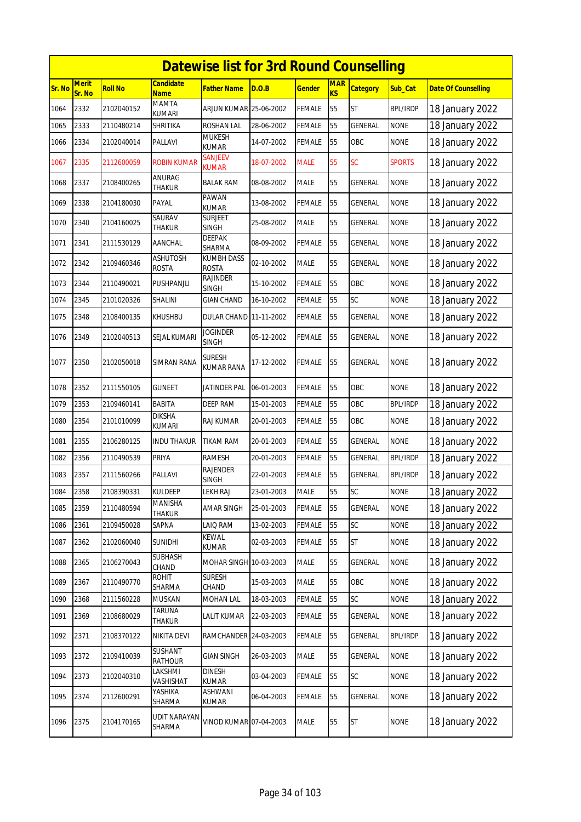|        | <b>Datewise list for 3rd Round Counselling</b> |                |                                 |                                   |            |               |                         |                 |                 |                            |  |  |  |
|--------|------------------------------------------------|----------------|---------------------------------|-----------------------------------|------------|---------------|-------------------------|-----------------|-----------------|----------------------------|--|--|--|
| Sr. No | <b>Merit</b><br>Sr. No                         | <b>Roll No</b> | <b>Candidate</b><br><b>Name</b> | Father Name                       | D.O.B      | <b>Gender</b> | <b>MAR</b><br><b>KS</b> | <b>Category</b> | Sub_Cat         | <b>Date Of Counselling</b> |  |  |  |
| 1064   | 2332                                           | 2102040152     | <b>MAMTA</b><br><b>KUMARI</b>   | ARJUN KUMAR 25-06-2002            |            | <b>FEMALE</b> | 55                      | ST              | <b>BPL/IRDP</b> | 18 January 2022            |  |  |  |
| 1065   | 2333                                           | 2110480214     | SHRITIKA                        | ROSHAN LAL                        | 28-06-2002 | <b>FEMALE</b> | 55                      | <b>GENERAL</b>  | <b>NONE</b>     | 18 January 2022            |  |  |  |
| 1066   | 2334                                           | 2102040014     | PALLAVI                         | <b>MUKESH</b><br>KUMAR            | 14-07-2002 | <b>FEMALE</b> | 55                      | OBC             | <b>NONE</b>     | 18 January 2022            |  |  |  |
| 1067   | 2335                                           | 2112600059     | <b>ROBIN KUMAR</b>              | SANJEEV<br><b>KUMAR</b>           | 18-07-2002 | <b>MALE</b>   | 55                      | <b>SC</b>       | <b>SPORTS</b>   | 18 January 2022            |  |  |  |
| 1068   | 2337                                           | 2108400265     | ANURAG<br>thakur                | <b>BALAK RAM</b>                  | 08-08-2002 | <b>MALE</b>   | 55                      | <b>GENERAL</b>  | <b>NONE</b>     | 18 January 2022            |  |  |  |
| 1069   | 2338                                           | 2104180030     | PAYAL                           | PAWAN<br>KUMAR                    | 13-08-2002 | <b>FEMALE</b> | 55                      | <b>GENERAL</b>  | <b>NONE</b>     | 18 January 2022            |  |  |  |
| 1070   | 2340                                           | 2104160025     | SAURAV<br>Thakur                | <b>SURJEET</b><br><b>SINGH</b>    | 25-08-2002 | <b>MALE</b>   | 55                      | GENERAL         | <b>NONE</b>     | 18 January 2022            |  |  |  |
| 1071   | 2341                                           | 2111530129     | AANCHAL                         | DEEPAK<br>SHARMA                  | 08-09-2002 | <b>FEMALE</b> | 55                      | GENERAL         | <b>NONE</b>     | 18 January 2022            |  |  |  |
| 1072   | 2342                                           | 2109460346     | <b>ASHUTOSH</b><br>ROSTA        | <b>KUMBH DASS</b><br><b>ROSTA</b> | 02-10-2002 | <b>MALE</b>   | 55                      | <b>GENERAL</b>  | <b>NONE</b>     | 18 January 2022            |  |  |  |
| 1073   | 2344                                           | 2110490021     | PUSHPANJLI                      | <b>RAJINDER</b><br><b>SINGH</b>   | 15-10-2002 | <b>FEMALE</b> | 55                      | OBC             | <b>NONE</b>     | 18 January 2022            |  |  |  |
| 1074   | 2345                                           | 2101020326     | SHALINI                         | GIAN CHAND                        | 16-10-2002 | <b>FEMALE</b> | 55                      | SC              | <b>NONE</b>     | 18 January 2022            |  |  |  |
| 1075   | 2348                                           | 2108400135     | KHUSHBU                         | DULAR CHAND 11-11-2002            |            | <b>FEMALE</b> | 55                      | GENERAL         | <b>NONE</b>     | 18 January 2022            |  |  |  |
| 1076   | 2349                                           | 2102040513     | SEJAL KUMARI                    | <b>JOGINDER</b><br><b>SINGH</b>   | 05-12-2002 | FEMALE        | 55                      | GENERAL         | <b>NONE</b>     | 18 January 2022            |  |  |  |
| 1077   | 2350                                           | 2102050018     | SIMRAN RANA                     | Suresh<br><b>KUMAR RANA</b>       | 17-12-2002 | <b>FEMALE</b> | 55                      | <b>GENERAL</b>  | <b>NONE</b>     | 18 January 2022            |  |  |  |
| 1078   | 2352                                           | 2111550105     | GUNEET                          | JATINDER PAL                      | 06-01-2003 | <b>FEMALE</b> | 55                      | OBC             | <b>NONE</b>     | 18 January 2022            |  |  |  |
| 1079   | 2353                                           | 2109460141     | BABITA                          | DEEP RAM                          | 15-01-2003 | <b>FEMALE</b> | 55                      | OBC             | <b>BPL/IRDP</b> | 18 January 2022            |  |  |  |
| 1080   | 2354                                           | 2101010099     | diksha<br>kumari                | RAJ KUMAR                         | 20-01-2003 | <b>FEMALE</b> | 55                      | OBC             | <b>NONE</b>     | 18 January 2022            |  |  |  |
| 1081   | 2355                                           | 2106280125     | INDU THAKUR                     | TIKAM RAM                         | 20-01-2003 | FEMALE        | 55                      | GENERAL         | <b>NONE</b>     | 18 January 2022            |  |  |  |
| 1082   | 2356                                           | 2110490539     | PRIYA                           | <b>RAMESH</b>                     | 20-01-2003 | <b>FEMALE</b> | 55                      | <b>GENERAL</b>  | <b>BPL/IRDP</b> | 18 January 2022            |  |  |  |
| 1083   | 2357                                           | 2111560266     | PALLAVI                         | RAJENDER<br><b>SINGH</b>          | 22-01-2003 | <b>FEMALE</b> | 55                      | GENERAL         | <b>BPL/IRDP</b> | 18 January 2022            |  |  |  |
| 1084   | 2358                                           | 2108390331     | KULDEEP                         | <b>LEKH RAJ</b>                   | 23-01-2003 | MALE          | 55                      | SC              | <b>NONE</b>     | 18 January 2022            |  |  |  |
| 1085   | 2359                                           | 2110480594     | MANISHA<br>THAKUR               | AMAR SINGH                        | 25-01-2003 | <b>FEMALE</b> | 55                      | GENERAL         | <b>NONE</b>     | 18 January 2022            |  |  |  |
| 1086   | 2361                                           | 2109450028     | SAPNA                           | Laiq Ram                          | 13-02-2003 | FEMALE        | 55                      | SC              | <b>NONE</b>     | 18 January 2022            |  |  |  |
| 1087   | 2362                                           | 2102060040     | <b>SUNIDHI</b>                  | KEWAL<br>kumar                    | 02-03-2003 | FEMALE        | 55                      | ST              | <b>NONE</b>     | 18 January 2022            |  |  |  |
| 1088   | 2365                                           | 2106270043     | SUBHASH<br>CHAND                | MOHAR SINGH 10-03-2003            |            | <b>MALE</b>   | 55                      | GENERAL         | <b>NONE</b>     | 18 January 2022            |  |  |  |
| 1089   | 2367                                           | 2110490770     | <b>ROHIT</b><br>SHARMA          | <b>SURESH</b><br>CHAND            | 15-03-2003 | <b>MALE</b>   | 55                      | OBC             | <b>NONE</b>     | 18 January 2022            |  |  |  |
| 1090   | 2368                                           | 2111560228     | MUSKAN                          | MOHAN LAL                         | 18-03-2003 | <b>FEMALE</b> | 55                      | SC              | <b>NONE</b>     | 18 January 2022            |  |  |  |
| 1091   | 2369                                           | 2108680029     | <b>TARUNA</b><br>thakur         | LALIT KUMAR                       | 22-03-2003 | <b>FEMALE</b> | 55                      | GENERAL         | <b>NONE</b>     | 18 January 2022            |  |  |  |
| 1092   | 2371                                           | 2108370122     | NIKITA DEVI                     | RAMCHANDER 24-03-2003             |            | <b>FEMALE</b> | 55                      | GENERAL         | <b>BPL/IRDP</b> | 18 January 2022            |  |  |  |
| 1093   | 2372                                           | 2109410039     | SUSHANT<br><b>RATHOUR</b>       | GIAN SINGH                        | 26-03-2003 | <b>MALE</b>   | 55                      | GENERAL         | <b>NONE</b>     | 18 January 2022            |  |  |  |
| 1094   | 2373                                           | 2102040310     | LAKSHMI<br>VASHISHAT            | <b>DINESH</b><br><b>KUMAR</b>     | 03-04-2003 | <b>FEMALE</b> | 55                      | SC              | <b>NONE</b>     | 18 January 2022            |  |  |  |
| 1095   | 2374                                           | 2112600291     | YASHIKA<br>SHARMA               | ASHWANI<br>KUMAR                  | 06-04-2003 | <b>FEMALE</b> | 55                      | GENERAL         | <b>NONE</b>     | 18 January 2022            |  |  |  |
| 1096   | 2375                                           | 2104170165     | UDIT NARAYAN<br>SHARMA          | VINOD KUMAR 07-04-2003            |            | MALE          | 55                      | <b>ST</b>       | <b>NONE</b>     | 18 January 2022            |  |  |  |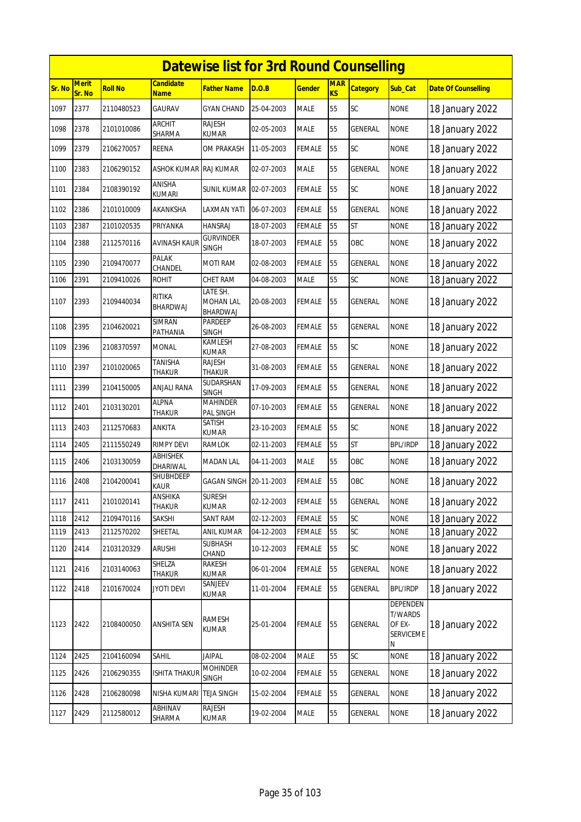|        | <b>Datewise list for 3rd Round Counselling</b><br><b>Merit</b><br><b>Candidate</b><br><b>MAR</b> |                |                           |                                          |            |               |    |                 |                                                        |                            |  |  |  |
|--------|--------------------------------------------------------------------------------------------------|----------------|---------------------------|------------------------------------------|------------|---------------|----|-----------------|--------------------------------------------------------|----------------------------|--|--|--|
| Sr. No | Sr. No                                                                                           | <b>Roll No</b> | <b>Name</b>               | Father Name                              | D.O.B      | <u>Gender</u> | KS | <b>Category</b> | Sub_Cat                                                | <b>Date Of Counselling</b> |  |  |  |
| 1097   | 2377                                                                                             | 2110480523     | <b>GAURAV</b>             | <b>GYAN CHAND</b>                        | 25-04-2003 | <b>MALE</b>   | 55 | SC              | <b>NONE</b>                                            | 18 January 2022            |  |  |  |
| 1098   | 2378                                                                                             | 2101010086     | <b>ARCHIT</b><br>SHARMA   | RAJESH<br>KUMAR                          | 02-05-2003 | MALE          | 55 | GENERAL         | <b>NONE</b>                                            | 18 January 2022            |  |  |  |
| 1099   | 2379                                                                                             | 2106270057     | <b>REENA</b>              | OM PRAKASH                               | 11-05-2003 | FEMALE        | 55 | SC              | <b>NONE</b>                                            | 18 January 2022            |  |  |  |
| 1100   | 2383                                                                                             | 2106290152     | ASHOK KUMAR RAJ KUMAR     |                                          | 02-07-2003 | <b>MALE</b>   | 55 | <b>GENERAL</b>  | <b>NONE</b>                                            | 18 January 2022            |  |  |  |
| 1101   | 2384                                                                                             | 2108390192     | ANISHA<br>kumari          | <b>SUNIL KUMAR</b>                       | 02-07-2003 | FEMALE        | 55 | SC              | <b>NONE</b>                                            | 18 January 2022            |  |  |  |
| 1102   | 2386                                                                                             | 2101010009     | AKANKSHA                  | LAXMAN YATI                              | 06-07-2003 | FEMALE        | 55 | GENERAL         | <b>NONE</b>                                            | 18 January 2022            |  |  |  |
| 1103   | 2387                                                                                             | 2101020535     | PRIYANKA                  | <b>HANSRAJ</b>                           | 18-07-2003 | <b>FEMALE</b> | 55 | <b>ST</b>       | <b>NONE</b>                                            | 18 January 2022            |  |  |  |
| 1104   | 2388                                                                                             | 2112570116     | AVINASH KAUR              | <b>GURVINDER</b><br><b>SINGH</b>         | 18-07-2003 | FEMALE        | 55 | OBC             | <b>NONE</b>                                            | 18 January 2022            |  |  |  |
| 1105   | 2390                                                                                             | 2109470077     | <b>PALAK</b><br>CHANDEL   | <b>MOTI RAM</b>                          | 02-08-2003 | FEMALE        | 55 | GENERAL         | <b>NONE</b>                                            | 18 January 2022            |  |  |  |
| 1106   | 2391                                                                                             | 2109410026     | <b>ROHIT</b>              | <b>CHET RAM</b>                          | 04-08-2003 | <b>MALE</b>   | 55 | SC              | <b>NONE</b>                                            | 18 January 2022            |  |  |  |
| 1107   | 2393                                                                                             | 2109440034     | <b>RITIKA</b><br>BHARDWAJ | LATE SH.<br><b>MOHAN LAL</b><br>BHARDWAJ | 20-08-2003 | FEMALE        | 55 | <b>GENERAL</b>  | <b>NONE</b>                                            | 18 January 2022            |  |  |  |
| 1108   | 2395                                                                                             | 2104620021     | SIMRAN<br>PATHANIA        | PARDEEP<br><b>SINGH</b>                  | 26-08-2003 | <b>FEMALE</b> | 55 | GENERAL         | <b>NONE</b>                                            | 18 January 2022            |  |  |  |
| 1109   | 2396                                                                                             | 2108370597     | MONAL                     | KAMLESH<br>KUMAR                         | 27-08-2003 | FEMALE        | 55 | SC              | <b>NONE</b>                                            | 18 January 2022            |  |  |  |
| 1110   | 2397                                                                                             | 2101020065     | <b>TANISHA</b><br>THAKUR  | RAJESH<br><b>THAKUR</b>                  | 31-08-2003 | <b>FEMALE</b> | 55 | <b>GENERAL</b>  | <b>NONE</b>                                            | 18 January 2022            |  |  |  |
| 1111   | 2399                                                                                             | 2104150005     | <b>ANJALI RANA</b>        | SUDARSHAN<br><b>SINGH</b>                | 17-09-2003 | FEMALE        | 55 | <b>GENERAL</b>  | <b>NONE</b>                                            | 18 January 2022            |  |  |  |
| 1112   | 2401                                                                                             | 2103130201     | <b>ALPNA</b><br>THAKUR    | <b>MAHINDER</b><br>PAL SINGH             | 07-10-2003 | FEMALE        | 55 | GENERAL         | <b>NONE</b>                                            | 18 January 2022            |  |  |  |
| 1113   | 2403                                                                                             | 2112570683     | ANKITA                    | SATISH<br><b>KUMAR</b>                   | 23-10-2003 | FEMALE        | 55 | SC              | <b>NONE</b>                                            | 18 January 2022            |  |  |  |
| 1114   | 2405                                                                                             | 2111550249     | <b>RIMPY DEVI</b>         | <b>RAMLOK</b>                            | 02-11-2003 | <b>FEMALE</b> | 55 | <b>ST</b>       | <b>BPL/IRDP</b>                                        | 18 January 2022            |  |  |  |
| 1115   | 2406                                                                                             | 2103130059     | ABHISHEK<br>DHARIWAL      | <b>MADAN LAL</b>                         | 04-11-2003 | MALE          | 55 | OBC             | <b>NONE</b>                                            | 18 January 2022            |  |  |  |
| 1116   | 2408                                                                                             | 2104200041     | SHUBHDEEP<br><b>KAUR</b>  | GAGAN SINGH 20-11-2003                   |            | FEMALE        | 55 | OBC             | <b>NONE</b>                                            | 18 January 2022            |  |  |  |
| 1117   | 2411                                                                                             | 2101020141     | ANSHIKA<br><b>THAKUR</b>  | <b>SURESH</b><br>KUMAR                   | 02-12-2003 | <b>FEMALE</b> | 55 | <b>GENERAL</b>  | <b>NONE</b>                                            | 18 January 2022            |  |  |  |
| 1118   | 2412                                                                                             | 2109470116     | SAKSHI                    | SANT RAM                                 | 02-12-2003 | <b>FEMALE</b> | 55 | SC              | <b>NONE</b>                                            | 18 January 2022            |  |  |  |
| 1119   | 2413                                                                                             | 2112570202     | SHEETAL                   | ANIL KUMAR                               | 04-12-2003 | <b>FEMALE</b> | 55 | SC              | <b>NONE</b>                                            | 18 January 2022            |  |  |  |
| 1120   | 2414                                                                                             | 2103120329     | <b>ARUSHI</b>             | SUBHASH<br>CHAND                         | 10-12-2003 | <b>FEMALE</b> | 55 | SC              | <b>NONE</b>                                            | 18 January 2022            |  |  |  |
| 1121   | 2416                                                                                             | 2103140063     | SHELZA<br>Thakur          | RAKESH<br>KUMAR                          | 06-01-2004 | FEMALE        | 55 | GENERAL         | <b>NONE</b>                                            | 18 January 2022            |  |  |  |
| 1122   | 2418                                                                                             | 2101670024     | <b>JYOTI DEVI</b>         | SANJEEV<br>KUMAR                         | 11-01-2004 | <b>FEMALE</b> | 55 | <b>GENERAL</b>  | <b>BPL/IRDP</b>                                        | 18 January 2022            |  |  |  |
| 1123   | 2422                                                                                             | 2108400050     | <b>ANSHITA SEN</b>        | RAMESH<br><b>KUMAR</b>                   | 25-01-2004 | <b>FEMALE</b> | 55 | <b>GENERAL</b>  | DEPENDEN<br><b>T/WARDS</b><br>OF EX-<br>SERVICEME<br>Ν | 18 January 2022            |  |  |  |
| 1124   | 2425                                                                                             | 2104160094     | <b>SAHIL</b>              | <b>JAIPAL</b>                            | 08-02-2004 | MALE          | 55 | SC              | <b>NONE</b>                                            | 18 January 2022            |  |  |  |
| 1125   | 2426                                                                                             | 2106290355     | <b>ISHITA THAKUR</b>      | <b>MOHINDER</b><br><b>SINGH</b>          | 10-02-2004 | <b>FEMALE</b> | 55 | GENERAL         | <b>NONE</b>                                            | 18 January 2022            |  |  |  |
| 1126   | 2428                                                                                             | 2106280098     | NISHA KUMARI              | <b>TEJA SINGH</b>                        | 15-02-2004 | FEMALE        | 55 | GENERAL         | <b>NONE</b>                                            | 18 January 2022            |  |  |  |
| 1127   | 2429                                                                                             | 2112580012     | ABHINAV<br>SHARMA         | <b>RAJESH</b><br>KUMAR                   | 19-02-2004 | MALE          | 55 | GENERAL         | <b>NONE</b>                                            | 18 January 2022            |  |  |  |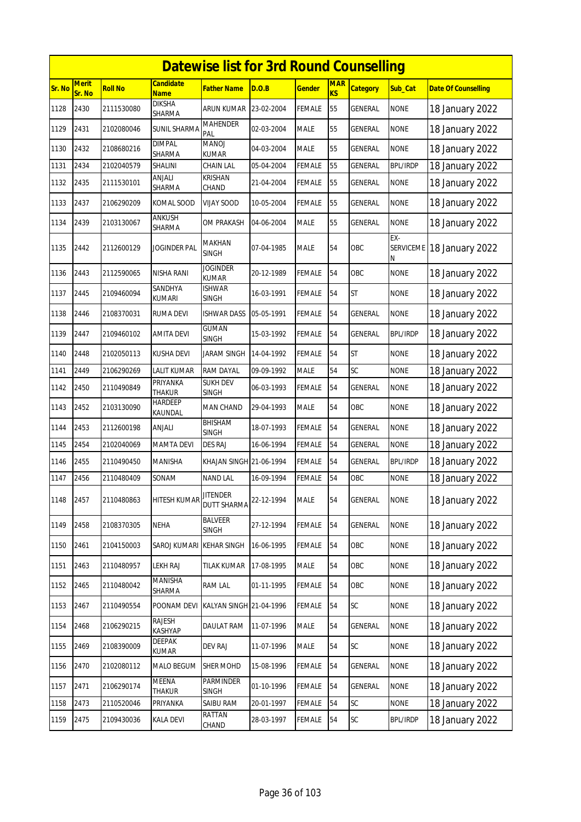|        | <b>Datewise list for 3rd Round Counselling</b><br><b>Merit</b><br>Candidate<br><b>MAR</b> |                |                           |                                       |            |               |           |                 |                 |                            |  |  |  |
|--------|-------------------------------------------------------------------------------------------|----------------|---------------------------|---------------------------------------|------------|---------------|-----------|-----------------|-----------------|----------------------------|--|--|--|
| Sr. No | Sr. No                                                                                    | <b>Roll No</b> | <b>Name</b>               | Father Name                           | D.O.B      | <u>Gender</u> | <b>KS</b> | <b>Category</b> | Sub_Cat         | <b>Date Of Counselling</b> |  |  |  |
| 1128   | 2430                                                                                      | 2111530080     | <b>DIKSHA</b><br>SHARMA   | ARUN KUMAR                            | 23-02-2004 | FEMALE        | 55        | <b>GENERAL</b>  | <b>NONE</b>     | 18 January 2022            |  |  |  |
| 1129   | 2431                                                                                      | 2102080046     | SUNIL SHARMA              | <b>MAHENDER</b><br>PAL                | 02-03-2004 | MALE          | 55        | GENERAL         | <b>NONE</b>     | 18 January 2022            |  |  |  |
| 1130   | 2432                                                                                      | 2108680216     | <b>DIMPAL</b><br>SHARMA   | <b>MANOJ</b><br>KUMAR                 | 04-03-2004 | <b>MALE</b>   | 55        | <b>GENERAL</b>  | <b>NONE</b>     | 18 January 2022            |  |  |  |
| 1131   | 2434                                                                                      | 2102040579     | SHALINI                   | CHAIN LAL                             | 05-04-2004 | FEMALE        | 55        | GENERAL         | <b>BPL/IRDP</b> | 18 January 2022            |  |  |  |
| 1132   | 2435                                                                                      | 2111530101     | ANJALI<br>SHARMA          | <b>KRISHAN</b><br>CHAND               | 21-04-2004 | <b>FEMALE</b> | 55        | GENERAL         | <b>NONE</b>     | 18 January 2022            |  |  |  |
| 1133   | 2437                                                                                      | 2106290209     | <b>KOMAL SOOD</b>         | <b>VIJAY SOOD</b>                     | 10-05-2004 | <b>FEMALE</b> | 55        | <b>GENERAL</b>  | <b>NONE</b>     | 18 January 2022            |  |  |  |
| 1134   | 2439                                                                                      | 2103130067     | ANKUSH<br>SHARMA          | OM PRAKASH                            | 04-06-2004 | MALE          | 55        | GENERAL         | <b>NONE</b>     | 18 January 2022            |  |  |  |
| 1135   | 2442                                                                                      | 2112600129     | <b>JOGINDER PAL</b>       | MAKHAN<br><b>SINGH</b>                | 07-04-1985 | <b>MALE</b>   | 54        | OBC             | $EX -$<br>Ν     | SERVICEME 18 January 2022  |  |  |  |
| 1136   | 2443                                                                                      | 2112590065     | NISHA RANI                | <b>JOGINDER</b><br><b>KUMAR</b>       | 20-12-1989 | FEMALE        | 54        | OBC             | <b>NONE</b>     | 18 January 2022            |  |  |  |
| 1137   | 2445                                                                                      | 2109460094     | SANDHYA<br>kumari         | ISHWAR<br>SINGH                       | 16-03-1991 | FEMALE        | 54        | <b>ST</b>       | <b>NONE</b>     | 18 January 2022            |  |  |  |
| 1138   | 2446                                                                                      | 2108370031     | <b>RUMA DEVI</b>          | <b>ISHWAR DASS</b>                    | 05-05-1991 | <b>FEMALE</b> | 54        | GENERAL         | <b>NONE</b>     | 18 January 2022            |  |  |  |
| 1139   | 2447                                                                                      | 2109460102     | <b>AMITA DEVI</b>         | <b>GUMAN</b><br><b>SINGH</b>          | 15-03-1992 | <b>FEMALE</b> | 54        | GENERAL         | <b>BPL/IRDP</b> | 18 January 2022            |  |  |  |
| 1140   | 2448                                                                                      | 2102050113     | KUSHA DEVI                | JARAM SINGH                           | 14-04-1992 | FEMALE        | 54        | <b>ST</b>       | <b>NONE</b>     | 18 January 2022            |  |  |  |
| 1141   | 2449                                                                                      | 2106290269     | LALIT KUMAR               | RAM DAYAL                             | 09-09-1992 | <b>MALE</b>   | 54        | SC              | <b>NONE</b>     | 18 January 2022            |  |  |  |
| 1142   | 2450                                                                                      | 2110490849     | PRIYANKA<br><b>THAKUR</b> | <b>SUKH DEV</b><br>SINGH              | 06-03-1993 | FEMALE        | 54        | <b>GENERAL</b>  | <b>NONE</b>     | 18 January 2022            |  |  |  |
| 1143   | 2452                                                                                      | 2103130090     | HARDEEP<br><b>KAUNDAL</b> | MAN CHAND                             | 29-04-1993 | <b>MALE</b>   | 54        | OBC             | <b>NONE</b>     | 18 January 2022            |  |  |  |
| 1144   | 2453                                                                                      | 2112600198     | ANJALI                    | BHISHAM<br><b>SINGH</b>               | 18-07-1993 | FEMALE        | 54        | GENERAL         | <b>NONE</b>     | 18 January 2022            |  |  |  |
| 1145   | 2454                                                                                      | 2102040069     | <b>MAMTA DEVI</b>         | <b>DES RAJ</b>                        | 16-06-1994 | <b>FEMALE</b> | 54        | GENERAL         | <b>NONE</b>     | 18 January 2022            |  |  |  |
| 1146   | 2455                                                                                      | 2110490450     | <b>MANISHA</b>            | KHAJAN SINGH 21-06-1994               |            | <b>FEMALE</b> | 54        | GENERAL         | <b>BPL/IRDP</b> | 18 January 2022            |  |  |  |
| 1147   | 2456                                                                                      | 2110480409     | SONAM                     | <b>NAND LAL</b>                       | 16-09-1994 | FEMALE        | 54        | OBC             | <b>NONE</b>     | 18 January 2022            |  |  |  |
| 1148   | 2457                                                                                      | 2110480863     | <b>HITESH KUMAR</b>       | <b>JITENDER</b><br><b>DUTT SHARMA</b> | 22-12-1994 | <b>MALE</b>   | 54        | <b>GENERAL</b>  | <b>NONE</b>     | 18 January 2022            |  |  |  |
| 1149   | 2458                                                                                      | 2108370305     | <b>NEHA</b>               | BALVEER<br>SINGH                      | 27-12-1994 | <b>FEMALE</b> | 54        | GENERAL         | <b>NONE</b>     | 18 January 2022            |  |  |  |
| 1150   | 2461                                                                                      | 2104150003     | SAROJ KUMARI              | <b>KEHAR SINGH</b>                    | 16-06-1995 | <b>FEMALE</b> | 54        | OBC             | <b>NONE</b>     | 18 January 2022            |  |  |  |
| 1151   | 2463                                                                                      | 2110480957     | <b>LEKH RAJ</b>           | <b>TILAK KUMAR</b>                    | 17-08-1995 | MALE          | 54        | OBC             | <b>NONE</b>     | 18 January 2022            |  |  |  |
| 1152   | 2465                                                                                      | 2110480042     | MANISHA<br>SHARMA         | RAM LAL                               | 01-11-1995 | <b>FEMALE</b> | 54        | OBC             | <b>NONE</b>     | 18 January 2022            |  |  |  |
| 1153   | 2467                                                                                      | 2110490554     | POONAM DEVI               | KALYAN SINGH 21-04-1996               |            | <b>FEMALE</b> | 54        | SC              | <b>NONE</b>     | 18 January 2022            |  |  |  |
| 1154   | 2468                                                                                      | 2106290215     | RAJESH<br>KASHYAP         | DAULAT RAM                            | 11-07-1996 | MALE          | 54        | GENERAL         | <b>NONE</b>     | 18 January 2022            |  |  |  |
| 1155   | 2469                                                                                      | 2108390009     | DEEPAK<br>KUMAR           | DEV RAJ                               | 11-07-1996 | MALE          | 54        | SC              | <b>NONE</b>     | 18 January 2022            |  |  |  |
| 1156   | 2470                                                                                      | 2102080112     | MALO BEGUM                | <b>SHER MOHD</b>                      | 15-08-1996 | <b>FEMALE</b> | 54        | GENERAL         | <b>NONE</b>     | 18 January 2022            |  |  |  |
| 1157   | 2471                                                                                      | 2106290174     | MEENA<br>Thakur           | <b>PARMINDER</b><br>SINGH             | 01-10-1996 | <b>FEMALE</b> | 54        | GENERAL         | <b>NONE</b>     | 18 January 2022            |  |  |  |
| 1158   | 2473                                                                                      | 2110520046     | PRIYANKA                  | SAIBU RAM                             | 20-01-1997 | FEMALE        | 54        | SC              | <b>NONE</b>     | 18 January 2022            |  |  |  |
| 1159   | 2475                                                                                      | 2109430036     | <b>KALA DEVI</b>          | RATTAN<br>CHAND                       | 28-03-1997 | FEMALE        | 54        | SC              | <b>BPL/IRDP</b> | 18 January 2022            |  |  |  |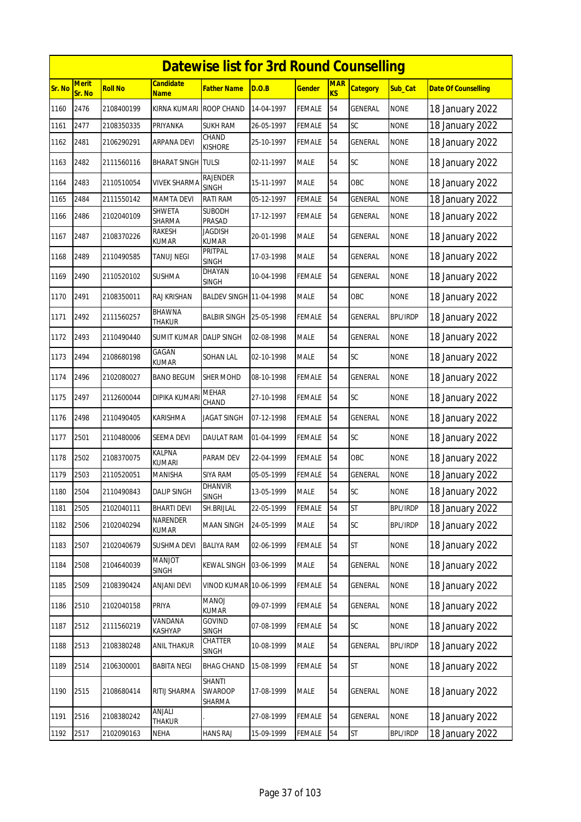|               | <b>Datewise list for 3rd Round Counselling</b><br><b>Merit</b><br><b>MAR</b><br>Candidate |            |                                |                                 |            |               |    |                 |                 |                            |  |  |
|---------------|-------------------------------------------------------------------------------------------|------------|--------------------------------|---------------------------------|------------|---------------|----|-----------------|-----------------|----------------------------|--|--|
| <b>Sr. No</b> | Sr. No                                                                                    | Roll No    | <b>Name</b>                    | Father Name                     | D.O.B      | <b>Gender</b> | KS | <b>Category</b> | Sub_Cat         | <b>Date Of Counselling</b> |  |  |
| 1160          | 2476                                                                                      | 2108400199 | <b>KIRNA KUMARI</b>            | <b>ROOP CHAND</b>               | 14-04-1997 | FEMALE        | 54 | <b>GENERAL</b>  | <b>NONE</b>     | 18 January 2022            |  |  |
| 1161          | 2477                                                                                      | 2108350335 | PRIYANKA                       | <b>SUKH RAM</b>                 | 26-05-1997 | FEMALE        | 54 | SC              | <b>NONE</b>     | 18 January 2022            |  |  |
| 1162          | 2481                                                                                      | 2106290291 | ARPANA DEVI                    | CHAND<br><b>KISHORE</b>         | 25-10-1997 | FEMALE        | 54 | <b>GENERAL</b>  | <b>NONE</b>     | 18 January 2022            |  |  |
| 1163          | 2482                                                                                      | 2111560116 | <b>BHARAT SINGH</b>            | <b>TULSI</b>                    | 02-11-1997 | <b>MALE</b>   | 54 | <b>SC</b>       | <b>NONE</b>     | 18 January 2022            |  |  |
| 1164          | 2483                                                                                      | 2110510054 | VIVEK SHARMA                   | <b>RAJENDER</b><br><b>SINGH</b> | 15-11-1997 | <b>MALE</b>   | 54 | OBC             | <b>NONE</b>     | 18 January 2022            |  |  |
| 1165          | 2484                                                                                      | 2111550142 | <b>MAMTA DEVI</b>              | RATI RAM                        | 05-12-1997 | <b>FEMALE</b> | 54 | <b>GENERAL</b>  | <b>NONE</b>     | 18 January 2022            |  |  |
| 1166          | 2486                                                                                      | 2102040109 | SHWETA<br>SHARMA               | <b>SUBODH</b><br>PRASAD         | 17-12-1997 | FEMALE        | 54 | <b>GENERAL</b>  | <b>NONE</b>     | 18 January 2022            |  |  |
| 1167          | 2487                                                                                      | 2108370226 | RAKESH<br>KUMAR                | <b>JAGDISH</b><br>KUMAR         | 20-01-1998 | MALE          | 54 | GENERAL         | <b>NONE</b>     | 18 January 2022            |  |  |
| 1168          | 2489                                                                                      | 2110490585 | TANUJ NEGI                     | PRITPAL<br><b>SINGH</b>         | 17-03-1998 | <b>MALE</b>   | 54 | <b>GENERAL</b>  | <b>NONE</b>     | 18 January 2022            |  |  |
| 1169          | 2490                                                                                      | 2110520102 | sushma                         | DHAYAN<br><b>SINGH</b>          | 10-04-1998 | FEMALE        | 54 | GENERAL         | <b>NONE</b>     | 18 January 2022            |  |  |
| 1170          | 2491                                                                                      | 2108350011 | RAJ KRISHAN                    | BALDEV SINGH 11-04-1998         |            | MALE          | 54 | OBC             | <b>NONE</b>     | 18 January 2022            |  |  |
| 1171          | 2492                                                                                      | 2111560257 | BHAWNA<br>THAKUR               | <b>BALBIR SINGH</b>             | 25-05-1998 | FEMALE        | 54 | GENERAL         | BPL/IRDP        | 18 January 2022            |  |  |
| 1172          | 2493                                                                                      | 2110490440 | SUMIT KUMAR                    | <b>DALIP SINGH</b>              | 02-08-1998 | MALE          | 54 | GENERAL         | <b>NONE</b>     | 18 January 2022            |  |  |
| 1173          | 2494                                                                                      | 2108680198 | GAGAN<br>KUMAR                 | SOHAN LAL                       | 02-10-1998 | MALE          | 54 | SC              | <b>NONE</b>     | 18 January 2022            |  |  |
| 1174          | 2496                                                                                      | 2102080027 | <b>BANO BEGUM</b>              | <b>SHER MOHD</b>                | 08-10-1998 | FEMALE        | 54 | <b>GENERAL</b>  | <b>NONE</b>     | 18 January 2022            |  |  |
| 1175          | 2497                                                                                      | 2112600044 | DIPIKA KUMAR                   | MEHAR<br>CHAND                  | 27-10-1998 | FEMALE        | 54 | <b>SC</b>       | <b>NONE</b>     | 18 January 2022            |  |  |
| 1176          | 2498                                                                                      | 2110490405 | KARISHMA                       | JAGAT SINGH                     | 07-12-1998 | FEMALE        | 54 | GENERAL         | <b>NONE</b>     | 18 January 2022            |  |  |
| 1177          | 2501                                                                                      | 2110480006 | SEEMA DEVI                     | DAULAT RAM                      | 01-04-1999 | <b>FEMALE</b> | 54 | SC              | <b>NONE</b>     | 18 January 2022            |  |  |
| 1178          | 2502                                                                                      | 2108370075 | <b>KALPNA</b><br><b>KUMARI</b> | PARAM DEV                       | 22-04-1999 | FEMALE        | 54 | OBC             | <b>NONE</b>     | 18 January 2022            |  |  |
| 1179          | 2503                                                                                      | 2110520051 | MANISHA                        | <b>SIYA RAM</b>                 | 05-05-1999 | FEMALE        | 54 | <b>GENERAL</b>  | <b>NONE</b>     | 18 January 2022            |  |  |
| 1180          | 2504                                                                                      | 2110490843 | <b>DALIP SINGH</b>             | DHANVIR<br><b>SINGH</b>         | 13-05-1999 | <b>MALE</b>   | 54 | SC              | <b>NONE</b>     | 18 January 2022            |  |  |
| 1181          | 2505                                                                                      | 2102040111 | <b>BHARTI DEVI</b>             | SH.BRIJLAL                      | 22-05-1999 | <b>FEMALE</b> | 54 | <b>ST</b>       | <b>BPL/IRDP</b> | 18 January 2022            |  |  |
| 1182          | 2506                                                                                      | 2102040294 | NARENDER<br>KUMAR              | MAAN SINGH                      | 24-05-1999 | MALE          | 54 | <b>SC</b>       | <b>BPL/IRDP</b> | 18 January 2022            |  |  |
| 1183          | 2507                                                                                      | 2102040679 | SUSHMA DEVI                    | <b>BALIYA RAM</b>               | 02-06-1999 | FEMALE        | 54 | <b>ST</b>       | <b>NONE</b>     | 18 January 2022            |  |  |
| 1184          | 2508                                                                                      | 2104640039 | <b>TOLIAN</b><br><b>SINGH</b>  | <b>KEWAL SINGH</b>              | 03-06-1999 | MALE          | 54 | GENERAL         | <b>NONE</b>     | 18 January 2022            |  |  |
| 1185          | 2509                                                                                      | 2108390424 | ANJANI DEVI                    | VINOD KUMAR 10-06-1999          |            | FEMALE        | 54 | GENERAL         | <b>NONE</b>     | 18 January 2022            |  |  |
| 1186          | 2510                                                                                      | 2102040158 | PRIYA                          | <b>LONAM</b><br>KUMAR           | 09-07-1999 | <b>FEMALE</b> | 54 | GENERAL         | <b>NONE</b>     | 18 January 2022            |  |  |
| 1187          | 2512                                                                                      | 2111560219 | VANDANA<br>KASHYAP             | <b>GOVIND</b><br><b>SINGH</b>   | 07-08-1999 | <b>FEMALE</b> | 54 | <b>SC</b>       | <b>NONE</b>     | 18 January 2022            |  |  |
| 1188          | 2513                                                                                      | 2108380248 | ANIL THAKUR                    | CHATTER<br><b>SINGH</b>         | 10-08-1999 | MALE          | 54 | GENERAL         | <b>BPL/IRDP</b> | 18 January 2022            |  |  |
| 1189          | 2514                                                                                      | 2106300001 | <b>BABITA NEGI</b>             | <b>BHAG CHAND</b>               | 15-08-1999 | <b>FEMALE</b> | 54 | <b>ST</b>       | <b>NONE</b>     | 18 January 2022            |  |  |
| 1190          | 2515                                                                                      | 2108680414 | RITIJ SHARMA                   | SHANTI<br>SWAROOP<br>SHARMA     | 17-08-1999 | MALE          | 54 | GENERAL         | <b>NONE</b>     | 18 January 2022            |  |  |
| 1191          | 2516                                                                                      | 2108380242 | ANJALI<br>THAKUR               |                                 | 27-08-1999 | <b>FEMALE</b> | 54 | GENERAL         | <b>NONE</b>     | 18 January 2022            |  |  |
| 1192          | 2517                                                                                      | 2102090163 | <b>NEHA</b>                    | <b>HANS RAJ</b>                 | 15-09-1999 | <b>FEMALE</b> | 54 | <b>ST</b>       | <b>BPL/IRDP</b> | 18 January 2022            |  |  |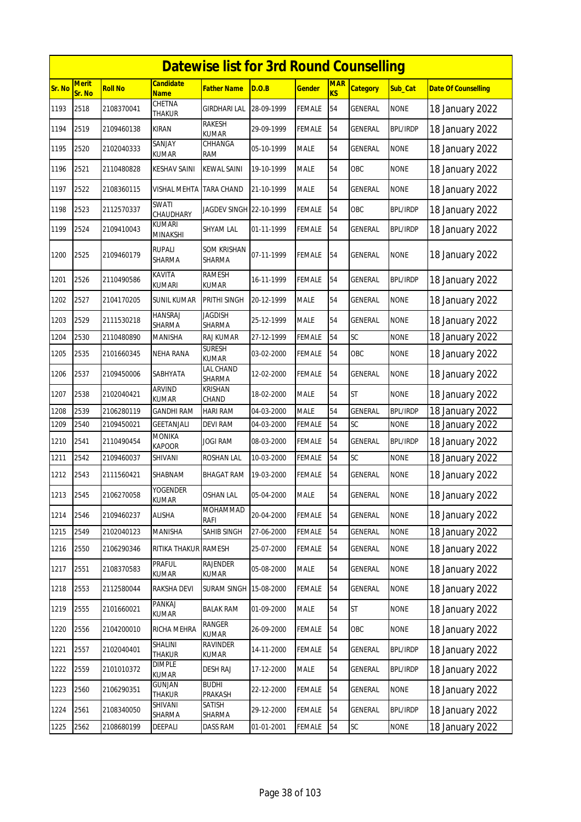|        | <b>Datewise list for 3rd Round Counselling</b> |                |                                 |                                     |            |               |                         |                 |                 |                            |  |  |
|--------|------------------------------------------------|----------------|---------------------------------|-------------------------------------|------------|---------------|-------------------------|-----------------|-----------------|----------------------------|--|--|
| Sr. No | <b>Merit</b><br>Sr. No                         | <b>Roll No</b> | <b>Candidate</b><br><b>Name</b> | Father Name                         | D.O.B      | <u>Gender</u> | <b>MAR</b><br><b>KS</b> | <b>Category</b> | Sub_Cat         | <b>Date Of Counselling</b> |  |  |
| 1193   | 2518                                           | 2108370041     | CHETNA<br>THAKUR                | <b>GIRDHARI LAL</b>                 | 28-09-1999 | <b>FEMALE</b> | 54                      | GENERAL         | <b>NONE</b>     | 18 January 2022            |  |  |
| 1194   | 2519                                           | 2109460138     | <b>KIRAN</b>                    | RAKESH<br>KUMAR                     | 29-09-1999 | FEMALE        | 54                      | GENERAL         | <b>BPL/IRDP</b> | 18 January 2022            |  |  |
| 1195   | 2520                                           | 2102040333     | SANJAY<br>KUMAR                 | CHHANGA<br>RAM                      | 05-10-1999 | <b>MALE</b>   | 54                      | GENERAL         | <b>NONE</b>     | 18 January 2022            |  |  |
| 1196   | 2521                                           | 2110480828     | <b>KESHAV SAINI</b>             | <b>KEWAL SAINI</b>                  | 19-10-1999 | <b>MALE</b>   | 54                      | OBC             | <b>NONE</b>     | 18 January 2022            |  |  |
| 1197   | 2522                                           | 2108360115     | VISHAL MEHTA                    | <b>TARA CHAND</b>                   | 21-10-1999 | MALE          | 54                      | GENERAL         | <b>NONE</b>     | 18 January 2022            |  |  |
| 1198   | 2523                                           | 2112570337     | SWATI<br>CHAUDHARY              | JAGDEV SINGH 22-10-1999             |            | FEMALE        | 54                      | OBC             | <b>BPL/IRDP</b> | 18 January 2022            |  |  |
| 1199   | 2524                                           | 2109410043     | <b>KUMARI</b><br>MINAKSHI       | SHYAM LAL                           | 01-11-1999 | FEMALE        | 54                      | GENERAL         | <b>BPL/IRDP</b> | 18 January 2022            |  |  |
| 1200   | 2525                                           | 2109460179     | <b>RUPALI</b><br>SHARMA         | <b>SOM KRISHAN</b><br><b>SHARMA</b> | 07-11-1999 | FEMALE        | 54                      | GENERAL         | <b>NONE</b>     | 18 January 2022            |  |  |
| 1201   | 2526                                           | 2110490586     | <b>KAVITA</b><br><b>KUMARI</b>  | <b>RAMESH</b><br>KUMAR              | 16-11-1999 | FEMALE        | 54                      | GENERAL         | <b>BPL/IRDP</b> | 18 January 2022            |  |  |
| 1202   | 2527                                           | 2104170205     | SUNIL KUMAR                     | PRITHI SINGH                        | 20-12-1999 | MALE          | 54                      | GENERAL         | <b>NONE</b>     | 18 January 2022            |  |  |
| 1203   | 2529                                           | 2111530218     | <b>HANSRAJ</b><br>SHARMA        | <b>JAGDISH</b><br>SHARMA            | 25-12-1999 | <b>MALE</b>   | 54                      | <b>GENERAL</b>  | <b>NONE</b>     | 18 January 2022            |  |  |
| 1204   | 2530                                           | 2110480890     | MANISHA                         | RAJ KUMAR                           | 27-12-1999 | <b>FEMALE</b> | 54                      | SC              | <b>NONE</b>     | 18 January 2022            |  |  |
| 1205   | 2535                                           | 2101660345     | NEHA RANA                       | <b>SURESH</b><br><b>KUMAR</b>       | 03-02-2000 | FEMALE        | 54                      | OBC             | <b>NONE</b>     | 18 January 2022            |  |  |
| 1206   | 2537                                           | 2109450006     | SABHYATA                        | LAL CHAND<br>SHARMA                 | 12-02-2000 | FEMALE        | 54                      | GENERAL         | <b>NONE</b>     | 18 January 2022            |  |  |
| 1207   | 2538                                           | 2102040421     | <b>ARVIND</b><br><b>KUMAR</b>   | <b>KRISHAN</b><br>CHAND             | 18-02-2000 | MALE          | 54                      | <b>ST</b>       | <b>NONE</b>     | 18 January 2022            |  |  |
| 1208   | 2539                                           | 2106280119     | <b>GANDHI RAM</b>               | <b>HARI RAM</b>                     | 04-03-2000 | <b>MALE</b>   | 54                      | <b>GENERAL</b>  | <b>BPL/IRDP</b> | 18 January 2022            |  |  |
| 1209   | 2540                                           | 2109450021     | GEETANJALI                      | <b>DEVI RAM</b>                     | 04-03-2000 | FEMALE        | 54                      | SC              | <b>NONE</b>     | 18 January 2022            |  |  |
| 1210   | 2541                                           | 2110490454     | <b>MONIKA</b><br><b>KAPOOR</b>  | JOGI RAM                            | 08-03-2000 | FEMALE        | 54                      | GENERAL         | <b>BPL/IRDP</b> | 18 January 2022            |  |  |
| 1211   | 2542                                           | 2109460037     | SHIVANI                         | ROSHAN LAL                          | 10-03-2000 | <b>FEMALE</b> | 54                      | SC              | <b>NONE</b>     | 18 January 2022            |  |  |
| 1212   | 2543                                           | 2111560421     | SHABNAM                         | BHAGAT RAM                          | 19-03-2000 | FEMALE        | 54                      | GENERAL         | <b>NONE</b>     | 18 January 2022            |  |  |
| 1213   | 2545                                           | 2106270058     | YOGENDER<br><b>KUMAR</b>        | <b>OSHAN LAL</b>                    | 05-04-2000 | <b>MALE</b>   | 54                      | <b>GENERAL</b>  | <b>NONE</b>     | 18 January 2022            |  |  |
| 1214   | 2546                                           | 2109460237     | <b>ALISHA</b>                   | MOHAMMAD<br>RAFI                    | 20-04-2000 | FEMALE        | 54                      | <b>GENERAL</b>  | <b>NONE</b>     | 18 January 2022            |  |  |
| 1215   | 2549                                           | 2102040123     | MANISHA                         | SAHIB SINGH                         | 27-06-2000 | FEMALE        | 54                      | GENERAL         | <b>NONE</b>     | 18 January 2022            |  |  |
| 1216   | 2550                                           | 2106290346     | RITIKA THAKUR RAMESH            |                                     | 25-07-2000 | <b>FEMALE</b> | 54                      | GENERAL         | <b>NONE</b>     | 18 January 2022            |  |  |
| 1217   | 2551                                           | 2108370583     | PRAFUL<br>KUMAR                 | <b>RAJENDER</b><br>KUMAR            | 05-08-2000 | MALE          | 54                      | GENERAL         | <b>NONE</b>     | 18 January 2022            |  |  |
| 1218   | 2553                                           | 2112580044     | RAKSHA DEVI                     | SURAM SINGH                         | 15-08-2000 | FEMALE        | 54                      | GENERAL         | <b>NONE</b>     | 18 January 2022            |  |  |
| 1219   | 2555                                           | 2101660021     | PANKAJ<br><b>KUMAR</b>          | <b>BALAK RAM</b>                    | 01-09-2000 | <b>MALE</b>   | 54                      | <b>ST</b>       | <b>NONE</b>     | 18 January 2022            |  |  |
| 1220   | 2556                                           | 2104200010     | RICHA MEHRA                     | RANGER<br><b>KUMAR</b>              | 26-09-2000 | <b>FEMALE</b> | 54                      | OBC             | <b>NONE</b>     | 18 January 2022            |  |  |
| 1221   | 2557                                           | 2102040401     | SHALINI<br>THAKUR               | <b>RAVINDER</b><br>KUMAR            | 14-11-2000 | <b>FEMALE</b> | 54                      | GENERAL         | <b>BPL/IRDP</b> | 18 January 2022            |  |  |
| 1222   | 2559                                           | 2101010372     | <b>DIMPLE</b><br>KUMAR          | <b>DESH RAJ</b>                     | 17-12-2000 | MALE          | 54                      | GENERAL         | <b>BPL/IRDP</b> | 18 January 2022            |  |  |
| 1223   | 2560                                           | 2106290351     | <b>GUNJAN</b><br>THAKUR         | <b>BUDHI</b><br>PRAKASH             | 22-12-2000 | <b>FEMALE</b> | 54                      | GENERAL         | <b>NONE</b>     | 18 January 2022            |  |  |
| 1224   | 2561                                           | 2108340050     | SHIVANI<br>SHARMA               | SATISH<br>SHARMA                    | 29-12-2000 | <b>FEMALE</b> | 54                      | GENERAL         | <b>BPL/IRDP</b> | 18 January 2022            |  |  |
| 1225   | 2562                                           | 2108680199     | DEEPALI                         | DASS RAM                            | 01-01-2001 | FEMALE        | 54                      | SC              | <b>NONE</b>     | 18 January 2022            |  |  |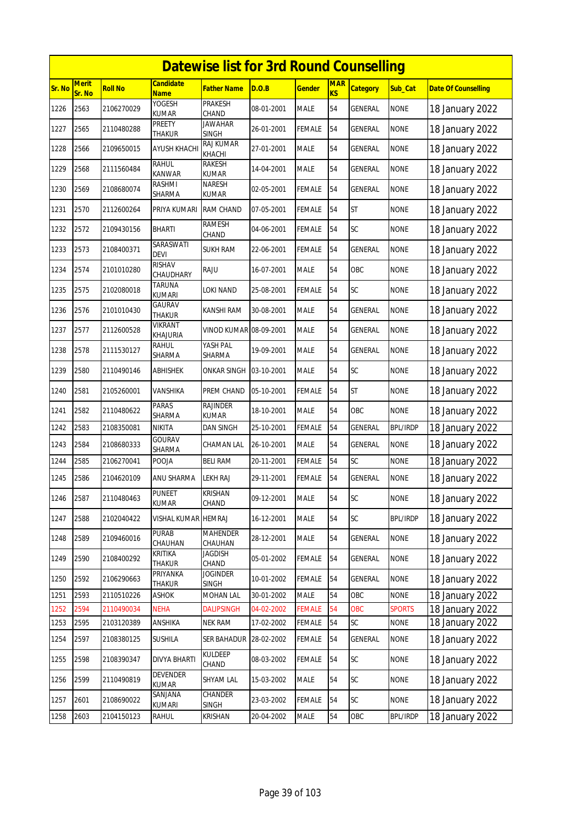|        |                        |                |                                | <b>Datewise list for 3rd Round Counselling</b> |            |               |                         |                 |                 |                            |
|--------|------------------------|----------------|--------------------------------|------------------------------------------------|------------|---------------|-------------------------|-----------------|-----------------|----------------------------|
| Sr. No | <b>Merit</b><br>Sr. No | <b>Roll No</b> | Candidate<br><b>Name</b>       | Father Name                                    | D.O.B      | <u>Gender</u> | <b>MAR</b><br><b>KS</b> | <b>Category</b> | Sub_Cat         | <b>Date Of Counselling</b> |
| 1226   | 2563                   | 2106270029     | YOGESH<br><b>KUMAR</b>         | <b>PRAKESH</b><br>CHAND                        | 08-01-2001 | <b>MALE</b>   | 54                      | <b>GENERAL</b>  | <b>NONE</b>     | 18 January 2022            |
| 1227   | 2565                   | 2110480288     | PREETY<br>THAKUR               | <b>JAWAHAR</b><br><b>SINGH</b>                 | 26-01-2001 | FEMALE        | 54                      | GENERAL         | <b>NONE</b>     | 18 January 2022            |
| 1228   | 2566                   | 2109650015     | <b>AYUSH KHACHI</b>            | <b>RAJ KUMAR</b><br>KHACHI                     | 27-01-2001 | <b>MALE</b>   | 54                      | GENERAL         | <b>NONE</b>     | 18 January 2022            |
| 1229   | 2568                   | 2111560484     | RAHUL<br><b>KANWAR</b>         | RAKESH<br><b>KUMAR</b>                         | 14-04-2001 | <b>MALE</b>   | 54                      | <b>GENERAL</b>  | <b>NONE</b>     | 18 January 2022            |
| 1230   | 2569                   | 2108680074     | RASHMI<br>SHARMA               | <b>NARESH</b><br><b>KUMAR</b>                  | 02-05-2001 | FEMALE        | 54                      | GENERAL         | <b>NONE</b>     | 18 January 2022            |
| 1231   | 2570                   | 2112600264     | PRIYA KUMARI                   | <b>RAM CHAND</b>                               | 07-05-2001 | FEMALE        | 54                      | <b>ST</b>       | <b>NONE</b>     | 18 January 2022            |
| 1232   | 2572                   | 2109430156     | BHARTI                         | RAMESH<br>CHAND                                | 04-06-2001 | FEMALE        | 54                      | SC              | <b>NONE</b>     | 18 January 2022            |
| 1233   | 2573                   | 2108400371     | SARASWATI<br><b>DEVI</b>       | <b>SUKH RAM</b>                                | 22-06-2001 | FEMALE        | 54                      | <b>GENERAL</b>  | <b>NONE</b>     | 18 January 2022            |
| 1234   | 2574                   | 2101010280     | <b>RISHAV</b><br>CHAUDHARY     | RAJU                                           | 16-07-2001 | <b>MALE</b>   | 54                      | OBC             | <b>NONE</b>     | 18 January 2022            |
| 1235   | 2575                   | 2102080018     | <b>TARUNA</b><br><b>KUMARI</b> | LOKI NAND                                      | 25-08-2001 | FEMALE        | 54                      | SC              | <b>NONE</b>     | 18 January 2022            |
| 1236   | 2576                   | 2101010430     | GAURAV<br>THAKUR               | KANSHI RAM                                     | 30-08-2001 | <b>MALE</b>   | 54                      | GENERAL         | <b>NONE</b>     | 18 January 2022            |
| 1237   | 2577                   | 2112600528     | VIKRANT<br>KHAJURIA            | VINOD KUMAR 08-09-2001                         |            | <b>MALE</b>   | 54                      | <b>GENERAL</b>  | <b>NONE</b>     | 18 January 2022            |
| 1238   | 2578                   | 2111530127     | rahul<br>SHARMA                | YASH PAL<br>SHARMA                             | 19-09-2001 | <b>MALE</b>   | 54                      | GENERAL         | <b>NONE</b>     | 18 January 2022            |
| 1239   | 2580                   | 2110490146     | ABHISHEK                       | ONKAR SINGH                                    | 03-10-2001 | <b>MALE</b>   | 54                      | SC              | <b>NONE</b>     | 18 January 2022            |
| 1240   | 2581                   | 2105260001     | VANSHIKA                       | PREM CHAND                                     | 05-10-2001 | FEMALE        | 54                      | <b>ST</b>       | <b>NONE</b>     | 18 January 2022            |
| 1241   | 2582                   | 2110480622     | <b>PARAS</b><br>SHARMA         | <b>RAJINDER</b><br>KUMAR                       | 18-10-2001 | <b>MALE</b>   | 54                      | OBC             | <b>NONE</b>     | 18 January 2022            |
| 1242   | 2583                   | 2108350081     | NIKITA                         | DAN SINGH                                      | 25-10-2001 | FEMALE        | 54                      | GENERAL         | <b>BPL/IRDP</b> | 18 January 2022            |
| 1243   | 2584                   | 2108680333     | <b>GOURAV</b><br>SHARMA        | CHAMAN LAL                                     | 26-10-2001 | <b>MALE</b>   | 54                      | GENERAL         | <b>NONE</b>     | 18 January 2022            |
| 1244   | 2585                   | 2106270041     | POOJA                          | <b>BELI RAM</b>                                | 20-11-2001 | <b>FEMALE</b> | 54                      | SC              | <b>NONE</b>     | 18 January 2022            |
| 1245   | 2586                   | 2104620109     | <b>ANU SHARMA</b>              | <b>LEKH RAJ</b>                                | 29-11-2001 | <b>FEMALE</b> | 54                      | <b>GENERAL</b>  | <b>NONE</b>     | 18 January 2022            |
| 1246   | 2587                   | 2110480463     | PUNEET<br><b>KUMAR</b>         | KRISHAN<br>CHAND                               | 09-12-2001 | <b>MALE</b>   | 54                      | SC              | <b>NONE</b>     | 18 January 2022            |
| 1247   | 2588                   | 2102040422     | VISHAL KUMAR                   | <b>HEMRAJ</b>                                  | 16-12-2001 | MALE          | 54                      | SC              | <b>BPL/IRDP</b> | 18 January 2022            |
| 1248   | 2589                   | 2109460016     | <b>PURAB</b><br>CHAUHAN        | <b>MAHENDER</b><br>CHAUHAN                     | 28-12-2001 | <b>MALE</b>   | 54                      | <b>GENERAL</b>  | <b>NONE</b>     | 18 January 2022            |
| 1249   | 2590                   | 2108400292     | KRITIKA<br><b>THAKUR</b>       | <b>JAGDISH</b><br>CHAND                        | 05-01-2002 | FEMALE        | 54                      | GENERAL         | <b>NONE</b>     | 18 January 2022            |
| 1250   | 2592                   | 2106290663     | PRIYANKA<br>Thakur             | Joginder<br>SINGH                              | 10-01-2002 | <b>FEMALE</b> | 54                      | GENERAL         | <b>NONE</b>     | 18 January 2022            |
| 1251   | 2593                   | 2110510226     | ASHOK                          | MOHAN LAL                                      | 30-01-2002 | MALE          | 54                      | OBC             | <b>NONE</b>     | 18 January 2022            |
| 1252   | 2594                   | 2110490034     | <b>NEHA</b>                    | <b>DALIPSINGH</b>                              | 04-02-2002 | <b>FEMALE</b> | 54                      | OBC             | <b>SPORTS</b>   | 18 January 2022            |
| 1253   | 2595                   | 2103120389     | ANSHIKA                        | NEK RAM                                        | 17-02-2002 | FEMALE        | 54                      | SC              | <b>NONE</b>     | 18 January 2022            |
| 1254   | 2597                   | 2108380125     | SUSHILA                        | SER BAHADUR                                    | 28-02-2002 | FEMALE        | 54                      | GENERAL         | <b>NONE</b>     | 18 January 2022            |
| 1255   | 2598                   | 2108390347     | <b>DIVYA BHARTI</b>            | <b>KULDEEP</b><br>CHAND                        | 08-03-2002 | <b>FEMALE</b> | 54                      | SC              | <b>NONE</b>     | 18 January 2022            |
| 1256   | 2599                   | 2110490819     | DEVENDER<br><b>KUMAR</b>       | SHYAM LAL                                      | 15-03-2002 | <b>MALE</b>   | 54                      | <b>SC</b>       | <b>NONE</b>     | 18 January 2022            |
| 1257   | 2601                   | 2108690022     | SANJANA<br>KUMARI              | CHANDER<br>SINGH                               | 23-03-2002 | FEMALE        | 54                      | SC              | <b>NONE</b>     | 18 January 2022            |
| 1258   | 2603                   | 2104150123     | RAHUL                          | <b>KRISHAN</b>                                 | 20-04-2002 | MALE          | 54                      | OBC             | <b>BPL/IRDP</b> | 18 January 2022            |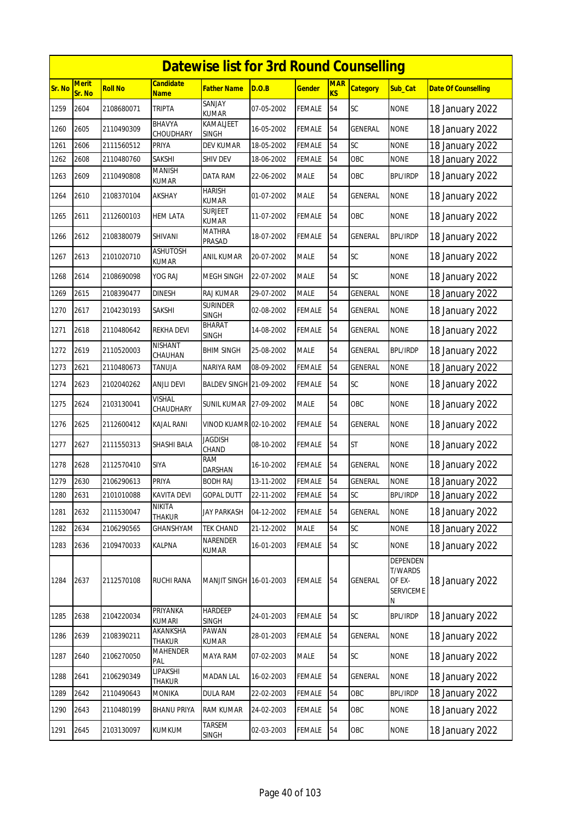|        |                        |                |                                 | <b>Datewise list for 3rd Round Counselling</b> |            |               |                         |                 |                                                               |                            |
|--------|------------------------|----------------|---------------------------------|------------------------------------------------|------------|---------------|-------------------------|-----------------|---------------------------------------------------------------|----------------------------|
| Sr. No | <b>Merit</b><br>Sr. No | <b>Roll No</b> | <b>Candidate</b><br><b>Name</b> | Father Name                                    | D.O.B      | <u>Gender</u> | <b>MAR</b><br><b>KS</b> | <b>Category</b> | Sub_Cat                                                       | <b>Date Of Counselling</b> |
| 1259   | 2604                   | 2108680071     | <b>TRIPTA</b>                   | SANJAY<br><b>KUMAR</b>                         | 07-05-2002 | <b>FEMALE</b> | 54                      | <b>SC</b>       | <b>NONE</b>                                                   | 18 January 2022            |
| 1260   | 2605                   | 2110490309     | BHAVYA<br>CHOUDHARY             | KAMALJEET<br><b>SINGH</b>                      | 16-05-2002 | <b>FEMALE</b> | 54                      | GENERAL         | <b>NONE</b>                                                   | 18 January 2022            |
| 1261   | 2606                   | 2111560512     | PRIYA                           | <b>DEV KUMAR</b>                               | 18-05-2002 | <b>FEMALE</b> | 54                      | SC              | <b>NONE</b>                                                   | 18 January 2022            |
| 1262   | 2608                   | 2110480760     | SAKSHI                          | SHIV DEV                                       | 18-06-2002 | <b>FEMALE</b> | 54                      | OBC             | <b>NONE</b>                                                   | 18 January 2022            |
| 1263   | 2609                   | 2110490808     | MANISH<br>KUMAR                 | DATA RAM                                       | 22-06-2002 | <b>MALE</b>   | 54                      | OBC             | <b>BPL/IRDP</b>                                               | 18 January 2022            |
| 1264   | 2610                   | 2108370104     | AKSHAY                          | <b>HARISH</b><br>KUMAR                         | 01-07-2002 | <b>MALE</b>   | 54                      | <b>GENERAL</b>  | <b>NONE</b>                                                   | 18 January 2022            |
| 1265   | 2611                   | 2112600103     | HEM LATA                        | <b>SURJEET</b><br>KUMAR                        | 11-07-2002 | <b>FEMALE</b> | 54                      | OBC             | <b>NONE</b>                                                   | 18 January 2022            |
| 1266   | 2612                   | 2108380079     | SHIVANI                         | MATHRA<br>Prasad                               | 18-07-2002 | <b>FEMALE</b> | 54                      | <b>GENERAL</b>  | <b>BPL/IRDP</b>                                               | 18 January 2022            |
| 1267   | 2613                   | 2101020710     | <b>ASHUTOSH</b><br><b>KUMAR</b> | ANIL KUMAR                                     | 20-07-2002 | <b>MALE</b>   | 54                      | SC              | <b>NONE</b>                                                   | 18 January 2022            |
| 1268   | 2614                   | 2108690098     | YOG RAJ                         | MEGH SINGH                                     | 22-07-2002 | <b>MALE</b>   | 54                      | <b>SC</b>       | <b>NONE</b>                                                   | 18 January 2022            |
| 1269   | 2615                   | 2108390477     | <b>DINESH</b>                   | RAJ KUMAR                                      | 29-07-2002 | <b>MALE</b>   | 54                      | <b>GENERAL</b>  | <b>NONE</b>                                                   | 18 January 2022            |
| 1270   | 2617                   | 2104230193     | SAKSHI                          | <b>SURINDER</b><br><b>SINGH</b>                | 02-08-2002 | <b>FEMALE</b> | 54                      | GENERAL         | <b>NONE</b>                                                   | 18 January 2022            |
| 1271   | 2618                   | 2110480642     | REKHA DEVI                      | BHARAT<br>SINGH                                | 14-08-2002 | <b>FEMALE</b> | 54                      | <b>GENERAL</b>  | <b>NONE</b>                                                   | 18 January 2022            |
| 1272   | 2619                   | 2110520003     | NISHANT<br>CHAUHAN              | <b>BHIM SINGH</b>                              | 25-08-2002 | <b>MALE</b>   | 54                      | <b>GENERAL</b>  | <b>BPL/IRDP</b>                                               | 18 January 2022            |
| 1273   | 2621                   | 2110480673     | TANUJA                          | NARIYA RAM                                     | 08-09-2002 | FEMALE        | 54                      | <b>GENERAL</b>  | <b>NONE</b>                                                   | 18 January 2022            |
| 1274   | 2623                   | 2102040262     | <b>ANJLI DEVI</b>               | BALDEV SINGH 21-09-2002                        |            | <b>FEMALE</b> | 54                      | <b>SC</b>       | <b>NONE</b>                                                   | 18 January 2022            |
| 1275   | 2624                   | 2103130041     | <b>VISHAL</b><br>CHAUDHARY      | <b>SUNIL KUMAR 27-09-2002</b>                  |            | <b>MALE</b>   | 54                      | OBC             | <b>NONE</b>                                                   | 18 January 2022            |
| 1276   | 2625                   | 2112600412     | KAJAL RANI                      | VINOD KUAMR 02-10-2002                         |            | <b>FEMALE</b> | 54                      | <b>GENERAL</b>  | <b>NONE</b>                                                   | 18 January 2022            |
| 1277   | 2627                   | 2111550313     | SHASHI BALA                     | <b>JAGDISH</b><br>CHAND                        | 08-10-2002 | <b>FEMALE</b> | 54                      | <b>ST</b>       | <b>NONE</b>                                                   | 18 January 2022            |
| 1278   | 2628                   | 2112570410     | SIYA                            | RAM<br>DARSHAN                                 | 16-10-2002 | <b>FEMALE</b> | 54                      | <b>GENERAL</b>  | <b>NONE</b>                                                   | 18 January 2022            |
| 1279   | 2630                   | 2106290613     | PRIYA                           | BODH RAJ                                       | 13-11-2002 | <b>FEMALE</b> | 54                      | <b>GENERAL</b>  | <b>NONE</b>                                                   | 18 January 2022            |
| 1280   | 2631                   | 2101010088     | KAVITA DEVI                     | <b>GOPAL DUTT</b>                              | 22-11-2002 | <b>FEMALE</b> | 54                      | <b>SC</b>       | <b>BPL/IRDP</b>                                               | 18 January 2022            |
| 1281   | 2632                   | 2111530047     | <b>NIKITA</b><br>THAKUR         | JAY PARKASH                                    | 04-12-2002 | <b>FEMALE</b> | 54                      | <b>GENERAL</b>  | <b>NONE</b>                                                   | 18 January 2022            |
| 1282   | 2634                   | 2106290565     | GHANSHYAM                       | TEK CHAND                                      | 21-12-2002 | MALE          | 54                      | SC              | <b>NONE</b>                                                   | 18 January 2022            |
| 1283   | 2636                   | 2109470033     | KALPNA                          | NARENDER<br>KUMAR                              | 16-01-2003 | <b>FEMALE</b> | 54                      | SC              | <b>NONE</b>                                                   | 18 January 2022            |
| 1284   | 2637                   | 2112570108     | RUCHI RANA                      | MANJIT SINGH 16-01-2003                        |            | <b>FEMALE</b> | 54                      | <b>GENERAL</b>  | <b>DEPENDEN</b><br><b>T/WARDS</b><br>OF EX-<br>SERVICEME<br>N | 18 January 2022            |
| 1285   | 2638                   | 2104220034     | <b>PRIYANKA</b><br>KUMARI       | <b>HARDEEP</b><br>SINGH                        | 24-01-2003 | <b>FEMALE</b> | 54                      | SC              | <b>BPL/IRDP</b>                                               | 18 January 2022            |
| 1286   | 2639                   | 2108390211     | AKANKSHA<br>THAKUR              | PAWAN<br>KUMAR                                 | 28-01-2003 | <b>FEMALE</b> | 54                      | <b>GENERAL</b>  | <b>NONE</b>                                                   | 18 January 2022            |
| 1287   | 2640                   | 2106270050     | MAHENDER<br>PAL                 | MAYA RAM                                       | 07-02-2003 | <b>MALE</b>   | 54                      | SC              | <b>NONE</b>                                                   | 18 January 2022            |
| 1288   | 2641                   | 2106290349     | LIPAKSHI<br>THAKUR              | MADAN LAL                                      | 16-02-2003 | <b>FEMALE</b> | 54                      | <b>GENERAL</b>  | <b>NONE</b>                                                   | 18 January 2022            |
| 1289   | 2642                   | 2110490643     | <b>MONIKA</b>                   | <b>DULA RAM</b>                                | 22-02-2003 | <b>FEMALE</b> | 54                      | OBC             | <b>BPL/IRDP</b>                                               | 18 January 2022            |
| 1290   | 2643                   | 2110480199     | <b>BHANU PRIYA</b>              | RAM KUMAR                                      | 24-02-2003 | FEMALE        | 54                      | OBC             | <b>NONE</b>                                                   | 18 January 2022            |
| 1291   | 2645                   | 2103130097     | <b>KUMKUM</b>                   | TARSEM<br><b>SINGH</b>                         | 02-03-2003 | <b>FEMALE</b> | 54                      | OBC             | <b>NONE</b>                                                   | 18 January 2022            |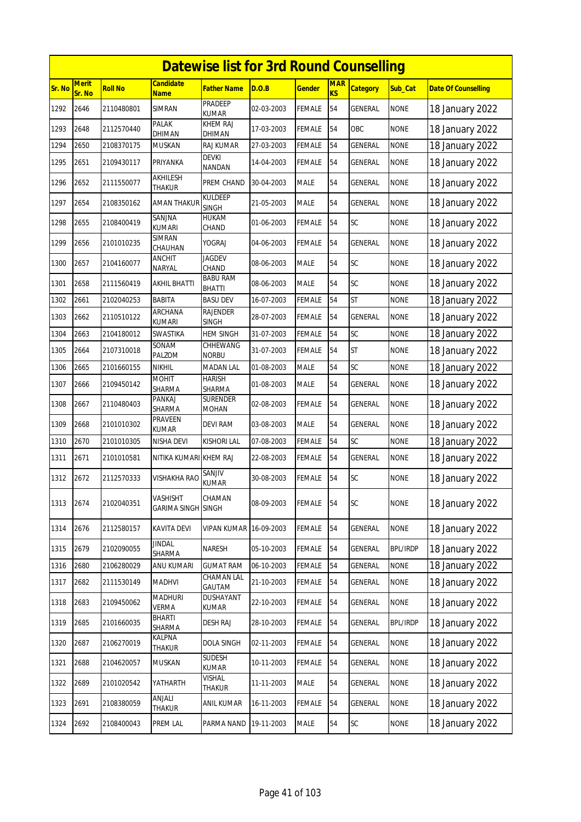|        | <b>Datewise list for 3rd Round Counselling</b> |                |                                        |                                |            |               |                         |                 |                 |                            |  |  |
|--------|------------------------------------------------|----------------|----------------------------------------|--------------------------------|------------|---------------|-------------------------|-----------------|-----------------|----------------------------|--|--|
| Sr. No | <b>Merit</b><br>Sr. No                         | <b>Roll No</b> | <b>Candidate</b><br><b>Name</b>        | Father Name                    | D.O.B      | <u>Gender</u> | <b>MAR</b><br><b>KS</b> | <b>Category</b> | Sub_Cat         | <b>Date Of Counselling</b> |  |  |
| 1292   | 2646                                           | 2110480801     | <b>SIMRAN</b>                          | PRADEEP<br><b>KUMAR</b>        | 02-03-2003 | <b>FEMALE</b> | 54                      | <b>GENERAL</b>  | <b>NONE</b>     | 18 January 2022            |  |  |
| 1293   | 2648                                           | 2112570440     | PALAK<br>DHIMAN                        | KHEM RAJ<br>DHIMAN             | 17-03-2003 | <b>FEMALE</b> | 54                      | OBC             | <b>NONE</b>     | 18 January 2022            |  |  |
| 1294   | 2650                                           | 2108370175     | <b>MUSKAN</b>                          | RAJ KUMAR                      | 27-03-2003 | <b>FEMALE</b> | 54                      | <b>GENERAL</b>  | <b>NONE</b>     | 18 January 2022            |  |  |
| 1295   | 2651                                           | 2109430117     | PRIYANKA                               | <b>DEVKI</b><br><b>NANDAN</b>  | 14-04-2003 | <b>FEMALE</b> | 54                      | <b>GENERAL</b>  | <b>NONE</b>     | 18 January 2022            |  |  |
| 1296   | 2652                                           | 2111550077     | AKHILESH<br>THAKUR                     | PREM CHAND                     | 30-04-2003 | <b>MALE</b>   | 54                      | GENERAL         | <b>NONE</b>     | 18 January 2022            |  |  |
| 1297   | 2654                                           | 2108350162     | <b>AMAN THAKUR</b>                     | <b>KULDEEP</b><br><b>SINGH</b> | 21-05-2003 | <b>MALE</b>   | 54                      | <b>GENERAL</b>  | <b>NONE</b>     | 18 January 2022            |  |  |
| 1298   | 2655                                           | 2108400419     | SANJNA<br>kumari                       | HUKAM<br>CHAND                 | 01-06-2003 | <b>FEMALE</b> | 54                      | <b>SC</b>       | <b>NONE</b>     | 18 January 2022            |  |  |
| 1299   | 2656                                           | 2101010235     | <b>SIMRAN</b><br>CHAUHAN               | YOGRAJ                         | 04-06-2003 | <b>FEMALE</b> | 54                      | <b>GENERAL</b>  | <b>NONE</b>     | 18 January 2022            |  |  |
| 1300   | 2657                                           | 2104160077     | <b>ANCHIT</b><br>NARYAL                | <b>JAGDEV</b><br>CHAND         | 08-06-2003 | <b>MALE</b>   | 54                      | SC              | <b>NONE</b>     | 18 January 2022            |  |  |
| 1301   | 2658                                           | 2111560419     | AKHIL BHATTI                           | <b>BABU RAM</b><br>BHATTI      | 08-06-2003 | <b>MALE</b>   | 54                      | SC              | <b>NONE</b>     | 18 January 2022            |  |  |
| 1302   | 2661                                           | 2102040253     | <b>BABITA</b>                          | <b>BASU DEV</b>                | 16-07-2003 | <b>FEMALE</b> | 54                      | <b>ST</b>       | <b>NONE</b>     | 18 January 2022            |  |  |
| 1303   | 2662                                           | 2110510122     | ARCHANA<br>kumari                      | RAJENDER<br><b>SINGH</b>       | 28-07-2003 | <b>FEMALE</b> | 54                      | <b>GENERAL</b>  | <b>NONE</b>     | 18 January 2022            |  |  |
| 1304   | 2663                                           | 2104180012     | <b>SWASTIKA</b>                        | HEM SINGH                      | 31-07-2003 | <b>FEMALE</b> | 54                      | SC              | <b>NONE</b>     | 18 January 2022            |  |  |
| 1305   | 2664                                           | 2107310018     | SONAM<br>PALZOM                        | CHHEWANG<br><b>NORBU</b>       | 31-07-2003 | <b>FEMALE</b> | 54                      | <b>ST</b>       | <b>NONE</b>     | 18 January 2022            |  |  |
| 1306   | 2665                                           | 2101660155     | <b>NIKHIL</b>                          | <b>MADAN LAL</b>               | 01-08-2003 | <b>MALE</b>   | 54                      | SC              | <b>NONE</b>     | 18 January 2022            |  |  |
| 1307   | 2666                                           | 2109450142     | MOHIT<br>SHARMA                        | HARISH<br>SHARMA               | 01-08-2003 | <b>MALE</b>   | 54                      | <b>GENERAL</b>  | <b>NONE</b>     | 18 January 2022            |  |  |
| 1308   | 2667                                           | 2110480403     | PANKAJ<br>SHARMA                       | SURENDER<br>MOHAN              | 02-08-2003 | <b>FEMALE</b> | 54                      | GENERAL         | <b>NONE</b>     | 18 January 2022            |  |  |
| 1309   | 2668                                           | 2101010302     | PRAVEEN<br><b>KUMAR</b>                | DEVI RAM                       | 03-08-2003 | <b>MALE</b>   | 54                      | <b>GENERAL</b>  | <b>NONE</b>     | 18 January 2022            |  |  |
| 1310   | 2670                                           | 2101010305     | NISHA DEVI                             | <b>KISHORI LAL</b>             | 07-08-2003 | <b>FEMALE</b> | 54                      | SC              | <b>NONE</b>     | 18 January 2022            |  |  |
| 1311   | 2671                                           | 2101010581     | NITIKA KUMARI KHEM RAJ                 |                                | 22-08-2003 | FEMALE        | 54                      | <b>GENERAL</b>  | <b>NONE</b>     | 18 January 2022            |  |  |
| 1312   | 2672                                           | 2112570333     | VISHAKHA RAO                           | SANJIV<br><b>KUMAR</b>         | 30-08-2003 | <b>FEMALE</b> | 54                      | <b>SC</b>       | <b>NONE</b>     | 18 January 2022            |  |  |
| 1313   | 2674                                           | 2102040351     | <b>VASHISHT</b><br><b>GARIMA SINGH</b> | CHAMAN<br><b>SINGH</b>         | 08-09-2003 | <b>FEMALE</b> | 54                      | SC              | <b>NONE</b>     | 18 January 2022            |  |  |
| 1314   | 2676                                           | 2112580157     | KAVITA DEVI                            | <b>VIPAN KUMAR</b>             | 16-09-2003 | FEMALE        | 54                      | <b>GENERAL</b>  | <b>NONE</b>     | 18 January 2022            |  |  |
| 1315   | 2679                                           | 2102090055     | <b>JINDAL</b><br>SHARMA                | NARESH                         | 05-10-2003 | <b>FEMALE</b> | 54                      | <b>GENERAL</b>  | <b>BPL/IRDP</b> | 18 January 2022            |  |  |
| 1316   | 2680                                           | 2106280029     | ANU KUMARI                             | <b>GUMAT RAM</b>               | 06-10-2003 | <b>FEMALE</b> | 54                      | <b>GENERAL</b>  | <b>NONE</b>     | 18 January 2022            |  |  |
| 1317   | 2682                                           | 2111530149     | MADHVI                                 | CHAMAN LAL<br>GAUTAM           | 21-10-2003 | <b>FEMALE</b> | 54                      | GENERAL         | <b>NONE</b>     | 18 January 2022            |  |  |
| 1318   | 2683                                           | 2109450062     | <b>MADHURI</b><br>VERMA                | DUSHAYANT<br>KUMAR             | 22-10-2003 | <b>FEMALE</b> | 54                      | GENERAL         | <b>NONE</b>     | 18 January 2022            |  |  |
| 1319   | 2685                                           | 2101660035     | <b>BHARTI</b><br>SHARMA                | <b>DESH RAJ</b>                | 28-10-2003 | <b>FEMALE</b> | 54                      | <b>GENERAL</b>  | <b>BPL/IRDP</b> | 18 January 2022            |  |  |
| 1320   | 2687                                           | 2106270019     | KALPNA<br>THAKUR                       | <b>DOLA SINGH</b>              | 02-11-2003 | <b>FEMALE</b> | 54                      | <b>GENERAL</b>  | <b>NONE</b>     | 18 January 2022            |  |  |
| 1321   | 2688                                           | 2104620057     | MUSKAN                                 | <b>SUDESH</b><br>KUMAR         | 10-11-2003 | <b>FEMALE</b> | 54                      | <b>GENERAL</b>  | <b>NONE</b>     | 18 January 2022            |  |  |
| 1322   | 2689                                           | 2101020542     | YATHARTH                               | VISHAL<br>thakur               | 11-11-2003 | <b>MALE</b>   | 54                      | GENERAL         | <b>NONE</b>     | 18 January 2022            |  |  |
| 1323   | 2691                                           | 2108380059     | ANJALI<br>thakur                       | ANIL KUMAR                     | 16-11-2003 | <b>FEMALE</b> | 54                      | GENERAL         | <b>NONE</b>     | 18 January 2022            |  |  |
| 1324   | 2692                                           | 2108400043     | PREM LAL                               | PARMA NAND                     | 19-11-2003 | <b>MALE</b>   | 54                      | <b>SC</b>       | <b>NONE</b>     | 18 January 2022            |  |  |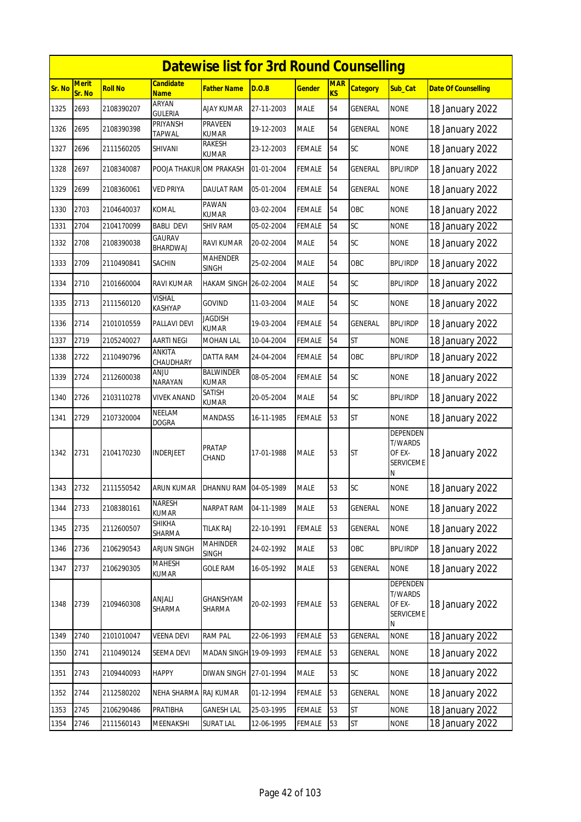|        | <b>Datewise list for 3rd Round Counselling</b><br><b>Merit</b><br><b>Candidate</b><br><b>MAR</b> |                |                                |                                  |            |               |           |                 |                                                                      |                            |  |  |
|--------|--------------------------------------------------------------------------------------------------|----------------|--------------------------------|----------------------------------|------------|---------------|-----------|-----------------|----------------------------------------------------------------------|----------------------------|--|--|
| Sr. No | Sr. No                                                                                           | <b>Roll No</b> | <b>Name</b>                    | Father Name                      | D.O.B      | <u>Gender</u> | <b>KS</b> | <b>Category</b> | Sub_Cat                                                              | <b>Date Of Counselling</b> |  |  |
| 1325   | 2693                                                                                             | 2108390207     | <b>ARYAN</b><br><b>GULERIA</b> | AJAY KUMAR                       | 27-11-2003 | <b>MALE</b>   | 54        | GENERAL         | <b>NONE</b>                                                          | 18 January 2022            |  |  |
| 1326   | 2695                                                                                             | 2108390398     | PRIYANSH<br><b>TAPWAL</b>      | PRAVEEN<br><b>KUMAR</b>          | 19-12-2003 | MALE          | 54        | GENERAL         | <b>NONE</b>                                                          | 18 January 2022            |  |  |
| 1327   | 2696                                                                                             | 2111560205     | SHIVANI                        | RAKESH<br>kumar                  | 23-12-2003 | FEMALE        | 54        | SC              | <b>NONE</b>                                                          | 18 January 2022            |  |  |
| 1328   | 2697                                                                                             | 2108340087     | POOJA THAKUR OM PRAKASH        |                                  | 01-01-2004 | <b>FEMALE</b> | 54        | <b>GENERAL</b>  | <b>BPL/IRDP</b>                                                      | 18 January 2022            |  |  |
| 1329   | 2699                                                                                             | 2108360061     | VED PRIYA                      | DAULAT RAM                       | 05-01-2004 | FEMALE        | 54        | GENERAL         | <b>NONE</b>                                                          | 18 January 2022            |  |  |
| 1330   | 2703                                                                                             | 2104640037     | <b>KOMAL</b>                   | PAWAN<br><b>KUMAR</b>            | 03-02-2004 | FEMALE        | 54        | OBC             | <b>NONE</b>                                                          | 18 January 2022            |  |  |
| 1331   | 2704                                                                                             | 2104170099     | <b>BABLI DEVI</b>              | SHIV RAM                         | 05-02-2004 | <b>FEMALE</b> | 54        | SC              | <b>NONE</b>                                                          | 18 January 2022            |  |  |
| 1332   | 2708                                                                                             | 2108390038     | <b>GAURAV</b><br>BHARDWAJ      | RAVI KUMAR                       | 20-02-2004 | MALE          | 54        | SC              | <b>NONE</b>                                                          | 18 January 2022            |  |  |
| 1333   | 2709                                                                                             | 2110490841     | SACHIN                         | <b>MAHENDER</b><br>SINGH         | 25-02-2004 | <b>MALE</b>   | 54        | OBC             | <b>BPL/IRDP</b>                                                      | 18 January 2022            |  |  |
| 1334   | 2710                                                                                             | 2101660004     | RAVI KUMAR                     | HAKAM SINGH 26-02-2004           |            | MALE          | 54        | SC              | <b>BPL/IRDP</b>                                                      | 18 January 2022            |  |  |
| 1335   | 2713                                                                                             | 2111560120     | VISHAL<br>KASHYAP              | GOVIND                           | 11-03-2004 | <b>MALE</b>   | 54        | SC              | <b>NONE</b>                                                          | 18 January 2022            |  |  |
| 1336   | 2714                                                                                             | 2101010559     | PALLAVI DEVI                   | Jagdish<br><b>KUMAR</b>          | 19-03-2004 | FEMALE        | 54        | GENERAL         | <b>BPL/IRDP</b>                                                      | 18 January 2022            |  |  |
| 1337   | 2719                                                                                             | 2105240027     | <b>AARTI NEGI</b>              | <b>MOHAN LAL</b>                 | 10-04-2004 | FEMALE        | 54        | <b>ST</b>       | <b>NONE</b>                                                          | 18 January 2022            |  |  |
| 1338   | 2722                                                                                             | 2110490796     | ANKITA<br>CHAUDHARY            | DATTA RAM                        | 24-04-2004 | FEMALE        | 54        | OBC             | <b>BPL/IRDP</b>                                                      | 18 January 2022            |  |  |
| 1339   | 2724                                                                                             | 2112600038     | ULIAA<br>NARAYAN               | <b>BALWINDER</b><br><b>KUMAR</b> | 08-05-2004 | FEMALE        | 54        | SC              | <b>NONE</b>                                                          | 18 January 2022            |  |  |
| 1340   | 2726                                                                                             | 2103110278     | <b>VIVEK ANAND</b>             | SATISH<br><b>KUMAR</b>           | 20-05-2004 | <b>MALE</b>   | 54        | SC              | <b>BPL/IRDP</b>                                                      | 18 January 2022            |  |  |
| 1341   | 2729                                                                                             | 2107320004     | NEELAM<br><b>DOGRA</b>         | MANDASS                          | 16-11-1985 | FEMALE        | 53        | <b>ST</b>       | <b>NONE</b>                                                          | 18 January 2022            |  |  |
| 1342   | 2731                                                                                             | 2104170230     | <b>INDERJEET</b>               | PRATAP<br>CHAND                  | 17-01-1988 | <b>MALE</b>   | 53        | <b>ST</b>       | <b>DEPENDEN</b><br><b>T/WARDS</b><br>OF EX-<br>SERVICEME<br>Ν        | 18 January 2022            |  |  |
| 1343   | 2732                                                                                             | 2111550542     | <b>ARUN KUMAR</b>              | DHANNU RAM 04-05-1989            |            | <b>MALE</b>   | 53        | <b>SC</b>       | <b>NONE</b>                                                          | 18 January 2022            |  |  |
| 1344   | 2733                                                                                             | 2108380161     | NARESH<br><b>KUMAR</b>         | NARPAT RAM                       | 04-11-1989 | <b>MALE</b>   | 53        | GENERAL         | <b>NONE</b>                                                          | 18 January 2022            |  |  |
| 1345   | 2735                                                                                             | 2112600507     | SHIKHA<br>SHARMA               | tilak Raj                        | 22-10-1991 | FEMALE        | 53        | GENERAL         | <b>NONE</b>                                                          | 18 January 2022            |  |  |
| 1346   | 2736                                                                                             | 2106290543     | <b>ARJUN SINGH</b>             | MAHINDER<br><b>SINGH</b>         | 24-02-1992 | MALE          | 53        | OBC             | <b>BPL/IRDP</b>                                                      | 18 January 2022            |  |  |
| 1347   | 2737                                                                                             | 2106290305     | <b>MAHESH</b><br>KUMAR         | <b>GOLE RAM</b>                  | 16-05-1992 | MALE          | 53        | GENERAL         | <b>NONE</b>                                                          | 18 January 2022            |  |  |
| 1348   | 2739                                                                                             | 2109460308     | ANJALI<br>SHARMA               | GHANSHYAM<br>SHARMA              | 20-02-1993 | FEMALE        | 53        | <b>GENERAL</b>  | <b>DEPENDEN</b><br><b>T/WARDS</b><br>OF EX-<br><b>SERVICEME</b><br>Ν | 18 January 2022            |  |  |
| 1349   | 2740                                                                                             | 2101010047     | <b>VEENA DEVI</b>              | <b>RAM PAL</b>                   | 22-06-1993 | FEMALE        | 53        | GENERAL         | <b>NONE</b>                                                          | 18 January 2022            |  |  |
| 1350   | 2741                                                                                             | 2110490124     | SEEMA DEVI                     | MADAN SINGH 19-09-1993           |            | <b>FEMALE</b> | 53        | GENERAL         | <b>NONE</b>                                                          | 18 January 2022            |  |  |
| 1351   | 2743                                                                                             | 2109440093     | <b>HAPPY</b>                   | DIWAN SINGH 27-01-1994           |            | MALE          | 53        | SC              | <b>NONE</b>                                                          | 18 January 2022            |  |  |
| 1352   | 2744                                                                                             | 2112580202     | NEHA SHARMA                    | RAJ KUMAR                        | 01-12-1994 | FEMALE        | 53        | GENERAL         | <b>NONE</b>                                                          | 18 January 2022            |  |  |
| 1353   | 2745                                                                                             | 2106290486     | PRATIBHA                       | <b>GANESH LAL</b>                | 25-03-1995 | FEMALE        | 53        | <b>ST</b>       | <b>NONE</b>                                                          | 18 January 2022            |  |  |
| 1354   | 2746                                                                                             | 2111560143     | MEENAKSHI                      | <b>SURAT LAL</b>                 | 12-06-1995 | FEMALE        | 53        | ST              | <b>NONE</b>                                                          | 18 January 2022            |  |  |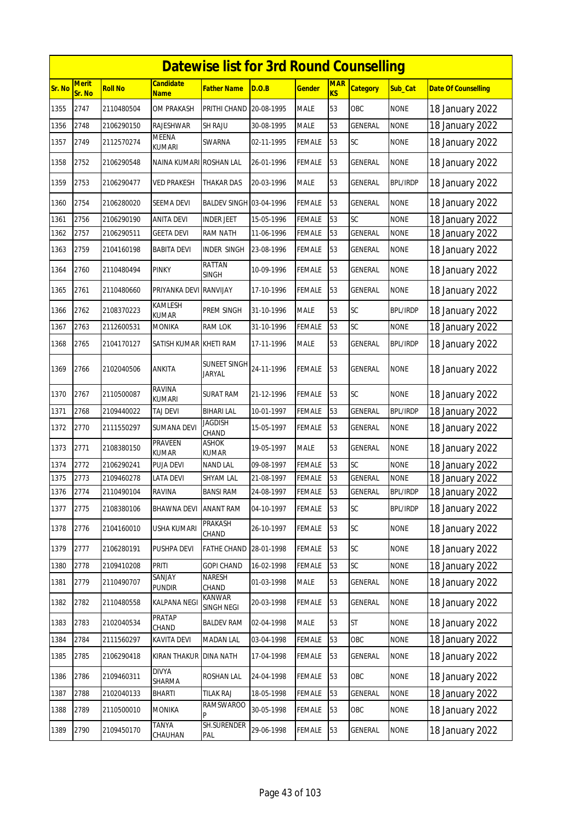|        | <b>Datewise list for 3rd Round Counselling</b><br><b>Merit</b><br><b>MAR</b><br>Candidate |                |                                |                             |            |               |           |                 |                 |                            |  |  |  |
|--------|-------------------------------------------------------------------------------------------|----------------|--------------------------------|-----------------------------|------------|---------------|-----------|-----------------|-----------------|----------------------------|--|--|--|
| Sr. No | Sr. No                                                                                    | <b>Roll No</b> | <b>Name</b>                    | <b>Father Name</b>          | D.O.B      | <u>Gender</u> | <b>KS</b> | <b>Category</b> | Sub_Cat         | <b>Date Of Counselling</b> |  |  |  |
| 1355   | 2747                                                                                      | 2110480504     | <b>OM PRAKASH</b>              | PRITHI CHAND                | 20-08-1995 | <b>MALE</b>   | 53        | OBC             | <b>NONE</b>     | 18 January 2022            |  |  |  |
| 1356   | 2748                                                                                      | 2106290150     | RAJESHWAR                      | <b>SH RAJU</b>              | 30-08-1995 | <b>MALE</b>   | 53        | <b>GENERAL</b>  | <b>NONE</b>     | 18 January 2022            |  |  |  |
| 1357   | 2749                                                                                      | 2112570274     | MEENA<br>kumari                | SWARNA                      | 02-11-1995 | <b>FEMALE</b> | 53        | <b>SC</b>       | <b>NONE</b>     | 18 January 2022            |  |  |  |
| 1358   | 2752                                                                                      | 2106290548     | NAINA KUMARI ROSHAN LAL        |                             | 26-01-1996 | <b>FEMALE</b> | 53        | <b>GENERAL</b>  | <b>NONE</b>     | 18 January 2022            |  |  |  |
| 1359   | 2753                                                                                      | 2106290477     | VED PRAKESH                    | THAKAR DAS                  | 20-03-1996 | <b>MALE</b>   | 53        | GENERAL         | <b>BPL/IRDP</b> | 18 January 2022            |  |  |  |
| 1360   | 2754                                                                                      | 2106280020     | SEEMA DEVI                     | BALDEV SINGH 03-04-1996     |            | FEMALE        | 53        | <b>GENERAL</b>  | <b>NONE</b>     | 18 January 2022            |  |  |  |
| 1361   | 2756                                                                                      | 2106290190     | ANITA DEVI                     | <b>INDER JEET</b>           | 15-05-1996 | <b>FEMALE</b> | 53        | <b>SC</b>       | <b>NONE</b>     | 18 January 2022            |  |  |  |
| 1362   | 2757                                                                                      | 2106290511     | GEETA DEVI                     | RAM NATH                    | 11-06-1996 | <b>FEMALE</b> | 53        | <b>GENERAL</b>  | <b>NONE</b>     | 18 January 2022            |  |  |  |
| 1363   | 2759                                                                                      | 2104160198     | BABITA DEVI                    | INDER SINGH                 | 23-08-1996 | <b>FEMALE</b> | 53        | GENERAL         | <b>NONE</b>     | 18 January 2022            |  |  |  |
| 1364   | 2760                                                                                      | 2110480494     | PINKY                          | RATTAN<br><b>SINGH</b>      | 10-09-1996 | <b>FEMALE</b> | 53        | GENERAL         | <b>NONE</b>     | 18 January 2022            |  |  |  |
| 1365   | 2761                                                                                      | 2110480660     | PRIYANKA DEVI                  | <b>RANVIJAY</b>             | 17-10-1996 | <b>FEMALE</b> | 53        | <b>GENERAL</b>  | <b>NONE</b>     | 18 January 2022            |  |  |  |
| 1366   | 2762                                                                                      | 2108370223     | KAMLESH<br><b>KUMAR</b>        | PREM SINGH                  | 31-10-1996 | <b>MALE</b>   | 53        | SC              | <b>BPL/IRDP</b> | 18 January 2022            |  |  |  |
| 1367   | 2763                                                                                      | 2112600531     | MONIKA                         | RAM LOK                     | 31-10-1996 | <b>FEMALE</b> | 53        | SC              | <b>NONE</b>     | 18 January 2022            |  |  |  |
| 1368   | 2765                                                                                      | 2104170127     | SATISH KUMAR KHETI RAM         |                             | 17-11-1996 | <b>MALE</b>   | 53        | <b>GENERAL</b>  | <b>BPL/IRDP</b> | 18 January 2022            |  |  |  |
| 1369   | 2766                                                                                      | 2102040506     | ANKITA                         | SUNEET SINGH<br>JARYAL      | 24-11-1996 | <b>FEMALE</b> | 53        | <b>GENERAL</b>  | <b>NONE</b>     | 18 January 2022            |  |  |  |
| 1370   | 2767                                                                                      | 2110500087     | <b>RAVINA</b><br><b>KUMARI</b> | SURAT RAM                   | 21-12-1996 | FEMALE        | 53        | <b>SC</b>       | <b>NONE</b>     | 18 January 2022            |  |  |  |
| 1371   | 2768                                                                                      | 2109440022     | TAJ DEVI                       | <b>BIHARI LAL</b>           | 10-01-1997 | <b>FEMALE</b> | 53        | <b>GENERAL</b>  | <b>BPL/IRDP</b> | 18 January 2022            |  |  |  |
| 1372   | 2770                                                                                      | 2111550297     | SUMANA DEVI                    | Jagdish<br>CHAND            | 15-05-1997 | <b>FEMALE</b> | 53        | GENERAL         | <b>NONE</b>     | 18 January 2022            |  |  |  |
| 1373   | 2771                                                                                      | 2108380150     | PRAVEEN<br>KUMAR               | ASHOK<br>kumar              | 19-05-1997 | <b>MALE</b>   | 53        | <b>GENERAL</b>  | <b>NONE</b>     | 18 January 2022            |  |  |  |
| 1374   | 2772                                                                                      | 2106290241     | PUJA DEVI                      | NAND LAL                    | 09-08-1997 | FEMALE        | 53        | SC              | <b>NONE</b>     | 18 January 2022            |  |  |  |
| 1375   | 2773                                                                                      | 2109460278     | LATA DEVI                      | SHYAM LAL                   | 21-08-1997 | <b>FEMALE</b> | 53        | <b>GENERAL</b>  | <b>NONE</b>     | 18 January 2022            |  |  |  |
| 1376   | 2774                                                                                      | 2110490104     | RAVINA                         | <b>BANSI RAM</b>            | 24-08-1997 | FEMALE        | 53        | GENERAL         | <b>BPL/IRDP</b> | 18 January 2022            |  |  |  |
| 1377   | 2775                                                                                      | 2108380106     | BHAWNA DEVI                    | <b>ANANT RAM</b>            | 04-10-1997 | <b>FEMALE</b> | 53        | <b>SC</b>       | <b>BPL/IRDP</b> | 18 January 2022            |  |  |  |
| 1378   | 2776                                                                                      | 2104160010     | USHA KUMARI                    | PRAKASH<br>CHAND            | 26-10-1997 | <b>FEMALE</b> | 53        | SC              | <b>NONE</b>     | 18 January 2022            |  |  |  |
| 1379   | 2777                                                                                      | 2106280191     | PUSHPA DEVI                    | <b>FATHE CHAND</b>          | 28-01-1998 | <b>FEMALE</b> | 53        | SC              | <b>NONE</b>     | 18 January 2022            |  |  |  |
| 1380   | 2778                                                                                      | 2109410208     | Priti                          | GOPI CHAND                  | 16-02-1998 | FEMALE        | 53        | SC              | <b>NONE</b>     | 18 January 2022            |  |  |  |
| 1381   | 2779                                                                                      | 2110490707     | SANJAY<br>PUNDIR               | NARESH<br>CHAND             | 01-03-1998 | MALE          | 53        | GENERAL         | <b>NONE</b>     | 18 January 2022            |  |  |  |
| 1382   | 2782                                                                                      | 2110480558     | <b>KALPANA NEGI</b>            | KANWAR<br><b>SINGH NEGI</b> | 20-03-1998 | <b>FEMALE</b> | 53        | GENERAL         | <b>NONE</b>     | 18 January 2022            |  |  |  |
| 1383   | 2783                                                                                      | 2102040534     | PRATAP<br>CHAND                | <b>BALDEV RAM</b>           | 02-04-1998 | <b>MALE</b>   | 53        | <b>ST</b>       | <b>NONE</b>     | 18 January 2022            |  |  |  |
| 1384   | 2784                                                                                      | 2111560297     | KAVITA DEVI                    | MADAN LAL                   | 03-04-1998 | <b>FEMALE</b> | 53        | OBC             | <b>NONE</b>     | 18 January 2022            |  |  |  |
| 1385   | 2785                                                                                      | 2106290418     | KIRAN THAKUR                   | <b>DINA NATH</b>            | 17-04-1998 | <b>FEMALE</b> | 53        | GENERAL         | <b>NONE</b>     | 18 January 2022            |  |  |  |
| 1386   | 2786                                                                                      | 2109460311     | <b>DIVYA</b><br>SHARMA         | ROSHAN LAL                  | 24-04-1998 | <b>FEMALE</b> | 53        | OBC             | <b>NONE</b>     | 18 January 2022            |  |  |  |
| 1387   | 2788                                                                                      | 2102040133     | BHARTI                         | <b>TILAK RAJ</b>            | 18-05-1998 | <b>FEMALE</b> | 53        | <b>GENERAL</b>  | <b>NONE</b>     | 18 January 2022            |  |  |  |
| 1388   | 2789                                                                                      | 2110500010     | MONIKA                         | <b>RAMSWAROO</b><br>Þ       | 30-05-1998 | <b>FEMALE</b> | 53        | OBC             | <b>NONE</b>     | 18 January 2022            |  |  |  |
| 1389   | 2790                                                                                      | 2109450170     | <b>TANYA</b><br>CHAUHAN        | SH.SURENDER<br>PAL          | 29-06-1998 | <b>FEMALE</b> | 53        | GENERAL         | <b>NONE</b>     | 18 January 2022            |  |  |  |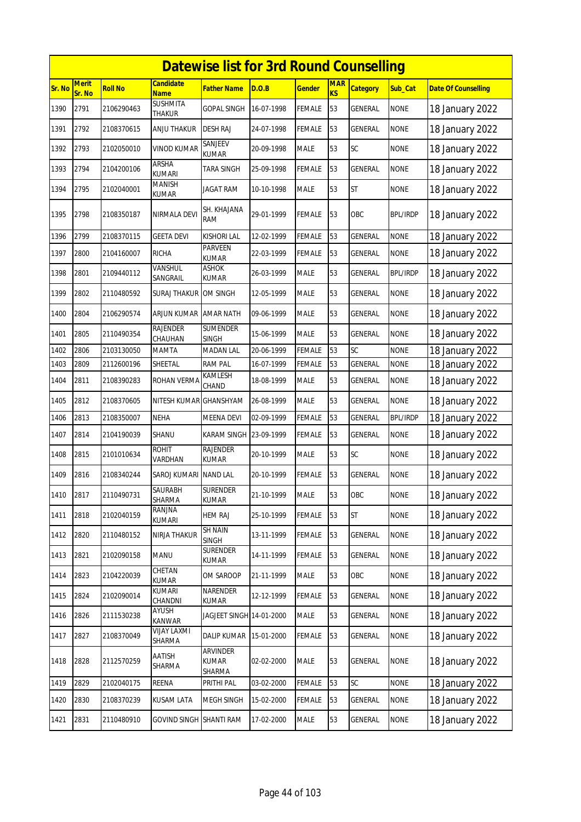|        | <b>Datewise list for 3rd Round Counselling</b> |                |                                  |                                    |            |               |                         |                 |                 |                            |  |  |
|--------|------------------------------------------------|----------------|----------------------------------|------------------------------------|------------|---------------|-------------------------|-----------------|-----------------|----------------------------|--|--|
| Sr. No | <b>Merit</b><br>Sr. No                         | <b>Roll No</b> | <b>Candidate</b><br><b>Name</b>  | Father Name                        | D.O.B      | <u>Gender</u> | <b>MAR</b><br><b>KS</b> | <b>Category</b> | Sub_Cat         | <b>Date Of Counselling</b> |  |  |
| 1390   | 2791                                           | 2106290463     | <b>SUSHMITA</b><br><b>THAKUR</b> | <b>GOPAL SINGH</b>                 | 16-07-1998 | <b>FEMALE</b> | 53                      | GENERAL         | <b>NONE</b>     | 18 January 2022            |  |  |
| 1391   | 2792                                           | 2108370615     | ANJU THAKUR                      | <b>DESH RAJ</b>                    | 24-07-1998 | FEMALE        | 53                      | GENERAL         | <b>NONE</b>     | 18 January 2022            |  |  |
| 1392   | 2793                                           | 2102050010     | <b>VINOD KUMAR</b>               | SANJEEV<br>KUMAR                   | 20-09-1998 | <b>MALE</b>   | 53                      | SC              | <b>NONE</b>     | 18 January 2022            |  |  |
| 1393   | 2794                                           | 2104200106     | <b>ARSHA</b><br><b>KUMARI</b>    | <b>TARA SINGH</b>                  | 25-09-1998 | <b>FEMALE</b> | 53                      | <b>GENERAL</b>  | <b>NONE</b>     | 18 January 2022            |  |  |
| 1394   | 2795                                           | 2102040001     | <b>MANISH</b><br>KUMAR           | JAGAT RAM                          | 10-10-1998 | MALE          | 53                      | <b>ST</b>       | <b>NONE</b>     | 18 January 2022            |  |  |
| 1395   | 2798                                           | 2108350187     | NIRMALA DEVI                     | SH. KHAJANA<br>RAM                 | 29-01-1999 | FEMALE        | 53                      | OBC             | <b>BPL/IRDP</b> | 18 January 2022            |  |  |
| 1396   | 2799                                           | 2108370115     | <b>GEETA DEVI</b>                | <b>KISHORI LAL</b>                 | 12-02-1999 | FEMALE        | 53                      | GENERAL         | <b>NONE</b>     | 18 January 2022            |  |  |
| 1397   | 2800                                           | 2104160007     | <b>RICHA</b>                     | PARVEEN<br><b>KUMAR</b>            | 22-03-1999 | FEMALE        | 53                      | <b>GENERAL</b>  | <b>NONE</b>     | 18 January 2022            |  |  |
| 1398   | 2801                                           | 2109440112     | <b>VANSHUL</b><br>SANGRAIL       | ASHOK<br><b>KUMAR</b>              | 26-03-1999 | <b>MALE</b>   | 53                      | <b>GENERAL</b>  | <b>BPL/IRDP</b> | 18 January 2022            |  |  |
| 1399   | 2802                                           | 2110480592     | SURAJ THAKUR <b>J</b> OM SINGH   |                                    | 12-05-1999 | MALE          | 53                      | GENERAL         | <b>NONE</b>     | 18 January 2022            |  |  |
| 1400   | 2804                                           | 2106290574     | <b>ARJUN KUMAR</b>               | <b>AMAR NATH</b>                   | 09-06-1999 | <b>MALE</b>   | 53                      | GENERAL         | <b>NONE</b>     | 18 January 2022            |  |  |
| 1401   | 2805                                           | 2110490354     | <b>RAJENDER</b><br>CHAUHAN       | <b>SUMENDER</b><br><b>SINGH</b>    | 15-06-1999 | <b>MALE</b>   | 53                      | <b>GENERAL</b>  | <b>NONE</b>     | 18 January 2022            |  |  |
| 1402   | 2806                                           | 2103130050     | MAMTA                            | <b>MADAN LAL</b>                   | 20-06-1999 | <b>FEMALE</b> | 53                      | SC              | <b>NONE</b>     | 18 January 2022            |  |  |
| 1403   | 2809                                           | 2112600196     | SHEETAL                          | <b>RAM PAL</b>                     | 16-07-1999 | FEMALE        | 53                      | GENERAL         | <b>NONE</b>     | 18 January 2022            |  |  |
| 1404   | 2811                                           | 2108390283     | ROHAN VERMA                      | KAMLESH<br>CHAND                   | 18-08-1999 | MALE          | 53                      | GENERAL         | <b>NONE</b>     | 18 January 2022            |  |  |
| 1405   | 2812                                           | 2108370605     | NITESH KUMAR                     | <b>GHANSHYAM</b>                   | 26-08-1999 | <b>MALE</b>   | 53                      | GENERAL         | <b>NONE</b>     | 18 January 2022            |  |  |
| 1406   | 2813                                           | 2108350007     | <b>NEHA</b>                      | <b>MEENA DEVI</b>                  | 02-09-1999 | FEMALE        | 53                      | GENERAL         | <b>BPL/IRDP</b> | 18 January 2022            |  |  |
| 1407   | 2814                                           | 2104190039     | SHANU                            | KARAM SINGH 23-09-1999             |            | <b>FEMALE</b> | 53                      | GENERAL         | <b>NONE</b>     | 18 January 2022            |  |  |
| 1408   | 2815                                           | 2101010634     | <b>ROHIT</b><br>VARDHAN          | <b>RAJENDER</b><br><b>KUMAR</b>    | 20-10-1999 | MALE          | 53                      | <b>SC</b>       | <b>NONE</b>     | 18 January 2022            |  |  |
| 1409   | 2816                                           | 2108340244     | SAROJ KUMARI                     | <b>NAND LAL</b>                    | 20-10-1999 | FEMALE        | 53                      | GENERAL         | <b>NONE</b>     | 18 January 2022            |  |  |
| 1410   | 2817                                           | 2110490731     | <b>SAURABH</b><br>SHARMA         | <b>SURENDER</b><br>KUMAR           | 21-10-1999 | <b>MALE</b>   | 53                      | OBC             | <b>NONE</b>     | 18 January 2022            |  |  |
| 1411   | 2818                                           | 2102040159     | ranjna<br>KUMARI                 | <b>HEM RAJ</b>                     | 25-10-1999 | FEMALE        | 53                      | <b>ST</b>       | <b>NONE</b>     | 18 January 2022            |  |  |
| 1412   | 2820                                           | 2110480152     | NIRJA THAKUR                     | <b>SH NAIN</b><br>SINGH            | 13-11-1999 | FEMALE        | 53                      | GENERAL         | <b>NONE</b>     | 18 January 2022            |  |  |
| 1413   | 2821                                           | 2102090158     | MANU                             | <b>SURENDER</b><br><b>KUMAR</b>    | 14-11-1999 | <b>FEMALE</b> | 53                      | GENERAL         | <b>NONE</b>     | 18 January 2022            |  |  |
| 1414   | 2823                                           | 2104220039     | CHETAN<br>KUMAR                  | OM SAROOP                          | 21-11-1999 | MALE          | 53                      | OBC             | <b>NONE</b>     | 18 January 2022            |  |  |
| 1415   | 2824                                           | 2102090014     | <b>KUMARI</b><br>CHANDNI         | NARENDER<br>KUMAR                  | 12-12-1999 | <b>FEMALE</b> | 53                      | GENERAL         | <b>NONE</b>     | 18 January 2022            |  |  |
| 1416   | 2826                                           | 2111530238     | AYUSH<br>KANWAR                  | JAGJEET SINGH 14-01-2000           |            | <b>MALE</b>   | 53                      | GENERAL         | <b>NONE</b>     | 18 January 2022            |  |  |
| 1417   | 2827                                           | 2108370049     | VIJAY LAXMI<br>SHARMA            | <b>DALIP KUMAR</b>                 | 15-01-2000 | FEMALE        | 53                      | GENERAL         | <b>NONE</b>     | 18 January 2022            |  |  |
| 1418   | 2828                                           | 2112570259     | AATISH<br>SHARMA                 | <b>ARVINDER</b><br>KUMAR<br>SHARMA | 02-02-2000 | <b>MALE</b>   | 53                      | GENERAL         | <b>NONE</b>     | 18 January 2022            |  |  |
| 1419   | 2829                                           | 2102040175     | REENA                            | PRITHI PAL                         | 03-02-2000 | FEMALE        | 53                      | SC              | <b>NONE</b>     | 18 January 2022            |  |  |
| 1420   | 2830                                           | 2108370239     | <b>KUSAM LATA</b>                | MEGH SINGH                         | 15-02-2000 | <b>FEMALE</b> | 53                      | GENERAL         | <b>NONE</b>     | 18 January 2022            |  |  |
| 1421   | 2831                                           | 2110480910     | <b>GOVIND SINGH SHANTI RAM</b>   |                                    | 17-02-2000 | MALE          | 53                      | GENERAL         | <b>NONE</b>     | 18 January 2022            |  |  |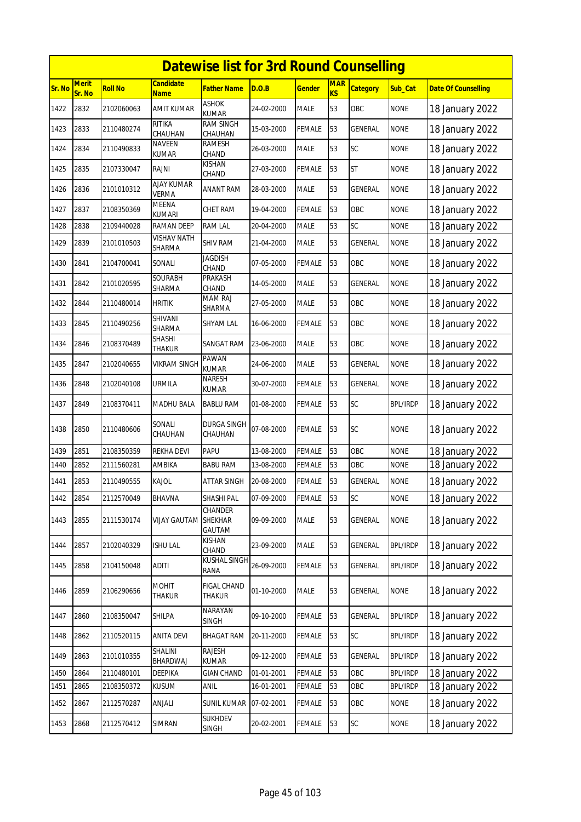|        |                        |                |                                   | <b>Datewise list for 3rd Round Counselling</b> |            |               |                         |                 |                 |                            |
|--------|------------------------|----------------|-----------------------------------|------------------------------------------------|------------|---------------|-------------------------|-----------------|-----------------|----------------------------|
| Sr. No | <b>Merit</b><br>Sr. No | <b>Roll No</b> | <b>Candidate</b><br><b>Name</b>   | Father Name                                    | D.O.B      | <b>Gender</b> | <b>MAR</b><br><b>KS</b> | <b>Category</b> | Sub_Cat         | <b>Date Of Counselling</b> |
| 1422   | 2832                   | 2102060063     | <b>AMIT KUMAR</b>                 | <b>ASHOK</b><br><b>KUMAR</b>                   | 24-02-2000 | <b>MALE</b>   | 53                      | OBC             | <b>NONE</b>     | 18 January 2022            |
| 1423   | 2833                   | 2110480274     | <b>RITIKA</b><br>CHAUHAN          | <b>RAM SINGH</b><br>CHAUHAN                    | 15-03-2000 | <b>FEMALE</b> | 53                      | GENERAL         | <b>NONE</b>     | 18 January 2022            |
| 1424   | 2834                   | 2110490833     | <b>NAVEEN</b><br>KUMAR            | RAMESH<br>CHAND                                | 26-03-2000 | <b>MALE</b>   | 53                      | <b>SC</b>       | <b>NONE</b>     | 18 January 2022            |
| 1425   | 2835                   | 2107330047     | RAJNI                             | KISHAN<br>CHAND                                | 27-03-2000 | <b>FEMALE</b> | 53                      | <b>ST</b>       | <b>NONE</b>     | 18 January 2022            |
| 1426   | 2836                   | 2101010312     | <b>AJAY KUMAR</b><br><b>VERMA</b> | ANANT RAM                                      | 28-03-2000 | <b>MALE</b>   | 53                      | <b>GENERAL</b>  | <b>NONE</b>     | 18 January 2022            |
| 1427   | 2837                   | 2108350369     | MEENA<br><b>KUMARI</b>            | CHET RAM                                       | 19-04-2000 | <b>FEMALE</b> | 53                      | OBC             | <b>NONE</b>     | 18 January 2022            |
| 1428   | 2838                   | 2109440028     | <b>RAMAN DEEP</b>                 | <b>RAM LAL</b>                                 | 20-04-2000 | <b>MALE</b>   | 53                      | SC              | <b>NONE</b>     | 18 January 2022            |
| 1429   | 2839                   | 2101010503     | <b>VISHAV NATH</b><br>SHARMA      | SHIV RAM                                       | 21-04-2000 | <b>MALE</b>   | 53                      | <b>GENERAL</b>  | <b>NONE</b>     | 18 January 2022            |
| 1430   | 2841                   | 2104700041     | Sonali                            | <b>JAGDISH</b><br>CHAND                        | 07-05-2000 | <b>FEMALE</b> | 53                      | OBC             | <b>NONE</b>     | 18 January 2022            |
| 1431   | 2842                   | 2101020595     | SOURABH<br>SHARMA                 | PRAKASH<br>CHAND                               | 14-05-2000 | <b>MALE</b>   | 53                      | <b>GENERAL</b>  | <b>NONE</b>     | 18 January 2022            |
| 1432   | 2844                   | 2110480014     | <b>HRITIK</b>                     | <b>MAM RAJ</b><br>SHARMA                       | 27-05-2000 | <b>MALE</b>   | 53                      | OBC             | <b>NONE</b>     | 18 January 2022            |
| 1433   | 2845                   | 2110490256     | SHIVANI<br>SHARMA                 | <b>SHYAM LAL</b>                               | 16-06-2000 | FEMALE        | 53                      | OBC             | <b>NONE</b>     | 18 January 2022            |
| 1434   | 2846                   | 2108370489     | SHASHI<br><b>THAKUR</b>           | SANGAT RAM                                     | 23-06-2000 | <b>MALE</b>   | 53                      | OBC             | <b>NONE</b>     | 18 January 2022            |
| 1435   | 2847                   | 2102040655     | VIKRAM SINGH                      | PAWAN<br><b>KUMAR</b>                          | 24-06-2000 | <b>MALE</b>   | 53                      | <b>GENERAL</b>  | <b>NONE</b>     | 18 January 2022            |
| 1436   | 2848                   | 2102040108     | URMILA                            | NARESH<br>KUMAR                                | 30-07-2000 | <b>FEMALE</b> | 53                      | <b>GENERAL</b>  | <b>NONE</b>     | 18 January 2022            |
| 1437   | 2849                   | 2108370411     | MADHU BALA                        | <b>BABLU RAM</b>                               | 01-08-2000 | <b>FEMALE</b> | 53                      | <b>SC</b>       | <b>BPL/IRDP</b> | 18 January 2022            |
| 1438   | 2850                   | 2110480606     | Sonali<br>CHAUHAN                 | DURGA SINGH<br>CHAUHAN                         | 07-08-2000 | <b>FEMALE</b> | 53                      | <b>SC</b>       | <b>NONE</b>     | 18 January 2022            |
| 1439   | 2851                   | 2108350359     | <b>REKHA DEVI</b>                 | PAPU                                           | 13-08-2000 | <b>FEMALE</b> | 53                      | OBC             | <b>NONE</b>     | 18 January 2022            |
| 1440   | 2852                   | 2111560281     | AMBIKA                            | <b>BABU RAM</b>                                | 13-08-2000 | <b>FEMALE</b> | 53                      | OBC             | <b>NONE</b>     | 18 January 2022            |
| 1441   | 2853                   | 2110490555     | KAJOL                             | ATTAR SINGH                                    | 20-08-2000 | <b>FEMALE</b> | 53                      | <b>GENERAL</b>  | <b>NONE</b>     | 18 January 2022            |
| 1442   | 2854                   | 2112570049     | <b>BHAVNA</b>                     | SHASHI PAL                                     | 07-09-2000 | <b>FEMALE</b> | 53                      | SC              | <b>NONE</b>     | 18 January 2022            |
| 1443   | 2855                   | 2111530174     | <b>VIJAY GAUTAM</b>               | CHANDER<br>SHEKHAR<br>GAUTAM                   | 09-09-2000 | <b>MALE</b>   | 53                      | <b>GENERAL</b>  | <b>NONE</b>     | 18 January 2022            |
| 1444   | 2857                   | 2102040329     | ISHU LAL                          | KISHAN<br>CHAND                                | 23-09-2000 | <b>MALE</b>   | 53                      | GENERAL         | <b>BPL/IRDP</b> | 18 January 2022            |
| 1445   | 2858                   | 2104150048     | <b>ADITI</b>                      | KUSHAL SINGH<br>RANA                           | 26-09-2000 | <b>FEMALE</b> | 53                      | <b>GENERAL</b>  | <b>BPL/IRDP</b> | 18 January 2022            |
| 1446   | 2859                   | 2106290656     | <b>MOHIT</b><br>Thakur            | <b>FIGAL CHAND</b><br>THAKUR                   | 01-10-2000 | <b>MALE</b>   | 53                      | GENERAL         | <b>NONE</b>     | 18 January 2022            |
| 1447   | 2860                   | 2108350047     | SHILPA                            | NARAYAN<br><b>SINGH</b>                        | 09-10-2000 | <b>FEMALE</b> | 53                      | <b>GENERAL</b>  | <b>BPL/IRDP</b> | 18 January 2022            |
| 1448   | 2862                   | 2110520115     | <b>ANITA DEVI</b>                 | <b>BHAGAT RAM</b>                              | 20-11-2000 | <b>FEMALE</b> | 53                      | SC              | <b>BPL/IRDP</b> | 18 January 2022            |
| 1449   | 2863                   | 2101010355     | SHALINI<br>BHARDWAJ               | <b>RAJESH</b><br><b>KUMAR</b>                  | 09-12-2000 | <b>FEMALE</b> | 53                      | GENERAL         | <b>BPL/IRDP</b> | 18 January 2022            |
| 1450   | 2864                   | 2110480101     | DEEPIKA                           | <b>GIAN CHAND</b>                              | 01-01-2001 | <b>FEMALE</b> | 53                      | OBC             | <b>BPL/IRDP</b> | 18 January 2022            |
| 1451   | 2865                   | 2108350372     | kusum                             | anil                                           | 16-01-2001 | FEMALE        | 53                      | ОВС             | <b>BPL/IRDP</b> | 18 January 2022            |
| 1452   | 2867                   | 2112570287     | anjali                            | SUNIL KUMAR                                    | 07-02-2001 | <b>FEMALE</b> | 53                      | OBC             | <b>NONE</b>     | 18 January 2022            |
| 1453   | 2868                   | 2112570412     | SIMRAN                            | <b>SUKHDEV</b><br><b>SINGH</b>                 | 20-02-2001 | <b>FEMALE</b> | 53                      | SC              | <b>NONE</b>     | 18 January 2022            |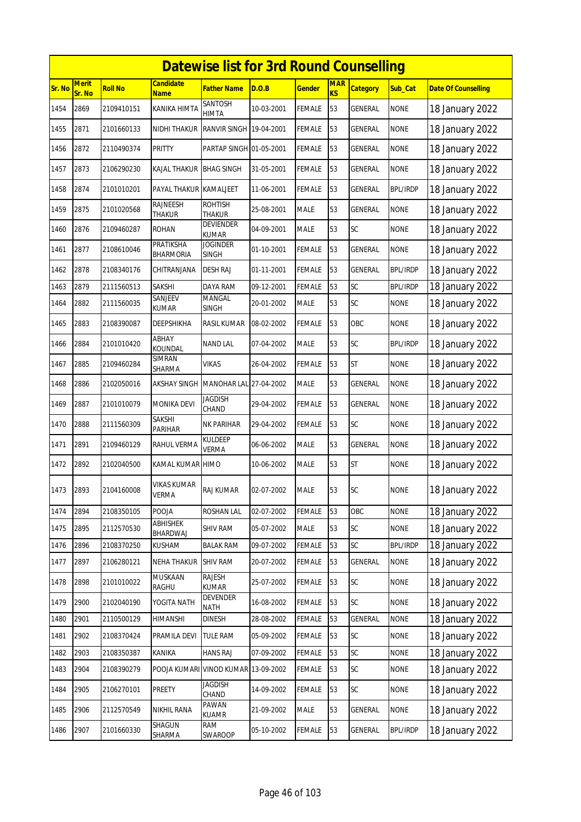|        |                        |                |                                     | <b>Datewise list for 3rd Round Counselling</b> |            |               |                         |                 |                 |                            |
|--------|------------------------|----------------|-------------------------------------|------------------------------------------------|------------|---------------|-------------------------|-----------------|-----------------|----------------------------|
| Sr. No | <b>Merit</b><br>Sr. No | <b>Roll No</b> | <b>Candidate</b><br><b>Name</b>     | Father Name                                    | D.O.B      | <b>Gender</b> | <b>MAR</b><br><b>KS</b> | <b>Category</b> | Sub_Cat         | <b>Date Of Counselling</b> |
| 1454   | 2869                   | 2109410151     | KANIKA HIMTA                        | SANTOSH<br>HIMTA                               | 10-03-2001 | <b>FEMALE</b> | 53                      | <b>GENERAL</b>  | <b>NONE</b>     | 18 January 2022            |
| 1455   | 2871                   | 2101660133     | NIDHI THAKUR                        | RANVIR SINGH 19-04-2001                        |            | <b>FEMALE</b> | 53                      | GENERAL         | <b>NONE</b>     | 18 January 2022            |
| 1456   | 2872                   | 2110490374     | PRITTY                              | PARTAP SINGH 01-05-2001                        |            | <b>FEMALE</b> | 53                      | GENERAL         | <b>NONE</b>     | 18 January 2022            |
| 1457   | 2873                   | 2106290230     | KAJAL THAKUR                        | <b>BHAG SINGH</b>                              | 31-05-2001 | <b>FEMALE</b> | 53                      | GENERAL         | <b>NONE</b>     | 18 January 2022            |
| 1458   | 2874                   | 2101010201     | PAYAL THAKUR KAMALJEET              |                                                | 11-06-2001 | FEMALE        | 53                      | GENERAL         | <b>BPL/IRDP</b> | 18 January 2022            |
| 1459   | 2875                   | 2101020568     | <b>RAJNEESH</b><br>THAKUR           | <b>ROHTISH</b><br><b>THAKUR</b>                | 25-08-2001 | <b>MALE</b>   | 53                      | GENERAL         | <b>NONE</b>     | 18 January 2022            |
| 1460   | 2876                   | 2109460287     | ROHAN                               | <b>DEVIENDER</b><br><b>KUMAR</b>               | 04-09-2001 | <b>MALE</b>   | 53                      | SC              | <b>NONE</b>     | 18 January 2022            |
| 1461   | 2877                   | 2108610046     | PRATIKSHA<br><b>BHARMORIA</b>       | <b>JOGINDER</b><br><b>SINGH</b>                | 01-10-2001 | <b>FEMALE</b> | 53                      | GENERAL         | <b>NONE</b>     | 18 January 2022            |
| 1462   | 2878                   | 2108340176     | CHITRANJANA                         | DESH RAJ                                       | 01-11-2001 | <b>FEMALE</b> | 53                      | GENERAL         | <b>BPL/IRDP</b> | 18 January 2022            |
| 1463   | 2879                   | 2111560513     | SAKSHI                              | DAYA RAM                                       | 09-12-2001 | <b>FEMALE</b> | 53                      | SC              | <b>BPL/IRDP</b> | 18 January 2022            |
| 1464   | 2882                   | 2111560035     | SANJEEV<br><b>KUMAR</b>             | MANGAL<br><b>SINGH</b>                         | 20-01-2002 | <b>MALE</b>   | 53                      | SC              | <b>NONE</b>     | 18 January 2022            |
| 1465   | 2883                   | 2108390087     | DEEPSHIKHA                          | RASIL KUMAR                                    | 08-02-2002 | <b>FEMALE</b> | 53                      | OBC             | <b>NONE</b>     | 18 January 2022            |
| 1466   | 2884                   | 2101010420     | ABHAY<br>KOUNDAL                    | <b>NAND LAL</b>                                | 07-04-2002 | <b>MALE</b>   | 53                      | <b>SC</b>       | <b>BPL/IRDP</b> | 18 January 2022            |
| 1467   | 2885                   | 2109460284     | SIMRAN<br>SHARMA                    | VIKAS                                          | 26-04-2002 | <b>FEMALE</b> | 53                      | <b>ST</b>       | <b>NONE</b>     | 18 January 2022            |
| 1468   | 2886                   | 2102050016     | <b>AKSHAY SINGH</b>                 | <b>MANOHAR LAL</b>                             | 27-04-2002 | <b>MALE</b>   | 53                      | <b>GENERAL</b>  | <b>NONE</b>     | 18 January 2022            |
| 1469   | 2887                   | 2101010079     | <b>MONIKA DEVI</b>                  | JAGDISH<br>CHAND                               | 29-04-2002 | <b>FEMALE</b> | 53                      | GENERAL         | <b>NONE</b>     | 18 January 2022            |
| 1470   | 2888                   | 2111560309     | SAKSHI<br>PARIHAR                   | NK PARIHAR                                     | 29-04-2002 | FEMALE        | 53                      | SC              | <b>NONE</b>     | 18 January 2022            |
| 1471   | 2891                   | 2109460129     | RAHUL VERMA                         | KULDEEP<br><b>VERMA</b>                        | 06-06-2002 | <b>MALE</b>   | 53                      | GENERAL         | <b>NONE</b>     | 18 January 2022            |
| 1472   | 2892                   | 2102040500     | KAMAL KUMAR HIMO                    |                                                | 10-06-2002 | <b>MALE</b>   | 53                      | <b>ST</b>       | <b>NONE</b>     | 18 January 2022            |
| 1473   | 2893                   | 2104160008     | VIKAS KUMAR<br><b>VERMA</b>         | <b>RAJ KUMAR</b>                               | 02-07-2002 | <b>MALE</b>   | 53                      | <b>SC</b>       | <b>NONE</b>     | 18 January 2022            |
| 1474   | 2894                   | 2108350105     | POOJA                               | ROSHAN LAL                                     | 02-07-2002 | FEMALE        | 53                      | OBC             | <b>NONE</b>     | 18 January 2022            |
| 1475   | 2895                   | 2112570530     | <b>ABHISHEK</b><br>BHARDWAJ         | <b>SHIV RAM</b>                                | 05-07-2002 | <b>MALE</b>   | 53                      | <b>SC</b>       | <b>NONE</b>     | 18 January 2022            |
| 1476   | 2896                   | 2108370250     | KUSHAM                              | <b>BALAK RAM</b>                               | 09-07-2002 | FEMALE        | 53                      | SC              | <b>BPL/IRDP</b> | 18 January 2022            |
| 1477   | 2897                   | 2106280121     | <b>NEHA THAKUR</b>                  | <b>SHIV RAM</b>                                | 20-07-2002 | <b>FEMALE</b> | 53                      | GENERAL         | <b>NONE</b>     | 18 January 2022            |
| 1478   | 2898                   | 2101010022     | MUSKAAN<br>RAGHU                    | <b>RAJESH</b><br>KUMAR                         | 25-07-2002 | <b>FEMALE</b> | 53                      | SC              | <b>NONE</b>     | 18 January 2022            |
| 1479   | 2900                   | 2102040190     | YOGITA NATH                         | <b>DEVENDER</b><br><b>NATH</b>                 | 16-08-2002 | <b>FEMALE</b> | 53                      | SC              | <b>NONE</b>     | 18 January 2022            |
| 1480   | 2901                   | 2110500129     | HIMANSHI                            | <b>DINESH</b>                                  | 28-08-2002 | FEMALE        | 53                      | <b>GENERAL</b>  | <b>NONE</b>     | 18 January 2022            |
| 1481   | 2902                   | 2108370424     | PRAMILA DEVI                        | <b>TULE RAM</b>                                | 05-09-2002 | <b>FEMALE</b> | 53                      | SC              | <b>NONE</b>     | 18 January 2022            |
| 1482   | 2903                   | 2108350387     | KANIKA                              | <b>HANS RAJ</b>                                | 07-09-2002 | <b>FEMALE</b> | 53                      | SC              | <b>NONE</b>     | 18 January 2022            |
| 1483   | 2904                   | 2108390279     | POOJA KUMARI VINOD KUMAR 13-09-2002 |                                                |            | <b>FEMALE</b> | 53                      | SC              | <b>NONE</b>     | 18 January 2022            |
| 1484   | 2905                   | 2106270101     | PREETY                              | <b>JAGDISH</b><br>CHAND                        | 14-09-2002 | <b>FEMALE</b> | 53                      | SC              | <b>NONE</b>     | 18 January 2022            |
| 1485   | 2906                   | 2112570549     | NIKHIL RANA                         | PAWAN<br>KUAMR                                 | 21-09-2002 | MALE          | 53                      | GENERAL         | <b>NONE</b>     | 18 January 2022            |
| 1486   | 2907                   | 2101660330     | SHAGUN<br>SHARMA                    | RAM<br>SWAROOP                                 | 05-10-2002 | <b>FEMALE</b> | 53                      | GENERAL         | <b>BPL/IRDP</b> | 18 January 2022            |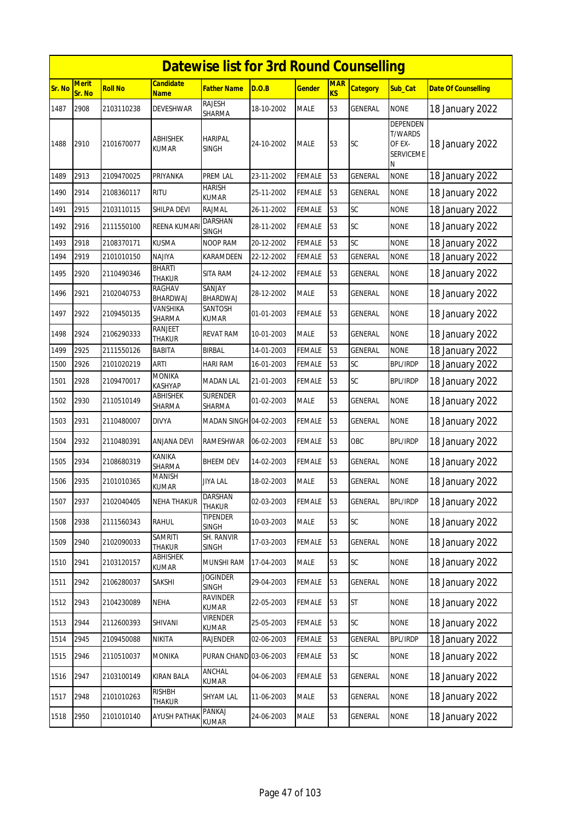|        |                        |                |                                 | <b>Datewise list for 3rd Round Counselling</b> |            |               |                  |                 |                                                                      |                            |
|--------|------------------------|----------------|---------------------------------|------------------------------------------------|------------|---------------|------------------|-----------------|----------------------------------------------------------------------|----------------------------|
| Sr. No | <b>Merit</b><br>Sr. No | <b>Roll No</b> | <b>Candidate</b><br><b>Name</b> | <b>Father Name</b>                             | D.O.B      | <b>Gender</b> | <b>MAR</b><br>KS | <b>Category</b> | Sub_Cat                                                              | <b>Date Of Counselling</b> |
| 1487   | 2908                   | 2103110238     | DEVESHWAR                       | <b>RAJESH</b><br>SHARMA                        | 18-10-2002 | <b>MALE</b>   | 53               | <b>GENERAL</b>  | <b>NONE</b>                                                          | 18 January 2022            |
| 1488   | 2910                   | 2101670077     | <b>ABHISHEK</b><br><b>KUMAR</b> | <b>HARIPAL</b><br><b>SINGH</b>                 | 24-10-2002 | <b>MALE</b>   | 53               | <b>SC</b>       | <b>DEPENDEN</b><br><b>T/WARDS</b><br>OF EX-<br><b>SERVICEME</b><br>N | 18 January 2022            |
| 1489   | 2913                   | 2109470025     | PRIYANKA                        | <b>PREM LAL</b>                                | 23-11-2002 | <b>FEMALE</b> | 53               | <b>GENERAL</b>  | <b>NONE</b>                                                          | 18 January 2022            |
| 1490   | 2914                   | 2108360117     | <b>RITU</b>                     | <b>HARISH</b><br><b>KUMAR</b>                  | 25-11-2002 | <b>FEMALE</b> | 53               | <b>GENERAL</b>  | <b>NONE</b>                                                          | 18 January 2022            |
| 1491   | 2915                   | 2103110115     | SHILPA DEVI                     | <b>RAJMAL</b>                                  | 26-11-2002 | <b>FEMALE</b> | 53               | SC              | <b>NONE</b>                                                          | 18 January 2022            |
| 1492   | 2916                   | 2111550100     | REENA KUMAR                     | <b>DARSHAN</b><br><b>SINGH</b>                 | 28-11-2002 | FEMALE        | 53               | <b>SC</b>       | <b>NONE</b>                                                          | 18 January 2022            |
| 1493   | 2918                   | 2108370171     | <b>KUSMA</b>                    | <b>NOOP RAM</b>                                | 20-12-2002 | <b>FEMALE</b> | 53               | SC              | <b>NONE</b>                                                          | 18 January 2022            |
| 1494   | 2919                   | 2101010150     | NAJIYA                          | KARAMDEEN                                      | 22-12-2002 | <b>FEMALE</b> | 53               | GENERAL         | <b>NONE</b>                                                          | 18 January 2022            |
| 1495   | 2920                   | 2110490346     | BHARTI<br><b>THAKUR</b>         | <b>SITA RAM</b>                                | 24-12-2002 | <b>FEMALE</b> | 53               | <b>GENERAL</b>  | <b>NONE</b>                                                          | 18 January 2022            |
| 1496   | 2921                   | 2102040753     | RAGHAV<br>BHARDWAJ              | SANJAY<br>BHARDWAJ                             | 28-12-2002 | MALE          | 53               | GENERAL         | <b>NONE</b>                                                          | 18 January 2022            |
| 1497   | 2922                   | 2109450135     | VANSHIKA<br>SHARMA              | SANTOSH<br><b>KUMAR</b>                        | 01-01-2003 | FEMALE        | 53               | <b>GENERAL</b>  | <b>NONE</b>                                                          | 18 January 2022            |
| 1498   | 2924                   | 2106290333     | RANJEET<br><b>THAKUR</b>        | <b>REVAT RAM</b>                               | 10-01-2003 | <b>MALE</b>   | 53               | <b>GENERAL</b>  | <b>NONE</b>                                                          | 18 January 2022            |
| 1499   | 2925                   | 2111550126     | <b>BABITA</b>                   | <b>BIRBAL</b>                                  | 14-01-2003 | <b>FEMALE</b> | 53               | <b>GENERAL</b>  | <b>NONE</b>                                                          | 18 January 2022            |
| 1500   | 2926                   | 2101020219     | <b>ARTI</b>                     | <b>HARI RAM</b>                                | 16-01-2003 | <b>FEMALE</b> | 53               | SC              | <b>BPL/IRDP</b>                                                      | 18 January 2022            |
| 1501   | 2928                   | 2109470017     | <b>MONIKA</b><br><b>KASHYAP</b> | <b>MADAN LAL</b>                               | 21-01-2003 | <b>FEMALE</b> | 53               | SC              | <b>BPL/IRDP</b>                                                      | 18 January 2022            |
| 1502   | 2930                   | 2110510149     | <b>ABHISHEK</b><br>SHARMA       | <b>SURENDER</b><br>SHARMA                      | 01-02-2003 | <b>MALE</b>   | 53               | <b>GENERAL</b>  | <b>NONE</b>                                                          | 18 January 2022            |
| 1503   | 2931                   | 2110480007     | <b>DIVYA</b>                    | MADAN SINGH 04-02-2003                         |            | <b>FEMALE</b> | 53               | <b>GENERAL</b>  | <b>NONE</b>                                                          | 18 January 2022            |
| 1504   | 2932                   | 2110480391     | ANJANA DEVI                     | RAMESHWAR                                      | 06-02-2003 | FEMALE        | 53               | OBC             | <b>BPL/IRDP</b>                                                      | 18 January 2022            |
| 1505   | 2934                   | 2108680319     | <b>KANIKA</b><br>SHARMA         | <b>BHEEM DEV</b>                               | 14-02-2003 | <b>FEMALE</b> | 53               | <b>GENERAL</b>  | <b>NONE</b>                                                          | 18 January 2022            |
| 1506   | 2935                   | 2101010365     | MANISH<br><b>KUMAR</b>          | JIYA LAL                                       | 18-02-2003 | <b>MALE</b>   | 53               | <b>GENERAL</b>  | <b>NONE</b>                                                          | 18 January 2022            |
| 1507   | 2937                   | 2102040405     | <b>NEHA THAKUR</b>              | DARSHAN<br><b>THAKUR</b>                       | 02-03-2003 | <b>FEMALE</b> | 53               | <b>GENERAL</b>  | <b>BPL/IRDP</b>                                                      | 18 January 2022            |
| 1508   | 2938                   | 2111560343     | RAHUL                           | TIPENDER<br><b>SINGH</b>                       | 10-03-2003 | MALE          | 53               | <b>SC</b>       | <b>NONE</b>                                                          | 18 January 2022            |
| 1509   | 2940                   | 2102090033     | <b>SAMRITI</b><br>THAKUR        | <b>SH. RANVIR</b><br><b>SINGH</b>              | 17-03-2003 | <b>FEMALE</b> | 53               | <b>GENERAL</b>  | <b>NONE</b>                                                          | 18 January 2022            |
| 1510   | 2941                   | 2103120157     | ABHISHEK<br>KUMAR               | MUNSHI RAM                                     | 17-04-2003 | <b>MALE</b>   | 53               | SC              | <b>NONE</b>                                                          | 18 January 2022            |
| 1511   | 2942                   | 2106280037     | SAKSHI                          | <b>JOGINDER</b><br><b>SINGH</b>                | 29-04-2003 | <b>FEMALE</b> | 53               | <b>GENERAL</b>  | <b>NONE</b>                                                          | 18 January 2022            |
| 1512   | 2943                   | 2104230089     | <b>NEHA</b>                     | RAVINDER<br><b>KUMAR</b>                       | 22-05-2003 | <b>FEMALE</b> | 53               | <b>ST</b>       | <b>NONE</b>                                                          | 18 January 2022            |
| 1513   | 2944                   | 2112600393     | SHIVANI                         | <b>VIRENDER</b><br><b>KUMAR</b>                | 25-05-2003 | <b>FEMALE</b> | 53               | SC              | <b>NONE</b>                                                          | 18 January 2022            |
| 1514   | 2945                   | 2109450088     | <b>NIKITA</b>                   | RAJENDER                                       | 02-06-2003 | <b>FEMALE</b> | 53               | <b>GENERAL</b>  | <b>BPL/IRDP</b>                                                      | 18 January 2022            |
| 1515   | 2946                   | 2110510037     | <b>MONIKA</b>                   | PURAN CHAND 03-06-2003                         |            | <b>FEMALE</b> | 53               | <b>SC</b>       | <b>NONE</b>                                                          | 18 January 2022            |
| 1516   | 2947                   | 2103100149     | <b>KIRAN BALA</b>               | ANCHAL<br><b>KUMAR</b>                         | 04-06-2003 | <b>FEMALE</b> | 53               | GENERAL         | <b>NONE</b>                                                          | 18 January 2022            |
| 1517   | 2948                   | 2101010263     | <b>RISHBH</b><br>THAKUR         | SHYAM LAL                                      | 11-06-2003 | <b>MALE</b>   | 53               | GENERAL         | <b>NONE</b>                                                          | 18 January 2022            |
| 1518   | 2950                   | 2101010140     | <b>AYUSH PATHAK</b>             | PANKAJ<br>KUMAR                                | 24-06-2003 | <b>MALE</b>   | 53               | GENERAL         | <b>NONE</b>                                                          | 18 January 2022            |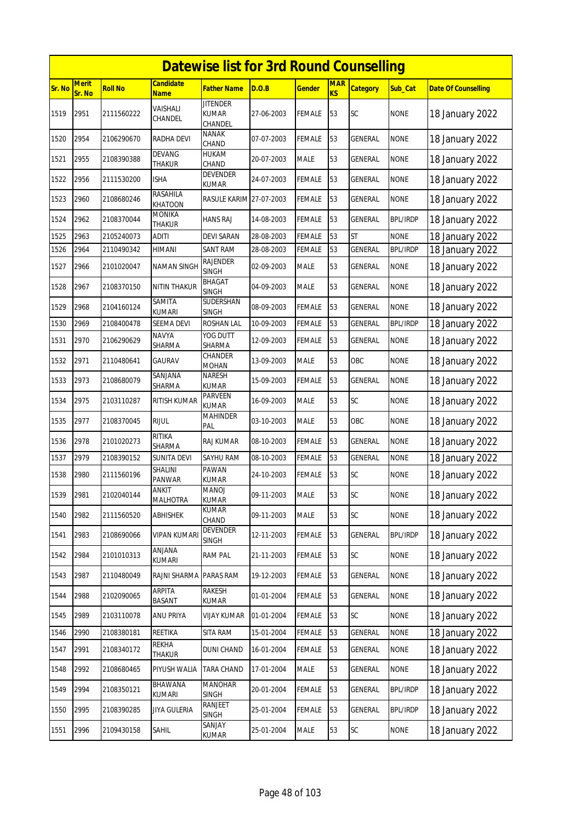|        |                        |                |                                 | <b>Datewise list for 3rd Round Counselling</b> |            |               |                         |                 |                 |                            |
|--------|------------------------|----------------|---------------------------------|------------------------------------------------|------------|---------------|-------------------------|-----------------|-----------------|----------------------------|
| Sr. No | <b>Merit</b><br>Sr. No | <b>Roll No</b> | <b>Candidate</b><br><b>Name</b> | <b>Father Name</b>                             | D.O.B      | <u>Gender</u> | <b>MAR</b><br><b>KS</b> | <b>Category</b> | Sub_Cat         | <b>Date Of Counselling</b> |
| 1519   | 2951                   | 2111560222     | VAISHALI<br>CHANDEL             | <b>JITENDER</b><br><b>KUMAR</b><br>CHANDEL     | 27-06-2003 | FEMALE        | 53                      | SC              | <b>NONE</b>     | 18 January 2022            |
| 1520   | 2954                   | 2106290670     | RADHA DEVI                      | <b>NANAK</b><br>CHAND                          | 07-07-2003 | FEMALE        | 53                      | GENERAL         | <b>NONE</b>     | 18 January 2022            |
| 1521   | 2955                   | 2108390388     | DEVANG<br>THAKUR                | HUKAM<br>CHAND                                 | 20-07-2003 | MALE          | 53                      | GENERAL         | <b>NONE</b>     | 18 January 2022            |
| 1522   | 2956                   | 2111530200     | ISHA                            | <b>DEVENDER</b><br><b>KUMAR</b>                | 24-07-2003 | <b>FEMALE</b> | 53                      | GENERAL         | <b>NONE</b>     | 18 January 2022            |
| 1523   | 2960                   | 2108680246     | RASAHILA<br><b>KHATOON</b>      | RASULE KARIM 27-07-2003                        |            | FEMALE        | 53                      | GENERAL         | <b>NONE</b>     | 18 January 2022            |
| 1524   | 2962                   | 2108370044     | <b>MONIKA</b><br>THAKUR         | HANS RAJ                                       | 14-08-2003 | FEMALE        | 53                      | GENERAL         | <b>BPL/IRDP</b> | 18 January 2022            |
| 1525   | 2963                   | 2105240073     | aditi                           | <b>DEVI SARAN</b>                              | 28-08-2003 | FEMALE        | 53                      | <b>ST</b>       | <b>NONE</b>     | 18 January 2022            |
| 1526   | 2964                   | 2110490342     | HIMANI                          | <b>SANT RAM</b>                                | 28-08-2003 | <b>FEMALE</b> | 53                      | <b>GENERAL</b>  | <b>BPL/IRDP</b> | 18 January 2022            |
| 1527   | 2966                   | 2101020047     | <b>NAMAN SINGH</b>              | RAJENDER<br><b>SINGH</b>                       | 02-09-2003 | MALE          | 53                      | GENERAL         | <b>NONE</b>     | 18 January 2022            |
| 1528   | 2967                   | 2108370150     | NITIN THAKUR                    | BHAGAT<br><b>SINGH</b>                         | 04-09-2003 | <b>MALE</b>   | 53                      | <b>GENERAL</b>  | <b>NONE</b>     | 18 January 2022            |
| 1529   | 2968                   | 2104160124     | SAMITA<br><b>KUMARI</b>         | SUDERSHAN<br><b>SINGH</b>                      | 08-09-2003 | FEMALE        | 53                      | GENERAL         | <b>NONE</b>     | 18 January 2022            |
| 1530   | 2969                   | 2108400478     | <b>SEEMA DEVI</b>               | <b>ROSHAN LAL</b>                              | 10-09-2003 | <b>FEMALE</b> | 53                      | GENERAL         | <b>BPL/IRDP</b> | 18 January 2022            |
| 1531   | 2970                   | 2106290629     | <b>NAVYA</b><br>SHARMA          | YOG DUTT<br>SHARMA                             | 12-09-2003 | FEMALE        | 53                      | GENERAL         | <b>NONE</b>     | 18 January 2022            |
| 1532   | 2971                   | 2110480641     | <b>GAURAV</b>                   | CHANDER<br><b>MOHAN</b>                        | 13-09-2003 | <b>MALE</b>   | 53                      | OBC             | <b>NONE</b>     | 18 January 2022            |
| 1533   | 2973                   | 2108680079     | SANJANA<br>SHARMA               | NARESH<br>KUMAR                                | 15-09-2003 | <b>FEMALE</b> | 53                      | <b>GENERAL</b>  | <b>NONE</b>     | 18 January 2022            |
| 1534   | 2975                   | 2103110287     | RITISH KUMAR                    | PARVEEN<br><b>KUMAR</b>                        | 16-09-2003 | MALE          | 53                      | SC              | <b>NONE</b>     | 18 January 2022            |
| 1535   | 2977                   | 2108370045     | <b>RIJUL</b>                    | <b>MAHINDER</b><br>PAL                         | 03-10-2003 | MALE          | 53                      | OBC             | <b>NONE</b>     | 18 January 2022            |
| 1536   | 2978                   | 2101020273     | <b>RITIKA</b><br>SHARMA         | RAJ KUMAR                                      | 08-10-2003 | FEMALE        | 53                      | GENERAL         | <b>NONE</b>     | 18 January 2022            |
| 1537   | 2979                   | 2108390152     | <b>SUNITA DEVI</b>              | SAYHU RAM                                      | 08-10-2003 | <b>FEMALE</b> | 53                      | GENERAL         | <b>NONE</b>     | 18 January 2022            |
| 1538   | 2980                   | 2111560196     | SHALINI<br>PANWAR               | PAWAN<br><b>KUMAR</b>                          | 24-10-2003 | <b>FEMALE</b> | 53                      | SC              | <b>NONE</b>     | 18 January 2022            |
| 1539   | 2981                   | 2102040144     | <b>ANKIT</b><br><b>MALHOTRA</b> | <b>MANOJ</b><br><b>KUMAR</b>                   | 09-11-2003 | <b>MALE</b>   | 53                      | <b>SC</b>       | <b>NONE</b>     | 18 January 2022            |
| 1540   | 2982                   | 2111560520     | ABHISHEK                        | KUMAR<br>CHAND                                 | 09-11-2003 | MALE          | 53                      | <b>SC</b>       | <b>NONE</b>     | 18 January 2022            |
| 1541   | 2983                   | 2108690066     | VIPAN KUMARI                    | <b>DEVENDER</b><br>SINGH                       | 12-11-2003 | FEMALE        | 53                      | GENERAL         | <b>BPL/IRDP</b> | 18 January 2022            |
| 1542   | 2984                   | 2101010313     | ANJANA<br>KUMARI                | <b>RAM PAL</b>                                 | 21-11-2003 | <b>FEMALE</b> | 53                      | SC              | <b>NONE</b>     | 18 January 2022            |
| 1543   | 2987                   | 2110480049     | RAJNI SHARMA                    | PARAS RAM                                      | 19-12-2003 | <b>FEMALE</b> | 53                      | GENERAL         | <b>NONE</b>     | 18 January 2022            |
| 1544   | 2988                   | 2102090065     | ARPITA<br>BASANT                | RAKESH<br>KUMAR                                | 01-01-2004 | <b>FEMALE</b> | 53                      | GENERAL         | <b>NONE</b>     | 18 January 2022            |
| 1545   | 2989                   | 2103110078     | ANU PRIYA                       | VIJAY KUMAR                                    | 01-01-2004 | FEMALE        | 53                      | SC              | <b>NONE</b>     | 18 January 2022            |
| 1546   | 2990                   | 2108380181     | REETIKA                         | SITA RAM                                       | 15-01-2004 | FEMALE        | 53                      | GENERAL         | <b>NONE</b>     | 18 January 2022            |
| 1547   | 2991                   | 2108340172     | REKHA<br>THAKUR                 | <b>DUNI CHAND</b>                              | 16-01-2004 | <b>FEMALE</b> | 53                      | GENERAL         | <b>NONE</b>     | 18 January 2022            |
| 1548   | 2992                   | 2108680465     | PIYUSH WALIA                    | TARA CHAND                                     | 17-01-2004 | MALE          | 53                      | GENERAL         | <b>NONE</b>     | 18 January 2022            |
| 1549   | 2994                   | 2108350121     | BHAWANA<br>KUMARI               | <b>MANOHAR</b><br>SINGH                        | 20-01-2004 | <b>FEMALE</b> | 53                      | GENERAL         | <b>BPL/IRDP</b> | 18 January 2022            |
| 1550   | 2995                   | 2108390285     | JIYA GULERIA                    | RANJEET<br>SINGH                               | 25-01-2004 | <b>FEMALE</b> | 53                      | GENERAL         | <b>BPL/IRDP</b> | 18 January 2022            |
| 1551   | 2996                   | 2109430158     | SAHIL                           | SANJAY<br>KUMAR                                | 25-01-2004 | <b>MALE</b>   | 53                      | SC              | <b>NONE</b>     | 18 January 2022            |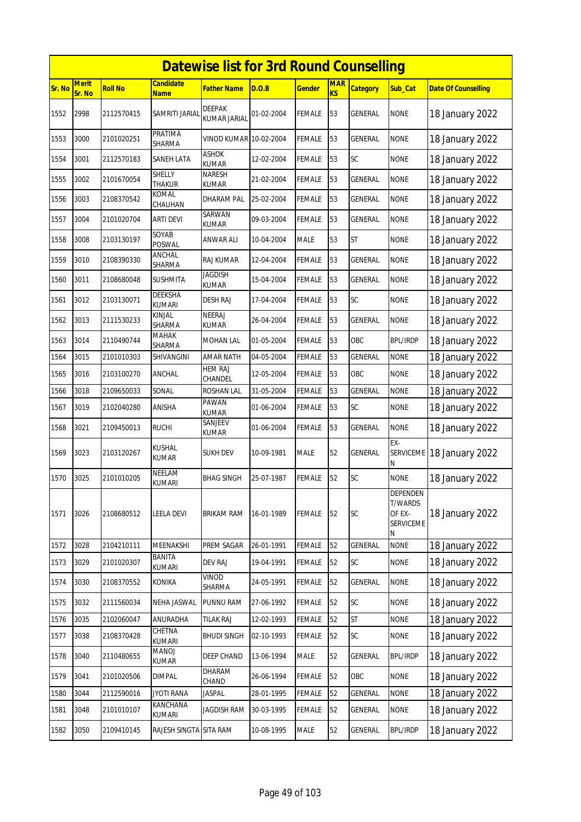|        | <b>Datewise list for 3rd Round Counselling</b> |                |                                 |                                      |            |               |                  |                 |                                                        |                            |  |  |
|--------|------------------------------------------------|----------------|---------------------------------|--------------------------------------|------------|---------------|------------------|-----------------|--------------------------------------------------------|----------------------------|--|--|
| Sr. No | <b>Merit</b><br>Sr. No                         | <b>Roll No</b> | <b>Candidate</b><br><b>Name</b> | <b>Father Name</b>                   | D.O.B      | <b>Gender</b> | <b>MAR</b><br>KS | <b>Category</b> | Sub_Cat                                                | <b>Date Of Counselling</b> |  |  |
| 1552   | 2998                                           | 2112570415     | SAMRITI JARIAI                  | <b>DEEPAK</b><br><b>KUMAR JARIAL</b> | 01-02-2004 | <b>FEMALE</b> | 53               | <b>GENERAL</b>  | <b>NONE</b>                                            | 18 January 2022            |  |  |
| 1553   | 3000                                           | 2101020251     | PRATIMA<br>SHARMA               | VINOD KUMAR 10-02-2004               |            | <b>FEMALE</b> | 53               | GENERAL         | <b>NONE</b>                                            | 18 January 2022            |  |  |
| 1554   | 3001                                           | 2112570183     | SANEH LATA                      | <b>ASHOK</b><br><b>KUMAR</b>         | 12-02-2004 | <b>FEMALE</b> | 53               | <b>SC</b>       | <b>NONE</b>                                            | 18 January 2022            |  |  |
| 1555   | 3002                                           | 2101670054     | <b>SHELLY</b><br><b>THAKUR</b>  | NARESH<br>KUMAR                      | 21-02-2004 | <b>FEMALE</b> | 53               | <b>GENERAL</b>  | <b>NONE</b>                                            | 18 January 2022            |  |  |
| 1556   | 3003                                           | 2108370542     | KOMAL<br>CHAUHAN                | DHARAM PAL                           | 25-02-2004 | <b>FEMALE</b> | 53               | GENERAL         | <b>NONE</b>                                            | 18 January 2022            |  |  |
| 1557   | 3004                                           | 2101020704     | ARTI DEVI                       | SARWAN<br>kumar                      | 09-03-2004 | <b>FEMALE</b> | 53               | <b>GENERAL</b>  | <b>NONE</b>                                            | 18 January 2022            |  |  |
| 1558   | 3008                                           | 2103130197     | SOYAB<br><b>POSWAL</b>          | ANWAR ALI                            | 10-04-2004 | <b>MALE</b>   | 53               | <b>ST</b>       | <b>NONE</b>                                            | 18 January 2022            |  |  |
| 1559   | 3010                                           | 2108390330     | ANCHAL<br>SHARMA                | RAJ KUMAR                            | 12-04-2004 | <b>FEMALE</b> | 53               | GENERAL         | <b>NONE</b>                                            | 18 January 2022            |  |  |
| 1560   | 3011                                           | 2108680048     | <b>SUSHMITA</b>                 | <b>JAGDISH</b><br><b>KUMAR</b>       | 15-04-2004 | <b>FEMALE</b> | 53               | <b>GENERAL</b>  | <b>NONE</b>                                            | 18 January 2022            |  |  |
| 1561   | 3012                                           | 2103130071     | DEEKSHA<br><b>KUMARI</b>        | DESH RAJ                             | 17-04-2004 | <b>FEMALE</b> | 53               | SC              | <b>NONE</b>                                            | 18 January 2022            |  |  |
| 1562   | 3013                                           | 2111530233     | KINJAL<br>SHARMA                | <b>NEERAJ</b><br><b>KUMAR</b>        | 26-04-2004 | <b>FEMALE</b> | 53               | <b>GENERAL</b>  | <b>NONE</b>                                            | 18 January 2022            |  |  |
| 1563   | 3014                                           | 2110490744     | МАНАК<br>SHARMA                 | MOHAN LAL                            | 01-05-2004 | <b>FEMALE</b> | 53               | OBC             | <b>BPL/IRDP</b>                                        | 18 January 2022            |  |  |
| 1564   | 3015                                           | 2101010303     | SHIVANGINI                      | <b>AMAR NATH</b>                     | 04-05-2004 | <b>FEMALE</b> | 53               | <b>GENERAL</b>  | <b>NONE</b>                                            | 18 January 2022            |  |  |
| 1565   | 3016                                           | 2103100270     | ANCHAL                          | <b>HEM RAJ</b>                       | 12-05-2004 | <b>FEMALE</b> | 53               | OBC             | <b>NONE</b>                                            | 18 January 2022            |  |  |
| 1566   | 3018                                           | 2109650033     | SONAL                           | CHANDEL<br>ROSHAN LAL                | 31-05-2004 | <b>FEMALE</b> | 53               | <b>GENERAL</b>  | <b>NONE</b>                                            | 18 January 2022            |  |  |
| 1567   | 3019                                           | 2102040280     | ANISHA                          | <b>PAWAN</b><br><b>KUMAR</b>         | 01-06-2004 | <b>FEMALE</b> | 53               | SC              | <b>NONE</b>                                            | 18 January 2022            |  |  |
| 1568   | 3021                                           | 2109450013     | <b>RUCHI</b>                    | SANJEEV<br>KUMAR                     | 01-06-2004 | <b>FEMALE</b> | 53               | GENERAL         | <b>NONE</b>                                            | 18 January 2022            |  |  |
| 1569   | 3023                                           | 2103120267     | KUSHAL<br>KUMAR                 | SUKH DEV                             | 10-09-1981 | <b>MALE</b>   | 52               | <b>GENERAL</b>  | EX-<br>SERVICEME<br>Ν                                  | 18 January 2022            |  |  |
| 1570   | 3025                                           | 2101010205     | NEELAM<br>KUMARI                | <b>BHAG SINGH</b>                    | 25-07-1987 | <b>FEMALE</b> | 52               | SC              | <b>NONE</b>                                            | 18 January 2022            |  |  |
| 1571   | 3026                                           | 2108680512     | <b>LEELA DEVI</b>               | BRIKAM RAM                           | 16-01-1989 | <b>FEMALE</b> | 52               | SC              | DEPENDEN<br><b>T/WARDS</b><br>OF EX-<br>SERVICEME<br>N | 18 January 2022            |  |  |
| 1572   | 3028                                           | 2104210111     | MEENAKSHI                       | PREM SAGAR                           | 26-01-1991 | <b>FEMALE</b> | 52               | GENERAL         | <b>NONE</b>                                            | 18 January 2022            |  |  |
| 1573   | 3029                                           | 2101020307     | BANITA<br>KUMARI                | <b>DEV RAJ</b>                       | 19-04-1991 | <b>FEMALE</b> | 52               | SC              | <b>NONE</b>                                            | 18 January 2022            |  |  |
| 1574   | 3030                                           | 2108370552     | KONIKA                          | VINOD<br>SHARMA                      | 24-05-1991 | <b>FEMALE</b> | 52               | <b>GENERAL</b>  | <b>NONE</b>                                            | 18 January 2022            |  |  |
| 1575   | 3032                                           | 2111560034     | NEHA JASWAL                     | PUNNU RAM                            | 27-06-1992 | <b>FEMALE</b> | 52               | SC              | <b>NONE</b>                                            | 18 January 2022            |  |  |
| 1576   | 3035                                           | 2102060047     | ANURADHA                        | TILAK RAJ                            | 12-02-1993 | <b>FEMALE</b> | 52               | <b>ST</b>       | <b>NONE</b>                                            | 18 January 2022            |  |  |
| 1577   | 3038                                           | 2108370428     | CHETNA<br>KUMARI                | BHUDI SINGH                          | 02-10-1993 | <b>FEMALE</b> | 52               | SC              | <b>NONE</b>                                            | 18 January 2022            |  |  |
| 1578   | 3040                                           | 2110480655     | MANOJ<br>KUMAR                  | DEEP CHAND                           | 13-06-1994 | <b>MALE</b>   | 52               | GENERAL         | <b>BPL/IRDP</b>                                        | 18 January 2022            |  |  |
| 1579   | 3041                                           | 2101020506     | <b>DIMPAL</b>                   | DHARAM<br>CHAND                      | 26-06-1994 | <b>FEMALE</b> | 52               | OBC             | <b>NONE</b>                                            | 18 January 2022            |  |  |
| 1580   | 3044                                           | 2112590016     | JYOTI RANA                      | <b>JASPAL</b>                        | 28-01-1995 | <b>FEMALE</b> | 52               | <b>GENERAL</b>  | <b>NONE</b>                                            | 18 January 2022            |  |  |
| 1581   | 3048                                           | 2101010107     | KANCHANA<br>kumari              | JAGDISH RAM                          | 30-03-1995 | <b>FEMALE</b> | 52               | GENERAL         | <b>NONE</b>                                            | 18 January 2022            |  |  |
| 1582   | 3050                                           | 2109410145     | RAJESH SINGTA SITA RAM          |                                      | 10-08-1995 | MALE          | 52               | <b>GENERAL</b>  | <b>BPL/IRDP</b>                                        | 18 January 2022            |  |  |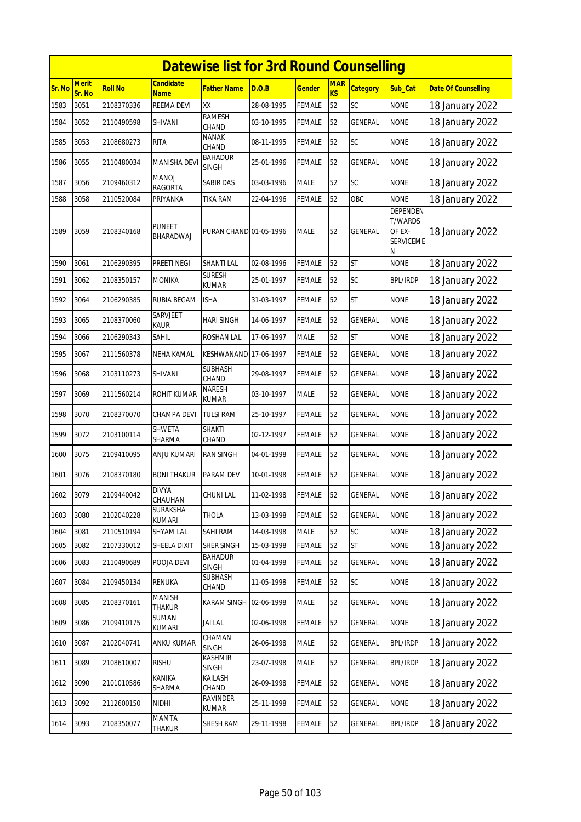|        | <b>Datewise list for 3rd Round Counselling</b> |                |                                 |                                |            |               |                              |                 |                                                               |                            |  |  |
|--------|------------------------------------------------|----------------|---------------------------------|--------------------------------|------------|---------------|------------------------------|-----------------|---------------------------------------------------------------|----------------------------|--|--|
| Sr. No | <b>Merit</b><br>Sr. No                         | <b>Roll No</b> | <b>Candidate</b><br><b>Name</b> | <b>Father Name</b>             | D.O.B      | <b>Gender</b> | <b>MAR</b><br>K <sub>S</sub> | <b>Category</b> | Sub_Cat                                                       | <b>Date Of Counselling</b> |  |  |
| 1583   | 3051                                           | 2108370336     | <b>REEMA DEVI</b>               | XX                             | 28-08-1995 | <b>FEMALE</b> | 52                           | SC              | <b>NONE</b>                                                   | 18 January 2022            |  |  |
| 1584   | 3052                                           | 2110490598     | SHIVANI                         | <b>RAMESH</b><br>CHAND         | 03-10-1995 | <b>FEMALE</b> | 52                           | GENERAL         | <b>NONE</b>                                                   | 18 January 2022            |  |  |
| 1585   | 3053                                           | 2108680273     | <b>RITA</b>                     | <b>NANAK</b><br>CHAND          | 08-11-1995 | <b>FEMALE</b> | 52                           | SC              | <b>NONE</b>                                                   | 18 January 2022            |  |  |
| 1586   | 3055                                           | 2110480034     | <b>MANISHA DEVI</b>             | <b>BAHADUR</b><br><b>SINGH</b> | 25-01-1996 | <b>FEMALE</b> | 52                           | <b>GENERAL</b>  | <b>NONE</b>                                                   | 18 January 2022            |  |  |
| 1587   | 3056                                           | 2109460312     | MANOJ<br>RAGORTA                | <b>SABIR DAS</b>               | 03-03-1996 | <b>MALE</b>   | 52                           | SC              | <b>NONE</b>                                                   | 18 January 2022            |  |  |
| 1588   | 3058                                           | 2110520084     | PRIYANKA                        | TIKA RAM                       | 22-04-1996 | <b>FEMALE</b> | 52                           | OBC             | <b>NONE</b>                                                   | 18 January 2022            |  |  |
| 1589   | 3059                                           | 2108340168     | <b>PUNEET</b><br>BHARADWAJ      | PURAN CHAND 01-05-1996         |            | <b>MALE</b>   | 52                           | <b>GENERAL</b>  | DEPENDEN<br><b>T/WARDS</b><br>OF EX-<br><b>SERVICEME</b><br>Ν | 18 January 2022            |  |  |
| 1590   | 3061                                           | 2106290395     | PREETI NEGI                     | <b>SHANTI LAL</b>              | 02-08-1996 | <b>FEMALE</b> | 52                           | <b>ST</b>       | <b>NONE</b>                                                   | 18 January 2022            |  |  |
| 1591   | 3062                                           | 2108350157     | <b>MONIKA</b>                   | <b>SURESH</b><br><b>KUMAR</b>  | 25-01-1997 | <b>FEMALE</b> | 52                           | <b>SC</b>       | <b>BPL/IRDP</b>                                               | 18 January 2022            |  |  |
| 1592   | 3064                                           | 2106290385     | RUBIA BEGAM                     | <b>ISHA</b>                    | 31-03-1997 | <b>FEMALE</b> | 52                           | <b>ST</b>       | <b>NONE</b>                                                   | 18 January 2022            |  |  |
| 1593   | 3065                                           | 2108370060     | SARVJEET<br><b>KAUR</b>         | <b>HARI SINGH</b>              | 14-06-1997 | <b>FEMALE</b> | 52                           | <b>GENERAL</b>  | <b>NONE</b>                                                   | 18 January 2022            |  |  |
| 1594   | 3066                                           | 2106290343     | <b>SAHIL</b>                    | <b>ROSHAN LAL</b>              | 17-06-1997 | <b>MALE</b>   | 52                           | <b>ST</b>       | <b>NONE</b>                                                   | 18 January 2022            |  |  |
| 1595   | 3067                                           | 2111560378     | NEHA KAMAL                      | KESHWANAND                     | 17-06-1997 | <b>FEMALE</b> | 52                           | <b>GENERAL</b>  | <b>NONE</b>                                                   | 18 January 2022            |  |  |
| 1596   | 3068                                           | 2103110273     | SHIVANI                         | <b>SUBHASH</b><br>CHAND        | 29-08-1997 | <b>FEMALE</b> | 52                           | GENERAL         | <b>NONE</b>                                                   | 18 January 2022            |  |  |
| 1597   | 3069                                           | 2111560214     | ROHIT KUMAR                     | <b>NARESH</b><br>KUMAR         | 03-10-1997 | <b>MALE</b>   | 52                           | <b>GENERAL</b>  | <b>NONE</b>                                                   | 18 January 2022            |  |  |
| 1598   | 3070                                           | 2108370070     | CHAMPA DEVI                     | <b>TULSI RAM</b>               | 25-10-1997 | <b>FEMALE</b> | 52                           | GENERAL         | <b>NONE</b>                                                   | 18 January 2022            |  |  |
| 1599   | 3072                                           | 2103100114     | SHWETA<br>SHARMA                | <b>SHAKTI</b><br>CHAND         | 02-12-1997 | <b>FEMALE</b> | 52                           | GENERAL         | <b>NONE</b>                                                   | 18 January 2022            |  |  |
| 1600   | 3075                                           | 2109410095     | <b>ANJU KUMARI</b>              | <b>RAN SINGH</b>               | 04-01-1998 | <b>FEMALE</b> | 52                           | <b>GENERAL</b>  | <b>NONE</b>                                                   | 18 January 2022            |  |  |
| 1601   | 3076                                           | 2108370180     | <b>BONI THAKUR</b>              | PARAM DEV                      | 10-01-1998 | <b>FEMALE</b> | 52                           | GENERAL         | <b>NONE</b>                                                   | 18 January 2022            |  |  |
| 1602   | 3079                                           | 2109440042     | <b>DIVYA</b><br>CHAUHAN         | <b>CHUNI LAL</b>               | 11-02-1998 | <b>FEMALE</b> | 52                           | <b>GENERAL</b>  | <b>NONE</b>                                                   | 18 January 2022            |  |  |
| 1603   | 3080                                           | 2102040228     | <b>SURAKSHA</b><br>KUMARI       | <b>THOLA</b>                   | 13-03-1998 | <b>FEMALE</b> | 52                           | GENERAL         | <b>NONE</b>                                                   | 18 January 2022            |  |  |
| 1604   | 3081                                           | 2110510194     | SHYAM LAL                       | SAHI RAM                       | 14-03-1998 | <b>MALE</b>   | 52                           | SC              | <b>NONE</b>                                                   | 18 January 2022            |  |  |
| 1605   | 3082                                           | 2107330012     | SHEELA DIXIT                    | SHER SINGH                     | 15-03-1998 | FEMALE        | 52                           | <b>ST</b>       | <b>NONE</b>                                                   | 18 January 2022            |  |  |
| 1606   | 3083                                           | 2110490689     | POOJA DEVI                      | <b>BAHADUR</b><br><b>SINGH</b> | 01-04-1998 | <b>FEMALE</b> | 52                           | GENERAL         | <b>NONE</b>                                                   | 18 January 2022            |  |  |
| 1607   | 3084                                           | 2109450134     | RENUKA                          | SUBHASH<br>CHAND               | 11-05-1998 | <b>FEMALE</b> | 52                           | SC              | <b>NONE</b>                                                   | 18 January 2022            |  |  |
| 1608   | 3085                                           | 2108370161     | <b>MANISH</b><br><b>THAKUR</b>  | KARAM SINGH 02-06-1998         |            | <b>MALE</b>   | 52                           | GENERAL         | <b>NONE</b>                                                   | 18 January 2022            |  |  |
| 1609   | 3086                                           | 2109410175     | SUMAN<br>KUMARI                 | JAI LAL                        | 02-06-1998 | <b>FEMALE</b> | 52                           | GENERAL         | <b>NONE</b>                                                   | 18 January 2022            |  |  |
| 1610   | 3087                                           | 2102040741     | ANKU KUMAR                      | CHAMAN<br><b>SINGH</b>         | 26-06-1998 | MALE          | 52                           | GENERAL         | <b>BPL/IRDP</b>                                               | 18 January 2022            |  |  |
| 1611   | 3089                                           | 2108610007     | <b>RISHU</b>                    | <b>KASHMIR</b><br>SINGH        | 23-07-1998 | <b>MALE</b>   | 52                           | GENERAL         | <b>BPL/IRDP</b>                                               | 18 January 2022            |  |  |
| 1612   | 3090                                           | 2101010586     | KANIKA<br>SHARMA                | KAILASH<br>CHAND               | 26-09-1998 | <b>FEMALE</b> | 52                           | GENERAL         | <b>NONE</b>                                                   | 18 January 2022            |  |  |
| 1613   | 3092                                           | 2112600150     | NIDHI                           | RAVINDER<br>KUMAR              | 25-11-1998 | FEMALE        | 52                           | GENERAL         | <b>NONE</b>                                                   | 18 January 2022            |  |  |
| 1614   | 3093                                           | 2108350077     | MAMTA<br>THAKUR                 | SHESH RAM                      | 29-11-1998 | <b>FEMALE</b> | 52                           | GENERAL         | <b>BPL/IRDP</b>                                               | 18 January 2022            |  |  |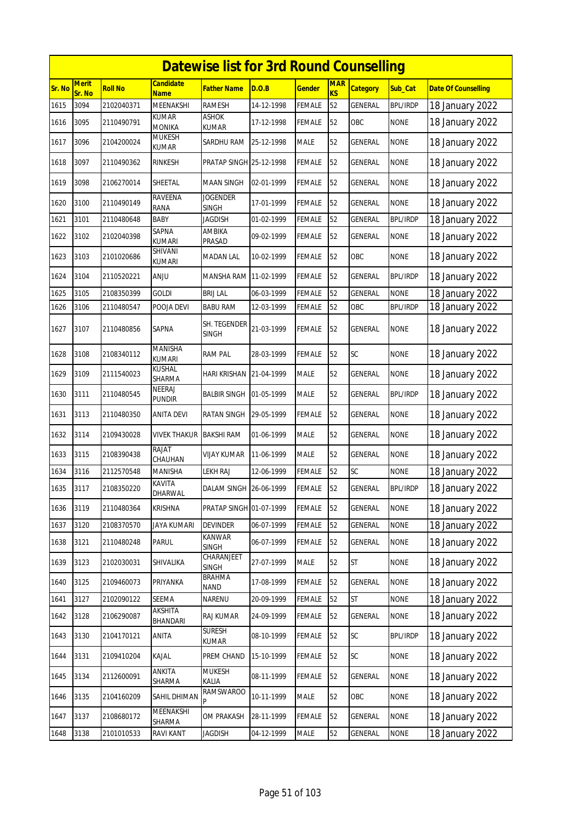|        |                        |                |                                 | <b>Datewise list for 3rd Round Counselling</b> |            |               |                  |                 |                 |                            |
|--------|------------------------|----------------|---------------------------------|------------------------------------------------|------------|---------------|------------------|-----------------|-----------------|----------------------------|
| Sr. No | <b>Merit</b><br>Sr. No | <b>Roll No</b> | <b>Candidate</b><br><b>Name</b> | <b>Father Name</b>                             | D.O.B      | <b>Gender</b> | <b>MAR</b><br>KS | <b>Category</b> | Sub_Cat         | <b>Date Of Counselling</b> |
| 1615   | 3094                   | 2102040371     | MEENAKSHI                       | <b>RAMESH</b>                                  | 14-12-1998 | <b>FEMALE</b> | 52               | <b>GENERAL</b>  | <b>BPL/IRDP</b> | 18 January 2022            |
| 1616   | 3095                   | 2110490791     | KUMAR<br><b>MONIKA</b>          | ASHOK<br><b>KUMAR</b>                          | 17-12-1998 | <b>FEMALE</b> | 52               | OBC             | <b>NONE</b>     | 18 January 2022            |
| 1617   | 3096                   | 2104200024     | <b>MUKESH</b><br><b>KUMAR</b>   | SARDHU RAM                                     | 25-12-1998 | <b>MALE</b>   | 52               | GENERAL         | <b>NONE</b>     | 18 January 2022            |
| 1618   | 3097                   | 2110490362     | <b>RINKESH</b>                  | PRATAP SINGH 25-12-1998                        |            | <b>FEMALE</b> | 52               | GENERAL         | <b>NONE</b>     | 18 January 2022            |
| 1619   | 3098                   | 2106270014     | SHEETAL                         | <b>MAAN SINGH</b>                              | 02-01-1999 | <b>FEMALE</b> | 52               | GENERAL         | <b>NONE</b>     | 18 January 2022            |
| 1620   | 3100                   | 2110490149     | <b>RAVEENA</b><br>RANA          | <b>JOGENDER</b><br><b>SINGH</b>                | 17-01-1999 | <b>FEMALE</b> | 52               | <b>GENERAL</b>  | <b>NONE</b>     | 18 January 2022            |
| 1621   | 3101                   | 2110480648     | <b>BABY</b>                     | <b>JAGDISH</b>                                 | 01-02-1999 | <b>FEMALE</b> | 52               | GENERAL         | <b>BPL/IRDP</b> | 18 January 2022            |
| 1622   | 3102                   | 2102040398     | SAPNA<br><b>KUMARI</b>          | AMBIKA<br>PRASAD                               | 09-02-1999 | <b>FEMALE</b> | 52               | GENERAL         | <b>NONE</b>     | 18 January 2022            |
| 1623   | 3103                   | 2101020686     | SHIVANI<br><b>KUMARI</b>        | <b>MADAN LAL</b>                               | 10-02-1999 | <b>FEMALE</b> | 52               | OBC             | <b>NONE</b>     | 18 January 2022            |
| 1624   | 3104                   | 2110520221     | <b>ULIA</b>                     | MANSHA RAM 11-02-1999                          |            | <b>FEMALE</b> | 52               | <b>GENERAL</b>  | <b>BPL/IRDP</b> | 18 January 2022            |
| 1625   | 3105                   | 2108350399     | <b>GOLDI</b>                    | <b>BRIJ LAL</b>                                | 06-03-1999 | <b>FEMALE</b> | 52               | GENERAL         | <b>NONE</b>     | 18 January 2022            |
| 1626   | 3106                   | 2110480547     | POOJA DEVI                      | <b>BABU RAM</b>                                | 12-03-1999 | FEMALE        | 52               | OBC             | <b>BPL/IRDP</b> | 18 January 2022            |
| 1627   | 3107                   | 2110480856     | SAPNA                           | SH. TEGENDER<br><b>SINGH</b>                   | 21-03-1999 | <b>FEMALE</b> | 52               | GENERAL         | <b>NONE</b>     | 18 January 2022            |
| 1628   | 3108                   | 2108340112     | MANISHA<br><b>KUMARI</b>        | <b>RAM PAL</b>                                 | 28-03-1999 | <b>FEMALE</b> | 52               | SC              | <b>NONE</b>     | 18 January 2022            |
| 1629   | 3109                   | 2111540023     | KUSHAL<br>SHARMA                | HARI KRISHAN 21-04-1999                        |            | <b>MALE</b>   | 52               | <b>GENERAL</b>  | <b>NONE</b>     | 18 January 2022            |
| 1630   | 3111                   | 2110480545     | NEERAJ<br>pundir                | <b>BALBIR SINGH</b>                            | 01-05-1999 | <b>MALE</b>   | 52               | GENERAL         | <b>BPL/IRDP</b> | 18 January 2022            |
| 1631   | 3113                   | 2110480350     | <b>ANITA DEVI</b>               | <b>RATAN SINGH</b>                             | 29-05-1999 | <b>FEMALE</b> | 52               | GENERAL         | <b>NONE</b>     | 18 January 2022            |
| 1632   | 3114                   | 2109430028     | <b>VIVEK THAKUR</b>             | <b>BAKSHI RAM</b>                              | 01-06-1999 | <b>MALE</b>   | 52               | GENERAL         | <b>NONE</b>     | 18 January 2022            |
| 1633   | 3115                   | 2108390438     | RAJAT<br>CHAUHAN                | VIJAY KUMAR                                    | 11-06-1999 | <b>MALE</b>   | 52               | <b>GENERAL</b>  | <b>NONE</b>     | 18 January 2022            |
| 1634   | 3116                   | 2112570548     | MANISHA                         | <b>LEKH RAJ</b>                                | 12-06-1999 | <b>FEMALE</b> | 52               | SC              | <b>NONE</b>     | 18 January 2022            |
| 1635   | 3117                   | 2108350220     | KAVITA<br>dharwal               | DALAM SINGH 26-06-1999                         |            | <b>FEMALE</b> | 52               | <b>GENERAL</b>  | <b>BPL/IRDP</b> | 18 January 2022            |
| 1636   | 3119                   | 2110480364     | <b>KRISHNA</b>                  | PRATAP SINGH 01-07-1999                        |            | <b>FEMALE</b> | 52               | GENERAL         | <b>NONE</b>     | 18 January 2022            |
| 1637   | 3120                   | 2108370570     | <b>JAYA KUMARI</b>              | <b>DEVINDER</b>                                | 06-07-1999 | FEMALE        | 52               | GENERAL         | <b>NONE</b>     | 18 January 2022            |
| 1638   | 3121                   | 2110480248     | Parul                           | <b>KANWAR</b><br>SINGH                         | 06-07-1999 | <b>FEMALE</b> | 52               | GENERAL         | <b>NONE</b>     | 18 January 2022            |
| 1639   | 3123                   | 2102030031     | SHIVALIKA                       | CHARANJEET<br><b>SINGH</b>                     | 27-07-1999 | <b>MALE</b>   | 52               | <b>ST</b>       | <b>NONE</b>     | 18 January 2022            |
| 1640   | 3125                   | 2109460073     | PRIYANKA                        | <b>BRAHMA</b><br><b>NAND</b>                   | 17-08-1999 | FEMALE        | 52               | <b>GENERAL</b>  | <b>NONE</b>     | 18 January 2022            |
| 1641   | 3127                   | 2102090122     | SEEMA                           | NARENU                                         | 20-09-1999 | <b>FEMALE</b> | 52               | <b>ST</b>       | <b>NONE</b>     | 18 January 2022            |
| 1642   | 3128                   | 2106290087     | AKSHITA<br>BHANDARI             | RAJ KUMAR                                      | 24-09-1999 | <b>FEMALE</b> | 52               | GENERAL         | <b>NONE</b>     | 18 January 2022            |
| 1643   | 3130                   | 2104170121     | ANITA                           | <b>SURESH</b><br>KUMAR                         | 08-10-1999 | <b>FEMALE</b> | 52               | SC              | <b>BPL/IRDP</b> | 18 January 2022            |
| 1644   | 3131                   | 2109410204     | KAJAL                           | PREM CHAND                                     | 15-10-1999 | <b>FEMALE</b> | 52               | SC              | <b>NONE</b>     | 18 January 2022            |
| 1645   | 3134                   | 2112600091     | ANKITA<br>SHARMA                | <b>MUKESH</b><br>KALIA                         | 08-11-1999 | <b>FEMALE</b> | 52               | GENERAL         | <b>NONE</b>     | 18 January 2022            |
| 1646   | 3135                   | 2104160209     | SAHIL DHIMAN                    | <b>RAMSWAROO</b>                               | 10-11-1999 | <b>MALE</b>   | 52               | OBC             | <b>NONE</b>     | 18 January 2022            |
| 1647   | 3137                   | 2108680172     | MEENAKSHI<br>SHARMA             | OM PRAKASH                                     | 28-11-1999 | <b>FEMALE</b> | 52               | GENERAL         | <b>NONE</b>     | 18 January 2022            |
| 1648   | 3138                   | 2101010533     | RAVI KANT                       | <b>JAGDISH</b>                                 | 04-12-1999 | MALE          | 52               | GENERAL         | <b>NONE</b>     | 18 January 2022            |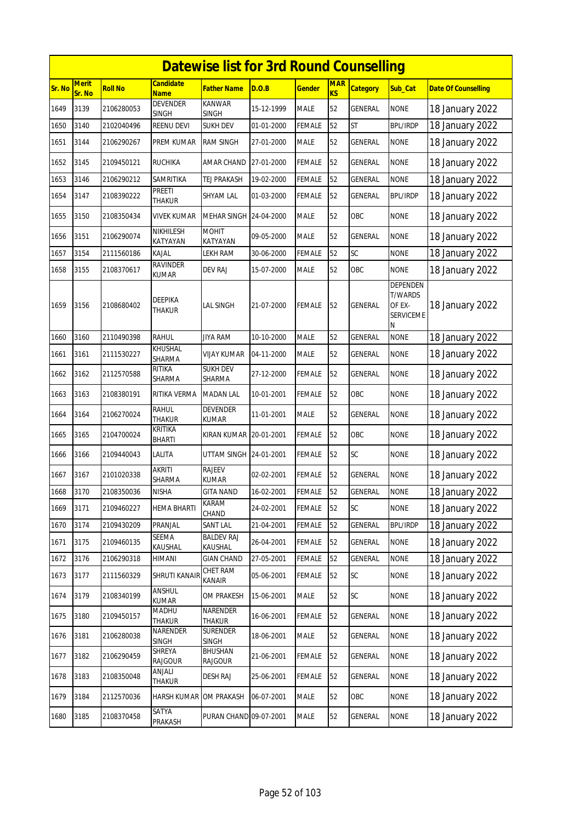|        | <b>Datewise list for 3rd Round Counselling</b> |                |                                 |                                 |            |               |                         |                 |                                                                      |                            |  |  |
|--------|------------------------------------------------|----------------|---------------------------------|---------------------------------|------------|---------------|-------------------------|-----------------|----------------------------------------------------------------------|----------------------------|--|--|
| Sr. No | <b>Merit</b><br>Sr. No                         | <b>Roll No</b> | Candidate<br><b>Name</b>        | <b>Father Name</b>              | D.O.B      | <b>Gender</b> | <b>MAR</b><br><b>KS</b> | <b>Category</b> | Sub_Cat                                                              | <b>Date Of Counselling</b> |  |  |
| 1649   | 3139                                           | 2106280053     | <b>DEVENDER</b><br><b>SINGH</b> | <b>KANWAR</b><br><b>SINGH</b>   | 15-12-1999 | <b>MALE</b>   | 52                      | <b>GENERAL</b>  | <b>NONE</b>                                                          | 18 January 2022            |  |  |
| 1650   | 3140                                           | 2102040496     | REENU DEVI                      | <b>SUKH DEV</b>                 | 01-01-2000 | <b>FEMALE</b> | 52                      | <b>ST</b>       | <b>BPL/IRDP</b>                                                      | 18 January 2022            |  |  |
| 1651   | 3144                                           | 2106290267     | PREM KUMAR                      | RAM SINGH                       | 27-01-2000 | <b>MALE</b>   | 52                      | <b>GENERAL</b>  | <b>NONE</b>                                                          | 18 January 2022            |  |  |
| 1652   | 3145                                           | 2109450121     | <b>RUCHIKA</b>                  | AMAR CHAND                      | 27-01-2000 | <b>FEMALE</b> | 52                      | <b>GENERAL</b>  | <b>NONE</b>                                                          | 18 January 2022            |  |  |
| 1653   | 3146                                           | 2106290212     | SAMRITIKA                       | TEJ PRAKASH                     | 19-02-2000 | <b>FEMALE</b> | 52                      | <b>GENERAL</b>  | <b>NONE</b>                                                          | 18 January 2022            |  |  |
| 1654   | 3147                                           | 2108390222     | PREETI<br>THAKUR                | SHYAM LAL                       | 01-03-2000 | <b>FEMALE</b> | 52                      | <b>GENERAL</b>  | <b>BPL/IRDP</b>                                                      | 18 January 2022            |  |  |
| 1655   | 3150                                           | 2108350434     | VIVEK KUMAR                     | MEHAR SINGH 24-04-2000          |            | <b>MALE</b>   | 52                      | OBC             | <b>NONE</b>                                                          | 18 January 2022            |  |  |
| 1656   | 3151                                           | 2106290074     | NIKHILESH<br>KATYAYAN           | MOHIT<br>KATYAYAN               | 09-05-2000 | <b>MALE</b>   | 52                      | GENERAL         | <b>NONE</b>                                                          | 18 January 2022            |  |  |
| 1657   | 3154                                           | 2111560186     | kajal                           | LEKH RAM                        | 30-06-2000 | <b>FEMALE</b> | 52                      | SC              | <b>NONE</b>                                                          | 18 January 2022            |  |  |
| 1658   | 3155                                           | 2108370617     | RAVINDER<br>KUMAR               | DEV RAJ                         | 15-07-2000 | <b>MALE</b>   | 52                      | OBC             | <b>NONE</b>                                                          | 18 January 2022            |  |  |
| 1659   | 3156                                           | 2108680402     | DEEPIKA<br>thakur               | LAL SINGH                       | 21-07-2000 | <b>FEMALE</b> | 52                      | <b>GENERAL</b>  | <b>DEPENDEN</b><br><b>T/WARDS</b><br>OF EX-<br><b>SERVICEME</b><br>N | 18 January 2022            |  |  |
| 1660   | 3160                                           | 2110490398     | RAHUL                           | <b>JIYA RAM</b>                 | 10-10-2000 | <b>MALE</b>   | 52                      | GENERAL         | <b>NONE</b>                                                          | 18 January 2022            |  |  |
| 1661   | 3161                                           | 2111530227     | KHUSHAL<br>SHARMA               | VIJAY KUMAR                     | 04-11-2000 | <b>MALE</b>   | 52                      | <b>GENERAL</b>  | <b>NONE</b>                                                          | 18 January 2022            |  |  |
| 1662   | 3162                                           | 2112570588     | RITIKA<br>SHARMA                | <b>SUKH DEV</b><br>SHARMA       | 27-12-2000 | <b>FEMALE</b> | 52                      | <b>GENERAL</b>  | <b>NONE</b>                                                          | 18 January 2022            |  |  |
| 1663   | 3163                                           | 2108380191     | RITIKA VERMA                    | <b>MADAN LAL</b>                | 10-01-2001 | FEMALE        | 52                      | OBC             | <b>NONE</b>                                                          | 18 January 2022            |  |  |
| 1664   | 3164                                           | 2106270024     | <b>RAHUL</b><br><b>THAKUR</b>   | <b>DEVENDER</b><br>KUMAR        | 11-01-2001 | <b>MALE</b>   | 52                      | <b>GENERAL</b>  | <b>NONE</b>                                                          | 18 January 2022            |  |  |
| 1665   | 3165                                           | 2104700024     | KRITIKA<br>BHARTI               | KIRAN KUMAR 20-01-2001          |            | <b>FEMALE</b> | 52                      | OBC             | <b>NONE</b>                                                          | 18 January 2022            |  |  |
| 1666   | 3166                                           | 2109440043     | LALITA                          | UTTAM SINGH 24-01-2001          |            | <b>FEMALE</b> | 52                      | <b>SC</b>       | <b>NONE</b>                                                          | 18 January 2022            |  |  |
| 1667   | 3167                                           | 2101020338     | AKRITI<br>SHARMA                | <b>RAJEEV</b><br><b>KUMAR</b>   | 02-02-2001 | <b>FEMALE</b> | 52                      | GENERAL         | <b>NONE</b>                                                          | 18 January 2022            |  |  |
| 1668   | 3170                                           | 2108350036     | <b>NISHA</b>                    | <b>GITA NAND</b>                | 16-02-2001 | FEMALE 52     |                         | <b>GENERAL</b>  | <b>NONE</b>                                                          | 18 January 2022            |  |  |
| 1669   | 3171                                           | 2109460227     | HEMA BHARTI                     | KARAM<br>CHAND                  | 24-02-2001 | <b>FEMALE</b> | 52                      | SC              | <b>NONE</b>                                                          | 18 January 2022            |  |  |
| 1670   | 3174                                           | 2109430209     | PRANJAL                         | SANT LAL                        | 21-04-2001 | FEMALE        | 52                      | GENERAL         | <b>BPL/IRDP</b>                                                      | 18 January 2022            |  |  |
| 1671   | 3175                                           | 2109460135     | SEEMA<br>KAUSHAL                | <b>BALDEV RAJ</b><br>KAUSHAL    | 26-04-2001 | FEMALE        | 52                      | GENERAL         | <b>NONE</b>                                                          | 18 January 2022            |  |  |
| 1672   | 3176                                           | 2106290318     | HIMANI                          | <b>GIAN CHAND</b>               | 27-05-2001 | <b>FEMALE</b> | 52                      | <b>GENERAL</b>  | <b>NONE</b>                                                          | 18 January 2022            |  |  |
| 1673   | 3177                                           | 2111560329     | SHRUTI KANAIF                   | CHET RAM<br>KANAIR              | 05-06-2001 | FEMALE        | 52                      | SC              | <b>NONE</b>                                                          | 18 January 2022            |  |  |
| 1674   | 3179                                           | 2108340199     | ANSHUL<br>KUMAR                 | OM PRAKESH                      | 15-06-2001 | <b>MALE</b>   | 52                      | SC              | <b>NONE</b>                                                          | 18 January 2022            |  |  |
| 1675   | 3180                                           | 2109450157     | MADHU<br>Thakur                 | NARENDER<br>THAKUR              | 16-06-2001 | <b>FEMALE</b> | 52                      | GENERAL         | <b>NONE</b>                                                          | 18 January 2022            |  |  |
| 1676   | 3181                                           | 2106280038     | NARENDER<br>SINGH               | <b>SURENDER</b><br><b>SINGH</b> | 18-06-2001 | <b>MALE</b>   | 52                      | GENERAL         | <b>NONE</b>                                                          | 18 January 2022            |  |  |
| 1677   | 3182                                           | 2106290459     | SHREYA<br><b>RAJGOUR</b>        | <b>BHUSHAN</b><br>RAJGOUR       | 21-06-2001 | <b>FEMALE</b> | 52                      | GENERAL         | <b>NONE</b>                                                          | 18 January 2022            |  |  |
| 1678   | 3183                                           | 2108350048     | ANJALI<br>Thakur                | DESH RAJ                        | 25-06-2001 | <b>FEMALE</b> | 52                      | <b>GENERAL</b>  | <b>NONE</b>                                                          | 18 January 2022            |  |  |
| 1679   | 3184                                           | 2112570036     | HARSH KUMAR                     | OM PRAKASH                      | 06-07-2001 | MALE          | 52                      | OBC             | <b>NONE</b>                                                          | 18 January 2022            |  |  |
| 1680   | 3185                                           | 2108370458     | SATYA<br>PRAKASH                | PURAN CHAND 09-07-2001          |            | MALE          | 52                      | <b>GENERAL</b>  | <b>NONE</b>                                                          | 18 January 2022            |  |  |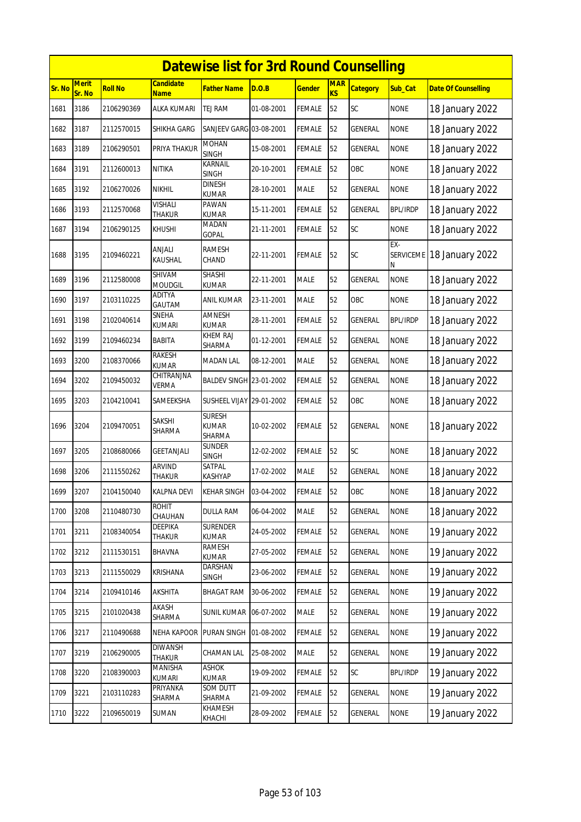|        | <b>Datewise list for 3rd Round Counselling</b> |                |                               |                                  |            |               |                         |                 |                              |                            |  |  |
|--------|------------------------------------------------|----------------|-------------------------------|----------------------------------|------------|---------------|-------------------------|-----------------|------------------------------|----------------------------|--|--|
| Sr. No | <b>Merit</b><br>Sr. No                         | <b>Roll No</b> | <b>Candidate</b><br>Name      | Father Name                      | D.O.B      | <u>Gender</u> | <b>MAR</b><br><b>KS</b> | <b>Category</b> | Sub_Cat                      | <b>Date Of Counselling</b> |  |  |
| 1681   | 3186                                           | 2106290369     | <b>ALKA KUMARI</b>            | TEJ RAM                          | 01-08-2001 | FEMALE        | 52                      | SC              | <b>NONE</b>                  | 18 January 2022            |  |  |
| 1682   | 3187                                           | 2112570015     | SHIKHA GARG                   | SANJEEV GARG 03-08-2001          |            | FEMALE        | 52                      | GENERAL         | <b>NONE</b>                  | 18 January 2022            |  |  |
| 1683   | 3189                                           | 2106290501     | PRIYA THAKUR                  | MOHAN<br><b>SINGH</b>            | 15-08-2001 | FEMALE        | 52                      | GENERAL         | <b>NONE</b>                  | 18 January 2022            |  |  |
| 1684   | 3191                                           | 2112600013     | <b>NITIKA</b>                 | KARNAIL<br><b>SINGH</b>          | 20-10-2001 | <b>FEMALE</b> | 52                      | OBC             | <b>NONE</b>                  | 18 January 2022            |  |  |
| 1685   | 3192                                           | 2106270026     | <b>NIKHIL</b>                 | <b>DINESH</b><br><b>KUMAR</b>    | 28-10-2001 | MALE          | 52                      | GENERAL         | <b>NONE</b>                  | 18 January 2022            |  |  |
| 1686   | 3193                                           | 2112570068     | VISHALI<br><b>THAKUR</b>      | PAWAN<br><b>KUMAR</b>            | 15-11-2001 | FEMALE        | 52                      | GENERAL         | <b>BPL/IRDP</b>              | 18 January 2022            |  |  |
| 1687   | 3194                                           | 2106290125     | KHUSHI                        | MADAN<br>GOPAL                   | 21-11-2001 | FEMALE        | 52                      | SC              | <b>NONE</b>                  | 18 January 2022            |  |  |
| 1688   | 3195                                           | 2109460221     | ANJALI<br>KAUSHAL             | RAMESH<br>CHAND                  | 22-11-2001 | FEMALE        | 52                      | SC              | EX-<br><b>SERVICEME</b><br>Ν | 18 January 2022            |  |  |
| 1689   | 3196                                           | 2112580008     | SHIVAM<br><b>MOUDGIL</b>      | SHASHI<br><b>KUMAR</b>           | 22-11-2001 | MALE          | 52                      | GENERAL         | <b>NONE</b>                  | 18 January 2022            |  |  |
| 1690   | 3197                                           | 2103110225     | <b>ADITYA</b><br>GAUTAM       | ANIL KUMAR                       | 23-11-2001 | MALE          | 52                      | OBC             | <b>NONE</b>                  | 18 January 2022            |  |  |
| 1691   | 3198                                           | 2102040614     | SNEHA<br><b>KUMARI</b>        | AMNESH<br><b>KUMAR</b>           | 28-11-2001 | <b>FEMALE</b> | 52                      | <b>GENERAL</b>  | <b>BPL/IRDP</b>              | 18 January 2022            |  |  |
| 1692   | 3199                                           | 2109460234     | BABITA                        | KHEM RAJ<br>SHARMA               | 01-12-2001 | FEMALE        | 52                      | GENERAL         | <b>NONE</b>                  | 18 January 2022            |  |  |
| 1693   | 3200                                           | 2108370066     | <b>RAKESH</b><br><b>KUMAR</b> | MADAN LAL                        | 08-12-2001 | MALE          | 52                      | GENERAL         | <b>NONE</b>                  | 18 January 2022            |  |  |
| 1694   | 3202                                           | 2109450032     | CHITRANJNA<br>Verma           | BALDEV SINGH 23-01-2002          |            | FEMALE        | 52                      | GENERAL         | <b>NONE</b>                  | 18 January 2022            |  |  |
| 1695   | 3203                                           | 2104210041     | SAMEEKSHA                     | SUSHEEL VIJAY 29-01-2002         |            | FEMALE        | 52                      | OBC             | <b>NONE</b>                  | 18 January 2022            |  |  |
| 1696   | 3204                                           | 2109470051     | SAKSHI<br>SHARMA              | <b>SURESH</b><br>KUMAR<br>SHARMA | 10-02-2002 | FEMALE        | 52                      | GENERAL         | <b>NONE</b>                  | 18 January 2022            |  |  |
| 1697   | 3205                                           | 2108680066     | GEETANJALI                    | SUNDER<br><b>SINGH</b>           | 12-02-2002 | FEMALE        | 52                      | <b>SC</b>       | <b>NONE</b>                  | 18 January 2022            |  |  |
| 1698   | 3206                                           | 2111550262     | <b>ARVIND</b><br>thakur       | SATPAL<br>KASHYAP                | 17-02-2002 | MALE          | 52                      | GENERAL         | <b>NONE</b>                  | 18 January 2022            |  |  |
| 1699   | 3207                                           | 2104150040     | <b>KALPNA DEVI</b>            | KEHAR SINGH 03-04-2002           |            | FEMALE        | 52                      | OBC             | <b>NONE</b>                  | 18 January 2022            |  |  |
| 1700   | 3208                                           | 2110480730     | ROHIT<br>CHAUHAN              | <b>DULLA RAM</b>                 | 06-04-2002 | MALE          | 52                      | GENERAL         | <b>NONE</b>                  | 18 January 2022            |  |  |
| 1701   | 3211                                           | 2108340054     | DEEPIKA<br>THAKUR             | <b>SURENDER</b><br><b>KUMAR</b>  | 24-05-2002 | <b>FEMALE</b> | 52                      | <b>GENERAL</b>  | <b>NONE</b>                  | 19 January 2022            |  |  |
| 1702   | 3212                                           | 2111530151     | BHAVNA                        | RAMESH<br><b>KUMAR</b>           | 27-05-2002 | FEMALE        | 52                      | GENERAL         | <b>NONE</b>                  | 19 January 2022            |  |  |
| 1703   | 3213                                           | 2111550029     | KRISHANA                      | DARSHAN<br>SINGH                 | 23-06-2002 | <b>FEMALE</b> | 52                      | <b>GENERAL</b>  | <b>NONE</b>                  | 19 January 2022            |  |  |
| 1704   | 3214                                           | 2109410146     | AKSHITA                       | BHAGAT RAM                       | 30-06-2002 | <b>FEMALE</b> | 52                      | GENERAL         | <b>NONE</b>                  | 19 January 2022            |  |  |
| 1705   | 3215                                           | 2101020438     | AKASH<br>SHARMA               | <b>SUNIL KUMAR</b>               | 06-07-2002 | MALE          | 52                      | GENERAL         | <b>NONE</b>                  | 19 January 2022            |  |  |
| 1706   | 3217                                           | 2110490688     | <b>NEHA KAPOOR</b>            | PURAN SINGH                      | 01-08-2002 | <b>FEMALE</b> | 52                      | GENERAL         | <b>NONE</b>                  | 19 January 2022            |  |  |
| 1707   | 3219                                           | 2106290005     | <b>DIWANSH</b><br>THAKUR      | CHAMAN LAL                       | 25-08-2002 | MALE          | 52                      | GENERAL         | <b>NONE</b>                  | 19 January 2022            |  |  |
| 1708   | 3220                                           | 2108390003     | MANISHA<br>KUMARI             | ASHOK<br>KUMAR                   | 19-09-2002 | <b>FEMALE</b> | 52                      | <b>SC</b>       | <b>BPL/IRDP</b>              | 19 January 2022            |  |  |
| 1709   | 3221                                           | 2103110283     | PRIYANKA<br>SHARMA            | SOM DUTT<br>SHARMA               | 21-09-2002 | FEMALE        | 52                      | GENERAL         | <b>NONE</b>                  | 19 January 2022            |  |  |
| 1710   | 3222                                           | 2109650019     | SUMAN                         | KHAMESH<br>KHACHI                | 28-09-2002 | FEMALE        | 52                      | GENERAL         | <b>NONE</b>                  | 19 January 2022            |  |  |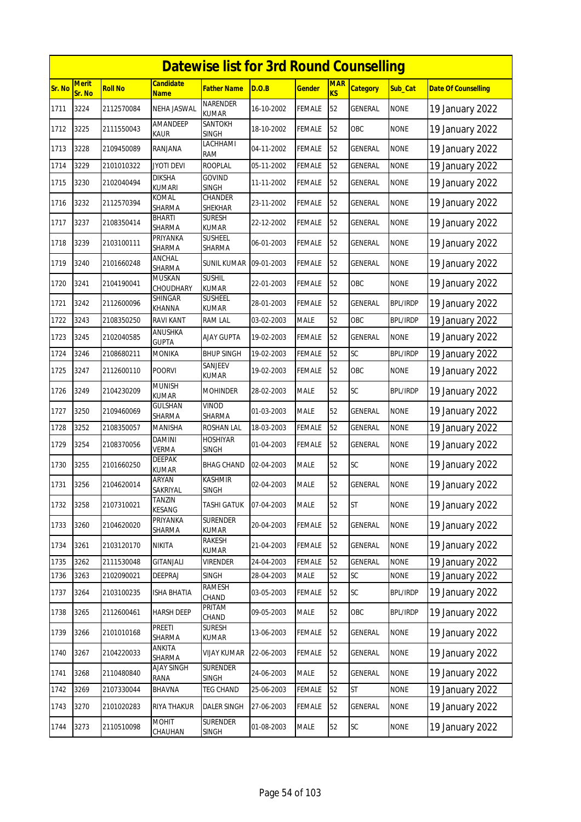|        | <b>Datewise list for 3rd Round Counselling</b> |                |                                 |                                 |            |               |                         |                 |                 |                            |  |  |
|--------|------------------------------------------------|----------------|---------------------------------|---------------------------------|------------|---------------|-------------------------|-----------------|-----------------|----------------------------|--|--|
| Sr. No | <b>Merit</b><br>Sr. No                         | <b>Roll No</b> | <b>Candidate</b><br><b>Name</b> | Father Name                     | D.O.B      | <u>Gender</u> | <b>MAR</b><br><b>KS</b> | <b>Category</b> | Sub_Cat         | <b>Date Of Counselling</b> |  |  |
| 1711   | 3224                                           | 2112570084     | NEHA JASWAL                     | <b>NARENDER</b><br><b>KUMAR</b> | 16-10-2002 | <b>FEMALE</b> | 52                      | GENERAL         | <b>NONE</b>     | 19 January 2022            |  |  |
| 1712   | 3225                                           | 2111550043     | AMANDEEP<br>KAUR                | SANTOKH<br><b>SINGH</b>         | 18-10-2002 | FEMALE        | 52                      | OBC             | <b>NONE</b>     | 19 January 2022            |  |  |
| 1713   | 3228                                           | 2109450089     | RANJANA                         | LACHHAMI<br>RAM                 | 04-11-2002 | FEMALE        | 52                      | GENERAL         | <b>NONE</b>     | 19 January 2022            |  |  |
| 1714   | 3229                                           | 2101010322     | <b>JYOTI DEVI</b>               | <b>ROOPLAL</b>                  | 05-11-2002 | FEMALE        | 52                      | GENERAL         | <b>NONE</b>     | 19 January 2022            |  |  |
| 1715   | 3230                                           | 2102040494     | DIKSHA<br><b>KUMARI</b>         | <b>GOVIND</b><br><b>SINGH</b>   | 11-11-2002 | <b>FEMALE</b> | 52                      | <b>GENERAL</b>  | <b>NONE</b>     | 19 January 2022            |  |  |
| 1716   | 3232                                           | 2112570394     | KOMAL<br>SHARMA                 | CHANDER<br>SHEKHAR              | 23-11-2002 | <b>FEMALE</b> | 52                      | <b>GENERAL</b>  | <b>NONE</b>     | 19 January 2022            |  |  |
| 1717   | 3237                                           | 2108350414     | <b>BHARTI</b><br>SHARMA         | <b>SURESH</b><br><b>KUMAR</b>   | 22-12-2002 | FEMALE        | 52                      | GENERAL         | <b>NONE</b>     | 19 January 2022            |  |  |
| 1718   | 3239                                           | 2103100111     | PRIYANKA<br>SHARMA              | SUSHEEL<br>SHARMA               | 06-01-2003 | FEMALE        | 52                      | GENERAL         | <b>NONE</b>     | 19 January 2022            |  |  |
| 1719   | 3240                                           | 2101660248     | ANCHAL<br>SHARMA                | <b>SUNIL KUMAR</b>              | 09-01-2003 | <b>FEMALE</b> | 52                      | <b>GENERAL</b>  | <b>NONE</b>     | 19 January 2022            |  |  |
| 1720   | 3241                                           | 2104190041     | <b>MUSKAN</b><br>CHOUDHARY      | <b>SUSHIL</b><br><b>KUMAR</b>   | 22-01-2003 | FEMALE        | 52                      | OBC             | <b>NONE</b>     | 19 January 2022            |  |  |
| 1721   | 3242                                           | 2112600096     | SHINGAR<br><b>KHANNA</b>        | <b>SUSHEEL</b><br><b>KUMAR</b>  | 28-01-2003 | FEMALE        | 52                      | GENERAL         | <b>BPL/IRDP</b> | 19 January 2022            |  |  |
| 1722   | 3243                                           | 2108350250     | <b>RAVI KANT</b>                | <b>RAM LAL</b>                  | 03-02-2003 | MALE          | 52                      | OBC             | <b>BPL/IRDP</b> | 19 January 2022            |  |  |
| 1723   | 3245                                           | 2102040585     | ANUSHKA<br><b>GUPTA</b>         | <b>AJAY GUPTA</b>               | 19-02-2003 | FEMALE        | 52                      | GENERAL         | <b>NONE</b>     | 19 January 2022            |  |  |
| 1724   | 3246                                           | 2108680211     | <b>MONIKA</b>                   | <b>BHUP SINGH</b>               | 19-02-2003 | <b>FEMALE</b> | 52                      | SC              | <b>BPL/IRDP</b> | 19 January 2022            |  |  |
| 1725   | 3247                                           | 2112600110     | <b>POORVI</b>                   | SANJEEV<br>KUMAR                | 19-02-2003 | FEMALE        | 52                      | OBC             | <b>NONE</b>     | 19 January 2022            |  |  |
| 1726   | 3249                                           | 2104230209     | <b>MUNISH</b><br><b>KUMAR</b>   | <b>MOHINDER</b>                 | 28-02-2003 | <b>MALE</b>   | 52                      | SC              | <b>BPL/IRDP</b> | 19 January 2022            |  |  |
| 1727   | 3250                                           | 2109460069     | GULSHAN<br>SHARMA               | Vinod<br>SHARMA                 | 01-03-2003 | MALE          | 52                      | <b>GENERAL</b>  | <b>NONE</b>     | 19 January 2022            |  |  |
| 1728   | 3252                                           | 2108350057     | <b>MANISHA</b>                  | ROSHAN LAL                      | 18-03-2003 | <b>FEMALE</b> | 52                      | GENERAL         | <b>NONE</b>     | 19 January 2022            |  |  |
| 1729   | 3254                                           | 2108370056     | DAMINI<br><b>VERMA</b>          | <b>HOSHIYAR</b><br>SINGH        | 01-04-2003 | FEMALE        | 52                      | GENERAL         | <b>NONE</b>     | 19 January 2022            |  |  |
| 1730   | 3255                                           | 2101660250     | <b>DEEPAK</b><br>KUMAR          | <b>BHAG CHAND</b>               | 02-04-2003 | MALE          | 52                      | SC              | <b>NONE</b>     | 19 January 2022            |  |  |
| 1731   | 3256                                           | 2104620014     | ARYAN<br>SAKRIYAL               | KASHMIR<br>SINGH                | 02-04-2003 | MALE          | 52                      | GENERAL         | <b>NONE</b>     | 19 January 2022            |  |  |
| 1732   | 3258                                           | 2107310021     | <b>TANZIN</b><br>KESANG         | TASHI GATUK                     | 07-04-2003 | <b>MALE</b>   | 52                      | <b>ST</b>       | <b>NONE</b>     | 19 January 2022            |  |  |
| 1733   | 3260                                           | 2104620020     | PRIYANKA<br>SHARMA              | SURENDER<br><b>KUMAR</b>        | 20-04-2003 | <b>FEMALE</b> | 52                      | <b>GENERAL</b>  | <b>NONE</b>     | 19 January 2022            |  |  |
| 1734   | 3261                                           | 2103120170     | NIKITA                          | RAKESH<br>KUMAR                 | 21-04-2003 | <b>FEMALE</b> | 52                      | GENERAL         | <b>NONE</b>     | 19 January 2022            |  |  |
| 1735   | 3262                                           | 2111530048     | <b>GITANJALI</b>                | <b>VIRENDER</b>                 | 24-04-2003 | FEMALE        | 52                      | <b>GENERAL</b>  | <b>NONE</b>     | 19 January 2022            |  |  |
| 1736   | 3263                                           | 2102090021     | DEEPRAJ                         | SINGH                           | 28-04-2003 | MALE          | 52                      | SC              | <b>NONE</b>     | 19 January 2022            |  |  |
| 1737   | 3264                                           | 2103100235     | <b>ISHA BHATIA</b>              | RAMESH<br>CHAND                 | 03-05-2003 | FEMALE        | 52                      | <b>SC</b>       | <b>BPL/IRDP</b> | 19 January 2022            |  |  |
| 1738   | 3265                                           | 2112600461     | <b>HARSH DEEP</b>               | PRITAM<br>CHAND                 | 09-05-2003 | MALE          | 52                      | OBC             | <b>BPL/IRDP</b> | 19 January 2022            |  |  |
| 1739   | 3266                                           | 2101010168     | PREETI<br>SHARMA                | <b>SURESH</b><br>KUMAR          | 13-06-2003 | <b>FEMALE</b> | 52                      | GENERAL         | <b>NONE</b>     | 19 January 2022            |  |  |
| 1740   | 3267                                           | 2104220033     | ANKITA<br>SHARMA                | VIJAY KUMAR                     | 22-06-2003 | FEMALE        | 52                      | GENERAL         | <b>NONE</b>     | 19 January 2022            |  |  |
| 1741   | 3268                                           | 2110480840     | <b>AJAY SINGH</b><br>RANA       | <b>SURENDER</b><br><b>SINGH</b> | 24-06-2003 | MALE          | 52                      | <b>GENERAL</b>  | <b>NONE</b>     | 19 January 2022            |  |  |
| 1742   | 3269                                           | 2107330044     | BHAVNA                          | TEG CHAND                       | 25-06-2003 | FEMALE        | 52                      | ST              | <b>NONE</b>     | 19 January 2022            |  |  |
| 1743   | 3270                                           | 2101020283     | <b>RIYA THAKUR</b>              | <b>DALER SINGH</b>              | 27-06-2003 | FEMALE        | 52                      | <b>GENERAL</b>  | <b>NONE</b>     | 19 January 2022            |  |  |
| 1744   | 3273                                           | 2110510098     | <b>MOHIT</b><br>CHAUHAN         | <b>SURENDER</b><br>SINGH        | 01-08-2003 | MALE          | 52                      | SC              | <b>NONE</b>     | 19 January 2022            |  |  |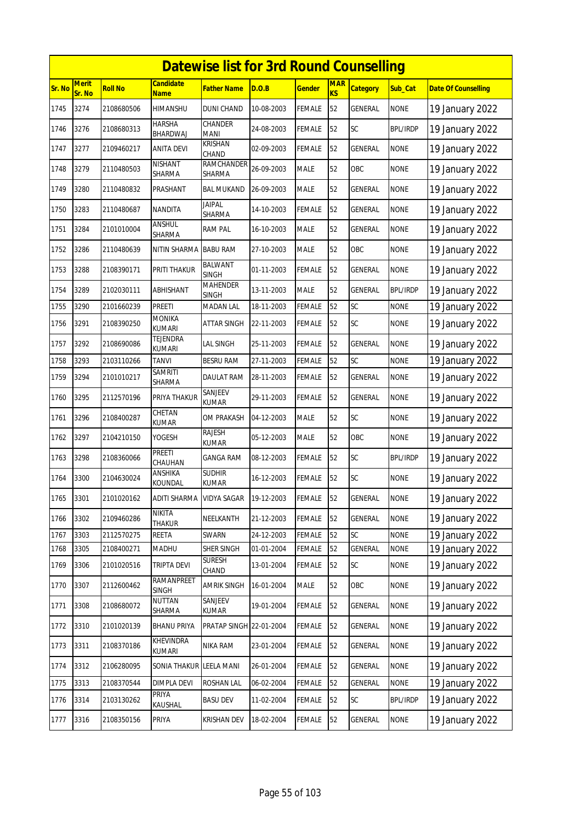|        | <b>Datewise list for 3rd Round Counselling</b> |                |                                 |                                |            |               |                              |                 |                 |                            |  |  |
|--------|------------------------------------------------|----------------|---------------------------------|--------------------------------|------------|---------------|------------------------------|-----------------|-----------------|----------------------------|--|--|
| Sr. No | <b>Merit</b><br>Sr. No                         | <b>Roll No</b> | <b>Candidate</b><br><b>Name</b> | <b>Father Name</b>             | D.O.B      | <b>Gender</b> | <b>MAR</b><br>K <sub>S</sub> | <b>Category</b> | Sub Cat         | <b>Date Of Counselling</b> |  |  |
| 1745   | 3274                                           | 2108680506     | HIMANSHU                        | <b>DUNI CHAND</b>              | 10-08-2003 | <b>FEMALE</b> | 52                           | GENERAL         | <b>NONE</b>     | 19 January 2022            |  |  |
| 1746   | 3276                                           | 2108680313     | <b>HARSHA</b><br>BHARDWAJ       | <b>CHANDER</b><br><b>MANI</b>  | 24-08-2003 | <b>FEMALE</b> | 52                           | SC              | <b>BPL/IRDP</b> | 19 January 2022            |  |  |
| 1747   | 3277                                           | 2109460217     | <b>ANITA DEVI</b>               | <b>KRISHAN</b><br>CHAND        | 02-09-2003 | <b>FEMALE</b> | 52                           | <b>GENERAL</b>  | <b>NONE</b>     | 19 January 2022            |  |  |
| 1748   | 3279                                           | 2110480503     | <b>NISHANT</b><br>SHARMA        | RAMCHANDER<br><b>SHARMA</b>    | 26-09-2003 | <b>MALE</b>   | 52                           | OBC             | <b>NONE</b>     | 19 January 2022            |  |  |
| 1749   | 3280                                           | 2110480832     | PRASHANT                        | <b>BAL MUKAND</b>              | 26-09-2003 | <b>MALE</b>   | 52                           | GENERAL         | <b>NONE</b>     | 19 January 2022            |  |  |
| 1750   | 3283                                           | 2110480687     | <b>NANDITA</b>                  | <b>JAIPAL</b><br>SHARMA        | 14-10-2003 | <b>FEMALE</b> | 52                           | GENERAL         | <b>NONE</b>     | 19 January 2022            |  |  |
| 1751   | 3284                                           | 2101010004     | ANSHUL<br>SHARMA                | <b>RAM PAL</b>                 | 16-10-2003 | <b>MALE</b>   | 52                           | GENERAL         | <b>NONE</b>     | 19 January 2022            |  |  |
| 1752   | 3286                                           | 2110480639     | NITIN SHARMA                    | <b>BABU RAM</b>                | 27-10-2003 | <b>MALE</b>   | 52                           | OBC             | <b>NONE</b>     | 19 January 2022            |  |  |
| 1753   | 3288                                           | 2108390171     | PRITI THAKUR                    | <b>BALWANT</b><br><b>SINGH</b> | 01-11-2003 | <b>FEMALE</b> | 52                           | GENERAL         | <b>NONE</b>     | 19 January 2022            |  |  |
| 1754   | 3289                                           | 2102030111     | ABHISHANT                       | <b>MAHENDER</b><br>SINGH       | 13-11-2003 | <b>MALE</b>   | 52                           | <b>GENERAL</b>  | <b>BPL/IRDP</b> | 19 January 2022            |  |  |
| 1755   | 3290                                           | 2101660239     | <b>PREETI</b>                   | <b>MADAN LAL</b>               | 18-11-2003 | <b>FEMALE</b> | 52                           | SC              | <b>NONE</b>     | 19 January 2022            |  |  |
| 1756   | 3291                                           | 2108390250     | <b>MONIKA</b><br><b>KUMARI</b>  | <b>ATTAR SINGH</b>             | 22-11-2003 | <b>FEMALE</b> | 52                           | SC              | <b>NONE</b>     | 19 January 2022            |  |  |
| 1757   | 3292                                           | 2108690086     | TEJENDRA<br><b>KUMARI</b>       | <b>LAL SINGH</b>               | 25-11-2003 | <b>FEMALE</b> | 52                           | <b>GENERAL</b>  | <b>NONE</b>     | 19 January 2022            |  |  |
| 1758   | 3293                                           | 2103110266     | <b>TANVI</b>                    | <b>BESRU RAM</b>               | 27-11-2003 | <b>FEMALE</b> | 52                           | SC              | <b>NONE</b>     | 19 January 2022            |  |  |
| 1759   | 3294                                           | 2101010217     | <b>SAMRITI</b><br>SHARMA        | <b>DAULAT RAM</b>              | 28-11-2003 | <b>FEMALE</b> | 52                           | GENERAL         | <b>NONE</b>     | 19 January 2022            |  |  |
| 1760   | 3295                                           | 2112570196     | PRIYA THAKUR                    | SANJEEV<br><b>KUMAR</b>        | 29-11-2003 | <b>FEMALE</b> | 52                           | <b>GENERAL</b>  | <b>NONE</b>     | 19 January 2022            |  |  |
| 1761   | 3296                                           | 2108400287     | CHETAN<br>KUMAR                 | OM PRAKASH                     | 04-12-2003 | <b>MALE</b>   | 52                           | SC              | <b>NONE</b>     | 19 January 2022            |  |  |
| 1762   | 3297                                           | 2104210150     | YOGESH                          | <b>RAJESH</b><br><b>KUMAR</b>  | 05-12-2003 | <b>MALE</b>   | 52                           | OBC             | <b>NONE</b>     | 19 January 2022            |  |  |
| 1763   | 3298                                           | 2108360066     | PREETI<br>CHAUHAN               | <b>GANGA RAM</b>               | 08-12-2003 | <b>FEMALE</b> | 52                           | SC              | <b>BPL/IRDP</b> | 19 January 2022            |  |  |
| 1764   | 3300                                           | 2104630024     | ANSHIKA<br>KOUNDAL              | <b>SUDHIR</b><br><b>KUMAR</b>  | 16-12-2003 | <b>FEMALE</b> | 52                           | <b>SC</b>       | <b>NONE</b>     | 19 January 2022            |  |  |
| 1765   | 3301                                           | 2101020162     | <b>ADITI SHARMA</b>             | <b>VIDYA SAGAR</b>             | 19-12-2003 | <b>FEMALE</b> | 52                           | GENERAL         | <b>NONE</b>     | 19 January 2022            |  |  |
| 1766   | 3302                                           | 2109460286     | <b>NIKITA</b><br><b>THAKUR</b>  | NEELKANTH                      | 21-12-2003 | <b>FEMALE</b> | 52                           | GENERAL         | <b>NONE</b>     | 19 January 2022            |  |  |
| 1767   | 3303                                           | 2112570275     | REETA                           | <b>SWARN</b>                   | 24-12-2003 | <b>FEMALE</b> | 52                           | SC              | <b>NONE</b>     | 19 January 2022            |  |  |
| 1768   | 3305                                           | 2108400271     | MADHU                           | SHER SINGH                     | 01-01-2004 | FEMALE        | 52                           | GENERAL         | <b>NONE</b>     | 19 January 2022            |  |  |
| 1769   | 3306                                           | 2101020516     | TRIPTA DEVI                     | <b>SURESH</b><br>CHAND         | 13-01-2004 | <b>FEMALE</b> | 52                           | SC              | <b>NONE</b>     | 19 January 2022            |  |  |
| 1770   | 3307                                           | 2112600462     | RAMANPREET<br><b>SINGH</b>      | AMRIK SINGH                    | 16-01-2004 | <b>MALE</b>   | 52                           | OBC             | <b>NONE</b>     | 19 January 2022            |  |  |
| 1771   | 3308                                           | 2108680072     | <b>NUTTAN</b><br>SHARMA         | SANJEEV<br>KUMAR               | 19-01-2004 | FEMALE        | 52                           | GENERAL         | <b>NONE</b>     | 19 January 2022            |  |  |
| 1772   | 3310                                           | 2101020139     | <b>BHANU PRIYA</b>              | PRATAP SINGH 22-01-2004        |            | <b>FEMALE</b> | 52                           | GENERAL         | <b>NONE</b>     | 19 January 2022            |  |  |
| 1773   | 3311                                           | 2108370186     | KHEVINDRA<br>KUMARI             | NIKA RAM                       | 23-01-2004 | <b>FEMALE</b> | 52                           | GENERAL         | <b>NONE</b>     | 19 January 2022            |  |  |
| 1774   | 3312                                           | 2106280095     | SONIA THAKUR                    | <b>LEELA MANI</b>              | 26-01-2004 | <b>FEMALE</b> | 52                           | GENERAL         | <b>NONE</b>     | 19 January 2022            |  |  |
| 1775   | 3313                                           | 2108370544     | DIMPLA DEVI                     | <b>ROSHAN LAL</b>              | 06-02-2004 | FEMALE        | 52                           | GENERAL         | <b>NONE</b>     | 19 January 2022            |  |  |
| 1776   | 3314                                           | 2103130262     | PRIYA<br>KAUSHAL                | <b>BASU DEV</b>                | 11-02-2004 | <b>FEMALE</b> | 52                           | SC              | <b>BPL/IRDP</b> | 19 January 2022            |  |  |
| 1777   | 3316                                           | 2108350156     | PRIYA                           | <b>KRISHAN DEV</b>             | 18-02-2004 | <b>FEMALE</b> | 52                           | GENERAL         | <b>NONE</b>     | 19 January 2022            |  |  |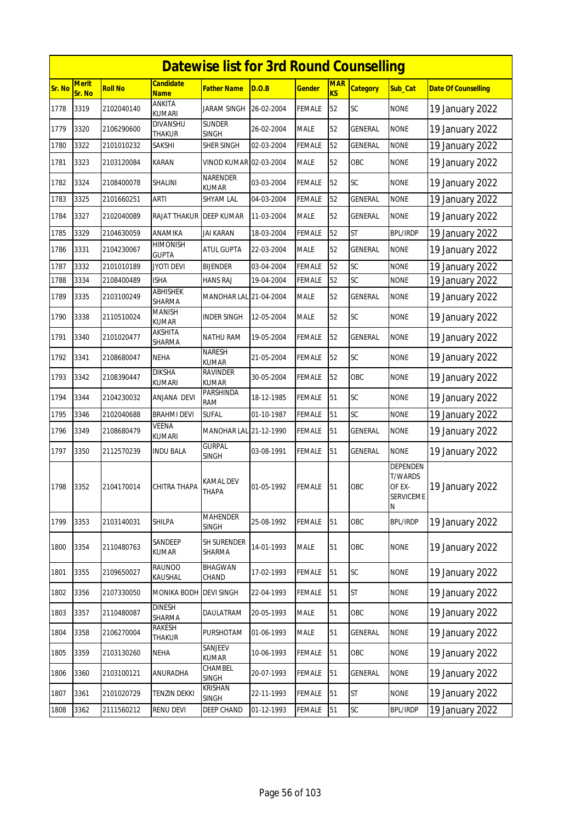|        | <b>Datewise list for 3rd Round Counselling</b><br><b>Candidate</b> |                |                                |                                 |            |               |                         |                 |                                                        |                            |  |  |
|--------|--------------------------------------------------------------------|----------------|--------------------------------|---------------------------------|------------|---------------|-------------------------|-----------------|--------------------------------------------------------|----------------------------|--|--|
| Sr. No | Merit<br>Sr. No                                                    | <b>Roll No</b> | <b>Name</b>                    | Father Name                     | D.O.B      | <b>Gender</b> | <b>MAR</b><br><b>KS</b> | <b>Category</b> | Sub_Cat                                                | <b>Date Of Counselling</b> |  |  |
| 1778   | 3319                                                               | 2102040140     | <b>ANKITA</b><br><b>KUMARI</b> | <b>JARAM SINGH</b>              | 26-02-2004 | <b>FEMALE</b> | 52                      | <b>SC</b>       | <b>NONE</b>                                            | 19 January 2022            |  |  |
| 1779   | 3320                                                               | 2106290600     | DIVANSHU<br>THAKUR             | <b>SUNDER</b><br><b>SINGH</b>   | 26-02-2004 | <b>MALE</b>   | 52                      | GENERAL         | <b>NONE</b>                                            | 19 January 2022            |  |  |
| 1780   | 3322                                                               | 2101010232     | <b>SAKSHI</b>                  | <b>SHER SINGH</b>               | 02-03-2004 | <b>FEMALE</b> | 52                      | <b>GENERAL</b>  | <b>NONE</b>                                            | 19 January 2022            |  |  |
| 1781   | 3323                                                               | 2103120084     | <b>KARAN</b>                   | VINOD KUMAR 02-03-2004          |            | <b>MALE</b>   | 52                      | OBC             | <b>NONE</b>                                            | 19 January 2022            |  |  |
| 1782   | 3324                                                               | 2108400078     | SHALINI                        | NARENDER<br><b>KUMAR</b>        | 03-03-2004 | FEMALE        | 52                      | SC              | <b>NONE</b>                                            | 19 January 2022            |  |  |
| 1783   | 3325                                                               | 2101660251     | ARTI                           | <b>SHYAM LAL</b>                | 04-03-2004 | <b>FEMALE</b> | 52                      | <b>GENERAL</b>  | <b>NONE</b>                                            | 19 January 2022            |  |  |
| 1784   | 3327                                                               | 2102040089     | RAJAT THAKUR                   | <b>DEEP KUMAR</b>               | 11-03-2004 | <b>MALE</b>   | 52                      | GENERAL         | <b>NONE</b>                                            | 19 January 2022            |  |  |
| 1785   | 3329                                                               | 2104630059     | ANAMIKA                        | <b>JAI KARAN</b>                | 18-03-2004 | <b>FEMALE</b> | 52                      | <b>ST</b>       | <b>BPL/IRDP</b>                                        | 19 January 2022            |  |  |
| 1786   | 3331                                                               | 2104230067     | HIMONISH<br><b>GUPTA</b>       | ATUL GUPTA                      | 22-03-2004 | <b>MALE</b>   | 52                      | <b>GENERAL</b>  | <b>NONE</b>                                            | 19 January 2022            |  |  |
| 1787   | 3332                                                               | 2101010189     | <b>JYOTI DEVI</b>              | <b>BIJENDER</b>                 | 03-04-2004 | <b>FEMALE</b> | 52                      | SC              | <b>NONE</b>                                            | 19 January 2022            |  |  |
| 1788   | 3334                                                               | 2108400489     | <b>ISHA</b>                    | <b>HANS RAJ</b>                 | 19-04-2004 | <b>FEMALE</b> | 52                      | SC              | <b>NONE</b>                                            | 19 January 2022            |  |  |
| 1789   | 3335                                                               | 2103100249     | <b>ABHISHEK</b><br>SHARMA      | MANOHAR LAL 21-04-2004          |            | <b>MALE</b>   | 52                      | GENERAL         | <b>NONE</b>                                            | 19 January 2022            |  |  |
| 1790   | 3338                                                               | 2110510024     | MANISH<br>KUMAR                | <b>INDER SINGH</b>              | 12-05-2004 | <b>MALE</b>   | 52                      | SC              | <b>NONE</b>                                            | 19 January 2022            |  |  |
| 1791   | 3340                                                               | 2101020477     | AKSHITA<br>SHARMA              | <b>NATHU RAM</b>                | 19-05-2004 | <b>FEMALE</b> | 52                      | GENERAL         | <b>NONE</b>                                            | 19 January 2022            |  |  |
| 1792   | 3341                                                               | 2108680047     | <b>NEHA</b>                    | <b>NARESH</b><br><b>KUMAR</b>   | 21-05-2004 | <b>FEMALE</b> | 52                      | SC              | <b>NONE</b>                                            | 19 January 2022            |  |  |
| 1793   | 3342                                                               | 2108390447     | <b>DIKSHA</b><br><b>KUMARI</b> | <b>RAVINDER</b><br><b>KUMAR</b> | 30-05-2004 | <b>FEMALE</b> | 52                      | OBC             | <b>NONE</b>                                            | 19 January 2022            |  |  |
| 1794   | 3344                                                               | 2104230032     | ANJANA DEVI                    | PARSHINDA<br>RAM                | 18-12-1985 | <b>FEMALE</b> | 51                      | SC              | <b>NONE</b>                                            | 19 January 2022            |  |  |
| 1795   | 3346                                                               | 2102040688     | BRAHMI DEVI                    | <b>SUFAL</b>                    | 01-10-1987 | <b>FEMALE</b> | 51                      | SC              | <b>NONE</b>                                            | 19 January 2022            |  |  |
| 1796   | 3349                                                               | 2108680479     | VEENA<br>KUMARI                | MANOHAR LAL 21-12-1990          |            | <b>FEMALE</b> | 51                      | <b>GENERAL</b>  | <b>NONE</b>                                            | 19 January 2022            |  |  |
| 1797   | 3350                                                               | 2112570239     | <b>INDU BALA</b>               | <b>GURPAL</b><br><b>SINGH</b>   | 03-08-1991 | <b>FEMALE</b> | 51                      | GENERAL         | <b>NONE</b>                                            | 19 January 2022            |  |  |
| 1798   | 3352                                                               | 2104170014     | CHITRA THAPA                   | <b>KAMAL DEV</b><br>THAPA       | 01-05-1992 | <b>FEMALE</b> | 51                      | OBC             | DEPENDEN<br><b>T/WARDS</b><br>OF EX-<br>SERVICEME<br>N | 19 January 2022            |  |  |
| 1799   | 3353                                                               | 2103140031     | SHILPA                         | <b>MAHENDER</b><br><b>SINGH</b> | 25-08-1992 | <b>FEMALE</b> | 51                      | OBC             | <b>BPL/IRDP</b>                                        | 19 January 2022            |  |  |
| 1800   | 3354                                                               | 2110480763     | SANDEEP<br>KUMAR               | <b>SH SURENDER</b><br>SHARMA    | 14-01-1993 | <b>MALE</b>   | 51                      | OBC             | <b>NONE</b>                                            | 19 January 2022            |  |  |
| 1801   | 3355                                                               | 2109650027     | <b>RAUNOO</b><br>KAUSHAL       | <b>BHAGWAN</b><br>CHAND         | 17-02-1993 | FEMALE        | 51                      | SC              | <b>NONE</b>                                            | 19 January 2022            |  |  |
| 1802   | 3356                                                               | 2107330050     | MONIKA BODH                    | <b>DEVI SINGH</b>               | 22-04-1993 | <b>FEMALE</b> | 51                      | <b>ST</b>       | <b>NONE</b>                                            | 19 January 2022            |  |  |
| 1803   | 3357                                                               | 2110480087     | <b>DINESH</b><br>SHARMA        | DAULATRAM                       | 20-05-1993 | MALE          | 51                      | OBC             | <b>NONE</b>                                            | 19 January 2022            |  |  |
| 1804   | 3358                                                               | 2106270004     | RAKESH<br>Thakur               | <b>PURSHOTAM</b>                | 01-06-1993 | <b>MALE</b>   | 51                      | GENERAL         | <b>NONE</b>                                            | 19 January 2022            |  |  |
| 1805   | 3359                                                               | 2103130260     | NEHA                           | SANJEEV<br><b>KUMAR</b>         | 10-06-1993 | <b>FEMALE</b> | 51                      | OBC             | <b>NONE</b>                                            | 19 January 2022            |  |  |
| 1806   | 3360                                                               | 2103100121     | ANURADHA                       | CHAMBEL<br><b>SINGH</b>         | 20-07-1993 | <b>FEMALE</b> | 51                      | GENERAL         | <b>NONE</b>                                            | 19 January 2022            |  |  |
| 1807   | 3361                                                               | 2101020729     | <b>TENZIN DEKKI</b>            | <b>KRISHAN</b><br><b>SINGH</b>  | 22-11-1993 | <b>FEMALE</b> | 51                      | <b>ST</b>       | <b>NONE</b>                                            | 19 January 2022            |  |  |
| 1808   | 3362                                                               | 2111560212     | RENU DEVI                      | DEEP CHAND                      | 01-12-1993 | <b>FEMALE</b> | 51                      | SC              | <b>BPL/IRDP</b>                                        | 19 January 2022            |  |  |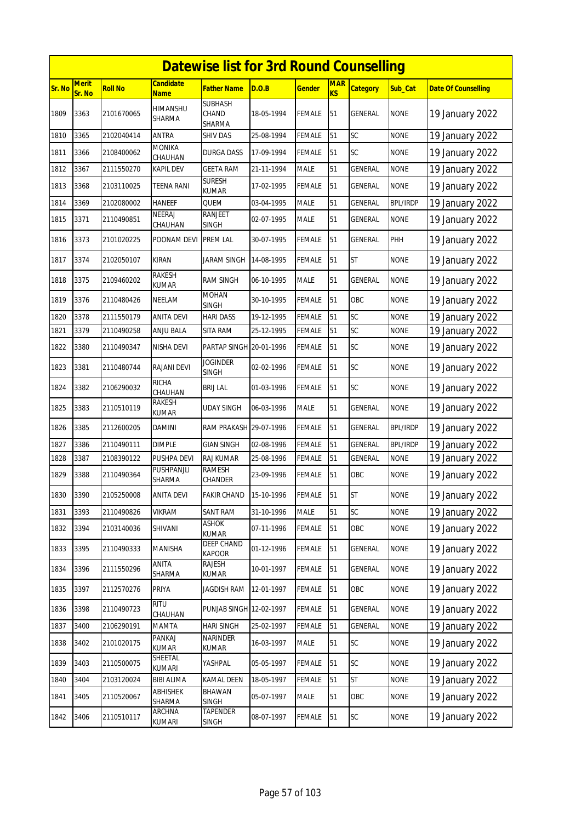|        | <b>Datewise list for 3rd Round Counselling</b><br><b>Merit</b><br><b>Candidate</b><br><b>MAR</b> |                |                               |                                   |            |               |    |                 |                 |                            |  |  |
|--------|--------------------------------------------------------------------------------------------------|----------------|-------------------------------|-----------------------------------|------------|---------------|----|-----------------|-----------------|----------------------------|--|--|
| Sr. No | Sr. No                                                                                           | <b>Roll No</b> | <b>Name</b>                   | <b>Father Name</b>                | D.O.B      | <b>Gender</b> | KS | <b>Category</b> | <b>Sub Cat</b>  | <b>Date Of Counselling</b> |  |  |
| 1809   | 3363                                                                                             | 2101670065     | HIMANSHU<br>SHARMA            | <b>SUBHASH</b><br>CHAND<br>SHARMA | 18-05-1994 | <b>FEMALE</b> | 51 | <b>GENERAL</b>  | <b>NONE</b>     | 19 January 2022            |  |  |
| 1810   | 3365                                                                                             | 2102040414     | ANTRA                         | SHIV DAS                          | 25-08-1994 | <b>FEMALE</b> | 51 | SC              | <b>NONE</b>     | 19 January 2022            |  |  |
| 1811   | 3366                                                                                             | 2108400062     | MONIKA<br>CHAUHAN             | DURGA DASS                        | 17-09-1994 | <b>FEMALE</b> | 51 | <b>SC</b>       | <b>NONE</b>     | 19 January 2022            |  |  |
| 1812   | 3367                                                                                             | 2111550270     | KAPIL DEV                     | <b>GEETA RAM</b>                  | 21-11-1994 | <b>MALE</b>   | 51 | <b>GENERAL</b>  | <b>NONE</b>     | 19 January 2022            |  |  |
| 1813   | 3368                                                                                             | 2103110025     | TEENA RANI                    | <b>SURESH</b><br><b>KUMAR</b>     | 17-02-1995 | <b>FEMALE</b> | 51 | <b>GENERAL</b>  | <b>NONE</b>     | 19 January 2022            |  |  |
| 1814   | 3369                                                                                             | 2102080002     | <b>HANEEF</b>                 | QUEM                              | 03-04-1995 | <b>MALE</b>   | 51 | <b>GENERAL</b>  | <b>BPL/IRDP</b> | 19 January 2022            |  |  |
| 1815   | 3371                                                                                             | 2110490851     | NEERAJ<br>CHAUHAN             | <b>RANJEET</b><br>SINGH           | 02-07-1995 | <b>MALE</b>   | 51 | <b>GENERAL</b>  | <b>NONE</b>     | 19 January 2022            |  |  |
| 1816   | 3373                                                                                             | 2101020225     | POONAM DEVI                   | <b>PREM LAL</b>                   | 30-07-1995 | <b>FEMALE</b> | 51 | <b>GENERAL</b>  | PHH             | 19 January 2022            |  |  |
| 1817   | 3374                                                                                             | 2102050107     | KIRAN                         | <b>JARAM SINGH</b>                | 14-08-1995 | <b>FEMALE</b> | 51 | <b>ST</b>       | <b>NONE</b>     | 19 January 2022            |  |  |
| 1818   | 3375                                                                                             | 2109460202     | <b>RAKESH</b><br><b>KUMAR</b> | <b>RAM SINGH</b>                  | 06-10-1995 | <b>MALE</b>   | 51 | <b>GENERAL</b>  | <b>NONE</b>     | 19 January 2022            |  |  |
| 1819   | 3376                                                                                             | 2110480426     | NEELAM                        | <b>MOHAN</b><br><b>SINGH</b>      | 30-10-1995 | <b>FEMALE</b> | 51 | OBC             | <b>NONE</b>     | 19 January 2022            |  |  |
| 1820   | 3378                                                                                             | 2111550179     | <b>ANITA DEVI</b>             | HARI DASS                         | 19-12-1995 | <b>FEMALE</b> | 51 | SC              | <b>NONE</b>     | 19 January 2022            |  |  |
| 1821   | 3379                                                                                             | 2110490258     | ANJU BALA                     | SITA RAM                          | 25-12-1995 | <b>FEMALE</b> | 51 | <b>SC</b>       | <b>NONE</b>     | 19 January 2022            |  |  |
| 1822   | 3380                                                                                             | 2110490347     | NISHA DEVI                    | PARTAP SINGH 20-01-1996           |            | <b>FEMALE</b> | 51 | SC              | <b>NONE</b>     | 19 January 2022            |  |  |
| 1823   | 3381                                                                                             | 2110480744     | RAJANI DEVI                   | <b>JOGINDER</b><br><b>SINGH</b>   | 02-02-1996 | <b>FEMALE</b> | 51 | SC              | <b>NONE</b>     | 19 January 2022            |  |  |
| 1824   | 3382                                                                                             | 2106290032     | <b>RICHA</b><br>CHAUHAN       | <b>BRIJ LAL</b>                   | 01-03-1996 | <b>FEMALE</b> | 51 | <b>SC</b>       | <b>NONE</b>     | 19 January 2022            |  |  |
| 1825   | 3383                                                                                             | 2110510119     | <b>RAKESH</b><br>KUMAR        | UDAY SINGH                        | 06-03-1996 | <b>MALE</b>   | 51 | <b>GENERAL</b>  | <b>NONE</b>     | 19 January 2022            |  |  |
| 1826   | 3385                                                                                             | 2112600205     | DAMINI                        | RAM PRAKASH 29-07-1996            |            | <b>FEMALE</b> | 51 | GENERAL         | <b>BPL/IRDP</b> | 19 January 2022            |  |  |
| 1827   | 3386                                                                                             | 2110490111     | <b>DIMPLE</b>                 | <b>GIAN SINGH</b>                 | 02-08-1996 | <b>FEMALE</b> | 51 | <b>GENERAL</b>  | <b>BPL/IRDP</b> | 19 January 2022            |  |  |
| 1828   | 3387                                                                                             | 2108390122     | PUSHPA DEVI                   | RAJ KUMAR                         | 25-08-1996 | <b>FEMALE</b> | 51 | GENERAL         | <b>NONE</b>     | 19 January 2022            |  |  |
| 1829   | 3388                                                                                             | 2110490364     | PUSHPANJLI<br>SHARMA          | RAMESH<br>CHANDER                 | 23-09-1996 | <b>FEMALE</b> | 51 | OBC             | <b>NONE</b>     | 19 January 2022            |  |  |
| 1830   | 3390                                                                                             | 2105250008     | <b>ANITA DEVI</b>             | <b>FAKIR CHAND</b>                | 15-10-1996 | <b>FEMALE</b> | 51 | <b>ST</b>       | <b>NONE</b>     | 19 January 2022            |  |  |
| 1831   | 3393                                                                                             | 2110490826     | <b>VIKRAM</b>                 | SANT RAM                          | 31-10-1996 | <b>MALE</b>   | 51 | SC              | <b>NONE</b>     | 19 January 2022            |  |  |
| 1832   | 3394                                                                                             | 2103140036     | SHIVANI                       | ASHOK<br>KUMAR                    | 07-11-1996 | <b>FEMALE</b> | 51 | OBC             | <b>NONE</b>     | 19 January 2022            |  |  |
| 1833   | 3395                                                                                             | 2110490333     | MANISHA                       | DEEP CHAND<br>KAPOOR              | 01-12-1996 | <b>FEMALE</b> | 51 | GENERAL         | <b>NONE</b>     | 19 January 2022            |  |  |
| 1834   | 3396                                                                                             | 2111550296     | <b>ANITA</b><br>SHARMA        | RAJESH<br>KUMAR                   | 10-01-1997 | <b>FEMALE</b> | 51 | GENERAL         | <b>NONE</b>     | 19 January 2022            |  |  |
| 1835   | 3397                                                                                             | 2112570276     | PRIYA                         | <b>JAGDISH RAM</b>                | 12-01-1997 | <b>FEMALE</b> | 51 | OBC             | <b>NONE</b>     | 19 January 2022            |  |  |
| 1836   | 3398                                                                                             | 2110490723     | <b>RITU</b><br>CHAUHAN        | PUNJAB SINGH 12-02-1997           |            | <b>FEMALE</b> | 51 | GENERAL         | <b>NONE</b>     | 19 January 2022            |  |  |
| 1837   | 3400                                                                                             | 2106290191     | MAMTA                         | HARI SINGH                        | 25-02-1997 | <b>FEMALE</b> | 51 | <b>GENERAL</b>  | <b>NONE</b>     | 19 January 2022            |  |  |
| 1838   | 3402                                                                                             | 2101020175     | PANKAJ<br><b>KUMAR</b>        | NARINDER<br>KUMAR                 | 16-03-1997 | <b>MALE</b>   | 51 | SC              | <b>NONE</b>     | 19 January 2022            |  |  |
| 1839   | 3403                                                                                             | 2110500075     | SHEETAL<br>kumari             | YASHPAL                           | 05-05-1997 | <b>FEMALE</b> | 51 | SC              | <b>NONE</b>     | 19 January 2022            |  |  |
| 1840   | 3404                                                                                             | 2103120024     | <b>BIBI ALIMA</b>             | KAMAL DEEN                        | 18-05-1997 | <b>FEMALE</b> | 51 | <b>ST</b>       | <b>NONE</b>     | 19 January 2022            |  |  |
| 1841   | 3405                                                                                             | 2110520067     | ABHISHEK<br>SHARMA            | <b>BHAWAN</b><br><b>SINGH</b>     | 05-07-1997 | <b>MALE</b>   | 51 | OBC             | <b>NONE</b>     | 19 January 2022            |  |  |
| 1842   | 3406                                                                                             | 2110510117     | ARCHNA<br>KUMARI              | <b>TAPENDER</b><br>SINGH          | 08-07-1997 | <b>FEMALE</b> | 51 | SC              | <b>NONE</b>     | 19 January 2022            |  |  |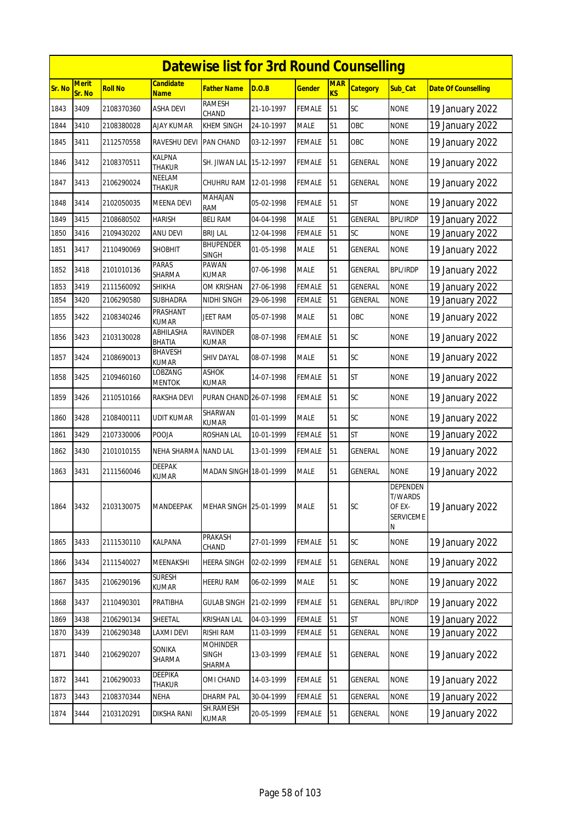|        |                        |                |                                 | <b>Datewise list for 3rd Round Counselling</b> |            |               |                         |                 |                                                                      |                            |
|--------|------------------------|----------------|---------------------------------|------------------------------------------------|------------|---------------|-------------------------|-----------------|----------------------------------------------------------------------|----------------------------|
| Sr. No | <b>Merit</b><br>Sr. No | <b>Roll No</b> | <b>Candidate</b><br><b>Name</b> | Father Name                                    | D.O.B      | <u>Gender</u> | <b>MAR</b><br><b>KS</b> | <b>Category</b> | Sub_Cat                                                              | <b>Date Of Counselling</b> |
| 1843   | 3409                   | 2108370360     | ASHA DEVI                       | <b>RAMESH</b><br>CHAND                         | 21-10-1997 | <b>FEMALE</b> | 51                      | <b>SC</b>       | <b>NONE</b>                                                          | 19 January 2022            |
| 1844   | 3410                   | 2108380028     | AJAY KUMAR                      | KHEM SINGH                                     | 24-10-1997 | <b>MALE</b>   | 51                      | OBC             | <b>NONE</b>                                                          | 19 January 2022            |
| 1845   | 3411                   | 2112570558     | RAVESHU DEVI                    | <b>PAN CHAND</b>                               | 03-12-1997 | <b>FEMALE</b> | 51                      | OBC             | <b>NONE</b>                                                          | 19 January 2022            |
| 1846   | 3412                   | 2108370511     | <b>KALPNA</b><br><b>THAKUR</b>  | SH. JIWAN LAL                                  | 15-12-1997 | <b>FEMALE</b> | 51                      | <b>GENERAL</b>  | <b>NONE</b>                                                          | 19 January 2022            |
| 1847   | 3413                   | 2106290024     | NEELAM<br>THAKUR                | CHUHRU RAM                                     | 12-01-1998 | <b>FEMALE</b> | 51                      | GENERAL         | <b>NONE</b>                                                          | 19 January 2022            |
| 1848   | 3414                   | 2102050035     | <b>MEENA DEVI</b>               | MAHAJAN<br>RAM                                 | 05-02-1998 | <b>FEMALE</b> | 51                      | <b>ST</b>       | <b>NONE</b>                                                          | 19 January 2022            |
| 1849   | 3415                   | 2108680502     | HARISH                          | <b>BELI RAM</b>                                | 04-04-1998 | <b>MALE</b>   | 51                      | <b>GENERAL</b>  | <b>BPL/IRDP</b>                                                      | 19 January 2022            |
| 1850   | 3416                   | 2109430202     | ANU DEVI                        | <b>BRIJ LAL</b>                                | 12-04-1998 | <b>FEMALE</b> | 51                      | SC              | <b>NONE</b>                                                          | 19 January 2022            |
| 1851   | 3417                   | 2110490069     | <b>SHOBHIT</b>                  | <b>BHUPENDER</b><br><b>SINGH</b>               | 01-05-1998 | <b>MALE</b>   | 51                      | <b>GENERAL</b>  | <b>NONE</b>                                                          | 19 January 2022            |
| 1852   | 3418                   | 2101010136     | PARAS<br>SHARMA                 | PAWAN<br><b>KUMAR</b>                          | 07-06-1998 | <b>MALE</b>   | 51                      | GENERAL         | <b>BPL/IRDP</b>                                                      | 19 January 2022            |
| 1853   | 3419                   | 2111560092     | SHIKHA                          | OM KRISHAN                                     | 27-06-1998 | <b>FEMALE</b> | 51                      | <b>GENERAL</b>  | <b>NONE</b>                                                          | 19 January 2022            |
| 1854   | 3420                   | 2106290580     | SUBHADRA                        | NIDHI SINGH                                    | 29-06-1998 | <b>FEMALE</b> | 51                      | GENERAL         | <b>NONE</b>                                                          | 19 January 2022            |
| 1855   | 3422                   | 2108340246     | PRASHANT<br><b>KUMAR</b>        | JEET RAM                                       | 05-07-1998 | <b>MALE</b>   | 51                      | OBC             | <b>NONE</b>                                                          | 19 January 2022            |
| 1856   | 3423                   | 2103130028     | ABHILASHA<br><b>BHATIA</b>      | <b>RAVINDER</b><br>KUMAR                       | 08-07-1998 | <b>FEMALE</b> | 51                      | <b>SC</b>       | <b>NONE</b>                                                          | 19 January 2022            |
| 1857   | 3424                   | 2108690013     | BHAVESH<br><b>KUMAR</b>         | SHIV DAYAL                                     | 08-07-1998 | <b>MALE</b>   | 51                      | <b>SC</b>       | <b>NONE</b>                                                          | 19 January 2022            |
| 1858   | 3425                   | 2109460160     | LOBZANG<br><b>MENTOK</b>        | <b>ASHOK</b><br><b>KUMAR</b>                   | 14-07-1998 | <b>FEMALE</b> | 51                      | <b>ST</b>       | <b>NONE</b>                                                          | 19 January 2022            |
| 1859   | 3426                   | 2110510166     | RAKSHA DEVI                     | PURAN CHAND 26-07-1998                         |            | <b>FEMALE</b> | 51                      | <b>SC</b>       | <b>NONE</b>                                                          | 19 January 2022            |
| 1860   | 3428                   | 2108400111     | UDIT KUMAR                      | SHARWAN<br><b>KUMAR</b>                        | 01-01-1999 | <b>MALE</b>   | 51                      | SC              | <b>NONE</b>                                                          | 19 January 2022            |
| 1861   | 3429                   | 2107330006     | POOJA                           | ROSHAN LAL                                     | 10-01-1999 | <b>FEMALE</b> | 51                      | <b>ST</b>       | <b>NONE</b>                                                          | 19 January 2022            |
| 1862   | 3430                   | 2101010155     | NEHA SHARMA                     | <b>NAND LAL</b>                                | 13-01-1999 | <b>FEMALE</b> | 51                      | GENERAL         | <b>NONE</b>                                                          | 19 January 2022            |
| 1863   | 3431                   | 2111560046     | <b>DEEPAK</b><br><b>KUMAR</b>   | MADAN SINGH 18-01-1999                         |            | <b>MALE</b>   | 51                      | GENERAL         | <b>NONE</b>                                                          | 19 January 2022            |
| 1864   | 3432                   | 2103130075     | <b>MANDEEPAK</b>                | MEHAR SINGH 25-01-1999                         |            | <b>MALE</b>   | 51                      | SC              | <b>DEPENDEN</b><br><b>T/WARDS</b><br>OF EX-<br><b>SERVICEME</b><br>N | 19 January 2022            |
| 1865   | 3433                   | 2111530110     | KALPANA                         | <b>PRAKASH</b><br>CHAND                        | 27-01-1999 | <b>FEMALE</b> | 51                      | SC              | <b>NONE</b>                                                          | 19 January 2022            |
| 1866   | 3434                   | 2111540027     | MEENAKSHI                       | HEERA SINGH                                    | 02-02-1999 | <b>FEMALE</b> | 51                      | GENERAL         | <b>NONE</b>                                                          | 19 January 2022            |
| 1867   | 3435                   | 2106290196     | <b>SURESH</b><br>KUMAR          | <b>HEERU RAM</b>                               | 06-02-1999 | MALE          | 51                      | <b>SC</b>       | <b>NONE</b>                                                          | 19 January 2022            |
| 1868   | 3437                   | 2110490301     | PRATIBHA                        | <b>GULAB SINGH</b>                             | 21-02-1999 | <b>FEMALE</b> | 51                      | GENERAL         | <b>BPL/IRDP</b>                                                      | 19 January 2022            |
| 1869   | 3438                   | 2106290134     | SHEETAL                         | <b>KRISHAN LAL</b>                             | 04-03-1999 | <b>FEMALE</b> | 51                      | <b>ST</b>       | <b>NONE</b>                                                          | 19 January 2022            |
| 1870   | 3439                   | 2106290348     | LAXMI DEVI                      | <b>RISHI RAM</b>                               | 11-03-1999 | <b>FEMALE</b> | 51                      | GENERAL         | <b>NONE</b>                                                          | 19 January 2022            |
| 1871   | 3440                   | 2106290207     | SONIKA<br>SHARMA                | <b>MOHINDER</b><br><b>SINGH</b><br>SHARMA      | 13-03-1999 | <b>FEMALE</b> | 51                      | <b>GENERAL</b>  | <b>NONE</b>                                                          | 19 January 2022            |
| 1872   | 3441                   | 2106290033     | DEEPIKA<br>THAKUR               | OMI CHAND                                      | 14-03-1999 | <b>FEMALE</b> | 51                      | GENERAL         | <b>NONE</b>                                                          | 19 January 2022            |
| 1873   | 3443                   | 2108370344     | NEHA                            | DHARM PAL                                      | 30-04-1999 | FEMALE        | 51                      | GENERAL         | <b>NONE</b>                                                          | 19 January 2022            |
| 1874   | 3444                   | 2103120291     | DIKSHA RANI                     | SH.RAMESH<br><b>KUMAR</b>                      | 20-05-1999 | <b>FEMALE</b> | 51                      | <b>GENERAL</b>  | <b>NONE</b>                                                          | 19 January 2022            |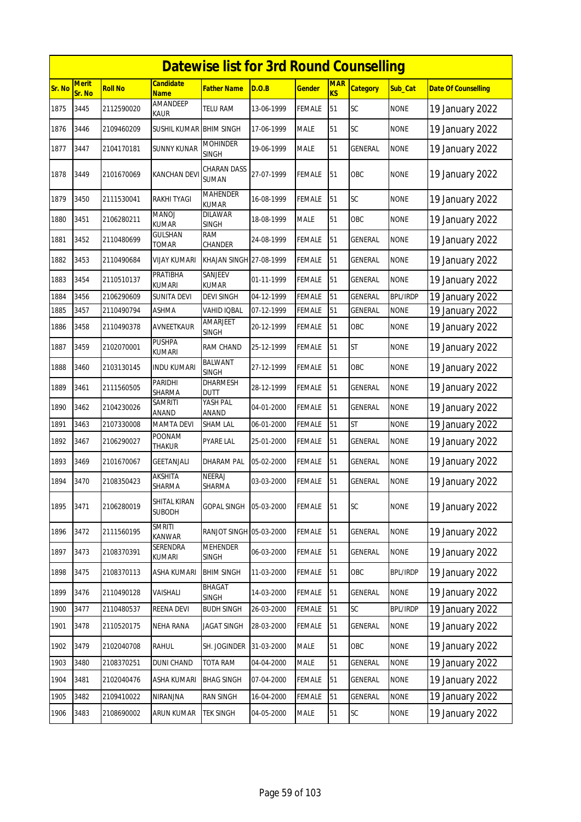|        | <b>Datewise list for 3rd Round Counselling</b><br><b>Merit</b><br><b>Candidate</b> |                |                                |                                 |            |               |                  |                 |                 |                            |  |  |
|--------|------------------------------------------------------------------------------------|----------------|--------------------------------|---------------------------------|------------|---------------|------------------|-----------------|-----------------|----------------------------|--|--|
| Sr. No | Sr. No                                                                             | <b>Roll No</b> | <b>Name</b>                    | Father Name                     | D.O.B      | <u>Gender</u> | <b>MAR</b><br>KS | <b>Category</b> | Sub Cat         | <b>Date Of Counselling</b> |  |  |
| 1875   | 3445                                                                               | 2112590020     | AMANDEEP<br>KAUR               | <b>TELU RAM</b>                 | 13-06-1999 | FEMALE        | 51               | SC              | <b>NONE</b>     | 19 January 2022            |  |  |
| 1876   | 3446                                                                               | 2109460209     | SUSHIL KUMAR BHIM SINGH        |                                 | 17-06-1999 | MALE          | 51               | SC              | <b>NONE</b>     | 19 January 2022            |  |  |
| 1877   | 3447                                                                               | 2104170181     | SUNNY KUNAR                    | <b>MOHINDER</b><br>SINGH        | 19-06-1999 | <b>MALE</b>   | 51               | <b>GENERAL</b>  | <b>NONE</b>     | 19 January 2022            |  |  |
| 1878   | 3449                                                                               | 2101670069     | <b>KANCHAN DEV</b>             | CHARAN DASS<br><b>SUMAN</b>     | 27-07-1999 | FEMALE        | 51               | OBC             | <b>NONE</b>     | 19 January 2022            |  |  |
| 1879   | 3450                                                                               | 2111530041     | RAKHI TYAGI                    | <b>MAHENDER</b><br><b>KUMAR</b> | 16-08-1999 | <b>FEMALE</b> | 51               | SC              | <b>NONE</b>     | 19 January 2022            |  |  |
| 1880   | 3451                                                                               | 2106280211     | MANOJ<br><b>KUMAR</b>          | <b>DILAWAR</b><br><b>SINGH</b>  | 18-08-1999 | <b>MALE</b>   | 51               | OBC             | <b>NONE</b>     | 19 January 2022            |  |  |
| 1881   | 3452                                                                               | 2110480699     | GULSHAN<br>TOMAR               | RAM<br>CHANDER                  | 24-08-1999 | <b>FEMALE</b> | 51               | <b>GENERAL</b>  | <b>NONE</b>     | 19 January 2022            |  |  |
| 1882   | 3453                                                                               | 2110490684     | VIJAY KUMARI                   | KHAJAN SINGH 27-08-1999         |            | FEMALE        | 51               | GENERAL         | <b>NONE</b>     | 19 January 2022            |  |  |
| 1883   | 3454                                                                               | 2110510137     | PRATIBHA<br><b>KUMARI</b>      | SANJEEV<br><b>KUMAR</b>         | 01-11-1999 | FEMALE        | 51               | GENERAL         | <b>NONE</b>     | 19 January 2022            |  |  |
| 1884   | 3456                                                                               | 2106290609     | <b>SUNITA DEVI</b>             | <b>DEVI SINGH</b>               | 04-12-1999 | <b>FEMALE</b> | 51               | <b>GENERAL</b>  | <b>BPL/IRDP</b> | 19 January 2022            |  |  |
| 1885   | 3457                                                                               | 2110490794     | ASHMA                          | VAHID IQBAL                     | 07-12-1999 | FEMALE        | 51               | GENERAL         | <b>NONE</b>     | 19 January 2022            |  |  |
| 1886   | 3458                                                                               | 2110490378     | AVNEETKAUR                     | AMARJEET<br><b>SINGH</b>        | 20-12-1999 | FEMALE        | 51               | OBC             | <b>NONE</b>     | 19 January 2022            |  |  |
| 1887   | 3459                                                                               | 2102070001     | <b>PUSHPA</b><br><b>KUMARI</b> | RAM CHAND                       | 25-12-1999 | FEMALE        | 51               | <b>ST</b>       | <b>NONE</b>     | 19 January 2022            |  |  |
| 1888   | 3460                                                                               | 2103130145     | <b>INDU KUMARI</b>             | BALWANT<br><b>SINGH</b>         | 27-12-1999 | <b>FEMALE</b> | 51               | OBC             | <b>NONE</b>     | 19 January 2022            |  |  |
| 1889   | 3461                                                                               | 2111560505     | PARIDHI<br>SHARMA              | DHARMESH<br><b>DUTT</b>         | 28-12-1999 | FEMALE        | 51               | GENERAL         | <b>NONE</b>     | 19 January 2022            |  |  |
| 1890   | 3462                                                                               | 2104230026     | <b>SAMRITI</b><br>ANAND        | YASH PAL<br>ANAND               | 04-01-2000 | FEMALE        | 51               | GENERAL         | <b>NONE</b>     | 19 January 2022            |  |  |
| 1891   | 3463                                                                               | 2107330008     | <b>MAMTA DEVI</b>              | <b>SHAM LAL</b>                 | 06-01-2000 | FEMALE        | 51               | <b>ST</b>       | <b>NONE</b>     | 19 January 2022            |  |  |
| 1892   | 3467                                                                               | 2106290027     | <b>POONAM</b><br><b>THAKUR</b> | PYARE LAL                       | 25-01-2000 | FEMALE        | 51               | GENERAL         | <b>NONE</b>     | 19 January 2022            |  |  |
| 1893   | 3469                                                                               | 2101670067     | <b>GEETANJALI</b>              | DHARAM PAL                      | 05-02-2000 | <b>FEMALE</b> | 51               | <b>GENERAL</b>  | <b>NONE</b>     | 19 January 2022            |  |  |
| 1894   | 3470                                                                               | 2108350423     | AKSHITA<br>SHARMA              | NEERAJ<br>SHARMA                | 03-03-2000 | <b>FEMALE</b> | 51               | <b>GENERAL</b>  | <b>NONE</b>     | 19 January 2022            |  |  |
| 1895   | 3471                                                                               | 2106280019     | SHITAL KIRAN<br><b>SUBODH</b>  | GOPAL SINGH                     | 05-03-2000 | <b>FEMALE</b> | 51               | SC              | <b>NONE</b>     | 19 January 2022            |  |  |
| 1896   | 3472                                                                               | 2111560195     | <b>SMRITI</b><br>KANWAR        | RANJOT SINGH 05-03-2000         |            | <b>FEMALE</b> | 51               | GENERAL         | <b>NONE</b>     | 19 January 2022            |  |  |
| 1897   | 3473                                                                               | 2108370391     | <b>SERENDRA</b><br>KUMARI      | MEHENDER<br>SINGH               | 06-03-2000 | <b>FEMALE</b> | 51               | GENERAL         | <b>NONE</b>     | 19 January 2022            |  |  |
| 1898   | 3475                                                                               | 2108370113     | ASHA KUMARI                    | <b>BHIM SINGH</b>               | 11-03-2000 | <b>FEMALE</b> | 51               | OBC             | <b>BPL/IRDP</b> | 19 January 2022            |  |  |
| 1899   | 3476                                                                               | 2110490128     | VAISHALI                       | BHAGAT<br>SINGH                 | 14-03-2000 | <b>FEMALE</b> | 51               | GENERAL         | <b>NONE</b>     | 19 January 2022            |  |  |
| 1900   | 3477                                                                               | 2110480537     | REENA DEVI                     | <b>BUDH SINGH</b>               | 26-03-2000 | FEMALE        | 51               | SC              | <b>BPL/IRDP</b> | 19 January 2022            |  |  |
| 1901   | 3478                                                                               | 2110520175     | NEHA RANA                      | <b>JAGAT SINGH</b>              | 28-03-2000 | <b>FEMALE</b> | 51               | GENERAL         | <b>NONE</b>     | 19 January 2022            |  |  |
| 1902   | 3479                                                                               | 2102040708     | RAHUL                          | SH. JOGINDER                    | 31-03-2000 | MALE          | 51               | OBC             | <b>NONE</b>     | 19 January 2022            |  |  |
| 1903   | 3480                                                                               | 2108370251     | <b>DUNI CHAND</b>              | <b>TOTA RAM</b>                 | 04-04-2000 | MALE          | 51               | GENERAL         | <b>NONE</b>     | 19 January 2022            |  |  |
| 1904   | 3481                                                                               | 2102040476     | ASHA KUMARI                    | <b>BHAG SINGH</b>               | 07-04-2000 | <b>FEMALE</b> | 51               | GENERAL         | <b>NONE</b>     | 19 January 2022            |  |  |
| 1905   | 3482                                                                               | 2109410022     | NIRANJNA                       | <b>RAN SINGH</b>                | 16-04-2000 | FEMALE        | 51               | GENERAL         | <b>NONE</b>     | 19 January 2022            |  |  |
| 1906   | 3483                                                                               | 2108690002     | ARUN KUMAR                     | <b>TEK SINGH</b>                | 04-05-2000 | <b>MALE</b>   | 51               | SC              | <b>NONE</b>     | 19 January 2022            |  |  |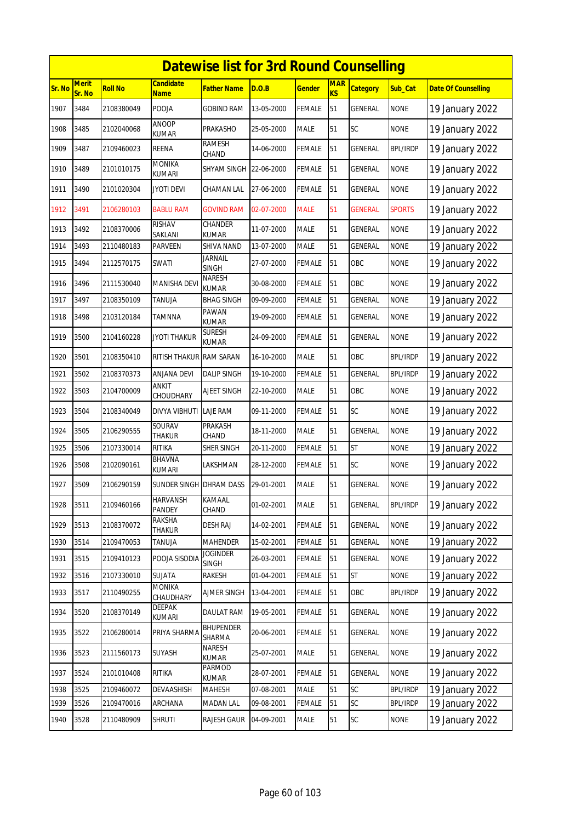|               |                        |                |                                | <b>Datewise list for 3rd Round Counselling</b> |            |               |                              |                 |                 |                            |
|---------------|------------------------|----------------|--------------------------------|------------------------------------------------|------------|---------------|------------------------------|-----------------|-----------------|----------------------------|
| <b>Sr. No</b> | <b>Merit</b><br>Sr. No | <b>Roll No</b> | Candidate<br><b>Name</b>       | Father Name                                    | D.O.B      | <b>Gender</b> | <b>MAR</b><br>K <sub>S</sub> | <b>Category</b> | Sub_Cat         | <b>Date Of Counselling</b> |
| 1907          | 3484                   | 2108380049     | POOJA                          | <b>GOBIND RAM</b>                              | 13-05-2000 | <b>FEMALE</b> | 51                           | <b>GENERAL</b>  | <b>NONE</b>     | 19 January 2022            |
| 1908          | 3485                   | 2102040068     | ANOOP<br>KUMAR                 | PRAKASHO                                       | 25-05-2000 | MALE          | 51                           | SC              | <b>NONE</b>     | 19 January 2022            |
| 1909          | 3487                   | 2109460023     | REENA                          | RAMESH<br>CHAND                                | 14-06-2000 | FEMALE        | 51                           | GENERAL         | <b>BPL/IRDP</b> | 19 January 2022            |
| 1910          | 3489                   | 2101010175     | <b>MONIKA</b><br><b>KUMARI</b> | SHYAM SINGH 22-06-2000                         |            | FEMALE        | 51                           | GENERAL         | <b>NONE</b>     | 19 January 2022            |
| 1911          | 3490                   | 2101020304     | <b>JYOTI DEVI</b>              | CHAMAN LAL                                     | 27-06-2000 | FEMALE        | 51                           | GENERAL         | <b>NONE</b>     | 19 January 2022            |
| 1912          | 3491                   | 2106280103     | <b>BABLU RAM</b>               | <b>GOVIND RAM</b>                              | 02-07-2000 | <b>MALE</b>   | 51                           | <b>GENERAL</b>  | <b>SPORTS</b>   | 19 January 2022            |
| 1913          | 3492                   | 2108370006     | <b>RISHAV</b><br>SAKLANI       | CHANDER<br>KUMAR                               | 11-07-2000 | MALE          | 51                           | GENERAL         | <b>NONE</b>     | 19 January 2022            |
| 1914          | 3493                   | 2110480183     | PARVEEN                        | SHIVA NAND                                     | 13-07-2000 | <b>MALE</b>   | 51                           | GENERAL         | <b>NONE</b>     | 19 January 2022            |
| 1915          | 3494                   | 2112570175     | SWATI                          | Jarnail<br><b>SINGH</b>                        | 27-07-2000 | <b>FEMALE</b> | 51                           | OBC             | <b>NONE</b>     | 19 January 2022            |
| 1916          | 3496                   | 2111530040     | MANISHA DEVI                   | <b>NARESH</b><br>KUMAR                         | 30-08-2000 | FEMALE        | 51                           | OBC             | <b>NONE</b>     | 19 January 2022            |
| 1917          | 3497                   | 2108350109     | TANUJA                         | <b>BHAG SINGH</b>                              | 09-09-2000 | FEMALE        | 51                           | GENERAL         | <b>NONE</b>     | 19 January 2022            |
| 1918          | 3498                   | 2103120184     | TAMNNA                         | PAWAN<br>KUMAR                                 | 19-09-2000 | <b>FEMALE</b> | 51                           | GENERAL         | <b>NONE</b>     | 19 January 2022            |
| 1919          | 3500                   | 2104160228     | <b>JYOTI THAKUR</b>            | <b>SURESH</b><br>kumar                         | 24-09-2000 | FEMALE        | 51                           | GENERAL         | <b>NONE</b>     | 19 January 2022            |
| 1920          | 3501                   | 2108350410     | RITISH THAKUR                  | <b>RAM SARAN</b>                               | 16-10-2000 | MALE          | 51                           | OBC             | <b>BPL/IRDP</b> | 19 January 2022            |
| 1921          | 3502                   | 2108370373     | <b>ANJANA DEVI</b>             | <b>DALIP SINGH</b>                             | 19-10-2000 | FEMALE        | 51                           | <b>GENERAL</b>  | <b>BPL/IRDP</b> | 19 January 2022            |
| 1922          | 3503                   | 2104700009     | <b>ANKIT</b><br>CHOUDHARY      | <b>AJEET SINGH</b>                             | 22-10-2000 | <b>MALE</b>   | 51                           | OBC             | <b>NONE</b>     | 19 January 2022            |
| 1923          | 3504                   | 2108340049     | DIVYA VIBHUTI                  | LAJE RAM                                       | 09-11-2000 | <b>FEMALE</b> | 51                           | SC              | <b>NONE</b>     | 19 January 2022            |
| 1924          | 3505                   | 2106290555     | SOURAV<br>THAKUR               | PRAKASH<br>CHAND                               | 18-11-2000 | <b>MALE</b>   | 51                           | <b>GENERAL</b>  | <b>NONE</b>     | 19 January 2022            |
| 1925          | 3506                   | 2107330014     | <b>RITIKA</b>                  | SHER SINGH                                     | 20-11-2000 | FEMALE        | 51                           | <b>ST</b>       | <b>NONE</b>     | 19 January 2022            |
| 1926          | 3508                   | 2102090161     | <b>BHAVNA</b><br><b>KUMARI</b> | LAKSHMAN                                       | 28-12-2000 | FEMALE        | 51                           | <b>SC</b>       | <b>NONE</b>     | 19 January 2022            |
| 1927          | 3509                   | 2106290159     | SUNDER SINGH DHRAM DASS        |                                                | 29-01-2001 | MALE          | 51                           | <b>GENERAL</b>  | <b>NONE</b>     | 19 January 2022            |
| 1928          | 3511                   | 2109460166     | <b>HARVANSH</b><br>PANDEY      | KAMAAL<br>CHAND                                | 01-02-2001 | MALE          | 51                           | GENERAL         | <b>BPL/IRDP</b> | 19 January 2022            |
| 1929          | 3513                   | 2108370072     | RAKSHA<br>THAKUR               | <b>DESH RAJ</b>                                | 14-02-2001 | FEMALE        | 51                           | <b>GENERAL</b>  | <b>NONE</b>     | 19 January 2022            |
| 1930          | 3514                   | 2109470053     | <b>TANUJA</b>                  | <b>MAHENDER</b>                                | 15-02-2001 | FEMALE        | 51                           | <b>GENERAL</b>  | <b>NONE</b>     | 19 January 2022            |
| 1931          | 3515                   | 2109410123     | POOJA SISODIA                  | <b>JOGINDER</b><br><b>SINGH</b>                | 26-03-2001 | <b>FEMALE</b> | 51                           | GENERAL         | <b>NONE</b>     | 19 January 2022            |
| 1932          | 3516                   | 2107330010     | SUJATA                         | rakesh                                         | 01-04-2001 | <b>FEMALE</b> | 51                           | ST              | <b>NONE</b>     | 19 January 2022            |
| 1933          | 3517                   | 2110490255     | MONIKA<br>CHAUDHARY            | AJMER SINGH                                    | 13-04-2001 | <b>FEMALE</b> | 51                           | OBC             | <b>BPL/IRDP</b> | 19 January 2022            |
| 1934          | 3520                   | 2108370149     | DEEPAK<br>KUMARI               | DAULAT RAM                                     | 19-05-2001 | <b>FEMALE</b> | 51                           | <b>GENERAL</b>  | <b>NONE</b>     | 19 January 2022            |
| 1935          | 3522                   | 2106280014     | PRIYA SHARMA                   | <b>BHUPENDER</b><br>SHARMA                     | 20-06-2001 | <b>FEMALE</b> | 51                           | GENERAL         | <b>NONE</b>     | 19 January 2022            |
| 1936          | 3523                   | 2111560173     | SUYASH                         | NARESH<br>KUMAR                                | 25-07-2001 | MALE          | 51                           | GENERAL         | <b>NONE</b>     | 19 January 2022            |
| 1937          | 3524                   | 2101010408     | RITIKA                         | PARMOD<br>KUMAR                                | 28-07-2001 | FEMALE        | 51                           | <b>GENERAL</b>  | <b>NONE</b>     | 19 January 2022            |
| 1938          | 3525                   | 2109460072     | DEVAASHISH                     | MAHESH                                         | 07-08-2001 | MALE          | 51                           | SC              | <b>BPL/IRDP</b> | 19 January 2022            |
| 1939          | 3526                   | 2109470016     | ARCHANA                        | MADAN LAL                                      | 09-08-2001 | FEMALE        | 51                           | SC              | <b>BPL/IRDP</b> | 19 January 2022            |
| 1940          | 3528                   | 2110480909     | <b>SHRUTI</b>                  | <b>RAJESH GAUR</b>                             | 04-09-2001 | MALE          | 51                           | SC              | <b>NONE</b>     | 19 January 2022            |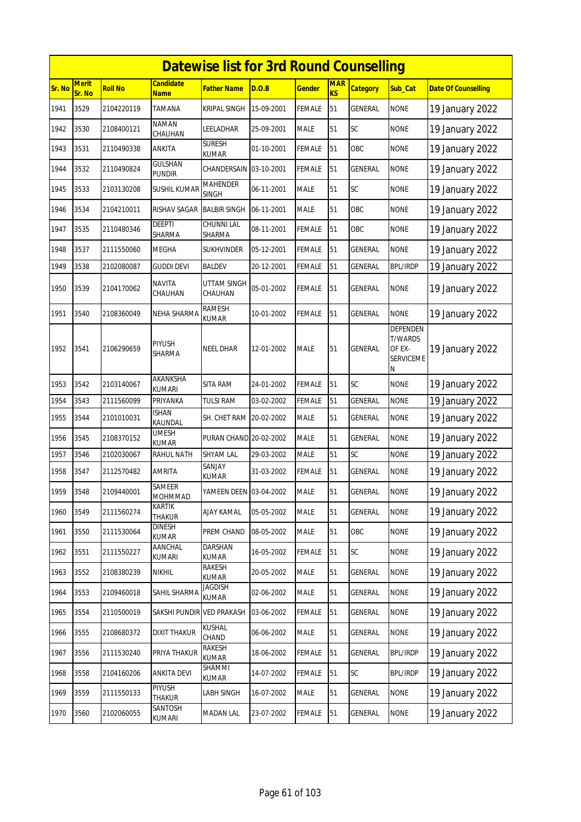|        | <b>Datewise list for 3rd Round Counselling</b> |                |                               |                                 |            |               |                              |                 |                                                               |                            |  |  |
|--------|------------------------------------------------|----------------|-------------------------------|---------------------------------|------------|---------------|------------------------------|-----------------|---------------------------------------------------------------|----------------------------|--|--|
| Sr. No | <b>Merit</b><br>Sr. No                         | <b>Roll No</b> | <b>Candidate</b><br>Name      | <b>Father Name</b>              | D.O.B      | <b>Gender</b> | <b>MAR</b><br>K <sub>S</sub> | <b>Category</b> | Sub_Cat                                                       | <b>Date Of Counselling</b> |  |  |
| 1941   | 3529                                           | 2104220119     | TAMANA                        | KRIPAL SINGH                    | 15-09-2001 | <b>FEMALE</b> | 51                           | <b>GENERAL</b>  | <b>NONE</b>                                                   | 19 January 2022            |  |  |
| 1942   | 3530                                           | 2108400121     | NAMAN<br>CHAUHAN              | LEELADHAR                       | 25-09-2001 | MALE          | 51                           | SC              | <b>NONE</b>                                                   | 19 January 2022            |  |  |
| 1943   | 3531                                           | 2110490338     | ANKITA                        | <b>SURESH</b><br>KUMAR          | 01-10-2001 | <b>FEMALE</b> | 51                           | OBC             | <b>NONE</b>                                                   | 19 January 2022            |  |  |
| 1944   | 3532                                           | 2110490824     | GULSHAN<br><b>PUNDIR</b>      | CHANDERSAIN 03-10-2001          |            | <b>FEMALE</b> | 51                           | GENERAL         | <b>NONE</b>                                                   | 19 January 2022            |  |  |
| 1945   | 3533                                           | 2103130208     | SUSHIL KUMAR                  | <b>MAHENDER</b><br><b>SINGH</b> | 06-11-2001 | <b>MALE</b>   | 51                           | SC              | <b>NONE</b>                                                   | 19 January 2022            |  |  |
| 1946   | 3534                                           | 2104210011     | RISHAV SAGAR                  | <b>BALBIR SINGH</b>             | 06-11-2001 | <b>MALE</b>   | 51                           | OBC             | <b>NONE</b>                                                   | 19 January 2022            |  |  |
| 1947   | 3535                                           | 2110480346     | DEEPTI<br>SHARMA              | CHUNNI LAL<br>SHARMA            | 08-11-2001 | FEMALE        | 51                           | OBC             | <b>NONE</b>                                                   | 19 January 2022            |  |  |
| 1948   | 3537                                           | 2111550060     | MEGHA                         | <b>SUKHVINDER</b>               | 05-12-2001 | <b>FEMALE</b> | 51                           | GENERAL         | <b>NONE</b>                                                   | 19 January 2022            |  |  |
| 1949   | 3538                                           | 2102080087     | guddi devi                    | <b>BALDEV</b>                   | 20-12-2001 | <b>FEMALE</b> | 51                           | <b>GENERAL</b>  | <b>BPL/IRDP</b>                                               | 19 January 2022            |  |  |
| 1950   | 3539                                           | 2104170062     | NAVITA<br>CHAUHAN             | UTTAM SINGH<br>CHAUHAN          | 05-01-2002 | FEMALE        | 51                           | GENERAL         | <b>NONE</b>                                                   | 19 January 2022            |  |  |
| 1951   | 3540                                           | 2108360049     | NEHA SHARMA                   | <b>RAMESH</b><br>KUMAR          | 10-01-2002 | <b>FEMALE</b> | 51                           | <b>GENERAL</b>  | <b>NONE</b>                                                   | 19 January 2022            |  |  |
| 1952   | 3541                                           | 2106290659     | PIYUSH<br>SHARMA              | <b>NEEL DHAR</b>                | 12-01-2002 | <b>MALE</b>   | 51                           | GENERAL         | <b>DEPENDEN</b><br><b>T/WARDS</b><br>OF EX-<br>SERVICEME<br>Ν | 19 January 2022            |  |  |
| 1953   | 3542                                           | 2103140067     | AKANKSHA<br><b>KUMARI</b>     | SITA RAM                        | 24-01-2002 | <b>FEMALE</b> | 51                           | SC              | <b>NONE</b>                                                   | 19 January 2022            |  |  |
| 1954   | 3543                                           | 2111560099     | PRIYANKA                      | <b>TULSI RAM</b>                | 03-02-2002 | <b>FEMALE</b> | 51                           | <b>GENERAL</b>  | <b>NONE</b>                                                   | 19 January 2022            |  |  |
| 1955   | 3544                                           | 2101010031     | <b>ISHAN</b><br>KAUNDAL       | SH. CHET RAM 20-02-2002         |            | <b>MALE</b>   | 51                           | GENERAL         | <b>NONE</b>                                                   | 19 January 2022            |  |  |
| 1956   | 3545                                           | 2108370152     | UMESH<br><b>KUMAR</b>         | PURAN CHAND 20-02-2002          |            | <b>MALE</b>   | 51                           | <b>GENERAL</b>  | <b>NONE</b>                                                   | 19 January 2022            |  |  |
| 1957   | 3546                                           | 2102030067     | <b>RAHUL NATH</b>             | <b>SHYAM LAL</b>                | 29-03-2002 | <b>MALE</b>   | 51                           | SC              | <b>NONE</b>                                                   | 19 January 2022            |  |  |
| 1958   | 3547                                           | 2112570482     | <b>AMRITA</b>                 | SANJAY<br>KUMAR                 | 31-03-2002 | <b>FEMALE</b> | 51                           | <b>GENERAL</b>  | <b>NONE</b>                                                   | 19 January 2022            |  |  |
| 1959   | 3548                                           | 2109440001     | SAMEER<br><b>MOHMMAD</b>      | YAMEEN DEEN 03-04-2002          |            | <b>MALE</b>   | 51                           | GENERAL         | <b>NONE</b>                                                   | 19 January 2022            |  |  |
| 1960   | 3549                                           | 2111560274     | KARTIK<br>THAKUR              | <b>AJAY KAMAL</b>               | 05-05-2002 | MALE          | 51                           | <b>GENERAL</b>  | <b>NONE</b>                                                   | 19 January 2022            |  |  |
| 1961   | 3550                                           | 2111530064     | <b>DINESH</b><br><b>KUMAR</b> | PREM CHAND                      | 08-05-2002 | MALE          | 51                           | OBC             | <b>NONE</b>                                                   | 19 January 2022            |  |  |
| 1962   | 3551                                           | 2111550227     | AANCHAL<br>KUMARI             | <b>DARSHAN</b><br><b>KUMAR</b>  | 16-05-2002 | <b>FEMALE</b> | 51                           | SC              | <b>NONE</b>                                                   | 19 January 2022            |  |  |
| 1963   | 3552                                           | 2108380239     | <b>NIKHIL</b>                 | RAKESH<br><b>KUMAR</b>          | 20-05-2002 | MALE          | 51                           | <b>GENERAL</b>  | <b>NONE</b>                                                   | 19 January 2022            |  |  |
| 1964   | 3553                                           | 2109460018     | SAHIL SHARMA                  | JAGDISH<br>KUMAR                | 02-06-2002 | <b>MALE</b>   | 51                           | GENERAL         | <b>NONE</b>                                                   | 19 January 2022            |  |  |
| 1965   | 3554                                           | 2110500019     | SAKSHI PUNDIR VED PRAKASH     |                                 | 03-06-2002 | <b>FEMALE</b> | 51                           | GENERAL         | <b>NONE</b>                                                   | 19 January 2022            |  |  |
| 1966   | 3555                                           | 2108680372     | <b>DIXIT THAKUR</b>           | KUSHAL<br>CHAND                 | 06-06-2002 | <b>MALE</b>   | 51                           | GENERAL         | <b>NONE</b>                                                   | 19 January 2022            |  |  |
| 1967   | 3556                                           | 2111530240     | PRIYA THAKUR                  | RAKESH<br>KUMAR                 | 18-06-2002 | FEMALE        | 51                           | GENERAL         | <b>BPL/IRDP</b>                                               | 19 January 2022            |  |  |
| 1968   | 3558                                           | 2104160206     | <b>ANKITA DEVI</b>            | SHAMMI<br>KUMAR                 | 14-07-2002 | <b>FEMALE</b> | 51                           | <b>SC</b>       | <b>BPL/IRDP</b>                                               | 19 January 2022            |  |  |
| 1969   | 3559                                           | 2111550133     | PIYUSH<br>THAKUR              | LABH SINGH                      | 16-07-2002 | MALE          | 51                           | GENERAL         | <b>NONE</b>                                                   | 19 January 2022            |  |  |
| 1970   | 3560                                           | 2102060055     | SANTOSH<br>KUMARI             | <b>MADAN LAL</b>                | 23-07-2002 | <b>FEMALE</b> | 51                           | GENERAL         | <b>NONE</b>                                                   | 19 January 2022            |  |  |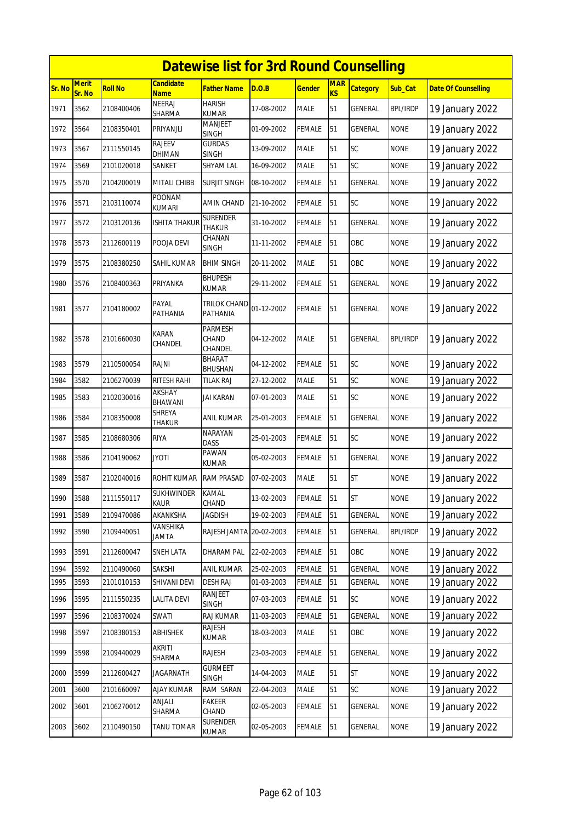|        | <b>Datewise list for 3rd Round Counselling</b> |                |                           |                                    |            |               |                         |                 |                 |                            |  |  |
|--------|------------------------------------------------|----------------|---------------------------|------------------------------------|------------|---------------|-------------------------|-----------------|-----------------|----------------------------|--|--|
| Sr. No | <b>Merit</b><br>Sr. No                         | <b>Roll No</b> | Candidate<br><b>Name</b>  | Father Name                        | D.O.B      | <u>Gender</u> | <b>MAR</b><br><b>KS</b> | <b>Category</b> | Sub_Cat         | <b>Date Of Counselling</b> |  |  |
| 1971   | 3562                                           | 2108400406     | <b>NEERAJ</b><br>SHARMA   | <b>HARISH</b><br><b>KUMAR</b>      | 17-08-2002 | <b>MALE</b>   | 51                      | <b>GENERAL</b>  | <b>BPL/IRDP</b> | 19 January 2022            |  |  |
| 1972   | 3564                                           | 2108350401     | PRIYANJLI                 | <b>MANJEET</b><br><b>SINGH</b>     | 01-09-2002 | FEMALE        | 51                      | GENERAL         | <b>NONE</b>     | 19 January 2022            |  |  |
| 1973   | 3567                                           | 2111550145     | RAJEEV<br><b>DHIMAN</b>   | <b>GURDAS</b><br>SINGH             | 13-09-2002 | <b>MALE</b>   | 51                      | SC              | <b>NONE</b>     | 19 January 2022            |  |  |
| 1974   | 3569                                           | 2101020018     | SANKET                    | <b>SHYAM LAL</b>                   | 16-09-2002 | MALE          | 51                      | SC              | <b>NONE</b>     | 19 January 2022            |  |  |
| 1975   | 3570                                           | 2104200019     | MITALI CHIBB              | <b>SURJIT SINGH</b>                | 08-10-2002 | <b>FEMALE</b> | 51                      | GENERAL         | <b>NONE</b>     | 19 January 2022            |  |  |
| 1976   | 3571                                           | 2103110074     | POONAM<br><b>KUMARI</b>   | AMIN CHAND                         | 21-10-2002 | FEMALE        | 51                      | <b>SC</b>       | <b>NONE</b>     | 19 January 2022            |  |  |
| 1977   | 3572                                           | 2103120136     | ISHITA THAKUR             | SURENDER<br><b>THAKUR</b>          | 31-10-2002 | FEMALE        | 51                      | GENERAL         | <b>NONE</b>     | 19 January 2022            |  |  |
| 1978   | 3573                                           | 2112600119     | POOJA DEVI                | CHANAN<br>SINGH                    | 11-11-2002 | FEMALE        | 51                      | OBC             | <b>NONE</b>     | 19 January 2022            |  |  |
| 1979   | 3575                                           | 2108380250     | SAHIL KUMAR               | <b>BHIM SINGH</b>                  | 20-11-2002 | <b>MALE</b>   | 51                      | OBC             | <b>NONE</b>     | 19 January 2022            |  |  |
| 1980   | 3576                                           | 2108400363     | PRIYANKA                  | <b>BHUPESH</b><br>KUMAR            | 29-11-2002 | FEMALE        | 51                      | GENERAL         | <b>NONE</b>     | 19 January 2022            |  |  |
| 1981   | 3577                                           | 2104180002     | PAYAL<br>PATHANIA         | <b>TRILOK CHAND</b><br>PATHANIA    | 01-12-2002 | FEMALE        | 51                      | GENERAL         | <b>NONE</b>     | 19 January 2022            |  |  |
| 1982   | 3578                                           | 2101660030     | <b>KARAN</b><br>CHANDEL   | <b>PARMESH</b><br>CHAND<br>CHANDEL | 04-12-2002 | <b>MALE</b>   | 51                      | <b>GENERAL</b>  | <b>BPL/IRDP</b> | 19 January 2022            |  |  |
| 1983   | 3579                                           | 2110500054     | RAJNI                     | <b>BHARAT</b><br>BHUSHAN           | 04-12-2002 | FEMALE        | 51                      | <b>SC</b>       | <b>NONE</b>     | 19 January 2022            |  |  |
| 1984   | 3582                                           | 2106270039     | RITESH RAHI               | TILAK RAJ                          | 27-12-2002 | <b>MALE</b>   | 51                      | SC              | <b>NONE</b>     | 19 January 2022            |  |  |
| 1985   | 3583                                           | 2102030016     | AKSHAY<br><b>BHAWANI</b>  | JAI KARAN                          | 07-01-2003 | <b>MALE</b>   | 51                      | SC              | <b>NONE</b>     | 19 January 2022            |  |  |
| 1986   | 3584                                           | 2108350008     | SHREYA<br>THAKUR          | ANIL KUMAR                         | 25-01-2003 | FEMALE        | 51                      | GENERAL         | <b>NONE</b>     | 19 January 2022            |  |  |
| 1987   | 3585                                           | 2108680306     | <b>RIYA</b>               | NARAYAN<br><b>DASS</b>             | 25-01-2003 | <b>FEMALE</b> | 51                      | SC              | <b>NONE</b>     | 19 January 2022            |  |  |
| 1988   | 3586                                           | 2104190062     | JYOTI                     | PAWAN<br><b>KUMAR</b>              | 05-02-2003 | FEMALE        | 51                      | GENERAL         | <b>NONE</b>     | 19 January 2022            |  |  |
| 1989   | 3587                                           | 2102040016     | <b>ROHIT KUMAR</b>        | <b>RAM PRASAD</b>                  | 07-02-2003 | <b>MALE</b>   | 51                      | <b>ST</b>       | <b>NONE</b>     | 19 January 2022            |  |  |
| 1990   | 3588                                           | 2111550117     | SUKHWINDER<br><b>KAUR</b> | KAMAL<br>CHAND                     | 13-02-2003 | <b>FEMALE</b> | 51                      | <b>ST</b>       | <b>NONE</b>     | 19 January 2022            |  |  |
| 1991   | 3589                                           | 2109470086     | AKANKSHA                  | Jagdish                            | 19-02-2003 | FEMALE        | 51                      | GENERAL         | <b>NONE</b>     | 19 January 2022            |  |  |
| 1992   | 3590                                           | 2109440051     | VANSHIKA<br><b>JAMTA</b>  | RAJESH JAMTA 20-02-2003            |            | <b>FEMALE</b> | 51                      | GENERAL         | <b>BPL/IRDP</b> | 19 January 2022            |  |  |
| 1993   | 3591                                           | 2112600047     | SNEH LATA                 | DHARAM PAL                         | 22-02-2003 | FEMALE        | 51                      | OBC             | <b>NONE</b>     | 19 January 2022            |  |  |
| 1994   | 3592                                           | 2110490060     | SAKSHI                    | <b>ANIL KUMAR</b>                  | 25-02-2003 | FEMALE        | 51                      | <b>GENERAL</b>  | <b>NONE</b>     | 19 January 2022            |  |  |
| 1995   | 3593                                           | 2101010153     | SHIVANI DEVI              | <b>DESH RAJ</b>                    | 01-03-2003 | <b>FEMALE</b> | 51                      | GENERAL         | <b>NONE</b>     | 19 January 2022            |  |  |
| 1996   | 3595                                           | 2111550235     | <b>LALITA DEVI</b>        | RANJEET<br>SINGH                   | 07-03-2003 | FEMALE        | 51                      | SC              | <b>NONE</b>     | 19 January 2022            |  |  |
| 1997   | 3596                                           | 2108370024     | SWATI                     | RAJ KUMAR                          | 11-03-2003 | FEMALE        | 51                      | GENERAL         | <b>NONE</b>     | 19 January 2022            |  |  |
| 1998   | 3597                                           | 2108380153     | ABHISHEK                  | rajesh<br>KUMAR                    | 18-03-2003 | MALE          | 51                      | OBC             | <b>NONE</b>     | 19 January 2022            |  |  |
| 1999   | 3598                                           | 2109440029     | AKRITI<br>SHARMA          | RAJESH                             | 23-03-2003 | FEMALE        | 51                      | GENERAL         | <b>NONE</b>     | 19 January 2022            |  |  |
| 2000   | 3599                                           | 2112600427     | JAGARNATH                 | <b>GURMEET</b><br><b>SINGH</b>     | 14-04-2003 | MALE          | 51                      | <b>ST</b>       | <b>NONE</b>     | 19 January 2022            |  |  |
| 2001   | 3600                                           | 2101660097     | <b>AJAY KUMAR</b>         | RAM SARAN                          | 22-04-2003 | MALE          | 51                      | SC              | <b>NONE</b>     | 19 January 2022            |  |  |
| 2002   | 3601                                           | 2106270012     | ANJALI<br>SHARMA          | FAKEER<br>CHAND                    | 02-05-2003 | FEMALE        | 51                      | GENERAL         | <b>NONE</b>     | 19 January 2022            |  |  |
| 2003   | 3602                                           | 2110490150     | TANU TOMAR                | SURENDER<br>KUMAR                  | 02-05-2003 | FEMALE        | 51                      | GENERAL         | <b>NONE</b>     | 19 January 2022            |  |  |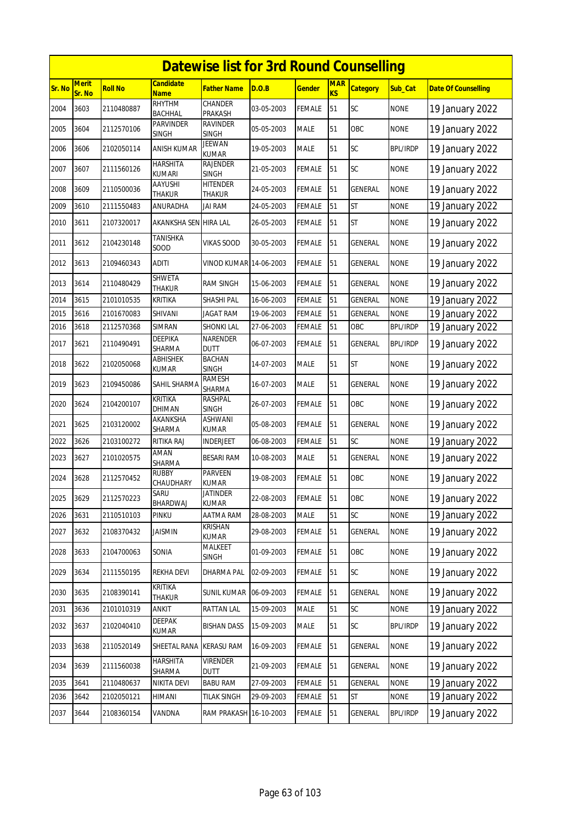|        | <b>Datewise list for 3rd Round Counselling</b> |                |                                  |                                  |            |               |                              |                 |                 |                            |  |  |
|--------|------------------------------------------------|----------------|----------------------------------|----------------------------------|------------|---------------|------------------------------|-----------------|-----------------|----------------------------|--|--|
| Sr. No | Merit<br>Sr. No                                | <b>Roll No</b> | <b>Candidate</b><br><b>Name</b>  | <b>Father Name</b>               | D.O.B      | <b>Gender</b> | <b>MAR</b><br>K <sub>S</sub> | <b>Category</b> | Sub_Cat         | <b>Date Of Counselling</b> |  |  |
| 2004   | 3603                                           | 2110480887     | RHYTHM<br><b>BACHHAL</b>         | CHANDER<br>PRAKASH               | 03-05-2003 | <b>FEMALE</b> | 51                           | <b>SC</b>       | <b>NONE</b>     | 19 January 2022            |  |  |
| 2005   | 3604                                           | 2112570106     | <b>PARVINDER</b><br><b>SINGH</b> | <b>RAVINDER</b><br><b>SINGH</b>  | 05-05-2003 | <b>MALE</b>   | 51                           | OBC             | <b>NONE</b>     | 19 January 2022            |  |  |
| 2006   | 3606                                           | 2102050114     | ANISH KUMAR                      | <b>JEEWAN</b><br><b>KUMAR</b>    | 19-05-2003 | <b>MALE</b>   | 51                           | SC              | <b>BPL/IRDP</b> | 19 January 2022            |  |  |
| 2007   | 3607                                           | 2111560126     | <b>HARSHITA</b><br><b>KUMARI</b> | RAJENDER<br><b>SINGH</b>         | 21-05-2003 | <b>FEMALE</b> | 51                           | SC              | <b>NONE</b>     | 19 January 2022            |  |  |
| 2008   | 3609                                           | 2110500036     | <b>AAYUSHI</b><br><b>THAKUR</b>  | <b>HITENDER</b><br><b>THAKUR</b> | 24-05-2003 | <b>FEMALE</b> | 51                           | <b>GENERAL</b>  | <b>NONE</b>     | 19 January 2022            |  |  |
| 2009   | 3610                                           | 2111550483     | ANURADHA                         | <b>JAI RAM</b>                   | 24-05-2003 | <b>FEMALE</b> | 51                           | <b>ST</b>       | <b>NONE</b>     | 19 January 2022            |  |  |
| 2010   | 3611                                           | 2107320017     | AKANKSHA SEN HIRA LAL            |                                  | 26-05-2003 | <b>FEMALE</b> | 51                           | <b>ST</b>       | <b>NONE</b>     | 19 January 2022            |  |  |
| 2011   | 3612                                           | 2104230148     | <b>TANISHKA</b><br>SOOD          | <b>VIKAS SOOD</b>                | 30-05-2003 | <b>FEMALE</b> | 51                           | GENERAL         | <b>NONE</b>     | 19 January 2022            |  |  |
| 2012   | 3613                                           | 2109460343     | <b>ADITI</b>                     | <b>VINOD KUMAR 14-06-2003</b>    |            | <b>FEMALE</b> | 51                           | GENERAL         | <b>NONE</b>     | 19 January 2022            |  |  |
| 2013   | 3614                                           | 2110480429     | SHWETA<br><b>THAKUR</b>          | <b>RAM SINGH</b>                 | 15-06-2003 | <b>FEMALE</b> | 51                           | GENERAL         | <b>NONE</b>     | 19 January 2022            |  |  |
| 2014   | 3615                                           | 2101010535     | KRITIKA                          | SHASHI PAL                       | 16-06-2003 | <b>FEMALE</b> | 51                           | GENERAL         | <b>NONE</b>     | 19 January 2022            |  |  |
| 2015   | 3616                                           | 2101670083     | SHIVANI                          | <b>JAGAT RAM</b>                 | 19-06-2003 | <b>FEMALE</b> | 51                           | <b>GENERAL</b>  | <b>NONE</b>     | 19 January 2022            |  |  |
| 2016   | 3618                                           | 2112570368     | <b>SIMRAN</b>                    | <b>SHONKI LAL</b>                | 27-06-2003 | <b>FEMALE</b> | 51                           | OBC             | <b>BPL/IRDP</b> | 19 January 2022            |  |  |
| 2017   | 3621                                           | 2110490491     | <b>DEEPIKA</b><br>SHARMA         | NARENDER<br><b>DUTT</b>          | 06-07-2003 | <b>FEMALE</b> | 51                           | <b>GENERAL</b>  | <b>BPL/IRDP</b> | 19 January 2022            |  |  |
| 2018   | 3622                                           | 2102050068     | <b>ABHISHEK</b><br>KUMAR         | <b>BACHAN</b><br><b>SINGH</b>    | 14-07-2003 | <b>MALE</b>   | 51                           | <b>ST</b>       | <b>NONE</b>     | 19 January 2022            |  |  |
| 2019   | 3623                                           | 2109450086     | SAHIL SHARMA                     | RAMESH<br>SHARMA                 | 16-07-2003 | <b>MALE</b>   | 51                           | GENERAL         | <b>NONE</b>     | 19 January 2022            |  |  |
| 2020   | 3624                                           | 2104200107     | <b>KRITIKA</b><br>DHIMAN         | RASHPAL<br><b>SINGH</b>          | 26-07-2003 | <b>FEMALE</b> | 51                           | OBC             | <b>NONE</b>     | 19 January 2022            |  |  |
| 2021   | 3625                                           | 2103120002     | AKANKSHA<br>SHARMA               | <b>ASHWANI</b><br>KUMAR          | 05-08-2003 | <b>FEMALE</b> | 51                           | <b>GENERAL</b>  | <b>NONE</b>     | 19 January 2022            |  |  |
| 2022   | 3626                                           | 2103100272     | RITIKA RAJ                       | INDERJEET                        | 06-08-2003 | <b>FEMALE</b> | 51                           | SC              | <b>NONE</b>     | 19 January 2022            |  |  |
| 2023   | 3627                                           | 2101020575     | AMAN<br>SHARMA                   | <b>BESARI RAM</b>                | 10-08-2003 | <b>MALE</b>   | 51                           | <b>GENERAL</b>  | <b>NONE</b>     | 19 January 2022            |  |  |
| 2024   | 3628                                           | 2112570452     | <b>RUBBY</b><br>CHAUDHARY        | PARVEEN<br><b>KUMAR</b>          | 19-08-2003 | <b>FEMALE</b> | 51                           | OBC             | <b>NONE</b>     | 19 January 2022            |  |  |
| 2025   | 3629                                           | 2112570223     | Saru<br>BHARDWAJ                 | JATINDER<br><b>KUMAR</b>         | 22-08-2003 | <b>FEMALE</b> | 51                           | OBC             | <b>NONE</b>     | 19 January 2022            |  |  |
| 2026   | 3631                                           | 2110510103     | PINKU                            | AATMA RAM                        | 28-08-2003 | MALE          | 51                           | SC              | <b>NONE</b>     | 19 January 2022            |  |  |
| 2027   | 3632                                           | 2108370432     | <b>JAISMIN</b>                   | KRISHAN<br><b>KUMAR</b>          | 29-08-2003 | <b>FEMALE</b> | 51                           | <b>GENERAL</b>  | <b>NONE</b>     | 19 January 2022            |  |  |
| 2028   | 3633                                           | 2104700063     | SONIA                            | MALKEET<br>SINGH                 | 01-09-2003 | <b>FEMALE</b> | 51                           | OBC             | <b>NONE</b>     | 19 January 2022            |  |  |
| 2029   | 3634                                           | 2111550195     | <b>REKHA DEVI</b>                | DHARMA PAL                       | 02-09-2003 | <b>FEMALE</b> | 51                           | <b>SC</b>       | <b>NONE</b>     | 19 January 2022            |  |  |
| 2030   | 3635                                           | 2108390141     | <b>KRITIKA</b><br>THAKUR         | SUNIL KUMAR 06-09-2003           |            | <b>FEMALE</b> | 51                           | GENERAL         | <b>NONE</b>     | 19 January 2022            |  |  |
| 2031   | 3636                                           | 2101010319     | ANKIT                            | RATTAN LAL                       | 15-09-2003 | <b>MALE</b>   | 51                           | SC              | <b>NONE</b>     | 19 January 2022            |  |  |
| 2032   | 3637                                           | 2102040410     | DEEPAK<br>KUMAR                  | <b>BISHAN DASS</b>               | 15-09-2003 | <b>MALE</b>   | 51                           | SC              | <b>BPL/IRDP</b> | 19 January 2022            |  |  |
| 2033   | 3638                                           | 2110520149     | SHEETAL RANA                     | <b>KERASU RAM</b>                | 16-09-2003 | <b>FEMALE</b> | 51                           | <b>GENERAL</b>  | <b>NONE</b>     | 19 January 2022            |  |  |
| 2034   | 3639                                           | 2111560038     | <b>HARSHITA</b><br>SHARMA        | <b>VIRENDER</b><br><b>DUTT</b>   | 21-09-2003 | <b>FEMALE</b> | 51                           | GENERAL         | <b>NONE</b>     | 19 January 2022            |  |  |
| 2035   | 3641                                           | 2110480637     | NIKITA DEVI                      | <b>BABU RAM</b>                  | 27-09-2003 | <b>FEMALE</b> | 51                           | <b>GENERAL</b>  | <b>NONE</b>     | 19 January 2022            |  |  |
| 2036   | 3642                                           | 2102050121     | HIMANI                           | <b>TILAK SINGH</b>               | 29-09-2003 | FEMALE        | 51                           | <b>ST</b>       | <b>NONE</b>     | 19 January 2022            |  |  |
| 2037   | 3644                                           | 2108360154     | VANDNA                           | RAM PRAKASH 16-10-2003           |            | <b>FEMALE</b> | 51                           | <b>GENERAL</b>  | <b>BPL/IRDP</b> | 19 January 2022            |  |  |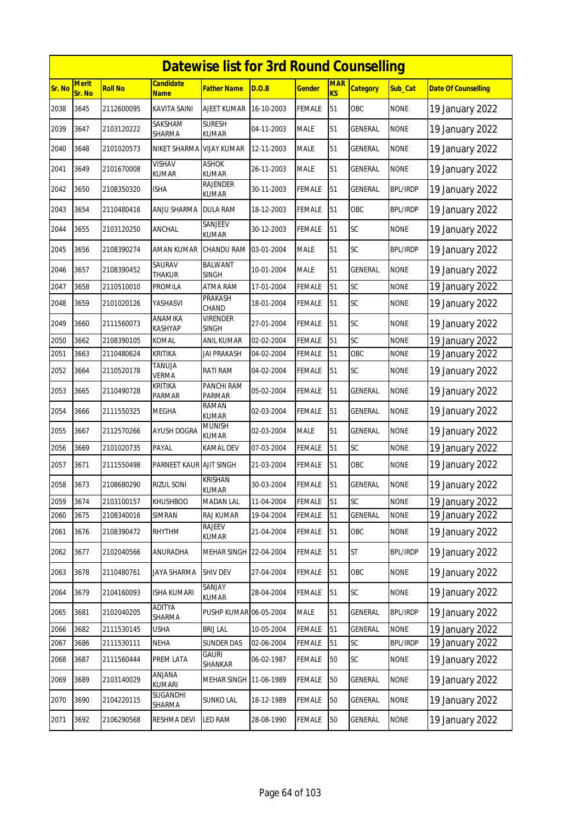|        | <b>Datewise list for 3rd Round Counselling</b><br>Merit<br><b>Candidate</b><br><b>MAR</b> |                |                           |                                |            |               |           |                 |                 |                            |  |  |  |
|--------|-------------------------------------------------------------------------------------------|----------------|---------------------------|--------------------------------|------------|---------------|-----------|-----------------|-----------------|----------------------------|--|--|--|
| Sr. No | Sr. No                                                                                    | <b>Roll No</b> | <u>Name</u>               | Father Name                    | D.O.B      | <u>Gender</u> | <b>KS</b> | <b>Category</b> | Sub_Cat         | <b>Date Of Counselling</b> |  |  |  |
| 2038   | 3645                                                                                      | 2112600095     | <b>KAVITA SAINI</b>       | AJEET KUMAR                    | 16-10-2003 | FEMALE        | 51        | OBC             | <b>NONE</b>     | 19 January 2022            |  |  |  |
| 2039   | 3647                                                                                      | 2103120222     | SAKSHAM<br>SHARMA         | <b>SURESH</b><br>KUMAR         | 04-11-2003 | MALE          | 51        | GENERAL         | <b>NONE</b>     | 19 January 2022            |  |  |  |
| 2040   | 3648                                                                                      | 2101020573     | NIKET SHARMA              | <b>VIJAY KUMAR</b>             | 12-11-2003 | <b>MALE</b>   | 51        | GENERAL         | <b>NONE</b>     | 19 January 2022            |  |  |  |
| 2041   | 3649                                                                                      | 2101670008     | VISHAV<br><b>KUMAR</b>    | <b>ASHOK</b><br>KUMAR          | 26-11-2003 | <b>MALE</b>   | 51        | <b>GENERAL</b>  | <b>NONE</b>     | 19 January 2022            |  |  |  |
| 2042   | 3650                                                                                      | 2108350320     | <b>ISHA</b>               | RAJENDER<br>KUMAR              | 30-11-2003 | FEMALE        | 51        | GENERAL         | <b>BPL/IRDP</b> | 19 January 2022            |  |  |  |
| 2043   | 3654                                                                                      | 2110480416     | ANJU SHARMA               | DULA RAM                       | 18-12-2003 | FEMALE        | 51        | OBC             | <b>BPL/IRDP</b> | 19 January 2022            |  |  |  |
| 2044   | 3655                                                                                      | 2103120250     | ANCHAL                    | SANJEEV<br>kumar               | 30-12-2003 | FEMALE        | 51        | SC              | <b>NONE</b>     | 19 January 2022            |  |  |  |
| 2045   | 3656                                                                                      | 2108390274     | AMAN KUMAR                | CHANDU RAM                     | 03-01-2004 | MALE          | 51        | SC              | <b>BPL/IRDP</b> | 19 January 2022            |  |  |  |
| 2046   | 3657                                                                                      | 2108390452     | SAURAV<br>Thakur          | <b>BALWANT</b><br><b>SINGH</b> | 10-01-2004 | <b>MALE</b>   | 51        | GENERAL         | <b>NONE</b>     | 19 January 2022            |  |  |  |
| 2047   | 3658                                                                                      | 2110510010     | PROMILA                   | ATMA RAM                       | 17-01-2004 | <b>FEMALE</b> | 51        | SC              | <b>NONE</b>     | 19 January 2022            |  |  |  |
| 2048   | 3659                                                                                      | 2101020126     | YASHASVI                  | PRAKASH<br>CHAND               | 18-01-2004 | <b>FEMALE</b> | 51        | <b>SC</b>       | <b>NONE</b>     | 19 January 2022            |  |  |  |
| 2049   | 3660                                                                                      | 2111560073     | ANAMIKA<br><b>KASHYAP</b> | <b>VIRENDER</b><br>SINGH       | 27-01-2004 | FEMALE        | 51        | SC              | <b>NONE</b>     | 19 January 2022            |  |  |  |
| 2050   | 3662                                                                                      | 2108390105     | KOMAL                     | ANIL KUMAR                     | 02-02-2004 | FEMALE        | 51        | SC              | <b>NONE</b>     | 19 January 2022            |  |  |  |
| 2051   | 3663                                                                                      | 2110480624     | KRITIKA                   | JAI PRAKASH                    | 04-02-2004 | FEMALE        | 51        | OBC             | <b>NONE</b>     | 19 January 2022            |  |  |  |
| 2052   | 3664                                                                                      | 2110520178     | TANUJA<br>VERMA           | RATI RAM                       | 04-02-2004 | FEMALE        | 51        | SC              | <b>NONE</b>     | 19 January 2022            |  |  |  |
| 2053   | 3665                                                                                      | 2110490728     | KRITIKA<br><b>PARMAR</b>  | PANCHI RAM<br>PARMAR           | 05-02-2004 | <b>FEMALE</b> | 51        | GENERAL         | <b>NONE</b>     | 19 January 2022            |  |  |  |
| 2054   | 3666                                                                                      | 2111550325     | <b>MEGHA</b>              | RAMAN<br><b>KUMAR</b>          | 02-03-2004 | <b>FEMALE</b> | 51        | GENERAL         | <b>NONE</b>     | 19 January 2022            |  |  |  |
| 2055   | 3667                                                                                      | 2112570266     | <b>AYUSH DOGRA</b>        | <b>MUNISH</b><br><b>KUMAR</b>  | 02-03-2004 | <b>MALE</b>   | 51        | <b>GENERAL</b>  | <b>NONE</b>     | 19 January 2022            |  |  |  |
| 2056   | 3669                                                                                      | 2101020735     | PAYAL                     | KAMAL DEV                      | 07-03-2004 | FEMALE        | 51        | SC              | <b>NONE</b>     | 19 January 2022            |  |  |  |
| 2057   | 3671                                                                                      | 2111550498     | PARNEET KAUR              | <b>AJIT SINGH</b>              | 21-03-2004 | FEMALE        | 51        | OBC             | <b>NONE</b>     | 19 January 2022            |  |  |  |
| 2058   | 3673                                                                                      | 2108680290     | <b>RIZUL SONI</b>         | <b>KRISHAN</b><br>KUMAR        | 30-03-2004 | <b>FEMALE</b> | 51        | <b>GENERAL</b>  | <b>NONE</b>     | 19 January 2022            |  |  |  |
| 2059   | 3674                                                                                      | 2103100157     | <b>KHUSHBOO</b>           | <b>MADAN LAL</b>               | 11-04-2004 | <b>FEMALE</b> | 51        | SC              | <b>NONE</b>     | 19 January 2022            |  |  |  |
| 2060   | 3675                                                                                      | 2108340016     | SIMRAN                    | RAJ KUMAR                      | 19-04-2004 | FEMALE        | 51        | GENERAL         | <b>NONE</b>     | 19 January 2022            |  |  |  |
| 2061   | 3676                                                                                      | 2108390472     | RHYTHM                    | RAJEEV<br>KUMAR                | 21-04-2004 | <b>FEMALE</b> | 51        | OBC             | <b>NONE</b>     | 19 January 2022            |  |  |  |
| 2062   | 3677                                                                                      | 2102040566     | ANURADHA                  | MEHAR SINGH 22-04-2004         |            | FEMALE        | 51        | ST              | <b>BPL/IRDP</b> | 19 January 2022            |  |  |  |
| 2063   | 3678                                                                                      | 2110480761     | <b>JAYA SHARMA</b>        | SHIV DEV                       | 27-04-2004 | FEMALE        | 51        | OBC             | <b>NONE</b>     | 19 January 2022            |  |  |  |
| 2064   | 3679                                                                                      | 2104160093     | ISHA KUMARI               | SANJAY<br>KUMAR                | 28-04-2004 | FEMALE        | 51        | SC              | <b>NONE</b>     | 19 January 2022            |  |  |  |
| 2065   | 3681                                                                                      | 2102040205     | ADITYA<br>SHARMA          | PUSHP KUMAR 06-05-2004         |            | MALE          | 51        | GENERAL         | <b>BPL/IRDP</b> | 19 January 2022            |  |  |  |
| 2066   | 3682                                                                                      | 2111530145     | USHA                      | <b>BRIJ LAL</b>                | 10-05-2004 | FEMALE        | 51        | GENERAL         | <b>NONE</b>     | 19 January 2022            |  |  |  |
| 2067   | 3686                                                                                      | 2111530111     | <b>NEHA</b>               | SUNDER DAS                     | 02-06-2004 | FEMALE        | 51        | SC              | <b>BPL/IRDP</b> | 19 January 2022            |  |  |  |
| 2068   | 3687                                                                                      | 2111560444     | PREM LATA                 | <b>GAURI</b><br>SHANKAR        | 06-02-1987 | <b>FEMALE</b> | 50        | <b>SC</b>       | <b>NONE</b>     | 19 January 2022            |  |  |  |
| 2069   | 3689                                                                                      | 2103140029     | ANJANA<br>KUMARI          | MEHAR SINGH                    | 11-06-1989 | <b>FEMALE</b> | 50        | GENERAL         | <b>NONE</b>     | 19 January 2022            |  |  |  |
| 2070   | 3690                                                                                      | 2104220115     | SUGANDHI<br>SHARMA        | <b>SUNKO LAL</b>               | 18-12-1989 | FEMALE        | 50        | GENERAL         | <b>NONE</b>     | 19 January 2022            |  |  |  |
| 2071   | 3692                                                                                      | 2106290568     | RESHMA DEVI               | LED RAM                        | 28-08-1990 | FEMALE        | 50        | GENERAL         | <b>NONE</b>     | 19 January 2022            |  |  |  |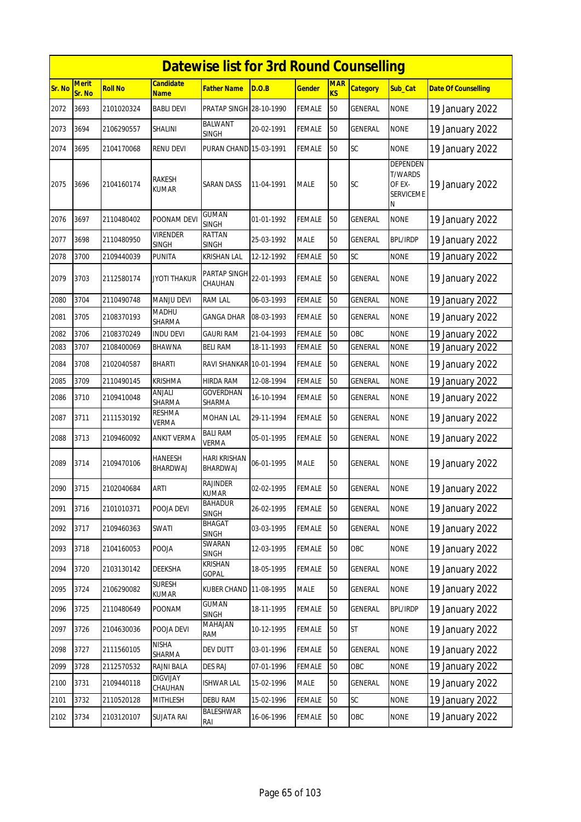|        | <b>Datewise list for 3rd Round Counselling</b> |                |                                 |                                 |            |               |                         |                 |                                                                      |                            |  |  |
|--------|------------------------------------------------|----------------|---------------------------------|---------------------------------|------------|---------------|-------------------------|-----------------|----------------------------------------------------------------------|----------------------------|--|--|
| Sr. No | <b>Merit</b><br>Sr. No                         | <b>Roll No</b> | <b>Candidate</b><br><b>Name</b> | Father Name                     | D.O.B      | <b>Gender</b> | <b>MAR</b><br><b>KS</b> | <b>Category</b> | Sub_Cat                                                              | <b>Date Of Counselling</b> |  |  |
| 2072   | 3693                                           | 2101020324     | <b>BABLI DEVI</b>               | PRATAP SINGH 28-10-1990         |            | <b>FEMALE</b> | 50                      | GENERAL         | <b>NONE</b>                                                          | 19 January 2022            |  |  |
| 2073   | 3694                                           | 2106290557     | SHALINI                         | BALWANT<br><b>SINGH</b>         | 20-02-1991 | <b>FEMALE</b> | 50                      | GENERAL         | <b>NONE</b>                                                          | 19 January 2022            |  |  |
| 2074   | 3695                                           | 2104170068     | RENU DEVI                       | PURAN CHAND 15-03-1991          |            | <b>FEMALE</b> | 50                      | SC              | <b>NONE</b>                                                          | 19 January 2022            |  |  |
| 2075   | 3696                                           | 2104160174     | RAKESH<br>KUMAR                 | SARAN DASS                      | 11-04-1991 | <b>MALE</b>   | 50                      | <b>SC</b>       | <b>DEPENDEN</b><br><b>T/WARDS</b><br>OF EX-<br><b>SERVICEME</b><br>N | 19 January 2022            |  |  |
| 2076   | 3697                                           | 2110480402     | POONAM DEVI                     | <b>GUMAN</b><br><b>SINGH</b>    | 01-01-1992 | <b>FEMALE</b> | 50                      | GENERAL         | <b>NONE</b>                                                          | 19 January 2022            |  |  |
| 2077   | 3698                                           | 2110480950     | VIRENDER<br><b>SINGH</b>        | RATTAN<br><b>SINGH</b>          | 25-03-1992 | <b>MALE</b>   | 50                      | <b>GENERAL</b>  | <b>BPL/IRDP</b>                                                      | 19 January 2022            |  |  |
| 2078   | 3700                                           | 2109440039     | PUNITA                          | KRISHAN LAL                     | 12-12-1992 | <b>FEMALE</b> | 50                      | SC              | <b>NONE</b>                                                          | 19 January 2022            |  |  |
| 2079   | 3703                                           | 2112580174     | JYOTI THAKUR                    | PARTAP SINGH<br>CHAUHAN         | 22-01-1993 | <b>FEMALE</b> | 50                      | GENERAL         | <b>NONE</b>                                                          | 19 January 2022            |  |  |
| 2080   | 3704                                           | 2110490748     | MANJU DEVI                      | RAM LAL                         | 06-03-1993 | <b>FEMALE</b> | 50                      | <b>GENERAL</b>  | <b>NONE</b>                                                          | 19 January 2022            |  |  |
| 2081   | 3705                                           | 2108370193     | MADHU<br>SHARMA                 | GANGA DHAR                      | 08-03-1993 | <b>FEMALE</b> | 50                      | GENERAL         | <b>NONE</b>                                                          | 19 January 2022            |  |  |
| 2082   | 3706                                           | 2108370249     | INDU DEVI                       | <b>GAURI RAM</b>                | 21-04-1993 | <b>FEMALE</b> | 50                      | OBC             | <b>NONE</b>                                                          | 19 January 2022            |  |  |
| 2083   | 3707                                           | 2108400069     | BHAWNA                          | BELI RAM                        | 18-11-1993 | FEMALE        | 50                      | GENERAL         | <b>NONE</b>                                                          | 19 January 2022            |  |  |
| 2084   | 3708                                           | 2102040587     | BHARTI                          | RAVI SHANKAR 10-01-1994         |            | <b>FEMALE</b> | 50                      | GENERAL         | <b>NONE</b>                                                          | 19 January 2022            |  |  |
| 2085   | 3709                                           | 2110490145     | Krishma                         | HIRDA RAM                       | 12-08-1994 | <b>FEMALE</b> | 50                      | <b>GENERAL</b>  | <b>NONE</b>                                                          | 19 January 2022            |  |  |
| 2086   | 3710                                           | 2109410048     | anjali<br>SHARMA                | GOVERDHAN<br>SHARMA             | 16-10-1994 | <b>FEMALE</b> | 50                      | GENERAL         | <b>NONE</b>                                                          | 19 January 2022            |  |  |
| 2087   | 3711                                           | 2111530192     | <b>RESHMA</b><br><b>VERMA</b>   | MOHAN LAL                       | 29-11-1994 | <b>FEMALE</b> | 50                      | GENERAL         | <b>NONE</b>                                                          | 19 January 2022            |  |  |
| 2088   | 3713                                           | 2109460092     | <b>ANKIT VERMA</b>              | <b>BALI RAM</b><br><b>VERMA</b> | 05-01-1995 | <b>FEMALE</b> | 50                      | <b>GENERAL</b>  | <b>NONE</b>                                                          | 19 January 2022            |  |  |
| 2089   | 3714                                           | 2109470106     | HANEESH<br>BHARDWAJ             | HARI KRISHAN<br>BHARDWAJ        | 06-01-1995 | <b>MALE</b>   | 50                      | GENERAL         | <b>NONE</b>                                                          | 19 January 2022            |  |  |
| 2090   | 3715                                           | 2102040684     | ARTI                            | RAJINDER<br>KUMAR               | 02-02-1995 | <b>FEMALE</b> | 50                      | <b>GENERAL</b>  | <b>NONE</b>                                                          | 19 January 2022            |  |  |
| 2091   | 3716                                           | 2101010371     | POOJA DEVI                      | <b>BAHADUR</b><br><b>SINGH</b>  | 26-02-1995 | <b>FEMALE</b> | 50                      | <b>GENERAL</b>  | <b>NONE</b>                                                          | 19 January 2022            |  |  |
| 2092   | 3717                                           | 2109460363     | <b>SWATI</b>                    | BHAGAT<br><b>SINGH</b>          | 03-03-1995 | <b>FEMALE</b> | 50                      | <b>GENERAL</b>  | <b>NONE</b>                                                          | 19 January 2022            |  |  |
| 2093   | 3718                                           | 2104160053     | <b>POOJA</b>                    | SWARAN<br><b>SINGH</b>          | 12-03-1995 | <b>FEMALE</b> | 50                      | OBC             | <b>NONE</b>                                                          | 19 January 2022            |  |  |
| 2094   | 3720                                           | 2103130142     | DEEKSHA                         | KRISHAN<br>GOPAL                | 18-05-1995 | <b>FEMALE</b> | 50                      | GENERAL         | <b>NONE</b>                                                          | 19 January 2022            |  |  |
| 2095   | 3724                                           | 2106290082     | <b>SURESH</b><br>KUMAR          | KUBER CHAND                     | 11-08-1995 | <b>MALE</b>   | 50                      | GENERAL         | <b>NONE</b>                                                          | 19 January 2022            |  |  |
| 2096   | 3725                                           | 2110480649     | POONAM                          | GUMAN<br><b>SINGH</b>           | 18-11-1995 | <b>FEMALE</b> | 50                      | GENERAL         | <b>BPL/IRDP</b>                                                      | 19 January 2022            |  |  |
| 2097   | 3726                                           | 2104630036     | POOJA DEVI                      | MAHAJAN<br>RAM                  | 10-12-1995 | <b>FEMALE</b> | 50                      | <b>ST</b>       | <b>NONE</b>                                                          | 19 January 2022            |  |  |
| 2098   | 3727                                           | 2111560105     | <b>NISHA</b><br>SHARMA          | DEV DUTT                        | 03-01-1996 | <b>FEMALE</b> | 50                      | <b>GENERAL</b>  | <b>NONE</b>                                                          | 19 January 2022            |  |  |
| 2099   | 3728                                           | 2112570532     | RAJNI BALA                      | <b>DES RAJ</b>                  | 07-01-1996 | FEMALE        | 50                      | OBC             | <b>NONE</b>                                                          | 19 January 2022            |  |  |
| 2100   | 3731                                           | 2109440118     | <b>DIGVIJAY</b><br>CHAUHAN      | <b>ISHWAR LAL</b>               | 15-02-1996 | <b>MALE</b>   | 50                      | <b>GENERAL</b>  | <b>NONE</b>                                                          | 19 January 2022            |  |  |
| 2101   | 3732                                           | 2110520128     | MITHLESH                        | DEBU RAM                        | 15-02-1996 | <b>FEMALE</b> | 50                      | SC              | <b>NONE</b>                                                          | 19 January 2022            |  |  |
| 2102   | 3734                                           | 2103120107     | SUJATA RAI                      | BALESHWAR<br>RAI                | 16-06-1996 | <b>FEMALE</b> | 50                      | OBC             | <b>NONE</b>                                                          | 19 January 2022            |  |  |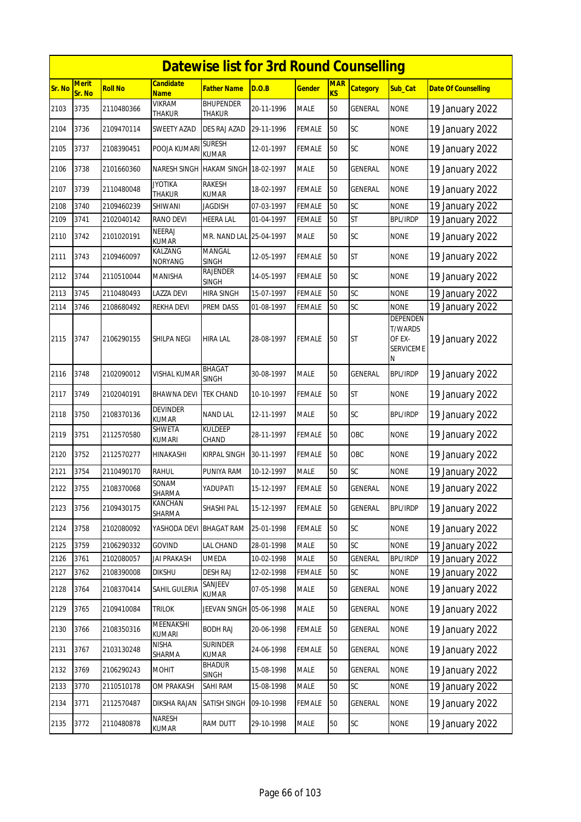|        | <b>Datewise list for 3rd Round Counselling</b> |                |                                     |                                   |            |               |                              |                 |                                                                      |                            |  |  |
|--------|------------------------------------------------|----------------|-------------------------------------|-----------------------------------|------------|---------------|------------------------------|-----------------|----------------------------------------------------------------------|----------------------------|--|--|
| Sr. No | <b>Merit</b><br>Sr. No                         | <b>Roll No</b> | <b>Candidate</b><br><b>Name</b>     | <b>Father Name</b>                | D.O.B      | <b>Gender</b> | <b>MAR</b><br>K <sub>S</sub> | <b>Category</b> | Sub Cat                                                              | <b>Date Of Counselling</b> |  |  |
| 2103   | 3735                                           | 2110480366     | <b>VIKRAM</b><br>THAKUR             | <b>BHUPENDER</b><br><b>THAKUR</b> | 20-11-1996 | <b>MALE</b>   | 50                           | GENERAL         | <b>NONE</b>                                                          | 19 January 2022            |  |  |
| 2104   | 3736                                           | 2109470114     | SWEETY AZAD                         | DES RAJ AZAD                      | 29-11-1996 | <b>FEMALE</b> | 50                           | SC              | <b>NONE</b>                                                          | 19 January 2022            |  |  |
| 2105   | 3737                                           | 2108390451     | POOJA KUMARI                        | <b>SURESH</b><br>KUMAR            | 12-01-1997 | <b>FEMALE</b> | 50                           | SC              | <b>NONE</b>                                                          | 19 January 2022            |  |  |
| 2106   | 3738                                           | 2101660360     | NARESH SINGH HAKAM SINGH 18-02-1997 |                                   |            | <b>MALE</b>   | 50                           | <b>GENERAL</b>  | <b>NONE</b>                                                          | 19 January 2022            |  |  |
| 2107   | 3739                                           | 2110480048     | <b>JYOTIKA</b><br>THAKUR            | <b>RAKESH</b><br><b>KUMAR</b>     | 18-02-1997 | <b>FEMALE</b> | 50                           | GENERAL         | <b>NONE</b>                                                          | 19 January 2022            |  |  |
| 2108   | 3740                                           | 2109460239     | SHIWANI                             | <b>JAGDISH</b>                    | 07-03-1997 | <b>FEMALE</b> | 50                           | SC              | <b>NONE</b>                                                          | 19 January 2022            |  |  |
| 2109   | 3741                                           | 2102040142     | RANO DEVI                           | <b>HEERA LAL</b>                  | 01-04-1997 | <b>FEMALE</b> | 50                           | <b>ST</b>       | <b>BPL/IRDP</b>                                                      | 19 January 2022            |  |  |
| 2110   | 3742                                           | 2101020191     | <b>NEERAJ</b><br><b>KUMAR</b>       | MR. NAND LAL 25-04-1997           |            | <b>MALE</b>   | 50                           | SC              | <b>NONE</b>                                                          | 19 January 2022            |  |  |
| 2111   | 3743                                           | 2109460097     | KALZANG<br><b>NORYANG</b>           | <b>MANGAL</b><br><b>SINGH</b>     | 12-05-1997 | <b>FEMALE</b> | 50                           | <b>ST</b>       | <b>NONE</b>                                                          | 19 January 2022            |  |  |
| 2112   | 3744                                           | 2110510044     | MANISHA                             | <b>RAJENDER</b><br><b>SINGH</b>   | 14-05-1997 | <b>FEMALE</b> | 50                           | SC              | <b>NONE</b>                                                          | 19 January 2022            |  |  |
| 2113   | 3745                                           | 2110480493     | <b>LAZZA DEVI</b>                   | <b>HIRA SINGH</b>                 | 15-07-1997 | <b>FEMALE</b> | 50                           | SC              | <b>NONE</b>                                                          | 19 January 2022            |  |  |
| 2114   | 3746                                           | 2108680492     | REKHA DEVI                          | PREM DASS                         | 01-08-1997 | FEMALE        | 50                           | SC              | <b>NONE</b>                                                          | 19 January 2022            |  |  |
| 2115   | 3747                                           | 2106290155     | SHILPA NEGI                         | <b>HIRA LAL</b>                   | 28-08-1997 | <b>FEMALE</b> | 50                           | <b>ST</b>       | <b>DEPENDEN</b><br><b>T/WARDS</b><br>OF EX-<br><b>SERVICEME</b><br>Ν | 19 January 2022            |  |  |
| 2116   | 3748                                           | 2102090012     | <b>VISHAL KUMAR</b>                 | <b>BHAGAT</b><br><b>SINGH</b>     | 30-08-1997 | <b>MALE</b>   | 50                           | <b>GENERAL</b>  | <b>BPL/IRDP</b>                                                      | 19 January 2022            |  |  |
| 2117   | 3749                                           | 2102040191     | <b>BHAWNA DEVI</b>                  | <b>TEK CHAND</b>                  | 10-10-1997 | <b>FEMALE</b> | 50                           | <b>ST</b>       | <b>NONE</b>                                                          | 19 January 2022            |  |  |
| 2118   | 3750                                           | 2108370136     | <b>DEVINDER</b><br><b>KUMAR</b>     | <b>NAND LAL</b>                   | 12-11-1997 | <b>MALE</b>   | 50                           | SC              | <b>BPL/IRDP</b>                                                      | 19 January 2022            |  |  |
| 2119   | 3751                                           | 2112570580     | SHWETA<br>kumari                    | <b>KULDEEP</b><br>CHAND           | 28-11-1997 | <b>FEMALE</b> | 50                           | OBC             | <b>NONE</b>                                                          | 19 January 2022            |  |  |
| 2120   | 3752                                           | 2112570277     | HINAKASHI                           | <b>KIRPAL SINGH</b>               | 30-11-1997 | <b>FEMALE</b> | 50                           | OBC             | <b>NONE</b>                                                          | 19 January 2022            |  |  |
| 2121   | 3754                                           | 2110490170     | RAHUL                               | PUNIYA RAM                        | 10-12-1997 | <b>MALE</b>   | 50                           | SC              | <b>NONE</b>                                                          | 19 January 2022            |  |  |
| 2122   | 3755                                           | 2108370068     | SONAM<br>SHARMA                     | YADUPATI                          | 15-12-1997 | <b>FEMALE</b> | 50                           | <b>GENERAL</b>  | <b>NONE</b>                                                          | 19 January 2022            |  |  |
| 2123   | 3756                                           | 2109430175     | KANCHAN<br>SHARMA                   | SHASHI PAL                        | 15-12-1997 | <b>FEMALE</b> | 50                           | GENERAL         | <b>BPL/IRDP</b>                                                      | 19 January 2022            |  |  |
| 2124   | 3758                                           | 2102080092     | YASHODA DEVI                        | <b>BHAGAT RAM</b>                 | 25-01-1998 | FEMALE        | 50                           | SC              | <b>NONE</b>                                                          | 19 January 2022            |  |  |
| 2125   | 3759                                           | 2106290332     | GOVIND                              | LAL CHAND                         | 28-01-1998 | <b>MALE</b>   | 50                           | SC              | <b>NONE</b>                                                          | 19 January 2022            |  |  |
| 2126   | 3761                                           | 2102080057     | <b>JAI PRAKASH</b>                  | <b>UMEDA</b>                      | 10-02-1998 | <b>MALE</b>   | 50                           | <b>GENERAL</b>  | <b>BPL/IRDP</b>                                                      | 19 January 2022            |  |  |
| 2127   | 3762                                           | 2108390008     | <b>DIKSHU</b>                       | <b>DESH RAJ</b>                   | 12-02-1998 | <b>FEMALE</b> | 50                           | SC              | <b>NONE</b>                                                          | 19 January 2022            |  |  |
| 2128   | 3764                                           | 2108370414     | SAHIL GULERIA                       | SANJEEV<br>KUMAR                  | 07-05-1998 | <b>MALE</b>   | 50                           | GENERAL         | <b>NONE</b>                                                          | 19 January 2022            |  |  |
| 2129   | 3765                                           | 2109410084     | Trilok                              | JEEVAN SINGH 05-06-1998           |            | <b>MALE</b>   | 50                           | GENERAL         | <b>NONE</b>                                                          | 19 January 2022            |  |  |
| 2130   | 3766                                           | 2108350316     | MEENAKSHI<br>KUMARI                 | <b>BODH RAJ</b>                   | 20-06-1998 | <b>FEMALE</b> | 50                           | GENERAL         | <b>NONE</b>                                                          | 19 January 2022            |  |  |
| 2131   | 3767                                           | 2103130248     | NISHA<br>SHARMA                     | <b>SURINDER</b><br>KUMAR          | 24-06-1998 | <b>FEMALE</b> | 50                           | GENERAL         | <b>NONE</b>                                                          | 19 January 2022            |  |  |
| 2132   | 3769                                           | 2106290243     | <b>MOHIT</b>                        | <b>BHADUR</b><br>SINGH            | 15-08-1998 | <b>MALE</b>   | 50                           | <b>GENERAL</b>  | <b>NONE</b>                                                          | 19 January 2022            |  |  |
| 2133   | 3770                                           | 2110510178     | OM PRAKASH                          | SAHI RAM                          | 15-08-1998 | MALE          | 50                           | SC              | <b>NONE</b>                                                          | 19 January 2022            |  |  |
| 2134   | 3771                                           | 2112570487     | DIKSHA RAJAN                        | SATISH SINGH                      | 09-10-1998 | <b>FEMALE</b> | 50                           | GENERAL         | <b>NONE</b>                                                          | 19 January 2022            |  |  |
| 2135   | 3772                                           | 2110480878     | NARESH<br>KUMAR                     | RAM DUTT                          | 29-10-1998 | MALE          | 50                           | SC              | <b>NONE</b>                                                          | 19 January 2022            |  |  |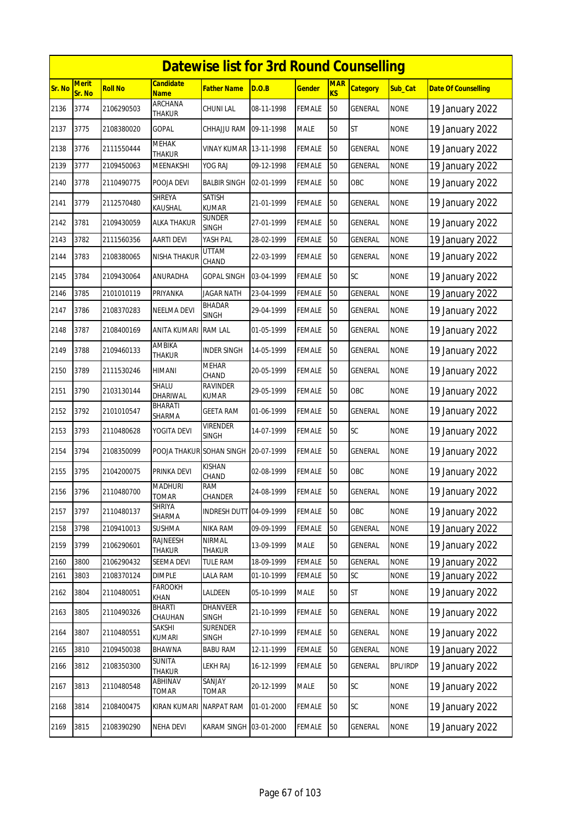|        | <b>Datewise list for 3rd Round Counselling</b> |            |                                |                                 |            |               |                  |                 |                 |                            |  |  |
|--------|------------------------------------------------|------------|--------------------------------|---------------------------------|------------|---------------|------------------|-----------------|-----------------|----------------------------|--|--|
| Sr. No | <b>Merit</b><br>Sr. No                         | Roll No    | Candidate<br><b>Name</b>       | <b>Father Name</b>              | D.O.B      | <b>Gender</b> | <b>MAR</b><br>KS | <b>Category</b> | Sub_Cat         | <b>Date Of Counselling</b> |  |  |
| 2136   | 3774                                           | 2106290503 | ARCHANA<br><b>THAKUR</b>       | CHUNI LAL                       | 08-11-1998 | FEMALE        | 50               | GENERAL         | <b>NONE</b>     | 19 January 2022            |  |  |
| 2137   | 3775                                           | 2108380020 | GOPAL                          | CHHAJJU RAM                     | 09-11-1998 | MALE          | 50               | <b>ST</b>       | <b>NONE</b>     | 19 January 2022            |  |  |
| 2138   | 3776                                           | 2111550444 | <b>MEHAK</b><br><b>THAKUR</b>  | VINAY KUMAR                     | 13-11-1998 | FEMALE        | 50               | <b>GENERAL</b>  | <b>NONE</b>     | 19 January 2022            |  |  |
| 2139   | 3777                                           | 2109450063 | MEENAKSHI                      | YOG RAJ                         | 09-12-1998 | FEMALE        | 50               | <b>GENERAL</b>  | <b>NONE</b>     | 19 January 2022            |  |  |
| 2140   | 3778                                           | 2110490775 | POOJA DEVI                     | BALBIR SINGH                    | 02-01-1999 | <b>FEMALE</b> | 50               | OBC             | <b>NONE</b>     | 19 January 2022            |  |  |
| 2141   | 3779                                           | 2112570480 | <b>SHREYA</b><br>KAUSHAL       | SATISH<br>KUMAR                 | 21-01-1999 | FEMALE        | 50               | GENERAL         | <b>NONE</b>     | 19 January 2022            |  |  |
| 2142   | 3781                                           | 2109430059 | ALKA THAKUR                    | <b>SUNDER</b><br><b>SINGH</b>   | 27-01-1999 | FEMALE        | 50               | GENERAL         | <b>NONE</b>     | 19 January 2022            |  |  |
| 2143   | 3782                                           | 2111560356 | <b>AARTI DEVI</b>              | YASH PAL                        | 28-02-1999 | <b>FEMALE</b> | 50               | <b>GENERAL</b>  | <b>NONE</b>     | 19 January 2022            |  |  |
| 2144   | 3783                                           | 2108380065 | NISHA THAKUR                   | UTTAM<br>CHAND                  | 22-03-1999 | FEMALE        | 50               | GENERAL         | <b>NONE</b>     | 19 January 2022            |  |  |
| 2145   | 3784                                           | 2109430064 | ANURADHA                       | GOPAL SINGH                     | 03-04-1999 | FEMALE        | 50               | SC              | <b>NONE</b>     | 19 January 2022            |  |  |
| 2146   | 3785                                           | 2101010119 | PRIYANKA                       | <b>JAGAR NATH</b>               | 23-04-1999 | FEMALE        | 50               | <b>GENERAL</b>  | <b>NONE</b>     | 19 January 2022            |  |  |
| 2147   | 3786                                           | 2108370283 | NEELMA DEVI                    | <b>BHADAR</b><br><b>SINGH</b>   | 29-04-1999 | FEMALE        | 50               | GENERAL         | <b>NONE</b>     | 19 January 2022            |  |  |
| 2148   | 3787                                           | 2108400169 | ANITA KUMARI                   | <b>RAM LAL</b>                  | 01-05-1999 | FEMALE        | 50               | GENERAL         | <b>NONE</b>     | 19 January 2022            |  |  |
| 2149   | 3788                                           | 2109460133 | AMBIKA<br>THAKUR               | <b>INDER SINGH</b>              | 14-05-1999 | FEMALE        | 50               | GENERAL         | <b>NONE</b>     | 19 January 2022            |  |  |
| 2150   | 3789                                           | 2111530246 | HIMANI                         | MEHAR<br>CHAND                  | 20-05-1999 | FEMALE        | 50               | GENERAL         | <b>NONE</b>     | 19 January 2022            |  |  |
| 2151   | 3790                                           | 2103130144 | SHALU<br>DHARIWAL              | <b>RAVINDER</b><br><b>KUMAR</b> | 29-05-1999 | <b>FEMALE</b> | 50               | OBC             | <b>NONE</b>     | 19 January 2022            |  |  |
| 2152   | 3792                                           | 2101010547 | BHARATI<br>SHARMA              | GEETA RAM                       | 01-06-1999 | <b>FEMALE</b> | 50               | GENERAL         | <b>NONE</b>     | 19 January 2022            |  |  |
| 2153   | 3793                                           | 2110480628 | YOGITA DEVI                    | <b>VIRENDER</b><br><b>SINGH</b> | 14-07-1999 | FEMALE        | 50               | <b>SC</b>       | <b>NONE</b>     | 19 January 2022            |  |  |
| 2154   | 3794                                           | 2108350099 | POOJA THAKUR SOHAN SINGH       |                                 | 20-07-1999 | FEMALE        | 50               | GENERAL         | <b>NONE</b>     | 19 January 2022            |  |  |
| 2155   | 3795                                           | 2104200075 | PRINKA DEVI                    | <b>KISHAN</b><br>CHAND          | 02-08-1999 | <b>FEMALE</b> | 50               | OBC             | <b>NONE</b>     | 19 January 2022            |  |  |
| 2156   | 3796                                           | 2110480700 | <b>MADHURI</b><br><b>TOMAR</b> | <b>RAM</b><br><b>CHANDER</b>    | 24-08-1999 | FEMALE        | 50               | GENERAL         | <b>NONE</b>     | 19 January 2022            |  |  |
| 2157   | 3797                                           | 2110480137 | SHRIYA<br>SHARMA               | <b>INDRESH DUTT 04-09-1999</b>  |            | <b>FEMALE</b> | 50               | OBC             | <b>NONE</b>     | 19 January 2022            |  |  |
| 2158   | 3798                                           | 2109410013 | SUSHMA                         | NIKA RAM                        | 09-09-1999 | FEMALE        | 50               | GENERAL         | <b>NONE</b>     | 19 January 2022            |  |  |
| 2159   | 3799                                           | 2106290601 | <b>RAJNEESH</b><br>THAKUR      | NIRMAL<br>THAKUR                | 13-09-1999 | MALE          | 50               | GENERAL         | <b>NONE</b>     | 19 January 2022            |  |  |
| 2160   | 3800                                           | 2106290432 | SEEMA DEVI                     | <b>TULE RAM</b>                 | 18-09-1999 | <b>FEMALE</b> | 50               | <b>GENERAL</b>  | <b>NONE</b>     | 19 January 2022            |  |  |
| 2161   | 3803                                           | 2108370124 | <b>DIMPLE</b>                  | LALA RAM                        | 01-10-1999 | FEMALE        | 50               | SC              | <b>NONE</b>     | 19 January 2022            |  |  |
| 2162   | 3804                                           | 2110480051 | <b>FAROOKH</b><br>KHAN         | LALDEEN                         | 05-10-1999 | MALE          | 50               | ST              | <b>NONE</b>     | 19 January 2022            |  |  |
| 2163   | 3805                                           | 2110490326 | <b>BHARTI</b><br>CHAUHAN       | DHANVEER<br><b>SINGH</b>        | 21-10-1999 | FEMALE        | 50               | GENERAL         | <b>NONE</b>     | 19 January 2022            |  |  |
| 2164   | 3807                                           | 2110480551 | SAKSHI<br>KUMARI               | <b>SURENDER</b><br><b>SINGH</b> | 27-10-1999 | <b>FEMALE</b> | 50               | GENERAL         | <b>NONE</b>     | 19 January 2022            |  |  |
| 2165   | 3810                                           | 2109450038 | <b>BHAWNA</b>                  | <b>BABU RAM</b>                 | 12-11-1999 | FEMALE        | 50               | GENERAL         | <b>NONE</b>     | 19 January 2022            |  |  |
| 2166   | 3812                                           | 2108350300 | <b>SUNITA</b><br><b>THAKUR</b> | LEKH RAJ                        | 16-12-1999 | <b>FEMALE</b> | 50               | GENERAL         | <b>BPL/IRDP</b> | 19 January 2022            |  |  |
| 2167   | 3813                                           | 2110480548 | ABHINAV<br>TOMAR               | SANJAY<br>TOMAR                 | 20-12-1999 | MALE          | 50               | SC              | <b>NONE</b>     | 19 January 2022            |  |  |
| 2168   | 3814                                           | 2108400475 | KIRAN KUMARI                   | <b>NARPAT RAM</b>               | 01-01-2000 | <b>FEMALE</b> | 50               | <b>SC</b>       | <b>NONE</b>     | 19 January 2022            |  |  |
| 2169   | 3815                                           | 2108390290 | NEHA DEVI                      | KARAM SINGH 03-01-2000          |            | <b>FEMALE</b> | 50               | GENERAL         | <b>NONE</b>     | 19 January 2022            |  |  |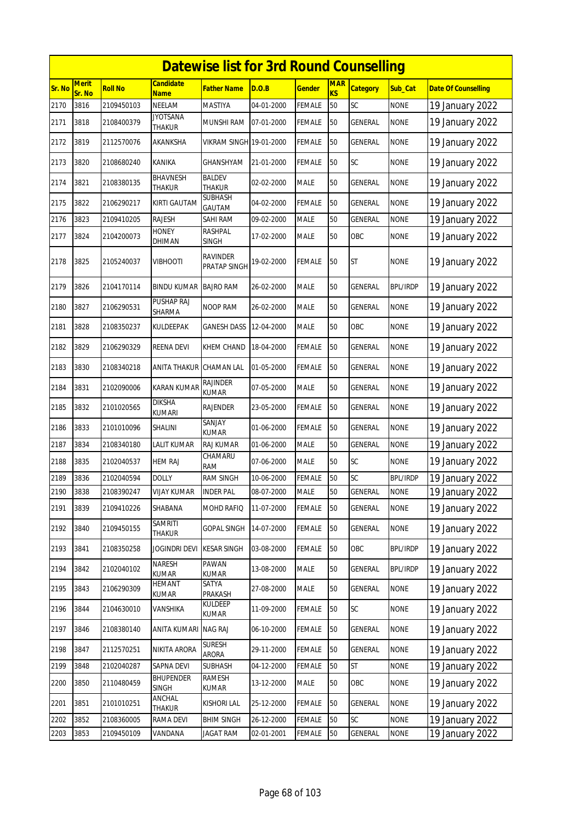|               | <b>Datewise list for 3rd Round Counselling</b><br><b>Merit</b><br><b>Candidate</b><br><b>MAR</b> |                |                                  |                                 |            |               |    |                 |                 |                            |  |  |  |
|---------------|--------------------------------------------------------------------------------------------------|----------------|----------------------------------|---------------------------------|------------|---------------|----|-----------------|-----------------|----------------------------|--|--|--|
| <b>Sr. No</b> | Sr. No                                                                                           | <b>Roll No</b> | <b>Name</b>                      | Father Name                     | D.O.B      | <u>Gender</u> | KS | <b>Category</b> | Sub_Cat         | <b>Date Of Counselling</b> |  |  |  |
| 2170          | 3816                                                                                             | 2109450103     | NEELAM                           | MASTIYA                         | 04-01-2000 | <b>FEMALE</b> | 50 | SC              | <b>NONE</b>     | 19 January 2022            |  |  |  |
| 2171          | 3818                                                                                             | 2108400379     | JYOTSANA<br><b>THAKUR</b>        | MUNSHI RAM                      | 07-01-2000 | FEMALE        | 50 | <b>GENERAL</b>  | <b>NONE</b>     | 19 January 2022            |  |  |  |
| 2172          | 3819                                                                                             | 2112570076     | AKANKSHA                         | VIKRAM SINGH 19-01-2000         |            | FEMALE        | 50 | <b>GENERAL</b>  | <b>NONE</b>     | 19 January 2022            |  |  |  |
| 2173          | 3820                                                                                             | 2108680240     | KANIKA                           | GHANSHYAM                       | 21-01-2000 | FEMALE        | 50 | <b>SC</b>       | <b>NONE</b>     | 19 January 2022            |  |  |  |
| 2174          | 3821                                                                                             | 2108380135     | BHAVNESH<br>THAKUR               | BALDEV<br><b>THAKUR</b>         | 02-02-2000 | <b>MALE</b>   | 50 | GENERAL         | <b>NONE</b>     | 19 January 2022            |  |  |  |
| 2175          | 3822                                                                                             | 2106290217     | <b>KIRTI GAUTAM</b>              | <b>SUBHASH</b><br>GAUTAM        | 04-02-2000 | FEMALE        | 50 | <b>GENERAL</b>  | <b>NONE</b>     | 19 January 2022            |  |  |  |
| 2176          | 3823                                                                                             | 2109410205     | RAJESH                           | SAHI RAM                        | 09-02-2000 | MALE          | 50 | <b>GENERAL</b>  | <b>NONE</b>     | 19 January 2022            |  |  |  |
| 2177          | 3824                                                                                             | 2104200073     | HONEY<br>DHIMAN                  | <b>RASHPAL</b><br>SINGH         | 17-02-2000 | MALE          | 50 | OBC             | <b>NONE</b>     | 19 January 2022            |  |  |  |
| 2178          | 3825                                                                                             | 2105240037     | VIBHOOTI                         | <b>RAVINDER</b><br>PRATAP SINGH | 19-02-2000 | FEMALE        | 50 | ST              | <b>NONE</b>     | 19 January 2022            |  |  |  |
| 2179          | 3826                                                                                             | 2104170114     | BINDU KUMAR                      | <b>BAJRO RAM</b>                | 26-02-2000 | <b>MALE</b>   | 50 | <b>GENERAL</b>  | <b>BPL/IRDP</b> | 19 January 2022            |  |  |  |
| 2180          | 3827                                                                                             | 2106290531     | PUSHAP RAJ<br>SHARMA             | NOOP RAM                        | 26-02-2000 | MALE          | 50 | <b>GENERAL</b>  | <b>NONE</b>     | 19 January 2022            |  |  |  |
| 2181          | 3828                                                                                             | 2108350237     | KULDEEPAK                        | GANESH DASS                     | 12-04-2000 | <b>MALE</b>   | 50 | OBC             | <b>NONE</b>     | 19 January 2022            |  |  |  |
| 2182          | 3829                                                                                             | 2106290329     | REENA DEVI                       | KHEM CHAND                      | 18-04-2000 | FEMALE        | 50 | GENERAL         | <b>NONE</b>     | 19 January 2022            |  |  |  |
| 2183          | 3830                                                                                             | 2108340218     | <b>ANITA THAKUR</b>              | <b>CHAMAN LAL</b>               | 01-05-2000 | <b>FEMALE</b> | 50 | <b>GENERAL</b>  | <b>NONE</b>     | 19 January 2022            |  |  |  |
| 2184          | 3831                                                                                             | 2102090006     | KARAN KUMAR                      | RAJINDER<br>KUMAR               | 07-05-2000 | <b>MALE</b>   | 50 | GENERAL         | <b>NONE</b>     | 19 January 2022            |  |  |  |
| 2185          | 3832                                                                                             | 2101020565     | DIKSHA<br><b>KUMARI</b>          | RAJENDER                        | 23-05-2000 | FEMALE        | 50 | GENERAL         | <b>NONE</b>     | 19 January 2022            |  |  |  |
| 2186          | 3833                                                                                             | 2101010096     | SHALINI                          | SANJAY<br>KUMAR                 | 01-06-2000 | FEMALE        | 50 | GENERAL         | <b>NONE</b>     | 19 January 2022            |  |  |  |
| 2187          | 3834                                                                                             | 2108340180     | <b>LALIT KUMAR</b>               | <b>RAJ KUMAR</b>                | 01-06-2000 | <b>MALE</b>   | 50 | <b>GENERAL</b>  | <b>NONE</b>     | 19 January 2022            |  |  |  |
| 2188          | 3835                                                                                             | 2102040537     | <b>HEM RAJ</b>                   | CHAMARU<br>RAM                  | 07-06-2000 | <b>MALE</b>   | 50 | SC              | <b>NONE</b>     | 19 January 2022            |  |  |  |
| 2189          | 3836                                                                                             | 2102040594     | <b>DOLLY</b>                     | <b>RAM SINGH</b>                | 10-06-2000 | <b>FEMALE</b> | 50 | SC              | <b>BPL/IRDP</b> | 19 January 2022            |  |  |  |
| 2190          | 3838                                                                                             | 2108390247     | <b>VIJAY KUMAR</b>               | <b>INDER PAL</b>                | 08-07-2000 | <b>MALE</b>   | 50 | <b>GENERAL</b>  | <b>NONE</b>     | 19 January 2022            |  |  |  |
| 2191          | 3839                                                                                             | 2109410226     | SHABANA                          | MOHD RAFIQ                      | 11-07-2000 | FEMALE        | 50 | <b>GENERAL</b>  | <b>NONE</b>     | 19 January 2022            |  |  |  |
| 2192          | 3840                                                                                             | 2109450155     | <b>SAMRITI</b><br><b>THAKUR</b>  | GOPAL SINGH                     | 14-07-2000 | FEMALE        | 50 | GENERAL         | <b>NONE</b>     | 19 January 2022            |  |  |  |
| 2193          | 3841                                                                                             | 2108350258     | <b>JOGINDRI DEVI</b>             | <b>KESAR SINGH</b>              | 03-08-2000 | <b>FEMALE</b> | 50 | OBC             | <b>BPL/IRDP</b> | 19 January 2022            |  |  |  |
| 2194          | 3842                                                                                             | 2102040102     | NARESH<br><b>KUMAR</b>           | PAWAN<br>KUMAR                  | 13-08-2000 | MALE          | 50 | GENERAL         | <b>BPL/IRDP</b> | 19 January 2022            |  |  |  |
| 2195          | 3843                                                                                             | 2106290309     | <b>HEMANT</b><br>KUMAR           | SATYA<br><b>PRAKASH</b>         | 27-08-2000 | MALE          | 50 | GENERAL         | <b>NONE</b>     | 19 January 2022            |  |  |  |
| 2196          | 3844                                                                                             | 2104630010     | VANSHIKA                         | Kuldeep<br>KUMAR                | 11-09-2000 | <b>FEMALE</b> | 50 | SC              | <b>NONE</b>     | 19 January 2022            |  |  |  |
| 2197          | 3846                                                                                             | 2108380140     | <b>ANITA KUMARI</b>              | <b>NAG RAJ</b>                  | 06-10-2000 | <b>FEMALE</b> | 50 | <b>GENERAL</b>  | <b>NONE</b>     | 19 January 2022            |  |  |  |
| 2198          | 3847                                                                                             | 2112570251     | NIKITA ARORA                     | <b>SURESH</b><br>ARORA          | 29-11-2000 | <b>FEMALE</b> | 50 | <b>GENERAL</b>  | <b>NONE</b>     | 19 January 2022            |  |  |  |
| 2199          | 3848                                                                                             | 2102040287     | SAPNA DEVI                       | <b>SUBHASH</b>                  | 04-12-2000 | FEMALE        | 50 | ST              | <b>NONE</b>     | 19 January 2022            |  |  |  |
| 2200          | 3850                                                                                             | 2110480459     | <b>BHUPENDER</b><br><b>SINGH</b> | RAMESH<br>KUMAR                 | 13-12-2000 | MALE          | 50 | OBC             | <b>NONE</b>     | 19 January 2022            |  |  |  |
| 2201          | 3851                                                                                             | 2101010251     | ANCHAL<br>THAKUR                 | kishori lal                     | 25-12-2000 | <b>FEMALE</b> | 50 | GENERAL         | <b>NONE</b>     | 19 January 2022            |  |  |  |
| 2202          | 3852                                                                                             | 2108360005     | RAMA DEVI                        | <b>BHIM SINGH</b>               | 26-12-2000 | FEMALE        | 50 | SC              | <b>NONE</b>     | 19 January 2022            |  |  |  |
| 2203          | 3853                                                                                             | 2109450109     | VANDANA                          | JAGAT RAM                       | 02-01-2001 | FEMALE        | 50 | GENERAL         | <b>NONE</b>     | 19 January 2022            |  |  |  |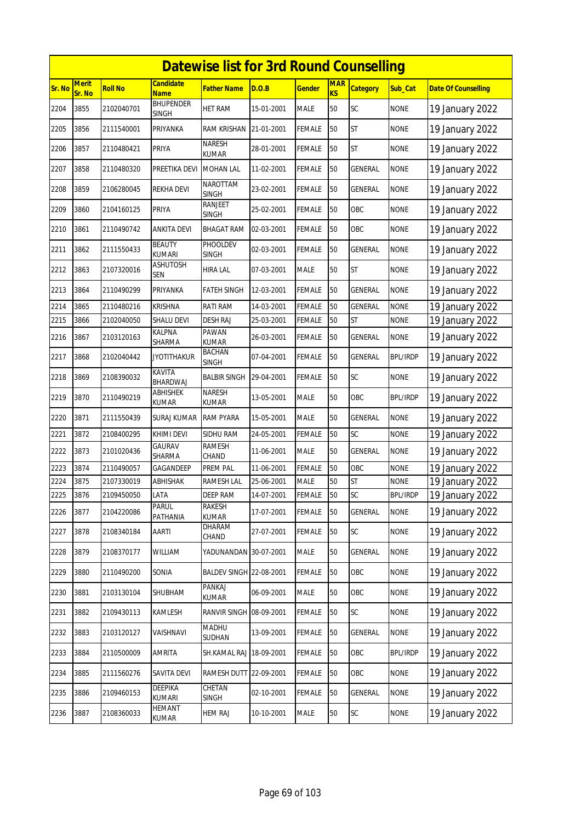|        | <b>Datewise list for 3rd Round Counselling</b><br><b>Candidate</b> |                |                                  |                               |            |               |                              |                 |                 |                            |  |  |
|--------|--------------------------------------------------------------------|----------------|----------------------------------|-------------------------------|------------|---------------|------------------------------|-----------------|-----------------|----------------------------|--|--|
| Sr. No | <b>Merit</b><br>Sr. No                                             | <b>Roll No</b> | <b>Name</b>                      | <b>Father Name</b>            | D.O.B      | <b>Gender</b> | <b>MAR</b><br>K <sub>S</sub> | <b>Category</b> | Sub Cat         | <b>Date Of Counselling</b> |  |  |
| 2204   | 3855                                                               | 2102040701     | <b>BHUPENDER</b><br><b>SINGH</b> | <b>HET RAM</b>                | 15-01-2001 | <b>MALE</b>   | 50                           | SC              | <b>NONE</b>     | 19 January 2022            |  |  |
| 2205   | 3856                                                               | 2111540001     | PRIYANKA                         | RAM KRISHAN                   | 21-01-2001 | <b>FEMALE</b> | 50                           | <b>ST</b>       | <b>NONE</b>     | 19 January 2022            |  |  |
| 2206   | 3857                                                               | 2110480421     | PRIYA                            | <b>NARESH</b><br>KUMAR        | 28-01-2001 | <b>FEMALE</b> | 50                           | <b>ST</b>       | <b>NONE</b>     | 19 January 2022            |  |  |
| 2207   | 3858                                                               | 2110480320     | PREETIKA DEVI                    | <b>MOHAN LAL</b>              | 11-02-2001 | <b>FEMALE</b> | 50                           | <b>GENERAL</b>  | <b>NONE</b>     | 19 January 2022            |  |  |
| 2208   | 3859                                                               | 2106280045     | REKHA DEVI                       | NAROTTAM<br><b>SINGH</b>      | 23-02-2001 | FEMALE        | 50                           | GENERAL         | <b>NONE</b>     | 19 January 2022            |  |  |
| 2209   | 3860                                                               | 2104160125     | PRIYA                            | RANJEET<br><b>SINGH</b>       | 25-02-2001 | <b>FEMALE</b> | 50                           | OBC             | <b>NONE</b>     | 19 January 2022            |  |  |
| 2210   | 3861                                                               | 2110490742     | ANKITA DEVI                      | <b>BHAGAT RAM</b>             | 02-03-2001 | <b>FEMALE</b> | 50                           | OBC             | <b>NONE</b>     | 19 January 2022            |  |  |
| 2211   | 3862                                                               | 2111550433     | <b>BEAUTY</b><br><b>KUMARI</b>   | PHOOLDEV<br><b>SINGH</b>      | 02-03-2001 | <b>FEMALE</b> | 50                           | <b>GENERAL</b>  | <b>NONE</b>     | 19 January 2022            |  |  |
| 2212   | 3863                                                               | 2107320016     | <b>ASHUTOSH</b><br><b>SEN</b>    | <b>HIRA LAL</b>               | 07-03-2001 | <b>MALE</b>   | 50                           | <b>ST</b>       | <b>NONE</b>     | 19 January 2022            |  |  |
| 2213   | 3864                                                               | 2110490299     | PRIYANKA                         | <b>FATEH SINGH</b>            | 12-03-2001 | <b>FEMALE</b> | 50                           | <b>GENERAL</b>  | <b>NONE</b>     | 19 January 2022            |  |  |
| 2214   | 3865                                                               | 2110480216     | <b>KRISHNA</b>                   | RATI RAM                      | 14-03-2001 | <b>FEMALE</b> | 50                           | <b>GENERAL</b>  | <b>NONE</b>     | 19 January 2022            |  |  |
| 2215   | 3866                                                               | 2102040050     | <b>SHALU DEVI</b>                | <b>DESH RAJ</b>               | 25-03-2001 | <b>FEMALE</b> | 50                           | <b>ST</b>       | <b>NONE</b>     | 19 January 2022            |  |  |
| 2216   | 3867                                                               | 2103120163     | <b>KALPNA</b><br>SHARMA          | PAWAN<br><b>KUMAR</b>         | 26-03-2001 | <b>FEMALE</b> | 50                           | GENERAL         | <b>NONE</b>     | 19 January 2022            |  |  |
| 2217   | 3868                                                               | 2102040442     | <b>JYOTITHAKUR</b>               | <b>BACHAN</b><br><b>SINGH</b> | 07-04-2001 | <b>FEMALE</b> | 50                           | GENERAL         | <b>BPL/IRDP</b> | 19 January 2022            |  |  |
| 2218   | 3869                                                               | 2108390032     | KAVITA<br>BHARDWAJ               | <b>BALBIR SINGH</b>           | 29-04-2001 | <b>FEMALE</b> | 50                           | SC              | <b>NONE</b>     | 19 January 2022            |  |  |
| 2219   | 3870                                                               | 2110490219     | <b>ABHISHEK</b><br><b>KUMAR</b>  | <b>NARESH</b><br><b>KUMAR</b> | 13-05-2001 | <b>MALE</b>   | 50                           | OBC             | <b>BPL/IRDP</b> | 19 January 2022            |  |  |
| 2220   | 3871                                                               | 2111550439     | SURAJ KUMAR                      | <b>RAM PYARA</b>              | 15-05-2001 | <b>MALE</b>   | 50                           | GENERAL         | <b>NONE</b>     | 19 January 2022            |  |  |
| 2221   | 3872                                                               | 2108400295     | KHIMI DEVI                       | SIDHU RAM                     | 24-05-2001 | <b>FEMALE</b> | 50                           | SC              | <b>NONE</b>     | 19 January 2022            |  |  |
| 2222   | 3873                                                               | 2101020436     | GAURAV<br>SHARMA                 | <b>RAMESH</b><br>CHAND        | 11-06-2001 | <b>MALE</b>   | 50                           | GENERAL         | <b>NONE</b>     | 19 January 2022            |  |  |
| 2223   | 3874                                                               | 2110490057     | GAGANDEEP                        | PREM PAL                      | 11-06-2001 | <b>FEMALE</b> | 50                           | OBC             | <b>NONE</b>     | 19 January 2022            |  |  |
| 2224   | 3875                                                               | 2107330019     | ABHISHAK                         | RAMESH LAL                    | 25-06-2001 | <b>MALE</b>   | 50                           | ST              | <b>NONE</b>     | 19 January 2022            |  |  |
| 2225   | 3876                                                               | 2109450050     | LATA                             | <b>DEEP RAM</b>               | 14-07-2001 | <b>FEMALE</b> | 50                           | SC              | <b>BPL/IRDP</b> | 19 January 2022            |  |  |
| 2226   | 3877                                                               | 2104220086     | <b>PARUL</b><br>PATHANIA         | <b>RAKESH</b><br>KUMAR        | 17-07-2001 | <b>FEMALE</b> | 50                           | <b>GENERAL</b>  | <b>NONE</b>     | 19 January 2022            |  |  |
| 2227   | 3878                                                               | 2108340184     | AARTI                            | DHARAM<br>CHAND               | 27-07-2001 | <b>FEMALE</b> | 50                           | SC              | <b>NONE</b>     | 19 January 2022            |  |  |
| 2228   | 3879                                                               | 2108370177     | WILLIAM                          | YADUNANDAN 30-07-2001         |            | <b>MALE</b>   | 50                           | GENERAL         | <b>NONE</b>     | 19 January 2022            |  |  |
| 2229   | 3880                                                               | 2110490200     | SONIA                            | BALDEV SINGH 22-08-2001       |            | <b>FEMALE</b> | 50                           | OBC             | <b>NONE</b>     | 19 January 2022            |  |  |
| 2230   | 3881                                                               | 2103130104     | SHUBHAM                          | PANKAJ<br>KUMAR               | 06-09-2001 | MALE          | 50                           | OBC             | <b>NONE</b>     | 19 January 2022            |  |  |
| 2231   | 3882                                                               | 2109430113     | KAMLESH                          | RANVIR SINGH                  | 08-09-2001 | <b>FEMALE</b> | 50                           | SC              | <b>NONE</b>     | 19 January 2022            |  |  |
| 2232   | 3883                                                               | 2103120127     | VAISHNAVI                        | <b>MADHU</b><br>SUDHAN        | 13-09-2001 | <b>FEMALE</b> | 50                           | GENERAL         | <b>NONE</b>     | 19 January 2022            |  |  |
| 2233   | 3884                                                               | 2110500009     | AMRITA                           | SH.KAMAL RAJ                  | 18-09-2001 | <b>FEMALE</b> | 50                           | OBC             | <b>BPL/IRDP</b> | 19 January 2022            |  |  |
| 2234   | 3885                                                               | 2111560276     | SAVITA DEVI                      | RAMESH DUTT 22-09-2001        |            | <b>FEMALE</b> | 50                           | OBC             | <b>NONE</b>     | 19 January 2022            |  |  |
| 2235   | 3886                                                               | 2109460153     | DEEPIKA<br>KUMARI                | CHETAN<br>SINGH               | 02-10-2001 | <b>FEMALE</b> | 50                           | GENERAL         | <b>NONE</b>     | 19 January 2022            |  |  |
| 2236   | 3887                                                               | 2108360033     | <b>HEMANT</b><br>KUMAR           | <b>HEM RAJ</b>                | 10-10-2001 | <b>MALE</b>   | 50                           | SC              | <b>NONE</b>     | 19 January 2022            |  |  |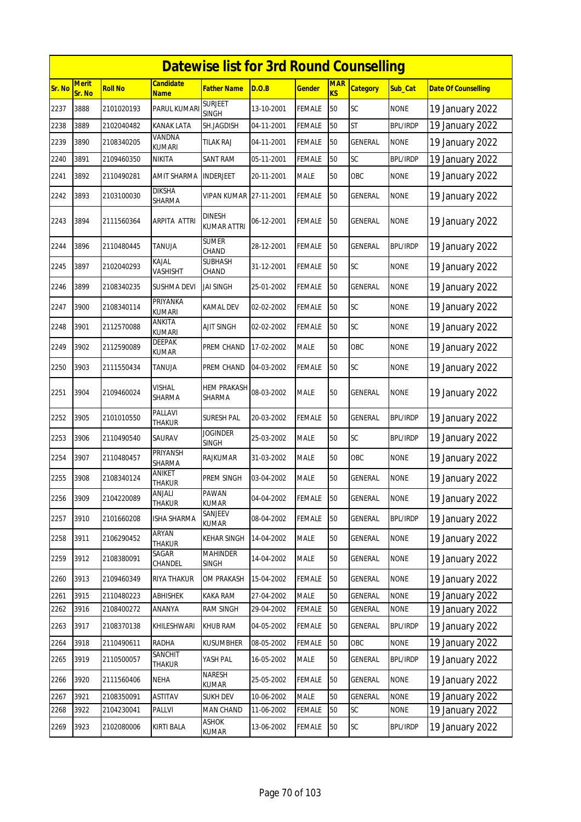|        | <b>Datewise list for 3rd Round Counselling</b> |                |                                 |                                     |            |               |                  |                 |                 |                            |  |  |
|--------|------------------------------------------------|----------------|---------------------------------|-------------------------------------|------------|---------------|------------------|-----------------|-----------------|----------------------------|--|--|
| Sr. No | <b>Merit</b><br>Sr. No                         | <b>Roll No</b> | <b>Candidate</b><br><b>Name</b> | <b>Father Name</b>                  | D.O.B      | <b>Gender</b> | <b>MAR</b><br>KS | <b>Category</b> | <b>Sub Cat</b>  | <b>Date Of Counselling</b> |  |  |
| 2237   | 3888                                           | 2101020193     | PARUL KUMARI                    | <b>SURJEET</b><br><b>SINGH</b>      | 13-10-2001 | <b>FEMALE</b> | 50               | <b>SC</b>       | <b>NONE</b>     | 19 January 2022            |  |  |
| 2238   | 3889                                           | 2102040482     | KANAK LATA                      | SH.JAGDISH                          | 04-11-2001 | <b>FEMALE</b> | 50               | <b>ST</b>       | <b>BPL/IRDP</b> | 19 January 2022            |  |  |
| 2239   | 3890                                           | 2108340205     | VANDNA<br><b>KUMARI</b>         | tilak Raj                           | 04-11-2001 | <b>FEMALE</b> | 50               | <b>GENERAL</b>  | <b>NONE</b>     | 19 January 2022            |  |  |
| 2240   | 3891                                           | 2109460350     | NIKITA                          | <b>SANT RAM</b>                     | 05-11-2001 | <b>FEMALE</b> | 50               | SC              | <b>BPL/IRDP</b> | 19 January 2022            |  |  |
| 2241   | 3892                                           | 2110490281     | AMIT SHARMA                     | <b>INDERJEET</b>                    | 20-11-2001 | <b>MALE</b>   | 50               | OBC             | <b>NONE</b>     | 19 January 2022            |  |  |
| 2242   | 3893                                           | 2103100030     | <b>DIKSHA</b><br>SHARMA         | <b>VIPAN KUMAR</b>                  | 27-11-2001 | <b>FEMALE</b> | 50               | <b>GENERAL</b>  | <b>NONE</b>     | 19 January 2022            |  |  |
| 2243   | 3894                                           | 2111560364     | ARPITA ATTRI                    | <b>DINESH</b><br><b>KUMAR ATTRI</b> | 06-12-2001 | <b>FEMALE</b> | 50               | <b>GENERAL</b>  | <b>NONE</b>     | 19 January 2022            |  |  |
| 2244   | 3896                                           | 2110480445     | TANUJA                          | <b>SUMER</b><br>CHAND               | 28-12-2001 | <b>FEMALE</b> | 50               | GENERAL         | <b>BPL/IRDP</b> | 19 January 2022            |  |  |
| 2245   | 3897                                           | 2102040293     | <b>KAJAL</b><br>VASHISHT        | <b>SUBHASH</b><br>CHAND             | 31-12-2001 | <b>FEMALE</b> | 50               | SC              | <b>NONE</b>     | 19 January 2022            |  |  |
| 2246   | 3899                                           | 2108340235     | SUSHMA DEVI                     | <b>JAI SINGH</b>                    | 25-01-2002 | <b>FEMALE</b> | 50               | <b>GENERAL</b>  | <b>NONE</b>     | 19 January 2022            |  |  |
| 2247   | 3900                                           | 2108340114     | PRIYANKA<br><b>KUMARI</b>       | KAMAL DEV                           | 02-02-2002 | <b>FEMALE</b> | 50               | <b>SC</b>       | <b>NONE</b>     | 19 January 2022            |  |  |
| 2248   | 3901                                           | 2112570088     | ANKITA<br><b>KUMARI</b>         | AJIT SINGH                          | 02-02-2002 | <b>FEMALE</b> | 50               | SC              | <b>NONE</b>     | 19 January 2022            |  |  |
| 2249   | 3902                                           | 2112590089     | <b>DEEPAK</b><br>KUMAR          | PREM CHAND                          | 17-02-2002 | <b>MALE</b>   | 50               | OBC             | <b>NONE</b>     | 19 January 2022            |  |  |
| 2250   | 3903                                           | 2111550434     | TANUJA                          | PREM CHAND                          | 04-03-2002 | <b>FEMALE</b> | 50               | <b>SC</b>       | <b>NONE</b>     | 19 January 2022            |  |  |
| 2251   | 3904                                           | 2109460024     | VISHAL<br>SHARMA                | HEM PRAKASH<br><b>SHARMA</b>        | 08-03-2002 | <b>MALE</b>   | 50               | <b>GENERAL</b>  | <b>NONE</b>     | 19 January 2022            |  |  |
| 2252   | 3905                                           | 2101010550     | PALLAVI<br>THAKUR               | SURESH PAL                          | 20-03-2002 | <b>FEMALE</b> | 50               | <b>GENERAL</b>  | <b>BPL/IRDP</b> | 19 January 2022            |  |  |
| 2253   | 3906                                           | 2110490540     | SAURAV                          | <b>JOGINDER</b><br><b>SINGH</b>     | 25-03-2002 | <b>MALE</b>   | 50               | SC              | <b>BPL/IRDP</b> | 19 January 2022            |  |  |
| 2254   | 3907                                           | 2110480457     | PRIYANSH<br>SHARMA              | RAJKUMAR                            | 31-03-2002 | <b>MALE</b>   | 50               | OBC             | <b>NONE</b>     | 19 January 2022            |  |  |
| 2255   | 3908                                           | 2108340124     | ANIKET<br>THAKUR                | PREM SINGH                          | 03-04-2002 | <b>MALE</b>   | 50               | <b>GENERAL</b>  | <b>NONE</b>     | 19 January 2022            |  |  |
| 2256   | 3909                                           | 2104220089     | anjali<br>THAKUR                | PAWAN<br><b>KUMAR</b>               | 04-04-2002 | <b>FEMALE</b> | 50               | GENERAL         | <b>NONE</b>     | 19 January 2022            |  |  |
| 2257   | 3910                                           | 2101660208     | <b>ISHA SHARMA</b>              | SANJEEV<br>KUMAR                    | 08-04-2002 | <b>FEMALE</b> | 50               | <b>GENERAL</b>  | <b>BPL/IRDP</b> | 19 January 2022            |  |  |
| 2258   | 3911                                           | 2106290452     | ARYAN<br>THAKUR                 | KEHAR SINGH                         | 14-04-2002 | <b>MALE</b>   | 50               | <b>GENERAL</b>  | <b>NONE</b>     | 19 January 2022            |  |  |
| 2259   | 3912                                           | 2108380091     | SAGAR<br>CHANDEL                | <b>MAHINDER</b><br><b>SINGH</b>     | 14-04-2002 | MALE          | 50               | <b>GENERAL</b>  | <b>NONE</b>     | 19 January 2022            |  |  |
| 2260   | 3913                                           | 2109460349     | RIYA THAKUR                     | OM PRAKASH                          | 15-04-2002 | <b>FEMALE</b> | 50               | <b>GENERAL</b>  | <b>NONE</b>     | 19 January 2022            |  |  |
| 2261   | 3915                                           | 2110480223     | ABHISHEK                        | <b>KAKA RAM</b>                     | 27-04-2002 | MALE          | 50               | GENERAL         | <b>NONE</b>     | 19 January 2022            |  |  |
| 2262   | 3916                                           | 2108400272     | ANANYA                          | <b>RAM SINGH</b>                    | 29-04-2002 | <b>FEMALE</b> | 50               | GENERAL         | <b>NONE</b>     | 19 January 2022            |  |  |
| 2263   | 3917                                           | 2108370138     | KHILESHWARI                     | <b>KHUB RAM</b>                     | 04-05-2002 | <b>FEMALE</b> | 50               | GENERAL         | <b>BPL/IRDP</b> | 19 January 2022            |  |  |
| 2264   | 3918                                           | 2110490611     | RADHA                           | KUSUMBHER                           | 08-05-2002 | <b>FEMALE</b> | 50               | OBC             | <b>NONE</b>     | 19 January 2022            |  |  |
| 2265   | 3919                                           | 2110500057     | SANCHIT<br>Thakur               | YASH PAL                            | 16-05-2002 | <b>MALE</b>   | 50               | <b>GENERAL</b>  | <b>BPL/IRDP</b> | 19 January 2022            |  |  |
| 2266   | 3920                                           | 2111560406     | NEHA                            | NARESH<br>KUMAR                     | 25-05-2002 | <b>FEMALE</b> | 50               | GENERAL         | <b>NONE</b>     | 19 January 2022            |  |  |
| 2267   | 3921                                           | 2108350091     | <b>ASTITAV</b>                  | <b>SUKH DEV</b>                     | 10-06-2002 | MALE          | 50               | <b>GENERAL</b>  | <b>NONE</b>     | 19 January 2022            |  |  |
| 2268   | 3922                                           | 2104230041     | Pallvi                          | MAN CHAND<br>ASHOK                  | 11-06-2002 | FEMALE        | 50               | SC              | <b>NONE</b>     | 19 January 2022            |  |  |
| 2269   | 3923                                           | 2102080006     | KIRTI BALA                      | KUMAR                               | 13-06-2002 | <b>FEMALE</b> | 50               | <b>SC</b>       | <b>BPL/IRDP</b> | 19 January 2022            |  |  |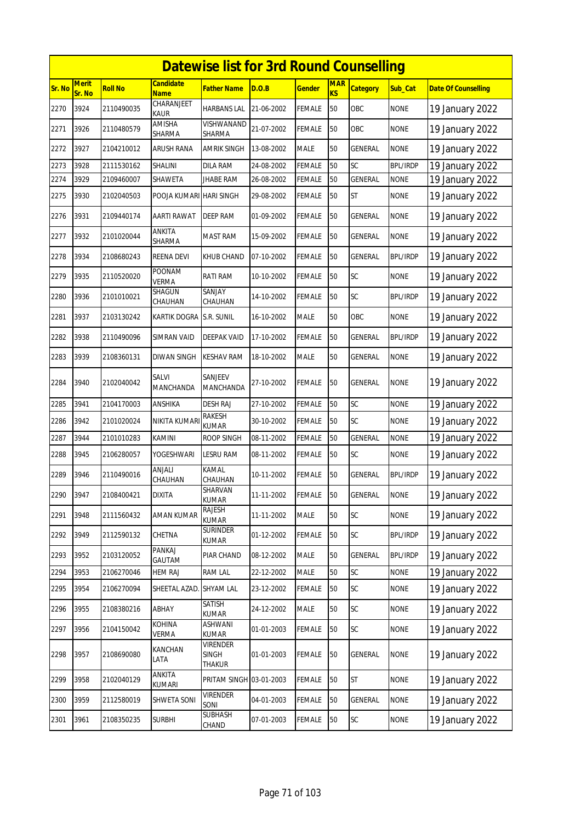|        | <b>Datewise list for 3rd Round Counselling</b> |                |                                 |                                           |            |               |                         |                 |                 |                            |  |  |
|--------|------------------------------------------------|----------------|---------------------------------|-------------------------------------------|------------|---------------|-------------------------|-----------------|-----------------|----------------------------|--|--|
| Sr. No | <b>Merit</b><br>Sr. No                         | <b>Roll No</b> | <b>Candidate</b><br><b>Name</b> | Father Name                               | D.O.B      | <b>Gender</b> | <b>MAR</b><br><b>KS</b> | <b>Category</b> | Sub_Cat         | <b>Date Of Counselling</b> |  |  |
| 2270   | 3924                                           | 2110490035     | CHARANJEET<br>KAUR              | <b>HARBANS LAL</b>                        | 21-06-2002 | <b>FEMALE</b> | 50                      | OBC             | <b>NONE</b>     | 19 January 2022            |  |  |
| 2271   | 3926                                           | 2110480579     | AMISHA<br>SHARMA                | VISHWANAND<br>SHARMA                      | 21-07-2002 | <b>FEMALE</b> | 50                      | OBC             | <b>NONE</b>     | 19 January 2022            |  |  |
| 2272   | 3927                                           | 2104210012     | <b>ARUSH RANA</b>               | <b>AMRIK SINGH</b>                        | 13-08-2002 | <b>MALE</b>   | 50                      | <b>GENERAL</b>  | <b>NONE</b>     | 19 January 2022            |  |  |
| 2273   | 3928                                           | 2111530162     | SHALINI                         | <b>DILA RAM</b>                           | 24-08-2002 | <b>FEMALE</b> | 50                      | SC              | <b>BPL/IRDP</b> | 19 January 2022            |  |  |
| 2274   | 3929                                           | 2109460007     | SHAWETA                         | <b>JHABE RAM</b>                          | 26-08-2002 | <b>FEMALE</b> | 50                      | <b>GENERAL</b>  | <b>NONE</b>     | 19 January 2022            |  |  |
| 2275   | 3930                                           | 2102040503     | POOJA KUMARI HARI SINGH         |                                           | 29-08-2002 | <b>FEMALE</b> | 50                      | <b>ST</b>       | <b>NONE</b>     | 19 January 2022            |  |  |
| 2276   | 3931                                           | 2109440174     | <b>AARTI RAWAT</b>              | DEEP RAM                                  | 01-09-2002 | <b>FEMALE</b> | 50                      | GENERAL         | <b>NONE</b>     | 19 January 2022            |  |  |
| 2277   | 3932                                           | 2101020044     | ANKITA<br>SHARMA                | <b>MAST RAM</b>                           | 15-09-2002 | <b>FEMALE</b> | 50                      | GENERAL         | <b>NONE</b>     | 19 January 2022            |  |  |
| 2278   | 3934                                           | 2108680243     | <b>REENA DEVI</b>               | <b>KHUB CHAND</b>                         | 07-10-2002 | <b>FEMALE</b> | 50                      | GENERAL         | <b>BPL/IRDP</b> | 19 January 2022            |  |  |
| 2279   | 3935                                           | 2110520020     | POONAM<br><b>VERMA</b>          | RATI RAM                                  | 10-10-2002 | <b>FEMALE</b> | 50                      | SC              | <b>NONE</b>     | 19 January 2022            |  |  |
| 2280   | 3936                                           | 2101010021     | SHAGUN<br>CHAUHAN               | <b>SANJAY</b><br>CHAUHAN                  | 14-10-2002 | <b>FEMALE</b> | 50                      | SC              | <b>BPL/IRDP</b> | 19 January 2022            |  |  |
| 2281   | 3937                                           | 2103130242     | KARTIK DOGRA                    | S.R. SUNIL                                | 16-10-2002 | <b>MALE</b>   | 50                      | OBC             | <b>NONE</b>     | 19 January 2022            |  |  |
| 2282   | 3938                                           | 2110490096     | SIMRAN VAID                     | <b>DEEPAK VAID</b>                        | 17-10-2002 | <b>FEMALE</b> | 50                      | <b>GENERAL</b>  | <b>BPL/IRDP</b> | 19 January 2022            |  |  |
| 2283   | 3939                                           | 2108360131     | DIWAN SINGH                     | <b>KESHAV RAM</b>                         | 18-10-2002 | <b>MALE</b>   | 50                      | GENERAL         | <b>NONE</b>     | 19 January 2022            |  |  |
| 2284   | 3940                                           | 2102040042     | <b>SALVI</b><br>MANCHANDA       | SANJEEV<br>MANCHANDA                      | 27-10-2002 | <b>FEMALE</b> | 50                      | <b>GENERAL</b>  | <b>NONE</b>     | 19 January 2022            |  |  |
| 2285   | 3941                                           | 2104170003     | ANSHIKA                         | <b>DESH RAJ</b>                           | 27-10-2002 | <b>FEMALE</b> | 50                      | SC              | <b>NONE</b>     | 19 January 2022            |  |  |
| 2286   | 3942                                           | 2101020024     | NIKITA KUMAR                    | RAKESH<br><b>KUMAR</b>                    | 30-10-2002 | <b>FEMALE</b> | 50                      | SC              | <b>NONE</b>     | 19 January 2022            |  |  |
| 2287   | 3944                                           | 2101010283     | KAMINI                          | ROOP SINGH                                | 08-11-2002 | <b>FEMALE</b> | 50                      | <b>GENERAL</b>  | <b>NONE</b>     | 19 January 2022            |  |  |
| 2288   | 3945                                           | 2106280057     | <b>YOGESHWARI</b>               | <b>LESRU RAM</b>                          | 08-11-2002 | <b>FEMALE</b> | 50                      | SC              | <b>NONE</b>     | 19 January 2022            |  |  |
| 2289   | 3946                                           | 2110490016     | ANJALI<br>CHAUHAN               | KAMAL<br>CHAUHAN                          | 10-11-2002 | <b>FEMALE</b> | 50                      | GENERAL         | <b>BPL/IRDP</b> | 19 January 2022            |  |  |
| 2290   | 3947                                           | 2108400421     | <b>DIXITA</b>                   | SHARVAN<br><b>KUMAR</b>                   | 11-11-2002 | <b>FEMALE</b> | 50                      | <b>GENERAL</b>  | <b>NONE</b>     | 19 January 2022            |  |  |
| 2291   | 3948                                           | 2111560432     | <b>AMAN KUMAR</b>               | RAJESH<br><b>KUMAR</b>                    | 11-11-2002 | MALE          | 50                      | SC              | <b>NONE</b>     | 19 January 2022            |  |  |
| 2292   | 3949                                           | 2112590132     | CHETNA                          | <b>SURINDER</b><br>KUMAR                  | 01-12-2002 | FEMALE        | 50                      | SC              | <b>BPL/IRDP</b> | 19 January 2022            |  |  |
| 2293   | 3952                                           | 2103120052     | PANKAJ<br>GAUTAM                | PIAR CHAND                                | 08-12-2002 | <b>MALE</b>   | 50                      | <b>GENERAL</b>  | BPL/IRDP        | 19 January 2022            |  |  |
| 2294   | 3953                                           | 2106270046     | HEM RAJ                         | RAM LAL                                   | 22-12-2002 | MALE          | 50                      | SC              | <b>NONE</b>     | 19 January 2022            |  |  |
| 2295   | 3954                                           | 2106270094     | SHEETAL AZAD.                   | <b>SHYAM LAL</b>                          | 23-12-2002 | <b>FEMALE</b> | 50                      | SC              | <b>NONE</b>     | 19 January 2022            |  |  |
| 2296   | 3955                                           | 2108380216     | ABHAY                           | SATISH<br><b>KUMAR</b>                    | 24-12-2002 | <b>MALE</b>   | 50                      | SC              | <b>NONE</b>     | 19 January 2022            |  |  |
| 2297   | 3956                                           | 2104150042     | <b>KOHINA</b><br>VERMA          | ASHWANI<br><b>KUMAR</b>                   | 01-01-2003 | FEMALE        | 50                      | SC              | <b>NONE</b>     | 19 January 2022            |  |  |
| 2298   | 3957                                           | 2108690080     | KANCHAN<br>LATA                 | <b>VIRENDER</b><br><b>SINGH</b><br>THAKUR | 01-01-2003 | <b>FEMALE</b> | $50\,$                  | GENERAL         | <b>NONE</b>     | 19 January 2022            |  |  |
| 2299   | 3958                                           | 2102040129     | ANKITA<br>kumari                | PRITAM SINGH 03-01-2003                   |            | <b>FEMALE</b> | 50                      | <b>ST</b>       | <b>NONE</b>     | 19 January 2022            |  |  |
| 2300   | 3959                                           | 2112580019     | SHWETA SONI                     | <b>VIRENDER</b><br>SONI                   | 04-01-2003 | FEMALE        | $50\,$                  | GENERAL         | <b>NONE</b>     | 19 January 2022            |  |  |
| 2301   | 3961                                           | 2108350235     | <b>SURBHI</b>                   | <b>SUBHASH</b><br>CHAND                   | 07-01-2003 | <b>FEMALE</b> | 50                      | SC              | <b>NONE</b>     | 19 January 2022            |  |  |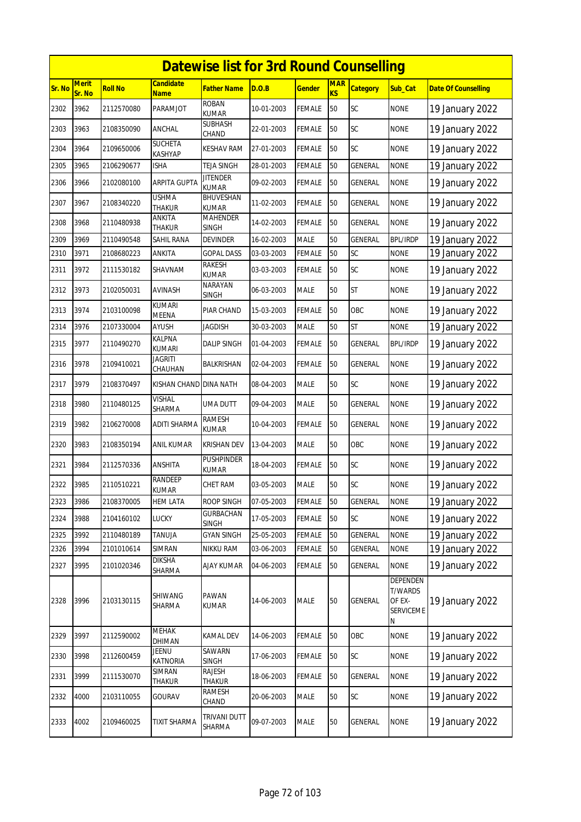|        | <b>Datewise list for 3rd Round Counselling</b> |                |                                |                                  |            |               |                         |                 |                                                        |                            |  |  |
|--------|------------------------------------------------|----------------|--------------------------------|----------------------------------|------------|---------------|-------------------------|-----------------|--------------------------------------------------------|----------------------------|--|--|
| Sr. No | <b>Merit</b><br>Sr. No                         | <b>Roll No</b> | Candidate<br><u>Name</u>       | Father Name                      | D.O.B      | <u>Gender</u> | <b>MAR</b><br><b>KS</b> | <b>Category</b> | Sub_Cat                                                | <b>Date Of Counselling</b> |  |  |
| 2302   | 3962                                           | 2112570080     | PARAMJOT                       | <b>ROBAN</b><br><b>KUMAR</b>     | 10-01-2003 | <b>FEMALE</b> | 50                      | <b>SC</b>       | <b>NONE</b>                                            | 19 January 2022            |  |  |
| 2303   | 3963                                           | 2108350090     | ANCHAL                         | SUBHASH<br>CHAND                 | 22-01-2003 | <b>FEMALE</b> | 50                      | <b>SC</b>       | <b>NONE</b>                                            | 19 January 2022            |  |  |
| 2304   | 3964                                           | 2109650006     | <b>SUCHETA</b><br>KASHYAP      | KESHAV RAM                       | 27-01-2003 | <b>FEMALE</b> | 50                      | SC              | <b>NONE</b>                                            | 19 January 2022            |  |  |
| 2305   | 3965                                           | 2106290677     | isha                           | <b>TEJA SINGH</b>                | 28-01-2003 | <b>FEMALE</b> | 50                      | <b>GENERAL</b>  | <b>NONE</b>                                            | 19 January 2022            |  |  |
| 2306   | 3966                                           | 2102080100     | <b>ARPITA GUPTA</b>            | <b>JITENDER</b><br><b>KUMAR</b>  | 09-02-2003 | <b>FEMALE</b> | 50                      | GENERAL         | <b>NONE</b>                                            | 19 January 2022            |  |  |
| 2307   | 3967                                           | 2108340220     | <b>USHMA</b><br><b>THAKUR</b>  | <b>BHUVESHAN</b><br><b>KUMAR</b> | 11-02-2003 | <b>FEMALE</b> | 50                      | <b>GENERAL</b>  | <b>NONE</b>                                            | 19 January 2022            |  |  |
| 2308   | 3968                                           | 2110480938     | ANKITA<br>thakur               | MAHENDER<br><b>SINGH</b>         | 14-02-2003 | <b>FEMALE</b> | 50                      | GENERAL         | <b>NONE</b>                                            | 19 January 2022            |  |  |
| 2309   | 3969                                           | 2110490548     | SAHIL RANA                     | devinder                         | 16-02-2003 | <b>MALE</b>   | 50                      | <b>GENERAL</b>  | <b>BPL/IRDP</b>                                        | 19 January 2022            |  |  |
| 2310   | 3971                                           | 2108680223     | ANKITA                         | Gopal Dass                       | 03-03-2003 | FEMALE        | 50                      | SC              | <b>NONE</b>                                            | 19 January 2022            |  |  |
| 2311   | 3972                                           | 2111530182     | SHAVNAM                        | <b>RAKESH</b><br><b>KUMAR</b>    | 03-03-2003 | <b>FEMALE</b> | 50                      | <b>SC</b>       | <b>NONE</b>                                            | 19 January 2022            |  |  |
| 2312   | 3973                                           | 2102050031     | AVINASH                        | <b>NARAYAN</b><br><b>SINGH</b>   | 06-03-2003 | <b>MALE</b>   | 50                      | <b>ST</b>       | <b>NONE</b>                                            | 19 January 2022            |  |  |
| 2313   | 3974                                           | 2103100098     | <b>KUMARI</b><br>MEENA         | PIAR CHAND                       | 15-03-2003 | <b>FEMALE</b> | 50                      | OBC             | <b>NONE</b>                                            | 19 January 2022            |  |  |
| 2314   | 3976                                           | 2107330004     | AYUSH                          | JAGDISH                          | 30-03-2003 | <b>MALE</b>   | 50                      | <b>ST</b>       | <b>NONE</b>                                            | 19 January 2022            |  |  |
| 2315   | 3977                                           | 2110490270     | <b>KALPNA</b><br><b>KUMARI</b> | <b>DALIP SINGH</b>               | 01-04-2003 | <b>FEMALE</b> | 50                      | <b>GENERAL</b>  | <b>BPL/IRDP</b>                                        | 19 January 2022            |  |  |
| 2316   | 3978                                           | 2109410021     | <b>JAGRITI</b><br>CHAUHAN      | BALKRISHAN                       | 02-04-2003 | <b>FEMALE</b> | 50                      | <b>GENERAL</b>  | <b>NONE</b>                                            | 19 January 2022            |  |  |
| 2317   | 3979                                           | 2108370497     | KISHAN CHAND                   | <b>DINA NATH</b>                 | 08-04-2003 | <b>MALE</b>   | 50                      | <b>SC</b>       | <b>NONE</b>                                            | 19 January 2022            |  |  |
| 2318   | 3980                                           | 2110480125     | <b>VISHAL</b><br>SHARMA        | UMA DUTT                         | 09-04-2003 | <b>MALE</b>   | 50                      | GENERAL         | <b>NONE</b>                                            | 19 January 2022            |  |  |
| 2319   | 3982                                           | 2106270008     | <b>ADITI SHARMA</b>            | RAMESH<br><b>KUMAR</b>           | 10-04-2003 | <b>FEMALE</b> | 50                      | GENERAL         | <b>NONE</b>                                            | 19 January 2022            |  |  |
| 2320   | 3983                                           | 2108350194     | ANIL KUMAR                     | <b>KRISHAN DEV</b>               | 13-04-2003 | <b>MALE</b>   | 50                      | OBC             | <b>NONE</b>                                            | 19 January 2022            |  |  |
| 2321   | 3984                                           | 2112570336     | ANSHITA                        | PUSHPINDER<br>kumar              | 18-04-2003 | FEMALE        | 50                      | SC              | <b>NONE</b>                                            | 19 January 2022            |  |  |
| 2322   | 3985                                           | 2110510221     | RANDEEP<br><b>KUMAR</b>        | CHET RAM                         | 03-05-2003 | <b>MALE</b>   | 50                      | SC              | <b>NONE</b>                                            | 19 January 2022            |  |  |
| 2323   | 3986                                           | 2108370005     | <b>HEM LATA</b>                | <b>ROOP SINGH</b>                | 07-05-2003 | <b>FEMALE</b> | 50                      | <b>GENERAL</b>  | <b>NONE</b>                                            | 19 January 2022            |  |  |
| 2324   | 3988                                           | 2104160102     | LUCKY                          | <b>GURBACHAN</b><br><b>SINGH</b> | 17-05-2003 | <b>FEMALE</b> | 50                      | SC              | <b>NONE</b>                                            | 19 January 2022            |  |  |
| 2325   | 3992                                           | 2110480189     | <b>TANUJA</b>                  | <b>GYAN SINGH</b>                | 25-05-2003 | FEMALE        | 50                      | <b>GENERAL</b>  | <b>NONE</b>                                            | 19 January 2022            |  |  |
| 2326   | 3994                                           | 2101010614     | SIMRAN                         | NIKKU RAM                        | 03-06-2003 | FEMALE        | $50\,$                  | GENERAL         | <b>NONE</b>                                            | 19 January 2022            |  |  |
| 2327   | 3995                                           | 2101020346     | <b>DIKSHA</b><br>SHARMA        | <b>AJAY KUMAR</b>                | 04-06-2003 | <b>FEMALE</b> | 50                      | <b>GENERAL</b>  | <b>NONE</b>                                            | 19 January 2022            |  |  |
| 2328   | 3996                                           | 2103130115     | SHIWANG<br>SHARMA              | PAWAN<br><b>KUMAR</b>            | 14-06-2003 | <b>MALE</b>   | 50                      | GENERAL         | DEPENDEN<br>T/WARDS<br>OF EX-<br><b>SERVICEME</b><br>Ν | 19 January 2022            |  |  |
| 2329   | 3997                                           | 2112590002     | MEHAK<br>DHIMAN                | KAMAL DEV                        | 14-06-2003 | <b>FEMALE</b> | 50                      | OBC             | <b>NONE</b>                                            | 19 January 2022            |  |  |
| 2330   | 3998                                           | 2112600459     | <b>JEENU</b><br>KATNORIA       | SAWARN<br><b>SINGH</b>           | 17-06-2003 | <b>FEMALE</b> | 50                      | SC              | <b>NONE</b>                                            | 19 January 2022            |  |  |
| 2331   | 3999                                           | 2111530070     | SIMRAN<br>Thakur               | RAJESH<br>Thakur                 | 18-06-2003 | FEMALE        | 50                      | <b>GENERAL</b>  | <b>NONE</b>                                            | 19 January 2022            |  |  |
| 2332   | 4000                                           | 2103110055     | GOURAV                         | RAMESH<br>CHAND                  | 20-06-2003 | <b>MALE</b>   | 50                      | SC              | <b>NONE</b>                                            | 19 January 2022            |  |  |
| 2333   | 4002                                           | 2109460025     | TIXIT SHARMA                   | TRIVANI DUTT<br>SHARMA           | 09-07-2003 | MALE          | 50                      | <b>GENERAL</b>  | <b>NONE</b>                                            | 19 January 2022            |  |  |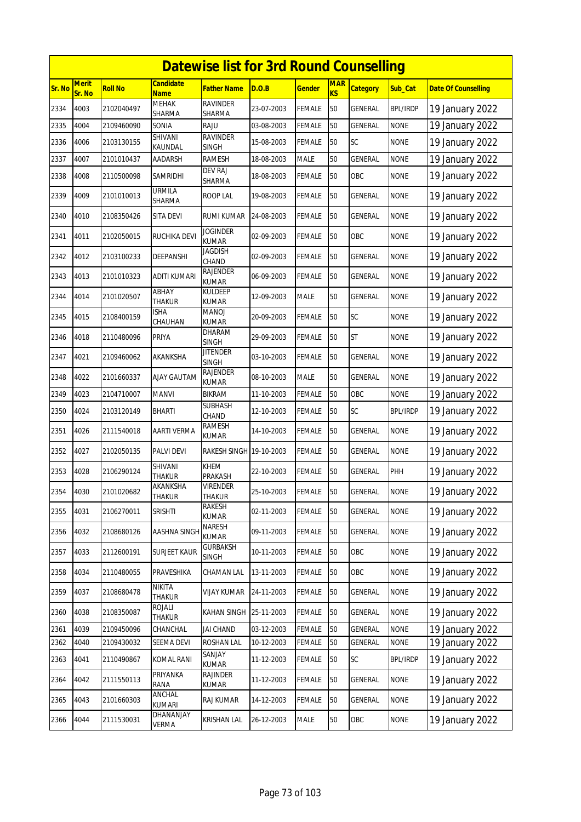|        |                        |                |                           | <b>Datewise list for 3rd Round Counselling</b> |            |               |                         |                 |                 |                            |
|--------|------------------------|----------------|---------------------------|------------------------------------------------|------------|---------------|-------------------------|-----------------|-----------------|----------------------------|
| Sr. No | <b>Merit</b><br>Sr. No | <b>Roll No</b> | Candidate<br><b>Name</b>  | Father Name                                    | D.O.B      | <u>Gender</u> | <b>MAR</b><br><b>KS</b> | <b>Category</b> | Sub Cat         | <b>Date Of Counselling</b> |
| 2334   | 4003                   | 2102040497     | <b>MEHAK</b><br>SHARMA    | <b>RAVINDER</b><br>SHARMA                      | 23-07-2003 | <b>FEMALE</b> | 50                      | <b>GENERAL</b>  | <b>BPL/IRDP</b> | 19 January 2022            |
| 2335   | 4004                   | 2109460090     | SONIA                     | RAJU                                           | 03-08-2003 | <b>FEMALE</b> | 50                      | <b>GENERAL</b>  | <b>NONE</b>     | 19 January 2022            |
| 2336   | 4006                   | 2103130155     | SHIVANI<br>KAUNDAL        | <b>RAVINDER</b><br><b>SINGH</b>                | 15-08-2003 | <b>FEMALE</b> | 50                      | <b>SC</b>       | <b>NONE</b>     | 19 January 2022            |
| 2337   | 4007                   | 2101010437     | AADARSH                   | <b>RAMESH</b>                                  | 18-08-2003 | <b>MALE</b>   | 50                      | GENERAL         | <b>NONE</b>     | 19 January 2022            |
| 2338   | 4008                   | 2110500098     | Samridhi                  | DEV RAJ<br>SHARMA                              | 18-08-2003 | <b>FEMALE</b> | 50                      | OBC             | <b>NONE</b>     | 19 January 2022            |
| 2339   | 4009                   | 2101010013     | <b>URMILA</b><br>SHARMA   | <b>ROOP LAL</b>                                | 19-08-2003 | <b>FEMALE</b> | 50                      | GENERAL         | <b>NONE</b>     | 19 January 2022            |
| 2340   | 4010                   | 2108350426     | SITA DEVI                 | RUMI KUMAR                                     | 24-08-2003 | <b>FEMALE</b> | 50                      | GENERAL         | <b>NONE</b>     | 19 January 2022            |
| 2341   | 4011                   | 2102050015     | RUCHIKA DEVI              | <b>JOGINDER</b><br><b>KUMAR</b>                | 02-09-2003 | <b>FEMALE</b> | 50                      | OBC             | <b>NONE</b>     | 19 January 2022            |
| 2342   | 4012                   | 2103100233     | DEEPANSHI                 | Jagdish<br>CHAND                               | 02-09-2003 | <b>FEMALE</b> | 50                      | <b>GENERAL</b>  | <b>NONE</b>     | 19 January 2022            |
| 2343   | 4013                   | 2101010323     | ADITI KUMARI              | RAJENDER<br><b>KUMAR</b>                       | 06-09-2003 | <b>FEMALE</b> | 50                      | <b>GENERAL</b>  | <b>NONE</b>     | 19 January 2022            |
| 2344   | 4014                   | 2101020507     | ABHAY<br>THAKUR           | KULDEEP<br><b>KUMAR</b>                        | 12-09-2003 | MALE          | 50                      | <b>GENERAL</b>  | <b>NONE</b>     | 19 January 2022            |
| 2345   | 4015                   | 2108400159     | ISHA<br>CHAUHAN           | MANOJ<br><b>KUMAR</b>                          | 20-09-2003 | <b>FEMALE</b> | 50                      | SC              | <b>NONE</b>     | 19 January 2022            |
| 2346   | 4018                   | 2110480096     | PRIYA                     | DHARAM<br><b>SINGH</b>                         | 29-09-2003 | <b>FEMALE</b> | 50                      | <b>ST</b>       | <b>NONE</b>     | 19 January 2022            |
| 2347   | 4021                   | 2109460062     | AKANKSHA                  | <b>JITENDER</b><br><b>SINGH</b>                | 03-10-2003 | <b>FEMALE</b> | 50                      | GENERAL         | <b>NONE</b>     | 19 January 2022            |
| 2348   | 4022                   | 2101660337     | AJAY GAUTAM               | RAJENDER<br><b>KUMAR</b>                       | 08-10-2003 | <b>MALE</b>   | 50                      | <b>GENERAL</b>  | <b>NONE</b>     | 19 January 2022            |
| 2349   | 4023                   | 2104710007     | MANVI                     | BIKRAM                                         | 11-10-2003 | <b>FEMALE</b> | 50                      | OBC             | <b>NONE</b>     | 19 January 2022            |
| 2350   | 4024                   | 2103120149     | <b>BHARTI</b>             | SUBHASH<br>CHAND                               | 12-10-2003 | FEMALE        | 50                      | SC              | <b>BPL/IRDP</b> | 19 January 2022            |
| 2351   | 4026                   | 2111540018     | <b>AARTI VERMA</b>        | RAMESH<br><b>KUMAR</b>                         | 14-10-2003 | <b>FEMALE</b> | 50                      | <b>GENERAL</b>  | <b>NONE</b>     | 19 January 2022            |
| 2352   | 4027                   | 2102050135     | PALVI DEVI                | RAKESH SINGH 19-10-2003                        |            | <b>FEMALE</b> | 50                      | GENERAL         | <b>NONE</b>     | 19 January 2022            |
| 2353   | 4028                   | 2106290124     | SHIVANI<br>THAKUR         | KHEM<br>PRAKASH                                | 22-10-2003 | <b>FEMALE</b> | 50                      | <b>GENERAL</b>  | PHH             | 19 January 2022            |
| 2354   | 4030                   | 2101020682     | AKANKSHA<br><b>THAKUR</b> | <b>VIRENDER</b><br><b>THAKUR</b>               | 25-10-2003 | <b>FEMALE</b> | 50                      | GENERAL         | <b>NONE</b>     | 19 January 2022            |
| 2355   | 4031                   | 2106270011     | SRISHTI                   | RAKESH<br>KUMAR                                | 02-11-2003 | <b>FEMALE</b> | 50                      | <b>GENERAL</b>  | <b>NONE</b>     | 19 January 2022            |
| 2356   | 4032                   | 2108680126     | AASHNA SINGH              | NARESH<br><b>KUMAR</b>                         | 09-11-2003 | <b>FEMALE</b> | 50                      | GENERAL         | <b>NONE</b>     | 19 January 2022            |
| 2357   | 4033                   | 2112600191     | SURJEET KAUR              | <b>GURBAKSH</b><br><b>SINGH</b>                | 10-11-2003 | <b>FEMALE</b> | 50                      | OBC             | <b>NONE</b>     | 19 January 2022            |
| 2358   | 4034                   | 2110480055     | PRAVESHIKA                | CHAMAN LAL                                     | 13-11-2003 | <b>FEMALE</b> | 50                      | OBC             | <b>NONE</b>     | 19 January 2022            |
| 2359   | 4037                   | 2108680478     | NIKITA<br>THAKUR          | VIJAY KUMAR                                    | 24-11-2003 | <b>FEMALE</b> | 50                      | <b>GENERAL</b>  | <b>NONE</b>     | 19 January 2022            |
| 2360   | 4038                   | 2108350087     | ROJALI<br>Thakur          | KAHAN SINGH                                    | 25-11-2003 | <b>FEMALE</b> | 50                      | <b>GENERAL</b>  | <b>NONE</b>     | 19 January 2022            |
| 2361   | 4039                   | 2109450096     | CHANCHAL                  | <b>JAI CHAND</b>                               | 03-12-2003 | FEMALE        | 50                      | <b>GENERAL</b>  | <b>NONE</b>     | 19 January 2022            |
| 2362   | 4040                   | 2109430032     | SEEMA DEVI                | <b>ROSHAN LAL</b>                              | 10-12-2003 | <b>FEMALE</b> | 50                      | <b>GENERAL</b>  | <b>NONE</b>     | 19 January 2022            |
| 2363   | 4041                   | 2110490867     | <b>KOMAL RANI</b>         | SANJAY<br><b>KUMAR</b>                         | 11-12-2003 | <b>FEMALE</b> | 50                      | SC              | <b>BPL/IRDP</b> | 19 January 2022            |
| 2364   | 4042                   | 2111550113     | PRIYANKA<br>RANA          | RAJINDER<br>KUMAR                              | 11-12-2003 | <b>FEMALE</b> | 50                      | GENERAL         | <b>NONE</b>     | 19 January 2022            |
| 2365   | 4043                   | 2101660303     | ANCHAL<br><b>KUMARI</b>   | RAJ KUMAR                                      | 14-12-2003 | <b>FEMALE</b> | 50                      | GENERAL         | <b>NONE</b>     | 19 January 2022            |
| 2366   | 4044                   | 2111530031     | DHANANJAY<br>VERMA        | KRISHAN LAL                                    | 26-12-2003 | <b>MALE</b>   | 50                      | OBC             | <b>NONE</b>     | 19 January 2022            |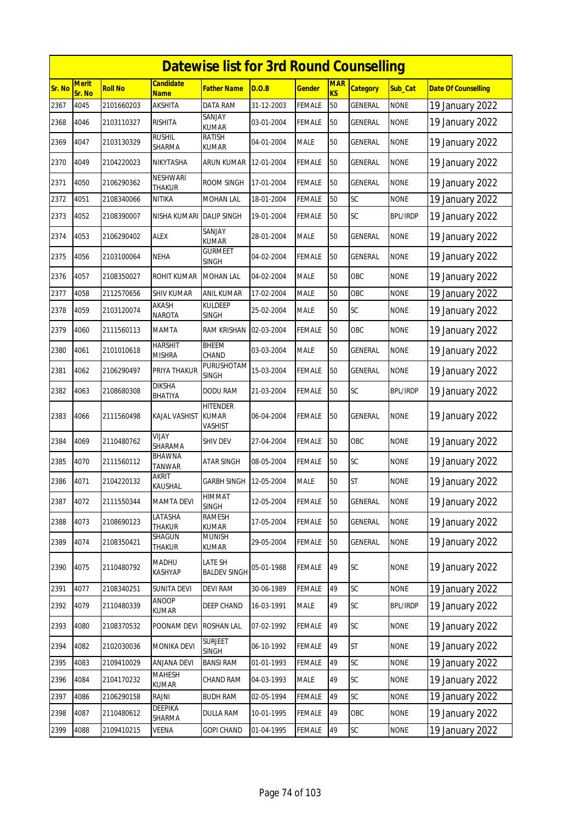|        | <b>Datewise list for 3rd Round Counselling</b> |                |                                 |                                            |            |               |                  |                 |                 |                            |  |  |  |
|--------|------------------------------------------------|----------------|---------------------------------|--------------------------------------------|------------|---------------|------------------|-----------------|-----------------|----------------------------|--|--|--|
| Sr. No | <b>Merit</b><br>Sr. No                         | <b>Roll No</b> | <b>Candidate</b><br><b>Name</b> | Father Name                                | D.O.B      | <u>Gender</u> | <b>MAR</b><br>KS | <b>Category</b> | Sub Cat         | <b>Date Of Counselling</b> |  |  |  |
| 2367   | 4045                                           | 2101660203     | <b>AKSHITA</b>                  | DATA RAM                                   | 31-12-2003 | <b>FEMALE</b> | 50               | GENERAL         | <b>NONE</b>     | 19 January 2022            |  |  |  |
| 2368   | 4046                                           | 2103110327     | <b>RISHITA</b>                  | SANJAY<br><b>KUMAR</b>                     | 03-01-2004 | <b>FEMALE</b> | 50               | GENERAL         | <b>NONE</b>     | 19 January 2022            |  |  |  |
| 2369   | 4047                                           | 2103130329     | <b>RUSHIL</b><br>SHARMA         | RATISH<br>KUMAR                            | 04-01-2004 | <b>MALE</b>   | 50               | GENERAL         | <b>NONE</b>     | 19 January 2022            |  |  |  |
| 2370   | 4049                                           | 2104220023     | <b>NIKYTASHA</b>                | ARUN KUMAR                                 | 12-01-2004 | FEMALE        | 50               | <b>GENERAL</b>  | <b>NONE</b>     | 19 January 2022            |  |  |  |
| 2371   | 4050                                           | 2106290362     | NESHWARI<br><b>THAKUR</b>       | ROOM SINGH                                 | 17-01-2004 | FEMALE        | 50               | GENERAL         | <b>NONE</b>     | 19 January 2022            |  |  |  |
| 2372   | 4051                                           | 2108340066     | NITIKA                          | MOHAN LAL                                  | 18-01-2004 | <b>FEMALE</b> | 50               | SC              | <b>NONE</b>     | 19 January 2022            |  |  |  |
| 2373   | 4052                                           | 2108390007     | NISHA KUMARI                    | <b>DALIP SINGH</b>                         | 19-01-2004 | FEMALE        | 50               | <b>SC</b>       | <b>BPL/IRDP</b> | 19 January 2022            |  |  |  |
| 2374   | 4053                                           | 2106290402     | ALEX                            | SANJAY<br><b>KUMAR</b>                     | 28-01-2004 | <b>MALE</b>   | 50               | GENERAL         | <b>NONE</b>     | 19 January 2022            |  |  |  |
| 2375   | 4056                                           | 2103100064     | <b>NEHA</b>                     | <b>GURMEET</b><br><b>SINGH</b>             | 04-02-2004 | <b>FEMALE</b> | 50               | GENERAL         | <b>NONE</b>     | 19 January 2022            |  |  |  |
| 2376   | 4057                                           | 2108350027     | ROHIT KUMAR                     | <b>MOHAN LAL</b>                           | 04-02-2004 | <b>MALE</b>   | 50               | OBC             | <b>NONE</b>     | 19 January 2022            |  |  |  |
| 2377   | 4058                                           | 2112570656     | <b>SHIV KUMAR</b>               | ANIL KUMAR                                 | 17-02-2004 | <b>MALE</b>   | 50               | OBC             | <b>NONE</b>     | 19 January 2022            |  |  |  |
| 2378   | 4059                                           | 2103120074     | AKASH<br><b>NAROTA</b>          | KULDEEP<br><b>SINGH</b>                    | 25-02-2004 | <b>MALE</b>   | 50               | <b>SC</b>       | <b>NONE</b>     | 19 January 2022            |  |  |  |
| 2379   | 4060                                           | 2111560113     | <b>MAMTA</b>                    | RAM KRISHAN                                | 02-03-2004 | FEMALE        | 50               | OBC             | <b>NONE</b>     | 19 January 2022            |  |  |  |
| 2380   | 4061                                           | 2101010618     | <b>HARSHIT</b><br><b>MISHRA</b> | <b>BHEEM</b><br>CHAND                      | 03-03-2004 | <b>MALE</b>   | 50               | GENERAL         | <b>NONE</b>     | 19 January 2022            |  |  |  |
| 2381   | 4062                                           | 2106290497     | PRIYA THAKUR                    | PURUSHOTAM<br>SINGH                        | 15-03-2004 | FEMALE        | 50               | GENERAL         | <b>NONE</b>     | 19 January 2022            |  |  |  |
| 2382   | 4063                                           | 2108680308     | <b>DIKSHA</b><br><b>BHATIYA</b> | <b>DODU RAM</b>                            | 21-03-2004 | <b>FEMALE</b> | 50               | SC              | <b>BPL/IRDP</b> | 19 January 2022            |  |  |  |
| 2383   | 4066                                           | 2111560498     | KAJAL VASHIST                   | <b>HITENDER</b><br><b>KUMAR</b><br>VASHIST | 06-04-2004 | FEMALE        | 50               | GENERAL         | <b>NONE</b>     | 19 January 2022            |  |  |  |
| 2384   | 4069                                           | 2110480762     | VIJAY<br>SHARAMA                | SHIV DEV                                   | 27-04-2004 | FEMALE        | 50               | OBC             | <b>NONE</b>     | 19 January 2022            |  |  |  |
| 2385   | 4070                                           | 2111560112     | <b>BHAWNA</b><br><b>TANWAR</b>  | <b>ATAR SINGH</b>                          | 08-05-2004 | <b>FEMALE</b> | 50               | SC              | <b>NONE</b>     | 19 January 2022            |  |  |  |
| 2386   | 4071                                           | 2104220132     | <b>AKRIT</b><br>KAUSHAL         | GARBH SINGH                                | 12-05-2004 | <b>MALE</b>   | 50               | <b>ST</b>       | <b>NONE</b>     | 19 January 2022            |  |  |  |
| 2387   | 4072                                           | 2111550344     | <b>MAMTA DEVI</b>               | HIMMAT<br>SINGH                            | 12-05-2004 | <b>FEMALE</b> | 50               | <b>GENERAL</b>  | <b>NONE</b>     | 19 January 2022            |  |  |  |
| 2388   | 4073                                           | 2108690123     | LATASHA<br>THAKUR               | RAMESH<br><b>KUMAR</b>                     | 17-05-2004 | <b>FEMALE</b> | 50               | GENERAL         | <b>NONE</b>     | 19 January 2022            |  |  |  |
| 2389   | 4074                                           | 2108350421     | SHAGUN<br>Thakur                | <b>MUNISH</b><br>kumar                     | 29-05-2004 | <b>FEMALE</b> | 50               | GENERAL         | <b>NONE</b>     | 19 January 2022            |  |  |  |
| 2390   | 4075                                           | 2110480792     | MADHU<br>KASHYAP                | LATE SH<br><b>BALDEV SINGH</b>             | 05-01-1988 | <b>FEMALE</b> | 49               | SC              | <b>NONE</b>     | 19 January 2022            |  |  |  |
| 2391   | 4077                                           | 2108340251     | <b>SUNITA DEVI</b>              | <b>DEVI RAM</b>                            | 30-06-1989 | FEMALE        | 49               | SC              | <b>NONE</b>     | 19 January 2022            |  |  |  |
| 2392   | 4079                                           | 2110480339     | ANOOP<br>KUMAR                  | DEEP CHAND                                 | 16-03-1991 | MALE          | 49               | SC              | <b>BPL/IRDP</b> | 19 January 2022            |  |  |  |
| 2393   | 4080                                           | 2108370532     | POONAM DEVI                     | <b>ROSHAN LAL</b>                          | 07-02-1992 | <b>FEMALE</b> | 49               | <b>SC</b>       | <b>NONE</b>     | 19 January 2022            |  |  |  |
| 2394   | 4082                                           | 2102030036     | MONIKA DEVI                     | <b>SURJEET</b><br>SINGH                    | 06-10-1992 | FEMALE        | 49               | <b>ST</b>       | <b>NONE</b>     | 19 January 2022            |  |  |  |
| 2395   | 4083                                           | 2109410029     | ANJANA DEVI                     | <b>BANSI RAM</b>                           | 01-01-1993 | <b>FEMALE</b> | 49               | SC              | <b>NONE</b>     | 19 January 2022            |  |  |  |
| 2396   | 4084                                           | 2104170232     | <b>MAHESH</b><br>KUMAR          | CHAND RAM                                  | 04-03-1993 | <b>MALE</b>   | 49               | <b>SC</b>       | <b>NONE</b>     | 19 January 2022            |  |  |  |
| 2397   | 4086                                           | 2106290158     | RAJNI                           | <b>BUDH RAM</b>                            | 02-05-1994 | <b>FEMALE</b> | 49               | SC              | <b>NONE</b>     | 19 January 2022            |  |  |  |
| 2398   | 4087                                           | 2110480612     | DEEPIKA<br>SHARMA               | <b>DULLA RAM</b>                           | 10-01-1995 | <b>FEMALE</b> | 49               | OBC             | <b>NONE</b>     | 19 January 2022            |  |  |  |
| 2399   | 4088                                           | 2109410215     | VEENA                           | <b>GOPI CHAND</b>                          | 01-04-1995 | FEMALE        | 49               | SC              | <b>NONE</b>     | 19 January 2022            |  |  |  |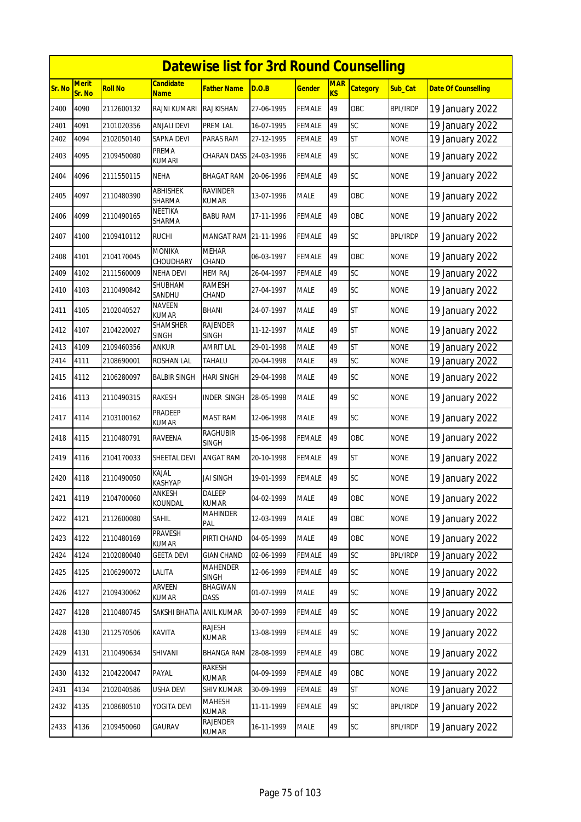|        | <b>Datewise list for 3rd Round Counselling</b> |                |                                 |                                 |            |               |                              |                 |                 |                            |  |  |
|--------|------------------------------------------------|----------------|---------------------------------|---------------------------------|------------|---------------|------------------------------|-----------------|-----------------|----------------------------|--|--|
| Sr. No | <b>Merit</b><br>Sr. No                         | <b>Roll No</b> | <b>Candidate</b><br><b>Name</b> | <b>Father Name</b>              | D.O.B      | <b>Gender</b> | <b>MAR</b><br>K <sub>S</sub> | <b>Category</b> | Sub Cat         | <b>Date Of Counselling</b> |  |  |
| 2400   | 4090                                           | 2112600132     | RAJNI KUMARI                    | <b>RAJ KISHAN</b>               | 27-06-1995 | <b>FEMALE</b> | 49                           | OBC             | <b>BPL/IRDP</b> | 19 January 2022            |  |  |
| 2401   | 4091                                           | 2101020356     | <b>ANJALI DEVI</b>              | PREM LAL                        | 16-07-1995 | <b>FEMALE</b> | 49                           | SC              | <b>NONE</b>     | 19 January 2022            |  |  |
| 2402   | 4094                                           | 2102050140     | <b>SAPNA DEVI</b>               | PARAS RAM                       | 27-12-1995 | <b>FEMALE</b> | 49                           | <b>ST</b>       | <b>NONE</b>     | 19 January 2022            |  |  |
| 2403   | 4095                                           | 2109450080     | PREMA<br><b>KUMARI</b>          | CHARAN DASS 24-03-1996          |            | <b>FEMALE</b> | 49                           | SC              | <b>NONE</b>     | 19 January 2022            |  |  |
| 2404   | 4096                                           | 2111550115     | <b>NEHA</b>                     | <b>BHAGAT RAM</b>               | 20-06-1996 | <b>FEMALE</b> | 49                           | SC              | <b>NONE</b>     | 19 January 2022            |  |  |
| 2405   | 4097                                           | 2110480390     | ABHISHEK<br>SHARMA              | <b>RAVINDER</b><br><b>KUMAR</b> | 13-07-1996 | <b>MALE</b>   | 49                           | OBC             | <b>NONE</b>     | 19 January 2022            |  |  |
| 2406   | 4099                                           | 2110490165     | NEETIKA<br>SHARMA               | <b>BABU RAM</b>                 | 17-11-1996 | <b>FEMALE</b> | 49                           | OBC             | <b>NONE</b>     | 19 January 2022            |  |  |
| 2407   | 4100                                           | 2109410112     | <b>RUCHI</b>                    | MANGAT RAM 21-11-1996           |            | <b>FEMALE</b> | 49                           | SC              | <b>BPL/IRDP</b> | 19 January 2022            |  |  |
| 2408   | 4101                                           | 2104170045     | <b>MONIKA</b><br>CHOUDHARY      | <b>MEHAR</b><br>CHAND           | 06-03-1997 | <b>FEMALE</b> | 49                           | OBC             | <b>NONE</b>     | 19 January 2022            |  |  |
| 2409   | 4102                                           | 2111560009     | NEHA DEVI                       | <b>HEM RAJ</b>                  | 26-04-1997 | <b>FEMALE</b> | 49                           | SC              | <b>NONE</b>     | 19 January 2022            |  |  |
| 2410   | 4103                                           | 2110490842     | SHUBHAM<br>SANDHU               | <b>RAMESH</b><br>CHAND          | 27-04-1997 | <b>MALE</b>   | 49                           | SC              | <b>NONE</b>     | 19 January 2022            |  |  |
| 2411   | 4105                                           | 2102040527     | <b>NAVEEN</b><br><b>KUMAR</b>   | <b>BHANI</b>                    | 24-07-1997 | <b>MALE</b>   | 49                           | <b>ST</b>       | <b>NONE</b>     | 19 January 2022            |  |  |
| 2412   | 4107                                           | 2104220027     | <b>SHAMSHER</b><br><b>SINGH</b> | <b>RAJENDER</b><br><b>SINGH</b> | 11-12-1997 | <b>MALE</b>   | 49                           | <b>ST</b>       | <b>NONE</b>     | 19 January 2022            |  |  |
| 2413   | 4109                                           | 2109460356     | ankur                           | AMRIT LAL                       | 29-01-1998 | <b>MALE</b>   | 49                           | <b>ST</b>       | <b>NONE</b>     | 19 January 2022            |  |  |
| 2414   | 4111                                           | 2108690001     | ROSHAN LAL                      | TAHALU                          | 20-04-1998 | <b>MALE</b>   | 49                           | SC              | <b>NONE</b>     | 19 January 2022            |  |  |
| 2415   | 4112                                           | 2106280097     | <b>BALBIR SINGH</b>             | <b>HARI SINGH</b>               | 29-04-1998 | <b>MALE</b>   | 49                           | SC              | <b>NONE</b>     | 19 January 2022            |  |  |
| 2416   | 4113                                           | 2110490315     | <b>RAKESH</b>                   | <b>INDER SINGH</b>              | 28-05-1998 | <b>MALE</b>   | 49                           | SC              | <b>NONE</b>     | 19 January 2022            |  |  |
| 2417   | 4114                                           | 2103100162     | PRADEEP<br><b>KUMAR</b>         | <b>MAST RAM</b>                 | 12-06-1998 | <b>MALE</b>   | 49                           | SC              | <b>NONE</b>     | 19 January 2022            |  |  |
| 2418   | 4115                                           | 2110480791     | <b>RAVEENA</b>                  | <b>RAGHUBIR</b><br><b>SINGH</b> | 15-06-1998 | <b>FEMALE</b> | 49                           | OBC             | <b>NONE</b>     | 19 January 2022            |  |  |
| 2419   | 4116                                           | 2104170033     | SHEETAL DEVI                    | <b>ANGAT RAM</b>                | 20-10-1998 | <b>FEMALE</b> | 49                           | <b>ST</b>       | <b>NONE</b>     | 19 January 2022            |  |  |
| 2420   | 4118                                           | 2110490050     | KAJAL<br>KASHYAP                | <b>JAI SINGH</b>                | 19-01-1999 | <b>FEMALE</b> | 49                           | <b>SC</b>       | <b>NONE</b>     | 19 January 2022            |  |  |
| 2421   | 4119                                           | 2104700060     | ANKESH<br>KOUNDAL               | DALEEP<br><b>KUMAR</b>          | 04-02-1999 | <b>MALE</b>   | 49                           | OBC             | <b>NONE</b>     | 19 January 2022            |  |  |
| 2422   | 4121                                           | 2112600080     | SAHIL                           | <b>MAHINDER</b><br>PAL          | 12-03-1999 | MALE          | 49                           | OBC             | <b>NONE</b>     | 19 January 2022            |  |  |
| 2423   | 4122                                           | 2110480169     | PRAVESH<br><b>KUMAR</b>         | PIRTI CHAND                     | 04-05-1999 | MALE          | 49                           | OBC             | <b>NONE</b>     | 19 January 2022            |  |  |
| 2424   | 4124                                           | 2102080040     | <b>GEETA DEVI</b>               | <b>GIAN CHAND</b>               | 02-06-1999 | FEMALE        | 49                           | SC              | <b>BPL/IRDP</b> | 19 January 2022            |  |  |
| 2425   | 4125                                           | 2106290072     | LALITA                          | <b>MAHENDER</b><br><b>SINGH</b> | 12-06-1999 | <b>FEMALE</b> | 49                           | SC              | <b>NONE</b>     | 19 January 2022            |  |  |
| 2426   | 4127                                           | 2109430062     | ARVEEN<br>KUMAR                 | <b>BHAGWAN</b><br>DASS          | 01-07-1999 | <b>MALE</b>   | 49                           | SC              | <b>NONE</b>     | 19 January 2022            |  |  |
| 2427   | 4128                                           | 2110480745     | SAKSHI BHATIA                   | <b>ANIL KUMAR</b>               | 30-07-1999 | <b>FEMALE</b> | 49                           | SC              | <b>NONE</b>     | 19 January 2022            |  |  |
| 2428   | 4130                                           | 2112570506     | KAVITA                          | RAJESH<br>KUMAR                 | 13-08-1999 | <b>FEMALE</b> | 49                           | <b>SC</b>       | <b>NONE</b>     | 19 January 2022            |  |  |
| 2429   | 4131                                           | 2110490634     | SHIVANI                         | <b>BHANGA RAM</b>               | 28-08-1999 | <b>FEMALE</b> | 49                           | OBC             | <b>NONE</b>     | 19 January 2022            |  |  |
| 2430   | 4132                                           | 2104220047     | PAYAL                           | RAKESH<br><b>KUMAR</b>          | 04-09-1999 | <b>FEMALE</b> | 49                           | OBC             | <b>NONE</b>     | 19 January 2022            |  |  |
| 2431   | 4134                                           | 2102040586     | USHA DEVI                       | <b>SHIV KUMAR</b>               | 30-09-1999 | FEMALE        | 49                           | ST              | <b>NONE</b>     | 19 January 2022            |  |  |
| 2432   | 4135                                           | 2108680510     | YOGITA DEVI                     | <b>MAHESH</b><br><b>KUMAR</b>   | 11-11-1999 | <b>FEMALE</b> | 49                           | SC              | <b>BPL/IRDP</b> | 19 January 2022            |  |  |
| 2433   | 4136                                           | 2109450060     | GAURAV                          | RAJENDER<br>KUMAR               | 16-11-1999 | <b>MALE</b>   | 49                           | SC              | <b>BPL/IRDP</b> | 19 January 2022            |  |  |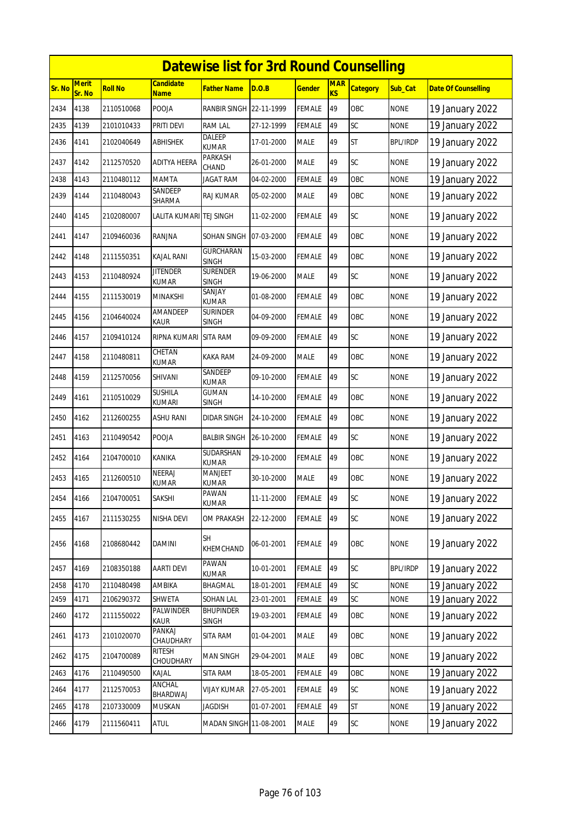|        | <b>Datewise list for 3rd Round Counselling</b> |                |                                 |                                  |            |               |                         |                 |                 |                            |  |  |
|--------|------------------------------------------------|----------------|---------------------------------|----------------------------------|------------|---------------|-------------------------|-----------------|-----------------|----------------------------|--|--|
| Sr. No | <b>Merit</b><br>Sr. No                         | <b>Roll No</b> | <b>Candidate</b><br><b>Name</b> | <b>Father Name</b>               | D.O.B      | <u>Gender</u> | <b>MAR</b><br><b>KS</b> | <b>Category</b> | Sub Cat         | <b>Date Of Counselling</b> |  |  |
| 2434   | 4138                                           | 2110510068     | POOJA                           | <b>RANBIR SINGH</b>              | 22-11-1999 | FEMALE        | 49                      | OBC             | <b>NONE</b>     | 19 January 2022            |  |  |
| 2435   | 4139                                           | 2101010433     | PRITI DEVI                      | <b>RAM LAL</b>                   | 27-12-1999 | <b>FEMALE</b> | 49                      | SC              | <b>NONE</b>     | 19 January 2022            |  |  |
| 2436   | 4141                                           | 2102040649     | <b>ABHISHEK</b>                 | DALEEP<br><b>KUMAR</b>           | 17-01-2000 | MALE          | 49                      | <b>ST</b>       | <b>BPL/IRDP</b> | 19 January 2022            |  |  |
| 2437   | 4142                                           | 2112570520     | <b>ADITYA HEERA</b>             | <b>PARKASH</b><br>CHAND          | 26-01-2000 | <b>MALE</b>   | 49                      | SC              | <b>NONE</b>     | 19 January 2022            |  |  |
| 2438   | 4143                                           | 2110480112     | <b>MAMTA</b>                    | <b>JAGAT RAM</b>                 | 04-02-2000 | <b>FEMALE</b> | 49                      | OBC             | <b>NONE</b>     | 19 January 2022            |  |  |
| 2439   | 4144                                           | 2110480043     | SANDEEP<br>SHARMA               | <b>RAJ KUMAR</b>                 | 05-02-2000 | <b>MALE</b>   | 49                      | OBC             | <b>NONE</b>     | 19 January 2022            |  |  |
| 2440   | 4145                                           | 2102080007     | LALITA KUMARI TEJ SINGH         |                                  | 11-02-2000 | FEMALE        | 49                      | <b>SC</b>       | <b>NONE</b>     | 19 January 2022            |  |  |
| 2441   | 4147                                           | 2109460036     | RANJNA                          | SOHAN SINGH                      | 07-03-2000 | FEMALE        | 49                      | OBC             | <b>NONE</b>     | 19 January 2022            |  |  |
| 2442   | 4148                                           | 2111550351     | <b>KAJAL RANI</b>               | <b>GURCHARAN</b><br><b>SINGH</b> | 15-03-2000 | <b>FEMALE</b> | 49                      | OBC             | <b>NONE</b>     | 19 January 2022            |  |  |
| 2443   | 4153                                           | 2110480924     | <b>JITENDER</b><br><b>KUMAR</b> | <b>SURENDER</b><br><b>SINGH</b>  | 19-06-2000 | <b>MALE</b>   | 49                      | SC              | <b>NONE</b>     | 19 January 2022            |  |  |
| 2444   | 4155                                           | 2111530019     | <b>MINAKSHI</b>                 | SANJAY<br><b>KUMAR</b>           | 01-08-2000 | <b>FEMALE</b> | 49                      | OBC             | <b>NONE</b>     | 19 January 2022            |  |  |
| 2445   | 4156                                           | 2104640024     | AMANDEEP<br>kaur                | <b>SURINDER</b><br><b>SINGH</b>  | 04-09-2000 | <b>FEMALE</b> | 49                      | OBC             | <b>NONE</b>     | 19 January 2022            |  |  |
| 2446   | 4157                                           | 2109410124     | <b>RIPNA KUMARI</b>             | <b>SITA RAM</b>                  | 09-09-2000 | FEMALE        | 49                      | SC              | <b>NONE</b>     | 19 January 2022            |  |  |
| 2447   | 4158                                           | 2110480811     | CHETAN<br><b>KUMAR</b>          | KAKA RAM                         | 24-09-2000 | <b>MALE</b>   | 49                      | OBC             | <b>NONE</b>     | 19 January 2022            |  |  |
| 2448   | 4159                                           | 2112570056     | SHIVANI                         | SANDEEP<br><b>KUMAR</b>          | 09-10-2000 | FEMALE        | 49                      | SC              | <b>NONE</b>     | 19 January 2022            |  |  |
| 2449   | 4161                                           | 2110510029     | <b>SUSHILA</b><br><b>KUMARI</b> | GUMAN<br>SINGH                   | 14-10-2000 | <b>FEMALE</b> | 49                      | OBC             | <b>NONE</b>     | 19 January 2022            |  |  |
| 2450   | 4162                                           | 2112600255     | ASHU RANI                       | DIDAR SINGH                      | 24-10-2000 | FEMALE        | 49                      | OBC             | <b>NONE</b>     | 19 January 2022            |  |  |
| 2451   | 4163                                           | 2110490542     | <b>POOJA</b>                    | <b>BALBIR SINGH</b>              | 26-10-2000 | <b>FEMALE</b> | 49                      | SC              | <b>NONE</b>     | 19 January 2022            |  |  |
| 2452   | 4164                                           | 2104700010     | KANIKA                          | <b>SUDARSHAN</b><br><b>KUMAR</b> | 29-10-2000 | FEMALE        | 49                      | OBC             | <b>NONE</b>     | 19 January 2022            |  |  |
| 2453   | 4165                                           | 2112600510     | <b>NEERAJ</b><br><b>KUMAR</b>   | MANJEET<br>KUMAR                 | 30-10-2000 | <b>MALE</b>   | 49                      | OBC             | <b>NONE</b>     | 19 January 2022            |  |  |
| 2454   | 4166                                           | 2104700051     | SAKSHI                          | PAWAN<br>KUMAR                   | 11-11-2000 | <b>FEMALE</b> | 49                      | SC              | <b>NONE</b>     | 19 January 2022            |  |  |
| 2455   | 4167                                           | 2111530255     | NISHA DEVI                      | OM PRAKASH                       | 22-12-2000 | <b>FEMALE</b> | 49                      | SC              | <b>NONE</b>     | 19 January 2022            |  |  |
| 2456   | 4168                                           | 2108680442     | DAMINI                          | <b>SH</b><br>KHEMCHAND           | 06-01-2001 | <b>FEMALE</b> | 49                      | OBC             | <b>NONE</b>     | 19 January 2022            |  |  |
| 2457   | 4169                                           | 2108350188     | AARTI DEVI                      | PAWAN<br>KUMAR                   | 10-01-2001 | FEMALE        | 49                      | <b>SC</b>       | <b>BPL/IRDP</b> | 19 January 2022            |  |  |
| 2458   | 4170                                           | 2110480498     | AMBIKA                          | BHAGMAL                          | 18-01-2001 | FEMALE        | 49                      | SC              | <b>NONE</b>     | 19 January 2022            |  |  |
| 2459   | 4171                                           | 2106290372     | SHWETA                          | SOHAN LAL                        | 23-01-2001 | FEMALE        | 49                      | SC              | <b>NONE</b>     | 19 January 2022            |  |  |
| 2460   | 4172                                           | 2111550022     | PALWINDER<br>KAUR               | <b>BHUPINDER</b><br>SINGH        | 19-03-2001 | FEMALE        | 49                      | OBC             | <b>NONE</b>     | 19 January 2022            |  |  |
| 2461   | 4173                                           | 2101020070     | PANKAJ<br>CHAUDHARY             | SITA RAM                         | 01-04-2001 | MALE          | 49                      | OBC             | <b>NONE</b>     | 19 January 2022            |  |  |
| 2462   | 4175                                           | 2104700089     | RITESH<br>CHOUDHARY             | MAN SINGH                        | 29-04-2001 | MALE          | 49                      | OBC             | <b>NONE</b>     | 19 January 2022            |  |  |
| 2463   | 4176                                           | 2110490500     | KAJAL                           | <b>SITA RAM</b>                  | 18-05-2001 | <b>FEMALE</b> | 49                      | OBC             | <b>NONE</b>     | 19 January 2022            |  |  |
| 2464   | 4177                                           | 2112570053     | ANCHAL<br>BHARDWAJ              | <b>VIJAY KUMAR</b>               | 27-05-2001 | <b>FEMALE</b> | 49                      | SC              | <b>NONE</b>     | 19 January 2022            |  |  |
| 2465   | 4178                                           | 2107330009     | MUSKAN                          | <b>JAGDISH</b>                   | 01-07-2001 | FEMALE        | 49                      | ST              | <b>NONE</b>     | 19 January 2022            |  |  |
| 2466   | 4179                                           | 2111560411     | ATUL                            | MADAN SINGH 11-08-2001           |            | MALE          | 49                      | SC              | <b>NONE</b>     | 19 January 2022            |  |  |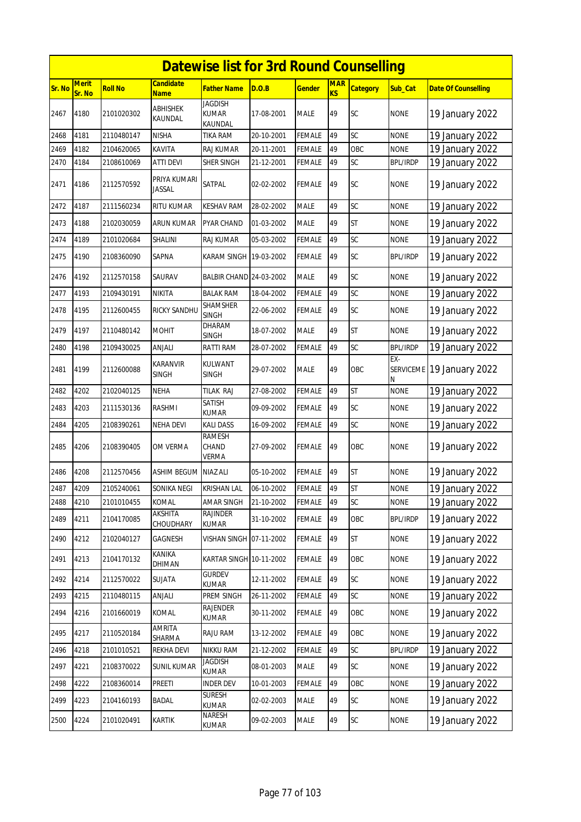|               | <b>Datewise list for 3rd Round Counselling</b> |                |                                 |                                        |            |               |                  |                 |                 |                            |  |  |
|---------------|------------------------------------------------|----------------|---------------------------------|----------------------------------------|------------|---------------|------------------|-----------------|-----------------|----------------------------|--|--|
| <b>Sr. No</b> | <b>Merit</b><br>Sr. No                         | <b>Roll No</b> | <b>Candidate</b><br>Name        | Father Name                            | D.O.B      | <u>Gender</u> | <b>MAR</b><br>KS | <b>Category</b> | Sub_Cat         | <b>Date Of Counselling</b> |  |  |
| 2467          | 4180                                           | 2101020302     | ABHISHEK<br>KAUNDAL             | <b>JAGDISH</b><br>KUMAR<br>KAUNDAL     | 17-08-2001 | <b>MALE</b>   | 49               | SC              | <b>NONE</b>     | 19 January 2022            |  |  |
| 2468          | 4181                                           | 2110480147     | <b>NISHA</b>                    | TIKA RAM                               | 20-10-2001 | FEMALE        | 49               | SC              | <b>NONE</b>     | 19 January 2022            |  |  |
| 2469          | 4182                                           | 2104620065     | KAVITA                          | RAJ KUMAR                              | 20-11-2001 | FEMALE        | 49               | OBC             | <b>NONE</b>     | 19 January 2022            |  |  |
| 2470          | 4184                                           | 2108610069     | ATTI DEVI                       | SHER SINGH                             | 21-12-2001 | <b>FEMALE</b> | 49               | SC              | <b>BPL/IRDP</b> | 19 January 2022            |  |  |
| 2471          | 4186                                           | 2112570592     | PRIYA KUMARI<br>Jassal          | SATPAL                                 | 02-02-2002 | FEMALE        | 49               | <b>SC</b>       | <b>NONE</b>     | 19 January 2022            |  |  |
| 2472          | 4187                                           | 2111560234     | RITU KUMAR                      | <b>KESHAV RAM</b>                      | 28-02-2002 | MALE          | 49               | SC              | <b>NONE</b>     | 19 January 2022            |  |  |
| 2473          | 4188                                           | 2102030059     | ARUN KUMAR                      | PYAR CHAND                             | 01-03-2002 | MALE          | 49               | <b>ST</b>       | <b>NONE</b>     | 19 January 2022            |  |  |
| 2474          | 4189                                           | 2101020684     | SHALINI                         | RAJ KUMAR                              | 05-03-2002 | <b>FEMALE</b> | 49               | SC              | <b>NONE</b>     | 19 January 2022            |  |  |
| 2475          | 4190                                           | 2108360090     | SAPNA                           | KARAM SINGH 19-03-2002                 |            | FEMALE        | 49               | SC              | <b>BPL/IRDP</b> | 19 January 2022            |  |  |
| 2476          | 4192                                           | 2112570158     | SAURAV                          | BALBIR CHAND 24-03-2002                |            | MALE          | 49               | SC              | <b>NONE</b>     | 19 January 2022            |  |  |
| 2477          | 4193                                           | 2109430191     | <b>NIKITA</b>                   | <b>BALAK RAM</b>                       | 18-04-2002 | FEMALE        | 49               | SC              | <b>NONE</b>     | 19 January 2022            |  |  |
| 2478          | 4195                                           | 2112600455     | RICKY SANDHU                    | <b>SHAMSHER</b><br><b>SINGH</b>        | 22-06-2002 | FEMALE        | 49               | <b>SC</b>       | <b>NONE</b>     | 19 January 2022            |  |  |
| 2479          | 4197                                           | 2110480142     | <b>MOHIT</b>                    | DHARAM<br>SINGH                        | 18-07-2002 | MALE          | 49               | <b>ST</b>       | <b>NONE</b>     | 19 January 2022            |  |  |
| 2480          | 4198                                           | 2109430025     | ANJALI                          | RATTI RAM                              | 28-07-2002 | FEMALE        | 49               | SC              | <b>BPL/IRDP</b> | 19 January 2022            |  |  |
| 2481          | 4199                                           | 2112600088     | <b>KARANVIR</b><br><b>SINGH</b> | KULWANT<br><b>SINGH</b>                | 29-07-2002 | MALE          | 49               | OBC             | EX-<br>N        | SERVICEME 19 January 2022  |  |  |
| 2482          | 4202                                           | 2102040125     | <b>NEHA</b>                     | TILAK RAJ                              | 27-08-2002 | FEMALE        | 49               | <b>ST</b>       | <b>NONE</b>     | 19 January 2022            |  |  |
| 2483          | 4203                                           | 2111530136     | <b>RASHMI</b>                   | SATISH<br>KUMAR                        | 09-09-2002 | FEMALE        | 49               | <b>SC</b>       | <b>NONE</b>     | 19 January 2022            |  |  |
| 2484          | 4205                                           | 2108390261     | <b>NEHA DEVI</b>                | KALI DASS                              | 16-09-2002 | FEMALE        | 49               | SC              | <b>NONE</b>     | 19 January 2022            |  |  |
| 2485          | 4206                                           | 2108390405     | OM VERMA                        | <b>RAMESH</b><br>CHAND<br><b>VERMA</b> | 27-09-2002 | FEMALE        | 49               | OBC             | <b>NONE</b>     | 19 January 2022            |  |  |
| 2486          | 4208                                           | 2112570456     | ASHIM BEGUM                     | NIAZ ALI                               | 05-10-2002 | <b>FEMALE</b> | 49               | <b>ST</b>       | <b>NONE</b>     | 19 January 2022            |  |  |
| 2487          | 4209                                           | 2105240061     | SONIKA NEGI                     | <b>KRISHAN LAL</b>                     | 06-10-2002 | <b>FEMALE</b> | 49               | <b>ST</b>       | <b>NONE</b>     | 19 January 2022            |  |  |
| 2488          | 4210                                           | 2101010455     | KOMAL                           | AMAR SINGH                             | 21-10-2002 | <b>FEMALE</b> | 49               | SC              | <b>NONE</b>     | 19 January 2022            |  |  |
| 2489          | 4211                                           | 2104170085     | AKSHITA<br>CHOUDHARY            | RAJINDER<br>KUMAR                      | 31-10-2002 | <b>FEMALE</b> | 49               | OBC             | <b>BPL/IRDP</b> | 19 January 2022            |  |  |
| 2490          | 4212                                           | 2102040127     | GAGNESH                         |                                        |            | <b>FEMALE</b> | 49               | <b>ST</b>       | <b>NONE</b>     | 19 January 2022            |  |  |
| 2491          | 4213                                           | 2104170132     | <b>KANIKA</b><br>DHIMAN         | KARTAR SINGH 10-11-2002                |            | <b>FEMALE</b> | 49               | OBC             | <b>NONE</b>     | 19 January 2022            |  |  |
| 2492          | 4214                                           | 2112570022     | SUJATA                          | <b>GURDEV</b><br>KUMAR                 | 12-11-2002 | <b>FEMALE</b> | 49               | SC              | <b>NONE</b>     | 19 January 2022            |  |  |
| 2493          | 4215                                           | 2110480115     | ANJALI                          | PREM SINGH                             | 26-11-2002 | FEMALE        | 49               | SC              | <b>NONE</b>     | 19 January 2022            |  |  |
| 2494          | 4216                                           | 2101660019     | KOMAL                           | <b>RAJENDER</b><br>KUMAR               | 30-11-2002 | <b>FEMALE</b> | 49               | OBC             | <b>NONE</b>     | 19 January 2022            |  |  |
| 2495          | 4217                                           | 2110520184     | AMRITA<br>SHARMA                | RAJU RAM                               | 13-12-2002 | <b>FEMALE</b> | 49               | OBC             | <b>NONE</b>     | 19 January 2022            |  |  |
| 2496          | 4218                                           | 2101010521     | REKHA DEVI                      | NIKKU RAM                              | 21-12-2002 | <b>FEMALE</b> | 49               | SC              | <b>BPL/IRDP</b> | 19 January 2022            |  |  |
| 2497          | 4221                                           | 2108370022     | <b>SUNIL KUMAR</b>              | JAGDISH<br><b>KUMAR</b>                | 08-01-2003 | MALE          | 49               | SC              | <b>NONE</b>     | 19 January 2022            |  |  |
| 2498          | 4222                                           | 2108360014     | PREETI                          | <b>INDER DEV</b>                       | 10-01-2003 | FEMALE        | 49               | OBC             | <b>NONE</b>     | 19 January 2022            |  |  |
| 2499          | 4223                                           | 2104160193     | BADAL                           | <b>SURESH</b><br>KUMAR                 | 02-02-2003 | MALE          | 49               | SC              | <b>NONE</b>     | 19 January 2022            |  |  |
| 2500          | 4224                                           | 2101020491     | KARTIK                          | Naresh<br>KUMAR                        | 09-02-2003 | <b>MALE</b>   | 49               | SC              | <b>NONE</b>     | 19 January 2022            |  |  |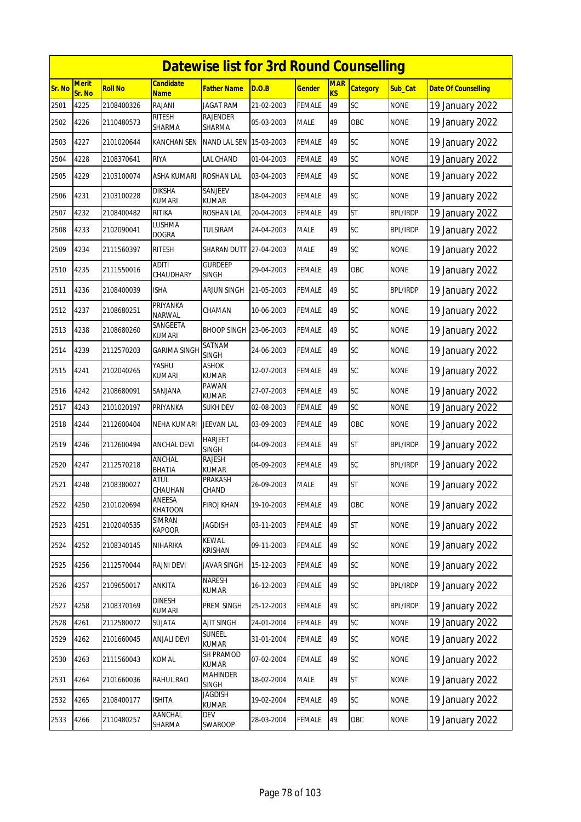|        | <b>Datewise list for 3rd Round Counselling</b> |                |                                 |                                 |            |               |                  |                 |                 |                            |  |  |
|--------|------------------------------------------------|----------------|---------------------------------|---------------------------------|------------|---------------|------------------|-----------------|-----------------|----------------------------|--|--|
| Sr. No | <b>Merit</b><br>Sr. No                         | <b>Roll No</b> | <b>Candidate</b><br><b>Name</b> | <b>Father Name</b>              | D.O.B      | <b>Gender</b> | <b>MAR</b><br>KS | <b>Category</b> | Sub Cat         | <b>Date Of Counselling</b> |  |  |
| 2501   | 4225                                           | 2108400326     | RAJANI                          | <b>JAGAT RAM</b>                | 21-02-2003 | <b>FEMALE</b> | 49               | SC              | <b>NONE</b>     | 19 January 2022            |  |  |
| 2502   | 4226                                           | 2110480573     | <b>RITESH</b><br>SHARMA         | RAJENDER<br>SHARMA              | 05-03-2003 | <b>MALE</b>   | 49               | OBC             | <b>NONE</b>     | 19 January 2022            |  |  |
| 2503   | 4227                                           | 2101020644     | KANCHAN SEN                     | NAND LAL SEN 15-03-2003         |            | FEMALE        | 49               | SC              | <b>NONE</b>     | 19 January 2022            |  |  |
| 2504   | 4228                                           | 2108370641     | <b>RIYA</b>                     | LAL CHAND                       | 01-04-2003 | <b>FEMALE</b> | 49               | SC              | <b>NONE</b>     | 19 January 2022            |  |  |
| 2505   | 4229                                           | 2103100074     | ASHA KUMARI                     | <b>ROSHAN LAL</b>               | 03-04-2003 | FEMALE        | 49               | SC              | <b>NONE</b>     | 19 January 2022            |  |  |
| 2506   | 4231                                           | 2103100228     | <b>DIKSHA</b><br><b>KUMARI</b>  | SANJEEV<br>KUMAR                | 18-04-2003 | <b>FEMALE</b> | 49               | SC              | <b>NONE</b>     | 19 January 2022            |  |  |
| 2507   | 4232                                           | 2108400482     | RITIKA                          | ROSHAN LAL                      | 20-04-2003 | FEMALE        | 49               | <b>ST</b>       | <b>BPL/IRDP</b> | 19 January 2022            |  |  |
| 2508   | 4233                                           | 2102090041     | lushma<br><b>DOGRA</b>          | TULSIRAM                        | 24-04-2003 | <b>MALE</b>   | 49               | <b>SC</b>       | <b>BPL/IRDP</b> | 19 January 2022            |  |  |
| 2509   | 4234                                           | 2111560397     | <b>RITESH</b>                   | SHARAN DUTT                     | 27-04-2003 | <b>MALE</b>   | 49               | <b>SC</b>       | <b>NONE</b>     | 19 January 2022            |  |  |
| 2510   | 4235                                           | 2111550016     | <b>ADITI</b><br>CHAUDHARY       | <b>GURDEEP</b><br><b>SINGH</b>  | 29-04-2003 | <b>FEMALE</b> | 49               | OBC             | <b>NONE</b>     | 19 January 2022            |  |  |
| 2511   | 4236                                           | 2108400039     | <b>ISHA</b>                     | ARJUN SINGH                     | 21-05-2003 | <b>FEMALE</b> | 49               | SC              | <b>BPL/IRDP</b> | 19 January 2022            |  |  |
| 2512   | 4237                                           | 2108680251     | PRIYANKA<br>NARWAL              | CHAMAN                          | 10-06-2003 | <b>FEMALE</b> | 49               | SC              | <b>NONE</b>     | 19 January 2022            |  |  |
| 2513   | 4238                                           | 2108680260     | SANGEETA<br>kumari              | <b>BHOOP SINGH</b>              | 23-06-2003 | <b>FEMALE</b> | 49               | SC              | <b>NONE</b>     | 19 January 2022            |  |  |
| 2514   | 4239                                           | 2112570203     | <b>GARIMA SINGH</b>             | SATNAM<br><b>SINGH</b>          | 24-06-2003 | <b>FEMALE</b> | 49               | SC              | <b>NONE</b>     | 19 January 2022            |  |  |
| 2515   | 4241                                           | 2102040265     | YASHU<br><b>KUMARI</b>          | <b>ASHOK</b><br><b>KUMAR</b>    | 12-07-2003 | <b>FEMALE</b> | 49               | SC              | <b>NONE</b>     | 19 January 2022            |  |  |
| 2516   | 4242                                           | 2108680091     | SANJANA                         | PAWAN<br><b>KUMAR</b>           | 27-07-2003 | <b>FEMALE</b> | 49               | SC              | <b>NONE</b>     | 19 January 2022            |  |  |
| 2517   | 4243                                           | 2101020197     | PRIYANKA                        | <b>SUKH DEV</b>                 | 02-08-2003 | <b>FEMALE</b> | 49               | SC              | <b>NONE</b>     | 19 January 2022            |  |  |
| 2518   | 4244                                           | 2112600404     | <b>NEHA KUMARI</b>              | <b>JEEVAN LAL</b>               | 03-09-2003 | <b>FEMALE</b> | 49               | OBC             | <b>NONE</b>     | 19 January 2022            |  |  |
| 2519   | 4246                                           | 2112600494     | <b>ANCHAL DEVI</b>              | <b>HARJEET</b><br><b>SINGH</b>  | 04-09-2003 | <b>FEMALE</b> | 49               | <b>ST</b>       | <b>BPL/IRDP</b> | 19 January 2022            |  |  |
| 2520   | 4247                                           | 2112570218     | <b>ANCHAL</b><br>BHATIA         | <b>RAJESH</b><br><b>KUMAR</b>   | 05-09-2003 | FEMALE        | 49               | SC              | <b>BPL/IRDP</b> | 19 January 2022            |  |  |
| 2521   | 4248                                           | 2108380027     | <b>ATUL</b><br>CHAUHAN          | PRAKASH<br>CHAND                | 26-09-2003 | <b>MALE</b>   | 49               | <b>ST</b>       | <b>NONE</b>     | 19 January 2022            |  |  |
| 2522   | 4250                                           | 2101020694     | ANEESA<br><b>KHATOON</b>        | <b>FIROJ KHAN</b>               | 19-10-2003 | <b>FEMALE</b> | 49               | OBC             | <b>NONE</b>     | 19 January 2022            |  |  |
| 2523   | 4251                                           | 2102040535     | SIMRAN<br>KAPOOR                | <b>JAGDISH</b>                  | 03-11-2003 | FEMALE        | 49               | <b>ST</b>       | <b>NONE</b>     | 19 January 2022            |  |  |
| 2524   | 4252                                           | 2108340145     | NIHARIKA                        | <b>KEWAL</b><br>KRISHAN         | 09-11-2003 | <b>FEMALE</b> | 49               | SC              | <b>NONE</b>     | 19 January 2022            |  |  |
| 2525   | 4256                                           | 2112570044     | RAJNI DEVI                      | <b>JAVAR SINGH</b>              | 15-12-2003 | <b>FEMALE</b> | 49               | SC              | <b>NONE</b>     | 19 January 2022            |  |  |
| 2526   | 4257                                           | 2109650017     | ANKITA                          | NARESH<br><b>KUMAR</b>          | 16-12-2003 | <b>FEMALE</b> | 49               | SC              | <b>BPL/IRDP</b> | 19 January 2022            |  |  |
| 2527   | 4258                                           | 2108370169     | <b>DINESH</b><br>kumari         | PREM SINGH                      | 25-12-2003 | <b>FEMALE</b> | 49               | SC              | <b>BPL/IRDP</b> | 19 January 2022            |  |  |
| 2528   | 4261                                           | 2112580072     | SUJATA                          | AJIT SINGH                      | 24-01-2004 | <b>FEMALE</b> | 49               | SC              | <b>NONE</b>     | 19 January 2022            |  |  |
| 2529   | 4262                                           | 2101660045     | <b>ANJALI DEVI</b>              | SUNEEL<br><b>KUMAR</b>          | 31-01-2004 | <b>FEMALE</b> | 49               | SC              | <b>NONE</b>     | 19 January 2022            |  |  |
| 2530   | 4263                                           | 2111560043     | KOMAL                           | SH PRAMOD<br><b>KUMAR</b>       | 07-02-2004 | <b>FEMALE</b> | 49               | SC              | <b>NONE</b>     | 19 January 2022            |  |  |
| 2531   | 4264                                           | 2101660036     | RAHUL RAO                       | <b>MAHINDER</b><br><b>SINGH</b> | 18-02-2004 | MALE          | 49               | <b>ST</b>       | <b>NONE</b>     | 19 January 2022            |  |  |
| 2532   | 4265                                           | 2108400177     | <b>ISHITA</b>                   | <b>JAGDISH</b><br>KUMAR         | 19-02-2004 | <b>FEMALE</b> | 49               | SC              | <b>NONE</b>     | 19 January 2022            |  |  |
| 2533   | 4266                                           | 2110480257     | AANCHAL<br>SHARMA               | dev<br>SWAROOP                  | 28-03-2004 | <b>FEMALE</b> | 49               | OBC             | <b>NONE</b>     | 19 January 2022            |  |  |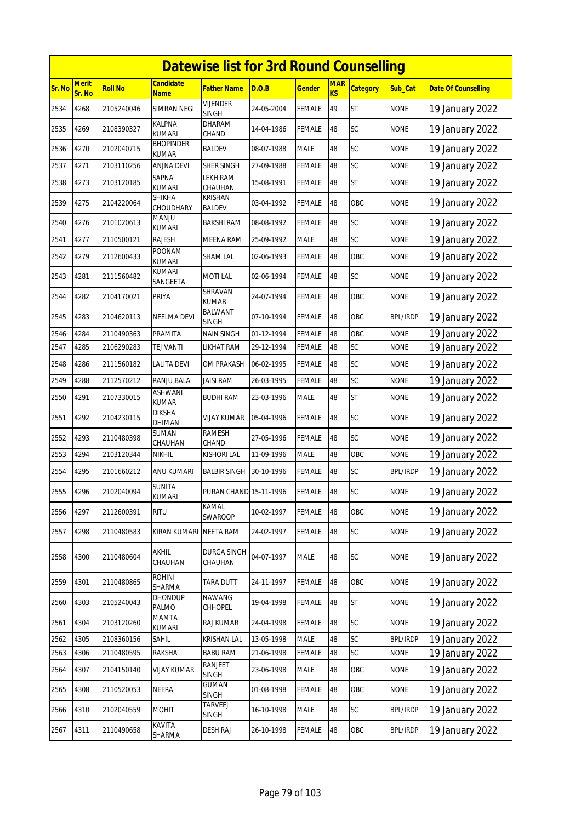|        |                        |                |                           | <b>Datewise list for 3rd Round Counselling</b> |            |               |                         |                 |                 |                            |
|--------|------------------------|----------------|---------------------------|------------------------------------------------|------------|---------------|-------------------------|-----------------|-----------------|----------------------------|
| Sr. No | <b>Merit</b><br>Sr. No | <b>Roll No</b> | <b>Candidate</b><br>Name  | <b>Father Name</b>                             | D.O.B      | <b>Gender</b> | <b>MAR</b><br><b>KS</b> | <b>Category</b> | Sub_Cat         | <b>Date Of Counselling</b> |
| 2534   | 4268                   | 2105240046     | SIMRAN NEGI               | <b>VIJENDER</b><br><b>SINGH</b>                | 24-05-2004 | <b>FEMALE</b> | 49                      | <b>ST</b>       | <b>NONE</b>     | 19 January 2022            |
| 2535   | 4269                   | 2108390327     | KALPNA<br><b>KUMARI</b>   | DHARAM<br>CHAND                                | 14-04-1986 | <b>FEMALE</b> | 48                      | SC              | <b>NONE</b>     | 19 January 2022            |
| 2536   | 4270                   | 2102040715     | <b>BHOPINDER</b><br>KUMAR | BALDEV                                         | 08-07-1988 | <b>MALE</b>   | 48                      | SC              | <b>NONE</b>     | 19 January 2022            |
| 2537   | 4271                   | 2103110256     | ANJNA DEVI                | SHER SINGH                                     | 27-09-1988 | <b>FEMALE</b> | 48                      | SC              | <b>NONE</b>     | 19 January 2022            |
| 2538   | 4273                   | 2103120185     | SAPNA<br><b>KUMARI</b>    | LEKH RAM<br>CHAUHAN                            | 15-08-1991 | <b>FEMALE</b> | 48                      | <b>ST</b>       | <b>NONE</b>     | 19 January 2022            |
| 2539   | 4275                   | 2104220064     | SHIKHA<br>CHOUDHARY       | KRISHAN<br>BALDEV                              | 03-04-1992 | <b>FEMALE</b> | 48                      | OBC             | <b>NONE</b>     | 19 January 2022            |
| 2540   | 4276                   | 2101020613     | MANJU<br>kumari           | BAKSHI RAM                                     | 08-08-1992 | <b>FEMALE</b> | 48                      | SC              | <b>NONE</b>     | 19 January 2022            |
| 2541   | 4277                   | 2110500121     | RAJESH                    | MEENA RAM                                      | 25-09-1992 | <b>MALE</b>   | 48                      | SC              | <b>NONE</b>     | 19 January 2022            |
| 2542   | 4279                   | 2112600433     | POONAM<br><b>KUMARI</b>   | <b>SHAM LAL</b>                                | 02-06-1993 | <b>FEMALE</b> | 48                      | OBC             | <b>NONE</b>     | 19 January 2022            |
| 2543   | 4281                   | 2111560482     | KUMARI<br>SANGEETA        | <b>MOTILAL</b>                                 | 02-06-1994 | FEMALE        | 48                      | SC              | <b>NONE</b>     | 19 January 2022            |
| 2544   | 4282                   | 2104170021     | PRIYA                     | SHRAVAN<br><b>KUMAR</b>                        | 24-07-1994 | <b>FEMALE</b> | 48                      | OBC             | <b>NONE</b>     | 19 January 2022            |
| 2545   | 4283                   | 2104620113     | NEELMA DEVI               | BALWANT<br><b>SINGH</b>                        | 07-10-1994 | <b>FEMALE</b> | 48                      | OBC             | <b>BPL/IRDP</b> | 19 January 2022            |
| 2546   | 4284                   | 2110490363     | PRAMITA                   | NAIN SINGH                                     | 01-12-1994 | <b>FEMALE</b> | 48                      | OBC             | <b>NONE</b>     | 19 January 2022            |
| 2547   | 4285                   | 2106290283     | TEJ VANTI                 | LIKHAT RAM                                     | 29-12-1994 | FEMALE        | 48                      | SC              | None            | 19 January 2022            |
| 2548   | 4286                   | 2111560182     | LALITA DEVI               | OM PRAKASH                                     | 06-02-1995 | <b>FEMALE</b> | 48                      | <b>SC</b>       | <b>NONE</b>     | 19 January 2022            |
| 2549   | 4288                   | 2112570212     | RANJU BALA                | <b>JAISI RAM</b>                               | 26-03-1995 | <b>FEMALE</b> | 48                      | SC              | <b>NONE</b>     | 19 January 2022            |
| 2550   | 4291                   | 2107330015     | ASHWANI<br><b>KUMAR</b>   | <b>BUDHI RAM</b>                               | 23-03-1996 | <b>MALE</b>   | 48                      | <b>ST</b>       | <b>NONE</b>     | 19 January 2022            |
| 2551   | 4292                   | 2104230115     | DIKSHA<br>DHIMAN          | VIJAY KUMAR                                    | 05-04-1996 | FEMALE        | 48                      | SC              | <b>NONE</b>     | 19 January 2022            |
| 2552   | 4293                   | 2110480398     | SUMAN<br>CHAUHAN          | <b>RAMESH</b><br>CHAND                         | 27-05-1996 | <b>FEMALE</b> | 48                      | <b>SC</b>       | <b>NONE</b>     | 19 January 2022            |
| 2553   | 4294                   | 2103120344     | <b>NIKHIL</b>             | <b>KISHORI LAL</b>                             | 11-09-1996 | <b>MALE</b>   | 48                      | OBC             | <b>NONE</b>     | 19 January 2022            |
| 2554   | 4295                   | 2101660212     | ANU KUMARI                | <b>BALBIR SINGH</b>                            | 30-10-1996 | <b>FEMALE</b> | 48                      | SC              | <b>BPL/IRDP</b> | 19 January 2022            |
| 2555   | 4296                   | 2102040094     | SUNITA<br><b>KUMARI</b>   | PURAN CHAND 15-11-1996                         |            | <b>FEMALE</b> | 48                      | SC              | <b>NONE</b>     | 19 January 2022            |
| 2556   | 4297                   | 2112600391     | <b>RITU</b>               | KAMAL<br>SWAROOP                               | 10-02-1997 | <b>FEMALE</b> | 48                      | OBC             | <b>NONE</b>     | 19 January 2022            |
| 2557   | 4298                   | 2110480583     | KIRAN KUMARI              | <b>NEETA RAM</b>                               | 24-02-1997 | <b>FEMALE</b> | 48                      | SC              | <b>NONE</b>     | 19 January 2022            |
| 2558   | 4300                   | 2110480604     | AKHIL<br>CHAUHAN          | <b>DURGA SINGH</b><br>CHAUHAN                  | 04-07-1997 | <b>MALE</b>   | 48                      | SC              | <b>NONE</b>     | 19 January 2022            |
| 2559   | 4301                   | 2110480865     | <b>ROHINI</b><br>SHARMA   | <b>TARA DUTT</b>                               | 24-11-1997 | <b>FEMALE</b> | 48                      | OBC             | <b>NONE</b>     | 19 January 2022            |
| 2560   | 4303                   | 2105240043     | DHONDUP<br>PALMO          | <b>NAWANG</b><br>CHHOPEL                       | 19-04-1998 | <b>FEMALE</b> | 48                      | <b>ST</b>       | <b>NONE</b>     | 19 January 2022            |
| 2561   | 4304                   | 2103120260     | MAMTA<br>KUMARI           | RAJ KUMAR                                      | 24-04-1998 | <b>FEMALE</b> | 48                      | SC              | <b>NONE</b>     | 19 January 2022            |
| 2562   | 4305                   | 2108360156     | SAHIL                     | <b>KRISHAN LAL</b>                             | 13-05-1998 | <b>MALE</b>   | 48                      | SC              | <b>BPL/IRDP</b> | 19 January 2022            |
| 2563   | 4306                   | 2110480595     | RAKSHA                    | <b>BABU RAM</b>                                | 21-06-1998 | FEMALE        | 48                      | SC              | <b>NONE</b>     | 19 January 2022            |
| 2564   | 4307                   | 2104150140     | VIJAY KUMAR               | RANJEET<br>SINGH                               | 23-06-1998 | <b>MALE</b>   | 48                      | OBC             | <b>NONE</b>     | 19 January 2022            |
| 2565   | 4308                   | 2110520053     | NEERA                     | GUMAN<br><b>SINGH</b>                          | 01-08-1998 | <b>FEMALE</b> | 48                      | OBC             | <b>NONE</b>     | 19 January 2022            |
| 2566   | 4310                   | 2102040559     | MOHIT                     | TARVEEJ<br>SINGH                               | 16-10-1998 | <b>MALE</b>   | 48                      | SC              | <b>BPL/IRDP</b> | 19 January 2022            |
| 2567   | 4311                   | 2110490658     | KAVITA<br>SHARMA          | <b>DESH RAJ</b>                                | 26-10-1998 | <b>FEMALE</b> | 48                      | OBC             | <b>BPL/IRDP</b> | 19 January 2022            |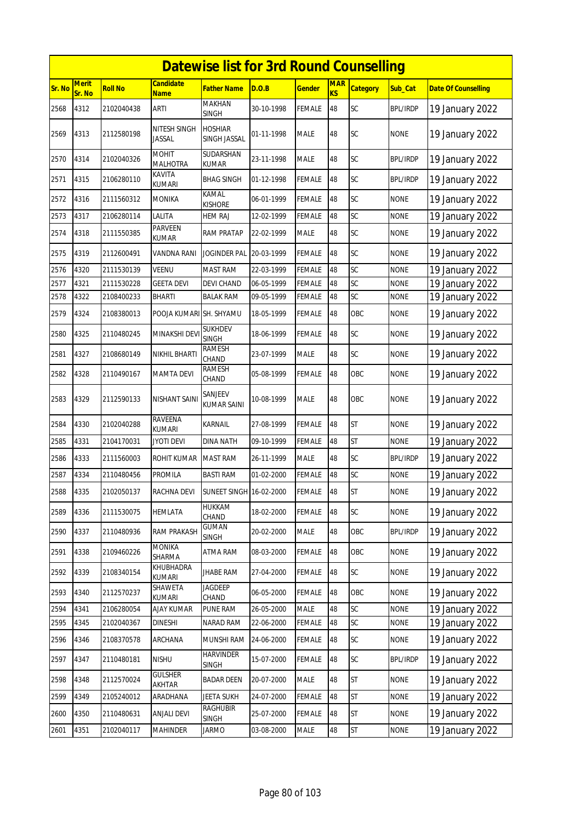|        |                        |                |                                 | <b>Datewise list for 3rd Round Counselling</b> |            |               |                         |                 |                 |                            |
|--------|------------------------|----------------|---------------------------------|------------------------------------------------|------------|---------------|-------------------------|-----------------|-----------------|----------------------------|
| Sr. No | <b>Merit</b><br>Sr. No | <b>Roll No</b> | <b>Candidate</b><br><b>Name</b> | <b>Father Name</b>                             | D.O.B      | <b>Gender</b> | <b>MAR</b><br><b>KS</b> | <b>Category</b> | Sub_Cat         | <b>Date Of Counselling</b> |
| 2568   | 4312                   | 2102040438     | ARTI                            | MAKHAN<br>SINGH                                | 30-10-1998 | <b>FEMALE</b> | 48                      | SC              | <b>BPL/IRDP</b> | 19 January 2022            |
| 2569   | 4313                   | 2112580198     | NITESH SINGH<br>JASSAL          | <b>HOSHIAR</b><br>SINGH JASSAL                 | 01-11-1998 | MALE          | 48                      | SC              | <b>NONE</b>     | 19 January 2022            |
| 2570   | 4314                   | 2102040326     | <b>MOHIT</b><br><b>MALHOTRA</b> | SUDARSHAN<br><b>KUMAR</b>                      | 23-11-1998 | MALE          | 48                      | <b>SC</b>       | <b>BPL/IRDP</b> | 19 January 2022            |
| 2571   | 4315                   | 2106280110     | KAVITA<br>kumari                | <b>BHAG SINGH</b>                              | 01-12-1998 | FEMALE        | 48                      | SC              | <b>BPL/IRDP</b> | 19 January 2022            |
| 2572   | 4316                   | 2111560312     | <b>MONIKA</b>                   | KAMAL<br><b>KISHORE</b>                        | 06-01-1999 | FEMALE        | 48                      | SC              | <b>NONE</b>     | 19 January 2022            |
| 2573   | 4317                   | 2106280114     | Lalita                          | <b>HEM RAJ</b>                                 | 12-02-1999 | <b>FEMALE</b> | 48                      | SC              | <b>NONE</b>     | 19 January 2022            |
| 2574   | 4318                   | 2111550385     | PARVEEN<br>KUMAR                | <b>RAM PRATAP</b>                              | 22-02-1999 | MALE          | 48                      | <b>SC</b>       | <b>NONE</b>     | 19 January 2022            |
| 2575   | 4319                   | 2112600491     | VANDNA RANI                     | JOGINDER PAL                                   | 20-03-1999 | FEMALE        | 48                      | SC              | <b>NONE</b>     | 19 January 2022            |
| 2576   | 4320                   | 2111530139     | VEENU                           | <b>MAST RAM</b>                                | 22-03-1999 | <b>FEMALE</b> | 48                      | SC              | <b>NONE</b>     | 19 January 2022            |
| 2577   | 4321                   | 2111530228     | GEETA DEVI                      | DEVI CHAND                                     | 06-05-1999 | FEMALE        | 48                      | SC              | None            | 19 January 2022            |
| 2578   | 4322                   | 2108400233     | BHARTI                          | <b>BALAK RAM</b>                               | 09-05-1999 | <b>FEMALE</b> | 48                      | SC              | <b>NONE</b>     | 19 January 2022            |
| 2579   | 4324                   | 2108380013     | POOJA KUMARI                    | SH. SHYAMU                                     | 18-05-1999 | FEMALE        | 48                      | OBC             | <b>NONE</b>     | 19 January 2022            |
| 2580   | 4325                   | 2110480245     | MINAKSHI DEV                    | <b>SUKHDEV</b><br><b>SINGH</b>                 | 18-06-1999 | FEMALE        | 48                      | SC              | <b>NONE</b>     | 19 January 2022            |
| 2581   | 4327                   | 2108680149     | NIKHIL BHARTI                   | RAMESH<br>CHAND                                | 23-07-1999 | MALE          | 48                      | SC              | <b>NONE</b>     | 19 January 2022            |
| 2582   | 4328                   | 2110490167     | MAMTA DEVI                      | RAMESH<br>CHAND                                | 05-08-1999 | FEMALE        | 48                      | OBC             | <b>NONE</b>     | 19 January 2022            |
| 2583   | 4329                   | 2112590133     | NISHANT SAINI                   | SANJEEV<br>KUMAR SAINI                         | 10-08-1999 | MALE          | 48                      | OBC             | <b>NONE</b>     | 19 January 2022            |
| 2584   | 4330                   | 2102040288     | RAVEENA<br><b>KUMARI</b>        | KARNAIL                                        | 27-08-1999 | FEMALE        | 48                      | <b>ST</b>       | <b>NONE</b>     | 19 January 2022            |
| 2585   | 4331                   | 2104170031     | JYOTI DEVI                      | DINA NATH                                      | 09-10-1999 | FEMALE        | 48                      | <b>ST</b>       | <b>NONE</b>     | 19 January 2022            |
| 2586   | 4333                   | 2111560003     | ROHIT KUMAR                     | <b>MAST RAM</b>                                | 26-11-1999 | MALE          | 48                      | <b>SC</b>       | <b>BPL/IRDP</b> | 19 January 2022            |
| 2587   | 4334                   | 2110480456     | PROMILA                         | <b>BASTI RAM</b>                               | 01-02-2000 | <b>FEMALE</b> | 48                      | SC              | <b>NONE</b>     | 19 January 2022            |
| 2588   | 4335                   | 2102050137     | RACHNA DEVI                     | <b>SUNEET SINGH 16-02-2000</b>                 |            | <b>FEMALE</b> | 48                      | <b>ST</b>       | <b>NONE</b>     | 19 January 2022            |
| 2589   | 4336                   | 2111530075     | HEMLATA                         | HUKKAM<br>CHAND                                | 18-02-2000 | <b>FEMALE</b> | 48                      | SC              | <b>NONE</b>     | 19 January 2022            |
| 2590   | 4337                   | 2110480936     | <b>RAM PRAKASH</b>              | <b>GUMAN</b><br>SINGH                          | 20-02-2000 | MALE          | 48                      | OBC             | <b>BPL/IRDP</b> | 19 January 2022            |
| 2591   | 4338                   | 2109460226     | MONIKA<br>SHARMA                | ATMA RAM                                       | 08-03-2000 | <b>FEMALE</b> | 48                      | OBC             | <b>NONE</b>     | 19 January 2022            |
| 2592   | 4339                   | 2108340154     | KHUBHADRA<br><b>KUMARI</b>      | <b>JHABE RAM</b>                               | 27-04-2000 | <b>FEMALE</b> | 48                      | SC              | <b>NONE</b>     | 19 January 2022            |
| 2593   | 4340                   | 2112570237     | SHAWETA<br>KUMARI               | JAGDEEP<br>CHAND                               | 06-05-2000 | <b>FEMALE</b> | 48                      | OBC             | <b>NONE</b>     | 19 January 2022            |
| 2594   | 4341                   | 2106280054     | <b>AJAY KUMAR</b>               | PUNE RAM                                       | 26-05-2000 | <b>MALE</b>   | 48                      | SC              | <b>NONE</b>     | 19 January 2022            |
| 2595   | 4345                   | 2102040367     | DINESHI                         | NARAD RAM                                      | 22-06-2000 | FEMALE        | 48                      | SC              | <b>NONE</b>     | 19 January 2022            |
| 2596   | 4346                   | 2108370578     | ARCHANA                         | MUNSHI RAM                                     | 24-06-2000 | FEMALE        | 48                      | <b>SC</b>       | <b>NONE</b>     | 19 January 2022            |
| 2597   | 4347                   | 2110480181     | <b>NISHU</b>                    | HARVINDER<br><b>SINGH</b>                      | 15-07-2000 | <b>FEMALE</b> | 48                      | SC              | <b>BPL/IRDP</b> | 19 January 2022            |
| 2598   | 4348                   | 2112570024     | <b>GULSHER</b><br>AKHTAR        | <b>BADAR DEEN</b>                              | 20-07-2000 | MALE          | 48                      | <b>ST</b>       | <b>NONE</b>     | 19 January 2022            |
| 2599   | 4349                   | 2105240012     | ARADHANA                        | <b>JEETA SUKH</b>                              | 24-07-2000 | <b>FEMALE</b> | 48                      | <b>ST</b>       | <b>NONE</b>     | 19 January 2022            |
| 2600   | 4350                   | 2110480631     | <b>ANJALI DEVI</b>              | <b>RAGHUBIR</b><br>SINGH                       | 25-07-2000 | <b>FEMALE</b> | 48                      | <b>ST</b>       | <b>NONE</b>     | 19 January 2022            |
| 2601   | 4351                   | 2102040117     | <b>MAHINDER</b>                 | <b>JARMO</b>                                   | 03-08-2000 | MALE          | 48                      | <b>ST</b>       | <b>NONE</b>     | 19 January 2022            |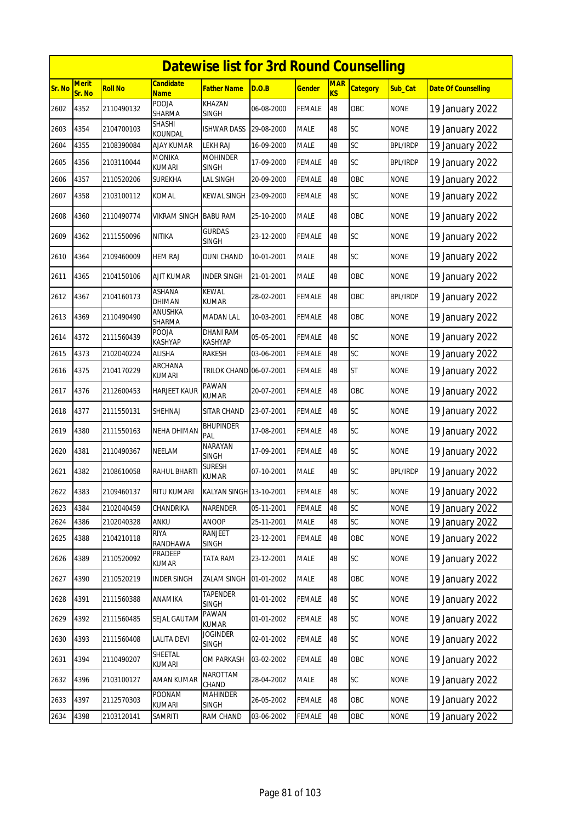|        |                        |                |                          | <b>Datewise list for 3rd Round Counselling</b> |            |               |                         |                 |                 |                            |
|--------|------------------------|----------------|--------------------------|------------------------------------------------|------------|---------------|-------------------------|-----------------|-----------------|----------------------------|
| Sr. No | <b>Merit</b><br>Sr. No | <b>Roll No</b> | Candidate<br><b>Name</b> | Father Name                                    | D.O.B      | <u>Gender</u> | <b>MAR</b><br><b>KS</b> | <b>Category</b> | Sub_Cat         | <b>Date Of Counselling</b> |
| 2602   | 4352                   | 2110490132     | POOJA<br>SHARMA          | KHAZAN<br><b>SINGH</b>                         | 06-08-2000 | <b>FEMALE</b> | 48                      | OBC             | <b>NONE</b>     | 19 January 2022            |
| 2603   | 4354                   | 2104700103     | SHASHI<br>KOUNDAL        | ISHWAR DASS                                    | 29-08-2000 | <b>MALE</b>   | 48                      | <b>SC</b>       | <b>NONE</b>     | 19 January 2022            |
| 2604   | 4355                   | 2108390084     | AJAY KUMAR               | LEKH RAJ                                       | 16-09-2000 | <b>MALE</b>   | 48                      | SC              | <b>BPL/IRDP</b> | 19 January 2022            |
| 2605   | 4356                   | 2103110044     | MONIKA<br><b>KUMARI</b>  | <b>MOHINDER</b><br><b>SINGH</b>                | 17-09-2000 | <b>FEMALE</b> | 48                      | SC              | <b>BPL/IRDP</b> | 19 January 2022            |
| 2606   | 4357                   | 2110520206     | <b>SUREKHA</b>           | LAL SINGH                                      | 20-09-2000 | <b>FEMALE</b> | 48                      | OBC             | <b>NONE</b>     | 19 January 2022            |
| 2607   | 4358                   | 2103100112     | KOMAL                    | KEWAL SINGH                                    | 23-09-2000 | <b>FEMALE</b> | 48                      | SC              | <b>NONE</b>     | 19 January 2022            |
| 2608   | 4360                   | 2110490774     | VIKRAM SINGH             | <b>BABU RAM</b>                                | 25-10-2000 | <b>MALE</b>   | 48                      | OBC             | <b>NONE</b>     | 19 January 2022            |
| 2609   | 4362                   | 2111550096     | NITIKA                   | <b>GURDAS</b><br><b>SINGH</b>                  | 23-12-2000 | <b>FEMALE</b> | 48                      | SC              | <b>NONE</b>     | 19 January 2022            |
| 2610   | 4364                   | 2109460009     | HEM RAJ                  | DUNI CHAND                                     | 10-01-2001 | <b>MALE</b>   | 48                      | SC              | <b>NONE</b>     | 19 January 2022            |
| 2611   | 4365                   | 2104150106     | AJIT KUMAR               | INDER SINGH                                    | 21-01-2001 | <b>MALE</b>   | 48                      | OBC             | <b>NONE</b>     | 19 January 2022            |
| 2612   | 4367                   | 2104160173     | ASHANA<br>DHIMAN         | <b>KEWAL</b><br>KUMAR                          | 28-02-2001 | <b>FEMALE</b> | 48                      | OBC             | <b>BPL/IRDP</b> | 19 January 2022            |
| 2613   | 4369                   | 2110490490     | ANUSHKA<br>SHARMA        | MADAN LAL                                      | 10-03-2001 | <b>FEMALE</b> | 48                      | OBC             | <b>NONE</b>     | 19 January 2022            |
| 2614   | 4372                   | 2111560439     | POOJA<br>KASHYAP         | DHANI RAM<br>KASHYAP                           | 05-05-2001 | <b>FEMALE</b> | 48                      | <b>SC</b>       | <b>NONE</b>     | 19 January 2022            |
| 2615   | 4373                   | 2102040224     | <b>ALISHA</b>            | <b>RAKESH</b>                                  | 03-06-2001 | <b>FEMALE</b> | 48                      | SC              | <b>NONE</b>     | 19 January 2022            |
| 2616   | 4375                   | 2104170229     | ARCHANA<br>KUMARI        | TRILOK CHAND 06-07-2001                        |            | FEMALE        | 48                      | ST              | <b>NONE</b>     | 19 January 2022            |
| 2617   | 4376                   | 2112600453     | <b>HARJEET KAUR</b>      | <b>PAWAN</b><br><b>KUMAR</b>                   | 20-07-2001 | <b>FEMALE</b> | 48                      | OBC             | <b>NONE</b>     | 19 January 2022            |
| 2618   | 4377                   | 2111550131     | SHEHNAJ                  | SITAR CHAND                                    | 23-07-2001 | FEMALE        | 48                      | SC              | <b>NONE</b>     | 19 January 2022            |
| 2619   | 4380                   | 2111550163     | NEHA DHIMAN              | <b>BHUPINDER</b><br>PAL                        | 17-08-2001 | <b>FEMALE</b> | 48                      | <b>SC</b>       | <b>NONE</b>     | 19 January 2022            |
| 2620   | 4381                   | 2110490367     | NEELAM                   | NARAYAN<br><b>SINGH</b>                        | 17-09-2001 | <b>FEMALE</b> | 48                      | <b>SC</b>       | <b>NONE</b>     | 19 January 2022            |
| 2621   | 4382                   | 2108610058     | RAHUL BHARTI             | <b>SURESH</b><br><b>KUMAR</b>                  | 07-10-2001 | <b>MALE</b>   | 48                      | <b>SC</b>       | <b>BPL/IRDP</b> | 19 January 2022            |
| 2622   | 4383                   | 2109460137     | RITU KUMARI              | KALYAN SINGH 13-10-2001                        |            | <b>FEMALE</b> | 48                      | SC              | <b>NONE</b>     | 19 January 2022            |
| 2623   | 4384                   | 2102040459     | CHANDRIKA                | NARENDER                                       | 05-11-2001 | <b>FEMALE</b> | 48                      | SC              | <b>NONE</b>     | 19 January 2022            |
| 2624   | 4386                   | 2102040328     | ANKU                     | ANOOP                                          | 25-11-2001 | MALE          | 48                      | SC              | <b>NONE</b>     | 19 January 2022            |
| 2625   | 4388                   | 2104210118     | RIYA<br>RANDHAWA         | RANJEET<br>SINGH                               | 23-12-2001 | <b>FEMALE</b> | 48                      | OBC             | <b>NONE</b>     | 19 January 2022            |
| 2626   | 4389                   | 2110520092     | <b>PRADEEP</b><br>KUMAR  | TATA RAM                                       | 23-12-2001 | <b>MALE</b>   | 48                      | SC              | <b>NONE</b>     | 19 January 2022            |
| 2627   | 4390                   | 2110520219     | <b>INDER SINGH</b>       | <b>ZALAM SINGH</b>                             | 01-01-2002 | <b>MALE</b>   | 48                      | OBC             | <b>NONE</b>     | 19 January 2022            |
| 2628   | 4391                   | 2111560388     | ANAMIKA                  | <b>TAPENDER</b><br><b>SINGH</b>                | 01-01-2002 | <b>FEMALE</b> | 48                      | SC              | <b>NONE</b>     | 19 January 2022            |
| 2629   | 4392                   | 2111560485     | SEJAL GAUTAM             | PAWAN<br><b>KUMAR</b>                          | 01-01-2002 | <b>FEMALE</b> | 48                      | SC              | <b>NONE</b>     | 19 January 2022            |
| 2630   | 4393                   | 2111560408     | LALITA DEVI              | <b>JOGINDER</b><br>SINGH                       | 02-01-2002 | FEMALE        | 48                      | SC              | <b>NONE</b>     | 19 January 2022            |
| 2631   | 4394                   | 2110490207     | SHEETAL<br>KUMARI        | OM PARKASH                                     | 03-02-2002 | <b>FEMALE</b> | 48                      | OBC             | <b>NONE</b>     | 19 January 2022            |
| 2632   | 4396                   | 2103100127     | AMAN KUMAR               | NAROTTAM<br>CHAND                              | 28-04-2002 | MALE          | 48                      | <b>SC</b>       | <b>NONE</b>     | 19 January 2022            |
| 2633   | 4397                   | 2112570303     | POONAM<br>KUMARI         | <b>MAHINDER</b><br>SINGH                       | 26-05-2002 | <b>FEMALE</b> | 48                      | OBC             | <b>NONE</b>     | 19 January 2022            |
| 2634   | 4398                   | 2103120141     | SAMRITI                  | RAM CHAND                                      | 03-06-2002 | <b>FEMALE</b> | 48                      | OBC             | <b>NONE</b>     | 19 January 2022            |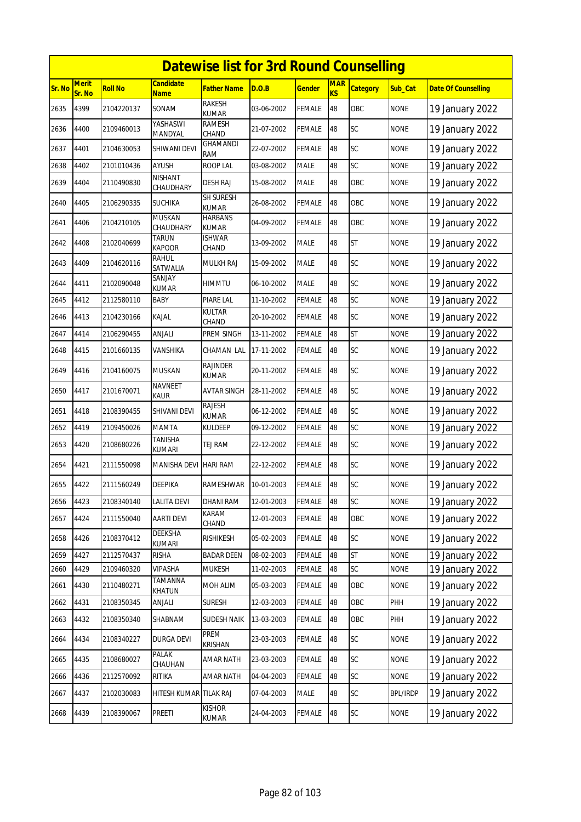|        | <b>Datewise list for 3rd Round Counselling</b> |                |                               |                                  |            |               |                         |                 |                 |                            |  |  |
|--------|------------------------------------------------|----------------|-------------------------------|----------------------------------|------------|---------------|-------------------------|-----------------|-----------------|----------------------------|--|--|
| Sr. No | <b>Merit</b><br>Sr. No                         | <b>Roll No</b> | Candidate<br><b>Name</b>      | Father Name                      | D.O.B      | <u>Gender</u> | <b>MAR</b><br><b>KS</b> | <b>Category</b> | Sub_Cat         | <b>Date Of Counselling</b> |  |  |
| 2635   | 4399                                           | 2104220137     | SONAM                         | <b>RAKESH</b><br><b>KUMAR</b>    | 03-06-2002 | <b>FEMALE</b> | 48                      | OBC             | <b>NONE</b>     | 19 January 2022            |  |  |
| 2636   | 4400                                           | 2109460013     | YASHASWI<br>MANDYAL           | RAMESH<br>CHAND                  | 21-07-2002 | <b>FEMALE</b> | 48                      | <b>SC</b>       | <b>NONE</b>     | 19 January 2022            |  |  |
| 2637   | 4401                                           | 2104630053     | SHIWANI DEVI                  | <b>GHAMANDI</b><br>RAM           | 22-07-2002 | <b>FEMALE</b> | 48                      | SC              | <b>NONE</b>     | 19 January 2022            |  |  |
| 2638   | 4402                                           | 2101010436     | AYUSH                         | <b>ROOP LAL</b>                  | 03-08-2002 | <b>MALE</b>   | 48                      | SC              | <b>NONE</b>     | 19 January 2022            |  |  |
| 2639   | 4404                                           | 2110490830     | NISHANT<br>CHAUDHARY          | DESH RAJ                         | 15-08-2002 | <b>MALE</b>   | 48                      | OBC             | <b>NONE</b>     | 19 January 2022            |  |  |
| 2640   | 4405                                           | 2106290335     | <b>SUCHIKA</b>                | <b>SH SURESH</b><br><b>KUMAR</b> | 26-08-2002 | <b>FEMALE</b> | 48                      | OBC             | <b>NONE</b>     | 19 January 2022            |  |  |
| 2641   | 4406                                           | 2104210105     | <b>MUSKAN</b><br>CHAUDHARY    | HARBANS<br><b>KUMAR</b>          | 04-09-2002 | <b>FEMALE</b> | 48                      | OBC             | <b>NONE</b>     | 19 January 2022            |  |  |
| 2642   | 4408                                           | 2102040699     | <b>TARUN</b><br><b>KAPOOR</b> | <b>ISHWAR</b><br>CHAND           | 13-09-2002 | <b>MALE</b>   | 48                      | <b>ST</b>       | <b>NONE</b>     | 19 January 2022            |  |  |
| 2643   | 4409                                           | 2104620116     | rahul<br>SATWALIA             | MULKH RAJ                        | 15-09-2002 | <b>MALE</b>   | 48                      | <b>SC</b>       | <b>NONE</b>     | 19 January 2022            |  |  |
| 2644   | 4411                                           | 2102090048     | SANJAY<br>KUMAR               | HIMMTU                           | 06-10-2002 | <b>MALE</b>   | 48                      | SC              | <b>NONE</b>     | 19 January 2022            |  |  |
| 2645   | 4412                                           | 2112580110     | BABY                          | PIARE LAL                        | 11-10-2002 | FEMALE        | 48                      | SC              | <b>NONE</b>     | 19 January 2022            |  |  |
| 2646   | 4413                                           | 2104230166     | KAJAL                         | KULTAR<br>CHAND                  | 20-10-2002 | <b>FEMALE</b> | 48                      | <b>SC</b>       | <b>NONE</b>     | 19 January 2022            |  |  |
| 2647   | 4414                                           | 2106290455     | ANJALI                        | PREM SINGH                       | 13-11-2002 | <b>FEMALE</b> | 48                      | <b>ST</b>       | <b>NONE</b>     | 19 January 2022            |  |  |
| 2648   | 4415                                           | 2101660135     | VANSHIKA                      | CHAMAN LAL                       | 17-11-2002 | <b>FEMALE</b> | 48                      | <b>SC</b>       | <b>NONE</b>     | 19 January 2022            |  |  |
| 2649   | 4416                                           | 2104160075     | MUSKAN                        | <b>RAJINDER</b><br>kumar         | 20-11-2002 | <b>FEMALE</b> | 48                      | SC              | <b>NONE</b>     | 19 January 2022            |  |  |
| 2650   | 4417                                           | 2101670071     | <b>NAVNEET</b><br><b>KAUR</b> | <b>AVTAR SINGH</b>               | 28-11-2002 | <b>FEMALE</b> | 48                      | SC              | <b>NONE</b>     | 19 January 2022            |  |  |
| 2651   | 4418                                           | 2108390455     | SHIVANI DEVI                  | <b>RAJESH</b><br><b>KUMAR</b>    | 06-12-2002 | FEMALE        | 48                      | SC              | <b>NONE</b>     | 19 January 2022            |  |  |
| 2652   | 4419                                           | 2109450026     | MAMTA                         | <b>KULDEEP</b>                   | 09-12-2002 | <b>FEMALE</b> | 48                      | SC              | <b>NONE</b>     | 19 January 2022            |  |  |
| 2653   | 4420                                           | 2108680226     | TANISHA<br><b>KUMARI</b>      | TEJ RAM                          | 22-12-2002 | <b>FEMALE</b> | 48                      | <b>SC</b>       | <b>NONE</b>     | 19 January 2022            |  |  |
| 2654   | 4421                                           | 2111550098     | MANISHA DEVI                  | <b>HARI RAM</b>                  | 22-12-2002 | <b>FEMALE</b> | 48                      | SC              | <b>NONE</b>     | 19 January 2022            |  |  |
| 2655   | 4422                                           | 2111560249     | DEEPIKA                       | RAMESHWAR                        | 10-01-2003 | <b>FEMALE</b> | 48                      | SC              | <b>NONE</b>     | 19 January 2022            |  |  |
| 2656   | 4423                                           | 2108340140     | LALITA DEVI                   | DHANI RAM                        | 12-01-2003 | <b>FEMALE</b> | 48                      | SC              | <b>NONE</b>     | 19 January 2022            |  |  |
| 2657   | 4424                                           | 2111550040     | AARTI DEVI                    | KARAM<br>CHAND                   | 12-01-2003 | <b>FEMALE</b> | 48                      | OBC             | <b>NONE</b>     | 19 January 2022            |  |  |
| 2658   | 4426                                           | 2108370412     | DEEKSHA<br>KUMARI             | <b>RISHIKESH</b>                 | 05-02-2003 | <b>FEMALE</b> | 48                      | SC              | <b>NONE</b>     | 19 January 2022            |  |  |
| 2659   | 4427                                           | 2112570437     | <b>RISHA</b>                  | <b>BADAR DEEN</b>                | 08-02-2003 | <b>FEMALE</b> | 48                      | <b>ST</b>       | <b>NONE</b>     | 19 January 2022            |  |  |
| 2660   | 4429                                           | 2109460320     | VIPASHA                       | MUKESH                           | 11-02-2003 | FEMALE        | 48                      | SC              | <b>NONE</b>     | 19 January 2022            |  |  |
| 2661   | 4430                                           | 2110480271     | TAMANNA<br>KHATUN             | MOH ALIM                         | 05-03-2003 | <b>FEMALE</b> | 48                      | OBC             | <b>NONE</b>     | 19 January 2022            |  |  |
| 2662   | 4431                                           | 2108350345     | ANJALI                        | <b>SURESH</b>                    | 12-03-2003 | <b>FEMALE</b> | 48                      | OBC             | PHH             | 19 January 2022            |  |  |
| 2663   | 4432                                           | 2108350340     | SHABNAM                       | <b>SUDESH NAIK</b>               | 13-03-2003 | <b>FEMALE</b> | 48                      | OBC             | PHH             | 19 January 2022            |  |  |
| 2664   | 4434                                           | 2108340227     | DURGA DEVI                    | PREM<br>Krishan                  | 23-03-2003 | FEMALE        | 48                      | SC              | <b>NONE</b>     | 19 January 2022            |  |  |
| 2665   | 4435                                           | 2108680027     | PALAK<br>CHAUHAN              | <b>AMAR NATH</b>                 | 23-03-2003 | <b>FEMALE</b> | 48                      | <b>SC</b>       | <b>NONE</b>     | 19 January 2022            |  |  |
| 2666   | 4436                                           | 2112570092     | RITIKA                        | <b>AMAR NATH</b>                 | 04-04-2003 | FEMALE        | 48                      | SC              | <b>NONE</b>     | 19 January 2022            |  |  |
| 2667   | 4437                                           | 2102030083     | HITESH KUMAR TILAK RAJ        |                                  | 07-04-2003 | <b>MALE</b>   | 48                      | SC              | <b>BPL/IRDP</b> | 19 January 2022            |  |  |
| 2668   | 4439                                           | 2108390067     | PREETI                        | <b>KISHOR</b><br>KUMAR           | 24-04-2003 | <b>FEMALE</b> | 48                      | SC              | <b>NONE</b>     | 19 January 2022            |  |  |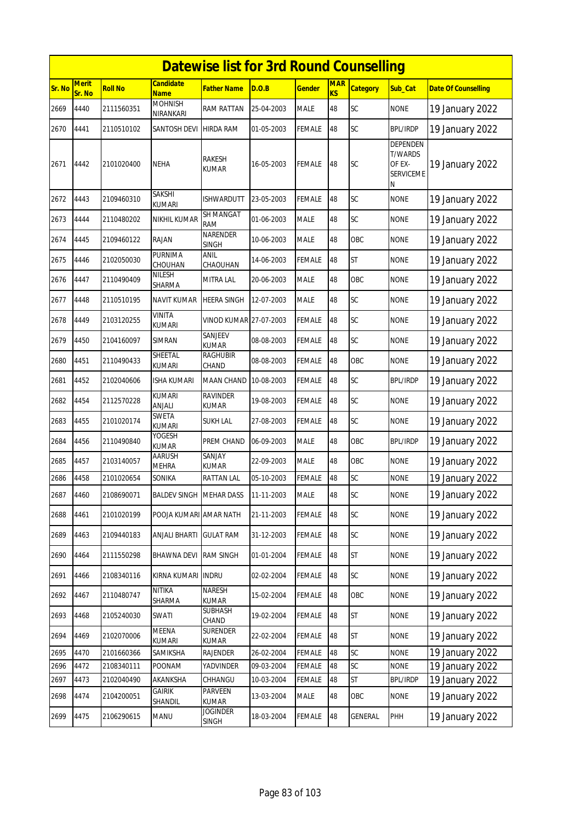|        |                        |                |                                 | <b>Datewise list for 3rd Round Counselling</b> |            |               |                  |                 |                                                                      |                            |
|--------|------------------------|----------------|---------------------------------|------------------------------------------------|------------|---------------|------------------|-----------------|----------------------------------------------------------------------|----------------------------|
| Sr. No | <b>Merit</b><br>Sr. No | <b>Roll No</b> | <b>Candidate</b><br><b>Name</b> | <b>Father Name</b>                             | D.O.B      | Gender        | <b>MAR</b><br>KS | <b>Category</b> | <b>Sub Cat</b>                                                       | <b>Date Of Counselling</b> |
| 2669   | 4440                   | 2111560351     | <b>MOHNISH</b><br>NIRANKARI     | RAM RATTAN                                     | 25-04-2003 | <b>MALE</b>   | 48               | SC              | <b>NONE</b>                                                          | 19 January 2022            |
| 2670   | 4441                   | 2110510102     | SANTOSH DEVI                    | <b>HIRDA RAM</b>                               | 01-05-2003 | <b>FEMALE</b> | 48               | SC              | <b>BPL/IRDP</b>                                                      | 19 January 2022            |
| 2671   | 4442                   | 2101020400     | NEHA                            | <b>RAKESH</b><br>KUMAR                         | 16-05-2003 | <b>FEMALE</b> | 48               | <b>SC</b>       | <b>DEPENDEN</b><br><b>T/WARDS</b><br>OF EX-<br><b>SERVICEME</b><br>N | 19 January 2022            |
| 2672   | 4443                   | 2109460310     | <b>SAKSHI</b><br>kumari         | <b>ISHWARDUTT</b>                              | 23-05-2003 | <b>FEMALE</b> | 48               | SC              | <b>NONE</b>                                                          | 19 January 2022            |
| 2673   | 4444                   | 2110480202     | NIKHIL KUMAR                    | <b>SH MANGAT</b><br>RAM                        | 01-06-2003 | <b>MALE</b>   | 48               | SC              | <b>NONE</b>                                                          | 19 January 2022            |
| 2674   | 4445                   | 2109460122     | <b>RAJAN</b>                    | NARENDER<br><b>SINGH</b>                       | 10-06-2003 | <b>MALE</b>   | 48               | OBC             | <b>NONE</b>                                                          | 19 January 2022            |
| 2675   | 4446                   | 2102050030     | <b>PURNIMA</b><br>CHOUHAN       | ANIL<br>CHAOUHAN                               | 14-06-2003 | <b>FEMALE</b> | 48               | <b>ST</b>       | <b>NONE</b>                                                          | 19 January 2022            |
| 2676   | 4447                   | 2110490409     | <b>NILESH</b><br>SHARMA         | <b>MITRA LAL</b>                               | 20-06-2003 | <b>MALE</b>   | 48               | OBC             | <b>NONE</b>                                                          | 19 January 2022            |
| 2677   | 4448                   | 2110510195     | NAVIT KUMAR                     | <b>HEERA SINGH</b>                             | 12-07-2003 | <b>MALE</b>   | 48               | SC              | <b>NONE</b>                                                          | 19 January 2022            |
| 2678   | 4449                   | 2103120255     | VINITA<br><b>KUMARI</b>         | VINOD KUMAR 27-07-2003                         |            | <b>FEMALE</b> | 48               | SC              | <b>NONE</b>                                                          | 19 January 2022            |
| 2679   | 4450                   | 2104160097     | SIMRAN                          | SANJEEV<br><b>KUMAR</b>                        | 08-08-2003 | <b>FEMALE</b> | 48               | <b>SC</b>       | <b>NONE</b>                                                          | 19 January 2022            |
| 2680   | 4451                   | 2110490433     | SHEETAL<br>kumari               | <b>RAGHUBIR</b><br>CHAND                       | 08-08-2003 | <b>FEMALE</b> | 48               | OBC             | <b>NONE</b>                                                          | 19 January 2022            |
| 2681   | 4452                   | 2102040606     | ISHA KUMARI                     | MAAN CHAND                                     | 10-08-2003 | <b>FEMALE</b> | 48               | <b>SC</b>       | <b>BPL/IRDP</b>                                                      | 19 January 2022            |
| 2682   | 4454                   | 2112570228     | kumari<br>ANJALI                | <b>RAVINDER</b><br><b>KUMAR</b>                | 19-08-2003 | <b>FEMALE</b> | 48               | SC              | <b>NONE</b>                                                          | 19 January 2022            |
| 2683   | 4455                   | 2101020174     | SWETA<br><b>KUMARI</b>          | <b>SUKH LAL</b>                                | 27-08-2003 | <b>FEMALE</b> | 48               | SC              | <b>NONE</b>                                                          | 19 January 2022            |
| 2684   | 4456                   | 2110490840     | YOGESH<br>KUMAR                 | PREM CHAND                                     | 06-09-2003 | <b>MALE</b>   | 48               | OBC             | <b>BPL/IRDP</b>                                                      | 19 January 2022            |
| 2685   | 4457                   | 2103140057     | <b>AARUSH</b><br><b>MEHRA</b>   | SANJAY<br><b>KUMAR</b>                         | 22-09-2003 | <b>MALE</b>   | 48               | OBC             | <b>NONE</b>                                                          | 19 January 2022            |
| 2686   | 4458                   | 2101020654     | SONIKA                          | <b>RATTAN LAL</b>                              | 05-10-2003 | <b>FEMALE</b> | 48               | SC              | <b>NONE</b>                                                          | 19 January 2022            |
| 2687   | 4460                   | 2108690071     | <b>BALDEV SINGH MEHAR DASS</b>  |                                                | 11-11-2003 | <b>MALE</b>   | 48               | <b>SC</b>       | <b>NONE</b>                                                          | 19 January 2022            |
| 2688   | 4461                   | 2101020199     | POOJA KUMARI AMAR NATH          |                                                | 21-11-2003 | <b>FEMALE</b> | 48               | SC              | <b>NONE</b>                                                          | 19 January 2022            |
| 2689   | 4463                   | 2109440183     | <b>ANJALI BHARTI</b>            | <b>GULAT RAM</b>                               | 31-12-2003 | <b>FEMALE</b> | 48               | SC              | <b>NONE</b>                                                          | 19 January 2022            |
| 2690   | 4464                   | 2111550298     | <b>BHAWNA DEVI</b>              | <b>RAM SINGH</b>                               | 01-01-2004 | <b>FEMALE</b> | 48               | <b>ST</b>       | <b>NONE</b>                                                          | 19 January 2022            |
| 2691   | 4466                   | 2108340116     | KIRNA KUMARI                    | <b>INDRU</b>                                   | 02-02-2004 | <b>FEMALE</b> | 48               | SC              | <b>NONE</b>                                                          | 19 January 2022            |
| 2692   | 4467                   | 2110480747     | <b>NITIKA</b><br>SHARMA         | NARESH<br>KUMAR                                | 15-02-2004 | <b>FEMALE</b> | 48               | OBC             | <b>NONE</b>                                                          | 19 January 2022            |
| 2693   | 4468                   | 2105240030     | SWATI                           | SUBHASH<br>CHAND                               | 19-02-2004 | <b>FEMALE</b> | 48               | <b>ST</b>       | <b>NONE</b>                                                          | 19 January 2022            |
| 2694   | 4469                   | 2102070006     | MEENA<br>KUMARI                 | <b>SURENDER</b><br>KUMAR                       | 22-02-2004 | <b>FEMALE</b> | 48               | <b>ST</b>       | <b>NONE</b>                                                          | 19 January 2022            |
| 2695   | 4470                   | 2101660366     | SAMIKSHA                        | RAJENDER                                       | 26-02-2004 | <b>FEMALE</b> | 48               | SC              | <b>NONE</b>                                                          | 19 January 2022            |
| 2696   | 4472                   | 2108340111     | POONAM                          | YADVINDER                                      | 09-03-2004 | <b>FEMALE</b> | 48               | SC              | <b>NONE</b>                                                          | 19 January 2022            |
| 2697   | 4473                   | 2102040490     | AKANKSHA                        | CHHANGU                                        | 10-03-2004 | FEMALE        | 48               | <b>ST</b>       | <b>BPL/IRDP</b>                                                      | 19 January 2022            |
| 2698   | 4474                   | 2104200051     | GAIRIK<br>SHANDIL               | <b>PARVEEN</b><br>KUMAR                        | 13-03-2004 | <b>MALE</b>   | 48               | OBC             | <b>NONE</b>                                                          | 19 January 2022            |
| 2699   | 4475                   | 2106290615     | MANU                            | JOGINDER<br>SINGH                              | 18-03-2004 | <b>FEMALE</b> | 48               | <b>GENERAL</b>  | PHH                                                                  | 19 January 2022            |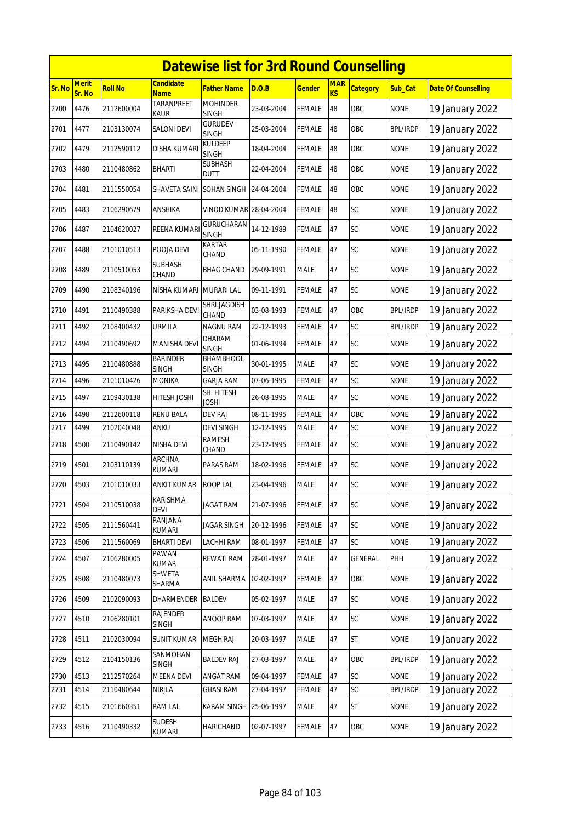|        | <b>Datewise list for 3rd Round Counselling</b> |            |                                 |                                           |            |               |                  |                 |                 |                            |  |  |
|--------|------------------------------------------------|------------|---------------------------------|-------------------------------------------|------------|---------------|------------------|-----------------|-----------------|----------------------------|--|--|
| Sr. No | <b>Merit</b><br>Sr. No                         | Roll No    | <b>Candidate</b><br><b>Name</b> | <b>Father Name</b>                        | D.O.B      | <b>Gender</b> | <b>MAR</b><br>KS | <b>Category</b> | Sub_Cat         | <b>Date Of Counselling</b> |  |  |
| 2700   | 4476                                           | 2112600004 | <b>TARANPREET</b><br>Kaur       | <b>MOHINDER</b><br><b>SINGH</b>           | 23-03-2004 | FEMALE        | 48               | OBC             | <b>NONE</b>     | 19 January 2022            |  |  |
| 2701   | 4477                                           | 2103130074 | <b>SALONI DEVI</b>              | <b>GURUDEV</b><br><b>SINGH</b>            | 25-03-2004 | <b>FEMALE</b> | 48               | OBC             | <b>BPL/IRDP</b> | 19 January 2022            |  |  |
| 2702   | 4479                                           | 2112590112 | DISHA KUMARI                    | KULDEEP<br><b>SINGH</b>                   | 18-04-2004 | FEMALE        | 48               | OBC             | <b>NONE</b>     | 19 January 2022            |  |  |
| 2703   | 4480                                           | 2110480862 | <b>BHARTI</b>                   | SUBHASH<br><b>DUTT</b>                    | 22-04-2004 | <b>FEMALE</b> | 48               | OBC             | <b>NONE</b>     | 19 January 2022            |  |  |
| 2704   | 4481                                           | 2111550054 | <b>SHAVETA SAINI</b>            | SOHAN SINGH                               | 24-04-2004 | FEMALE        | 48               | OBC             | <b>NONE</b>     | 19 January 2022            |  |  |
| 2705   | 4483                                           | 2106290679 | ANSHIKA                         | <b>VINOD KUMAR 28-04-2004</b>             |            | <b>FEMALE</b> | 48               | SC              | <b>NONE</b>     | 19 January 2022            |  |  |
| 2706   | 4487                                           | 2104620027 | REENA KUMARI                    | GURUCHARAN<br><b>SINGH</b>                | 14-12-1989 | FEMALE        | 47               | <b>SC</b>       | <b>NONE</b>     | 19 January 2022            |  |  |
| 2707   | 4488                                           | 2101010513 | POOJA DEVI                      | KARTAR<br>CHAND                           | 05-11-1990 | FEMALE        | 47               | <b>SC</b>       | <b>NONE</b>     | 19 January 2022            |  |  |
| 2708   | 4489                                           | 2110510053 | <b>SUBHASH</b><br>CHAND         | BHAG CHAND                                | 29-09-1991 | MALE          | 47               | SC              | <b>NONE</b>     | 19 January 2022            |  |  |
| 2709   | 4490                                           | 2108340196 | <b>NISHA KUMARI</b>             | <b>MURARI LAL</b>                         | 09-11-1991 | <b>FEMALE</b> | 47               | SC              | <b>NONE</b>     | 19 January 2022            |  |  |
| 2710   | 4491                                           | 2110490388 | PARIKSHA DEV                    | SHRI.JAGDISH<br>CHAND                     | 03-08-1993 | <b>FEMALE</b> | 47               | OBC             | <b>BPL/IRDP</b> | 19 January 2022            |  |  |
| 2711   | 4492                                           | 2108400432 | URMILA                          | <b>NAGNU RAM</b>                          | 22-12-1993 | <b>FEMALE</b> | 47               | SC              | <b>BPL/IRDP</b> | 19 January 2022            |  |  |
| 2712   | 4494                                           | 2110490692 | <b>MANISHA DEVI</b>             | DHARAM                                    | 01-06-1994 | FEMALE        | 47               | <b>SC</b>       | <b>NONE</b>     | 19 January 2022            |  |  |
| 2713   | 4495                                           | 2110480888 | <b>BARINDER</b><br>singh        | <b>SINGH</b><br>BHAMBHOOL<br><b>SINGH</b> | 30-01-1995 | <b>MALE</b>   | 47               | <b>SC</b>       | <b>NONE</b>     | 19 January 2022            |  |  |
| 2714   | 4496                                           | 2101010426 | MONIKA                          | <b>GARJA RAM</b>                          | 07-06-1995 | FEMALE        | 47               | SC              | <b>NONE</b>     | 19 January 2022            |  |  |
| 2715   | 4497                                           | 2109430138 | HITESH JOSHI                    | SH. HITESH<br><b>JOSHI</b>                | 26-08-1995 | <b>MALE</b>   | 47               | <b>SC</b>       | <b>NONE</b>     | 19 January 2022            |  |  |
| 2716   | 4498                                           | 2112600118 | RENU BALA                       | DEV RAJ                                   | 08-11-1995 | <b>FEMALE</b> | 47               | OBC             | <b>NONE</b>     | 19 January 2022            |  |  |
| 2717   | 4499                                           | 2102040048 | ANKU                            | DEVI SINGH                                | 12-12-1995 | <b>MALE</b>   | 47               | SC              | <b>NONE</b>     | 19 January 2022            |  |  |
| 2718   | 4500                                           | 2110490142 | NISHA DEVI                      | RAMESH<br>CHAND                           | 23-12-1995 | <b>FEMALE</b> | 47               | <b>SC</b>       | <b>NONE</b>     | 19 January 2022            |  |  |
| 2719   | 4501                                           | 2103110139 | <b>ARCHNA</b><br><b>KUMARI</b>  | PARAS RAM                                 | 18-02-1996 | FEMALE        | 47               | SC              | <b>NONE</b>     | 19 January 2022            |  |  |
| 2720   | 4503                                           | 2101010033 | <b>ANKIT KUMAR</b>              | <b>ROOP LAL</b>                           | 23-04-1996 | <b>MALE</b>   | 47               | <b>SC</b>       | <b>NONE</b>     | 19 January 2022            |  |  |
| 2721   | 4504                                           | 2110510038 | KARISHMA<br><b>DEVI</b>         | JAGAT RAM                                 | 21-07-1996 | <b>FEMALE</b> | 47               | <b>SC</b>       | <b>NONE</b>     | 19 January 2022            |  |  |
| 2722   | 4505                                           | 2111560441 | RANJANA<br>KUMARI               | <b>JAGAR SINGH</b>                        | 20-12-1996 | FEMALE        | 47               | <b>SC</b>       | <b>NONE</b>     | 19 January 2022            |  |  |
| 2723   | 4506                                           | 2111560069 | <b>BHARTI DEVI</b>              | LACHHI RAM                                | 08-01-1997 | FEMALE        | 47               | <b>SC</b>       | <b>NONE</b>     | 19 January 2022            |  |  |
| 2724   | 4507                                           | 2106280005 | PAWAN<br>KUMAR                  | REWATI RAM                                | 28-01-1997 | MALE          | 47               | <b>GENERAL</b>  | PHH             | 19 January 2022            |  |  |
| 2725   | 4508                                           | 2110480073 | SHWETA<br>SHARMA                | <b>ANIL SHARMA</b>                        | 02-02-1997 | <b>FEMALE</b> | 47               | OBC             | <b>NONE</b>     | 19 January 2022            |  |  |
| 2726   | 4509                                           | 2102090093 | DHARMENDER                      | <b>BALDEV</b>                             | 05-02-1997 | MALE          | 47               | SC              | <b>NONE</b>     | 19 January 2022            |  |  |
| 2727   | 4510                                           | 2106280101 | RAJENDER<br><b>SINGH</b>        | <b>ANOOP RAM</b>                          | 07-03-1997 | MALE          | 47               | <b>SC</b>       | <b>NONE</b>     | 19 January 2022            |  |  |
| 2728   | 4511                                           | 2102030094 | <b>SUNIT KUMAR</b>              | <b>MEGH RAJ</b>                           | 20-03-1997 | MALE          | 47               | <b>ST</b>       | <b>NONE</b>     | 19 January 2022            |  |  |
| 2729   | 4512                                           | 2104150136 | SANMOHAN<br><b>SINGH</b>        | <b>BALDEV RAJ</b>                         | 27-03-1997 | MALE          | 47               | OBC             | <b>BPL/IRDP</b> | 19 January 2022            |  |  |
| 2730   | 4513                                           | 2112570264 | MEENA DEVI                      | <b>ANGAT RAM</b>                          | 09-04-1997 | FEMALE        | 47               | SC              | <b>NONE</b>     | 19 January 2022            |  |  |
| 2731   | 4514                                           | 2110480644 | <b>NIRJLA</b>                   | <b>GHASI RAM</b>                          | 27-04-1997 | FEMALE        | 47               | SC              | <b>BPL/IRDP</b> | 19 January 2022            |  |  |
| 2732   | 4515                                           | 2101660351 | <b>RAM LAL</b>                  | <b>KARAM SINGH</b>                        | 25-06-1997 | MALE          | 47               | <b>ST</b>       | <b>NONE</b>     | 19 January 2022            |  |  |
| 2733   | 4516                                           | 2110490332 | SUDESH<br>KUMARI                | HARICHAND                                 | 02-07-1997 | <b>FEMALE</b> | 47               | OBC             | <b>NONE</b>     | 19 January 2022            |  |  |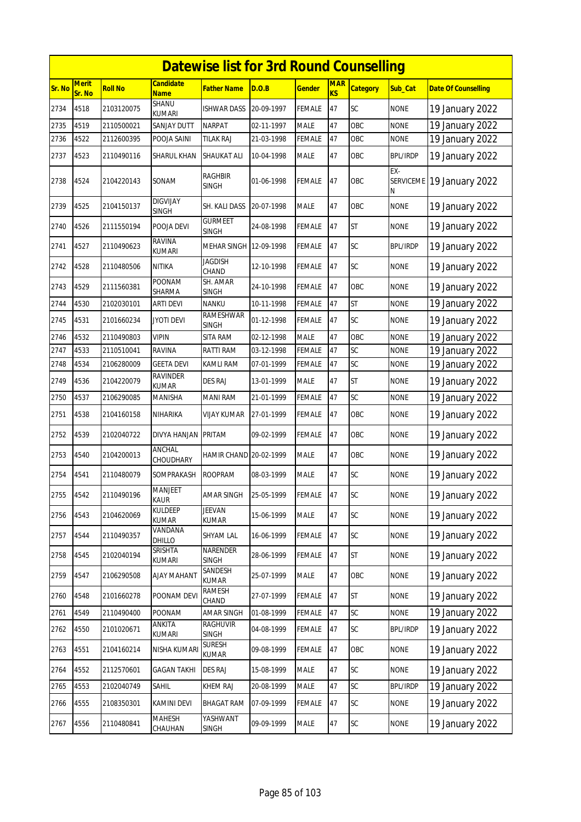|        | <b>Datewise list for 3rd Round Counselling</b> |                |                                 |                                 |            |               |                  |                 |                 |                            |  |  |
|--------|------------------------------------------------|----------------|---------------------------------|---------------------------------|------------|---------------|------------------|-----------------|-----------------|----------------------------|--|--|
| Sr. No | <b>Merit</b><br>Sr. No                         | <b>Roll No</b> | <b>Candidate</b><br><b>Name</b> | <b>Father Name</b>              | D.O.B      | <u>Gender</u> | <b>MAR</b><br>KS | <b>Category</b> | Sub Cat         | <b>Date Of Counselling</b> |  |  |
| 2734   | 4518                                           | 2103120075     | <b>SHANU</b><br><b>KUMARI</b>   | <b>ISHWAR DASS</b>              | 20-09-1997 | <b>FEMALE</b> | 47               | SC              | <b>NONE</b>     | 19 January 2022            |  |  |
| 2735   | 4519                                           | 2110500021     | <b>SANJAY DUTT</b>              | <b>NARPAT</b>                   | 02-11-1997 | <b>MALE</b>   | 47               | OBC             | <b>NONE</b>     | 19 January 2022            |  |  |
| 2736   | 4522                                           | 2112600395     | POOJA SAINI                     | <b>TILAK RAJ</b>                | 21-03-1998 | FEMALE        | 47               | OBC             | <b>NONE</b>     | 19 January 2022            |  |  |
| 2737   | 4523                                           | 2110490116     | SHARUL KHAN                     | SHAUKAT ALI                     | 10-04-1998 | MALE          | 47               | OBC             | <b>BPL/IRDP</b> | 19 January 2022            |  |  |
| 2738   | 4524                                           | 2104220143     | SONAM                           | RAGHBIR<br><b>SINGH</b>         | 01-06-1998 | FEMALE        | 47               | OBC             | EX-<br>N        | SERVICEME 19 January 2022  |  |  |
| 2739   | 4525                                           | 2104150137     | <b>DIGVIJAY</b><br><b>SINGH</b> | SH. KALI DASS                   | 20-07-1998 | <b>MALE</b>   | 47               | OBC             | <b>NONE</b>     | 19 January 2022            |  |  |
| 2740   | 4526                                           | 2111550194     | POOJA DEVI                      | <b>GURMEET</b><br><b>SINGH</b>  | 24-08-1998 | FEMALE        | 47               | <b>ST</b>       | <b>NONE</b>     | 19 January 2022            |  |  |
| 2741   | 4527                                           | 2110490623     | <b>RAVINA</b><br>kumari         | MEHAR SINGH 12-09-1998          |            | FEMALE        | 47               | SC              | <b>BPL/IRDP</b> | 19 January 2022            |  |  |
| 2742   | 4528                                           | 2110480506     | <b>NITIKA</b>                   | <b>JAGDISH</b><br>CHAND         | 12-10-1998 | FEMALE        | 47               | SC              | <b>NONE</b>     | 19 January 2022            |  |  |
| 2743   | 4529                                           | 2111560381     | <b>POONAM</b><br>SHARMA         | SH. AMAR<br><b>SINGH</b>        | 24-10-1998 | <b>FEMALE</b> | 47               | OBC             | <b>NONE</b>     | 19 January 2022            |  |  |
| 2744   | 4530                                           | 2102030101     | <b>ARTI DEVI</b>                | <b>NANKU</b>                    | 10-11-1998 | <b>FEMALE</b> | 47               | <b>ST</b>       | <b>NONE</b>     | 19 January 2022            |  |  |
| 2745   | 4531                                           | 2101660234     | <b>JYOTI DEVI</b>               | RAMESHWAR<br><b>SINGH</b>       | 01-12-1998 | FEMALE        | 47               | <b>SC</b>       | <b>NONE</b>     | 19 January 2022            |  |  |
| 2746   | 4532                                           | 2110490803     | VIPIN                           | SITA RAM                        | 02-12-1998 | <b>MALE</b>   | 47               | OBC             | <b>NONE</b>     | 19 January 2022            |  |  |
| 2747   | 4533                                           | 2110510041     | <b>RAVINA</b>                   | RATTI RAM                       | 03-12-1998 | FEMALE        | 47               | SC              | <b>NONE</b>     | 19 January 2022            |  |  |
| 2748   | 4534                                           | 2106280009     | <b>GEETA DEVI</b>               | KAMLI RAM                       | 07-01-1999 | FEMALE        | 47               | SC              | <b>NONE</b>     | 19 January 2022            |  |  |
| 2749   | 4536                                           | 2104220079     | <b>RAVINDER</b><br><b>KUMAR</b> | <b>DES RAJ</b>                  | 13-01-1999 | MALE          | 47               | <b>ST</b>       | <b>NONE</b>     | 19 January 2022            |  |  |
| 2750   | 4537                                           | 2106290085     | <b>MANISHA</b>                  | <b>MANI RAM</b>                 | 21-01-1999 | <b>FEMALE</b> | 47               | SC              | <b>NONE</b>     | 19 January 2022            |  |  |
| 2751   | 4538                                           | 2104160158     | NIHARIKA                        | <b>VIJAY KUMAR</b>              | 27-01-1999 | FEMALE        | 47               | OBC             | <b>NONE</b>     | 19 January 2022            |  |  |
| 2752   | 4539                                           | 2102040722     | DIVYA HANJAN                    | <b>PRITAM</b>                   | 09-02-1999 | <b>FEMALE</b> | 47               | OBC             | <b>NONE</b>     | 19 January 2022            |  |  |
| 2753   | 4540                                           | 2104200013     | <b>ANCHAL</b><br>CHOUDHARY      | HAMIR CHAND 20-02-1999          |            | MALE          | 47               | OBC             | <b>NONE</b>     | 19 January 2022            |  |  |
| 2754   | 4541                                           | 2110480079     | SOMPRAKASH                      | <b>ROOPRAM</b>                  | 08-03-1999 | MALE          | 47               | SC              | <b>NONE</b>     | 19 January 2022            |  |  |
| 2755   | 4542                                           | 2110490196     | <b>MANJEET</b><br><b>KAUR</b>   | <b>AMAR SINGH</b>               | 25-05-1999 | <b>FEMALE</b> | 47               | SC              | <b>NONE</b>     | 19 January 2022            |  |  |
| 2756   | 4543                                           | 2104620069     | <b>KULDEEP</b><br><b>KUMAR</b>  | <b>JEEVAN</b><br>KUMAR          | 15-06-1999 | MALE          | 47               | SC              | <b>NONE</b>     | 19 January 2022            |  |  |
| 2757   | 4544                                           | 2110490357     | VANDANA<br>DHILLO               | SHYAM LAL                       | 16-06-1999 | <b>FEMALE</b> | 47               | SC              | <b>NONE</b>     | 19 January 2022            |  |  |
| 2758   | 4545                                           | 2102040194     | SRISHTA<br>KUMARI               | NARENDER<br>SINGH               | 28-06-1999 | <b>FEMALE</b> | 47               | <b>ST</b>       | <b>NONE</b>     | 19 January 2022            |  |  |
| 2759   | 4547                                           | 2106290508     | <b>AJAY MAHANT</b>              | SANDESH<br><b>KUMAR</b>         | 25-07-1999 | MALE          | 47               | OBC             | <b>NONE</b>     | 19 January 2022            |  |  |
| 2760   | 4548                                           | 2101660278     | POONAM DEVI                     | RAMESH<br>CHAND                 | 27-07-1999 | FEMALE        | 47               | <b>ST</b>       | <b>NONE</b>     | 19 January 2022            |  |  |
| 2761   | 4549                                           | 2110490400     | <b>POONAM</b>                   | AMAR SINGH                      | 01-08-1999 | FEMALE        | 47               | <b>SC</b>       | <b>NONE</b>     | 19 January 2022            |  |  |
| 2762   | 4550                                           | 2101020671     | ANKITA<br>KUMARI                | <b>RAGHUVIR</b><br><b>SINGH</b> | 04-08-1999 | <b>FEMALE</b> | 47               | <b>SC</b>       | <b>BPL/IRDP</b> | 19 January 2022            |  |  |
| 2763   | 4551                                           | 2104160214     | NISHA KUMARI                    | <b>SURESH</b><br>KUMAR          | 09-08-1999 | <b>FEMALE</b> | 47               | OBC             | <b>NONE</b>     | 19 January 2022            |  |  |
| 2764   | 4552                                           | 2112570601     | GAGAN TAKHI                     | <b>DES RAJ</b>                  | 15-08-1999 | MALE          | 47               | SC              | <b>NONE</b>     | 19 January 2022            |  |  |
| 2765   | 4553                                           | 2102040749     | SAHIL                           | <b>KHEM RAJ</b>                 | 20-08-1999 | MALE          | 47               | SC              | <b>BPL/IRDP</b> | 19 January 2022            |  |  |
| 2766   | 4555                                           | 2108350301     | <b>KAMINI DEVI</b>              | BHAGAT RAM                      | 07-09-1999 | FEMALE        | 47               | <b>SC</b>       | <b>NONE</b>     | 19 January 2022            |  |  |
| 2767   | 4556                                           | 2110480841     | MAHESH<br>CHAUHAN               | YASHWANT<br>SINGH               | 09-09-1999 | MALE          | 47               | SC              | <b>NONE</b>     | 19 January 2022            |  |  |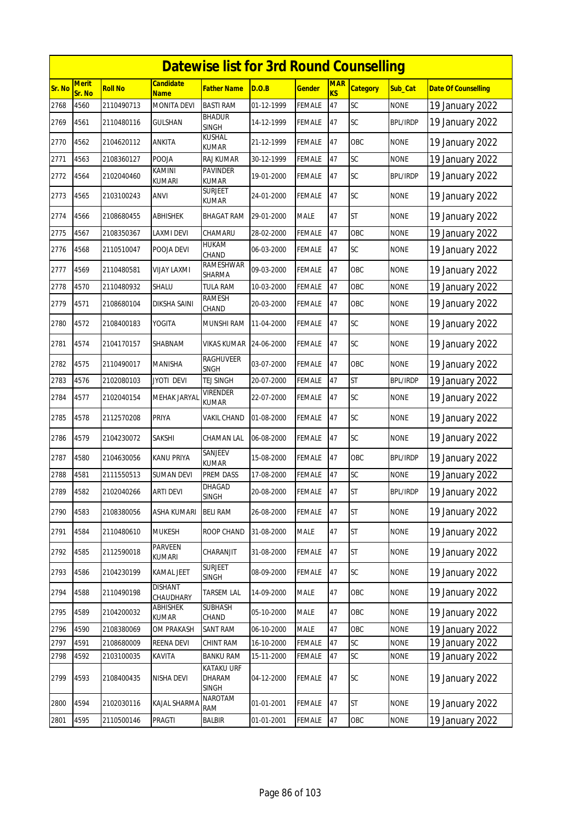|        | <b>Datewise list for 3rd Round Counselling</b> |                |                                 |                                             |            |               |                  |                 |                 |                            |  |  |
|--------|------------------------------------------------|----------------|---------------------------------|---------------------------------------------|------------|---------------|------------------|-----------------|-----------------|----------------------------|--|--|
| Sr. No | <b>Merit</b><br>Sr. No                         | <b>Roll No</b> | <b>Candidate</b><br><b>Name</b> | <b>Father Name</b>                          | D.O.B      | <b>Gender</b> | <b>MAR</b><br>KS | <b>Category</b> | Sub_Cat         | <b>Date Of Counselling</b> |  |  |
| 2768   | 4560                                           | 2110490713     | <b>MONITA DEVI</b>              | <b>BASTI RAM</b>                            | 01-12-1999 | <b>FEMALE</b> | 47               | SC              | <b>NONE</b>     | 19 January 2022            |  |  |
| 2769   | 4561                                           | 2110480116     | <b>GULSHAN</b>                  | <b>BHADUR</b><br><b>SINGH</b>               | 14-12-1999 | <b>FEMALE</b> | 47               | SC              | <b>BPL/IRDP</b> | 19 January 2022            |  |  |
| 2770   | 4562                                           | 2104620112     | ANKITA                          | KUSHAL<br>KUMAR                             | 21-12-1999 | <b>FEMALE</b> | 47               | OBC             | <b>NONE</b>     | 19 January 2022            |  |  |
| 2771   | 4563                                           | 2108360127     | POOJA                           | RAJ KUMAR                                   | 30-12-1999 | <b>FEMALE</b> | 47               | SC              | <b>NONE</b>     | 19 January 2022            |  |  |
| 2772   | 4564                                           | 2102040460     | KAMINI<br><b>KUMARI</b>         | <b>PAVINDER</b><br><b>KUMAR</b>             | 19-01-2000 | <b>FEMALE</b> | 47               | SC              | <b>BPL/IRDP</b> | 19 January 2022            |  |  |
| 2773   | 4565                                           | 2103100243     | ANVI                            | <b>SURJEET</b><br>KUMAR                     | 24-01-2000 | <b>FEMALE</b> | 47               | SC              | <b>NONE</b>     | 19 January 2022            |  |  |
| 2774   | 4566                                           | 2108680455     | <b>ABHISHEK</b>                 | <b>BHAGAT RAM</b>                           | 29-01-2000 | <b>MALE</b>   | 47               | <b>ST</b>       | <b>NONE</b>     | 19 January 2022            |  |  |
| 2775   | 4567                                           | 2108350367     | LAXMI DEVI                      | CHAMARU                                     | 28-02-2000 | <b>FEMALE</b> | 47               | OBC             | <b>NONE</b>     | 19 January 2022            |  |  |
| 2776   | 4568                                           | 2110510047     | POOJA DEVI                      | <b>HUKAM</b><br>CHAND                       | 06-03-2000 | <b>FEMALE</b> | 47               | <b>SC</b>       | <b>NONE</b>     | 19 January 2022            |  |  |
| 2777   | 4569                                           | 2110480581     | VIJAY LAXMI                     | RAMESHWAR<br>SHARMA                         | 09-03-2000 | <b>FEMALE</b> | 47               | OBC             | NONE            | 19 January 2022            |  |  |
| 2778   | 4570                                           | 2110480932     | SHALU                           | <b>TULA RAM</b>                             | 10-03-2000 | <b>FEMALE</b> | 47               | OBC             | <b>NONE</b>     | 19 January 2022            |  |  |
| 2779   | 4571                                           | 2108680104     | DIKSHA SAINI                    | <b>RAMESH</b><br>CHAND                      | 20-03-2000 | <b>FEMALE</b> | 47               | OBC             | <b>NONE</b>     | 19 January 2022            |  |  |
| 2780   | 4572                                           | 2108400183     | YOGITA                          | MUNSHI RAM                                  | 11-04-2000 | FEMALE        | 47               | SC              | <b>NONE</b>     | 19 January 2022            |  |  |
| 2781   | 4574                                           | 2104170157     | SHABNAM                         | <b>VIKAS KUMAR</b>                          | 24-06-2000 | <b>FEMALE</b> | 47               | <b>SC</b>       | <b>NONE</b>     | 19 January 2022            |  |  |
| 2782   | 4575                                           | 2110490017     | MANISHA                         | RAGHUVEER<br><b>SNGH</b>                    | 03-07-2000 | <b>FEMALE</b> | 47               | OBC             | <b>NONE</b>     | 19 January 2022            |  |  |
| 2783   | 4576                                           | 2102080103     | JYOTI DEVI                      | TEJ SINGH                                   | 20-07-2000 | <b>FEMALE</b> | 47               | ST              | <b>BPL/IRDP</b> | 19 January 2022            |  |  |
| 2784   | 4577                                           | 2102040154     | MEHAK JARYAL                    | VIRENDER<br><b>KUMAR</b>                    | 22-07-2000 | <b>FEMALE</b> | 47               | SC              | <b>NONE</b>     | 19 January 2022            |  |  |
| 2785   | 4578                                           | 2112570208     | PRIYA                           | VAKIL CHAND                                 | 01-08-2000 | FEMALE        | 47               | SC              | <b>NONE</b>     | 19 January 2022            |  |  |
| 2786   | 4579                                           | 2104230072     | SAKSHI                          | CHAMAN LAL                                  | 06-08-2000 | <b>FEMALE</b> | 47               | <b>SC</b>       | <b>NONE</b>     | 19 January 2022            |  |  |
| 2787   | 4580                                           | 2104630056     | KANU PRIYA                      | SANJEEV<br>KUMAR                            | 15-08-2000 | <b>FEMALE</b> | 47               | OBC             | <b>BPL/IRDP</b> | 19 January 2022            |  |  |
| 2788   | 4581                                           | 2111550513     | SUMAN DEVI                      | PREM DASS                                   | 17-08-2000 | <b>FEMALE</b> | 47               | SC              | <b>NONE</b>     | 19 January 2022            |  |  |
| 2789   | 4582                                           | 2102040266     | <b>ARTI DEVI</b>                | <b>DHAGAD</b><br><b>SINGH</b>               | 20-08-2000 | FEMALE        | 47               | <b>ST</b>       | BPL/IRDP        | 19 January 2022            |  |  |
| 2790   | 4583                                           | 2108380056     | ASHA KUMARI                     | <b>BELI RAM</b>                             | 26-08-2000 | <b>FEMALE</b> | 47               | <b>ST</b>       | <b>NONE</b>     | 19 January 2022            |  |  |
| 2791   | 4584                                           | 2110480610     | <b>MUKESH</b>                   | ROOP CHAND                                  | 31-08-2000 | <b>MALE</b>   | 47               | <b>ST</b>       | <b>NONE</b>     | 19 January 2022            |  |  |
| 2792   | 4585                                           | 2112590018     | PARVEEN<br>kumari               | CHARANJIT                                   | 31-08-2000 | <b>FEMALE</b> | 47               | <b>ST</b>       | <b>NONE</b>     | 19 January 2022            |  |  |
| 2793   | 4586                                           | 2104230199     | KAMAL JEET                      | <b>SURJEET</b><br><b>SINGH</b>              | 08-09-2000 | <b>FEMALE</b> | 47               | SC              | <b>NONE</b>     | 19 January 2022            |  |  |
| 2794   | 4588                                           | 2110490198     | <b>DISHANT</b><br>CHAUDHARY     | <b>TARSEM LAL</b>                           | 14-09-2000 | <b>MALE</b>   | 47               | OBC             | <b>NONE</b>     | 19 January 2022            |  |  |
| 2795   | 4589                                           | 2104200032     | <b>ABHISHEK</b><br>KUMAR        | <b>SUBHASH</b><br>CHAND                     | 05-10-2000 | <b>MALE</b>   | 47               | OBC             | <b>NONE</b>     | 19 January 2022            |  |  |
| 2796   | 4590                                           | 2108380069     | OM PRAKASH                      | SANT RAM                                    | 06-10-2000 | <b>MALE</b>   | 47               | OBC             | <b>NONE</b>     | 19 January 2022            |  |  |
| 2797   | 4591                                           | 2108680009     | REENA DEVI                      | CHINT RAM                                   | 16-10-2000 | <b>FEMALE</b> | 47               | SC              | <b>NONE</b>     | 19 January 2022            |  |  |
| 2798   | 4592                                           | 2103100035     | KAVITA                          | <b>BANKU RAM</b>                            | 15-11-2000 | <b>FEMALE</b> | 47               | SC              | <b>NONE</b>     | 19 January 2022            |  |  |
| 2799   | 4593                                           | 2108400435     | NISHA DEVI                      | <b>KATAKU URF</b><br>DHARAM<br><b>SINGH</b> | 04-12-2000 | <b>FEMALE</b> | 47               | <b>SC</b>       | <b>NONE</b>     | 19 January 2022            |  |  |
| 2800   | 4594                                           | 2102030116     | KAJAL SHARMA                    | NAROTAM<br>RAM                              | 01-01-2001 | <b>FEMALE</b> | 47               | <b>ST</b>       | <b>NONE</b>     | 19 January 2022            |  |  |
| 2801   | 4595                                           | 2110500146     | PRAGTI                          | <b>BALBIR</b>                               | 01-01-2001 | <b>FEMALE</b> | 47               | OBC             | <b>NONE</b>     | 19 January 2022            |  |  |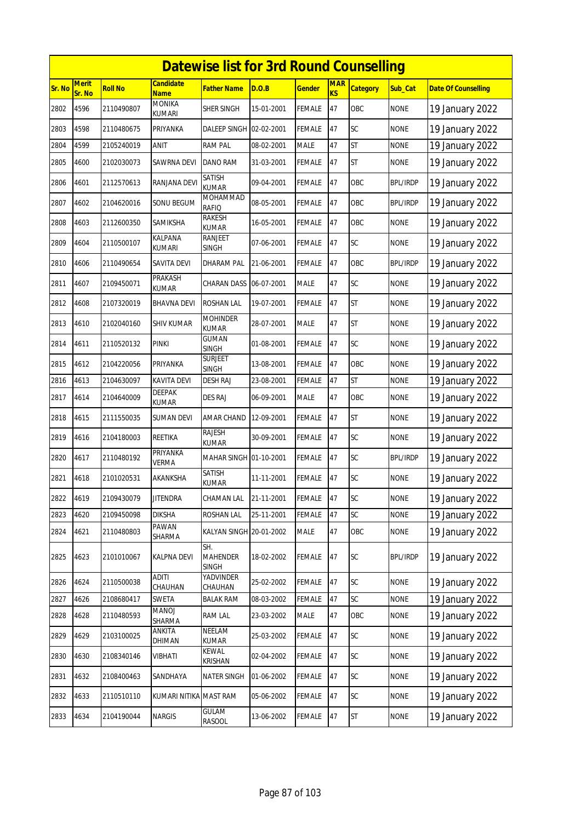|        | <b>Datewise list for 3rd Round Counselling</b> |                |                                 |                                 |            |               |                  |                 |                 |                            |  |  |
|--------|------------------------------------------------|----------------|---------------------------------|---------------------------------|------------|---------------|------------------|-----------------|-----------------|----------------------------|--|--|
| Sr. No | <b>Merit</b><br>Sr. No                         | <b>Roll No</b> | <b>Candidate</b><br><b>Name</b> | <b>Father Name</b>              | D.O.B      | <u>Gender</u> | <b>MAR</b><br>KS | <b>Category</b> | Sub Cat         | <b>Date Of Counselling</b> |  |  |
| 2802   | 4596                                           | 2110490807     | <b>MONIKA</b><br><b>KUMARI</b>  | SHER SINGH                      | 15-01-2001 | <b>FEMALE</b> | 47               | OBC             | <b>NONE</b>     | 19 January 2022            |  |  |
| 2803   | 4598                                           | 2110480675     | PRIYANKA                        | DALEEP SINGH 02-02-2001         |            | <b>FEMALE</b> | 47               | SC              | <b>NONE</b>     | 19 January 2022            |  |  |
| 2804   | 4599                                           | 2105240019     | ANIT                            | <b>RAM PAL</b>                  | 08-02-2001 | <b>MALE</b>   | 47               | <b>ST</b>       | <b>NONE</b>     | 19 January 2022            |  |  |
| 2805   | 4600                                           | 2102030073     | SAWRNA DEVI                     | DANO RAM                        | 31-03-2001 | <b>FEMALE</b> | 47               | <b>ST</b>       | <b>NONE</b>     | 19 January 2022            |  |  |
| 2806   | 4601                                           | 2112570613     | RANJANA DEVI                    | SATISH<br><b>KUMAR</b>          | 09-04-2001 | FEMALE        | 47               | OBC             | <b>BPL/IRDP</b> | 19 January 2022            |  |  |
| 2807   | 4602                                           | 2104620016     | SONU BEGUM                      | <b>MOHAMMAD</b><br><b>RAFIQ</b> | 08-05-2001 | FEMALE        | 47               | OBC             | <b>BPL/IRDP</b> | 19 January 2022            |  |  |
| 2808   | 4603                                           | 2112600350     | SAMIKSHA                        | RAKESH<br><b>KUMAR</b>          | 16-05-2001 | FEMALE        | 47               | OBC             | <b>NONE</b>     | 19 January 2022            |  |  |
| 2809   | 4604                                           | 2110500107     | KALPANA<br>KUMARI               | RANJEET<br>SINGH                | 07-06-2001 | FEMALE        | 47               | SC              | <b>NONE</b>     | 19 January 2022            |  |  |
| 2810   | 4606                                           | 2110490654     | SAVITA DEVI                     | DHARAM PAL                      | 21-06-2001 | <b>FEMALE</b> | 47               | OBC             | <b>BPL/IRDP</b> | 19 January 2022            |  |  |
| 2811   | 4607                                           | 2109450071     | PRAKASH<br><b>KUMAR</b>         | <b>CHARAN DASS</b>              | 06-07-2001 | MALE          | 47               | SC              | <b>NONE</b>     | 19 January 2022            |  |  |
| 2812   | 4608                                           | 2107320019     | <b>BHAVNA DEVI</b>              | <b>ROSHAN LAL</b>               | 19-07-2001 | FEMALE        | 47               | <b>ST</b>       | <b>NONE</b>     | 19 January 2022            |  |  |
| 2813   | 4610                                           | 2102040160     | <b>SHIV KUMAR</b>               | <b>MOHINDER</b><br><b>KUMAR</b> | 28-07-2001 | <b>MALE</b>   | 47               | <b>ST</b>       | <b>NONE</b>     | 19 January 2022            |  |  |
| 2814   | 4611                                           | 2110520132     | <b>PINKI</b>                    | GUMAN<br><b>SINGH</b>           | 01-08-2001 | <b>FEMALE</b> | 47               | <b>SC</b>       | <b>NONE</b>     | 19 January 2022            |  |  |
| 2815   | 4612                                           | 2104220056     | PRIYANKA                        | surjeet<br>SINGH                | 13-08-2001 | FEMALE        | 47               | OBC             | <b>NONE</b>     | 19 January 2022            |  |  |
| 2816   | 4613                                           | 2104630097     | <b>KAVITA DEVI</b>              | <b>DESH RAJ</b>                 | 23-08-2001 | <b>FEMALE</b> | 47               | <b>ST</b>       | <b>NONE</b>     | 19 January 2022            |  |  |
| 2817   | 4614                                           | 2104640009     | DEEPAK<br><b>KUMAR</b>          | <b>DES RAJ</b>                  | 06-09-2001 | <b>MALE</b>   | 47               | OBC             | <b>NONE</b>     | 19 January 2022            |  |  |
| 2818   | 4615                                           | 2111550035     | SUMAN DEVI                      | AMAR CHAND                      | 12-09-2001 | FEMALE        | 47               | <b>ST</b>       | <b>NONE</b>     | 19 January 2022            |  |  |
| 2819   | 4616                                           | 2104180003     | REETIKA                         | <b>RAJESH</b><br><b>KUMAR</b>   | 30-09-2001 | <b>FEMALE</b> | 47               | <b>SC</b>       | <b>NONE</b>     | 19 January 2022            |  |  |
| 2820   | 4617                                           | 2110480192     | PRIYANKA<br>Verma               | MAHAR SINGH 01-10-2001          |            | FEMALE        | 47               | <b>SC</b>       | <b>BPL/IRDP</b> | 19 January 2022            |  |  |
| 2821   | 4618                                           | 2101020531     | AKANKSHA                        | <b>SATISH</b><br><b>KUMAR</b>   | 11-11-2001 | <b>FEMALE</b> | 47               | <b>SC</b>       | <b>NONE</b>     | 19 January 2022            |  |  |
| 2822   | 4619                                           | 2109430079     | <b>JITENDRA</b>                 | CHAMAN LAL                      | 21-11-2001 | <b>FEMALE</b> | 47               | SC              | <b>NONE</b>     | 19 January 2022            |  |  |
| 2823   | 4620                                           | 2109450098     | <b>DIKSHA</b>                   | ROSHAN LAL                      | 25-11-2001 | FEMALE        | 47               | SC              | <b>NONE</b>     | 19 January 2022            |  |  |
| 2824   | 4621                                           | 2110480803     | PAWAN<br>SHARMA                 | KALYAN SINGH 20-01-2002         |            | <b>MALE</b>   | 47               | OBC             | <b>NONE</b>     | 19 January 2022            |  |  |
| 2825   | 4623                                           | 2101010067     | KALPNA DEVI                     | SH.<br>MAHENDER<br><b>SINGH</b> | 18-02-2002 | FEMALE        | 47               | SC              | <b>BPL/IRDP</b> | 19 January 2022            |  |  |
| 2826   | 4624                                           | 2110500038     | <b>ADITI</b><br>CHAUHAN         | YADVINDER<br>CHAUHAN            | 25-02-2002 | FEMALE        | 47               | SC              | <b>NONE</b>     | 19 January 2022            |  |  |
| 2827   | 4626                                           | 2108680417     | SWETA                           | <b>BALAK RAM</b>                | 08-03-2002 | FEMALE        | 47               | SC              | <b>NONE</b>     | 19 January 2022            |  |  |
| 2828   | 4628                                           | 2110480593     | MANOJ<br>SHARMA                 | RAM LAL                         | 23-03-2002 | MALE          | 47               | OBC             | <b>NONE</b>     | 19 January 2022            |  |  |
| 2829   | 4629                                           | 2103100025     | ANKITA<br>DHIMAN                | NEELAM<br><b>KUMAR</b>          | 25-03-2002 | FEMALE        | 47               | SC              | <b>NONE</b>     | 19 January 2022            |  |  |
| 2830   | 4630                                           | 2108340146     | VIBHATI                         | KEWAL<br>KRISHAN                | 02-04-2002 | <b>FEMALE</b> | 47               | SC              | <b>NONE</b>     | 19 January 2022            |  |  |
| 2831   | 4632                                           | 2108400463     | SANDHAYA                        | <b>NATER SINGH</b>              | 01-06-2002 | <b>FEMALE</b> | 47               | SC              | <b>NONE</b>     | 19 January 2022            |  |  |
| 2832   | 4633                                           | 2110510110     | KUMARI NITIKA                   | <b>MAST RAM</b>                 | 05-06-2002 | <b>FEMALE</b> | 47               | SC              | <b>NONE</b>     | 19 January 2022            |  |  |
| 2833   | 4634                                           | 2104190044     | <b>NARGIS</b>                   | GULAM<br>RASOOL                 | 13-06-2002 | <b>FEMALE</b> | 47               | <b>ST</b>       | <b>NONE</b>     | 19 January 2022            |  |  |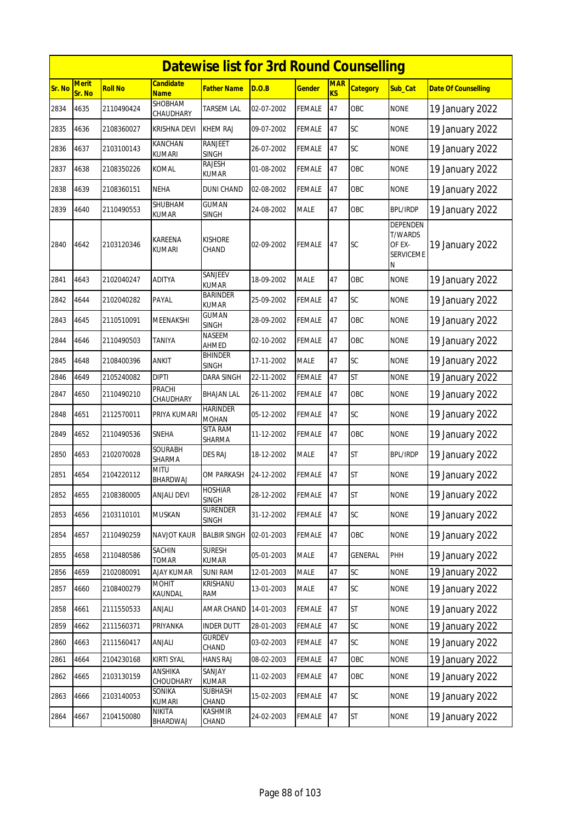|        | <b>Datewise list for 3rd Round Counselling</b> |                |                                 |                                 |            |               |                         |                 |                                                               |                            |  |  |
|--------|------------------------------------------------|----------------|---------------------------------|---------------------------------|------------|---------------|-------------------------|-----------------|---------------------------------------------------------------|----------------------------|--|--|
| Sr. No | <b>Merit</b><br>Sr. No                         | <b>Roll No</b> | <b>Candidate</b><br><b>Name</b> | <b>Father Name</b>              | D.O.B      | <u>Gender</u> | <b>MAR</b><br><b>KS</b> | <b>Category</b> | Sub Cat                                                       | <b>Date Of Counselling</b> |  |  |
| 2834   | 4635                                           | 2110490424     | <b>SHOBHAM</b><br>CHAUDHARY     | TARSEM LAL                      | 02-07-2002 | FEMALE        | 47                      | OBC             | <b>NONE</b>                                                   | 19 January 2022            |  |  |
| 2835   | 4636                                           | 2108360027     | KRISHNA DEVI                    | <b>KHEM RAJ</b>                 | 09-07-2002 | <b>FEMALE</b> | 47                      | SC              | <b>NONE</b>                                                   | 19 January 2022            |  |  |
| 2836   | 4637                                           | 2103100143     | KANCHAN<br>kumari               | <b>RANJEET</b><br><b>SINGH</b>  | 26-07-2002 | FEMALE        | 47                      | SC              | <b>NONE</b>                                                   | 19 January 2022            |  |  |
| 2837   | 4638                                           | 2108350226     | <b>KOMAL</b>                    | RAJESH<br><b>KUMAR</b>          | 01-08-2002 | <b>FEMALE</b> | 47                      | OBC             | <b>NONE</b>                                                   | 19 January 2022            |  |  |
| 2838   | 4639                                           | 2108360151     | <b>NEHA</b>                     | DUNI CHAND                      | 02-08-2002 | FEMALE        | 47                      | OBC             | <b>NONE</b>                                                   | 19 January 2022            |  |  |
| 2839   | 4640                                           | 2110490553     | SHUBHAM<br><b>KUMAR</b>         | <b>GUMAN</b><br><b>SINGH</b>    | 24-08-2002 | <b>MALE</b>   | 47                      | OBC             | <b>BPL/IRDP</b>                                               | 19 January 2022            |  |  |
| 2840   | 4642                                           | 2103120346     | <b>KAREENA</b><br><b>KUMARI</b> | <b>KISHORE</b><br>CHAND         | 02-09-2002 | FEMALE        | 47                      | SC              | DEPENDEN<br><b>T/WARDS</b><br>OF EX-<br><b>SERVICEME</b><br>Ν | 19 January 2022            |  |  |
| 2841   | 4643                                           | 2102040247     | <b>ADITYA</b>                   | SANJEEV<br><b>KUMAR</b>         | 18-09-2002 | <b>MALE</b>   | 47                      | OBC             | <b>NONE</b>                                                   | 19 January 2022            |  |  |
| 2842   | 4644                                           | 2102040282     | PAYAL                           | <b>BARINDER</b><br><b>KUMAR</b> | 25-09-2002 | FEMALE        | 47                      | SC              | <b>NONE</b>                                                   | 19 January 2022            |  |  |
| 2843   | 4645                                           | 2110510091     | MEENAKSHI                       | <b>GUMAN</b><br><b>SINGH</b>    | 28-09-2002 | <b>FEMALE</b> | 47                      | OBC             | <b>NONE</b>                                                   | 19 January 2022            |  |  |
| 2844   | 4646                                           | 2110490503     | TANIYA                          | NASEEM<br>AHMED                 | 02-10-2002 | FEMALE        | 47                      | OBC             | <b>NONE</b>                                                   | 19 January 2022            |  |  |
| 2845   | 4648                                           | 2108400396     | <b>ANKIT</b>                    | <b>BHINDER</b><br><b>SINGH</b>  | 17-11-2002 | MALE          | 47                      | <b>SC</b>       | <b>NONE</b>                                                   | 19 January 2022            |  |  |
| 2846   | 4649                                           | 2105240082     | <b>DIPTI</b>                    | <b>DARA SINGH</b>               | 22-11-2002 | FEMALE        | 47                      | <b>ST</b>       | <b>NONE</b>                                                   | 19 January 2022            |  |  |
| 2847   | 4650                                           | 2110490210     | PRACHI<br>CHAUDHARY             | BHAJAN LAL                      | 26-11-2002 | FEMALE        | 47                      | OBC             | <b>NONE</b>                                                   | 19 January 2022            |  |  |
| 2848   | 4651                                           | 2112570011     | PRIYA KUMARI                    | <b>HARINDER</b><br><b>MOHAN</b> | 05-12-2002 | <b>FEMALE</b> | 47                      | SC              | <b>NONE</b>                                                   | 19 January 2022            |  |  |
| 2849   | 4652                                           | 2110490536     | SNEHA                           | SITA RAM<br>SHARMA              | 11-12-2002 | <b>FEMALE</b> | 47                      | OBC             | <b>NONE</b>                                                   | 19 January 2022            |  |  |
| 2850   | 4653                                           | 2102070028     | <b>SOURABH</b><br>SHARMA        | <b>DES RAJ</b>                  | 18-12-2002 | <b>MALE</b>   | 47                      | <b>ST</b>       | <b>BPL/IRDP</b>                                               | 19 January 2022            |  |  |
| 2851   | 4654                                           | 2104220112     | <b>MITU</b><br>BHARDWAJ         | OM PARKASH                      | 24-12-2002 | FEMALE        | 47                      | <b>ST</b>       | <b>NONE</b>                                                   | 19 January 2022            |  |  |
| 2852   | 4655                                           | 2108380005     | <b>ANJALI DEVI</b>              | <b>HOSHIAR</b><br><b>SINGH</b>  | 28-12-2002 | <b>FEMALE</b> | 47                      | <b>ST</b>       | <b>NONE</b>                                                   | 19 January 2022            |  |  |
| 2853   | 4656                                           | 2103110101     | <b>MUSKAN</b>                   | SURENDER<br><b>SINGH</b>        | 31-12-2002 | <b>FEMALE</b> | 47                      | SC              | <b>NONE</b>                                                   | 19 January 2022            |  |  |
| 2854   | 4657                                           | 2110490259     | NAVJOT KAUR                     | <b>BALBIR SINGH</b>             | 02-01-2003 | FEMALE        | 47                      | OBC             | <b>NONE</b>                                                   | 19 January 2022            |  |  |
| 2855   | 4658                                           | 2110480586     | SACHIN<br>TOMAR                 | <b>SURESH</b><br>KUMAR          | 05-01-2003 | <b>MALE</b>   | 47                      | GENERAL         | PHH                                                           | 19 January 2022            |  |  |
| 2856   | 4659                                           | 2102080091     | AJAY KUMAR                      | <b>SUNI RAM</b>                 | 12-01-2003 | MALE          | 47                      | SC              | <b>NONE</b>                                                   | 19 January 2022            |  |  |
| 2857   | 4660                                           | 2108400279     | <b>MOHIT</b><br>KAUNDAL         | KRISHANU<br>RAM                 | 13-01-2003 | MALE          | 47                      | SC              | <b>NONE</b>                                                   | 19 January 2022            |  |  |
| 2858   | 4661                                           | 2111550533     | ANJALI                          | AMAR CHAND                      | 14-01-2003 | <b>FEMALE</b> | 47                      | <b>ST</b>       | <b>NONE</b>                                                   | 19 January 2022            |  |  |
| 2859   | 4662                                           | 2111560371     | PRIYANKA                        | <b>INDER DUTT</b>               | 28-01-2003 | <b>FEMALE</b> | 47                      | SC              | <b>NONE</b>                                                   | 19 January 2022            |  |  |
| 2860   | 4663                                           | 2111560417     | ANJALI                          | <b>GURDEV</b><br>CHAND          | 03-02-2003 | <b>FEMALE</b> | 47                      | SC              | <b>NONE</b>                                                   | 19 January 2022            |  |  |
| 2861   | 4664                                           | 2104230168     | <b>KIRTI SYAL</b>               | <b>HANS RAJ</b>                 | 08-02-2003 | FEMALE        | 47                      | OBC             | <b>NONE</b>                                                   | 19 January 2022            |  |  |
| 2862   | 4665                                           | 2103130159     | ANSHIKA<br>CHOUDHARY            | SANJAY<br>KUMAR                 | 11-02-2003 | FEMALE        | 47                      | OBC             | <b>NONE</b>                                                   | 19 January 2022            |  |  |
| 2863   | 4666                                           | 2103140053     | SONIKA<br>KUMARI                | <b>SUBHASH</b><br>CHAND         | 15-02-2003 | <b>FEMALE</b> | 47                      | SC              | <b>NONE</b>                                                   | 19 January 2022            |  |  |
| 2864   | 4667                                           | 2104150080     | NIKITA<br>BHARDWAJ              | <b>KASHMIR</b><br>CHAND         | 24-02-2003 | <b>FEMALE</b> | 47                      | <b>ST</b>       | <b>NONE</b>                                                   | 19 January 2022            |  |  |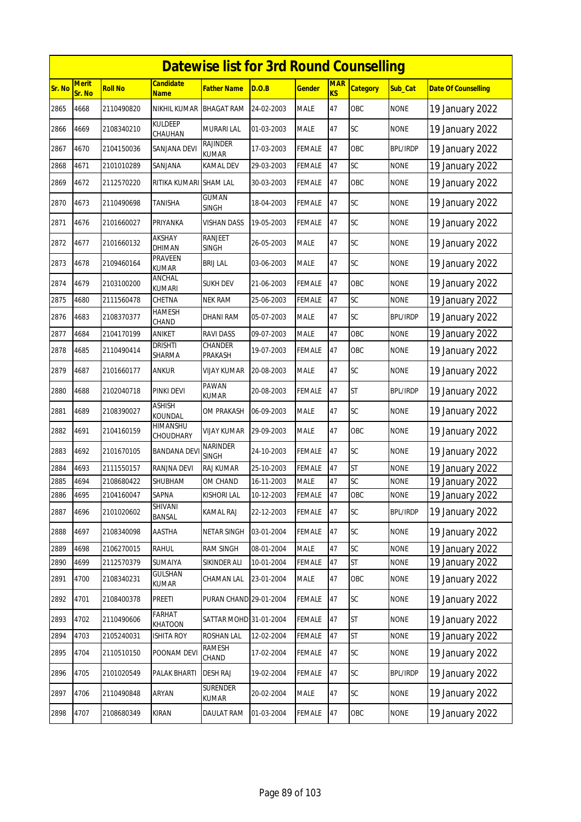|        |                        |                |                                | <b>Datewise list for 3rd Round Counselling</b> |            |               |                         |                 |                 |                            |
|--------|------------------------|----------------|--------------------------------|------------------------------------------------|------------|---------------|-------------------------|-----------------|-----------------|----------------------------|
| Sr. No | <b>Merit</b><br>Sr. No | <b>Roll No</b> | <b>Candidate</b><br>Name       | Father Name                                    | D.O.B      | <u>Gender</u> | <b>MAR</b><br><b>KS</b> | <b>Category</b> | Sub Cat         | <b>Date Of Counselling</b> |
| 2865   | 4668                   | 2110490820     | NIKHIL KUMAR                   | <b>BHAGAT RAM</b>                              | 24-02-2003 | <b>MALE</b>   | 47                      | OBC             | <b>NONE</b>     | 19 January 2022            |
| 2866   | 4669                   | 2108340210     | <b>KULDEEP</b><br>CHAUHAN      | MURARI LAL                                     | 01-03-2003 | MALE          | 47                      | SC              | <b>NONE</b>     | 19 January 2022            |
| 2867   | 4670                   | 2104150036     | SANJANA DEVI                   | <b>RAJINDER</b><br><b>KUMAR</b>                | 17-03-2003 | FEMALE        | 47                      | OBC             | <b>BPL/IRDP</b> | 19 January 2022            |
| 2868   | 4671                   | 2101010289     | SANJANA                        | KAMAL DEV                                      | 29-03-2003 | FEMALE        | 47                      | SC              | <b>NONE</b>     | 19 January 2022            |
| 2869   | 4672                   | 2112570220     | RITIKA KUMARI                  | <b>SHAM LAL</b>                                | 30-03-2003 | FEMALE        | 47                      | OBC             | <b>NONE</b>     | 19 January 2022            |
| 2870   | 4673                   | 2110490698     | TANISHA                        | GUMAN<br><b>SINGH</b>                          | 18-04-2003 | FEMALE        | 47                      | <b>SC</b>       | <b>NONE</b>     | 19 January 2022            |
| 2871   | 4676                   | 2101660027     | PRIYANKA                       | VISHAN DASS                                    | 19-05-2003 | FEMALE        | 47                      | SC              | <b>NONE</b>     | 19 January 2022            |
| 2872   | 4677                   | 2101660132     | AKSHAY<br><b>DHIMAN</b>        | <b>RANJEET</b><br>SINGH                        | 26-05-2003 | MALE          | 47                      | SC              | <b>NONE</b>     | 19 January 2022            |
| 2873   | 4678                   | 2109460164     | <b>PRAVEEN</b><br><b>KUMAR</b> | <b>BRIJ LAL</b>                                | 03-06-2003 | <b>MALE</b>   | 47                      | SC              | <b>NONE</b>     | 19 January 2022            |
| 2874   | 4679                   | 2103100200     | ANCHAL<br>kumari               | <b>SUKH DEV</b>                                | 21-06-2003 | FEMALE        | 47                      | OBC             | <b>NONE</b>     | 19 January 2022            |
| 2875   | 4680                   | 2111560478     | CHETNA                         | <b>NEK RAM</b>                                 | 25-06-2003 | FEMALE        | 47                      | SC              | <b>NONE</b>     | 19 January 2022            |
| 2876   | 4683                   | 2108370377     | HAMESH<br>CHAND                | DHANI RAM                                      | 05-07-2003 | <b>MALE</b>   | 47                      | <b>SC</b>       | <b>BPL/IRDP</b> | 19 January 2022            |
| 2877   | 4684                   | 2104170199     | ANIKET                         | <b>RAVI DASS</b>                               | 09-07-2003 | <b>MALE</b>   | 47                      | OBC             | <b>NONE</b>     | 19 January 2022            |
| 2878   | 4685                   | 2110490414     | drishti<br>SHARMA              | CHANDER<br>PRAKASH                             | 19-07-2003 | FEMALE        | 47                      | OBC             | <b>NONE</b>     | 19 January 2022            |
| 2879   | 4687                   | 2101660177     | <b>ANKUR</b>                   | VIJAY KUMAR                                    | 20-08-2003 | MALE          | 47                      | SC              | <b>NONE</b>     | 19 January 2022            |
| 2880   | 4688                   | 2102040718     | PINKI DEVI                     | PAWAN<br><b>KUMAR</b>                          | 20-08-2003 | FEMALE        | 47                      | <b>ST</b>       | <b>BPL/IRDP</b> | 19 January 2022            |
| 2881   | 4689                   | 2108390027     | ASHISH<br>KOUNDAL              | OM PRAKASH                                     | 06-09-2003 | MALE          | 47                      | SC              | <b>NONE</b>     | 19 January 2022            |
| 2882   | 4691                   | 2104160159     | HIMANSHU<br>CHOUDHARY          | <b>VIJAY KUMAR</b>                             | 29-09-2003 | MALE          | 47                      | OBC             | <b>NONE</b>     | 19 January 2022            |
| 2883   | 4692                   | 2101670105     | <b>BANDANA DEV</b>             | <b>NARINDER</b><br><b>SINGH</b>                | 24-10-2003 | FEMALE        | 47                      | <b>SC</b>       | <b>NONE</b>     | 19 January 2022            |
| 2884   | 4693                   | 2111550157     | RANJNA DEVI                    | <b>RAJ KUMAR</b>                               | 25-10-2003 | FEMALE        | 47                      | <b>ST</b>       | <b>NONE</b>     | 19 January 2022            |
| 2885   | 4694                   | 2108680422     | SHUBHAM                        | OM CHAND                                       | 16-11-2003 | MALE          | 47                      | SC              | <b>NONE</b>     | 19 January 2022            |
| 2886   | 4695                   | 2104160047     | SAPNA                          | <b>KISHORI LAL</b>                             | 10-12-2003 | <b>FEMALE</b> | 47                      | OBC             | <b>NONE</b>     | 19 January 2022            |
| 2887   | 4696                   | 2101020602     | SHIVANI<br>BANSAL              | KAMAL RAJ                                      | 22-12-2003 | FEMALE        | 47                      | SC              | <b>BPL/IRDP</b> | 19 January 2022            |
| 2888   | 4697                   | 2108340098     | AASTHA                         | <b>NETAR SINGH</b>                             | 03-01-2004 | FEMALE        | 47                      | SC              | <b>NONE</b>     | 19 January 2022            |
| 2889   | 4698                   | 2106270015     | RAHUL                          | <b>RAM SINGH</b>                               | 08-01-2004 | <b>MALE</b>   | 47                      | SC              | <b>NONE</b>     | 19 January 2022            |
| 2890   | 4699                   | 2112570379     | SUMAIYA                        | SIKINDER ALI                                   | 10-01-2004 | FEMALE        | 47                      | <b>ST</b>       | <b>NONE</b>     | 19 January 2022            |
| 2891   | 4700                   | 2108340231     | GULSHAN<br>KUMAR               | CHAMAN LAL                                     | 23-01-2004 | <b>MALE</b>   | 47                      | OBC             | <b>NONE</b>     | 19 January 2022            |
| 2892   | 4701                   | 2108400378     | PREETI                         | PURAN CHAND 29-01-2004                         |            | FEMALE        | 47                      | SC              | <b>NONE</b>     | 19 January 2022            |
| 2893   | 4702                   | 2110490606     | <b>FARHAT</b><br>KHATOON       | SATTAR MOHD 31-01-2004                         |            | <b>FEMALE</b> | 47                      | <b>ST</b>       | <b>NONE</b>     | 19 January 2022            |
| 2894   | 4703                   | 2105240031     | <b>ISHITA ROY</b>              | ROSHAN LAL                                     | 12-02-2004 | FEMALE        | 47                      | <b>ST</b>       | <b>NONE</b>     | 19 January 2022            |
| 2895   | 4704                   | 2110510150     | POONAM DEVI                    | <b>RAMESH</b><br>CHAND                         | 17-02-2004 | <b>FEMALE</b> | 47                      | SC              | <b>NONE</b>     | 19 January 2022            |
| 2896   | 4705                   | 2101020549     | PALAK BHARTI                   | <b>DESH RAJ</b>                                | 19-02-2004 | <b>FEMALE</b> | 47                      | SC              | <b>BPL/IRDP</b> | 19 January 2022            |
| 2897   | 4706                   | 2110490848     | ARYAN                          | <b>SURENDER</b><br>KUMAR                       | 20-02-2004 | MALE          | 47                      | SC              | <b>NONE</b>     | 19 January 2022            |
| 2898   | 4707                   | 2108680349     | <b>KIRAN</b>                   | DAULAT RAM                                     | 01-03-2004 | <b>FEMALE</b> | 47                      | OBC             | <b>NONE</b>     | 19 January 2022            |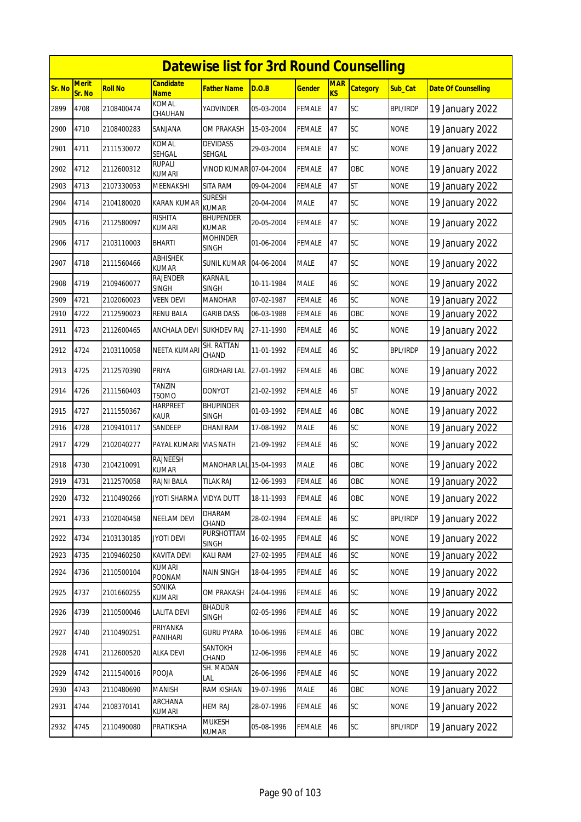|        | <b>Datewise list for 3rd Round Counselling</b> |                |                                 |                                  |            |               |                  |                 |                 |                            |  |  |
|--------|------------------------------------------------|----------------|---------------------------------|----------------------------------|------------|---------------|------------------|-----------------|-----------------|----------------------------|--|--|
| Sr. No | <b>Merit</b><br>Sr. No                         | <b>Roll No</b> | <b>Candidate</b><br><b>Name</b> | <b>Father Name</b>               | D.O.B      | <b>Gender</b> | <b>MAR</b><br>KS | <b>Category</b> | Sub Cat         | <b>Date Of Counselling</b> |  |  |
| 2899   | 4708                                           | 2108400474     | <b>KOMAL</b><br>CHAUHAN         | YADVINDER                        | 05-03-2004 | <b>FEMALE</b> | 47               | SC              | <b>BPL/IRDP</b> | 19 January 2022            |  |  |
| 2900   | 4710                                           | 2108400283     | SANJANA                         | OM PRAKASH                       | 15-03-2004 | <b>FEMALE</b> | 47               | SC              | <b>NONE</b>     | 19 January 2022            |  |  |
| 2901   | 4711                                           | 2111530072     | KOMAL<br>SEHGAL                 | <b>DEVIDASS</b><br>SEHGAL        | 29-03-2004 | <b>FEMALE</b> | 47               | SC              | <b>NONE</b>     | 19 January 2022            |  |  |
| 2902   | 4712                                           | 2112600312     | RUPALI<br><b>KUMARI</b>         | VINOD KUMAR 07-04-2004           |            | <b>FEMALE</b> | 47               | OBC             | <b>NONE</b>     | 19 January 2022            |  |  |
| 2903   | 4713                                           | 2107330053     | MEENAKSHI                       | <b>SITA RAM</b>                  | 09-04-2004 | <b>FEMALE</b> | 47               | <b>ST</b>       | <b>NONE</b>     | 19 January 2022            |  |  |
| 2904   | 4714                                           | 2104180020     | <b>KARAN KUMAR</b>              | <b>SURESH</b><br><b>KUMAR</b>    | 20-04-2004 | <b>MALE</b>   | 47               | <b>SC</b>       | <b>NONE</b>     | 19 January 2022            |  |  |
| 2905   | 4716                                           | 2112580097     | <b>RISHITA</b><br>kumari        | <b>BHUPENDER</b><br><b>KUMAR</b> | 20-05-2004 | <b>FEMALE</b> | 47               | SC              | <b>NONE</b>     | 19 January 2022            |  |  |
| 2906   | 4717                                           | 2103110003     | <b>BHARTI</b>                   | <b>MOHINDER</b><br><b>SINGH</b>  | 01-06-2004 | <b>FEMALE</b> | 47               | SC              | <b>NONE</b>     | 19 January 2022            |  |  |
| 2907   | 4718                                           | 2111560466     | <b>ABHISHEK</b><br><b>KUMAR</b> | <b>SUNIL KUMAR</b>               | 04-06-2004 | <b>MALE</b>   | 47               | SC              | <b>NONE</b>     | 19 January 2022            |  |  |
| 2908   | 4719                                           | 2109460077     | <b>RAJENDER</b><br><b>SINGH</b> | <b>KARNAIL</b><br><b>SINGH</b>   | 10-11-1984 | <b>MALE</b>   | 46               | SC              | <b>NONE</b>     | 19 January 2022            |  |  |
| 2909   | 4721                                           | 2102060023     | <b>VEEN DEVI</b>                | <b>MANOHAR</b>                   | 07-02-1987 | FEMALE        | 46               | SC              | <b>NONE</b>     | 19 January 2022            |  |  |
| 2910   | 4722                                           | 2112590023     | <b>RENU BALA</b>                | <b>GARIB DASS</b>                | 06-03-1988 | <b>FEMALE</b> | 46               | OBC             | <b>NONE</b>     | 19 January 2022            |  |  |
| 2911   | 4723                                           | 2112600465     | ANCHALA DEVI                    | <b>SUKHDEV RAJ</b>               | 27-11-1990 | <b>FEMALE</b> | 46               | SC              | <b>NONE</b>     | 19 January 2022            |  |  |
| 2912   | 4724                                           | 2103110058     | <b>NEETA KUMARI</b>             | SH. RATTAN<br>CHAND              | 11-01-1992 | <b>FEMALE</b> | 46               | SC              | <b>BPL/IRDP</b> | 19 January 2022            |  |  |
| 2913   | 4725                                           | 2112570390     | PRIYA                           | <b>GIRDHARI LAL</b>              | 27-01-1992 | <b>FEMALE</b> | 46               | OBC             | <b>NONE</b>     | 19 January 2022            |  |  |
| 2914   | 4726                                           | 2111560403     | <b>TANZIN</b><br><b>TSOMO</b>   | <b>DONYOT</b>                    | 21-02-1992 | <b>FEMALE</b> | 46               | <b>ST</b>       | <b>NONE</b>     | 19 January 2022            |  |  |
| 2915   | 4727                                           | 2111550367     | <b>HARPREET</b><br>kaur         | <b>BHUPINDER</b><br><b>SINGH</b> | 01-03-1992 | <b>FEMALE</b> | 46               | <b>OBC</b>      | <b>NONE</b>     | 19 January 2022            |  |  |
| 2916   | 4728                                           | 2109410117     | SANDEEP                         | DHANI RAM                        | 17-08-1992 | <b>MALE</b>   | 46               | SC              | <b>NONE</b>     | 19 January 2022            |  |  |
| 2917   | 4729                                           | 2102040277     | PAYAL KUMARI                    | <b>VIAS NATH</b>                 | 21-09-1992 | <b>FEMALE</b> | 46               | <b>SC</b>       | <b>NONE</b>     | 19 January 2022            |  |  |
| 2918   | 4730                                           | 2104210091     | RAJNEESH<br><b>KUMAR</b>        | MANOHAR LAL 15-04-1993           |            | <b>MALE</b>   | 46               | OBC             | <b>NONE</b>     | 19 January 2022            |  |  |
| 2919   | 4731                                           | 2112570058     | RAJNI BALA                      | <b>TILAK RAJ</b>                 | 12-06-1993 | <b>FEMALE</b> | 46               | OBC             | <b>NONE</b>     | 19 January 2022            |  |  |
| 2920   | 4732                                           | 2110490266     | <b>JYOTI SHARMA</b>             | <b>VIDYA DUTT</b>                | 18-11-1993 | <b>FEMALE</b> | 46               | OBC             | <b>NONE</b>     | 19 January 2022            |  |  |
| 2921   | 4733                                           | 2102040458     | NEELAM DEVI                     | DHARAM<br>CHAND                  | 28-02-1994 | FEMALE        | 46               | SC              | <b>BPL/IRDP</b> | 19 January 2022            |  |  |
| 2922   | 4734                                           | 2103130185     | <b>JYOTI DEVI</b>               | PURSHOTTAM<br><b>SINGH</b>       | 16-02-1995 | <b>FEMALE</b> | 46               | <b>SC</b>       | <b>NONE</b>     | 19 January 2022            |  |  |
| 2923   | 4735                                           | 2109460250     | <b>KAVITA DEVI</b>              | KALI RAM                         | 27-02-1995 | FEMALE        | 46               | SC              | <b>NONE</b>     | 19 January 2022            |  |  |
| 2924   | 4736                                           | 2110500104     | KUMARI<br><b>POONAM</b>         | <b>NAIN SINGH</b>                | 18-04-1995 | <b>FEMALE</b> | 46               | SC              | <b>NONE</b>     | 19 January 2022            |  |  |
| 2925   | 4737                                           | 2101660255     | SONIKA<br>kumari                | OM PRAKASH                       | 24-04-1996 | FEMALE        | 46               | SC              | <b>NONE</b>     | 19 January 2022            |  |  |
| 2926   | 4739                                           | 2110500046     | <b>LALITA DEVI</b>              | <b>BHADUR</b><br>SINGH           | 02-05-1996 | <b>FEMALE</b> | 46               | SC              | <b>NONE</b>     | 19 January 2022            |  |  |
| 2927   | 4740                                           | 2110490251     | PRIYANKA<br>PANIHARI            | <b>GURU PYARA</b>                | 10-06-1996 | <b>FEMALE</b> | 46               | OBC             | <b>NONE</b>     | 19 January 2022            |  |  |
| 2928   | 4741                                           | 2112600520     | <b>ALKA DEVI</b>                | SANTOKH<br>CHAND                 | 12-06-1996 | FEMALE        | 46               | SC              | <b>NONE</b>     | 19 January 2022            |  |  |
| 2929   | 4742                                           | 2111540016     | POOJA                           | SH. MADAN<br>LAL                 | 26-06-1996 | <b>FEMALE</b> | 46               | <b>SC</b>       | <b>NONE</b>     | 19 January 2022            |  |  |
| 2930   | 4743                                           | 2110480690     | <b>MANISH</b>                   | <b>RAM KISHAN</b>                | 19-07-1996 | MALE          | 46               | OBC             | <b>NONE</b>     | 19 January 2022            |  |  |
| 2931   | 4744                                           | 2108370141     | ARCHANA<br>KUMARI               | <b>HEM RAJ</b>                   | 28-07-1996 | FEMALE        | 46               | SC              | <b>NONE</b>     | 19 January 2022            |  |  |
| 2932   | 4745                                           | 2110490080     | PRATIKSHA                       | <b>MUKESH</b><br>KUMAR           | 05-08-1996 | <b>FEMALE</b> | 46               | SC              | <b>BPL/IRDP</b> | 19 January 2022            |  |  |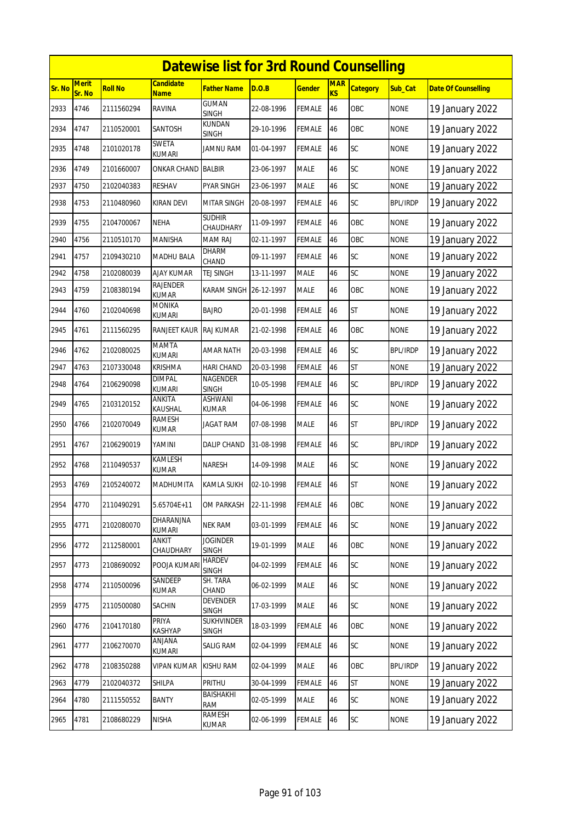|        |                        |            |                                 | <b>Datewise list for 3rd Round Counselling</b> |            |               |                  |                 |                 |                            |
|--------|------------------------|------------|---------------------------------|------------------------------------------------|------------|---------------|------------------|-----------------|-----------------|----------------------------|
| Sr. No | <b>Merit</b><br>Sr. No | Roll No    | <b>Candidate</b><br><b>Name</b> | <b>Father Name</b>                             | D.O.B      | <b>Gender</b> | <b>MAR</b><br>KS | <b>Category</b> | Sub_Cat         | <b>Date Of Counselling</b> |
| 2933   | 4746                   | 2111560294 | <b>RAVINA</b>                   | <b>GUMAN</b><br><b>SINGH</b>                   | 22-08-1996 | FEMALE        | 46               | OBC             | <b>NONE</b>     | 19 January 2022            |
| 2934   | 4747                   | 2110520001 | SANTOSH                         | KUNDAN<br>SINGH                                | 29-10-1996 | <b>FEMALE</b> | 46               | OBC             | <b>NONE</b>     | 19 January 2022            |
| 2935   | 4748                   | 2101020178 | <b>SWETA</b><br><b>KUMARI</b>   | <b>JAMNU RAM</b>                               | 01-04-1997 | FEMALE        | 46               | SC              | <b>NONE</b>     | 19 January 2022            |
| 2936   | 4749                   | 2101660007 | ONKAR CHAND                     | <b>BALBIR</b>                                  | 23-06-1997 | <b>MALE</b>   | 46               | SC              | <b>NONE</b>     | 19 January 2022            |
| 2937   | 4750                   | 2102040383 | <b>RESHAV</b>                   | PYAR SINGH                                     | 23-06-1997 | <b>MALE</b>   | 46               | SC              | <b>NONE</b>     | 19 January 2022            |
| 2938   | 4753                   | 2110480960 | <b>KIRAN DEVI</b>               | <b>MITAR SINGH</b>                             | 20-08-1997 | FEMALE        | 46               | <b>SC</b>       | <b>BPL/IRDP</b> | 19 January 2022            |
| 2939   | 4755                   | 2104700067 | NEHA                            | <b>SUDHIR</b><br>CHAUDHARY                     | 11-09-1997 | FEMALE        | 46               | OBC             | <b>NONE</b>     | 19 January 2022            |
| 2940   | 4756                   | 2110510170 | <b>MANISHA</b>                  | MAM RAJ                                        | 02-11-1997 | <b>FEMALE</b> | 46               | OBC             | <b>NONE</b>     | 19 January 2022            |
| 2941   | 4757                   | 2109430210 | <b>MADHU BALA</b>               | DHARM<br>CHAND                                 | 09-11-1997 | FEMALE        | 46               | SC              | <b>NONE</b>     | 19 January 2022            |
| 2942   | 4758                   | 2102080039 | <b>AJAY KUMAR</b>               | TEJ SINGH                                      | 13-11-1997 | <b>MALE</b>   | 46               | SC              | <b>NONE</b>     | 19 January 2022            |
| 2943   | 4759                   | 2108380194 | <b>RAJENDER</b><br>KUMAR        | KARAM SINGH                                    | 26-12-1997 | <b>MALE</b>   | 46               | OBC             | <b>NONE</b>     | 19 January 2022            |
| 2944   | 4760                   | 2102040698 | MONIKA<br>kumari                | <b>BAJRO</b>                                   | 20-01-1998 | <b>FEMALE</b> | 46               | <b>ST</b>       | <b>NONE</b>     | 19 January 2022            |
| 2945   | 4761                   | 2111560295 | RANJEET KAUR                    | <b>RAJ KUMAR</b>                               | 21-02-1998 | FEMALE        | 46               | OBC             | <b>NONE</b>     | 19 January 2022            |
| 2946   | 4762                   | 2102080025 | <b>MAMTA</b><br><b>KUMARI</b>   | AMAR NATH                                      | 20-03-1998 | FEMALE        | 46               | SC              | <b>BPL/IRDP</b> | 19 January 2022            |
| 2947   | 4763                   | 2107330048 | <b>KRISHMA</b>                  | HARI CHAND                                     | 20-03-1998 | FEMALE        | 46               | <b>ST</b>       | <b>NONE</b>     | 19 January 2022            |
| 2948   | 4764                   | 2106290098 | <b>DIMPAL</b><br><b>KUMARI</b>  | NAGENDER<br><b>SINGH</b>                       | 10-05-1998 | FEMALE        | 46               | <b>SC</b>       | <b>BPL/IRDP</b> | 19 January 2022            |
| 2949   | 4765                   | 2103120152 | ANKITA<br>KAUSHAL               | ASHWANI<br>KUMAR                               | 04-06-1998 | FEMALE        | 46               | <b>SC</b>       | <b>NONE</b>     | 19 January 2022            |
| 2950   | 4766                   | 2102070049 | RAMESH<br>KUMAR                 | <b>JAGAT RAM</b>                               | 07-08-1998 | MALE          | 46               | <b>ST</b>       | <b>BPL/IRDP</b> | 19 January 2022            |
| 2951   | 4767                   | 2106290019 | YAMINI                          | DALIP CHAND                                    | 31-08-1998 | FEMALE        | 46               | SC              | <b>BPL/IRDP</b> | 19 January 2022            |
| 2952   | 4768                   | 2110490537 | <b>KAMLESH</b><br><b>KUMAR</b>  | NARESH                                         | 14-09-1998 | MALE          | 46               | SC              | <b>NONE</b>     | 19 January 2022            |
| 2953   | 4769                   | 2105240072 | <b>MADHUMITA</b>                | KAMLA SUKH                                     | 02-10-1998 | <b>FEMALE</b> | 46               | <b>ST</b>       | <b>NONE</b>     | 19 January 2022            |
| 2954   | 4770                   | 2110490291 | 5.65704E+11                     | OM PARKASH                                     | 22-11-1998 | <b>FEMALE</b> | 46               | OBC             | <b>NONE</b>     | 19 January 2022            |
| 2955   | 4771                   | 2102080070 | DHARANJNA<br><b>KUMARI</b>      | <b>NEK RAM</b>                                 | 03-01-1999 | FEMALE        | 46               | <b>SC</b>       | <b>NONE</b>     | 19 January 2022            |
| 2956   | 4772                   | 2112580001 | ANKIT<br>CHAUDHARY              | <b>JOGINDER</b><br><b>SINGH</b>                | 19-01-1999 | MALE          | 46               | OBC             | <b>NONE</b>     | 19 January 2022            |
| 2957   | 4773                   | 2108690092 | POOJA KUMAR                     | <b>HARDEV</b><br><b>SINGH</b>                  | 04-02-1999 | FEMALE        | 46               | SC              | <b>NONE</b>     | 19 January 2022            |
| 2958   | 4774                   | 2110500096 | <b>SANDEEP</b><br>KUMAR         | SH. TARA<br>CHAND                              | 06-02-1999 | MALE          | 46               | SC              | <b>NONE</b>     | 19 January 2022            |
| 2959   | 4775                   | 2110500080 | SACHIN                          | DEVENDER<br><b>SINGH</b>                       | 17-03-1999 | MALE          | 46               | SC              | <b>NONE</b>     | 19 January 2022            |
| 2960   | 4776                   | 2104170180 | PRIYA<br>KASHYAP                | <b>SUKHVINDER</b><br><b>SINGH</b>              | 18-03-1999 | <b>FEMALE</b> | 46               | OBC             | <b>NONE</b>     | 19 January 2022            |
| 2961   | 4777                   | 2106270070 | ANJANA<br>KUMARI                | SALIG RAM                                      | 02-04-1999 | FEMALE        | 46               | SC              | <b>NONE</b>     | 19 January 2022            |
| 2962   | 4778                   | 2108350288 | <b>VIPAN KUMAR</b>              | <b>KISHU RAM</b>                               | 02-04-1999 | MALE          | 46               | OBC             | <b>BPL/IRDP</b> | 19 January 2022            |
| 2963   | 4779                   | 2102040372 | <b>SHILPA</b>                   | PRITHU                                         | 30-04-1999 | FEMALE        | 46               | <b>ST</b>       | <b>NONE</b>     | 19 January 2022            |
| 2964   | 4780                   | 2111550552 | <b>BANTY</b>                    | <b>BAISHAKHI</b><br><b>RAM</b>                 | 02-05-1999 | MALE          | 46               | SC              | <b>NONE</b>     | 19 January 2022            |
| 2965   | 4781                   | 2108680229 | <b>NISHA</b>                    | <b>RAMESH</b><br>KUMAR                         | 02-06-1999 | FEMALE        | 46               | SC              | <b>NONE</b>     | 19 January 2022            |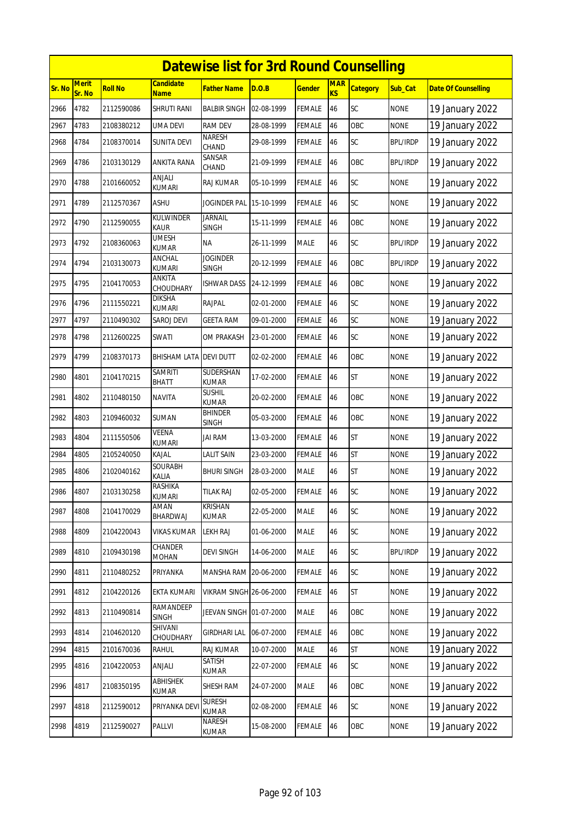|        | <b>Datewise list for 3rd Round Counselling</b> |                |                               |                                 |            |               |                  |                 |                 |                            |  |  |
|--------|------------------------------------------------|----------------|-------------------------------|---------------------------------|------------|---------------|------------------|-----------------|-----------------|----------------------------|--|--|
| Sr. No | <b>Merit</b><br>Sr. No                         | <b>Roll No</b> | <b>Candidate</b><br>Name      | <b>Father Name</b>              | D.O.B      | <b>Gender</b> | <b>MAR</b><br>KS | <b>Category</b> | Sub_Cat         | <b>Date Of Counselling</b> |  |  |
| 2966   | 4782                                           | 2112590086     | SHRUTI RANI                   | <b>BALBIR SINGH</b>             | 02-08-1999 | <b>FEMALE</b> | 46               | SC              | <b>NONE</b>     | 19 January 2022            |  |  |
| 2967   | 4783                                           | 2108380212     | UMA DEVI                      | <b>RAM DEV</b>                  | 28-08-1999 | <b>FEMALE</b> | 46               | OBC             | <b>NONE</b>     | 19 January 2022            |  |  |
| 2968   | 4784                                           | 2108370014     | SUNITA DEVI                   | <b>NARESH</b><br>CHAND          | 29-08-1999 | <b>FEMALE</b> | 46               | SC              | <b>BPL/IRDP</b> | 19 January 2022            |  |  |
| 2969   | 4786                                           | 2103130129     | ANKITA RANA                   | SANSAR<br>CHAND                 | 21-09-1999 | <b>FEMALE</b> | 46               | OBC             | <b>BPL/IRDP</b> | 19 January 2022            |  |  |
| 2970   | 4788                                           | 2101660052     | anjali<br><b>KUMARI</b>       | RAJ KUMAR                       | 05-10-1999 | <b>FEMALE</b> | 46               | <b>SC</b>       | <b>NONE</b>     | 19 January 2022            |  |  |
| 2971   | 4789                                           | 2112570367     | ASHU                          | <b>JOGINDER PAL</b>             | 15-10-1999 | <b>FEMALE</b> | 46               | <b>SC</b>       | <b>NONE</b>     | 19 January 2022            |  |  |
| 2972   | 4790                                           | 2112590055     | KULWINDER<br>KAUR             | <b>JARNAIL</b><br><b>SINGH</b>  | 15-11-1999 | <b>FEMALE</b> | 46               | OBC             | NONE            | 19 January 2022            |  |  |
| 2973   | 4792                                           | 2108360063     | <b>UMESH</b><br>KUMAR         | <b>NA</b>                       | 26-11-1999 | <b>MALE</b>   | 46               | SC              | <b>BPL/IRDP</b> | 19 January 2022            |  |  |
| 2974   | 4794                                           | 2103130073     | ANCHAL<br><b>KUMARI</b>       | <b>JOGINDER</b><br><b>SINGH</b> | 20-12-1999 | <b>FEMALE</b> | 46               | OBC             | <b>BPL/IRDP</b> | 19 January 2022            |  |  |
| 2975   | 4795                                           | 2104170053     | ANKITA<br>CHOUDHARY           | <b>ISHWAR DASS</b>              | 24-12-1999 | <b>FEMALE</b> | 46               | OBC             | <b>NONE</b>     | 19 January 2022            |  |  |
| 2976   | 4796                                           | 2111550221     | DIKSHA<br><b>KUMARI</b>       | RAJPAL                          | 02-01-2000 | <b>FEMALE</b> | 46               | SC              | <b>NONE</b>     | 19 January 2022            |  |  |
| 2977   | 4797                                           | 2110490302     | SAROJ DEVI                    | <b>GEETA RAM</b>                | 09-01-2000 | FEMALE        | 46               | SC              | <b>NONE</b>     | 19 January 2022            |  |  |
| 2978   | 4798                                           | 2112600225     | SWATI                         | OM PRAKASH                      | 23-01-2000 | <b>FEMALE</b> | 46               | <b>SC</b>       | <b>NONE</b>     | 19 January 2022            |  |  |
| 2979   | 4799                                           | 2108370173     | BHISHAM LATA                  | <b>DEVI DUTT</b>                | 02-02-2000 | <b>FEMALE</b> | 46               | OBC             | <b>NONE</b>     | 19 January 2022            |  |  |
| 2980   | 4801                                           | 2104170215     | <b>SAMRITI</b><br>BHATT       | SUDERSHAN<br>KUMAR              | 17-02-2000 | <b>FEMALE</b> | 46               | <b>ST</b>       | <b>NONE</b>     | 19 January 2022            |  |  |
| 2981   | 4802                                           | 2110480150     | <b>NAVITA</b>                 | <b>SUSHIL</b><br><b>KUMAR</b>   | 20-02-2000 | <b>FEMALE</b> | 46               | OBC             | <b>NONE</b>     | 19 January 2022            |  |  |
| 2982   | 4803                                           | 2109460032     | SUMAN                         | <b>BHINDER</b><br><b>SINGH</b>  | 05-03-2000 | FEMALE        | 46               | OBC             | <b>NONE</b>     | 19 January 2022            |  |  |
| 2983   | 4804                                           | 2111550506     | <b>VEENA</b><br><b>KUMARI</b> | <b>JAI RAM</b>                  | 13-03-2000 | <b>FEMALE</b> | 46               | <b>ST</b>       | <b>NONE</b>     | 19 January 2022            |  |  |
| 2984   | 4805                                           | 2105240050     | KAJAL                         | <b>LALIT SAIN</b>               | 23-03-2000 | <b>FEMALE</b> | 46               | <b>ST</b>       | <b>NONE</b>     | 19 January 2022            |  |  |
| 2985   | 4806                                           | 2102040162     | <b>SOURABH</b><br>Kalia       | <b>BHURI SINGH</b>              | 28-03-2000 | MALE          | 46               | <b>ST</b>       | <b>NONE</b>     | 19 January 2022            |  |  |
| 2986   | 4807                                           | 2103130258     | RASHIKA<br><b>KUMARI</b>      | TILAK RAJ                       | 02-05-2000 | <b>FEMALE</b> | 46               | SC              | <b>NONE</b>     | 19 January 2022            |  |  |
| 2987   | 4808                                           | 2104170029     | AMAN<br>BHARDWAJ              | KRISHAN<br>KUMAR                | 22-05-2000 | MALE          | 46               | <b>SC</b>       | <b>NONE</b>     | 19 January 2022            |  |  |
| 2988   | 4809                                           | 2104220043     | <b>VIKAS KUMAR</b>            | <b>LEKH RAJ</b>                 | 01-06-2000 | <b>MALE</b>   | 46               | SC              | <b>NONE</b>     | 19 January 2022            |  |  |
| 2989   | 4810                                           | 2109430198     | CHANDER<br><b>MOHAN</b>       | <b>DEVI SINGH</b>               | 14-06-2000 | <b>MALE</b>   | 46               | SC              | <b>BPL/IRDP</b> | 19 January 2022            |  |  |
| 2990   | 4811                                           | 2110480252     | PRIYANKA                      | MANSHA RAM 20-06-2000           |            | <b>FEMALE</b> | 46               | SC              | <b>NONE</b>     | 19 January 2022            |  |  |
| 2991   | 4812                                           | 2104220126     | EKTA KUMARI                   | <b>VIKRAM SINGH 26-06-2000</b>  |            | <b>FEMALE</b> | 46               | <b>ST</b>       | <b>NONE</b>     | 19 January 2022            |  |  |
| 2992   | 4813                                           | 2110490814     | RAMANDEEP<br>SINGH            | JEEVAN SINGH                    | 01-07-2000 | MALE          | 46               | OBC             | <b>NONE</b>     | 19 January 2022            |  |  |
| 2993   | 4814                                           | 2104620120     | SHIVANI<br>CHOUDHARY          | <b>GIRDHARI LAL</b>             | 06-07-2000 | <b>FEMALE</b> | 46               | OBC             | <b>NONE</b>     | 19 January 2022            |  |  |
| 2994   | 4815                                           | 2101670036     | RAHUL                         | <b>RAJ KUMAR</b>                | 10-07-2000 | <b>MALE</b>   | 46               | <b>ST</b>       | <b>NONE</b>     | 19 January 2022            |  |  |
| 2995   | 4816                                           | 2104220053     | ANJALI                        | SATISH<br><b>KUMAR</b>          | 22-07-2000 | <b>FEMALE</b> | 46               | <b>SC</b>       | <b>NONE</b>     | 19 January 2022            |  |  |
| 2996   | 4817                                           | 2108350195     | <b>ABHISHEK</b><br>KUMAR      | SHESH RAM                       | 24-07-2000 | <b>MALE</b>   | 46               | OBC             | <b>NONE</b>     | 19 January 2022            |  |  |
| 2997   | 4818                                           | 2112590012     | PRIYANKA DEV                  | <b>SURESH</b><br><b>KUMAR</b>   | 02-08-2000 | <b>FEMALE</b> | 46               | SC              | <b>NONE</b>     | 19 January 2022            |  |  |
| 2998   | 4819                                           | 2112590027     | PALLVI                        | NARESH<br>KUMAR                 | 15-08-2000 | <b>FEMALE</b> | 46               | OBC             | <b>NONE</b>     | 19 January 2022            |  |  |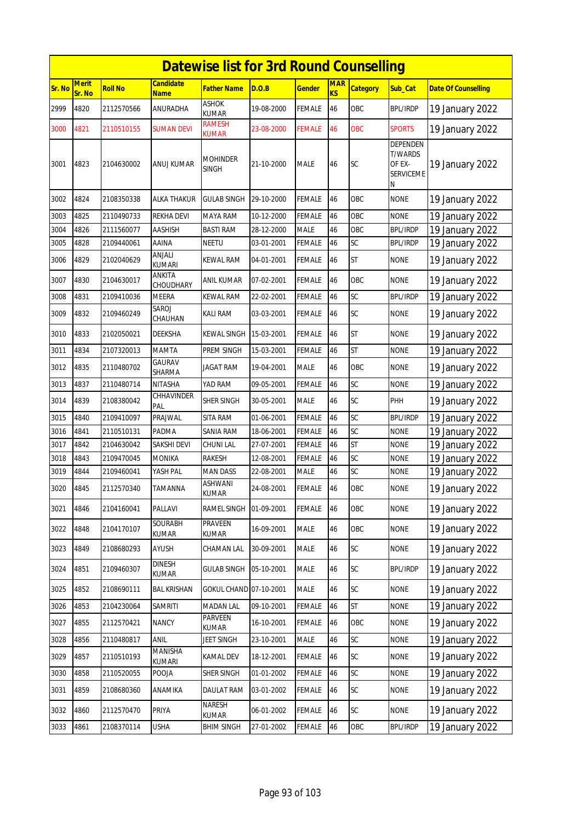|               |                        |                |                          | <b>Datewise list for 3rd Round Counselling</b> |            |               |                  |                 |                                                                      |                            |
|---------------|------------------------|----------------|--------------------------|------------------------------------------------|------------|---------------|------------------|-----------------|----------------------------------------------------------------------|----------------------------|
| <b>Sr. No</b> | <b>Merit</b><br>Sr. No | <b>Roll No</b> | Candidate<br><b>Name</b> | Father Name                                    | D.O.B      | <b>Gender</b> | <b>MAR</b><br>KS | <b>Category</b> | Sub_Cat                                                              | <b>Date Of Counselling</b> |
| 2999          | 4820                   | 2112570566     | ANURADHA                 | <b>ASHOK</b><br><b>KUMAR</b>                   | 19-08-2000 | FEMALE        | 46               | OBC             | <b>BPL/IRDP</b>                                                      | 19 January 2022            |
| 3000          | 4821                   | 2110510155     | SUMAN DEVI               | <b>RAMESH</b><br><b>KUMAR</b>                  | 23-08-2000 | <b>FEMALE</b> | 46               | <b>OBC</b>      | <b>SPORTS</b>                                                        | 19 January 2022            |
| 3001          | 4823                   | 2104630002     | ANUJ KUMAR               | <b>MOHINDER</b><br><b>SINGH</b>                | 21-10-2000 | <b>MALE</b>   | 46               | SC              | <b>DEPENDEN</b><br><b>T/WARDS</b><br>OF EX-<br><b>SERVICEME</b><br>Ν | 19 January 2022            |
| 3002          | 4824                   | 2108350338     | <b>ALKA THAKUR</b>       | <b>GULAB SINGH</b>                             | 29-10-2000 | <b>FEMALE</b> | 46               | OBC             | <b>NONE</b>                                                          | 19 January 2022            |
| 3003          | 4825                   | 2110490733     | <b>REKHA DEVI</b>        | MAYA RAM                                       | 10-12-2000 | <b>FEMALE</b> | 46               | OBC             | <b>NONE</b>                                                          | 19 January 2022            |
| 3004          | 4826                   | 2111560077     | AASHISH                  | <b>BASTI RAM</b>                               | 28-12-2000 | <b>MALE</b>   | 46               | OBC             | <b>BPL/IRDP</b>                                                      | 19 January 2022            |
| 3005          | 4828                   | 2109440061     | AAINA                    | <b>NEETU</b>                                   | 03-01-2001 | <b>FEMALE</b> | 46               | SC              | <b>BPL/IRDP</b>                                                      | 19 January 2022            |
| 3006          | 4829                   | 2102040629     | ANJALI<br><b>KUMARI</b>  | <b>KEWAL RAM</b>                               | 04-01-2001 | FEMALE        | 46               | <b>ST</b>       | <b>NONE</b>                                                          | 19 January 2022            |
| 3007          | 4830                   | 2104630017     | ANKITA<br>CHOUDHARY      | <b>ANIL KUMAR</b>                              | 07-02-2001 | <b>FEMALE</b> | 46               | OBC             | <b>NONE</b>                                                          | 19 January 2022            |
| 3008          | 4831                   | 2109410036     | <b>MEERA</b>             | <b>KEWAL RAM</b>                               | 22-02-2001 | FEMALE        | 46               | SC              | <b>BPL/IRDP</b>                                                      | 19 January 2022            |
| 3009          | 4832                   | 2109460249     | SAROJ<br>CHAUHAN         | <b>KALI RAM</b>                                | 03-03-2001 | FEMALE        | 46               | SC              | <b>NONE</b>                                                          | 19 January 2022            |
| 3010          | 4833                   | 2102050021     | <b>DEEKSHA</b>           | <b>KEWAL SINGH</b>                             | 15-03-2001 | <b>FEMALE</b> | 46               | <b>ST</b>       | <b>NONE</b>                                                          | 19 January 2022            |
| 3011          | 4834                   | 2107320013     | <b>MAMTA</b>             | PREM SINGH                                     | 15-03-2001 | <b>FEMALE</b> | 46               | <b>ST</b>       | <b>NONE</b>                                                          | 19 January 2022            |
| 3012          | 4835                   | 2110480702     | <b>GAURAV</b><br>SHARMA  | <b>JAGAT RAM</b>                               | 19-04-2001 | MALE          | 46               | OBC             | <b>NONE</b>                                                          | 19 January 2022            |
| 3013          | 4837                   | 2110480714     | <b>NITASHA</b>           | YAD RAM                                        | 09-05-2001 | <b>FEMALE</b> | 46               | SC              | <b>NONE</b>                                                          | 19 January 2022            |
| 3014          | 4839                   | 2108380042     | CHHAVINDER<br>PAL        | SHER SINGH                                     | 30-05-2001 | MALE          | 46               | SC              | PHH                                                                  | 19 January 2022            |
| 3015          | 4840                   | 2109410097     | PRAJWAL                  | SITA RAM                                       | 01-06-2001 | FEMALE        | 46               | SC              | <b>BPL/IRDP</b>                                                      | 19 January 2022            |
| 3016          | 4841                   | 2110510131     | PADMA                    | <b>SANIA RAM</b>                               | 18-06-2001 | FEMALE        | 46               | SC              | <b>NONE</b>                                                          | 19 January 2022            |
| 3017          | 4842                   | 2104630042     | SAKSHI DEVI              | <b>CHUNI LAL</b>                               | 27-07-2001 | <b>FEMALE</b> | 46               | <b>ST</b>       | <b>NONE</b>                                                          | 19 January 2022            |
| 3018          | 4843                   | 2109470045     | <b>MONIKA</b>            | <b>RAKESH</b>                                  | 12-08-2001 | <b>FEMALE</b> | 46               | SC              | <b>NONE</b>                                                          | 19 January 2022            |
| 3019          | 4844                   | 2109460041     | YASH PAL                 | <b>MAN DASS</b>                                | 22-08-2001 | MALE          | 46               | SC              | <b>NONE</b>                                                          | 19 January 2022            |
| 3020          | 4845                   | 2112570340     | TAMANNA                  | ASHWANI<br>KUMAR                               | 24-08-2001 | <b>FEMALE</b> | 46               | OBC             | <b>NONE</b>                                                          | 19 January 2022            |
| 3021          | 4846                   | 2104160041     | PALLAVI                  | RAMEL SINGH                                    | 01-09-2001 | <b>FEMALE</b> | 46               | OBC             | <b>NONE</b>                                                          | 19 January 2022            |
| 3022          | 4848                   | 2104170107     | SOURABH<br>KUMAR         | PRAVEEN<br><b>KUMAR</b>                        | 16-09-2001 | <b>MALE</b>   | 46               | OBC             | <b>NONE</b>                                                          | 19 January 2022            |
| 3023          | 4849                   | 2108680293     | AYUSH                    | CHAMAN LAL                                     | 30-09-2001 | MALE          | 46               | SC              | <b>NONE</b>                                                          | 19 January 2022            |
| 3024          | 4851                   | 2109460307     | <b>DINESH</b><br>KUMAR   | <b>GULAB SINGH</b>                             | 05-10-2001 | MALE          | 46               | SC              | <b>BPL/IRDP</b>                                                      | 19 January 2022            |
| 3025          | 4852                   | 2108690111     | <b>BAL KRISHAN</b>       | GOKUL CHAND 07-10-2001                         |            | <b>MALE</b>   | 46               | SC              | <b>NONE</b>                                                          | 19 January 2022            |
| 3026          | 4853                   | 2104230064     | <b>SAMRITI</b>           | <b>MADAN LAL</b>                               | 09-10-2001 | <b>FEMALE</b> | 46               | <b>ST</b>       | <b>NONE</b>                                                          | 19 January 2022            |
| 3027          | 4855                   | 2112570421     | <b>NANCY</b>             | PARVEEN<br>KUMAR                               | 16-10-2001 | <b>FEMALE</b> | 46               | OBC             | <b>NONE</b>                                                          | 19 January 2022            |
| 3028          | 4856                   | 2110480817     | ANIL                     | JEET SINGH                                     | 23-10-2001 | MALE          | 46               | SC              | <b>NONE</b>                                                          | 19 January 2022            |
| 3029          | 4857                   | 2110510193     | MANISHA<br><b>KUMARI</b> | <b>KAMAL DEV</b>                               | 18-12-2001 | <b>FEMALE</b> | 46               | SC              | <b>NONE</b>                                                          | 19 January 2022            |
| 3030          | 4858                   | 2110520055     | POOJA                    | SHER SINGH                                     | 01-01-2002 | FEMALE        | 46               | SC              | <b>NONE</b>                                                          | 19 January 2022            |
| 3031          | 4859                   | 2108680360     | ANAMIKA                  | <b>DAULAT RAM</b>                              | 03-01-2002 | <b>FEMALE</b> | 46               | SC              | <b>NONE</b>                                                          | 19 January 2022            |
| 3032          | 4860                   | 2112570470     | PRIYA                    | <b>NARESH</b><br>KUMAR                         | 06-01-2002 | <b>FEMALE</b> | 46               | SC              | <b>NONE</b>                                                          | 19 January 2022            |
| 3033          | 4861                   | 2108370114     | <b>USHA</b>              | <b>BHIM SINGH</b>                              | 27-01-2002 | <b>FEMALE</b> | 46               | OBC             | <b>BPL/IRDP</b>                                                      | 19 January 2022            |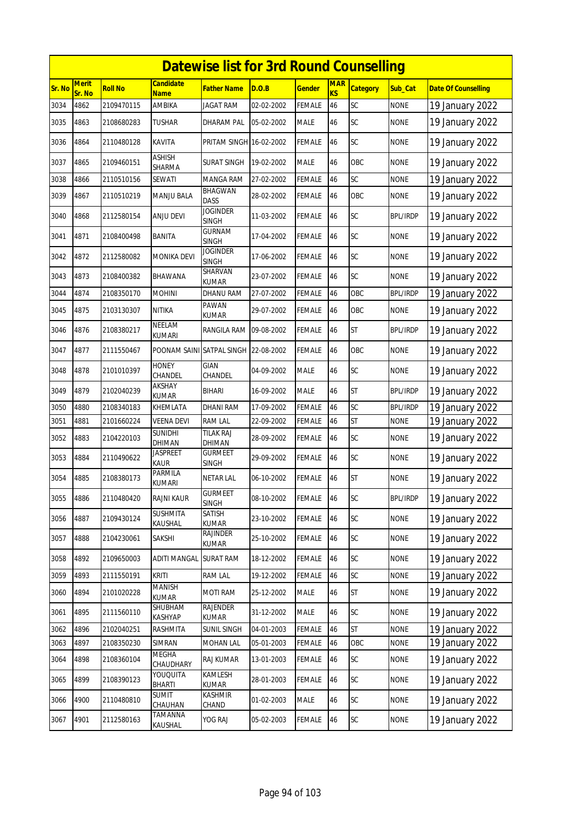|        | <b>Datewise list for 3rd Round Counselling</b> |                |                                      |                                 |            |               |                  |                 |                 |                            |  |  |
|--------|------------------------------------------------|----------------|--------------------------------------|---------------------------------|------------|---------------|------------------|-----------------|-----------------|----------------------------|--|--|
| Sr. No | <b>Merit</b><br>Sr. No                         | <b>Roll No</b> | <b>Candidate</b><br><b>Name</b>      | <b>Father Name</b>              | D.O.B      | <b>Gender</b> | <b>MAR</b><br>KS | <b>Category</b> | Sub Cat         | <b>Date Of Counselling</b> |  |  |
| 3034   | 4862                                           | 2109470115     | <b>AMBIKA</b>                        | <b>JAGAT RAM</b>                | 02-02-2002 | <b>FEMALE</b> | 46               | SC              | <b>NONE</b>     | 19 January 2022            |  |  |
| 3035   | 4863                                           | 2108680283     | <b>TUSHAR</b>                        | DHARAM PAL                      | 05-02-2002 | <b>MALE</b>   | 46               | SC              | <b>NONE</b>     | 19 January 2022            |  |  |
| 3036   | 4864                                           | 2110480128     | KAVITA                               | PRITAM SINGH 16-02-2002         |            | <b>FEMALE</b> | 46               | SC              | <b>NONE</b>     | 19 January 2022            |  |  |
| 3037   | 4865                                           | 2109460151     | <b>ASHISH</b><br>SHARMA              | <b>SURAT SINGH</b>              | 19-02-2002 | <b>MALE</b>   | 46               | OBC             | <b>NONE</b>     | 19 January 2022            |  |  |
| 3038   | 4866                                           | 2110510156     | SEWATI                               | MANGA RAM                       | 27-02-2002 | <b>FEMALE</b> | 46               | SC              | <b>NONE</b>     | 19 January 2022            |  |  |
| 3039   | 4867                                           | 2110510219     | <b>MANJU BALA</b>                    | <b>BHAGWAN</b><br><b>DASS</b>   | 28-02-2002 | <b>FEMALE</b> | 46               | OBC             | <b>NONE</b>     | 19 January 2022            |  |  |
| 3040   | 4868                                           | 2112580154     | ANJU DEVI                            | <b>JOGINDER</b><br><b>SINGH</b> | 11-03-2002 | <b>FEMALE</b> | 46               | SC              | <b>BPL/IRDP</b> | 19 January 2022            |  |  |
| 3041   | 4871                                           | 2108400498     | BANITA                               | <b>GURNAM</b><br><b>SINGH</b>   | 17-04-2002 | <b>FEMALE</b> | 46               | SC              | <b>NONE</b>     | 19 January 2022            |  |  |
| 3042   | 4872                                           | 2112580082     | <b>MONIKA DEVI</b>                   | <b>JOGINDER</b><br><b>SINGH</b> | 17-06-2002 | <b>FEMALE</b> | 46               | SC              | <b>NONE</b>     | 19 January 2022            |  |  |
| 3043   | 4873                                           | 2108400382     | <b>BHAWANA</b>                       | SHARVAN<br><b>KUMAR</b>         | 23-07-2002 | <b>FEMALE</b> | 46               | SC              | <b>NONE</b>     | 19 January 2022            |  |  |
| 3044   | 4874                                           | 2108350170     | <b>MOHINI</b>                        | <b>DHANU RAM</b>                | 27-07-2002 | <b>FEMALE</b> | 46               | OBC             | <b>BPL/IRDP</b> | 19 January 2022            |  |  |
| 3045   | 4875                                           | 2103130307     | <b>NITIKA</b>                        | PAWAN<br>KUMAR                  | 29-07-2002 | <b>FEMALE</b> | 46               | OBC             | <b>NONE</b>     | 19 January 2022            |  |  |
| 3046   | 4876                                           | 2108380217     | NEELAM<br>KUMARI                     | <b>RANGILA RAM</b>              | 09-08-2002 | <b>FEMALE</b> | 46               | <b>ST</b>       | <b>BPL/IRDP</b> | 19 January 2022            |  |  |
| 3047   | 4877                                           | 2111550467     | POONAM SAINI SATPAL SINGH 22-08-2002 |                                 |            | <b>FEMALE</b> | 46               | OBC             | <b>NONE</b>     | 19 January 2022            |  |  |
| 3048   | 4878                                           | 2101010397     | <b>HONEY</b><br>CHANDEL              | <b>GIAN</b><br>CHANDEL          | 04-09-2002 | <b>MALE</b>   | 46               | SC              | <b>NONE</b>     | 19 January 2022            |  |  |
| 3049   | 4879                                           | 2102040239     | AKSHAY<br><b>KUMAR</b>               | <b>BIHARI</b>                   | 16-09-2002 | <b>MALE</b>   | 46               | <b>ST</b>       | <b>BPL/IRDP</b> | 19 January 2022            |  |  |
| 3050   | 4880                                           | 2108340183     | KHEMLATA                             | <b>DHANI RAM</b>                | 17-09-2002 | <b>FEMALE</b> | 46               | SC              | <b>BPL/IRDP</b> | 19 January 2022            |  |  |
| 3051   | 4881                                           | 2101660224     | VEENA DEVI                           | <b>RAM LAL</b>                  | 22-09-2002 | <b>FEMALE</b> | 46               | <b>ST</b>       | <b>NONE</b>     | 19 January 2022            |  |  |
| 3052   | 4883                                           | 2104220103     | <b>SUNIDHI</b><br>DHIMAN             | <b>TILAK RAJ</b><br>DHIMAN      | 28-09-2002 | <b>FEMALE</b> | 46               | SC              | <b>NONE</b>     | 19 January 2022            |  |  |
| 3053   | 4884                                           | 2110490622     | Jaspreet<br>KAUR                     | <b>GURMEET</b><br>SINGH         | 29-09-2002 | <b>FEMALE</b> | 46               | SC              | <b>NONE</b>     | 19 January 2022            |  |  |
| 3054   | 4885                                           | 2108380173     | PARMILA<br><b>KUMARI</b>             | <b>NETAR LAL</b>                | 06-10-2002 | <b>FEMALE</b> | 46               | <b>ST</b>       | <b>NONE</b>     | 19 January 2022            |  |  |
| 3055   | 4886                                           | 2110480420     | <b>RAJNI KAUR</b>                    | GURMEET<br>SINGH                | 08-10-2002 | <b>FEMALE</b> | 46               | SC              | <b>BPL/IRDP</b> | 19 January 2022            |  |  |
| 3056   | 4887                                           | 2109430124     | <b>SUSHMITA</b><br>KAUSHAL           | SATISH<br>kumar                 | 23-10-2002 | <b>FEMALE</b> | 46               | SC              | <b>NONE</b>     | 19 January 2022            |  |  |
| 3057   | 4888                                           | 2104230061     | SAKSHI                               | RAJINDER<br>KUMAR               | 25-10-2002 | <b>FEMALE</b> | 46               | SC              | <b>NONE</b>     | 19 January 2022            |  |  |
| 3058   | 4892                                           | 2109650003     | ADITI MANGAL                         | <b>SURAT RAM</b>                | 18-12-2002 | <b>FEMALE</b> | 46               | SC              | <b>NONE</b>     | 19 January 2022            |  |  |
| 3059   | 4893                                           | 2111550191     | kriti                                | RAM LAL                         | 19-12-2002 | <b>FEMALE</b> | 46               | SC              | <b>NONE</b>     | 19 January 2022            |  |  |
| 3060   | 4894                                           | 2101020228     | <b>MANISH</b><br>KUMAR               | MOTI RAM                        | 25-12-2002 | <b>MALE</b>   | 46               | <b>ST</b>       | <b>NONE</b>     | 19 January 2022            |  |  |
| 3061   | 4895                                           | 2111560110     | SHUBHAM<br>KASHYAP                   | <b>RAJENDER</b><br><b>KUMAR</b> | 31-12-2002 | MALE          | 46               | SC              | <b>NONE</b>     | 19 January 2022            |  |  |
| 3062   | 4896                                           | 2102040251     | RASHMITA                             | <b>SUNIL SINGH</b>              | 04-01-2003 | <b>FEMALE</b> | 46               | <b>ST</b>       | <b>NONE</b>     | 19 January 2022            |  |  |
| 3063   | 4897                                           | 2108350230     | SIMRAN                               | <b>MOHAN LAL</b>                | 05-01-2003 | <b>FEMALE</b> | 46               | OBC             | <b>NONE</b>     | 19 January 2022            |  |  |
| 3064   | 4898                                           | 2108360104     | MEGHA<br>CHAUDHARY                   | RAJ KUMAR                       | 13-01-2003 | <b>FEMALE</b> | 46               | <b>SC</b>       | <b>NONE</b>     | 19 January 2022            |  |  |
| 3065   | 4899                                           | 2108390123     | YOUQUITA<br>BHARTI                   | KAMLESH<br><b>KUMAR</b>         | 28-01-2003 | <b>FEMALE</b> | 46               | <b>SC</b>       | <b>NONE</b>     | 19 January 2022            |  |  |
| 3066   | 4900                                           | 2110480810     | <b>SUMIT</b><br>CHAUHAN              | <b>KASHMIR</b><br>CHAND         | 01-02-2003 | MALE          | 46               | SC              | <b>NONE</b>     | 19 January 2022            |  |  |
| 3067   | 4901                                           | 2112580163     | TAMANNA<br>KAUSHAL                   | YOG RAJ                         | 05-02-2003 | <b>FEMALE</b> | 46               | SC              | <b>NONE</b>     | 19 January 2022            |  |  |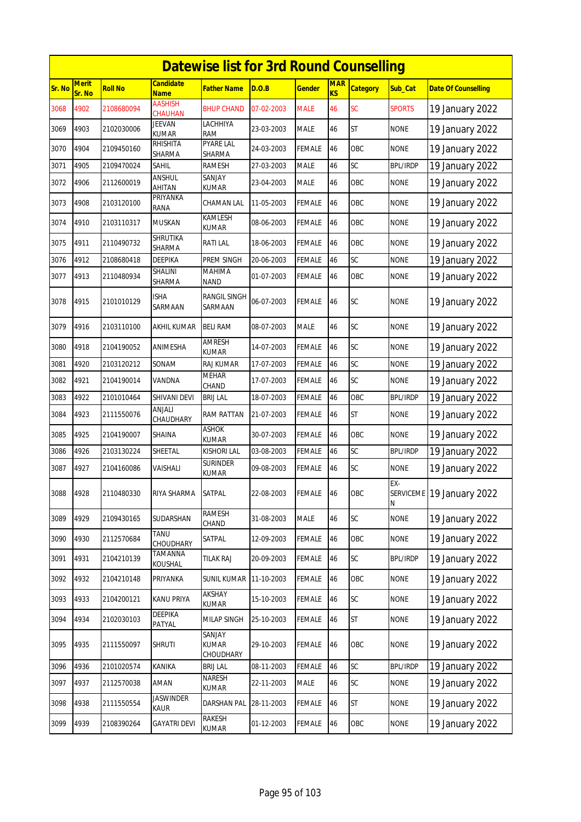|        | <b>Datewise list for 3rd Round Counselling</b> |                |                                 |                                   |            |               |                              |                 |                 |                                      |  |  |
|--------|------------------------------------------------|----------------|---------------------------------|-----------------------------------|------------|---------------|------------------------------|-----------------|-----------------|--------------------------------------|--|--|
| Sr. No | <b>Merit</b><br>Sr. No                         | <b>Roll No</b> | <b>Candidate</b><br><b>Name</b> | <b>Father Name</b>                | D.O.B      | <b>Gender</b> | <b>MAR</b><br>K <sub>S</sub> | <b>Category</b> | Sub Cat         | <b>Date Of Counselling</b>           |  |  |
| 3068   | 4902                                           | 2108680094     | <b>AASHISH</b><br>CHAUHAN       | <b>BHUP CHAND</b>                 | 07-02-2003 | <b>MALE</b>   | 46                           | <b>SC</b>       | <b>SPORTS</b>   | 19 January 2022                      |  |  |
| 3069   | 4903                                           | 2102030006     | <b>JEEVAN</b><br><b>KUMAR</b>   | LACHHIYA<br>RAM                   | 23-03-2003 | <b>MALE</b>   | 46                           | <b>ST</b>       | NONE            | 19 January 2022                      |  |  |
| 3070   | 4904                                           | 2109450160     | RHISHITA<br>SHARMA              | <b>PYARE LAL</b><br><b>SHARMA</b> | 24-03-2003 | <b>FEMALE</b> | 46                           | OBC             | <b>NONE</b>     | 19 January 2022                      |  |  |
| 3071   | 4905                                           | 2109470024     | Sahil                           | RAMESH                            | 27-03-2003 | <b>MALE</b>   | 46                           | SC              | <b>BPL/IRDP</b> | 19 January 2022                      |  |  |
| 3072   | 4906                                           | 2112600019     | ANSHUL<br>AHITAN                | SANJAY<br><b>KUMAR</b>            | 23-04-2003 | <b>MALE</b>   | 46                           | OBC             | <b>NONE</b>     | 19 January 2022                      |  |  |
| 3073   | 4908                                           | 2103120100     | PRIYANKA<br>RANA                | CHAMAN LAL                        | 11-05-2003 | <b>FEMALE</b> | 46                           | OBC             | <b>NONE</b>     | 19 January 2022                      |  |  |
| 3074   | 4910                                           | 2103110317     | <b>MUSKAN</b>                   | KAMLESH<br>kumar                  | 08-06-2003 | FEMALE        | 46                           | OBC             | <b>NONE</b>     | 19 January 2022                      |  |  |
| 3075   | 4911                                           | 2110490732     | <b>SHRUTIKA</b><br>SHARMA       | <b>RATILAL</b>                    | 18-06-2003 | <b>FEMALE</b> | 46                           | OBC             | <b>NONE</b>     | 19 January 2022                      |  |  |
| 3076   | 4912                                           | 2108680418     | <b>DEEPIKA</b>                  | PREM SINGH                        | 20-06-2003 | <b>FEMALE</b> | 46                           | SC              | <b>NONE</b>     | 19 January 2022                      |  |  |
| 3077   | 4913                                           | 2110480934     | SHALINI<br>SHARMA               | MAHIMA<br>NAND                    | 01-07-2003 | FEMALE        | 46                           | OBC             | <b>NONE</b>     | 19 January 2022                      |  |  |
| 3078   | 4915                                           | 2101010129     | ISHA<br>SARMAAN                 | <b>RANGIL SINGH</b><br>SARMAAN    | 06-07-2003 | <b>FEMALE</b> | 46                           | <b>SC</b>       | <b>NONE</b>     | 19 January 2022                      |  |  |
| 3079   | 4916                                           | 2103110100     | AKHIL KUMAR                     | <b>BELI RAM</b>                   | 08-07-2003 | <b>MALE</b>   | 46                           | SC              | <b>NONE</b>     | 19 January 2022                      |  |  |
| 3080   | 4918                                           | 2104190052     | ANIMESHA                        | <b>AMRESH</b><br>KUMAR            | 14-07-2003 | FEMALE        | 46                           | SC              | <b>NONE</b>     | 19 January 2022                      |  |  |
| 3081   | 4920                                           | 2103120212     | SONAM                           | RAJ KUMAR                         | 17-07-2003 | <b>FEMALE</b> | 46                           | SC              | <b>NONE</b>     | 19 January 2022                      |  |  |
| 3082   | 4921                                           | 2104190014     | VANDNA                          | <b>MEHAR</b><br>CHAND             | 17-07-2003 | <b>FEMALE</b> | 46                           | <b>SC</b>       | <b>NONE</b>     | 19 January 2022                      |  |  |
| 3083   | 4922                                           | 2101010464     | SHIVANI DEVI                    | <b>BRIJ LAL</b>                   | 18-07-2003 | <b>FEMALE</b> | 46                           | OBC             | <b>BPL/IRDP</b> | 19 January 2022                      |  |  |
| 3084   | 4923                                           | 2111550076     | ANJALI<br>CHAUDHARY             | RAM RATTAN                        | 21-07-2003 | <b>FEMALE</b> | 46                           | <b>ST</b>       | <b>NONE</b>     | 19 January 2022                      |  |  |
| 3085   | 4925                                           | 2104190007     | SHAINA                          | ASHOK<br><b>KUMAR</b>             | 30-07-2003 | FEMALE        | 46                           | OBC             | <b>NONE</b>     | 19 January 2022                      |  |  |
| 3086   | 4926                                           | 2103130224     | SHEETAL                         | <b>KISHORI LAL</b>                | 03-08-2003 | <b>FEMALE</b> | 46                           | SC              | <b>BPL/IRDP</b> | 19 January 2022                      |  |  |
| 3087   | 4927                                           | 2104160086     | VAISHALI                        | <b>SURINDER</b><br><b>KUMAR</b>   | 09-08-2003 | <b>FEMALE</b> | 46                           | SC              | <b>NONE</b>     | 19 January 2022                      |  |  |
| 3088   | 4928                                           | 2110480330     | RIYA SHARMA                     | SATPAL                            | 22-08-2003 | <b>FEMALE</b> | 46                           | OBC             | EX-<br>Ν        | SERVICEME <sup>19</sup> January 2022 |  |  |
| 3089   | 4929                                           | 2109430165     | SUDARSHAN                       | <b>RAMESH</b><br>CHAND            | 31-08-2003 | <b>MALE</b>   | 46                           | <b>SC</b>       | <b>NONE</b>     | 19 January 2022                      |  |  |
| 3090   | 4930                                           | 2112570684     | TANU<br>CHOUDHARY               | SATPAL                            | 12-09-2003 | <b>FEMALE</b> | 46                           | OBC             | <b>NONE</b>     | 19 January 2022                      |  |  |
| 3091   | 4931                                           | 2104210139     | TAMANNA<br>KOUSHAL              | <b>TILAK RAJ</b>                  | 20-09-2003 | <b>FEMALE</b> | 46                           | <b>SC</b>       | <b>BPL/IRDP</b> | 19 January 2022                      |  |  |
| 3092   | 4932                                           | 2104210148     | PRIYANKA                        | SUNIL KUMAR                       | 11-10-2003 | <b>FEMALE</b> | 46                           | OBC             | <b>NONE</b>     | 19 January 2022                      |  |  |
| 3093   | 4933                                           | 2104200121     | <b>KANU PRIYA</b>               | AKSHAY<br>KUMAR                   | 15-10-2003 | <b>FEMALE</b> | 46                           | <b>SC</b>       | <b>NONE</b>     | 19 January 2022                      |  |  |
| 3094   | 4934                                           | 2102030103     | DEEPIKA<br>PATYAL               | <b>MILAP SINGH</b>                | 25-10-2003 | <b>FEMALE</b> | 46                           | <b>ST</b>       | <b>NONE</b>     | 19 January 2022                      |  |  |
| 3095   | 4935                                           | 2111550097     | <b>SHRUTI</b>                   | SANJAY<br>KUMAR<br>CHOUDHARY      | 29-10-2003 | <b>FEMALE</b> | 46                           | OBC             | <b>NONE</b>     | 19 January 2022                      |  |  |
| 3096   | 4936                                           | 2101020574     | KANIKA                          | <b>BRIJ LAL</b>                   | 08-11-2003 | <b>FEMALE</b> | 46                           | SC              | <b>BPL/IRDP</b> | 19 January 2022                      |  |  |
| 3097   | 4937                                           | 2112570038     | AMAN                            | <b>NARESH</b><br>KUMAR            | 22-11-2003 | <b>MALE</b>   | 46                           | SC              | <b>NONE</b>     | 19 January 2022                      |  |  |
| 3098   | 4938                                           | 2111550554     | <b>JASWINDER</b><br>KAUR        | DARSHAN PAL                       | 28-11-2003 | <b>FEMALE</b> | 46                           | <b>ST</b>       | <b>NONE</b>     | 19 January 2022                      |  |  |
| 3099   | 4939                                           | 2108390264     | <b>GAYATRI DEVI</b>             | RAKESH<br>KUMAR                   | 01-12-2003 | <b>FEMALE</b> | 46                           | OBC             | <b>NONE</b>     | 19 January 2022                      |  |  |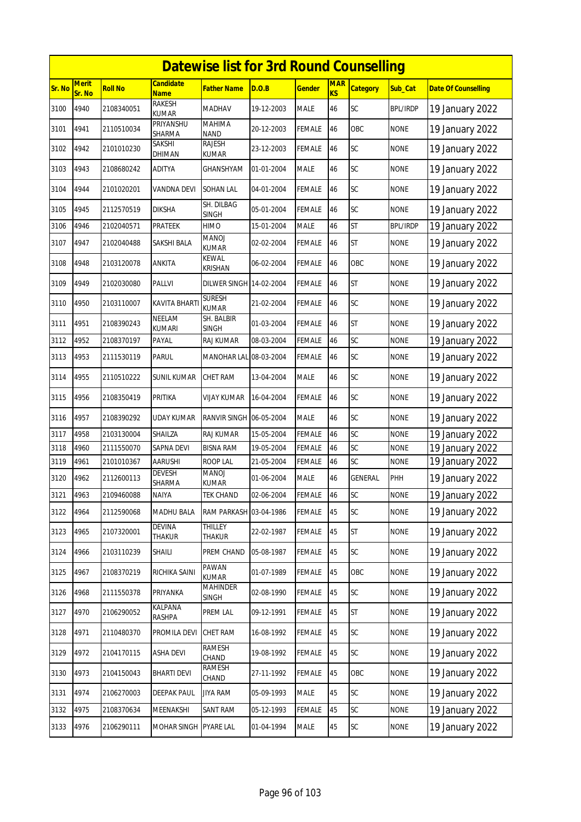|        | <b>Datewise list for 3rd Round Counselling</b> |                |                                 |                                 |            |               |                  |                 |                 |                            |  |  |
|--------|------------------------------------------------|----------------|---------------------------------|---------------------------------|------------|---------------|------------------|-----------------|-----------------|----------------------------|--|--|
| Sr. No | <b>Merit</b><br>Sr. No                         | <b>Roll No</b> | <b>Candidate</b><br><b>Name</b> | <b>Father Name</b>              | D.O.B      | <b>Gender</b> | <b>MAR</b><br>KS | <b>Category</b> | Sub Cat         | <b>Date Of Counselling</b> |  |  |
| 3100   | 4940                                           | 2108340051     | <b>RAKESH</b><br><b>KUMAR</b>   | <b>MADHAV</b>                   | 19-12-2003 | <b>MALE</b>   | 46               | SC              | <b>BPL/IRDP</b> | 19 January 2022            |  |  |
| 3101   | 4941                                           | 2110510034     | PRIYANSHU<br>SHARMA             | <b>MAHIMA</b><br><b>NAND</b>    | 20-12-2003 | <b>FEMALE</b> | 46               | OBC             | <b>NONE</b>     | 19 January 2022            |  |  |
| 3102   | 4942                                           | 2101010230     | SAKSHI<br>DHIMAN                | <b>RAJESH</b><br>KUMAR          | 23-12-2003 | <b>FEMALE</b> | 46               | SC              | <b>NONE</b>     | 19 January 2022            |  |  |
| 3103   | 4943                                           | 2108680242     | <b>ADITYA</b>                   | <b>GHANSHYAM</b>                | 01-01-2004 | <b>MALE</b>   | 46               | SC              | <b>NONE</b>     | 19 January 2022            |  |  |
| 3104   | 4944                                           | 2101020201     | VANDNA DEVI                     | <b>SOHAN LAL</b>                | 04-01-2004 | <b>FEMALE</b> | 46               | SC              | <b>NONE</b>     | 19 January 2022            |  |  |
| 3105   | 4945                                           | 2112570519     | <b>DIKSHA</b>                   | SH. DILBAG<br><b>SINGH</b>      | 05-01-2004 | <b>FEMALE</b> | 46               | SC              | <b>NONE</b>     | 19 January 2022            |  |  |
| 3106   | 4946                                           | 2102040571     | PRATEEK                         | HIMO                            | 15-01-2004 | <b>MALE</b>   | 46               | <b>ST</b>       | <b>BPL/IRDP</b> | 19 January 2022            |  |  |
| 3107   | 4947                                           | 2102040488     | SAKSHI BALA                     | <b>MANOJ</b><br><b>KUMAR</b>    | 02-02-2004 | <b>FEMALE</b> | 46               | <b>ST</b>       | <b>NONE</b>     | 19 January 2022            |  |  |
| 3108   | 4948                                           | 2103120078     | <b>ANKITA</b>                   | <b>KEWAL</b><br><b>KRISHAN</b>  | 06-02-2004 | <b>FEMALE</b> | 46               | OBC             | <b>NONE</b>     | 19 January 2022            |  |  |
| 3109   | 4949                                           | 2102030080     | PALLVI                          | DILWER SINGH 14-02-2004         |            | <b>FEMALE</b> | 46               | <b>ST</b>       | <b>NONE</b>     | 19 January 2022            |  |  |
| 3110   | 4950                                           | 2103110007     | <b>KAVITA BHART</b>             | <b>SURESH</b><br><b>KUMAR</b>   | 21-02-2004 | <b>FEMALE</b> | 46               | SC              | <b>NONE</b>     | 19 January 2022            |  |  |
| 3111   | 4951                                           | 2108390243     | <b>NEELAM</b><br><b>KUMARI</b>  | SH. BALBIR<br><b>SINGH</b>      | 01-03-2004 | <b>FEMALE</b> | 46               | <b>ST</b>       | <b>NONE</b>     | 19 January 2022            |  |  |
| 3112   | 4952                                           | 2108370197     | PAYAL                           | RAJ KUMAR                       | 08-03-2004 | <b>FEMALE</b> | 46               | SC              | <b>NONE</b>     | 19 January 2022            |  |  |
| 3113   | 4953                                           | 2111530119     | <b>PARUL</b>                    | MANOHAR LAL 08-03-2004          |            | <b>FEMALE</b> | 46               | SC              | <b>NONE</b>     | 19 January 2022            |  |  |
| 3114   | 4955                                           | 2110510222     | SUNIL KUMAR                     | <b>CHET RAM</b>                 | 13-04-2004 | <b>MALE</b>   | 46               | SC              | <b>NONE</b>     | 19 January 2022            |  |  |
| 3115   | 4956                                           | 2108350419     | PRITIKA                         | VIJAY KUMAR                     | 16-04-2004 | <b>FEMALE</b> | 46               | SC              | <b>NONE</b>     | 19 January 2022            |  |  |
| 3116   | 4957                                           | 2108390292     | UDAY KUMAR                      | RANVIR SINGH                    | 06-05-2004 | <b>MALE</b>   | 46               | SC              | <b>NONE</b>     | 19 January 2022            |  |  |
| 3117   | 4958                                           | 2103130004     | SHAILZA                         | <b>RAJ KUMAR</b>                | 15-05-2004 | <b>FEMALE</b> | 46               | SC              | <b>NONE</b>     | 19 January 2022            |  |  |
| 3118   | 4960                                           | 2111550070     | SAPNA DEVI                      | <b>BISNA RAM</b>                | 19-05-2004 | <b>FEMALE</b> | 46               | SC              | <b>NONE</b>     | 19 January 2022            |  |  |
| 3119   | 4961                                           | 2101010367     | <b>AARUSHI</b>                  | <b>ROOP LAL</b>                 | 21-05-2004 | <b>FEMALE</b> | 46               | SC              | <b>NONE</b>     | 19 January 2022            |  |  |
| 3120   | 4962                                           | 2112600113     | DEVESH<br>SHARMA                | <b>MANOJ</b><br><b>KUMAR</b>    | 01-06-2004 | <b>MALE</b>   | 46               | <b>GENERAL</b>  | PHH             | 19 January 2022            |  |  |
| 3121   | 4963                                           | 2109460088     | NAIYA                           | <b>TEK CHAND</b>                | 02-06-2004 | <b>FEMALE</b> | <b>46</b>        | SC              | <b>NONE</b>     | 19 January 2022            |  |  |
| 3122   | 4964                                           | 2112590068     | MADHU BALA                      | RAM PARKASH 03-04-1986          |            | <b>FEMALE</b> | 45               | SC              | <b>NONE</b>     | 19 January 2022            |  |  |
| 3123   | 4965                                           | 2107320001     | <b>DEVINA</b><br>THAKUR         | <b>THILLEY</b><br>THAKUR        | 22-02-1987 | <b>FEMALE</b> | 45               | <b>ST</b>       | <b>NONE</b>     | 19 January 2022            |  |  |
| 3124   | 4966                                           | 2103110239     | SHAILI                          | PREM CHAND                      | 05-08-1987 | <b>FEMALE</b> | 45               | SC              | <b>NONE</b>     | 19 January 2022            |  |  |
| 3125   | 4967                                           | 2108370219     | RICHIKA SAINI                   | PAWAN<br><b>KUMAR</b>           | 01-07-1989 | <b>FEMALE</b> | 45               | OBC             | <b>NONE</b>     | 19 January 2022            |  |  |
| 3126   | 4968                                           | 2111550378     | PRIYANKA                        | <b>MAHINDER</b><br><b>SINGH</b> | 02-08-1990 | <b>FEMALE</b> | 45               | <b>SC</b>       | <b>NONE</b>     | 19 January 2022            |  |  |
| 3127   | 4970                                           | 2106290052     | KALPANA<br>RASHPA               | PREM LAL                        | 09-12-1991 | <b>FEMALE</b> | 45               | <b>ST</b>       | <b>NONE</b>     | 19 January 2022            |  |  |
| 3128   | 4971                                           | 2110480370     | PROMILA DEVI                    | CHET RAM                        | 16-08-1992 | <b>FEMALE</b> | 45               | <b>SC</b>       | <b>NONE</b>     | 19 January 2022            |  |  |
| 3129   | 4972                                           | 2104170115     | <b>ASHA DEVI</b>                | RAMESH<br>CHAND                 | 19-08-1992 | FEMALE        | 45               | SC              | <b>NONE</b>     | 19 January 2022            |  |  |
| 3130   | 4973                                           | 2104150043     | <b>BHARTI DEVI</b>              | RAMESH<br>CHAND                 | 27-11-1992 | <b>FEMALE</b> | 45               | OBC             | <b>NONE</b>     | 19 January 2022            |  |  |
| 3131   | 4974                                           | 2106270003     | DEEPAK PAUL                     | <b>JIYA RAM</b>                 | 05-09-1993 | <b>MALE</b>   | 45               | SC              | <b>NONE</b>     | 19 January 2022            |  |  |
| 3132   | 4975                                           | 2108370634     | MEENAKSHI                       | SANT RAM                        | 05-12-1993 | <b>FEMALE</b> | 45               | SC              | <b>NONE</b>     | 19 January 2022            |  |  |
| 3133   | 4976                                           | 2106290111     | MOHAR SINGH                     | <b>PYARE LAL</b>                | 01-04-1994 | <b>MALE</b>   | 45               | SC              | <b>NONE</b>     | 19 January 2022            |  |  |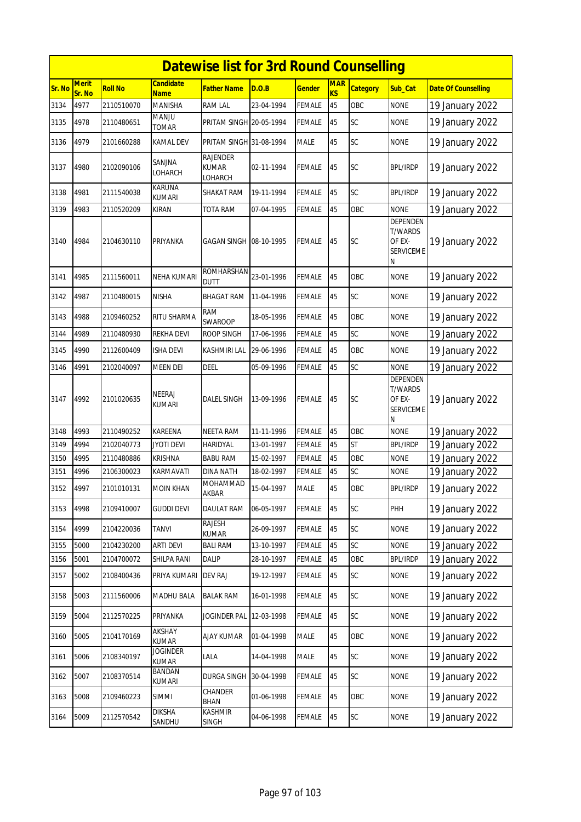|        | <b>Datewise list for 3rd Round Counselling</b> |                |                                 |                                            |            |               |                  |                 |                                                               |                            |  |
|--------|------------------------------------------------|----------------|---------------------------------|--------------------------------------------|------------|---------------|------------------|-----------------|---------------------------------------------------------------|----------------------------|--|
| Sr. No | <b>Merit</b><br>Sr. No                         | <b>Roll No</b> | <b>Candidate</b><br><b>Name</b> | Father Name                                | D.O.B      | <u>Gender</u> | <b>MAR</b><br>KS | <b>Category</b> | Sub_Cat                                                       | <b>Date Of Counselling</b> |  |
| 3134   | 4977                                           | 2110510070     | <b>MANISHA</b>                  | <b>RAM LAL</b>                             | 23-04-1994 | FEMALE        | 45               | OBC             | <b>NONE</b>                                                   | 19 January 2022            |  |
| 3135   | 4978                                           | 2110480651     | <b>MANJU</b><br>TOMAR           | PRITAM SINGH 20-05-1994                    |            | FEMALE        | 45               | SC              | <b>NONE</b>                                                   | 19 January 2022            |  |
| 3136   | 4979                                           | 2101660288     | KAMAL DEV                       | PRITAM SINGH 31-08-1994                    |            | MALE          | 45               | SC              | <b>NONE</b>                                                   | 19 January 2022            |  |
| 3137   | 4980                                           | 2102090106     | SANJNA<br>LOHARCH               | <b>RAJENDER</b><br><b>KUMAR</b><br>LOHARCH | 02-11-1994 | FEMALE        | 45               | SC              | <b>BPL/IRDP</b>                                               | 19 January 2022            |  |
| 3138   | 4981                                           | 2111540038     | KARUNA<br><b>KUMARI</b>         | SHAKAT RAM                                 | 19-11-1994 | <b>FEMALE</b> | 45               | SC              | <b>BPL/IRDP</b>                                               | 19 January 2022            |  |
| 3139   | 4983                                           | 2110520209     | KIRAN                           | TOTA RAM                                   | 07-04-1995 | FEMALE        | 45               | OBC             | <b>NONE</b>                                                   | 19 January 2022            |  |
| 3140   | 4984                                           | 2104630110     | PRIYANKA                        | GAGAN SINGH 108-10-1995                    |            | FEMALE        | 45               | <b>SC</b>       | DEPENDEN<br><b>T/WARDS</b><br>OF EX-<br><b>SERVICEME</b><br>N | 19 January 2022            |  |
| 3141   | 4985                                           | 2111560011     | NEHA KUMARI                     | <b>ROMHARSHAN</b><br>dutt                  | 23-01-1996 | FEMALE        | 45               | OBC             | <b>NONE</b>                                                   | 19 January 2022            |  |
| 3142   | 4987                                           | 2110480015     | <b>NISHA</b>                    | <b>BHAGAT RAM</b>                          | 11-04-1996 | FEMALE        | 45               | SC              | <b>NONE</b>                                                   | 19 January 2022            |  |
| 3143   | 4988                                           | 2109460252     | RITU SHARMA                     | RAM<br>SWAROOP                             | 18-05-1996 | FEMALE        | 45               | OBC             | <b>NONE</b>                                                   | 19 January 2022            |  |
| 3144   | 4989                                           | 2110480930     | REKHA DEVI                      | ROOP SINGH                                 | 17-06-1996 | <b>FEMALE</b> | 45               | SC              | <b>NONE</b>                                                   | 19 January 2022            |  |
| 3145   | 4990                                           | 2112600409     | <b>ISHA DEVI</b>                | KASHMIRI LAL                               | 29-06-1996 | FEMALE        | 45               | OBC             | <b>NONE</b>                                                   | 19 January 2022            |  |
| 3146   | 4991                                           | 2102040097     | MEEN DEI                        | DEEL                                       | 05-09-1996 | <b>FEMALE</b> | 45               | SC              | <b>NONE</b>                                                   | 19 January 2022            |  |
| 3147   | 4992                                           | 2101020635     | NEERAJ<br>KUMARI                | DALEL SINGH                                | 13-09-1996 | FEMALE        | 45               | <b>SC</b>       | DEPENDEN<br><b>T/WARDS</b><br>OF EX-<br><b>SERVICEME</b><br>N | 19 January 2022            |  |
| 3148   | 4993                                           | 2110490252     | <b>KAREENA</b>                  | <b>NEETA RAM</b>                           | 11-11-1996 | <b>FEMALE</b> | 45               | OBC             | <b>NONE</b>                                                   | 19 January 2022            |  |
| 3149   | 4994                                           | 2102040773     | <b>JYOTI DEVI</b>               | HARIDYAL                                   | 13-01-1997 | <b>FEMALE</b> | 45               | <b>ST</b>       | <b>BPL/IRDP</b>                                               | 19 January 2022            |  |
| 3150   | 4995                                           | 2110480886     | KRISHNA                         | BABU RAM                                   | 15-02-1997 | FEMALE        | 45               | OBC             | None                                                          | 19 January 2022            |  |
| 3151   | 4996                                           | 2106300023     | KARMAVATI                       | DINA NATH                                  | 18-02-1997 | <b>FEMALE</b> | 45               | SC              | <b>NONE</b>                                                   | 19 January 2022            |  |
| 3152   | 4997                                           | 2101010131     | <b>MOIN KHAN</b>                | MOHAMMAD<br>akbar                          | 15-04-1997 | <b>MALE</b>   | 45               | OBC             | <b>BPL/IRDP</b>                                               | 19 January 2022            |  |
| 3153   | 4998                                           | 2109410007     | <b>GUDDI DEVI</b>               | DAULAT RAM                                 | 06-05-1997 | <b>FEMALE</b> | 45               | <b>SC</b>       | PHH                                                           | 19 January 2022            |  |
| 3154   | 4999                                           | 2104220036     | <b>TANVI</b>                    | RAJESH<br>KUMAR                            | 26-09-1997 | FEMALE        | 45               | SC              | <b>NONE</b>                                                   | 19 January 2022            |  |
| 3155   | 5000                                           | 2104230200     | <b>ARTI DEVI</b>                | <b>BALI RAM</b>                            | 13-10-1997 | FEMALE        | 45               | SC              | <b>NONE</b>                                                   | 19 January 2022            |  |
| 3156   | 5001                                           | 2104700072     | SHILPA RANI                     | DALIP                                      | 28-10-1997 | FEMALE        | 45               | OBC             | <b>BPL/IRDP</b>                                               | 19 January 2022            |  |
| 3157   | 5002                                           | 2108400436     | PRIYA KUMARI                    | <b>DEV RAJ</b>                             | 19-12-1997 | FEMALE        | 45               | SC              | <b>NONE</b>                                                   | 19 January 2022            |  |
| 3158   | 5003                                           | 2111560006     | MADHU BALA                      | <b>BALAK RAM</b>                           | 16-01-1998 | <b>FEMALE</b> | 45               | SC              | <b>NONE</b>                                                   | 19 January 2022            |  |
| 3159   | 5004                                           | 2112570225     | PRIYANKA                        | Joginder Pal                               | 12-03-1998 | <b>FEMALE</b> | 45               | SC              | <b>NONE</b>                                                   | 19 January 2022            |  |
| 3160   | 5005                                           | 2104170169     | AKSHAY<br><b>KUMAR</b>          | <b>AJAY KUMAR</b>                          | 01-04-1998 | MALE          | 45               | OBC             | <b>NONE</b>                                                   | 19 January 2022            |  |
| 3161   | 5006                                           | 2108340197     | <b>JOGINDER</b><br><b>KUMAR</b> | LALA                                       | 14-04-1998 | MALE          | 45               | SC              | <b>NONE</b>                                                   | 19 January 2022            |  |
| 3162   | 5007                                           | 2108370514     | <b>BANDAN</b><br>KUMARI         | DURGA SINGH                                | 30-04-1998 | <b>FEMALE</b> | 45               | SC              | <b>NONE</b>                                                   | 19 January 2022            |  |
| 3163   | 5008                                           | 2109460223     | SIMMI                           | CHANDER<br><b>BHAN</b>                     | 01-06-1998 | <b>FEMALE</b> | 45               | OBC             | <b>NONE</b>                                                   | 19 January 2022            |  |
| 3164   | 5009                                           | 2112570542     | <b>DIKSHA</b><br>SANDHU         | KASHMIR<br>SINGH                           | 04-06-1998 | <b>FEMALE</b> | 45               | <b>SC</b>       | <b>NONE</b>                                                   | 19 January 2022            |  |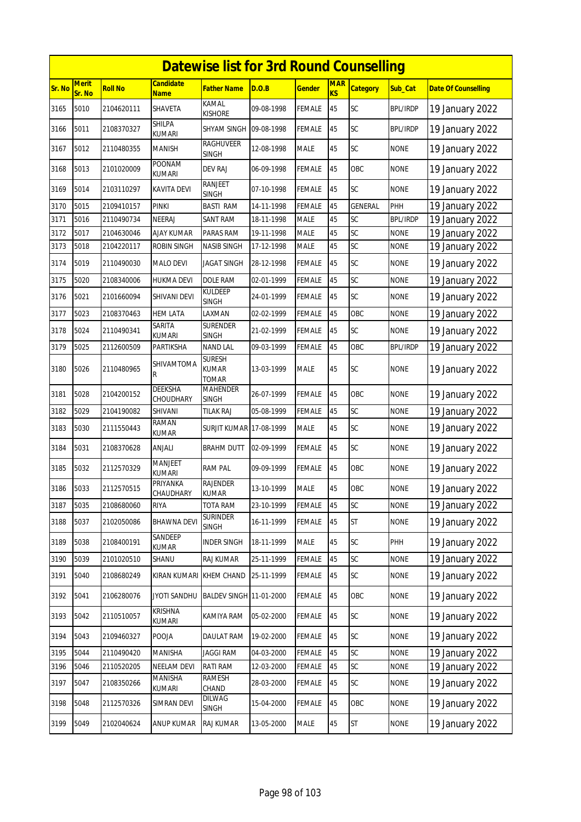|        | <b>Datewise list for 3rd Round Counselling</b> |                |                                 |                                 |            |               |                  |                 |                 |                            |  |
|--------|------------------------------------------------|----------------|---------------------------------|---------------------------------|------------|---------------|------------------|-----------------|-----------------|----------------------------|--|
| Sr. No | <b>Merit</b><br>Sr. No                         | <b>Roll No</b> | Candidate<br><b>Name</b>        | <b>Father Name</b>              | D.O.B      | <b>Gender</b> | <b>MAR</b><br>KS | <b>Category</b> | Sub_Cat         | <b>Date Of Counselling</b> |  |
| 3165   | 5010                                           | 2104620111     | SHAVETA                         | KAMAL<br>KISHORE                | 09-08-1998 | FEMALE        | 45               | SC              | <b>BPL/IRDP</b> | 19 January 2022            |  |
| 3166   | 5011                                           | 2108370327     | SHILPA<br><b>KUMARI</b>         | SHYAM SINGH 09-08-1998          |            | <b>FEMALE</b> | 45               | SC              | <b>BPL/IRDP</b> | 19 January 2022            |  |
| 3167   | 5012                                           | 2110480355     | MANISH                          | <b>RAGHUVEER</b><br>SINGH       | 12-08-1998 | <b>MALE</b>   | 45               | SC              | <b>NONE</b>     | 19 January 2022            |  |
| 3168   | 5013                                           | 2101020009     | POONAM<br><b>KUMARI</b>         | <b>DEV RAJ</b>                  | 06-09-1998 | <b>FEMALE</b> | 45               | OBC             | <b>NONE</b>     | 19 January 2022            |  |
| 3169   | 5014                                           | 2103110297     | KAVITA DEVI                     | RANJEET<br><b>SINGH</b>         | 07-10-1998 | FEMALE        | 45               | SC              | <b>NONE</b>     | 19 January 2022            |  |
| 3170   | 5015                                           | 2109410157     | <b>PINKI</b>                    | <b>BASTI RAM</b>                | 14-11-1998 | <b>FEMALE</b> | 45               | <b>GENERAL</b>  | PHH             | 19 January 2022            |  |
| 3171   | 5016                                           | 2110490734     | NEERAJ                          | SANT RAM                        | 18-11-1998 | MALE          | 45               | SC              | <b>BPL/IRDP</b> | 19 January 2022            |  |
| 3172   | 5017                                           | 2104630046     | <b>AJAY KUMAR</b>               | PARAS RAM                       | 19-11-1998 | <b>MALE</b>   | 45               | SC              | <b>NONE</b>     | 19 January 2022            |  |
| 3173   | 5018                                           | 2104220117     | ROBIN SINGH                     | NASIB SINGH                     | 17-12-1998 | MALE          | 45               | SC              | <b>NONE</b>     | 19 January 2022            |  |
| 3174   | 5019                                           | 2110490030     | MALO DEVI                       | <b>JAGAT SINGH</b>              | 28-12-1998 | FEMALE        | 45               | SC              | <b>NONE</b>     | 19 January 2022            |  |
| 3175   | 5020                                           | 2108340006     | <b>HUKMA DEVI</b>               | DOLE RAM                        | 02-01-1999 | <b>FEMALE</b> | 45               | SC              | <b>NONE</b>     | 19 January 2022            |  |
| 3176   | 5021                                           | 2101660094     | SHIVANI DEVI                    | <b>KULDEEP</b><br><b>SINGH</b>  | 24-01-1999 | FEMALE        | 45               | <b>SC</b>       | <b>NONE</b>     | 19 January 2022            |  |
| 3177   | 5023                                           | 2108370463     | HEM LATA                        | LAXMAN                          | 02-02-1999 | <b>FEMALE</b> | 45               | OBC             | <b>NONE</b>     | 19 January 2022            |  |
| 3178   | 5024                                           | 2110490341     | SARITA<br>kumari                | <b>SURENDER</b><br>SINGH        | 21-02-1999 | FEMALE        | 45               | SC              | <b>NONE</b>     | 19 January 2022            |  |
| 3179   | 5025                                           | 2112600509     | PARTIKSHA                       | <b>NAND LAL</b>                 | 09-03-1999 | FEMALE        | 45               | OBC             | <b>BPL/IRDP</b> | 19 January 2022            |  |
| 3180   | 5026                                           | 2110480965     | SHIVAMTOMA<br>R                 | Suresh<br>KUMAR<br><b>TOMAR</b> | 13-03-1999 | MALE          | 45               | <b>SC</b>       | <b>NONE</b>     | 19 January 2022            |  |
| 3181   | 5028                                           | 2104200152     | DEEKSHA<br>CHOUDHARY            | MAHENDER<br><b>SINGH</b>        | 26-07-1999 | FEMALE        | 45               | OBC             | <b>NONE</b>     | 19 January 2022            |  |
| 3182   | 5029                                           | 2104190082     | SHIVANI                         | <b>TILAK RAJ</b>                | 05-08-1999 | FEMALE        | 45               | SC              | <b>NONE</b>     | 19 January 2022            |  |
| 3183   | 5030                                           | 2111550443     | RAMAN<br><b>KUMAR</b>           | <b>SURJIT KUMAR 17-08-1999</b>  |            | MALE          | 45               | SC              | <b>NONE</b>     | 19 January 2022            |  |
| 3184   | 5031                                           | 2108370628     | ANJALI                          | <b>BRAHM DUTT</b>               | 02-09-1999 | <b>FEMALE</b> | 45               | SC              | <b>NONE</b>     | 19 January 2022            |  |
| 3185   | 5032                                           | 2112570329     | <b>MANJEET</b><br><b>KUMARI</b> | <b>RAM PAL</b>                  | 09-09-1999 | <b>FEMALE</b> | 45               | OBC             | <b>NONE</b>     | 19 January 2022            |  |
| 3186   | 5033                                           | 2112570515     | PRIYANKA<br>CHAUDHARY           | RAJENDER<br>kumar               | 13-10-1999 | <b>MALE</b>   | 45               | OBC             | <b>NONE</b>     | 19 January 2022            |  |
| 3187   | 5035                                           | 2108680060     | RIYA                            | TOTA RAM                        | 23-10-1999 | FEMALE        | 45               | SC              | <b>NONE</b>     | 19 January 2022            |  |
| 3188   | 5037                                           | 2102050086     | <b>BHAWNA DEVI</b>              | SURINDER<br>SINGH               | 16-11-1999 | <b>FEMALE</b> | 45               | <b>ST</b>       | <b>NONE</b>     | 19 January 2022            |  |
| 3189   | 5038                                           | 2108400191     | <b>SANDEEP</b><br>KUMAR         | <b>INDER SINGH</b>              | 18-11-1999 | MALE          | 45               | SC              | PHH             | 19 January 2022            |  |
| 3190   | 5039                                           | 2101020510     | SHANU                           | RAJ KUMAR                       | 25-11-1999 | FEMALE        | 45               | SC              | <b>NONE</b>     | 19 January 2022            |  |
| 3191   | 5040                                           | 2108680249     | KIRAN KUMARI                    | <b>KHEM CHAND</b>               | 25-11-1999 | FEMALE        | 45               | SC              | <b>NONE</b>     | 19 January 2022            |  |
| 3192   | 5041                                           | 2106280076     | JYOTI SANDHU                    | BALDEV SINGH 11-01-2000         |            | <b>FEMALE</b> | 45               | OBC             | <b>NONE</b>     | 19 January 2022            |  |
| 3193   | 5042                                           | 2110510057     | <b>KRISHNA</b><br>KUMARI        | KAMIYA RAM                      | 05-02-2000 | FEMALE        | 45               | SC              | <b>NONE</b>     | 19 January 2022            |  |
| 3194   | 5043                                           | 2109460327     | POOJA                           | <b>DAULAT RAM</b>               | 19-02-2000 | <b>FEMALE</b> | 45               | SC              | <b>NONE</b>     | 19 January 2022            |  |
| 3195   | 5044                                           | 2110490420     | <b>MANISHA</b>                  | <b>JAGGI RAM</b>                | 04-03-2000 | FEMALE        | 45               | SC              | <b>NONE</b>     | 19 January 2022            |  |
| 3196   | 5046                                           | 2110520205     | <b>NEELAM DEVI</b>              | RATI RAM                        | 12-03-2000 | <b>FEMALE</b> | 45               | SC              | <b>NONE</b>     | 19 January 2022            |  |
| 3197   | 5047                                           | 2108350266     | MANISHA<br>KUMARI               | <b>RAMESH</b><br>CHAND          | 28-03-2000 | <b>FEMALE</b> | 45               | SC              | <b>NONE</b>     | 19 January 2022            |  |
| 3198   | 5048                                           | 2112570326     | SIMRAN DEVI                     | DILWAG<br><b>SINGH</b>          | 15-04-2000 | <b>FEMALE</b> | 45               | OBC             | <b>NONE</b>     | 19 January 2022            |  |
| 3199   | 5049                                           | 2102040624     | ANUP KUMAR                      | RAJ KUMAR                       | 13-05-2000 | MALE          | 45               | <b>ST</b>       | <b>NONE</b>     | 19 January 2022            |  |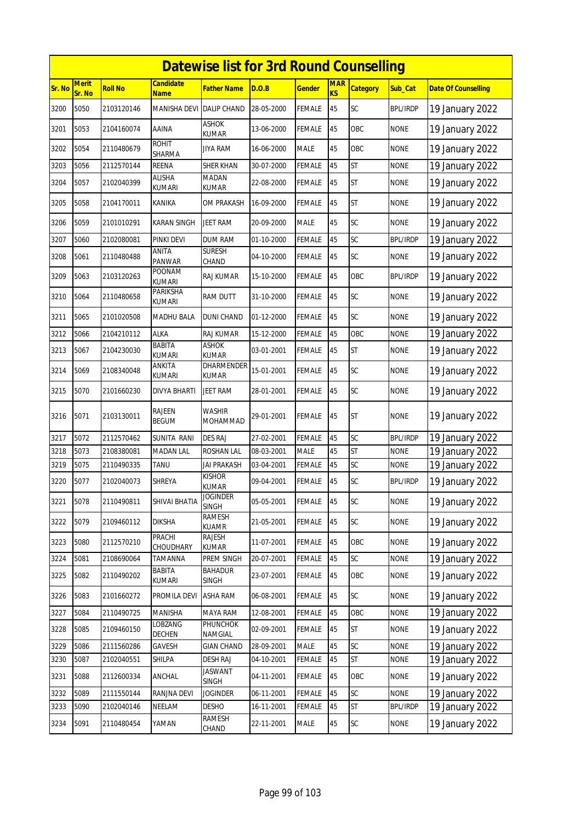|        |                        |                |                                | <b>Datewise list for 3rd Round Counselling</b> |            |               |                  |                 |                 |                            |
|--------|------------------------|----------------|--------------------------------|------------------------------------------------|------------|---------------|------------------|-----------------|-----------------|----------------------------|
| Sr. No | <b>Merit</b><br>Sr. No | <b>Roll No</b> | <b>Candidate</b><br>Name       | Father Name                                    | D.O.B      | <u>Gender</u> | <b>MAR</b><br>KS | <b>Category</b> | Sub_Cat         | <b>Date Of Counselling</b> |
| 3200   | 5050                   | 2103120146     | <b>MANISHA DEVI</b>            | <b>DALIP CHAND</b>                             | 28-05-2000 | FEMALE        | 45               | SC              | <b>BPL/IRDP</b> | 19 January 2022            |
| 3201   | 5053                   | 2104160074     | AAINA                          | <b>ASHOK</b><br>kumar                          | 13-06-2000 | <b>FEMALE</b> | 45               | OBC             | <b>NONE</b>     | 19 January 2022            |
| 3202   | 5054                   | 2110480679     | <b>ROHIT</b><br>SHARMA         | JIYA RAM                                       | 16-06-2000 | <b>MALE</b>   | 45               | OBC             | <b>NONE</b>     | 19 January 2022            |
| 3203   | 5056                   | 2112570144     | REENA                          | SHER KHAN                                      | 30-07-2000 | FEMALE        | 45               | <b>ST</b>       | <b>NONE</b>     | 19 January 2022            |
| 3204   | 5057                   | 2102040399     | <b>ALISHA</b><br>kumari        | <b>MADAN</b><br>KUMAR                          | 22-08-2000 | <b>FEMALE</b> | 45               | <b>ST</b>       | <b>NONE</b>     | 19 January 2022            |
| 3205   | 5058                   | 2104170011     | KANIKA                         | OM PRAKASH                                     | 16-09-2000 | FEMALE        | 45               | <b>ST</b>       | <b>NONE</b>     | 19 January 2022            |
| 3206   | 5059                   | 2101010291     | KARAN SINGH                    | JEET RAM                                       | 20-09-2000 | MALE          | 45               | SC              | <b>NONE</b>     | 19 January 2022            |
| 3207   | 5060                   | 2102080081     | PINKI DEVI                     | <b>DUM RAM</b>                                 | 01-10-2000 | <b>FEMALE</b> | 45               | SC              | <b>BPL/IRDP</b> | 19 January 2022            |
| 3208   | 5061                   | 2110480488     | ANITA<br><b>PANWAR</b>         | <b>SURESH</b><br>CHAND                         | 04-10-2000 | FEMALE        | 45               | SC              | <b>NONE</b>     | 19 January 2022            |
| 3209   | 5063                   | 2103120263     | POONAM<br><b>KUMARI</b>        | RAJ KUMAR                                      | 15-10-2000 | FEMALE        | 45               | OBC             | <b>BPL/IRDP</b> | 19 January 2022            |
| 3210   | 5064                   | 2110480658     | PARIKSHA<br><b>KUMARI</b>      | RAM DUTT                                       | 31-10-2000 | FEMALE        | 45               | SC              | <b>NONE</b>     | 19 January 2022            |
| 3211   | 5065                   | 2101020508     | MADHU BALA                     | DUNI CHAND                                     | 01-12-2000 | FEMALE        | 45               | <b>SC</b>       | <b>NONE</b>     | 19 January 2022            |
| 3212   | 5066                   | 2104210112     | ALKA                           | RAJ KUMAR                                      | 15-12-2000 | FEMALE        | 45               | OBC             | <b>NONE</b>     | 19 January 2022            |
| 3213   | 5067                   | 2104230030     | <b>BABITA</b><br><b>KUMARI</b> | <b>ASHOK</b><br><b>KUMAR</b>                   | 03-01-2001 | FEMALE        | 45               | <b>ST</b>       | <b>NONE</b>     | 19 January 2022            |
| 3214   | 5069                   | 2108340048     | ANKITA<br><b>KUMARI</b>        | DHARMENDER<br>KUMAR                            | 15-01-2001 | FEMALE        | 45               | SC              | <b>NONE</b>     | 19 January 2022            |
| 3215   | 5070                   | 2101660230     | <b>DIVYA BHARTI</b>            | <b>JEET RAM</b>                                | 28-01-2001 | <b>FEMALE</b> | 45               | SC              | <b>NONE</b>     | 19 January 2022            |
| 3216   | 5071                   | 2103130011     | <b>RAJEEN</b><br><b>BEGUM</b>  | WASHIR<br>MOHAMMAD                             | 29-01-2001 | FEMALE        | 45               | <b>ST</b>       | <b>NONE</b>     | 19 January 2022            |
| 3217   | 5072                   | 2112570462     | SUNITA RANI                    | <b>DES RAJ</b>                                 | 27-02-2001 | <b>FEMALE</b> | 45               | SC              | <b>BPL/IRDP</b> | 19 January 2022            |
| 3218   | 5073                   | 2108380081     | <b>MADAN LAL</b>               | ROSHAN LAL                                     | 08-03-2001 | MALE          | 45               | <b>ST</b>       | <b>NONE</b>     | 19 January 2022            |
| 3219   | 5075                   | 2110490335     | TANU                           | JAI PRAKASH                                    | 03-04-2001 | FEMALE        | 45               | SC              | <b>NONE</b>     | 19 January 2022            |
| 3220   | 5077                   | 2102040073     | SHREYA                         | <b>KISHOR</b><br><b>KUMAR</b>                  | 09-04-2001 | FEMALE        | 45               | <b>SC</b>       | <b>BPL/IRDP</b> | 19 January 2022            |
| 3221   | 5078                   | 2110490811     | SHIVAI BHATIA                  | <b>JOGINDER</b><br>SINGH                       | 05-05-2001 | <b>FEMALE</b> | 45               | SC              | <b>NONE</b>     | 19 January 2022            |
| 3222   | 5079                   | 2109460112     | <b>DIKSHA</b>                  | RAMESH<br>KUAMR                                | 21-05-2001 | <b>FEMALE</b> | 45               | SC              | <b>NONE</b>     | 19 January 2022            |
| 3223   | 5080                   | 2112570210     | <b>PRACHI</b><br>CHOUDHARY     | RAJESH<br>KUMAR                                | 11-07-2001 | <b>FEMALE</b> | 45               | OBC             | <b>NONE</b>     | 19 January 2022            |
| 3224   | 5081                   | 2108690064     | TAMANNA                        | PREM SINGH                                     | 20-07-2001 | FEMALE        | 45               | SC              | <b>NONE</b>     | 19 January 2022            |
| 3225   | 5082                   | 2110490202     | BABITA<br>KUMARI               | <b>BAHADUR</b><br>SINGH                        | 23-07-2001 | FEMALE        | 45               | OBC             | <b>NONE</b>     | 19 January 2022            |
| 3226   | 5083                   | 2101660272     | PROMILA DEVI                   | <b>ASHA RAM</b>                                | 06-08-2001 | <b>FEMALE</b> | 45               | SC              | <b>NONE</b>     | 19 January 2022            |
| 3227   | 5084                   | 2110490725     | <b>MANISHA</b>                 | MAYA RAM                                       | 12-08-2001 | FEMALE        | 45               | OBC             | <b>NONE</b>     | 19 January 2022            |
| 3228   | 5085                   | 2109460150     | LOBZANG<br>DECHEN              | PHUNCHOK<br>NAMGIAL                            | 02-09-2001 | <b>FEMALE</b> | 45               | <b>ST</b>       | <b>NONE</b>     | 19 January 2022            |
| 3229   | 5086                   | 2111560286     | GAVESH                         | GIAN CHAND                                     | 28-09-2001 | MALE          | 45               | SC              | <b>NONE</b>     | 19 January 2022            |
| 3230   | 5087                   | 2102040551     | SHILPA                         | <b>DESH RAJ</b>                                | 04-10-2001 | FEMALE        | 45               | ST              | <b>NONE</b>     | 19 January 2022            |
| 3231   | 5088                   | 2112600334     | ANCHAL                         | <b>JASWANT</b><br>SINGH                        | 04-11-2001 | <b>FEMALE</b> | 45               | OBC             | <b>NONE</b>     | 19 January 2022            |
| 3232   | 5089                   | 2111550144     | RANJNA DEVI                    | <b>JOGINDER</b>                                | 06-11-2001 | <b>FEMALE</b> | 45               | SC              | <b>NONE</b>     | 19 January 2022            |
| 3233   | 5090                   | 2102040146     | NEELAM                         | <b>DESHO</b>                                   | 16-11-2001 | FEMALE        | 45               | <b>ST</b>       | <b>BPL/IRDP</b> | 19 January 2022            |
| 3234   | 5091                   | 2110480454     | YAMAN                          | RAMESH<br>CHAND                                | 22-11-2001 | MALE          | 45               | SC              | <b>NONE</b>     | 19 January 2022            |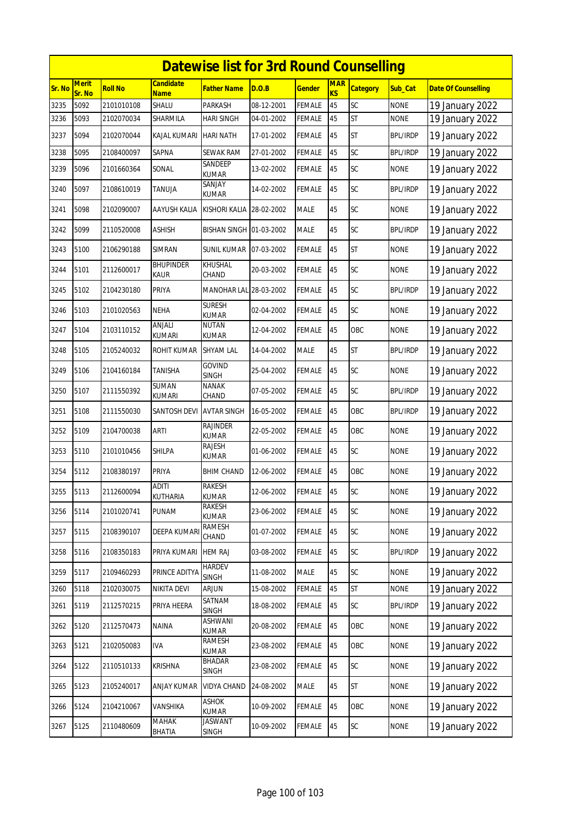|        | <b>Datewise list for 3rd Round Counselling</b> |                |                          |                                 |            |               |                  |                 |                 |                            |  |
|--------|------------------------------------------------|----------------|--------------------------|---------------------------------|------------|---------------|------------------|-----------------|-----------------|----------------------------|--|
| Sr. No | <b>Merit</b><br>Sr. No                         | <b>Roll No</b> | <b>Candidate</b><br>Name | <b>Father Name</b>              | D.O.B      | <b>Gender</b> | <b>MAR</b><br>KS | <b>Category</b> | Sub_Cat         | <b>Date Of Counselling</b> |  |
| 3235   | 5092                                           | 2101010108     | SHALU                    | PARKASH                         | 08-12-2001 | <b>FEMALE</b> | 45               | SC              | <b>NONE</b>     | 19 January 2022            |  |
| 3236   | 5093                                           | 2102070034     | SHARMILA                 | HARI SINGH                      | 04-01-2002 | FEMALE        | 45               | ST              | <b>NONE</b>     | 19 January 2022            |  |
| 3237   | 5094                                           | 2102070044     | KAJAL KUMARI             | <b>HARI NATH</b>                | 17-01-2002 | FEMALE        | 45               | <b>ST</b>       | <b>BPL/IRDP</b> | 19 January 2022            |  |
| 3238   | 5095                                           | 2108400097     | SAPNA                    | SEWAK RAM                       | 27-01-2002 | <b>FEMALE</b> | 45               | SC              | <b>BPL/IRDP</b> | 19 January 2022            |  |
| 3239   | 5096                                           | 2101660364     | SONAL                    | SANDEEP<br><b>KUMAR</b>         | 13-02-2002 | <b>FEMALE</b> | 45               | SC              | <b>NONE</b>     | 19 January 2022            |  |
| 3240   | 5097                                           | 2108610019     | TANUJA                   | SANJAY<br>KUMAR                 | 14-02-2002 | FEMALE        | 45               | SC              | <b>BPL/IRDP</b> | 19 January 2022            |  |
| 3241   | 5098                                           | 2102090007     | AAYUSH KALIA             | KISHORI KALIA 28-02-2002        |            | <b>MALE</b>   | 45               | SC              | <b>NONE</b>     | 19 January 2022            |  |
| 3242   | 5099                                           | 2110520008     | ASHISH                   | BISHAN SINGH 01-03-2002         |            | <b>MALE</b>   | 45               | SC              | <b>BPL/IRDP</b> | 19 January 2022            |  |
| 3243   | 5100                                           | 2106290188     | <b>SIMRAN</b>            | <b>SUNIL KUMAR 07-03-2002</b>   |            | <b>FEMALE</b> | 45               | <b>ST</b>       | <b>NONE</b>     | 19 January 2022            |  |
| 3244   | 5101                                           | 2112600017     | Bhupinder<br>Kaur        | KHUSHAL<br>CHAND                | 20-03-2002 | <b>FEMALE</b> | 45               | SC              | <b>NONE</b>     | 19 January 2022            |  |
| 3245   | 5102                                           | 2104230180     | PRIYA                    | <b>MANOHAR LAL</b>              | 28-03-2002 | <b>FEMALE</b> | 45               | SC              | <b>BPL/IRDP</b> | 19 January 2022            |  |
| 3246   | 5103                                           | 2101020563     | <b>NEHA</b>              | <b>SURESH</b><br><b>KUMAR</b>   | 02-04-2002 | <b>FEMALE</b> | 45               | SC              | <b>NONE</b>     | 19 January 2022            |  |
| 3247   | 5104                                           | 2103110152     | ANJALI<br>kumari         | NUTAN<br>KUMAR                  | 12-04-2002 | <b>FEMALE</b> | 45               | OBC             | <b>NONE</b>     | 19 January 2022            |  |
| 3248   | 5105                                           | 2105240032     | ROHIT KUMAR              | <b>SHYAM LAL</b>                | 14-04-2002 | <b>MALE</b>   | 45               | <b>ST</b>       | <b>BPL/IRDP</b> | 19 January 2022            |  |
| 3249   | 5106                                           | 2104160184     | TANISHA                  | <b>GOVIND</b><br><b>SINGH</b>   | 25-04-2002 | FEMALE        | 45               | SC              | <b>NONE</b>     | 19 January 2022            |  |
| 3250   | 5107                                           | 2111550392     | SUMAN<br><b>KUMARI</b>   | <b>NANAK</b><br>CHAND           | 07-05-2002 | <b>FEMALE</b> | 45               | SC              | <b>BPL/IRDP</b> | 19 January 2022            |  |
| 3251   | 5108                                           | 2111550030     | SANTOSH DEVI             | <b>AVTAR SINGH</b>              | 16-05-2002 | FEMALE        | 45               | OBC             | <b>BPL/IRDP</b> | 19 January 2022            |  |
| 3252   | 5109                                           | 2104700038     | ARTI                     | <b>RAJINDER</b><br><b>KUMAR</b> | 22-05-2002 | <b>FEMALE</b> | 45               | OBC             | <b>NONE</b>     | 19 January 2022            |  |
| 3253   | 5110                                           | 2101010456     | SHILPA                   | RAJESH<br>KUMAR                 | 01-06-2002 | <b>FEMALE</b> | 45               | SC              | <b>NONE</b>     | 19 January 2022            |  |
| 3254   | 5112                                           | 2108380197     | PRIYA                    | BHIM CHAND                      | 12-06-2002 | <b>FEMALE</b> | 45               | OBC             | <b>NONE</b>     | 19 January 2022            |  |
| 3255   | 5113                                           | 2112600094     | ADITI<br>KUTHARIA        | RAKESH<br><b>KUMAR</b>          | 12-06-2002 | <b>FEMALE</b> | 45               | SC              | <b>NONE</b>     | 19 January 2022            |  |
| 3256   | 5114                                           | 2101020741     | PUNAM                    | RAKESH<br>KUMAR                 | 23-06-2002 | <b>FEMALE</b> | 45               | SC              | <b>NONE</b>     | 19 January 2022            |  |
| 3257   | 5115                                           | 2108390107     | <b>DEEPA KUMAR</b>       | <b>RAMESH</b><br>CHAND          | 01-07-2002 | <b>FEMALE</b> | 45               | SC              | <b>NONE</b>     | 19 January 2022            |  |
| 3258   | 5116                                           | 2108350183     | PRIYA KUMARI             | <b>HEM RAJ</b>                  | 03-08-2002 | <b>FEMALE</b> | 45               | SC              | <b>BPL/IRDP</b> | 19 January 2022            |  |
| 3259   | 5117                                           | 2109460293     | PRINCE ADITYA            | <b>HARDEV</b><br><b>SINGH</b>   | 11-08-2002 | <b>MALE</b>   | 45               | SC              | <b>NONE</b>     | 19 January 2022            |  |
| 3260   | 5118                                           | 2102030075     | NIKITA DEVI              | ARJUN                           | 15-08-2002 | FEMALE        | 45               | <b>ST</b>       | <b>NONE</b>     | 19 January 2022            |  |
| 3261   | 5119                                           | 2112570215     | PRIYA HEERA              | SATNAM<br><b>SINGH</b>          | 18-08-2002 | <b>FEMALE</b> | 45               | SC              | <b>BPL/IRDP</b> | 19 January 2022            |  |
| 3262   | 5120                                           | 2112570473     | NAINA                    | ASHWANI<br><b>KUMAR</b>         | 20-08-2002 | <b>FEMALE</b> | 45               | OBC             | <b>NONE</b>     | 19 January 2022            |  |
| 3263   | 5121                                           | 2102050083     | IVA                      | <b>RAMESH</b><br><b>KUMAR</b>   | 23-08-2002 | <b>FEMALE</b> | 45               | OBC             | <b>NONE</b>     | 19 January 2022            |  |
| 3264   | 5122                                           | 2110510133     | KRISHNA                  | <b>BHADAR</b><br><b>SINGH</b>   | 23-08-2002 | <b>FEMALE</b> | 45               | SC              | <b>NONE</b>     | 19 January 2022            |  |
| 3265   | 5123                                           | 2105240017     | ANJAY KUMAR              | <b>VIDYA CHAND</b>              | 24-08-2002 | MALE          | 45               | <b>ST</b>       | <b>NONE</b>     | 19 January 2022            |  |
| 3266   | 5124                                           | 2104210067     | VANSHIKA                 | ASHOK<br><b>KUMAR</b>           | 10-09-2002 | <b>FEMALE</b> | 45               | OBC             | <b>NONE</b>     | 19 January 2022            |  |
| 3267   | 5125                                           | 2110480609     | <b>MAHAK</b><br>BHATIA   | <b>JASWANT</b><br><b>SINGH</b>  | 10-09-2002 | <b>FEMALE</b> | 45               | SC              | <b>NONE</b>     | 19 January 2022            |  |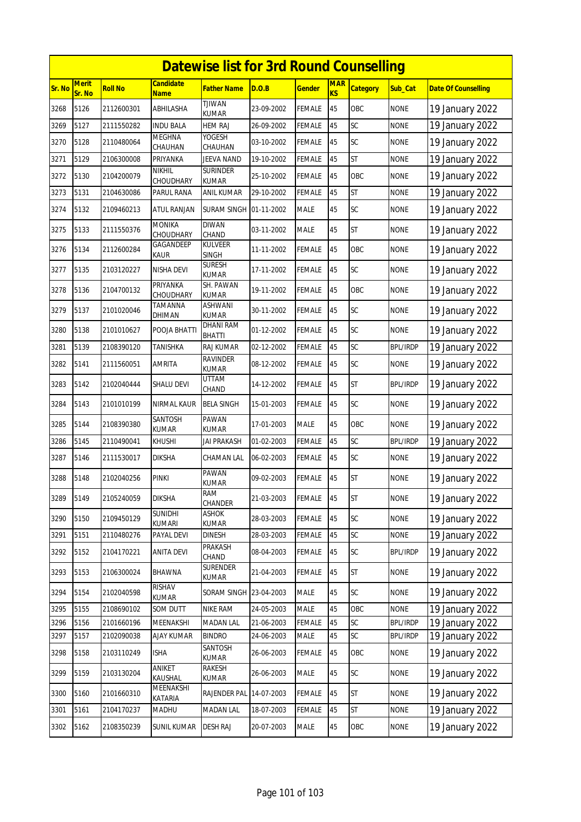|        |                        |                |                                 | <b>Datewise list for 3rd Round Counselling</b> |            |               |                         |                 |                 |                            |
|--------|------------------------|----------------|---------------------------------|------------------------------------------------|------------|---------------|-------------------------|-----------------|-----------------|----------------------------|
| Sr. No | <b>Merit</b><br>Sr. No | <b>Roll No</b> | <b>Candidate</b><br><b>Name</b> | Father Name                                    | D.O.B      | <u>Gender</u> | <b>MAR</b><br><b>KS</b> | <b>Category</b> | Sub Cat         | <b>Date Of Counselling</b> |
| 3268   | 5126                   | 2112600301     | ABHILASHA                       | <b>TJIWAN</b><br><b>KUMAR</b>                  | 23-09-2002 | FEMALE        | 45                      | OBC             | <b>NONE</b>     | 19 January 2022            |
| 3269   | 5127                   | 2111550282     | <b>INDU BALA</b>                | <b>HEM RAJ</b>                                 | 26-09-2002 | <b>FEMALE</b> | 45                      | SC              | <b>NONE</b>     | 19 January 2022            |
| 3270   | 5128                   | 2110480064     | <b>MEGHNA</b><br>CHAUHAN        | YOGESH<br>CHAUHAN                              | 03-10-2002 | FEMALE        | 45                      | SC              | <b>NONE</b>     | 19 January 2022            |
| 3271   | 5129                   | 2106300008     | PRIYANKA                        | JEEVA NAND                                     | 19-10-2002 | FEMALE        | 45                      | <b>ST</b>       | <b>NONE</b>     | 19 January 2022            |
| 3272   | 5130                   | 2104200079     | <b>NIKHIL</b><br>CHOUDHARY      | <b>SURINDER</b><br><b>KUMAR</b>                | 25-10-2002 | <b>FEMALE</b> | 45                      | OBC             | <b>NONE</b>     | 19 January 2022            |
| 3273   | 5131                   | 2104630086     | PARUL RANA                      | ANIL KUMAR                                     | 29-10-2002 | FEMALE        | 45                      | <b>ST</b>       | <b>NONE</b>     | 19 January 2022            |
| 3274   | 5132                   | 2109460213     | <b>ATUL RANJAN</b>              | SURAM SINGH 01-11-2002                         |            | <b>MALE</b>   | 45                      | <b>SC</b>       | <b>NONE</b>     | 19 January 2022            |
| 3275   | 5133                   | 2111550376     | <b>MONIKA</b><br>CHOUDHARY      | <b>DIWAN</b><br>CHAND                          | 03-11-2002 | <b>MALE</b>   | 45                      | <b>ST</b>       | <b>NONE</b>     | 19 January 2022            |
| 3276   | 5134                   | 2112600284     | GAGANDEEP<br>Kaur               | <b>KULVEER</b><br><b>SINGH</b>                 | 11-11-2002 | FEMALE        | 45                      | OBC             | <b>NONE</b>     | 19 January 2022            |
| 3277   | 5135                   | 2103120227     | NISHA DEVI                      | <b>SURESH</b><br><b>KUMAR</b>                  | 17-11-2002 | <b>FEMALE</b> | 45                      | SC              | <b>NONE</b>     | 19 January 2022            |
| 3278   | 5136                   | 2104700132     | PRIYANKA<br>CHOUDHARY           | SH. PAWAN<br>KUMAR                             | 19-11-2002 | FEMALE        | 45                      | OBC             | <b>NONE</b>     | 19 January 2022            |
| 3279   | 5137                   | 2101020046     | TAMANNA<br>DHIMAN               | ASHWANI<br><b>KUMAR</b>                        | 30-11-2002 | <b>FEMALE</b> | 45                      | <b>SC</b>       | <b>NONE</b>     | 19 January 2022            |
| 3280   | 5138                   | 2101010627     | POOJA BHATTI                    | <b>DHANI RAM</b><br><b>BHATTI</b>              | 01-12-2002 | FEMALE        | 45                      | SC              | <b>NONE</b>     | 19 January 2022            |
| 3281   | 5139                   | 2108390120     | TANISHKA                        | RAJ KUMAR                                      | 02-12-2002 | FEMALE        | 45                      | SC              | <b>BPL/IRDP</b> | 19 January 2022            |
| 3282   | 5141                   | 2111560051     | AMRITA                          | <b>RAVINDER</b><br><b>KUMAR</b>                | 08-12-2002 | FEMALE        | 45                      | SC              | <b>NONE</b>     | 19 January 2022            |
| 3283   | 5142                   | 2102040444     | SHALU DEVI                      | <b>UTTAM</b><br>CHAND                          | 14-12-2002 | FEMALE        | 45                      | <b>ST</b>       | <b>BPL/IRDP</b> | 19 January 2022            |
| 3284   | 5143                   | 2101010199     | NIRMAL KAUR                     | <b>BELA SINGH</b>                              | 15-01-2003 | <b>FEMALE</b> | 45                      | SC              | <b>NONE</b>     | 19 January 2022            |
| 3285   | 5144                   | 2108390380     | SANTOSH<br><b>KUMAR</b>         | PAWAN<br>KUMAR                                 | 17-01-2003 | <b>MALE</b>   | 45                      | OBC             | <b>NONE</b>     | 19 January 2022            |
| 3286   | 5145                   | 2110490041     | KHUSHI                          | JAI PRAKASH                                    | 01-02-2003 | FEMALE        | 45                      | SC              | <b>BPL/IRDP</b> | 19 January 2022            |
| 3287   | 5146                   | 2111530017     | <b>DIKSHA</b>                   | CHAMAN LAL                                     | 06-02-2003 | FEMALE        | 45                      | <b>SC</b>       | <b>NONE</b>     | 19 January 2022            |
| 3288   | 5148                   | 2102040256     | PINKI                           | PAWAN<br>kumar                                 | 09-02-2003 | FEMALE        | 45                      | <b>ST</b>       | <b>NONE</b>     | 19 January 2022            |
| 3289   | 5149                   | 2105240059     | <b>DIKSHA</b>                   | ram<br>CHANDER                                 | 21-03-2003 | <b>FEMALE</b> | 45                      | <b>ST</b>       | <b>NONE</b>     | 19 January 2022            |
| 3290   | 5150                   | 2109450129     | SUNIDHI<br>KUMARI               | ASHOK<br><b>KUMAR</b>                          | 28-03-2003 | <b>FEMALE</b> | 45                      | SC              | <b>NONE</b>     | 19 January 2022            |
| 3291   | 5151                   | 2110480276     | PAYAL DEVI                      | DINESH                                         | 28-03-2003 | FEMALE        | 45                      | SC              | <b>NONE</b>     | 19 January 2022            |
| 3292   | 5152                   | 2104170221     | ANITA DEVI                      | PRAKASH<br>CHAND                               | 08-04-2003 | <b>FEMALE</b> | 45                      | SC              | <b>BPL/IRDP</b> | 19 January 2022            |
| 3293   | 5153                   | 2106300024     | <b>BHAWNA</b>                   | <b>SURENDER</b><br>KUMAR                       | 21-04-2003 | <b>FEMALE</b> | 45                      | ST              | <b>NONE</b>     | 19 January 2022            |
| 3294   | 5154                   | 2102040598     | RISHAV<br>KUMAR                 | SORAM SINGH 23-04-2003                         |            | MALE          | 45                      | SC              | <b>NONE</b>     | 19 January 2022            |
| 3295   | 5155                   | 2108690102     | SOM DUTT                        | <b>NIKE RAM</b>                                | 24-05-2003 | MALE          | 45                      | OBC             | <b>NONE</b>     | 19 January 2022            |
| 3296   | 5156                   | 2101660196     | MEENAKSHI                       | MADAN LAL                                      | 21-06-2003 | FEMALE        | 45                      | SC              | <b>BPL/IRDP</b> | 19 January 2022            |
| 3297   | 5157                   | 2102090038     | <b>AJAY KUMAR</b>               | <b>BINDRO</b>                                  | 24-06-2003 | MALE          | 45                      | SC              | <b>BPL/IRDP</b> | 19 January 2022            |
| 3298   | 5158                   | 2103110249     | <b>ISHA</b>                     | SANTOSH<br>KUMAR                               | 26-06-2003 | <b>FEMALE</b> | 45                      | OBC             | <b>NONE</b>     | 19 January 2022            |
| 3299   | 5159                   | 2103130204     | ANIKET<br>KAUSHAL               | RAKESH<br>KUMAR                                | 26-06-2003 | MALE          | 45                      | SC              | <b>NONE</b>     | 19 January 2022            |
| 3300   | 5160                   | 2101660310     | MEENAKSHI<br>KATARIA            | RAJENDER PAL                                   | 14-07-2003 | FEMALE        | 45                      | ST              | <b>NONE</b>     | 19 January 2022            |
| 3301   | 5161                   | 2104170237     | MADHU                           | <b>MADAN LAL</b>                               | 18-07-2003 | <b>FEMALE</b> | 45                      | ST              | <b>NONE</b>     | 19 January 2022            |
| 3302   | 5162                   | 2108350239     | SUNIL KUMAR                     | DESH RAJ                                       | 20-07-2003 | <b>MALE</b>   | 45                      | OBC             | <b>NONE</b>     | 19 January 2022            |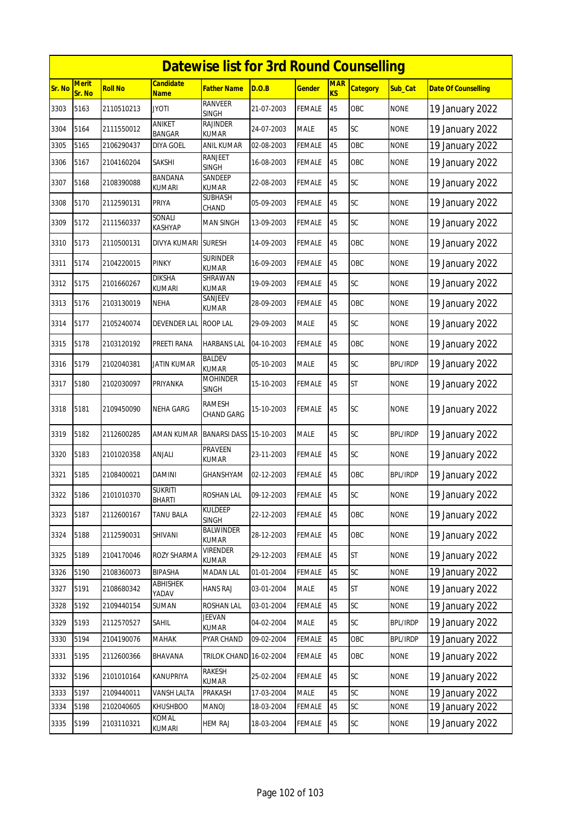|        | <b>Datewise list for 3rd Round Counselling</b> |                |                                 |                                 |            |               |                  |                 |                 |                            |  |
|--------|------------------------------------------------|----------------|---------------------------------|---------------------------------|------------|---------------|------------------|-----------------|-----------------|----------------------------|--|
| Sr. No | <b>Merit</b><br>Sr. No                         | <b>Roll No</b> | Candidate<br><b>Name</b>        | <b>Father Name</b>              | D.O.B      | <u>Gender</u> | <b>MAR</b><br>KS | <b>Category</b> | <b>Sub Cat</b>  | <b>Date Of Counselling</b> |  |
| 3303   | 5163                                           | 2110510213     | Jyoti                           | <b>RANVEER</b><br><b>SINGH</b>  | 21-07-2003 | FEMALE        | 45               | OBC             | <b>NONE</b>     | 19 January 2022            |  |
| 3304   | 5164                                           | 2111550012     | ANIKET<br>BANGAR                | <b>RAJINDER</b><br><b>KUMAR</b> | 24-07-2003 | <b>MALE</b>   | 45               | SC              | <b>NONE</b>     | 19 January 2022            |  |
| 3305   | 5165                                           | 2106290437     | DIYA GOEL                       | <b>ANIL KUMAR</b>               | 02-08-2003 | <b>FEMALE</b> | 45               | OBC             | <b>NONE</b>     | 19 January 2022            |  |
| 3306   | 5167                                           | 2104160204     | SAKSHI                          | RANJEET<br><b>SINGH</b>         | 16-08-2003 | FEMALE        | 45               | OBC             | <b>NONE</b>     | 19 January 2022            |  |
| 3307   | 5168                                           | 2108390088     | <b>BANDANA</b><br><b>KUMARI</b> | SANDEEP<br><b>KUMAR</b>         | 22-08-2003 | FEMALE        | 45               | SC              | <b>NONE</b>     | 19 January 2022            |  |
| 3308   | 5170                                           | 2112590131     | PRIYA                           | <b>SUBHASH</b><br>CHAND         | 05-09-2003 | FEMALE        | 45               | SC              | <b>NONE</b>     | 19 January 2022            |  |
| 3309   | 5172                                           | 2111560337     | Sonali<br>KASHYAP               | <b>MAN SINGH</b>                | 13-09-2003 | FEMALE        | 45               | SC              | <b>NONE</b>     | 19 January 2022            |  |
| 3310   | 5173                                           | 2110500131     | DIVYA KUMARI                    | <b>SURESH</b>                   | 14-09-2003 | FEMALE        | 45               | OBC             | <b>NONE</b>     | 19 January 2022            |  |
| 3311   | 5174                                           | 2104220015     | PINKY                           | <b>SURINDER</b><br><b>KUMAR</b> | 16-09-2003 | <b>FEMALE</b> | 45               | OBC             | <b>NONE</b>     | 19 January 2022            |  |
| 3312   | 5175                                           | 2101660267     | <b>DIKSHA</b><br>KUMARI         | SHRAWAN<br><b>KUMAR</b>         | 19-09-2003 | FEMALE        | 45               | SC              | <b>NONE</b>     | 19 January 2022            |  |
| 3313   | 5176                                           | 2103130019     | NEHA                            | SANJEEV<br><b>KUMAR</b>         | 28-09-2003 | <b>FEMALE</b> | 45               | OBC             | <b>NONE</b>     | 19 January 2022            |  |
| 3314   | 5177                                           | 2105240074     | <b>DEVENDER LAL</b>             | <b>ROOP LAL</b>                 | 29-09-2003 | <b>MALE</b>   | 45               | SC              | <b>NONE</b>     | 19 January 2022            |  |
| 3315   | 5178                                           | 2103120192     | PREETI RANA                     | <b>HARBANS LAL</b>              | 04-10-2003 | <b>FEMALE</b> | 45               | OBC             | <b>NONE</b>     | 19 January 2022            |  |
| 3316   | 5179                                           | 2102040381     | JATIN KUMAR                     | <b>BALDEV</b><br><b>KUMAR</b>   | 05-10-2003 | <b>MALE</b>   | 45               | SC              | <b>BPL/IRDP</b> | 19 January 2022            |  |
| 3317   | 5180                                           | 2102030097     | PRIYANKA                        | <b>MOHINDER</b><br>SINGH        | 15-10-2003 | FEMALE        | 45               | <b>ST</b>       | <b>NONE</b>     | 19 January 2022            |  |
| 3318   | 5181                                           | 2109450090     | NEHA GARG                       | RAMESH<br><b>CHAND GARG</b>     | 15-10-2003 | FEMALE        | 45               | SC              | <b>NONE</b>     | 19 January 2022            |  |
| 3319   | 5182                                           | 2112600285     | AMAN KUMAR                      | <b>BANARSI DASS</b>             | 15-10-2003 | <b>MALE</b>   | 45               | SC              | <b>BPL/IRDP</b> | 19 January 2022            |  |
| 3320   | 5183                                           | 2101020358     | ANJALI                          | PRAVEEN<br>kumar                | 23-11-2003 | FEMALE        | 45               | SC              | <b>NONE</b>     | 19 January 2022            |  |
| 3321   | 5185                                           | 2108400021     | DAMINI                          | <b>GHANSHYAM</b>                | 02-12-2003 | FEMALE        | 45               | OBC             | <b>BPL/IRDP</b> | 19 January 2022            |  |
| 3322   | 5186                                           | 2101010370     | <b>SUKRITI</b><br><b>BHARTI</b> | <b>ROSHAN LAL</b>               | 09-12-2003 | <b>FEMALE</b> | 45               | SC              | <b>NONE</b>     | 19 January 2022            |  |
| 3323   | 5187                                           | 2112600167     | TANU BALA                       | <b>KULDEEP</b><br><b>SINGH</b>  | 22-12-2003 | FEMALE        | 45               | OBC             | <b>NONE</b>     | 19 January 2022            |  |
| 3324   | 5188                                           | 2112590031     | SHIVANI                         | <b>BALWINDER</b><br>KUMAR       | 28-12-2003 | <b>FEMALE</b> | 45               | OBC             | <b>NONE</b>     | 19 January 2022            |  |
| 3325   | 5189                                           | 2104170046     | ROZY SHARMA                     | <b>VIRENDER</b><br><b>KUMAR</b> | 29-12-2003 | <b>FEMALE</b> | 45               | <b>ST</b>       | <b>NONE</b>     | 19 January 2022            |  |
| 3326   | 5190                                           | 2108360073     | <b>BIPASHA</b>                  | <b>MADAN LAL</b>                | 01-01-2004 | FEMALE        | 45               | SC              | <b>NONE</b>     | 19 January 2022            |  |
| 3327   | 5191                                           | 2108680342     | ABHISHEK<br>YADAV               | <b>HANS RAJ</b>                 | 03-01-2004 | MALE          | 45               | <b>ST</b>       | <b>NONE</b>     | 19 January 2022            |  |
| 3328   | 5192                                           | 2109440154     | SUMAN                           | <b>ROSHAN LAL</b>               | 03-01-2004 | <b>FEMALE</b> | 45               | SC              | <b>NONE</b>     | 19 January 2022            |  |
| 3329   | 5193                                           | 2112570527     | SAHIL                           | <b>JEEVAN</b><br>KUMAR          | 04-02-2004 | MALE          | 45               | SC              | <b>BPL/IRDP</b> | 19 January 2022            |  |
| 3330   | 5194                                           | 2104190076     | MAHAK                           | PYAR CHAND                      | 09-02-2004 | <b>FEMALE</b> | 45               | OBC             | <b>BPL/IRDP</b> | 19 January 2022            |  |
| 3331   | 5195                                           | 2112600366     | BHAVANA                         | TRILOK CHAND 16-02-2004         |            | <b>FEMALE</b> | 45               | OBC             | <b>NONE</b>     | 19 January 2022            |  |
| 3332   | 5196                                           | 2101010164     | KANUPRIYA                       | <b>RAKESH</b><br>KUMAR          | 25-02-2004 | <b>FEMALE</b> | 45               | SC              | <b>NONE</b>     | 19 January 2022            |  |
| 3333   | 5197                                           | 2109440011     | VANSH LALTA                     | PRAKASH                         | 17-03-2004 | MALE          | 45               | SC              | <b>NONE</b>     | 19 January 2022            |  |
| 3334   | 5198                                           | 2102040605     | <b>KHUSHBOO</b>                 | <b>MANOJ</b>                    | 18-03-2004 | FEMALE        | 45               | SC              | <b>NONE</b>     | 19 January 2022            |  |
| 3335   | 5199                                           | 2103110321     | KOMAL<br>kumari                 | <b>HEM RAJ</b>                  | 18-03-2004 | <b>FEMALE</b> | 45               | SC              | <b>NONE</b>     | 19 January 2022            |  |